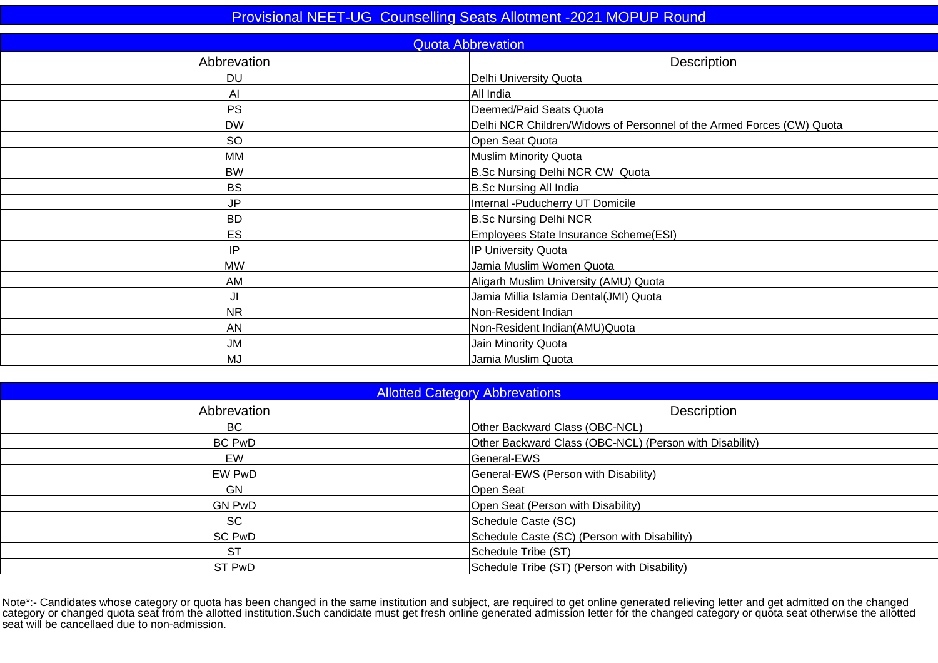| <b>Quota Abbrevation</b><br>Abbrevation<br>Description<br>Delhi University Quota<br><b>DU</b><br>Al<br>All India<br><b>PS</b><br>Deemed/Paid Seats Quota<br><b>DW</b><br>Delhi NCR Children/Widows of Personnel of the Armed Forces (CW) Quota<br><b>SO</b><br>Open Seat Quota<br><b>Muslim Minority Quota</b><br><b>MM</b><br>B.Sc Nursing Delhi NCR CW Quota<br><b>BW</b><br><b>B.Sc Nursing All India</b><br><b>BS</b><br><b>JP</b><br>Internal - Puducherry UT Domicile<br><b>B.Sc Nursing Delhi NCR</b><br><b>BD</b><br>ES<br>Employees State Insurance Scheme(ESI)<br>IP<br>IP University Quota |  |
|-------------------------------------------------------------------------------------------------------------------------------------------------------------------------------------------------------------------------------------------------------------------------------------------------------------------------------------------------------------------------------------------------------------------------------------------------------------------------------------------------------------------------------------------------------------------------------------------------------|--|
|                                                                                                                                                                                                                                                                                                                                                                                                                                                                                                                                                                                                       |  |
|                                                                                                                                                                                                                                                                                                                                                                                                                                                                                                                                                                                                       |  |
|                                                                                                                                                                                                                                                                                                                                                                                                                                                                                                                                                                                                       |  |
|                                                                                                                                                                                                                                                                                                                                                                                                                                                                                                                                                                                                       |  |
|                                                                                                                                                                                                                                                                                                                                                                                                                                                                                                                                                                                                       |  |
|                                                                                                                                                                                                                                                                                                                                                                                                                                                                                                                                                                                                       |  |
|                                                                                                                                                                                                                                                                                                                                                                                                                                                                                                                                                                                                       |  |
|                                                                                                                                                                                                                                                                                                                                                                                                                                                                                                                                                                                                       |  |
|                                                                                                                                                                                                                                                                                                                                                                                                                                                                                                                                                                                                       |  |
|                                                                                                                                                                                                                                                                                                                                                                                                                                                                                                                                                                                                       |  |
|                                                                                                                                                                                                                                                                                                                                                                                                                                                                                                                                                                                                       |  |
|                                                                                                                                                                                                                                                                                                                                                                                                                                                                                                                                                                                                       |  |
|                                                                                                                                                                                                                                                                                                                                                                                                                                                                                                                                                                                                       |  |
|                                                                                                                                                                                                                                                                                                                                                                                                                                                                                                                                                                                                       |  |
| <b>MW</b><br>Jamia Muslim Women Quota                                                                                                                                                                                                                                                                                                                                                                                                                                                                                                                                                                 |  |
| AM<br>Aligarh Muslim University (AMU) Quota                                                                                                                                                                                                                                                                                                                                                                                                                                                                                                                                                           |  |
| JI<br>Jamia Millia Islamia Dental(JMI) Quota                                                                                                                                                                                                                                                                                                                                                                                                                                                                                                                                                          |  |
| Non-Resident Indian<br><b>NR</b>                                                                                                                                                                                                                                                                                                                                                                                                                                                                                                                                                                      |  |
| Non-Resident Indian(AMU)Quota<br><b>AN</b>                                                                                                                                                                                                                                                                                                                                                                                                                                                                                                                                                            |  |
| <b>JM</b><br>Jain Minority Quota                                                                                                                                                                                                                                                                                                                                                                                                                                                                                                                                                                      |  |
| <b>MJ</b><br>Jamia Muslim Quota                                                                                                                                                                                                                                                                                                                                                                                                                                                                                                                                                                       |  |

| <b>Allotted Category Abbrevations</b> |                                                         |  |  |  |  |  |  |
|---------------------------------------|---------------------------------------------------------|--|--|--|--|--|--|
| Abbrevation                           | Description                                             |  |  |  |  |  |  |
| BC.                                   | Other Backward Class (OBC-NCL)                          |  |  |  |  |  |  |
| <b>BC PwD</b>                         | Other Backward Class (OBC-NCL) (Person with Disability) |  |  |  |  |  |  |
| EW                                    | General-EWS                                             |  |  |  |  |  |  |
| EW PwD                                | General-EWS (Person with Disability)                    |  |  |  |  |  |  |
| GN                                    | Open Seat                                               |  |  |  |  |  |  |
| <b>GN PwD</b>                         | Open Seat (Person with Disability)                      |  |  |  |  |  |  |
| <b>SC</b>                             | Schedule Caste (SC)                                     |  |  |  |  |  |  |
| <b>SC PwD</b>                         | Schedule Caste (SC) (Person with Disability)            |  |  |  |  |  |  |
| <b>ST</b>                             | Schedule Tribe (ST)                                     |  |  |  |  |  |  |
| ST PwD                                | Schedule Tribe (ST) (Person with Disability)            |  |  |  |  |  |  |
|                                       |                                                         |  |  |  |  |  |  |

Note\*:- Candidates whose category or quota has been changed in the same institution and subject, are required to get online generated relieving letter and get admitted on the changed<br>category or changed quota seat from the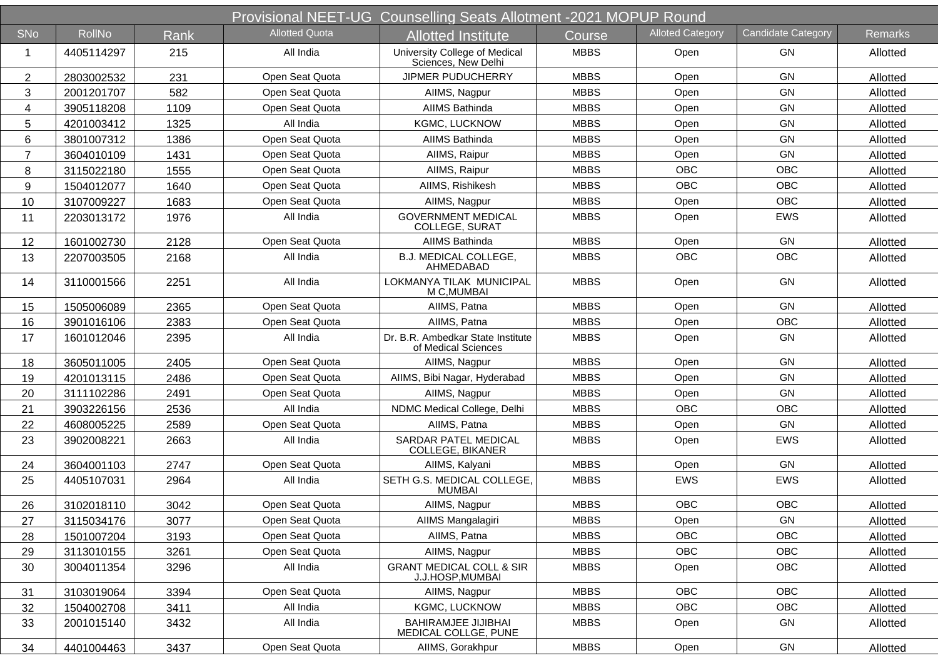|                |               |      |                       | Provisional NEET-UG Counselling Seats Allotment -2021 MOPUP Round |             |                         |                           |                |
|----------------|---------------|------|-----------------------|-------------------------------------------------------------------|-------------|-------------------------|---------------------------|----------------|
| <b>SNo</b>     | <b>RollNo</b> | Rank | <b>Allotted Quota</b> | Allotted Institute                                                | Course      | <b>Alloted Category</b> | <b>Candidate Category</b> | <b>Remarks</b> |
| $\mathbf 1$    | 4405114297    | 215  | All India             | University College of Medical<br>Sciences, New Delhi              | <b>MBBS</b> | Open                    | <b>GN</b>                 | Allotted       |
| $\overline{2}$ | 2803002532    | 231  | Open Seat Quota       | <b>JIPMER PUDUCHERRY</b>                                          | <b>MBBS</b> | Open                    | <b>GN</b>                 | Allotted       |
| 3              | 2001201707    | 582  | Open Seat Quota       | AllMS, Nagpur                                                     | <b>MBBS</b> | Open                    | <b>GN</b>                 | Allotted       |
| 4              | 3905118208    | 1109 | Open Seat Quota       | AIIMS Bathinda                                                    | <b>MBBS</b> | Open                    | GN                        | Allotted       |
| 5              | 4201003412    | 1325 | All India             | <b>KGMC, LUCKNOW</b>                                              | <b>MBBS</b> | Open                    | GN                        | Allotted       |
| 6              | 3801007312    | 1386 | Open Seat Quota       | AIIMS Bathinda                                                    | <b>MBBS</b> | Open                    | <b>GN</b>                 | Allotted       |
| $\overline{7}$ | 3604010109    | 1431 | Open Seat Quota       | AllMS, Raipur                                                     | <b>MBBS</b> | Open                    | GN                        | Allotted       |
| 8              | 3115022180    | 1555 | Open Seat Quota       | AllMS, Raipur                                                     | <b>MBBS</b> | <b>OBC</b>              | <b>OBC</b>                | Allotted       |
| 9              | 1504012077    | 1640 | Open Seat Quota       | AIIMS, Rishikesh                                                  | <b>MBBS</b> | <b>OBC</b>              | <b>OBC</b>                | Allotted       |
| 10             | 3107009227    | 1683 | Open Seat Quota       | AllMS, Nagpur                                                     | <b>MBBS</b> | Open                    | <b>OBC</b>                | Allotted       |
| 11             | 2203013172    | 1976 | All India             | <b>GOVERNMENT MEDICAL</b><br>COLLEGE, SURAT                       | <b>MBBS</b> | Open                    | <b>EWS</b>                | Allotted       |
| 12             | 1601002730    | 2128 | Open Seat Quota       | AIIMS Bathinda                                                    | <b>MBBS</b> | Open                    | GN                        | Allotted       |
| 13             | 2207003505    | 2168 | All India             | B.J. MEDICAL COLLEGE,<br>AHMEDABAD                                | <b>MBBS</b> | <b>OBC</b>              | OBC                       | Allotted       |
| 14             | 3110001566    | 2251 | All India             | LOKMANYA TILAK MUNICIPAL<br>M C, MUMBAI                           | <b>MBBS</b> | Open                    | GN                        | Allotted       |
| 15             | 1505006089    | 2365 | Open Seat Quota       | AIIMS, Patna                                                      | <b>MBBS</b> | Open                    | GN                        | Allotted       |
| 16             | 3901016106    | 2383 | Open Seat Quota       | AIIMS, Patna                                                      | <b>MBBS</b> | Open                    | <b>OBC</b>                | Allotted       |
| 17             | 1601012046    | 2395 | All India             | Dr. B.R. Ambedkar State Institute<br>of Medical Sciences          | <b>MBBS</b> | Open                    | GN                        | Allotted       |
| 18             | 3605011005    | 2405 | Open Seat Quota       | AllMS, Nagpur                                                     | <b>MBBS</b> | Open                    | GN                        | Allotted       |
| 19             | 4201013115    | 2486 | Open Seat Quota       | AIIMS, Bibi Nagar, Hyderabad                                      | <b>MBBS</b> | Open                    | GN                        | Allotted       |
| 20             | 3111102286    | 2491 | Open Seat Quota       | AllMS, Nagpur                                                     | <b>MBBS</b> | Open                    | GN                        | Allotted       |
| 21             | 3903226156    | 2536 | All India             | NDMC Medical College, Delhi                                       | <b>MBBS</b> | <b>OBC</b>              | OBC                       | Allotted       |
| 22             | 4608005225    | 2589 | Open Seat Quota       | AIIMS, Patna                                                      | <b>MBBS</b> | Open                    | GN                        | Allotted       |
| 23             | 3902008221    | 2663 | All India             | SARDAR PATEL MEDICAL<br><b>COLLEGE, BIKANER</b>                   | <b>MBBS</b> | Open                    | <b>EWS</b>                | Allotted       |
| 24             | 3604001103    | 2747 | Open Seat Quota       | AIIMS, Kalyani                                                    | <b>MBBS</b> | Open                    | <b>GN</b>                 | Allotted       |
| 25             | 4405107031    | 2964 | All India             | SETH G.S. MEDICAL COLLEGE,<br><b>MUMBAI</b>                       | <b>MBBS</b> | <b>EWS</b>              | <b>EWS</b>                | Allotted       |
| 26             | 3102018110    | 3042 | Open Seat Quota       | AllMS, Nagpur                                                     | <b>MBBS</b> | <b>OBC</b>              | <b>OBC</b>                | Allotted       |
| 27             | 3115034176    | 3077 | Open Seat Quota       | AIIMS Mangalagiri                                                 | <b>MBBS</b> | Open                    | GN                        | Allotted       |
| 28             | 1501007204    | 3193 | Open Seat Quota       | AIIMS, Patna                                                      | <b>MBBS</b> | OBC                     | OBC                       | Allotted       |
| 29             | 3113010155    | 3261 | Open Seat Quota       | AllMS, Nagpur                                                     | <b>MBBS</b> | OBC                     | OBC                       | Allotted       |
| 30             | 3004011354    | 3296 | All India             | <b>GRANT MEDICAL COLL &amp; SIR</b><br>J.J.HOSP, MUMBAI           | <b>MBBS</b> | Open                    | OBC                       | Allotted       |
| 31             | 3103019064    | 3394 | Open Seat Quota       | AllMS, Nagpur                                                     | <b>MBBS</b> | <b>OBC</b>              | <b>OBC</b>                | Allotted       |
| 32             | 1504002708    | 3411 | All India             | KGMC, LUCKNOW                                                     | <b>MBBS</b> | OBC                     | OBC                       | Allotted       |
| 33             | 2001015140    | 3432 | All India             | <b>BAHIRAMJEE JIJIBHAI</b><br>MEDICAL COLLGE, PUNE                | <b>MBBS</b> | Open                    | GN                        | Allotted       |
| 34             | 4401004463    | 3437 | Open Seat Quota       | AllMS, Gorakhpur                                                  | <b>MBBS</b> | Open                    | GN                        | Allotted       |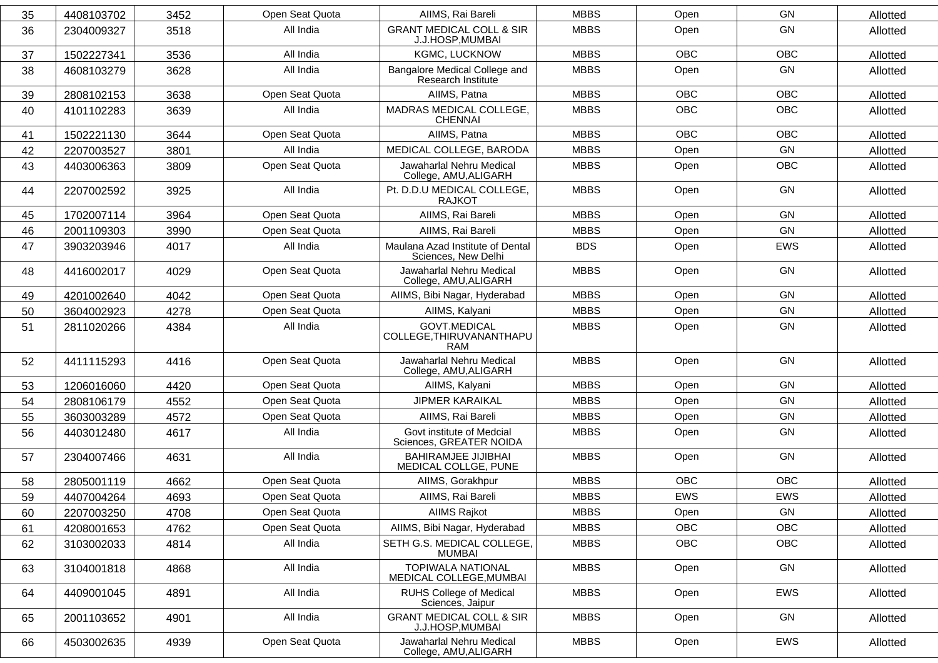| 35 | 4408103702 | 3452 | Open Seat Quota | AIIMS, Rai Bareli                                       | <b>MBBS</b> | Open       | GN         | Allotted |
|----|------------|------|-----------------|---------------------------------------------------------|-------------|------------|------------|----------|
| 36 | 2304009327 | 3518 | All India       | <b>GRANT MEDICAL COLL &amp; SIR</b><br>J.J.HOSP, MUMBAI | <b>MBBS</b> | Open       | GN         | Allotted |
| 37 | 1502227341 | 3536 | All India       | KGMC, LUCKNOW                                           | <b>MBBS</b> | <b>OBC</b> | <b>OBC</b> | Allotted |
| 38 | 4608103279 | 3628 | All India       | Bangalore Medical College and<br>Research Institute     | <b>MBBS</b> | Open       | GN         | Allotted |
| 39 | 2808102153 | 3638 | Open Seat Quota | AIIMS, Patna                                            | <b>MBBS</b> | <b>OBC</b> | <b>OBC</b> | Allotted |
| 40 | 4101102283 | 3639 | All India       | MADRAS MEDICAL COLLEGE,<br><b>CHENNAI</b>               | <b>MBBS</b> | <b>OBC</b> | <b>OBC</b> | Allotted |
| 41 | 1502221130 | 3644 | Open Seat Quota | AIIMS, Patna                                            | <b>MBBS</b> | <b>OBC</b> | <b>OBC</b> | Allotted |
| 42 | 2207003527 | 3801 | All India       | MEDICAL COLLEGE, BARODA                                 | <b>MBBS</b> | Open       | GN         | Allotted |
| 43 | 4403006363 | 3809 | Open Seat Quota | Jawaharlal Nehru Medical<br>College, AMU, ALIGARH       | <b>MBBS</b> | Open       | OBC        | Allotted |
| 44 | 2207002592 | 3925 | All India       | Pt. D.D.U MEDICAL COLLEGE,<br><b>RAJKOT</b>             | <b>MBBS</b> | Open       | GN         | Allotted |
| 45 | 1702007114 | 3964 | Open Seat Quota | AIIMS, Rai Bareli                                       | <b>MBBS</b> | Open       | GN         | Allotted |
| 46 | 2001109303 | 3990 | Open Seat Quota | AIIMS, Rai Bareli                                       | <b>MBBS</b> | Open       | GN         | Allotted |
| 47 | 3903203946 | 4017 | All India       | Maulana Azad Institute of Dental<br>Sciences, New Delhi | <b>BDS</b>  | Open       | <b>EWS</b> | Allotted |
| 48 | 4416002017 | 4029 | Open Seat Quota | Jawaharlal Nehru Medical<br>College, AMU, ALIGARH       | <b>MBBS</b> | Open       | GN         | Allotted |
| 49 | 4201002640 | 4042 | Open Seat Quota | AIIMS, Bibi Nagar, Hyderabad                            | <b>MBBS</b> | Open       | GN         | Allotted |
| 50 | 3604002923 | 4278 | Open Seat Quota | AIIMS, Kalyani                                          | <b>MBBS</b> | Open       | GN         | Allotted |
| 51 | 2811020266 | 4384 | All India       | <b>GOVT.MEDICAL</b><br>COLLEGE, THIRUVANANTHAPU<br>RAM  | <b>MBBS</b> | Open       | GN         | Allotted |
| 52 | 4411115293 | 4416 | Open Seat Quota | Jawaharlal Nehru Medical<br>College, AMU, ALIGARH       | <b>MBBS</b> | Open       | GN         | Allotted |
| 53 | 1206016060 | 4420 | Open Seat Quota | AIIMS, Kalyani                                          | <b>MBBS</b> | Open       | GN         | Allotted |
| 54 | 2808106179 | 4552 | Open Seat Quota | <b>JIPMER KARAIKAL</b>                                  | <b>MBBS</b> | Open       | GN         | Allotted |
| 55 | 3603003289 | 4572 | Open Seat Quota | AIIMS, Rai Bareli                                       | <b>MBBS</b> | Open       | GN         | Allotted |
| 56 | 4403012480 | 4617 | All India       | Govt institute of Medcial<br>Sciences, GREATER NOIDA    | <b>MBBS</b> | Open       | GN         | Allotted |
| 57 | 2304007466 | 4631 | All India       | <b>BAHIRAMJEE JIJIBHAI</b><br>MEDICAL COLLGE, PUNE      | <b>MBBS</b> | Open       | GN         | Allotted |
| 58 | 2805001119 | 4662 | Open Seat Quota | AllMS, Gorakhpur                                        | <b>MBBS</b> | <b>OBC</b> | <b>OBC</b> | Allotted |
| 59 | 4407004264 | 4693 | Open Seat Quota | AIIMS, Rai Bareli                                       | <b>MBBS</b> | <b>EWS</b> | <b>EWS</b> | Allotted |
| 60 | 2207003250 | 4708 | Open Seat Quota | AIIMS Rajkot                                            | <b>MBBS</b> | Open       | GN         | Allotted |
| 61 | 4208001653 | 4762 | Open Seat Quota | AIIMS, Bibi Nagar, Hyderabad                            | <b>MBBS</b> | OBC        | OBC        | Allotted |
| 62 | 3103002033 | 4814 | All India       | SETH G.S. MEDICAL COLLEGE,<br>MUMBAI                    | <b>MBBS</b> | OBC        | OBC        | Allotted |
| 63 | 3104001818 | 4868 | All India       | <b>TOPIWALA NATIONAL</b><br>MEDICAL COLLEGE, MUMBAI     | <b>MBBS</b> | Open       | GN         | Allotted |
| 64 | 4409001045 | 4891 | All India       | RUHS College of Medical<br>Sciences, Jaipur             | <b>MBBS</b> | Open       | EWS        | Allotted |
| 65 | 2001103652 | 4901 | All India       | <b>GRANT MEDICAL COLL &amp; SIR</b><br>J.J.HOSP, MUMBAI | <b>MBBS</b> | Open       | GN         | Allotted |
| 66 | 4503002635 | 4939 | Open Seat Quota | Jawaharlal Nehru Medical<br>College, AMU, ALIGARH       | <b>MBBS</b> | Open       | EWS        | Allotted |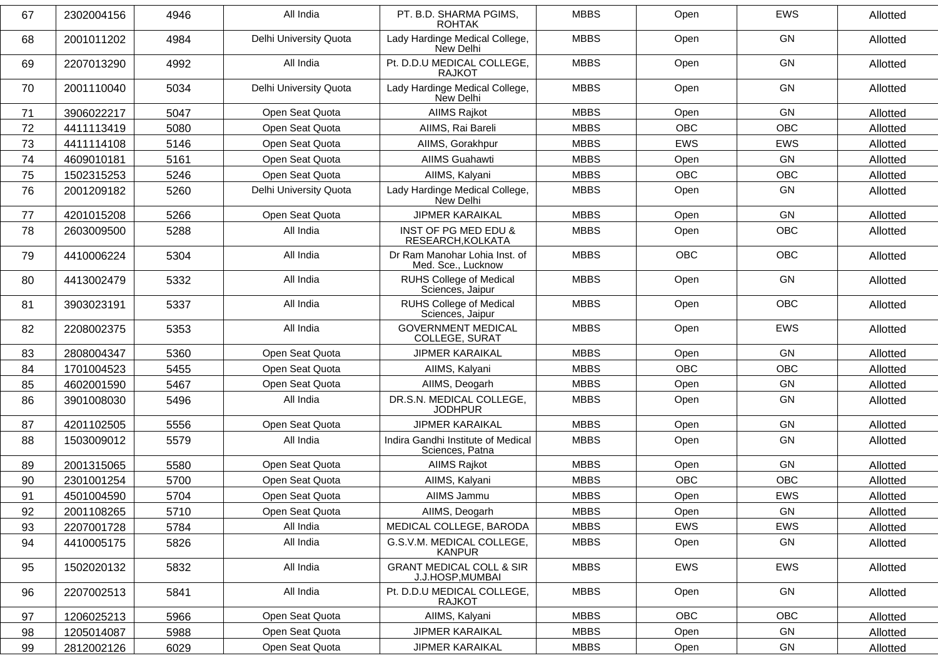| 67 | 2302004156 | 4946 | All India              | PT. B.D. SHARMA PGIMS,<br><b>ROHTAK</b>                 | <b>MBBS</b> | Open       | EWS        | Allotted |
|----|------------|------|------------------------|---------------------------------------------------------|-------------|------------|------------|----------|
| 68 | 2001011202 | 4984 | Delhi University Quota | Lady Hardinge Medical College,<br>New Delhi             | <b>MBBS</b> | Open       | <b>GN</b>  | Allotted |
| 69 | 2207013290 | 4992 | All India              | Pt. D.D.U MEDICAL COLLEGE,<br><b>RAJKOT</b>             | <b>MBBS</b> | Open       | <b>GN</b>  | Allotted |
| 70 | 2001110040 | 5034 | Delhi University Quota | Lady Hardinge Medical College,<br>New Delhi             | <b>MBBS</b> | Open       | GN         | Allotted |
| 71 | 3906022217 | 5047 | Open Seat Quota        | AIIMS Rajkot                                            | <b>MBBS</b> | Open       | <b>GN</b>  | Allotted |
| 72 | 4411113419 | 5080 | Open Seat Quota        | AIIMS, Rai Bareli                                       | <b>MBBS</b> | OBC        | OBC        | Allotted |
| 73 | 4411114108 | 5146 | Open Seat Quota        | AllMS, Gorakhpur                                        | <b>MBBS</b> | <b>EWS</b> | EWS        | Allotted |
| 74 | 4609010181 | 5161 | Open Seat Quota        | <b>AIIMS Guahawti</b>                                   | <b>MBBS</b> | Open       | GN         | Allotted |
| 75 | 1502315253 | 5246 | Open Seat Quota        | AIIMS, Kalyani                                          | <b>MBBS</b> | <b>OBC</b> | OBC        | Allotted |
| 76 | 2001209182 | 5260 | Delhi University Quota | Lady Hardinge Medical College,<br>New Delhi             | <b>MBBS</b> | Open       | <b>GN</b>  | Allotted |
| 77 | 4201015208 | 5266 | Open Seat Quota        | <b>JIPMER KARAIKAL</b>                                  | <b>MBBS</b> | Open       | GN         | Allotted |
| 78 | 2603009500 | 5288 | All India              | INST OF PG MED EDU &<br>RESEARCH, KOLKATA               | <b>MBBS</b> | Open       | <b>OBC</b> | Allotted |
| 79 | 4410006224 | 5304 | All India              | Dr Ram Manohar Lohia Inst. of<br>Med. Sce., Lucknow     | <b>MBBS</b> | OBC        | OBC        | Allotted |
| 80 | 4413002479 | 5332 | All India              | <b>RUHS College of Medical</b><br>Sciences, Jaipur      | <b>MBBS</b> | Open       | <b>GN</b>  | Allotted |
| 81 | 3903023191 | 5337 | All India              | <b>RUHS College of Medical</b><br>Sciences, Jaipur      | <b>MBBS</b> | Open       | <b>OBC</b> | Allotted |
| 82 | 2208002375 | 5353 | All India              | <b>GOVERNMENT MEDICAL</b><br>COLLEGE, SURAT             | <b>MBBS</b> | Open       | <b>EWS</b> | Allotted |
| 83 | 2808004347 | 5360 | Open Seat Quota        | <b>JIPMER KARAIKAL</b>                                  | <b>MBBS</b> | Open       | <b>GN</b>  | Allotted |
| 84 | 1701004523 | 5455 | Open Seat Quota        | AIIMS, Kalyani                                          | <b>MBBS</b> | <b>OBC</b> | OBC        | Allotted |
| 85 | 4602001590 | 5467 | Open Seat Quota        | AIIMS, Deogarh                                          | <b>MBBS</b> | Open       | GN         | Allotted |
| 86 | 3901008030 | 5496 | All India              | DR.S.N. MEDICAL COLLEGE,<br><b>JODHPUR</b>              | <b>MBBS</b> | Open       | GN         | Allotted |
| 87 | 4201102505 | 5556 | Open Seat Quota        | <b>JIPMER KARAIKAL</b>                                  | <b>MBBS</b> | Open       | GN         | Allotted |
| 88 | 1503009012 | 5579 | All India              | Indira Gandhi Institute of Medical<br>Sciences, Patna   | <b>MBBS</b> | Open       | GN         | Allotted |
| 89 | 2001315065 | 5580 | Open Seat Quota        | AIIMS Rajkot                                            | <b>MBBS</b> | Open       | GN         | Allotted |
| 90 | 2301001254 | 5700 | Open Seat Quota        | AIIMS, Kalyani                                          | <b>MBBS</b> | OBC        | <b>OBC</b> | Allotted |
| 91 | 4501004590 | 5704 | Open Seat Quota        | AIIMS Jammu                                             | <b>MBBS</b> | Open       | EWS        | Allotted |
| 92 | 2001108265 | 5710 | Open Seat Quota        | AIIMS, Deogarh                                          | <b>MBBS</b> | Open       | GN         | Allotted |
| 93 | 2207001728 | 5784 | All India              | MEDICAL COLLEGE, BARODA                                 | <b>MBBS</b> | EWS        | EWS        | Allotted |
| 94 | 4410005175 | 5826 | All India              | G.S.V.M. MEDICAL COLLEGE,<br><b>KANPUR</b>              | <b>MBBS</b> | Open       | GN         | Allotted |
| 95 | 1502020132 | 5832 | All India              | <b>GRANT MEDICAL COLL &amp; SIR</b><br>J.J.HOSP, MUMBAI | <b>MBBS</b> | EWS        | EWS        | Allotted |
| 96 | 2207002513 | 5841 | All India              | Pt. D.D.U MEDICAL COLLEGE,<br><b>RAJKOT</b>             | <b>MBBS</b> | Open       | GN         | Allotted |
| 97 | 1206025213 | 5966 | Open Seat Quota        | AIIMS, Kalyani                                          | <b>MBBS</b> | OBC        | OBC        | Allotted |
| 98 | 1205014087 | 5988 | Open Seat Quota        | <b>JIPMER KARAIKAL</b>                                  | <b>MBBS</b> | Open       | GN         | Allotted |
| 99 | 2812002126 | 6029 | Open Seat Quota        | <b>JIPMER KARAIKAL</b>                                  | <b>MBBS</b> | Open       | GN         | Allotted |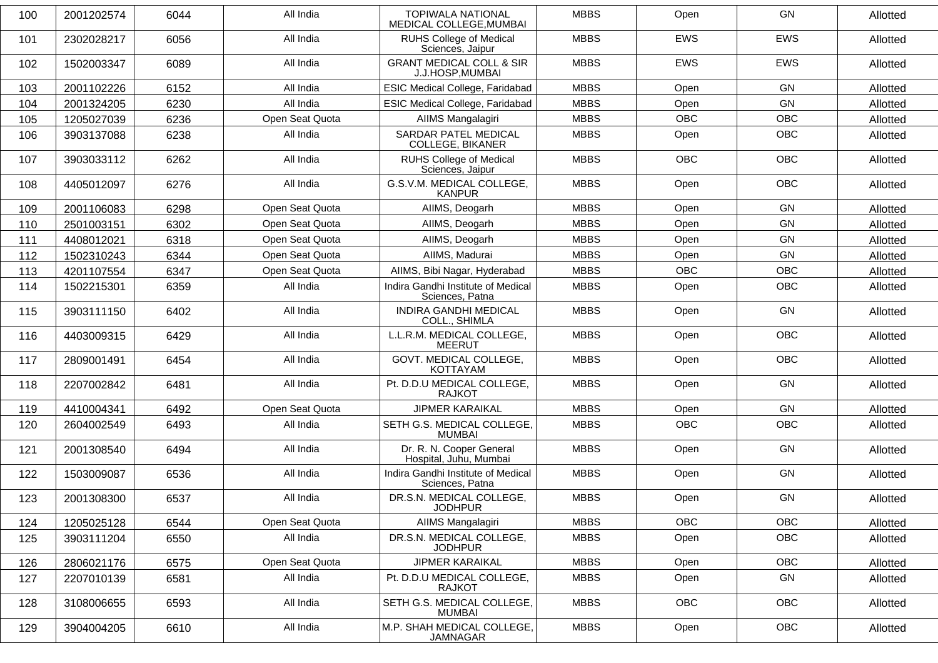| 100 | 2001202574 | 6044 | All India       | <b>TOPIWALA NATIONAL</b><br>MEDICAL COLLEGE, MUMBAI     | <b>MBBS</b> | Open       | GN         | Allotted |
|-----|------------|------|-----------------|---------------------------------------------------------|-------------|------------|------------|----------|
| 101 | 2302028217 | 6056 | All India       | <b>RUHS College of Medical</b><br>Sciences, Jaipur      | <b>MBBS</b> | <b>EWS</b> | <b>EWS</b> | Allotted |
| 102 | 1502003347 | 6089 | All India       | <b>GRANT MEDICAL COLL &amp; SIR</b><br>J.J.HOSP, MUMBAI | <b>MBBS</b> | <b>EWS</b> | <b>EWS</b> | Allotted |
| 103 | 2001102226 | 6152 | All India       | <b>ESIC Medical College, Faridabad</b>                  | <b>MBBS</b> | Open       | GN         | Allotted |
| 104 | 2001324205 | 6230 | All India       | <b>ESIC Medical College, Faridabad</b>                  | <b>MBBS</b> | Open       | GN         | Allotted |
| 105 | 1205027039 | 6236 | Open Seat Quota | AIIMS Mangalagiri                                       | <b>MBBS</b> | <b>OBC</b> | <b>OBC</b> | Allotted |
| 106 | 3903137088 | 6238 | All India       | <b>SARDAR PATEL MEDICAL</b><br>COLLEGE, BIKANER         | <b>MBBS</b> | Open       | <b>OBC</b> | Allotted |
| 107 | 3903033112 | 6262 | All India       | <b>RUHS College of Medical</b><br>Sciences, Jaipur      | <b>MBBS</b> | <b>OBC</b> | <b>OBC</b> | Allotted |
| 108 | 4405012097 | 6276 | All India       | G.S.V.M. MEDICAL COLLEGE,<br><b>KANPUR</b>              | <b>MBBS</b> | Open       | <b>OBC</b> | Allotted |
| 109 | 2001106083 | 6298 | Open Seat Quota | AIIMS, Deogarh                                          | <b>MBBS</b> | Open       | GN         | Allotted |
| 110 | 2501003151 | 6302 | Open Seat Quota | AIIMS, Deogarh                                          | <b>MBBS</b> | Open       | GN         | Allotted |
| 111 | 4408012021 | 6318 | Open Seat Quota | AIIMS, Deogarh                                          | <b>MBBS</b> | Open       | GN         | Allotted |
| 112 | 1502310243 | 6344 | Open Seat Quota | AIIMS, Madurai                                          | <b>MBBS</b> | Open       | GN         | Allotted |
| 113 | 4201107554 | 6347 | Open Seat Quota | AIIMS, Bibi Nagar, Hyderabad                            | <b>MBBS</b> | <b>OBC</b> | OBC        | Allotted |
| 114 | 1502215301 | 6359 | All India       | Indira Gandhi Institute of Medical<br>Sciences, Patna   | <b>MBBS</b> | Open       | <b>OBC</b> | Allotted |
| 115 | 3903111150 | 6402 | All India       | INDIRA GANDHI MEDICAL<br>COLL., SHIMLA                  | <b>MBBS</b> | Open       | GN         | Allotted |
| 116 | 4403009315 | 6429 | All India       | L.L.R.M. MEDICAL COLLEGE,<br><b>MEERUT</b>              | <b>MBBS</b> | Open       | <b>OBC</b> | Allotted |
| 117 | 2809001491 | 6454 | All India       | GOVT. MEDICAL COLLEGE,<br><b>KOTTAYAM</b>               | <b>MBBS</b> | Open       | <b>OBC</b> | Allotted |
| 118 | 2207002842 | 6481 | All India       | Pt. D.D.U MEDICAL COLLEGE,<br><b>RAJKOT</b>             | <b>MBBS</b> | Open       | GN         | Allotted |
| 119 | 4410004341 | 6492 | Open Seat Quota | <b>JIPMER KARAIKAL</b>                                  | <b>MBBS</b> | Open       | GN         | Allotted |
| 120 | 2604002549 | 6493 | All India       | SETH G.S. MEDICAL COLLEGE,<br><b>MUMBAI</b>             | <b>MBBS</b> | <b>OBC</b> | OBC        | Allotted |
| 121 | 2001308540 | 6494 | All India       | Dr. R. N. Cooper General<br>Hospital, Juhu, Mumbai      | <b>MBBS</b> | Open       | GN         | Allotted |
| 122 | 1503009087 | 6536 | All India       | Indira Gandhi Institute of Medical<br>Sciences, Patna   | <b>MBBS</b> | Open       | GN         | Allotted |
| 123 | 2001308300 | 6537 | All India       | DR.S.N. MEDICAL COLLEGE,<br><b>JODHPUR</b>              | <b>MBBS</b> | Open       | GN         | Allotted |
| 124 | 1205025128 | 6544 | Open Seat Quota | AIIMS Mangalagiri                                       | <b>MBBS</b> | OBC        | OBC        | Allotted |
| 125 | 3903111204 | 6550 | All India       | DR.S.N. MEDICAL COLLEGE,<br><b>JODHPUR</b>              | <b>MBBS</b> | Open       | OBC        | Allotted |
| 126 | 2806021176 | 6575 | Open Seat Quota | <b>JIPMER KARAIKAL</b>                                  | <b>MBBS</b> | Open       | OBC        | Allotted |
| 127 | 2207010139 | 6581 | All India       | Pt. D.D.U MEDICAL COLLEGE,<br><b>RAJKOT</b>             | <b>MBBS</b> | Open       | GN         | Allotted |
| 128 | 3108006655 | 6593 | All India       | SETH G.S. MEDICAL COLLEGE,<br><b>MUMBAI</b>             | <b>MBBS</b> | OBC        | OBC        | Allotted |
| 129 | 3904004205 | 6610 | All India       | M.P. SHAH MEDICAL COLLEGE,<br>JAMNAGAR                  | <b>MBBS</b> | Open       | OBC        | Allotted |
|     |            |      |                 |                                                         |             |            |            |          |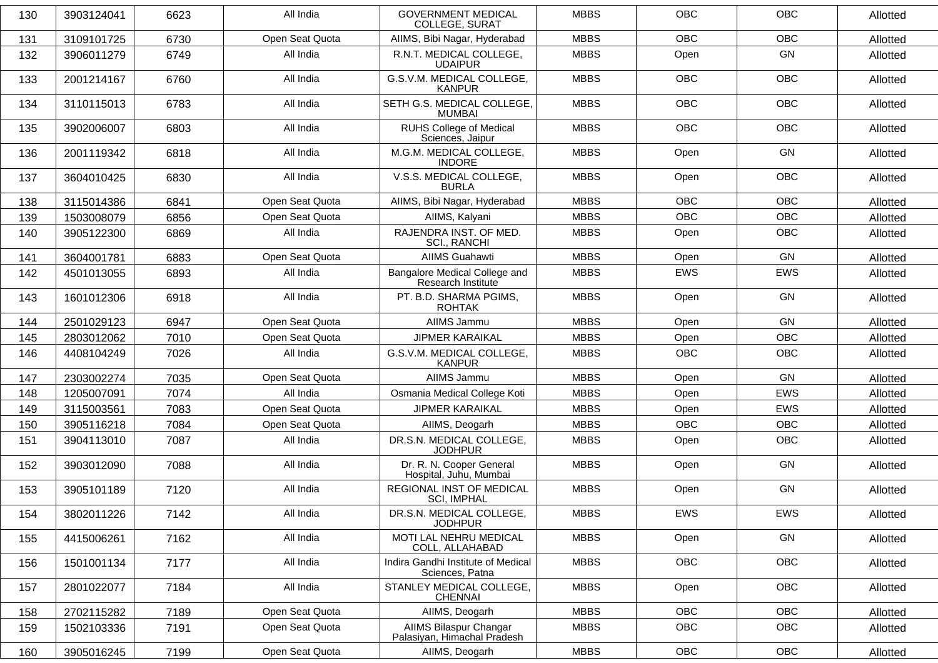| 130 | 3903124041 | 6623 | All India       | <b>GOVERNMENT MEDICAL</b><br><b>COLLEGE, SURAT</b>    | <b>MBBS</b> | <b>OBC</b> | <b>OBC</b> | Allotted |
|-----|------------|------|-----------------|-------------------------------------------------------|-------------|------------|------------|----------|
| 131 | 3109101725 | 6730 | Open Seat Quota | AIIMS, Bibi Nagar, Hyderabad                          | <b>MBBS</b> | <b>OBC</b> | <b>OBC</b> | Allotted |
| 132 | 3906011279 | 6749 | All India       | R.N.T. MEDICAL COLLEGE,<br><b>UDAIPUR</b>             | <b>MBBS</b> | Open       | GN         | Allotted |
| 133 | 2001214167 | 6760 | All India       | G.S.V.M. MEDICAL COLLEGE,<br><b>KANPUR</b>            | <b>MBBS</b> | OBC        | <b>OBC</b> | Allotted |
| 134 | 3110115013 | 6783 | All India       | SETH G.S. MEDICAL COLLEGE,<br><b>MUMBAI</b>           | <b>MBBS</b> | <b>OBC</b> | OBC        | Allotted |
| 135 | 3902006007 | 6803 | All India       | RUHS College of Medical<br>Sciences, Jaipur           | <b>MBBS</b> | <b>OBC</b> | <b>OBC</b> | Allotted |
| 136 | 2001119342 | 6818 | All India       | M.G.M. MEDICAL COLLEGE,<br><b>INDORE</b>              | <b>MBBS</b> | Open       | GN         | Allotted |
| 137 | 3604010425 | 6830 | All India       | V.S.S. MEDICAL COLLEGE,<br><b>BURLA</b>               | <b>MBBS</b> | Open       | <b>OBC</b> | Allotted |
| 138 | 3115014386 | 6841 | Open Seat Quota | AIIMS, Bibi Nagar, Hyderabad                          | <b>MBBS</b> | <b>OBC</b> | <b>OBC</b> | Allotted |
| 139 | 1503008079 | 6856 | Open Seat Quota | AIIMS, Kalyani                                        | <b>MBBS</b> | OBC        | OBC        | Allotted |
| 140 | 3905122300 | 6869 | All India       | RAJENDRA INST. OF MED.<br><b>SCI., RANCHI</b>         | <b>MBBS</b> | Open       | OBC        | Allotted |
| 141 | 3604001781 | 6883 | Open Seat Quota | <b>AIIMS Guahawti</b>                                 | <b>MBBS</b> | Open       | GN         | Allotted |
| 142 | 4501013055 | 6893 | All India       | Bangalore Medical College and<br>Research Institute   | <b>MBBS</b> | <b>EWS</b> | <b>EWS</b> | Allotted |
| 143 | 1601012306 | 6918 | All India       | PT. B.D. SHARMA PGIMS,<br><b>ROHTAK</b>               | <b>MBBS</b> | Open       | GN         | Allotted |
| 144 | 2501029123 | 6947 | Open Seat Quota | AIIMS Jammu                                           | <b>MBBS</b> | Open       | GN         | Allotted |
| 145 | 2803012062 | 7010 | Open Seat Quota | <b>JIPMER KARAIKAL</b>                                | <b>MBBS</b> | Open       | OBC        | Allotted |
| 146 | 4408104249 | 7026 | All India       | G.S.V.M. MEDICAL COLLEGE,<br><b>KANPUR</b>            | <b>MBBS</b> | <b>OBC</b> | <b>OBC</b> | Allotted |
| 147 | 2303002274 | 7035 | Open Seat Quota | AIIMS Jammu                                           | <b>MBBS</b> | Open       | GN         | Allotted |
| 148 | 1205007091 | 7074 | All India       | Osmania Medical College Koti                          | <b>MBBS</b> | Open       | <b>EWS</b> | Allotted |
| 149 | 3115003561 | 7083 | Open Seat Quota | <b>JIPMER KARAIKAL</b>                                | <b>MBBS</b> | Open       | EWS        | Allotted |
| 150 | 3905116218 | 7084 | Open Seat Quota | AIIMS, Deogarh                                        | <b>MBBS</b> | <b>OBC</b> | OBC        | Allotted |
| 151 | 3904113010 | 7087 | All India       | DR.S.N. MEDICAL COLLEGE,<br><b>JODHPUR</b>            | <b>MBBS</b> | Open       | <b>OBC</b> | Allotted |
| 152 | 3903012090 | 7088 | All India       | Dr. R. N. Cooper General<br>Hospital, Juhu, Mumbai    | <b>MBBS</b> | Open       | GN         | Allotted |
| 153 | 3905101189 | 7120 | All India       | REGIONAL INST OF MEDICAL<br><b>SCI, IMPHAL</b>        | <b>MBBS</b> | Open       | GN         | Allotted |
| 154 | 3802011226 | 7142 | All India       | DR.S.N. MEDICAL COLLEGE,<br><b>JODHPUR</b>            | <b>MBBS</b> | EWS        | EWS        | Allotted |
| 155 | 4415006261 | 7162 | All India       | MOTI LAL NEHRU MEDICAL<br>COLL, ALLAHABAD             | <b>MBBS</b> | Open       | GN         | Allotted |
| 156 | 1501001134 | 7177 | All India       | Indira Gandhi Institute of Medical<br>Sciences, Patna | <b>MBBS</b> | <b>OBC</b> | OBC        | Allotted |
| 157 | 2801022077 | 7184 | All India       | STANLEY MEDICAL COLLEGE,<br><b>CHENNAI</b>            | <b>MBBS</b> | Open       | OBC        | Allotted |
| 158 | 2702115282 | 7189 | Open Seat Quota | AIIMS, Deogarh                                        | <b>MBBS</b> | OBC        | OBC        | Allotted |
| 159 | 1502103336 | 7191 | Open Seat Quota | AIIMS Bilaspur Changar<br>Palasiyan, Himachal Pradesh | <b>MBBS</b> | <b>OBC</b> | <b>OBC</b> | Allotted |
| 160 | 3905016245 | 7199 | Open Seat Quota | AIIMS, Deogarh                                        | <b>MBBS</b> | OBC        | OBC        | Allotted |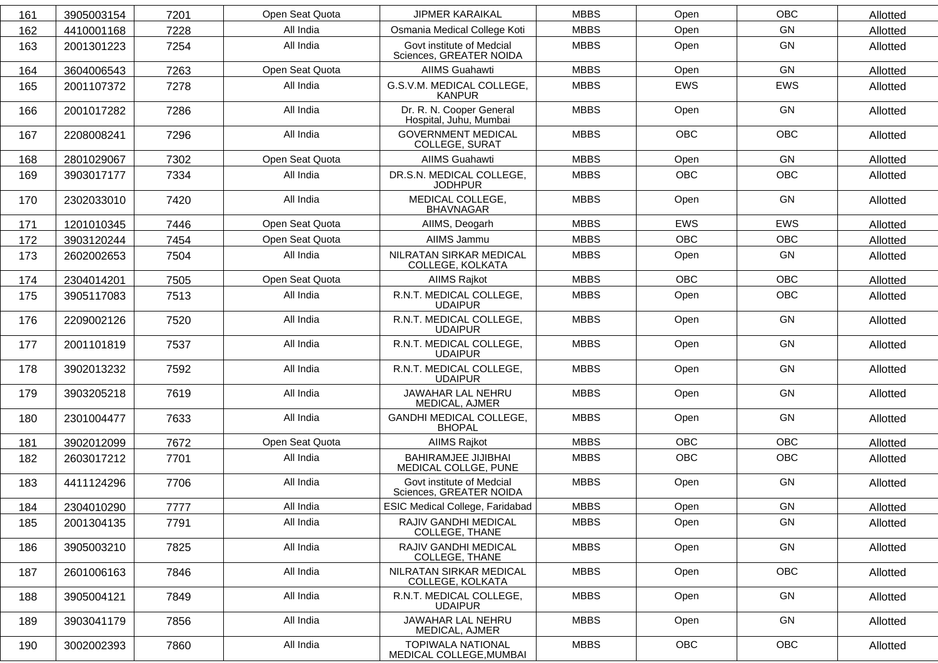| 161 | 3905003154 | 7201 | Open Seat Quota | <b>JIPMER KARAIKAL</b>                               | <b>MBBS</b> | Open       | <b>OBC</b> | Allotted |
|-----|------------|------|-----------------|------------------------------------------------------|-------------|------------|------------|----------|
| 162 | 4410001168 | 7228 | All India       | Osmania Medical College Koti                         | <b>MBBS</b> | Open       | GN         | Allotted |
| 163 | 2001301223 | 7254 | All India       | Govt institute of Medcial<br>Sciences, GREATER NOIDA | <b>MBBS</b> | Open       | GN         | Allotted |
| 164 | 3604006543 | 7263 | Open Seat Quota | <b>AIIMS Guahawti</b>                                | <b>MBBS</b> | Open       | GN         | Allotted |
| 165 | 2001107372 | 7278 | All India       | G.S.V.M. MEDICAL COLLEGE,<br><b>KANPUR</b>           | <b>MBBS</b> | <b>EWS</b> | <b>EWS</b> | Allotted |
| 166 | 2001017282 | 7286 | All India       | Dr. R. N. Cooper General<br>Hospital, Juhu, Mumbai   | <b>MBBS</b> | Open       | <b>GN</b>  | Allotted |
| 167 | 2208008241 | 7296 | All India       | <b>GOVERNMENT MEDICAL</b><br><b>COLLEGE, SURAT</b>   | <b>MBBS</b> | <b>OBC</b> | <b>OBC</b> | Allotted |
| 168 | 2801029067 | 7302 | Open Seat Quota | <b>AIIMS Guahawti</b>                                | <b>MBBS</b> | Open       | GN         | Allotted |
| 169 | 3903017177 | 7334 | All India       | DR.S.N. MEDICAL COLLEGE,<br><b>JODHPUR</b>           | <b>MBBS</b> | <b>OBC</b> | <b>OBC</b> | Allotted |
| 170 | 2302033010 | 7420 | All India       | MEDICAL COLLEGE,<br><b>BHAVNAGAR</b>                 | <b>MBBS</b> | Open       | <b>GN</b>  | Allotted |
| 171 | 1201010345 | 7446 | Open Seat Quota | AIIMS, Deogarh                                       | <b>MBBS</b> | <b>EWS</b> | <b>EWS</b> | Allotted |
| 172 | 3903120244 | 7454 | Open Seat Quota | AIIMS Jammu                                          | <b>MBBS</b> | <b>OBC</b> | <b>OBC</b> | Allotted |
| 173 | 2602002653 | 7504 | All India       | NILRATAN SIRKAR MEDICAL<br>COLLEGE, KOLKATA          | <b>MBBS</b> | Open       | GN         | Allotted |
| 174 | 2304014201 | 7505 | Open Seat Quota | AIIMS Rajkot                                         | <b>MBBS</b> | <b>OBC</b> | <b>OBC</b> | Allotted |
| 175 | 3905117083 | 7513 | All India       | R.N.T. MEDICAL COLLEGE,<br><b>UDAIPUR</b>            | <b>MBBS</b> | Open       | <b>OBC</b> | Allotted |
| 176 | 2209002126 | 7520 | All India       | R.N.T. MEDICAL COLLEGE,<br><b>UDAIPUR</b>            | <b>MBBS</b> | Open       | GN         | Allotted |
| 177 | 2001101819 | 7537 | All India       | R.N.T. MEDICAL COLLEGE,<br><b>UDAIPUR</b>            | <b>MBBS</b> | Open       | GN         | Allotted |
| 178 | 3902013232 | 7592 | All India       | R.N.T. MEDICAL COLLEGE,<br><b>UDAIPUR</b>            | <b>MBBS</b> | Open       | GN         | Allotted |
| 179 | 3903205218 | 7619 | All India       | JAWAHAR LAL NEHRU<br>MEDICAL, AJMER                  | <b>MBBS</b> | Open       | GN         | Allotted |
| 180 | 2301004477 | 7633 | All India       | GANDHI MEDICAL COLLEGE,<br><b>BHOPAL</b>             | <b>MBBS</b> | Open       | <b>GN</b>  | Allotted |
| 181 | 3902012099 | 7672 | Open Seat Quota | <b>AIIMS Rajkot</b>                                  | <b>MBBS</b> | <b>OBC</b> | <b>OBC</b> | Allotted |
| 182 | 2603017212 | 7701 | All India       | <b>BAHIRAMJEE JIJIBHAI</b><br>MEDICAL COLLGE, PUNE   | <b>MBBS</b> | <b>OBC</b> | <b>OBC</b> | Allotted |
| 183 | 4411124296 | 7706 | All India       | Govt institute of Medcial<br>Sciences, GREATER NOIDA | <b>MBBS</b> | Open       | GN         | Allotted |
| 184 | 2304010290 | 7777 | All India       | ESIC Medical College, Faridabad                      | <b>MBBS</b> | Open       | GN         | Allotted |
| 185 | 2001304135 | 7791 | All India       | RAJIV GANDHI MEDICAL<br>COLLEGE, THANE               | <b>MBBS</b> | Open       | GN         | Allotted |
| 186 | 3905003210 | 7825 | All India       | RAJIV GANDHI MEDICAL<br>COLLEGE, THANE               | <b>MBBS</b> | Open       | GN         | Allotted |
| 187 | 2601006163 | 7846 | All India       | NILRATAN SIRKAR MEDICAL<br>COLLEGE, KOLKATA          | <b>MBBS</b> | Open       | OBC        | Allotted |
| 188 | 3905004121 | 7849 | All India       | R.N.T. MEDICAL COLLEGE,<br><b>UDAIPUR</b>            | <b>MBBS</b> | Open       | GN         | Allotted |
| 189 | 3903041179 | 7856 | All India       | JAWAHAR LAL NEHRU<br>MEDICAL, AJMER                  | <b>MBBS</b> | Open       | GN         | Allotted |
| 190 | 3002002393 | 7860 | All India       | <b>TOPIWALA NATIONAL</b><br>MEDICAL COLLEGE, MUMBAI  | <b>MBBS</b> | OBC        | OBC        | Allotted |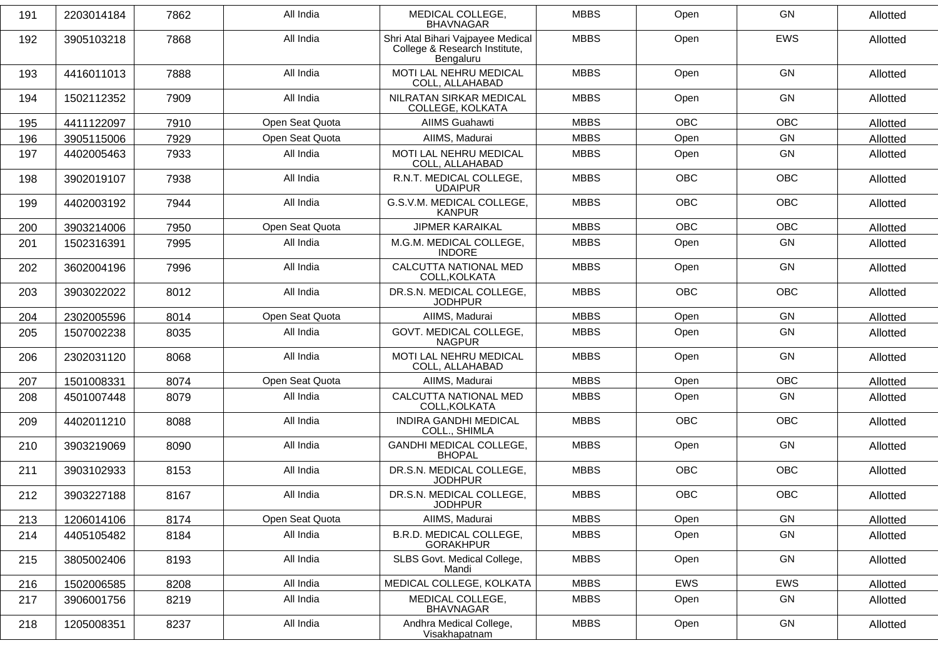| 191 | 2203014184 | 7862 | All India       | MEDICAL COLLEGE.<br><b>BHAVNAGAR</b>                                            | <b>MBBS</b> | Open       | <b>GN</b>  | Allotted |
|-----|------------|------|-----------------|---------------------------------------------------------------------------------|-------------|------------|------------|----------|
| 192 | 3905103218 | 7868 | All India       | Shri Atal Bihari Vajpayee Medical<br>College & Research Institute,<br>Bengaluru | <b>MBBS</b> | Open       | EWS        | Allotted |
| 193 | 4416011013 | 7888 | All India       | MOTI LAL NEHRU MEDICAL<br>COLL, ALLAHABAD                                       | <b>MBBS</b> | Open       | <b>GN</b>  | Allotted |
| 194 | 1502112352 | 7909 | All India       | NILRATAN SIRKAR MEDICAL<br>COLLEGE, KOLKATA                                     | <b>MBBS</b> | Open       | <b>GN</b>  | Allotted |
| 195 | 4411122097 | 7910 | Open Seat Quota | <b>AIIMS Guahawti</b>                                                           | <b>MBBS</b> | <b>OBC</b> | <b>OBC</b> | Allotted |
| 196 | 3905115006 | 7929 | Open Seat Quota | AIIMS, Madurai                                                                  | <b>MBBS</b> | Open       | GN         | Allotted |
| 197 | 4402005463 | 7933 | All India       | <b>MOTI LAL NEHRU MEDICAL</b><br>COLL, ALLAHABAD                                | <b>MBBS</b> | Open       | GN         | Allotted |
| 198 | 3902019107 | 7938 | All India       | R.N.T. MEDICAL COLLEGE,<br><b>UDAIPUR</b>                                       | <b>MBBS</b> | <b>OBC</b> | <b>OBC</b> | Allotted |
| 199 | 4402003192 | 7944 | All India       | G.S.V.M. MEDICAL COLLEGE,<br><b>KANPUR</b>                                      | <b>MBBS</b> | <b>OBC</b> | <b>OBC</b> | Allotted |
| 200 | 3903214006 | 7950 | Open Seat Quota | <b>JIPMER KARAIKAL</b>                                                          | <b>MBBS</b> | <b>OBC</b> | <b>OBC</b> | Allotted |
| 201 | 1502316391 | 7995 | All India       | M.G.M. MEDICAL COLLEGE,<br><b>INDORE</b>                                        | <b>MBBS</b> | Open       | GN         | Allotted |
| 202 | 3602004196 | 7996 | All India       | CALCUTTA NATIONAL MED<br>COLL, KOLKATA                                          | <b>MBBS</b> | Open       | <b>GN</b>  | Allotted |
| 203 | 3903022022 | 8012 | All India       | DR.S.N. MEDICAL COLLEGE,<br><b>JODHPUR</b>                                      | <b>MBBS</b> | <b>OBC</b> | <b>OBC</b> | Allotted |
| 204 | 2302005596 | 8014 | Open Seat Quota | AIIMS, Madurai                                                                  | <b>MBBS</b> | Open       | GN         | Allotted |
| 205 | 1507002238 | 8035 | All India       | GOVT. MEDICAL COLLEGE,<br><b>NAGPUR</b>                                         | <b>MBBS</b> | Open       | <b>GN</b>  | Allotted |
| 206 | 2302031120 | 8068 | All India       | MOTI LAL NEHRU MEDICAL<br>COLL, ALLAHABAD                                       | <b>MBBS</b> | Open       | <b>GN</b>  | Allotted |
| 207 | 1501008331 | 8074 | Open Seat Quota | AIIMS, Madurai                                                                  | <b>MBBS</b> | Open       | <b>OBC</b> | Allotted |
| 208 | 4501007448 | 8079 | All India       | CALCUTTA NATIONAL MED<br>COLL, KOLKATA                                          | <b>MBBS</b> | Open       | <b>GN</b>  | Allotted |
| 209 | 4402011210 | 8088 | All India       | <b>INDIRA GANDHI MEDICAL</b><br>COLL., SHIMLA                                   | <b>MBBS</b> | <b>OBC</b> | OBC        | Allotted |
| 210 | 3903219069 | 8090 | All India       | <b>GANDHI MEDICAL COLLEGE,</b><br><b>BHOPAL</b>                                 | <b>MBBS</b> | Open       | <b>GN</b>  | Allotted |
| 211 | 3903102933 | 8153 | All India       | DR.S.N. MEDICAL COLLEGE,<br><b>JODHPUR</b>                                      | <b>MBBS</b> | <b>OBC</b> | <b>OBC</b> | Allotted |
| 212 | 3903227188 | 8167 | All India       | DR.S.N. MEDICAL COLLEGE,<br><b>JODHPUR</b>                                      | <b>MBBS</b> | OBC        | OBC        | Allotted |
| 213 | 1206014106 | 8174 | Open Seat Quota | AIIMS, Madurai                                                                  | <b>MBBS</b> | Open       | GN         | Allotted |
| 214 | 4405105482 | 8184 | All India       | B.R.D. MEDICAL COLLEGE,<br><b>GORAKHPUR</b>                                     | <b>MBBS</b> | Open       | GN         | Allotted |
| 215 | 3805002406 | 8193 | All India       | SLBS Govt. Medical College,<br>Mandi                                            | <b>MBBS</b> | Open       | GN         | Allotted |
| 216 | 1502006585 | 8208 | All India       | MEDICAL COLLEGE, KOLKATA                                                        | <b>MBBS</b> | EWS        | EWS        | Allotted |
| 217 | 3906001756 | 8219 | All India       | MEDICAL COLLEGE,<br><b>BHAVNAGAR</b>                                            | <b>MBBS</b> | Open       | GN         | Allotted |
| 218 | 1205008351 | 8237 | All India       | Andhra Medical College,<br>Visakhapatnam                                        | <b>MBBS</b> | Open       | GN         | Allotted |
|     |            |      |                 |                                                                                 |             |            |            |          |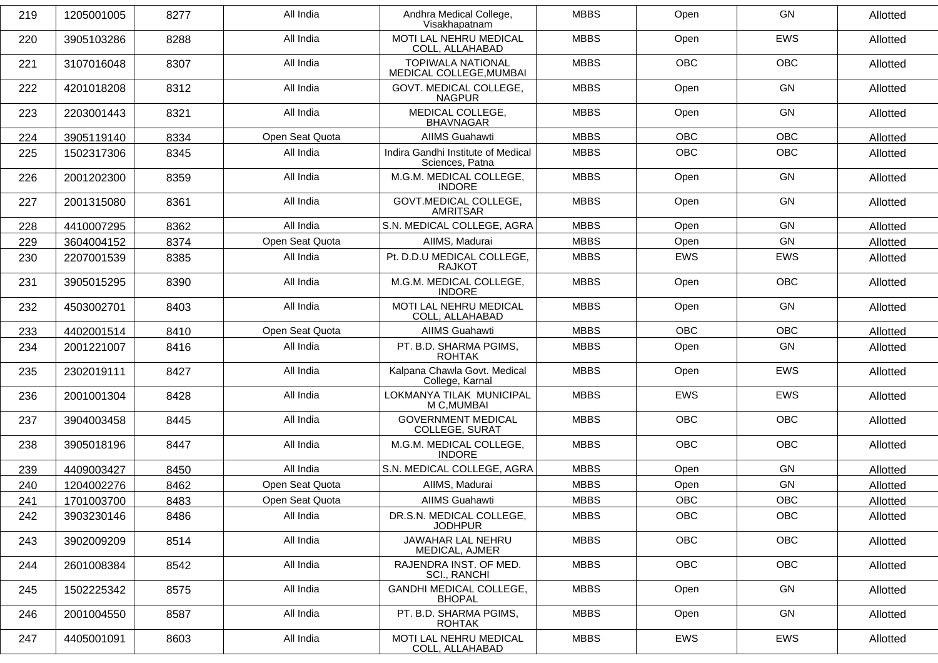| 219 | 1205001005 | 8277 | All India       | Andhra Medical College,<br>Visakhapatnam              | <b>MBBS</b> | Open       | <b>GN</b>  | Allotted |
|-----|------------|------|-----------------|-------------------------------------------------------|-------------|------------|------------|----------|
| 220 | 3905103286 | 8288 | All India       | <b>MOTI LAL NEHRU MEDICAL</b><br>COLL, ALLAHABAD      | <b>MBBS</b> | Open       | <b>EWS</b> | Allotted |
| 221 | 3107016048 | 8307 | All India       | <b>TOPIWALA NATIONAL</b><br>MEDICAL COLLEGE, MUMBAI   | <b>MBBS</b> | <b>OBC</b> | <b>OBC</b> | Allotted |
| 222 | 4201018208 | 8312 | All India       | GOVT. MEDICAL COLLEGE,<br><b>NAGPUR</b>               | <b>MBBS</b> | Open       | GN         | Allotted |
| 223 | 2203001443 | 8321 | All India       | MEDICAL COLLEGE,<br><b>BHAVNAGAR</b>                  | <b>MBBS</b> | Open       | <b>GN</b>  | Allotted |
| 224 | 3905119140 | 8334 | Open Seat Quota | <b>AIIMS Guahawti</b>                                 | <b>MBBS</b> | <b>OBC</b> | <b>OBC</b> | Allotted |
| 225 | 1502317306 | 8345 | All India       | Indira Gandhi Institute of Medical<br>Sciences, Patna | <b>MBBS</b> | <b>OBC</b> | <b>OBC</b> | Allotted |
| 226 | 2001202300 | 8359 | All India       | M.G.M. MEDICAL COLLEGE,<br><b>INDORE</b>              | <b>MBBS</b> | Open       | <b>GN</b>  | Allotted |
| 227 | 2001315080 | 8361 | All India       | <b>GOVT.MEDICAL COLLEGE,</b><br><b>AMRITSAR</b>       | <b>MBBS</b> | Open       | GN         | Allotted |
| 228 | 4410007295 | 8362 | All India       | S.N. MEDICAL COLLEGE, AGRA                            | <b>MBBS</b> | Open       | GN         | Allotted |
| 229 | 3604004152 | 8374 | Open Seat Quota | AIIMS, Madurai                                        | <b>MBBS</b> | Open       | <b>GN</b>  | Allotted |
| 230 | 2207001539 | 8385 | All India       | Pt. D.D.U MEDICAL COLLEGE,<br>RAJKOT                  | <b>MBBS</b> | <b>EWS</b> | <b>EWS</b> | Allotted |
| 231 | 3905015295 | 8390 | All India       | M.G.M. MEDICAL COLLEGE,<br><b>INDORE</b>              | <b>MBBS</b> | Open       | OBC        | Allotted |
| 232 | 4503002701 | 8403 | All India       | MOTI LAL NEHRU MEDICAL<br>COLL, ALLAHABAD             | <b>MBBS</b> | Open       | <b>GN</b>  | Allotted |
| 233 | 4402001514 | 8410 | Open Seat Quota | <b>AIIMS Guahawti</b>                                 | <b>MBBS</b> | <b>OBC</b> | <b>OBC</b> | Allotted |
| 234 | 2001221007 | 8416 | All India       | PT. B.D. SHARMA PGIMS,<br><b>ROHTAK</b>               | <b>MBBS</b> | Open       | <b>GN</b>  | Allotted |
| 235 | 2302019111 | 8427 | All India       | Kalpana Chawla Govt. Medical<br>College, Karnal       | <b>MBBS</b> | Open       | <b>EWS</b> | Allotted |
| 236 | 2001001304 | 8428 | All India       | LOKMANYA TILAK MUNICIPAL<br>M C, MUMBAI               | <b>MBBS</b> | <b>EWS</b> | <b>EWS</b> | Allotted |
| 237 | 3904003458 | 8445 | All India       | <b>GOVERNMENT MEDICAL</b><br>COLLEGE, SURAT           | <b>MBBS</b> | <b>OBC</b> | <b>OBC</b> | Allotted |
| 238 | 3905018196 | 8447 | All India       | M.G.M. MEDICAL COLLEGE,<br><b>INDORE</b>              | <b>MBBS</b> | <b>OBC</b> | <b>OBC</b> | Allotted |
| 239 | 4409003427 | 8450 | All India       | S.N. MEDICAL COLLEGE, AGRA                            | <b>MBBS</b> | Open       | <b>GN</b>  | Allotted |
| 240 | 1204002276 | 8462 | Open Seat Quota | AllMS, Madurai                                        | <b>MBBS</b> | Open       | GN         | Allotted |
| 241 | 1701003700 | 8483 | Open Seat Quota | <b>AIIMS Guahawti</b>                                 | <b>MBBS</b> | <b>OBC</b> | <b>OBC</b> | Allotted |
| 242 | 3903230146 | 8486 | All India       | DR.S.N. MEDICAL COLLEGE,<br><b>JODHPUR</b>            | <b>MBBS</b> | OBC        | OBC        | Allotted |
| 243 | 3902009209 | 8514 | All India       | JAWAHAR LAL NEHRU<br>MEDICAL, AJMER                   | <b>MBBS</b> | OBC        | OBC        | Allotted |
| 244 | 2601008384 | 8542 | All India       | RAJENDRA INST. OF MED.<br>SCI., RANCHI                | <b>MBBS</b> | <b>OBC</b> | OBC        | Allotted |
| 245 | 1502225342 | 8575 | All India       | GANDHI MEDICAL COLLEGE,<br><b>BHOPAL</b>              | <b>MBBS</b> | Open       | GN         | Allotted |
| 246 | 2001004550 | 8587 | All India       | PT. B.D. SHARMA PGIMS,<br><b>ROHTAK</b>               | <b>MBBS</b> | Open       | GN         | Allotted |
| 247 | 4405001091 | 8603 | All India       | MOTI LAL NEHRU MEDICAL<br>COLL, ALLAHABAD             | <b>MBBS</b> | <b>EWS</b> | EWS        | Allotted |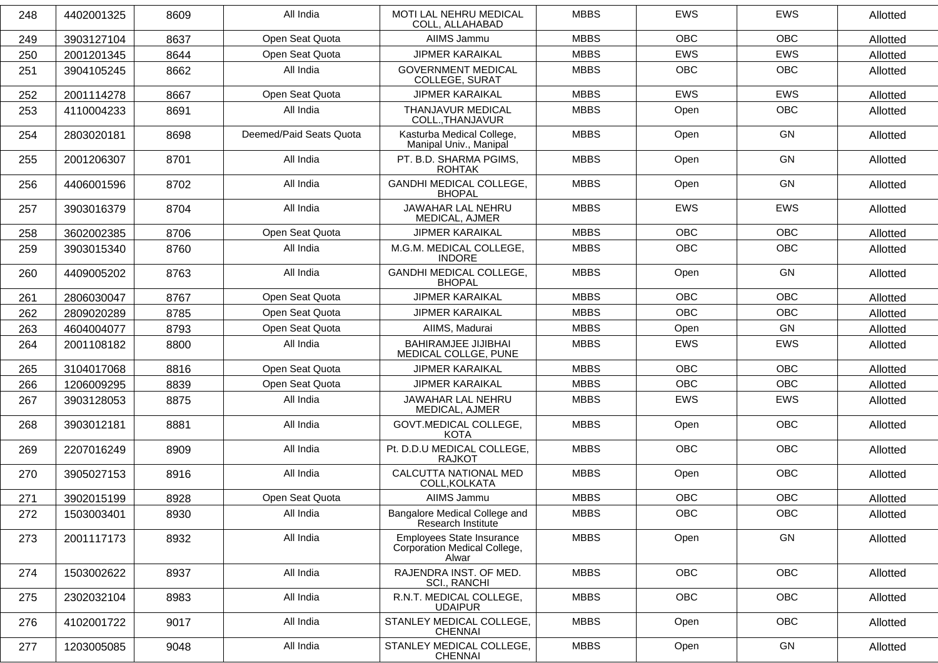| 248 | 4402001325 | 8609 | All India               | <b>MOTI LAL NEHRU MEDICAL</b><br>COLL, ALLAHABAD                   | <b>MBBS</b> | <b>EWS</b> | <b>EWS</b> | Allotted |
|-----|------------|------|-------------------------|--------------------------------------------------------------------|-------------|------------|------------|----------|
| 249 | 3903127104 | 8637 | Open Seat Quota         | AIIMS Jammu                                                        | <b>MBBS</b> | <b>OBC</b> | <b>OBC</b> | Allotted |
| 250 | 2001201345 | 8644 | Open Seat Quota         | <b>JIPMER KARAIKAL</b>                                             | <b>MBBS</b> | EWS        | EWS        | Allotted |
| 251 | 3904105245 | 8662 | All India               | <b>GOVERNMENT MEDICAL</b><br><b>COLLEGE, SURAT</b>                 | <b>MBBS</b> | <b>OBC</b> | OBC        | Allotted |
| 252 | 2001114278 | 8667 | Open Seat Quota         | <b>JIPMER KARAIKAL</b>                                             | <b>MBBS</b> | <b>EWS</b> | EWS        | Allotted |
| 253 | 4110004233 | 8691 | All India               | THANJAVUR MEDICAL<br>COLL., THANJAVUR                              | <b>MBBS</b> | Open       | OBC        | Allotted |
| 254 | 2803020181 | 8698 | Deemed/Paid Seats Quota | Kasturba Medical College,<br>Manipal Univ., Manipal                | <b>MBBS</b> | Open       | GN         | Allotted |
| 255 | 2001206307 | 8701 | All India               | PT. B.D. SHARMA PGIMS,<br><b>ROHTAK</b>                            | <b>MBBS</b> | Open       | GN         | Allotted |
| 256 | 4406001596 | 8702 | All India               | GANDHI MEDICAL COLLEGE,<br><b>BHOPAL</b>                           | <b>MBBS</b> | Open       | GN         | Allotted |
| 257 | 3903016379 | 8704 | All India               | JAWAHAR LAL NEHRU<br>MEDICAL, AJMER                                | <b>MBBS</b> | <b>EWS</b> | <b>EWS</b> | Allotted |
| 258 | 3602002385 | 8706 | Open Seat Quota         | <b>JIPMER KARAIKAL</b>                                             | <b>MBBS</b> | <b>OBC</b> | <b>OBC</b> | Allotted |
| 259 | 3903015340 | 8760 | All India               | M.G.M. MEDICAL COLLEGE,<br><b>INDORE</b>                           | <b>MBBS</b> | <b>OBC</b> | <b>OBC</b> | Allotted |
| 260 | 4409005202 | 8763 | All India               | <b>GANDHI MEDICAL COLLEGE,</b><br><b>BHOPAL</b>                    | <b>MBBS</b> | Open       | GN         | Allotted |
| 261 | 2806030047 | 8767 | Open Seat Quota         | <b>JIPMER KARAIKAL</b>                                             | <b>MBBS</b> | <b>OBC</b> | <b>OBC</b> | Allotted |
| 262 | 2809020289 | 8785 | Open Seat Quota         | <b>JIPMER KARAIKAL</b>                                             | <b>MBBS</b> | <b>OBC</b> | <b>OBC</b> | Allotted |
| 263 | 4604004077 | 8793 | Open Seat Quota         | AIIMS, Madurai                                                     | <b>MBBS</b> | Open       | <b>GN</b>  | Allotted |
| 264 | 2001108182 | 8800 | All India               | <b>BAHIRAMJEE JIJIBHAI</b><br>MEDICAL COLLGE, PUNE                 | <b>MBBS</b> | <b>EWS</b> | <b>EWS</b> | Allotted |
| 265 | 3104017068 | 8816 | Open Seat Quota         | <b>JIPMER KARAIKAL</b>                                             | <b>MBBS</b> | <b>OBC</b> | <b>OBC</b> | Allotted |
| 266 | 1206009295 | 8839 | Open Seat Quota         | <b>JIPMER KARAIKAL</b>                                             | <b>MBBS</b> | <b>OBC</b> | OBC        | Allotted |
| 267 | 3903128053 | 8875 | All India               | JAWAHAR LAL NEHRU<br>MEDICAL, AJMER                                | <b>MBBS</b> | <b>EWS</b> | EWS        | Allotted |
| 268 | 3903012181 | 8881 | All India               | GOVT.MEDICAL COLLEGE,<br><b>KOTA</b>                               | <b>MBBS</b> | Open       | OBC        | Allotted |
| 269 | 2207016249 | 8909 | All India               | Pt. D.D.U MEDICAL COLLEGE,<br><b>RAJKOT</b>                        | <b>MBBS</b> | <b>OBC</b> | <b>OBC</b> | Allotted |
| 270 | 3905027153 | 8916 | All India               | CALCUTTA NATIONAL MED<br>COLL, KOLKATA                             | <b>MBBS</b> | Open       | <b>OBC</b> | Allotted |
| 271 | 3902015199 | 8928 | Open Seat Quota         | AIIMS Jammu                                                        | <b>MBBS</b> | <b>OBC</b> | <b>OBC</b> | Allotted |
| 272 | 1503003401 | 8930 | All India               | Bangalore Medical College and<br>Research Institute                | <b>MBBS</b> | <b>OBC</b> | <b>OBC</b> | Allotted |
| 273 | 2001117173 | 8932 | All India               | Employees State Insurance<br>Corporation Medical College,<br>Alwar | <b>MBBS</b> | Open       | GN         | Allotted |
| 274 | 1503002622 | 8937 | All India               | RAJENDRA INST. OF MED.<br>SCI., RANCHI                             | <b>MBBS</b> | OBC        | OBC        | Allotted |
| 275 | 2302032104 | 8983 | All India               | R.N.T. MEDICAL COLLEGE,<br><b>UDAIPUR</b>                          | <b>MBBS</b> | OBC        | OBC        | Allotted |
| 276 | 4102001722 | 9017 | All India               | STANLEY MEDICAL COLLEGE,<br><b>CHENNAI</b>                         | <b>MBBS</b> | Open       | OBC        | Allotted |
| 277 | 1203005085 | 9048 | All India               | STANLEY MEDICAL COLLEGE,<br><b>CHENNAI</b>                         | <b>MBBS</b> | Open       | GN         | Allotted |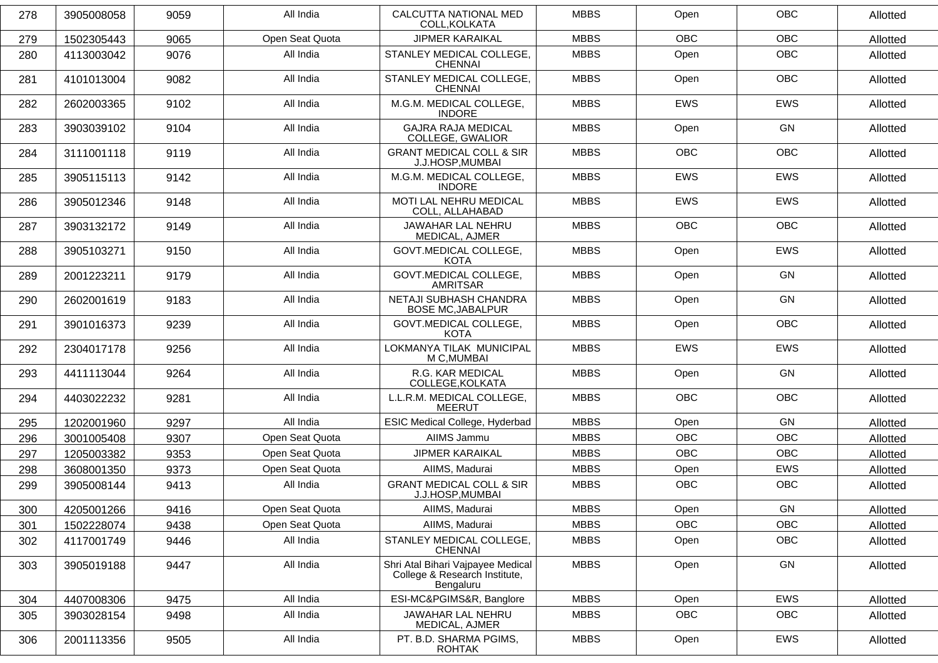| 278 | 3905008058 | 9059 | All India       | CALCUTTA NATIONAL MED<br>COLL, KOLKATA                                          | <b>MBBS</b> | Open       | <b>OBC</b> | Allotted |
|-----|------------|------|-----------------|---------------------------------------------------------------------------------|-------------|------------|------------|----------|
| 279 | 1502305443 | 9065 | Open Seat Quota | <b>JIPMER KARAIKAL</b>                                                          | <b>MBBS</b> | <b>OBC</b> | <b>OBC</b> | Allotted |
| 280 | 4113003042 | 9076 | All India       | STANLEY MEDICAL COLLEGE,<br><b>CHENNAI</b>                                      | <b>MBBS</b> | Open       | OBC        | Allotted |
| 281 | 4101013004 | 9082 | All India       | STANLEY MEDICAL COLLEGE,<br><b>CHENNAI</b>                                      | <b>MBBS</b> | Open       | <b>OBC</b> | Allotted |
| 282 | 2602003365 | 9102 | All India       | M.G.M. MEDICAL COLLEGE,<br><b>INDORE</b>                                        | <b>MBBS</b> | <b>EWS</b> | <b>EWS</b> | Allotted |
| 283 | 3903039102 | 9104 | All India       | <b>GAJRA RAJA MEDICAL</b><br>COLLEGE, GWALIOR                                   | <b>MBBS</b> | Open       | GN         | Allotted |
| 284 | 3111001118 | 9119 | All India       | <b>GRANT MEDICAL COLL &amp; SIR</b><br>J.J.HOSP, MUMBAI                         | <b>MBBS</b> | <b>OBC</b> | <b>OBC</b> | Allotted |
| 285 | 3905115113 | 9142 | All India       | M.G.M. MEDICAL COLLEGE,<br><b>INDORE</b>                                        | <b>MBBS</b> | <b>EWS</b> | <b>EWS</b> | Allotted |
| 286 | 3905012346 | 9148 | All India       | MOTI LAL NEHRU MEDICAL<br>COLL, ALLAHABAD                                       | <b>MBBS</b> | <b>EWS</b> | EWS        | Allotted |
| 287 | 3903132172 | 9149 | All India       | <b>JAWAHAR LAL NEHRU</b><br>MEDICAL, AJMER                                      | <b>MBBS</b> | <b>OBC</b> | <b>OBC</b> | Allotted |
| 288 | 3905103271 | 9150 | All India       | <b>GOVT.MEDICAL COLLEGE,</b><br>KOTA                                            | <b>MBBS</b> | Open       | <b>EWS</b> | Allotted |
| 289 | 2001223211 | 9179 | All India       | GOVT.MEDICAL COLLEGE,<br>AMRITSAR                                               | <b>MBBS</b> | Open       | GN         | Allotted |
| 290 | 2602001619 | 9183 | All India       | NETAJI SUBHASH CHANDRA<br><b>BOSE MC, JABALPUR</b>                              | <b>MBBS</b> | Open       | GN         | Allotted |
| 291 | 3901016373 | 9239 | All India       | <b>GOVT.MEDICAL COLLEGE,</b><br>KOTA                                            | <b>MBBS</b> | Open       | <b>OBC</b> | Allotted |
| 292 | 2304017178 | 9256 | All India       | LOKMANYA TILAK MUNICIPAL<br>M C, MUMBAI                                         | <b>MBBS</b> | <b>EWS</b> | <b>EWS</b> | Allotted |
| 293 | 4411113044 | 9264 | All India       | R.G. KAR MEDICAL<br>COLLEGE, KOLKATA                                            | <b>MBBS</b> | Open       | <b>GN</b>  | Allotted |
| 294 | 4403022232 | 9281 | All India       | L.L.R.M. MEDICAL COLLEGE,<br><b>MEERUT</b>                                      | <b>MBBS</b> | <b>OBC</b> | <b>OBC</b> | Allotted |
| 295 | 1202001960 | 9297 | All India       | ESIC Medical College, Hyderbad                                                  | <b>MBBS</b> | Open       | <b>GN</b>  | Allotted |
| 296 | 3001005408 | 9307 | Open Seat Quota | AIIMS Jammu                                                                     | <b>MBBS</b> | <b>OBC</b> | <b>OBC</b> | Allotted |
| 297 | 1205003382 | 9353 | Open Seat Quota | <b>JIPMER KARAIKAL</b>                                                          | <b>MBBS</b> | <b>OBC</b> | <b>OBC</b> | Allotted |
| 298 | 3608001350 | 9373 | Open Seat Quota | AIIMS, Madurai                                                                  | <b>MBBS</b> | Open       | EWS        | Allotted |
| 299 | 3905008144 | 9413 | All India       | <b>GRANT MEDICAL COLL &amp; SIR</b><br>J.J.HOSP, MUMBAI                         | <b>MBBS</b> | OBC        | <b>OBC</b> | Allotted |
| 300 | 4205001266 | 9416 | Open Seat Quota | AIIMS, Madurai                                                                  | <b>MBBS</b> | Open       | GN         | Allotted |
| 301 | 1502228074 | 9438 | Open Seat Quota | AIIMS, Madurai                                                                  | <b>MBBS</b> | <b>OBC</b> | <b>OBC</b> | Allotted |
| 302 | 4117001749 | 9446 | All India       | STANLEY MEDICAL COLLEGE,<br><b>CHENNAI</b>                                      | <b>MBBS</b> | Open       | OBC        | Allotted |
| 303 | 3905019188 | 9447 | All India       | Shri Atal Bihari Vajpayee Medical<br>College & Research Institute,<br>Bengaluru | <b>MBBS</b> | Open       | GN         | Allotted |
| 304 | 4407008306 | 9475 | All India       | ESI-MC&PGIMS&R, Banglore                                                        | <b>MBBS</b> | Open       | EWS        | Allotted |
| 305 | 3903028154 | 9498 | All India       | JAWAHAR LAL NEHRU<br>MEDICAL, AJMER                                             | <b>MBBS</b> | OBC        | OBC        | Allotted |
| 306 | 2001113356 | 9505 | All India       | PT. B.D. SHARMA PGIMS,<br>ROHTAK                                                | <b>MBBS</b> | Open       | EWS        | Allotted |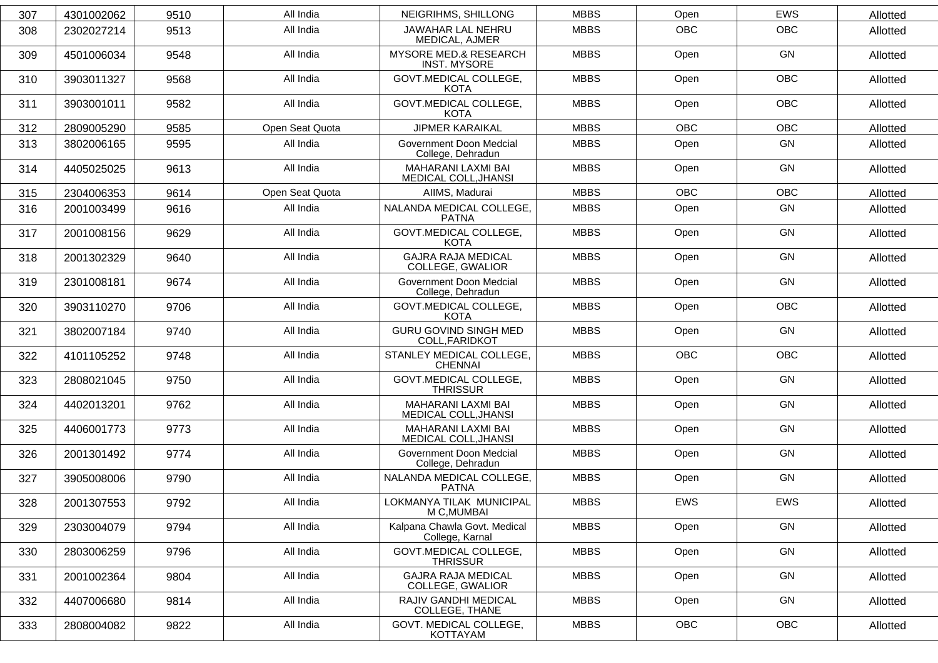| 307 | 4301002062 | 9510 | All India       | NEIGRIHMS, SHILLONG                                      | <b>MBBS</b> | Open       | <b>EWS</b> | Allotted |
|-----|------------|------|-----------------|----------------------------------------------------------|-------------|------------|------------|----------|
| 308 | 2302027214 | 9513 | All India       | JAWAHAR LAL NEHRU<br>MEDICAL, AJMER                      | <b>MBBS</b> | <b>OBC</b> | <b>OBC</b> | Allotted |
| 309 | 4501006034 | 9548 | All India       | MYSORE MED.& RESEARCH<br><b>INST. MYSORE</b>             | <b>MBBS</b> | Open       | GN         | Allotted |
| 310 | 3903011327 | 9568 | All India       | <b>GOVT.MEDICAL COLLEGE,</b><br>KOTA                     | <b>MBBS</b> | Open       | <b>OBC</b> | Allotted |
| 311 | 3903001011 | 9582 | All India       | GOVT.MEDICAL COLLEGE,<br><b>KOTA</b>                     | <b>MBBS</b> | Open       | <b>OBC</b> | Allotted |
| 312 | 2809005290 | 9585 | Open Seat Quota | <b>JIPMER KARAIKAL</b>                                   | <b>MBBS</b> | <b>OBC</b> | <b>OBC</b> | Allotted |
| 313 | 3802006165 | 9595 | All India       | Government Doon Medcial<br>College, Dehradun             | <b>MBBS</b> | Open       | GN         | Allotted |
| 314 | 4405025025 | 9613 | All India       | MAHARANI LAXMI BAI<br>MEDICAL COLL, JHANSI               | <b>MBBS</b> | Open       | GN         | Allotted |
| 315 | 2304006353 | 9614 | Open Seat Quota | AIIMS, Madurai                                           | <b>MBBS</b> | <b>OBC</b> | <b>OBC</b> | Allotted |
| 316 | 2001003499 | 9616 | All India       | NALANDA MEDICAL COLLEGE,<br><b>PATNA</b>                 | <b>MBBS</b> | Open       | GN         | Allotted |
| 317 | 2001008156 | 9629 | All India       | <b>GOVT.MEDICAL COLLEGE,</b><br>KOTA                     | <b>MBBS</b> | Open       | GN         | Allotted |
| 318 | 2001302329 | 9640 | All India       | <b>GAJRA RAJA MEDICAL</b><br>COLLEGE, GWALIOR            | <b>MBBS</b> | Open       | GN         | Allotted |
| 319 | 2301008181 | 9674 | All India       | Government Doon Medcial<br>College, Dehradun             | <b>MBBS</b> | Open       | GN         | Allotted |
| 320 | 3903110270 | 9706 | All India       | <b>GOVT.MEDICAL COLLEGE,</b><br>KOTA                     | <b>MBBS</b> | Open       | <b>OBC</b> | Allotted |
| 321 | 3802007184 | 9740 | All India       | <b>GURU GOVIND SINGH MED</b><br>COLL, FARIDKOT           | <b>MBBS</b> | Open       | GN         | Allotted |
| 322 | 4101105252 | 9748 | All India       | STANLEY MEDICAL COLLEGE,<br><b>CHENNAI</b>               | <b>MBBS</b> | <b>OBC</b> | <b>OBC</b> | Allotted |
| 323 | 2808021045 | 9750 | All India       | <b>GOVT.MEDICAL COLLEGE,</b><br><b>THRISSUR</b>          | <b>MBBS</b> | Open       | <b>GN</b>  | Allotted |
| 324 | 4402013201 | 9762 | All India       | MAHARANI LAXMI BAI<br>MEDICAL COLL, JHANSI               | <b>MBBS</b> | Open       | <b>GN</b>  | Allotted |
| 325 | 4406001773 | 9773 | All India       | <b>MAHARANI LAXMI BAI</b><br><b>MEDICAL COLL, JHANSI</b> | <b>MBBS</b> | Open       | GN         | Allotted |
| 326 | 2001301492 | 9774 | All India       | Government Doon Medcial<br>College, Dehradun             | <b>MBBS</b> | Open       | GN         | Allotted |
| 327 | 3905008006 | 9790 | All India       | NALANDA MEDICAL COLLEGE,<br>PATNA                        | <b>MBBS</b> | Open       | <b>GN</b>  | Allotted |
| 328 | 2001307553 | 9792 | All India       | LOKMANYA TILAK MUNICIPAL<br>M C, MUMBAI                  | <b>MBBS</b> | EWS        | EWS        | Allotted |
| 329 | 2303004079 | 9794 | All India       | Kalpana Chawla Govt. Medical<br>College, Karnal          | <b>MBBS</b> | Open       | GN         | Allotted |
| 330 | 2803006259 | 9796 | All India       | GOVT.MEDICAL COLLEGE,<br><b>THRISSUR</b>                 | <b>MBBS</b> | Open       | GN         | Allotted |
| 331 | 2001002364 | 9804 | All India       | <b>GAJRA RAJA MEDICAL</b><br>COLLEGE, GWALIOR            | <b>MBBS</b> | Open       | GN         | Allotted |
| 332 | 4407006680 | 9814 | All India       | RAJIV GANDHI MEDICAL<br>COLLEGE, THANE                   | <b>MBBS</b> | Open       | GN         | Allotted |
| 333 | 2808004082 | 9822 | All India       | GOVT. MEDICAL COLLEGE,<br>KOTTAYAM                       | <b>MBBS</b> | OBC        | OBC        | Allotted |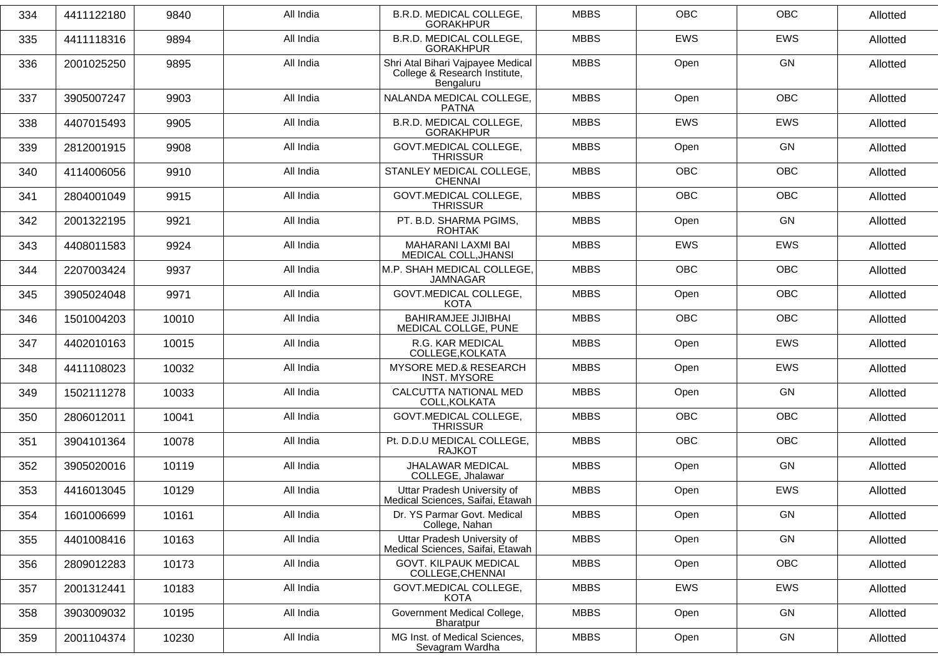| 334 | 4411122180 | 9840  | All India | B.R.D. MEDICAL COLLEGE,<br><b>GORAKHPUR</b>                                     | <b>MBBS</b> | <b>OBC</b> | <b>OBC</b> | Allotted |
|-----|------------|-------|-----------|---------------------------------------------------------------------------------|-------------|------------|------------|----------|
| 335 | 4411118316 | 9894  | All India | <b>B.R.D. MEDICAL COLLEGE.</b><br><b>GORAKHPUR</b>                              | <b>MBBS</b> | <b>EWS</b> | <b>EWS</b> | Allotted |
| 336 | 2001025250 | 9895  | All India | Shri Atal Bihari Vajpayee Medical<br>College & Research Institute,<br>Bengaluru | <b>MBBS</b> | Open       | <b>GN</b>  | Allotted |
| 337 | 3905007247 | 9903  | All India | NALANDA MEDICAL COLLEGE,<br><b>PATNA</b>                                        | <b>MBBS</b> | Open       | <b>OBC</b> | Allotted |
| 338 | 4407015493 | 9905  | All India | B.R.D. MEDICAL COLLEGE,<br><b>GORAKHPUR</b>                                     | <b>MBBS</b> | <b>EWS</b> | <b>EWS</b> | Allotted |
| 339 | 2812001915 | 9908  | All India | <b>GOVT.MEDICAL COLLEGE,</b><br><b>THRISSUR</b>                                 | <b>MBBS</b> | Open       | GN         | Allotted |
| 340 | 4114006056 | 9910  | All India | STANLEY MEDICAL COLLEGE,<br><b>CHENNAI</b>                                      | <b>MBBS</b> | <b>OBC</b> | <b>OBC</b> | Allotted |
| 341 | 2804001049 | 9915  | All India | <b>GOVT.MEDICAL COLLEGE,</b><br><b>THRISSUR</b>                                 | <b>MBBS</b> | <b>OBC</b> | <b>OBC</b> | Allotted |
| 342 | 2001322195 | 9921  | All India | PT. B.D. SHARMA PGIMS,<br><b>ROHTAK</b>                                         | <b>MBBS</b> | Open       | GN         | Allotted |
| 343 | 4408011583 | 9924  | All India | MAHARANI LAXMI BAI<br>MEDICAL COLL, JHANSI                                      | <b>MBBS</b> | <b>EWS</b> | <b>EWS</b> | Allotted |
| 344 | 2207003424 | 9937  | All India | M.P. SHAH MEDICAL COLLEGE,<br><b>JAMNAGAR</b>                                   | <b>MBBS</b> | <b>OBC</b> | <b>OBC</b> | Allotted |
| 345 | 3905024048 | 9971  | All India | <b>GOVT.MEDICAL COLLEGE,</b><br><b>KOTA</b>                                     | <b>MBBS</b> | Open       | <b>OBC</b> | Allotted |
| 346 | 1501004203 | 10010 | All India | <b>BAHIRAMJEE JIJIBHAI</b><br>MEDICAL COLLGE, PUNE                              | <b>MBBS</b> | <b>OBC</b> | <b>OBC</b> | Allotted |
| 347 | 4402010163 | 10015 | All India | R.G. KAR MEDICAL<br>COLLEGE, KOLKATA                                            | <b>MBBS</b> | Open       | EWS        | Allotted |
| 348 | 4411108023 | 10032 | All India | <b>MYSORE MED.&amp; RESEARCH</b><br><b>INST. MYSORE</b>                         | <b>MBBS</b> | Open       | <b>EWS</b> | Allotted |
| 349 | 1502111278 | 10033 | All India | CALCUTTA NATIONAL MED<br>COLL, KOLKATA                                          | <b>MBBS</b> | Open       | <b>GN</b>  | Allotted |
| 350 | 2806012011 | 10041 | All India | GOVT.MEDICAL COLLEGE,<br><b>THRISSUR</b>                                        | <b>MBBS</b> | OBC        | <b>OBC</b> | Allotted |
| 351 | 3904101364 | 10078 | All India | Pt. D.D.U MEDICAL COLLEGE,<br><b>RAJKOT</b>                                     | <b>MBBS</b> | <b>OBC</b> | <b>OBC</b> | Allotted |
| 352 | 3905020016 | 10119 | All India | JHALAWAR MEDICAL<br>COLLEGE, Jhalawar                                           | <b>MBBS</b> | Open       | GN         | Allotted |
| 353 | 4416013045 | 10129 | All India | Uttar Pradesh University of<br>Medical Sciences, Saifai, Etawah                 | <b>MBBS</b> | Open       | EWS        | Allotted |
| 354 | 1601006699 | 10161 | All India | Dr. YS Parmar Govt. Medical<br>College, Nahan                                   | <b>MBBS</b> | Open       | GN         | Allotted |
| 355 | 4401008416 | 10163 | All India | Uttar Pradesh University of<br>Medical Sciences, Saifai, Etawah                 | <b>MBBS</b> | Open       | GN         | Allotted |
| 356 | 2809012283 | 10173 | All India | <b>GOVT. KILPAUK MEDICAL</b><br>COLLEGE, CHENNAI                                | <b>MBBS</b> | Open       | OBC        | Allotted |
| 357 | 2001312441 | 10183 | All India | GOVT.MEDICAL COLLEGE,<br><b>KOTA</b>                                            | <b>MBBS</b> | EWS        | EWS        | Allotted |
| 358 | 3903009032 | 10195 | All India | Government Medical College,<br>Bharatpur                                        | <b>MBBS</b> | Open       | GN         | Allotted |
| 359 | 2001104374 | 10230 | All India | MG Inst. of Medical Sciences,<br>Sevagram Wardha                                | <b>MBBS</b> | Open       | GN         | Allotted |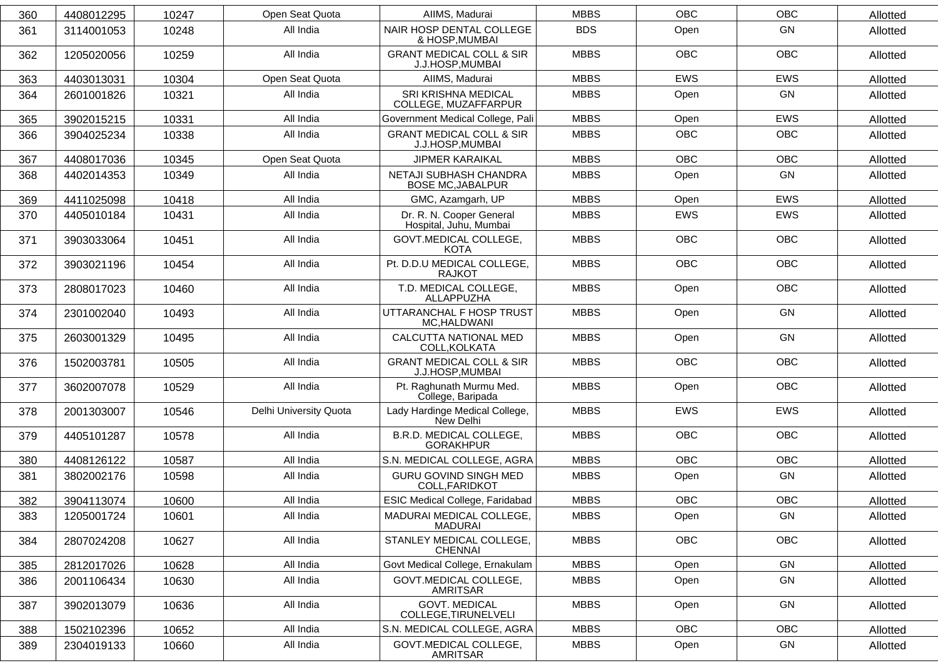| 360 | 4408012295 | 10247 | Open Seat Quota        | AIIMS, Madurai                                          | <b>MBBS</b> | <b>OBC</b> | <b>OBC</b> | Allotted |
|-----|------------|-------|------------------------|---------------------------------------------------------|-------------|------------|------------|----------|
| 361 | 3114001053 | 10248 | All India              | NAIR HOSP DENTAL COLLEGE<br>& HOSP, MUMBAI              | <b>BDS</b>  | Open       | <b>GN</b>  | Allotted |
| 362 | 1205020056 | 10259 | All India              | <b>GRANT MEDICAL COLL &amp; SIR</b><br>J.J.HOSP, MUMBAI | <b>MBBS</b> | OBC        | OBC        | Allotted |
| 363 | 4403013031 | 10304 | Open Seat Quota        | AIIMS, Madurai                                          | <b>MBBS</b> | <b>EWS</b> | <b>EWS</b> | Allotted |
| 364 | 2601001826 | 10321 | All India              | SRI KRISHNA MEDICAL<br>COLLEGE, MUZAFFARPUR             | <b>MBBS</b> | Open       | GN         | Allotted |
| 365 | 3902015215 | 10331 | All India              | Government Medical College, Pali                        | <b>MBBS</b> | Open       | <b>EWS</b> | Allotted |
| 366 | 3904025234 | 10338 | All India              | <b>GRANT MEDICAL COLL &amp; SIR</b><br>J.J.HOSP, MUMBAI | <b>MBBS</b> | OBC        | OBC        | Allotted |
| 367 | 4408017036 | 10345 | Open Seat Quota        | <b>JIPMER KARAIKAL</b>                                  | <b>MBBS</b> | <b>OBC</b> | <b>OBC</b> | Allotted |
| 368 | 4402014353 | 10349 | All India              | NETAJI SUBHASH CHANDRA<br><b>BOSE MC, JABALPUR</b>      | <b>MBBS</b> | Open       | GN         | Allotted |
| 369 | 4411025098 | 10418 | All India              | GMC, Azamgarh, UP                                       | <b>MBBS</b> | Open       | <b>EWS</b> | Allotted |
| 370 | 4405010184 | 10431 | All India              | Dr. R. N. Cooper General<br>Hospital, Juhu, Mumbai      | <b>MBBS</b> | <b>EWS</b> | EWS        | Allotted |
| 371 | 3903033064 | 10451 | All India              | GOVT.MEDICAL COLLEGE,<br><b>KOTA</b>                    | <b>MBBS</b> | <b>OBC</b> | <b>OBC</b> | Allotted |
| 372 | 3903021196 | 10454 | All India              | Pt. D.D.U MEDICAL COLLEGE,<br><b>RAJKOT</b>             | <b>MBBS</b> | <b>OBC</b> | <b>OBC</b> | Allotted |
| 373 | 2808017023 | 10460 | All India              | T.D. MEDICAL COLLEGE,<br>ALLAPPUZHA                     | <b>MBBS</b> | Open       | <b>OBC</b> | Allotted |
| 374 | 2301002040 | 10493 | All India              | UTTARANCHAL F HOSP TRUST<br>MC, HALDWANI                | <b>MBBS</b> | Open       | <b>GN</b>  | Allotted |
| 375 | 2603001329 | 10495 | All India              | CALCUTTA NATIONAL MED<br>COLL, KOLKATA                  | <b>MBBS</b> | Open       | GN         | Allotted |
| 376 | 1502003781 | 10505 | All India              | <b>GRANT MEDICAL COLL &amp; SIR</b><br>J.J.HOSP, MUMBAI | <b>MBBS</b> | OBC        | OBC        | Allotted |
| 377 | 3602007078 | 10529 | All India              | Pt. Raghunath Murmu Med.<br>College, Baripada           | <b>MBBS</b> | Open       | <b>OBC</b> | Allotted |
| 378 | 2001303007 | 10546 | Delhi University Quota | Lady Hardinge Medical College,<br>New Delhi             | <b>MBBS</b> | <b>EWS</b> | <b>EWS</b> | Allotted |
| 379 | 4405101287 | 10578 | All India              | B.R.D. MEDICAL COLLEGE,<br><b>GORAKHPUR</b>             | <b>MBBS</b> | OBC        | OBC        | Allotted |
| 380 | 4408126122 | 10587 | All India              | S.N. MEDICAL COLLEGE, AGRA                              | <b>MBBS</b> | OBC        | OBC        | Allotted |
| 381 | 3802002176 | 10598 | All India              | <b>GURU GOVIND SINGH MED</b><br>COLL, FARIDKOT          | <b>MBBS</b> | Open       | GN         | Allotted |
| 382 | 3904113074 | 10600 | All India              | ESIC Medical College, Faridabad                         | <b>MBBS</b> | <b>OBC</b> | <b>OBC</b> | Allotted |
| 383 | 1205001724 | 10601 | All India              | MADURAI MEDICAL COLLEGE,<br><b>MADURAI</b>              | <b>MBBS</b> | Open       | GN         | Allotted |
| 384 | 2807024208 | 10627 | All India              | STANLEY MEDICAL COLLEGE,<br><b>CHENNAI</b>              | <b>MBBS</b> | <b>OBC</b> | OBC        | Allotted |
| 385 | 2812017026 | 10628 | All India              | Govt Medical College, Ernakulam                         | <b>MBBS</b> | Open       | GN         | Allotted |
| 386 | 2001106434 | 10630 | All India              | GOVT.MEDICAL COLLEGE,<br>AMRITSAR                       | <b>MBBS</b> | Open       | GN         | Allotted |
| 387 | 3902013079 | 10636 | All India              | <b>GOVT. MEDICAL</b><br>COLLEGE, TIRUNELVELI            | <b>MBBS</b> | Open       | GN         | Allotted |
| 388 | 1502102396 | 10652 | All India              | S.N. MEDICAL COLLEGE, AGRA                              | <b>MBBS</b> | OBC        | OBC        | Allotted |
| 389 | 2304019133 | 10660 | All India              | GOVT.MEDICAL COLLEGE,<br>AMRITSAR                       | <b>MBBS</b> | Open       | GN         | Allotted |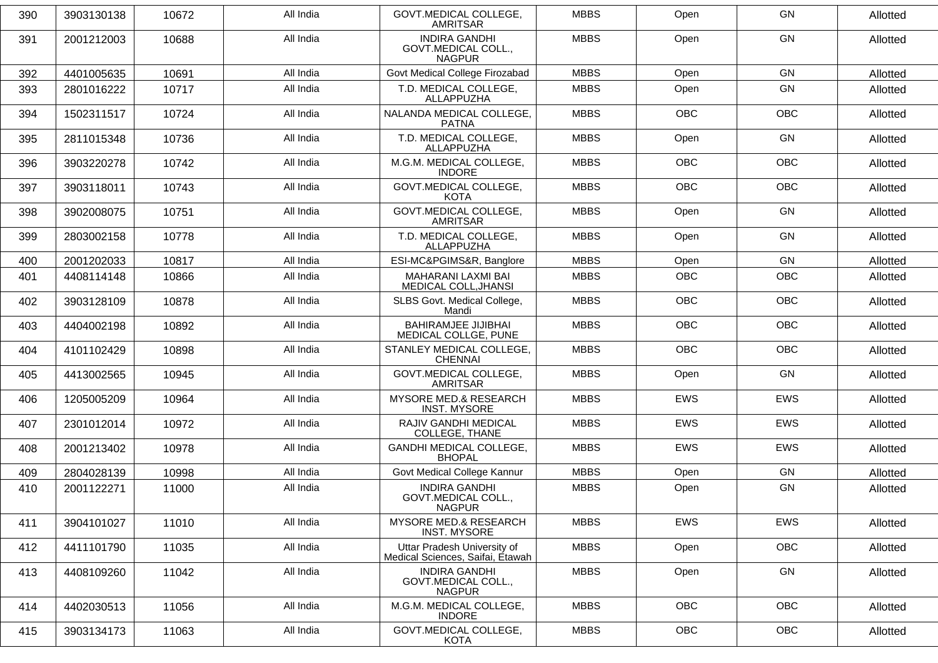| 390 | 3903130138 | 10672 | All India | GOVT.MEDICAL COLLEGE.<br><b>AMRITSAR</b>                        | <b>MBBS</b> | Open       | <b>GN</b>  | Allotted |
|-----|------------|-------|-----------|-----------------------------------------------------------------|-------------|------------|------------|----------|
| 391 | 2001212003 | 10688 | All India | <b>INDIRA GANDHI</b><br>GOVT.MEDICAL COLL.,<br><b>NAGPUR</b>    | <b>MBBS</b> | Open       | GN         | Allotted |
| 392 | 4401005635 | 10691 | All India | Govt Medical College Firozabad                                  | <b>MBBS</b> | Open       | GN         | Allotted |
| 393 | 2801016222 | 10717 | All India | T.D. MEDICAL COLLEGE,<br>ALLAPPUZHA                             | <b>MBBS</b> | Open       | GN         | Allotted |
| 394 | 1502311517 | 10724 | All India | NALANDA MEDICAL COLLEGE,<br><b>PATNA</b>                        | <b>MBBS</b> | <b>OBC</b> | <b>OBC</b> | Allotted |
| 395 | 2811015348 | 10736 | All India | T.D. MEDICAL COLLEGE,<br>ALLAPPUZHA                             | <b>MBBS</b> | Open       | GN         | Allotted |
| 396 | 3903220278 | 10742 | All India | M.G.M. MEDICAL COLLEGE,<br><b>INDORE</b>                        | <b>MBBS</b> | <b>OBC</b> | OBC        | Allotted |
| 397 | 3903118011 | 10743 | All India | <b>GOVT.MEDICAL COLLEGE,</b><br>KOTA                            | <b>MBBS</b> | <b>OBC</b> | <b>OBC</b> | Allotted |
| 398 | 3902008075 | 10751 | All India | <b>GOVT.MEDICAL COLLEGE,</b><br><b>AMRITSAR</b>                 | <b>MBBS</b> | Open       | GN         | Allotted |
| 399 | 2803002158 | 10778 | All India | T.D. MEDICAL COLLEGE,<br>ALLAPPUZHA                             | <b>MBBS</b> | Open       | GN         | Allotted |
| 400 | 2001202033 | 10817 | All India | ESI-MC&PGIMS&R, Banglore                                        | <b>MBBS</b> | Open       | <b>GN</b>  | Allotted |
| 401 | 4408114148 | 10866 | All India | MAHARANI LAXMI BAI<br>MEDICAL COLL, JHANSI                      | <b>MBBS</b> | <b>OBC</b> | <b>OBC</b> | Allotted |
| 402 | 3903128109 | 10878 | All India | SLBS Govt. Medical College,<br>Mandi                            | <b>MBBS</b> | <b>OBC</b> | <b>OBC</b> | Allotted |
| 403 | 4404002198 | 10892 | All India | <b>BAHIRAMJEE JIJIBHAI</b><br>MEDICAL COLLGE, PUNE              | <b>MBBS</b> | <b>OBC</b> | <b>OBC</b> | Allotted |
| 404 | 4101102429 | 10898 | All India | STANLEY MEDICAL COLLEGE,<br><b>CHENNAI</b>                      | <b>MBBS</b> | <b>OBC</b> | <b>OBC</b> | Allotted |
| 405 | 4413002565 | 10945 | All India | <b>GOVT.MEDICAL COLLEGE,</b><br>AMRITSAR                        | <b>MBBS</b> | Open       | GN         | Allotted |
| 406 | 1205005209 | 10964 | All India | MYSORE MED.& RESEARCH<br><b>INST. MYSORE</b>                    | <b>MBBS</b> | <b>EWS</b> | <b>EWS</b> | Allotted |
| 407 | 2301012014 | 10972 | All India | RAJIV GANDHI MEDICAL<br>COLLEGE, THANE                          | <b>MBBS</b> | <b>EWS</b> | EWS        | Allotted |
| 408 | 2001213402 | 10978 | All India | <b>GANDHI MEDICAL COLLEGE,</b><br><b>BHOPAL</b>                 | <b>MBBS</b> | <b>EWS</b> | <b>EWS</b> | Allotted |
| 409 | 2804028139 | 10998 | All India | Govt Medical College Kannur                                     | <b>MBBS</b> | Open       | GN         | Allotted |
| 410 | 2001122271 | 11000 | All India | <b>INDIRA GANDHI</b><br>GOVT.MEDICAL COLL.,<br><b>NAGPUR</b>    | <b>MBBS</b> | Open       | <b>GN</b>  | Allotted |
| 411 | 3904101027 | 11010 | All India | <b>MYSORE MED.&amp; RESEARCH</b><br><b>INST. MYSORE</b>         | <b>MBBS</b> | EWS        | <b>EWS</b> | Allotted |
| 412 | 4411101790 | 11035 | All India | Uttar Pradesh University of<br>Medical Sciences, Saifai, Etawah | <b>MBBS</b> | Open       | OBC        | Allotted |
| 413 | 4408109260 | 11042 | All India | <b>INDIRA GANDHI</b><br>GOVT.MEDICAL COLL.,<br><b>NAGPUR</b>    | <b>MBBS</b> | Open       | GN         | Allotted |
| 414 | 4402030513 | 11056 | All India | M.G.M. MEDICAL COLLEGE,<br><b>INDORE</b>                        | <b>MBBS</b> | OBC        | OBC        | Allotted |
| 415 | 3903134173 | 11063 | All India | GOVT.MEDICAL COLLEGE,<br>KOTA                                   | <b>MBBS</b> | OBC        | OBC        | Allotted |
|     |            |       |           |                                                                 |             |            |            |          |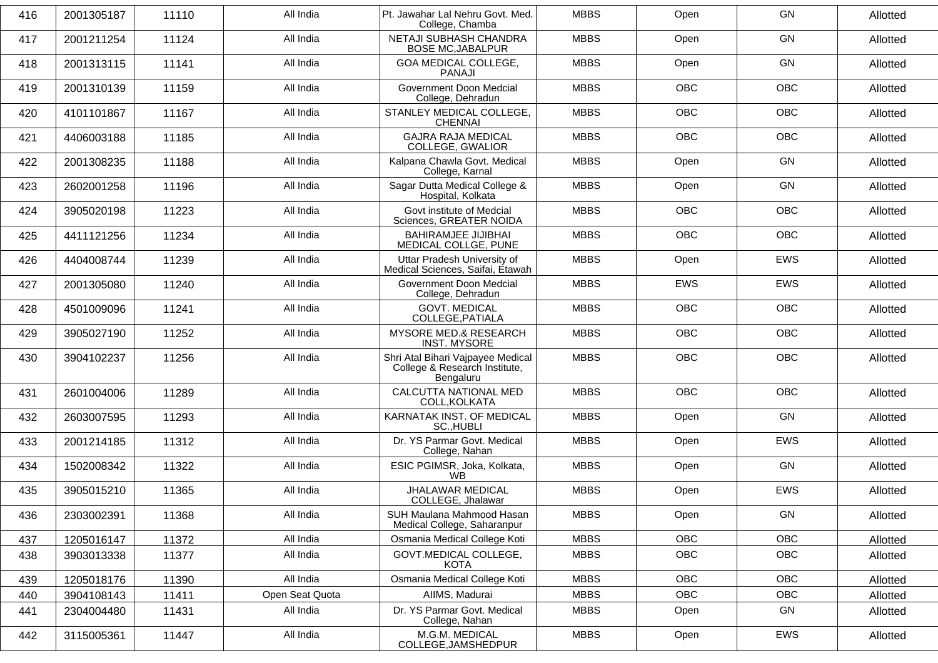| 416 | 2001305187 | 11110 | All India       | Pt. Jawahar Lal Nehru Govt. Med.<br>College, Chamba                             | <b>MBBS</b> | Open       | GN         | Allotted |
|-----|------------|-------|-----------------|---------------------------------------------------------------------------------|-------------|------------|------------|----------|
| 417 | 2001211254 | 11124 | All India       | NETAJI SUBHASH CHANDRA<br><b>BOSE MC, JABALPUR</b>                              | <b>MBBS</b> | Open       | GN         | Allotted |
| 418 | 2001313115 | 11141 | All India       | <b>GOA MEDICAL COLLEGE,</b><br><b>PANAJI</b>                                    | <b>MBBS</b> | Open       | GN         | Allotted |
| 419 | 2001310139 | 11159 | All India       | Government Doon Medcial<br>College, Dehradun                                    | <b>MBBS</b> | <b>OBC</b> | <b>OBC</b> | Allotted |
| 420 | 4101101867 | 11167 | All India       | STANLEY MEDICAL COLLEGE,<br><b>CHENNAI</b>                                      | <b>MBBS</b> | <b>OBC</b> | OBC        | Allotted |
| 421 | 4406003188 | 11185 | All India       | <b>GAJRA RAJA MEDICAL</b><br>COLLEGE, GWALIOR                                   | <b>MBBS</b> | <b>OBC</b> | <b>OBC</b> | Allotted |
| 422 | 2001308235 | 11188 | All India       | Kalpana Chawla Govt. Medical<br>College, Karnal                                 | <b>MBBS</b> | Open       | GN         | Allotted |
| 423 | 2602001258 | 11196 | All India       | Sagar Dutta Medical College &<br>Hospital, Kolkata                              | <b>MBBS</b> | Open       | GN         | Allotted |
| 424 | 3905020198 | 11223 | All India       | Govt institute of Medcial<br>Sciences, GREATER NOIDA                            | <b>MBBS</b> | <b>OBC</b> | <b>OBC</b> | Allotted |
| 425 | 4411121256 | 11234 | All India       | <b>BAHIRAMJEE JIJIBHAI</b><br>MEDICAL COLLGE, PUNE                              | <b>MBBS</b> | <b>OBC</b> | <b>OBC</b> | Allotted |
| 426 | 4404008744 | 11239 | All India       | Uttar Pradesh University of<br>Medical Sciences, Saifai, Etawah                 | <b>MBBS</b> | Open       | EWS        | Allotted |
| 427 | 2001305080 | 11240 | All India       | Government Doon Medcial<br>College, Dehradun                                    | <b>MBBS</b> | <b>EWS</b> | EWS        | Allotted |
| 428 | 4501009096 | 11241 | All India       | <b>GOVT. MEDICAL</b><br>COLLEGE, PATIALA                                        | <b>MBBS</b> | <b>OBC</b> | <b>OBC</b> | Allotted |
| 429 | 3905027190 | 11252 | All India       | <b>MYSORE MED.&amp; RESEARCH</b><br><b>INST. MYSORE</b>                         | <b>MBBS</b> | <b>OBC</b> | <b>OBC</b> | Allotted |
| 430 | 3904102237 | 11256 | All India       | Shri Atal Bihari Vajpayee Medical<br>College & Research Institute,<br>Bengaluru | <b>MBBS</b> | <b>OBC</b> | <b>OBC</b> | Allotted |
| 431 | 2601004006 | 11289 | All India       | CALCUTTA NATIONAL MED<br>COLL, KOLKATA                                          | <b>MBBS</b> | <b>OBC</b> | <b>OBC</b> | Allotted |
| 432 | 2603007595 | 11293 | All India       | KARNATAK INST. OF MEDICAL<br>SC., HUBLI                                         | <b>MBBS</b> | Open       | GN         | Allotted |
| 433 | 2001214185 | 11312 | All India       | Dr. YS Parmar Govt. Medical<br>College, Nahan                                   | <b>MBBS</b> | Open       | <b>EWS</b> | Allotted |
| 434 | 1502008342 | 11322 | All India       | ESIC PGIMSR, Joka, Kolkata,<br><b>WB</b>                                        | <b>MBBS</b> | Open       | GN         | Allotted |
| 435 | 3905015210 | 11365 | All India       | <b>JHALAWAR MEDICAL</b><br>COLLEGE, Jhalawar                                    | <b>MBBS</b> | Open       | <b>EWS</b> | Allotted |
| 436 | 2303002391 | 11368 | All India       | SUH Maulana Mahmood Hasan<br>Medical College, Saharanpur                        | <b>MBBS</b> | Open       | GN         | Allotted |
| 437 | 1205016147 | 11372 | All India       | Osmania Medical College Koti                                                    | <b>MBBS</b> | OBC        | OBC        | Allotted |
| 438 | 3903013338 | 11377 | All India       | GOVT.MEDICAL COLLEGE,<br>KOTA                                                   | <b>MBBS</b> | OBC        | OBC        | Allotted |
| 439 | 1205018176 | 11390 | All India       | Osmania Medical College Koti                                                    | <b>MBBS</b> | OBC        | OBC        | Allotted |
| 440 | 3904108143 | 11411 | Open Seat Quota | AIIMS, Madurai                                                                  | <b>MBBS</b> | OBC        | OBC        | Allotted |
| 441 | 2304004480 | 11431 | All India       | Dr. YS Parmar Govt. Medical<br>College, Nahan                                   | <b>MBBS</b> | Open       | GN         | Allotted |
| 442 | 3115005361 | 11447 | All India       | M.G.M. MEDICAL<br>COLLEGE, JAMSHEDPUR                                           | <b>MBBS</b> | Open       | EWS        | Allotted |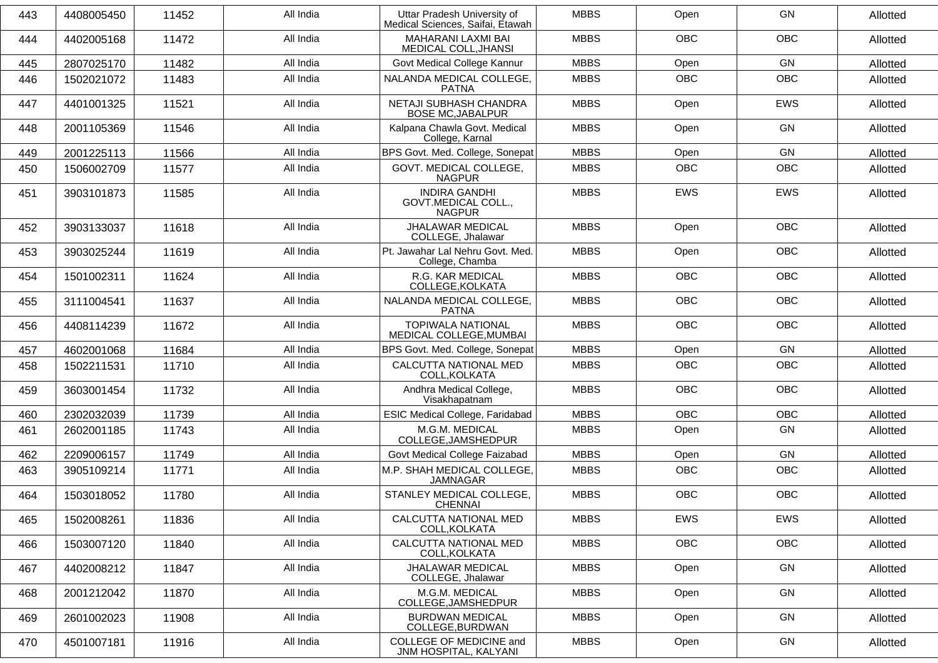| 443 | 4408005450 | 11452 | All India | Uttar Pradesh University of<br>Medical Sciences, Saifai, Étawah | <b>MBBS</b> | Open       | GN         | Allotted |
|-----|------------|-------|-----------|-----------------------------------------------------------------|-------------|------------|------------|----------|
| 444 | 4402005168 | 11472 | All India | <b>MAHARANI LAXMI BAI</b><br>MEDICAL COLL, JHANSI               | <b>MBBS</b> | <b>OBC</b> | <b>OBC</b> | Allotted |
| 445 | 2807025170 | 11482 | All India | Govt Medical College Kannur                                     | <b>MBBS</b> | Open       | GN         | Allotted |
| 446 | 1502021072 | 11483 | All India | NALANDA MEDICAL COLLEGE,<br><b>PATNA</b>                        | <b>MBBS</b> | <b>OBC</b> | <b>OBC</b> | Allotted |
| 447 | 4401001325 | 11521 | All India | NETAJI SUBHASH CHANDRA<br><b>BOSE MC, JABALPUR</b>              | <b>MBBS</b> | Open       | <b>EWS</b> | Allotted |
| 448 | 2001105369 | 11546 | All India | Kalpana Chawla Govt. Medical<br>College, Karnal                 | <b>MBBS</b> | Open       | <b>GN</b>  | Allotted |
| 449 | 2001225113 | 11566 | All India | BPS Govt. Med. College, Sonepat                                 | <b>MBBS</b> | Open       | GN         | Allotted |
| 450 | 1506002709 | 11577 | All India | GOVT. MEDICAL COLLEGE,<br><b>NAGPUR</b>                         | <b>MBBS</b> | <b>OBC</b> | <b>OBC</b> | Allotted |
| 451 | 3903101873 | 11585 | All India | <b>INDIRA GANDHI</b><br>GOVT.MEDICAL COLL.,<br><b>NAGPUR</b>    | <b>MBBS</b> | <b>EWS</b> | <b>EWS</b> | Allotted |
| 452 | 3903133037 | 11618 | All India | JHALAWAR MEDICAL<br>COLLEGE, Jhalawar                           | <b>MBBS</b> | Open       | <b>OBC</b> | Allotted |
| 453 | 3903025244 | 11619 | All India | Pt. Jawahar Lal Nehru Govt. Med.<br>College, Chamba             | <b>MBBS</b> | Open       | <b>OBC</b> | Allotted |
| 454 | 1501002311 | 11624 | All India | R.G. KAR MEDICAL<br>COLLEGE, KOLKATA                            | <b>MBBS</b> | <b>OBC</b> | <b>OBC</b> | Allotted |
| 455 | 3111004541 | 11637 | All India | NALANDA MEDICAL COLLEGE,<br><b>PATNA</b>                        | <b>MBBS</b> | <b>OBC</b> | <b>OBC</b> | Allotted |
| 456 | 4408114239 | 11672 | All India | <b>TOPIWALA NATIONAL</b><br>MEDICAL COLLEGE, MUMBAI             | <b>MBBS</b> | <b>OBC</b> | <b>OBC</b> | Allotted |
| 457 | 4602001068 | 11684 | All India | BPS Govt. Med. College, Sonepat                                 | <b>MBBS</b> | Open       | <b>GN</b>  | Allotted |
| 458 | 1502211531 | 11710 | All India | CALCUTTA NATIONAL MED<br>COLL, KOLKATA                          | <b>MBBS</b> | <b>OBC</b> | <b>OBC</b> | Allotted |
| 459 | 3603001454 | 11732 | All India | Andhra Medical College,<br>Visakhapatnam                        | <b>MBBS</b> | <b>OBC</b> | <b>OBC</b> | Allotted |
| 460 | 2302032039 | 11739 | All India | ESIC Medical College, Faridabad                                 | <b>MBBS</b> | <b>OBC</b> | <b>OBC</b> | Allotted |
| 461 | 2602001185 | 11743 | All India | M.G.M. MEDICAL<br>COLLEGE, JAMSHEDPUR                           | <b>MBBS</b> | Open       | GN         | Allotted |
| 462 | 2209006157 | 11749 | All India | Govt Medical College Faizabad                                   | <b>MBBS</b> | Open       | GN         | Allotted |
| 463 | 3905109214 | 11771 | All India | M.P. SHAH MEDICAL COLLEGE,<br><b>JAMNAGAR</b>                   | <b>MBBS</b> | OBC        | OBC        | Allotted |
| 464 | 1503018052 | 11780 | All India | STANLEY MEDICAL COLLEGE,<br>CHENNAI                             | <b>MBBS</b> | <b>OBC</b> | <b>OBC</b> | Allotted |
| 465 | 1502008261 | 11836 | All India | CALCUTTA NATIONAL MED<br>COLL.KOLKATA                           | <b>MBBS</b> | EWS        | EWS        | Allotted |
| 466 | 1503007120 | 11840 | All India | CALCUTTA NATIONAL MED<br>COLL, KOLKATA                          | <b>MBBS</b> | OBC        | OBC        | Allotted |
| 467 | 4402008212 | 11847 | All India | <b>JHALAWAR MEDICAL</b><br>COLLEGE, Jhalawar                    | <b>MBBS</b> | Open       | GN         | Allotted |
| 468 | 2001212042 | 11870 | All India | M.G.M. MEDICAL<br>COLLEGE, JAMSHEDPUR                           | <b>MBBS</b> | Open       | GN         | Allotted |
| 469 | 2601002023 | 11908 | All India | <b>BURDWAN MEDICAL</b><br>COLLEGE, BURDWAN                      | <b>MBBS</b> | Open       | GN         | Allotted |
| 470 | 4501007181 | 11916 | All India | COLLEGE OF MEDICINE and<br>JNM HOSPITAL, KALYANI                | <b>MBBS</b> | Open       | GN         | Allotted |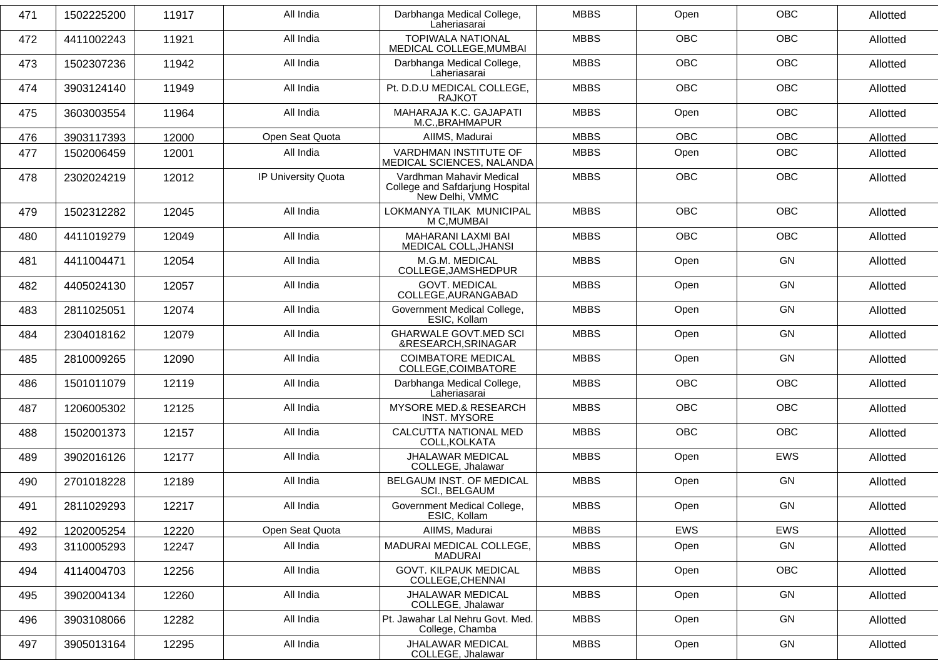| 471 | 1502225200 | 11917 | All India           | Darbhanga Medical College,<br>Laheriasarai                                     | <b>MBBS</b> | Open       | <b>OBC</b> | Allotted |
|-----|------------|-------|---------------------|--------------------------------------------------------------------------------|-------------|------------|------------|----------|
| 472 | 4411002243 | 11921 | All India           | <b>TOPIWALA NATIONAL</b><br>MEDICAL COLLEGE, MUMBAI                            | <b>MBBS</b> | <b>OBC</b> | <b>OBC</b> | Allotted |
| 473 | 1502307236 | 11942 | All India           | Darbhanga Medical College,<br>Laheriasarai                                     | <b>MBBS</b> | <b>OBC</b> | <b>OBC</b> | Allotted |
| 474 | 3903124140 | 11949 | All India           | Pt. D.D.U MEDICAL COLLEGE.<br>RAJKOT                                           | <b>MBBS</b> | <b>OBC</b> | <b>OBC</b> | Allotted |
| 475 | 3603003554 | 11964 | All India           | MAHARAJA K.C. GAJAPATI<br>M.C., BRAHMAPUR                                      | <b>MBBS</b> | Open       | <b>OBC</b> | Allotted |
| 476 | 3903117393 | 12000 | Open Seat Quota     | AIIMS, Madurai                                                                 | <b>MBBS</b> | <b>OBC</b> | <b>OBC</b> | Allotted |
| 477 | 1502006459 | 12001 | All India           | VARDHMAN INSTITUTE OF<br>MEDICAL SCIENCES, NALANDA                             | <b>MBBS</b> | Open       | <b>OBC</b> | Allotted |
| 478 | 2302024219 | 12012 | IP University Quota | Vardhman Mahavir Medical<br>College and Safdarjung Hospital<br>New Delhi, VMMC | <b>MBBS</b> | <b>OBC</b> | <b>OBC</b> | Allotted |
| 479 | 1502312282 | 12045 | All India           | LOKMANYA TILAK MUNICIPAL<br>M C, MUMBAI                                        | <b>MBBS</b> | <b>OBC</b> | <b>OBC</b> | Allotted |
| 480 | 4411019279 | 12049 | All India           | MAHARANI LAXMI BAI<br>MEDICAL COLL, JHANSI                                     | <b>MBBS</b> | <b>OBC</b> | <b>OBC</b> | Allotted |
| 481 | 4411004471 | 12054 | All India           | M.G.M. MEDICAL<br>COLLEGE, JAMSHEDPUR                                          | <b>MBBS</b> | Open       | GN         | Allotted |
| 482 | 4405024130 | 12057 | All India           | <b>GOVT. MEDICAL</b><br>COLLEGE, AURANGABAD                                    | <b>MBBS</b> | Open       | GN         | Allotted |
| 483 | 2811025051 | 12074 | All India           | Government Medical College,<br>ESIC, Kollam                                    | <b>MBBS</b> | Open       | <b>GN</b>  | Allotted |
| 484 | 2304018162 | 12079 | All India           | <b>GHARWALE GOVT.MED SCI</b><br>&RESEARCH, SRINAGAR                            | <b>MBBS</b> | Open       | GN         | Allotted |
| 485 | 2810009265 | 12090 | All India           | <b>COIMBATORE MEDICAL</b><br>COLLEGE, COIMBATORE                               | <b>MBBS</b> | Open       | GN         | Allotted |
| 486 | 1501011079 | 12119 | All India           | Darbhanga Medical College,<br>Laheriasarai                                     | <b>MBBS</b> | OBC        | OBC        | Allotted |
| 487 | 1206005302 | 12125 | All India           | <b>MYSORE MED.&amp; RESEARCH</b><br><b>INST. MYSORE</b>                        | <b>MBBS</b> | <b>OBC</b> | <b>OBC</b> | Allotted |
| 488 | 1502001373 | 12157 | All India           | CALCUTTA NATIONAL MED<br>COLL, KOLKATA                                         | <b>MBBS</b> | <b>OBC</b> | <b>OBC</b> | Allotted |
| 489 | 3902016126 | 12177 | All India           | <b>JHALAWAR MEDICAL</b><br>COLLEGE, Jhalawar                                   | <b>MBBS</b> | Open       | <b>EWS</b> | Allotted |
| 490 | 2701018228 | 12189 | All India           | BELGAUM INST. OF MEDICAL<br><b>SCI., BELGAUM</b>                               | <b>MBBS</b> | Open       | GN         | Allotted |
| 491 | 2811029293 | 12217 | All India           | Government Medical College,<br>ESIC, Kollam                                    | <b>MBBS</b> | Open       | GN         | Allotted |
| 492 | 1202005254 | 12220 | Open Seat Quota     | AIIMS, Madurai                                                                 | <b>MBBS</b> | EWS        | EWS        | Allotted |
| 493 | 3110005293 | 12247 | All India           | MADURAI MEDICAL COLLEGE,<br>MADURAI                                            | <b>MBBS</b> | Open       | GN         | Allotted |
| 494 | 4114004703 | 12256 | All India           | <b>GOVT. KILPAUK MEDICAL</b><br>COLLEGE, CHENNAI                               | <b>MBBS</b> | Open       | OBC        | Allotted |
| 495 | 3902004134 | 12260 | All India           | JHALAWAR MEDICAL<br>COLLEGE, Jhalawar                                          | <b>MBBS</b> | Open       | GN         | Allotted |
| 496 | 3903108066 | 12282 | All India           | Pt. Jawahar Lal Nehru Govt. Med.<br>College, Chamba                            | <b>MBBS</b> | Open       | GN         | Allotted |
| 497 | 3905013164 | 12295 | All India           | JHALAWAR MEDICAL<br>COLLEGE, Jhalawar                                          | <b>MBBS</b> | Open       | GN         | Allotted |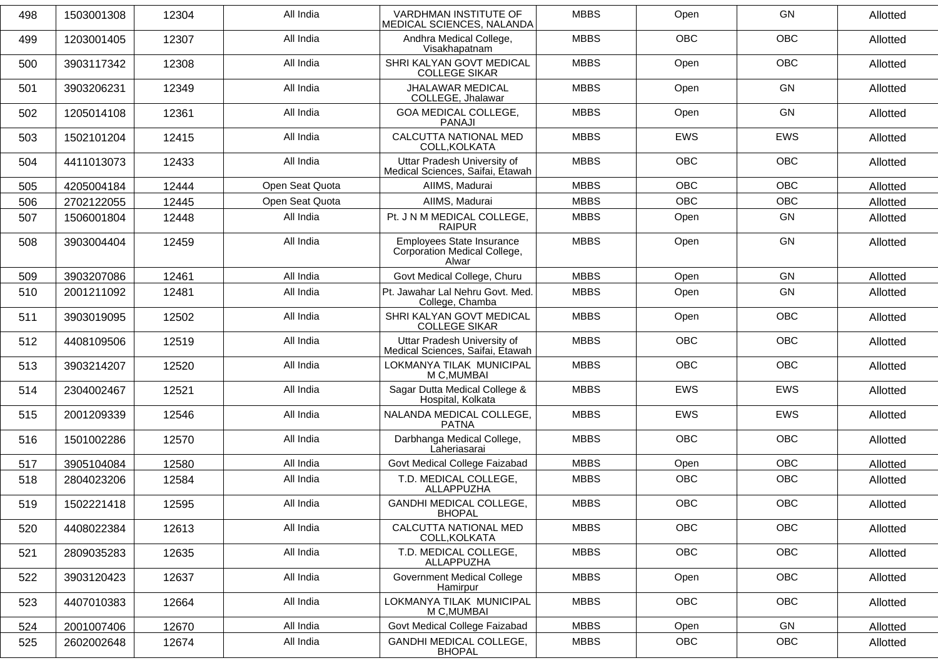| 498 | 1503001308 | 12304 | All India       | <b>VARDHMAN INSTITUTE OF</b><br>MEDICAL SCIENCES, NALANDA          | <b>MBBS</b> | Open       | GN         | Allotted |
|-----|------------|-------|-----------------|--------------------------------------------------------------------|-------------|------------|------------|----------|
| 499 | 1203001405 | 12307 | All India       | Andhra Medical College,<br>Visakhapatnam                           | <b>MBBS</b> | <b>OBC</b> | <b>OBC</b> | Allotted |
| 500 | 3903117342 | 12308 | All India       | SHRI KALYAN GOVT MEDICAL<br><b>COLLEGE SIKAR</b>                   | <b>MBBS</b> | Open       | <b>OBC</b> | Allotted |
| 501 | 3903206231 | 12349 | All India       | <b>JHALAWAR MEDICAL</b><br>COLLEGE, Jhalawar                       | <b>MBBS</b> | Open       | GN         | Allotted |
| 502 | 1205014108 | 12361 | All India       | GOA MEDICAL COLLEGE,<br><b>PANAJI</b>                              | <b>MBBS</b> | Open       | GN         | Allotted |
| 503 | 1502101204 | 12415 | All India       | CALCUTTA NATIONAL MED<br>COLL, KOLKATA                             | <b>MBBS</b> | <b>EWS</b> | <b>EWS</b> | Allotted |
| 504 | 4411013073 | 12433 | All India       | Uttar Pradesh University of<br>Medical Sciences, Saifai, Étawah    | <b>MBBS</b> | <b>OBC</b> | <b>OBC</b> | Allotted |
| 505 | 4205004184 | 12444 | Open Seat Quota | AIIMS, Madurai                                                     | <b>MBBS</b> | <b>OBC</b> | <b>OBC</b> | Allotted |
| 506 | 2702122055 | 12445 | Open Seat Quota | AIIMS, Madurai                                                     | <b>MBBS</b> | <b>OBC</b> | <b>OBC</b> | Allotted |
| 507 | 1506001804 | 12448 | All India       | Pt. J N M MEDICAL COLLEGE,<br><b>RAIPUR</b>                        | <b>MBBS</b> | Open       | GN         | Allotted |
| 508 | 3903004404 | 12459 | All India       | Employees State Insurance<br>Corporation Medical College,<br>Alwar | <b>MBBS</b> | Open       | GN         | Allotted |
| 509 | 3903207086 | 12461 | All India       | Govt Medical College, Churu                                        | <b>MBBS</b> | Open       | <b>GN</b>  | Allotted |
| 510 | 2001211092 | 12481 | All India       | Pt. Jawahar Lal Nehru Govt. Med.<br>College, Chamba                | <b>MBBS</b> | Open       | <b>GN</b>  | Allotted |
| 511 | 3903019095 | 12502 | All India       | SHRI KALYAN GOVT MEDICAL<br><b>COLLEGE SIKAR</b>                   | <b>MBBS</b> | Open       | OBC        | Allotted |
| 512 | 4408109506 | 12519 | All India       | Uttar Pradesh University of<br>Medical Sciences, Saifai, Etawah    | <b>MBBS</b> | <b>OBC</b> | <b>OBC</b> | Allotted |
| 513 | 3903214207 | 12520 | All India       | LOKMANYA TILAK MUNICIPAL<br>M C, MUMBAI                            | <b>MBBS</b> | <b>OBC</b> | <b>OBC</b> | Allotted |
| 514 | 2304002467 | 12521 | All India       | Sagar Dutta Medical College &<br>Hospital, Kolkata                 | <b>MBBS</b> | <b>EWS</b> | EWS        | Allotted |
| 515 | 2001209339 | 12546 | All India       | NALANDA MEDICAL COLLEGE,<br><b>PATNA</b>                           | <b>MBBS</b> | <b>EWS</b> | <b>EWS</b> | Allotted |
| 516 | 1501002286 | 12570 | All India       | Darbhanga Medical College,<br>Laheriasarai                         | <b>MBBS</b> | <b>OBC</b> | <b>OBC</b> | Allotted |
| 517 | 3905104084 | 12580 | All India       | Govt Medical College Faizabad                                      | <b>MBBS</b> | Open       | <b>OBC</b> | Allotted |
| 518 | 2804023206 | 12584 | All India       | T.D. MEDICAL COLLEGE,<br>ALLAPPUZHA                                | <b>MBBS</b> | <b>OBC</b> | <b>OBC</b> | Allotted |
| 519 | 1502221418 | 12595 | All India       | GANDHI MEDICAL COLLEGE,<br><b>BHOPAL</b>                           | <b>MBBS</b> | OBC        | OBC        | Allotted |
| 520 | 4408022384 | 12613 | All India       | CALCUTTA NATIONAL MED<br>COLL, KOLKATA                             | <b>MBBS</b> | OBC        | OBC        | Allotted |
| 521 | 2809035283 | 12635 | All India       | T.D. MEDICAL COLLEGE,<br>ALLAPPUZHA                                | <b>MBBS</b> | OBC        | OBC        | Allotted |
| 522 | 3903120423 | 12637 | All India       | <b>Government Medical College</b><br>Hamirpur                      | <b>MBBS</b> | Open       | OBC        | Allotted |
| 523 | 4407010383 | 12664 | All India       | LOKMANYA TILAK MUNICIPAL<br>M C, MUMBAI                            | <b>MBBS</b> | <b>OBC</b> | OBC        | Allotted |
| 524 | 2001007406 | 12670 | All India       | Govt Medical College Faizabad                                      | <b>MBBS</b> | Open       | GN         | Allotted |
| 525 | 2602002648 | 12674 | All India       | <b>GANDHI MEDICAL COLLEGE,</b><br><b>BHOPAL</b>                    | <b>MBBS</b> | OBC        | OBC        | Allotted |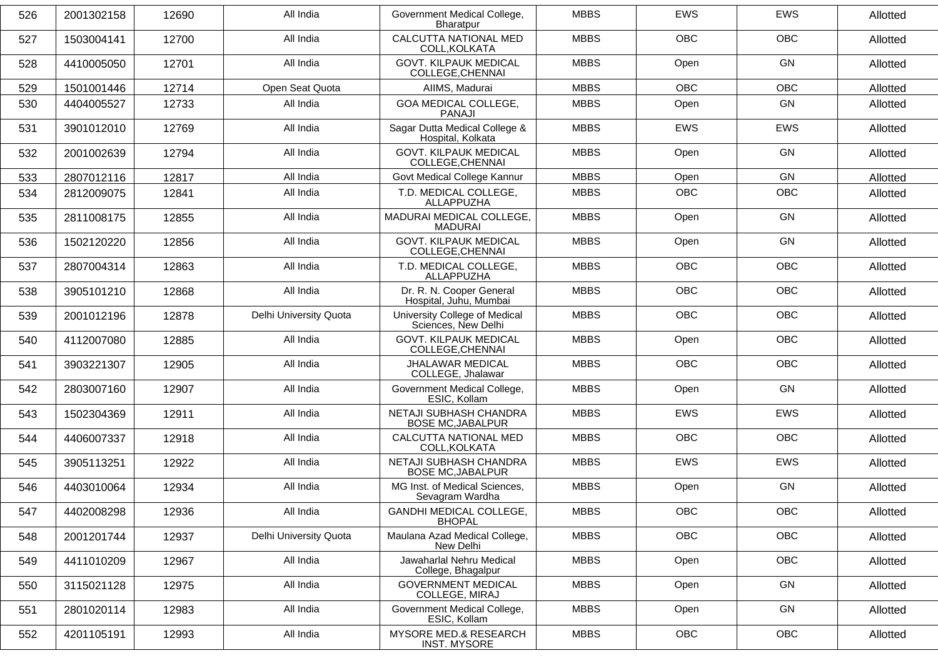| 526 | 2001302158 | 12690 | All India              | Government Medical College,<br>Bharatpur             | <b>MBBS</b> | <b>EWS</b> | <b>EWS</b> | Allotted |
|-----|------------|-------|------------------------|------------------------------------------------------|-------------|------------|------------|----------|
| 527 | 1503004141 | 12700 | All India              | CALCUTTA NATIONAL MED<br>COLL, KOLKATA               | <b>MBBS</b> | <b>OBC</b> | OBC        | Allotted |
| 528 | 4410005050 | 12701 | All India              | <b>GOVT. KILPAUK MEDICAL</b><br>COLLEGE, CHENNAI     | <b>MBBS</b> | Open       | <b>GN</b>  | Allotted |
| 529 | 1501001446 | 12714 | Open Seat Quota        | AIIMS, Madurai                                       | <b>MBBS</b> | <b>OBC</b> | <b>OBC</b> | Allotted |
| 530 | 4404005527 | 12733 | All India              | GOA MEDICAL COLLEGE,<br><b>PANAJI</b>                | <b>MBBS</b> | Open       | <b>GN</b>  | Allotted |
| 531 | 3901012010 | 12769 | All India              | Sagar Dutta Medical College &<br>Hospital, Kolkata   | <b>MBBS</b> | <b>EWS</b> | <b>EWS</b> | Allotted |
| 532 | 2001002639 | 12794 | All India              | <b>GOVT. KILPAUK MEDICAL</b><br>COLLEGE, CHENNAI     | <b>MBBS</b> | Open       | GN         | Allotted |
| 533 | 2807012116 | 12817 | All India              | Govt Medical College Kannur                          | <b>MBBS</b> | Open       | GN         | Allotted |
| 534 | 2812009075 | 12841 | All India              | T.D. MEDICAL COLLEGE,<br>ALLAPPUZHA                  | <b>MBBS</b> | OBC        | OBC        | Allotted |
| 535 | 2811008175 | 12855 | All India              | MADURAI MEDICAL COLLEGE,<br><b>MADURAI</b>           | <b>MBBS</b> | Open       | <b>GN</b>  | Allotted |
| 536 | 1502120220 | 12856 | All India              | <b>GOVT. KILPAUK MEDICAL</b><br>COLLEGE, CHENNAI     | <b>MBBS</b> | Open       | <b>GN</b>  | Allotted |
| 537 | 2807004314 | 12863 | All India              | T.D. MEDICAL COLLEGE,<br>ALLAPPUZHA                  | <b>MBBS</b> | OBC        | OBC        | Allotted |
| 538 | 3905101210 | 12868 | All India              | Dr. R. N. Cooper General<br>Hospital, Juhu, Mumbai   | <b>MBBS</b> | <b>OBC</b> | <b>OBC</b> | Allotted |
| 539 | 2001012196 | 12878 | Delhi University Quota | University College of Medical<br>Sciences, New Delhi | <b>MBBS</b> | <b>OBC</b> | OBC        | Allotted |
| 540 | 4112007080 | 12885 | All India              | <b>GOVT. KILPAUK MEDICAL</b><br>COLLEGE, CHENNAI     | <b>MBBS</b> | Open       | <b>OBC</b> | Allotted |
| 541 | 3903221307 | 12905 | All India              | <b>JHALAWAR MEDICAL</b><br>COLLEGE, Jhalawar         | <b>MBBS</b> | <b>OBC</b> | <b>OBC</b> | Allotted |
| 542 | 2803007160 | 12907 | All India              | Government Medical College,<br>ESIC, Kollam          | <b>MBBS</b> | Open       | <b>GN</b>  | Allotted |
| 543 | 1502304369 | 12911 | All India              | NETAJI SUBHASH CHANDRA<br><b>BOSE MC, JABALPUR</b>   | <b>MBBS</b> | <b>EWS</b> | EWS        | Allotted |
| 544 | 4406007337 | 12918 | All India              | CALCUTTA NATIONAL MED<br>COLL, KOLKATA               | <b>MBBS</b> | <b>OBC</b> | <b>OBC</b> | Allotted |
| 545 | 3905113251 | 12922 | All India              | NETAJI SUBHASH CHANDRA<br><b>BOSE MC, JABALPUR</b>   | <b>MBBS</b> | <b>EWS</b> | <b>EWS</b> | Allotted |
| 546 | 4403010064 | 12934 | All India              | MG Inst. of Medical Sciences,<br>Sevagram Wardha     | <b>MBBS</b> | Open       | <b>GN</b>  | Allotted |
| 547 | 4402008298 | 12936 | All India              | GANDHI MEDICAL COLLEGE,<br><b>BHOPAL</b>             | <b>MBBS</b> | <b>OBC</b> | <b>OBC</b> | Allotted |
| 548 | 2001201744 | 12937 | Delhi University Quota | Maulana Azad Medical College,<br>New Delhi           | <b>MBBS</b> | OBC        | OBC        | Allotted |
| 549 | 4411010209 | 12967 | All India              | Jawaharlal Nehru Medical<br>College, Bhagalpur       | <b>MBBS</b> | Open       | OBC        | Allotted |
| 550 | 3115021128 | 12975 | All India              | <b>GOVERNMENT MEDICAL</b><br>COLLEGE, MIRAJ          | <b>MBBS</b> | Open       | GN         | Allotted |
| 551 | 2801020114 | 12983 | All India              | Government Medical College,<br>ESIC, Kollam          | <b>MBBS</b> | Open       | GN         | Allotted |
| 552 | 4201105191 | 12993 | All India              | MYSORE MED.& RESEARCH<br><b>INST. MYSORE</b>         | <b>MBBS</b> | OBC        | OBC        | Allotted |
|     |            |       |                        |                                                      |             |            |            |          |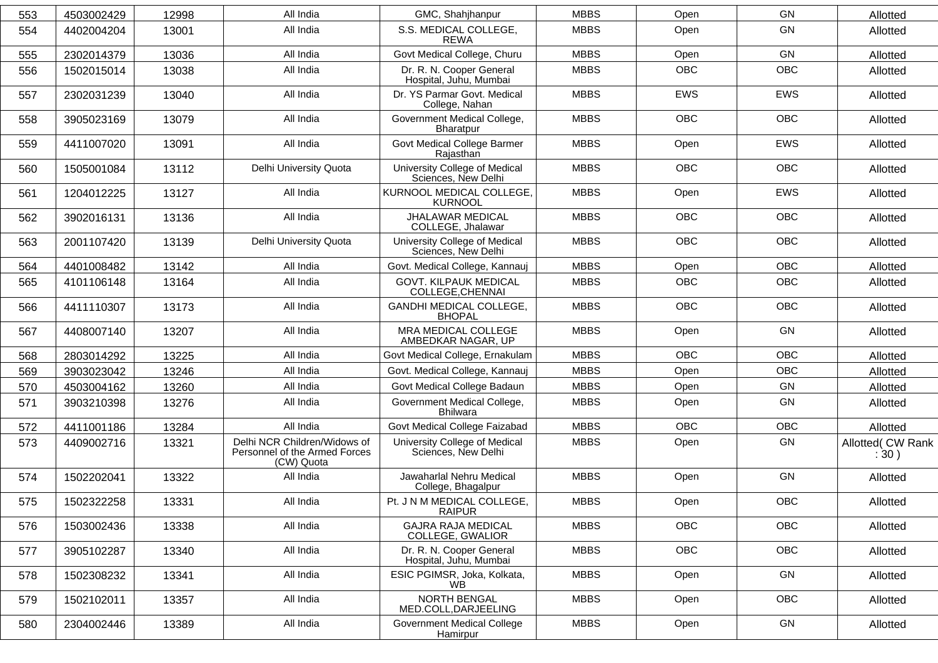| 553 | 4503002429 | 12998 | All India                                                                   | GMC, Shahjhanpur                                     | <b>MBBS</b> | Open       | <b>GN</b>  | Allotted                  |
|-----|------------|-------|-----------------------------------------------------------------------------|------------------------------------------------------|-------------|------------|------------|---------------------------|
| 554 | 4402004204 | 13001 | All India                                                                   | S.S. MEDICAL COLLEGE,<br><b>REWA</b>                 | <b>MBBS</b> | Open       | <b>GN</b>  | Allotted                  |
| 555 | 2302014379 | 13036 | All India                                                                   | Govt Medical College, Churu                          | <b>MBBS</b> | Open       | GN         | Allotted                  |
| 556 | 1502015014 | 13038 | All India                                                                   | Dr. R. N. Cooper General<br>Hospital, Juhu, Mumbai   | <b>MBBS</b> | <b>OBC</b> | <b>OBC</b> | Allotted                  |
| 557 | 2302031239 | 13040 | All India                                                                   | Dr. YS Parmar Govt. Medical<br>College, Nahan        | <b>MBBS</b> | <b>EWS</b> | EWS        | Allotted                  |
| 558 | 3905023169 | 13079 | All India                                                                   | Government Medical College,<br>Bharatpur             | <b>MBBS</b> | <b>OBC</b> | <b>OBC</b> | Allotted                  |
| 559 | 4411007020 | 13091 | All India                                                                   | Govt Medical College Barmer<br>Rajasthan             | <b>MBBS</b> | Open       | <b>EWS</b> | Allotted                  |
| 560 | 1505001084 | 13112 | Delhi University Quota                                                      | University College of Medical<br>Sciences, New Delhi | <b>MBBS</b> | <b>OBC</b> | <b>OBC</b> | Allotted                  |
| 561 | 1204012225 | 13127 | All India                                                                   | KURNOOL MEDICAL COLLEGE,<br><b>KURNOOL</b>           | <b>MBBS</b> | Open       | <b>EWS</b> | Allotted                  |
| 562 | 3902016131 | 13136 | All India                                                                   | JHALAWAR MEDICAL<br>COLLEGE, Jhalawar                | <b>MBBS</b> | <b>OBC</b> | <b>OBC</b> | Allotted                  |
| 563 | 2001107420 | 13139 | Delhi University Quota                                                      | University College of Medical<br>Sciences, New Delhi | <b>MBBS</b> | <b>OBC</b> | <b>OBC</b> | Allotted                  |
| 564 | 4401008482 | 13142 | All India                                                                   | Govt. Medical College, Kannauj                       | <b>MBBS</b> | Open       | <b>OBC</b> | Allotted                  |
| 565 | 4101106148 | 13164 | All India                                                                   | <b>GOVT. KILPAUK MEDICAL</b><br>COLLEGE, CHENNAI     | <b>MBBS</b> | <b>OBC</b> | OBC        | Allotted                  |
| 566 | 4411110307 | 13173 | All India                                                                   | <b>GANDHI MEDICAL COLLEGE,</b><br><b>BHOPAL</b>      | <b>MBBS</b> | <b>OBC</b> | <b>OBC</b> | Allotted                  |
| 567 | 4408007140 | 13207 | All India                                                                   | MRA MEDICAL COLLEGE<br>AMBEDKAR NAGAR, UP            | <b>MBBS</b> | Open       | GN         | Allotted                  |
| 568 | 2803014292 | 13225 | All India                                                                   | Govt Medical College, Ernakulam                      | <b>MBBS</b> | <b>OBC</b> | <b>OBC</b> | Allotted                  |
| 569 | 3903023042 | 13246 | All India                                                                   | Govt. Medical College, Kannauj                       | <b>MBBS</b> | Open       | OBC        | Allotted                  |
| 570 | 4503004162 | 13260 | All India                                                                   | Govt Medical College Badaun                          | <b>MBBS</b> | Open       | GN         | Allotted                  |
| 571 | 3903210398 | 13276 | All India                                                                   | Government Medical College,<br><b>Bhilwara</b>       | <b>MBBS</b> | Open       | GN         | Allotted                  |
| 572 | 4411001186 | 13284 | All India                                                                   | Govt Medical College Faizabad                        | <b>MBBS</b> | <b>OBC</b> | <b>OBC</b> | Allotted                  |
| 573 | 4409002716 | 13321 | Delhi NCR Children/Widows of<br>Personnel of the Armed Forces<br>(CW) Quota | University College of Medical<br>Sciences, New Delhi | <b>MBBS</b> | Open       | GN         | Allotted( CW Rank<br>:30) |
| 574 | 1502202041 | 13322 | All India                                                                   | Jawaharlal Nehru Medical<br>College, Bhagalpur       | <b>MBBS</b> | Open       | GN         | Allotted                  |
| 575 | 1502322258 | 13331 | All India                                                                   | Pt. J N M MEDICAL COLLEGE,<br><b>RAIPUR</b>          | <b>MBBS</b> | Open       | OBC        | Allotted                  |
| 576 | 1503002436 | 13338 | All India                                                                   | <b>GAJRA RAJA MEDICAL</b><br>COLLEGE, GWALIOR        | <b>MBBS</b> | OBC        | OBC        | Allotted                  |
| 577 | 3905102287 | 13340 | All India                                                                   | Dr. R. N. Cooper General<br>Hospital, Juhu, Mumbai   | <b>MBBS</b> | OBC        | OBC        | Allotted                  |
| 578 | 1502308232 | 13341 | All India                                                                   | ESIC PGIMSR, Joka, Kolkata,<br>WB.                   | <b>MBBS</b> | Open       | GN         | Allotted                  |
| 579 | 1502102011 | 13357 | All India                                                                   | NORTH BENGAL<br>MED.COLL, DARJEELING                 | <b>MBBS</b> | Open       | OBC        | Allotted                  |
| 580 | 2304002446 | 13389 | All India                                                                   | <b>Government Medical College</b><br>Hamirpur        | <b>MBBS</b> | Open       | GN         | Allotted                  |
|     |            |       |                                                                             |                                                      |             |            |            |                           |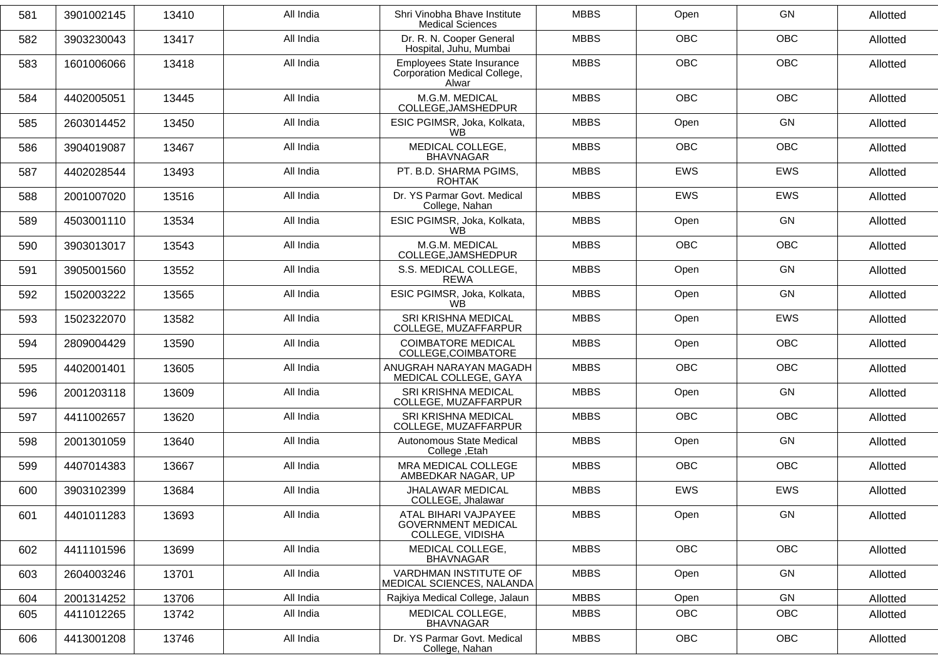| 581 | 3901002145 | 13410 | All India | Shri Vinobha Bhave Institute<br><b>Medical Sciences</b>               | <b>MBBS</b> | Open       | GN         | Allotted |
|-----|------------|-------|-----------|-----------------------------------------------------------------------|-------------|------------|------------|----------|
| 582 | 3903230043 | 13417 | All India | Dr. R. N. Cooper General<br>Hospital, Juhu, Mumbai                    | <b>MBBS</b> | <b>OBC</b> | <b>OBC</b> | Allotted |
| 583 | 1601006066 | 13418 | All India | Employees State Insurance<br>Corporation Medical College,<br>Alwar    | <b>MBBS</b> | <b>OBC</b> | <b>OBC</b> | Allotted |
| 584 | 4402005051 | 13445 | All India | M.G.M. MEDICAL<br>COLLEGE, JAMSHEDPUR                                 | <b>MBBS</b> | <b>OBC</b> | <b>OBC</b> | Allotted |
| 585 | 2603014452 | 13450 | All India | ESIC PGIMSR, Joka, Kolkata,<br><b>WB</b>                              | <b>MBBS</b> | Open       | GN         | Allotted |
| 586 | 3904019087 | 13467 | All India | MEDICAL COLLEGE,<br><b>BHAVNAGAR</b>                                  | <b>MBBS</b> | <b>OBC</b> | <b>OBC</b> | Allotted |
| 587 | 4402028544 | 13493 | All India | PT. B.D. SHARMA PGIMS,<br><b>ROHTAK</b>                               | <b>MBBS</b> | EWS        | EWS        | Allotted |
| 588 | 2001007020 | 13516 | All India | Dr. YS Parmar Govt. Medical<br>College, Nahan                         | <b>MBBS</b> | <b>EWS</b> | <b>EWS</b> | Allotted |
| 589 | 4503001110 | 13534 | All India | ESIC PGIMSR, Joka, Kolkata,<br><b>WB</b>                              | <b>MBBS</b> | Open       | GN         | Allotted |
| 590 | 3903013017 | 13543 | All India | M.G.M. MEDICAL<br>COLLEGE, JAMSHEDPUR                                 | <b>MBBS</b> | <b>OBC</b> | <b>OBC</b> | Allotted |
| 591 | 3905001560 | 13552 | All India | S.S. MEDICAL COLLEGE,<br><b>REWA</b>                                  | <b>MBBS</b> | Open       | <b>GN</b>  | Allotted |
| 592 | 1502003222 | 13565 | All India | ESIC PGIMSR, Joka, Kolkata,<br><b>WB</b>                              | <b>MBBS</b> | Open       | GN         | Allotted |
| 593 | 1502322070 | 13582 | All India | SRI KRISHNA MEDICAL<br>COLLEGE, MUZAFFARPUR                           | <b>MBBS</b> | Open       | EWS        | Allotted |
| 594 | 2809004429 | 13590 | All India | <b>COIMBATORE MEDICAL</b><br>COLLEGE, COIMBATORE                      | <b>MBBS</b> | Open       | OBC        | Allotted |
| 595 | 4402001401 | 13605 | All India | ANUGRAH NARAYAN MAGADH<br>MEDICAL COLLEGE, GAYA                       | <b>MBBS</b> | <b>OBC</b> | <b>OBC</b> | Allotted |
| 596 | 2001203118 | 13609 | All India | SRI KRISHNA MEDICAL<br>COLLEGE, MUZAFFARPUR                           | <b>MBBS</b> | Open       | <b>GN</b>  | Allotted |
| 597 | 4411002657 | 13620 | All India | SRI KRISHNA MEDICAL<br>COLLEGE, MUZAFFARPUR                           | <b>MBBS</b> | <b>OBC</b> | OBC        | Allotted |
| 598 | 2001301059 | 13640 | All India | <b>Autonomous State Medical</b><br>College, Etah                      | <b>MBBS</b> | Open       | GN         | Allotted |
| 599 | 4407014383 | 13667 | All India | MRA MEDICAL COLLEGE<br>AMBEDKAR NAGAR, UP                             | <b>MBBS</b> | <b>OBC</b> | OBC        | Allotted |
| 600 | 3903102399 | 13684 | All India | JHALAWAR MEDICAL<br>COLLEGE, Jhalawar                                 | <b>MBBS</b> | <b>EWS</b> | EWS        | Allotted |
| 601 | 4401011283 | 13693 | All India | ATAL BIHARI VAJPAYEE<br><b>GOVERNMENT MEDICAL</b><br>COLLEGE, VIDISHA | <b>MBBS</b> | Open       | GN         | Allotted |
| 602 | 4411101596 | 13699 | All India | MEDICAL COLLEGE,<br><b>BHAVNAGAR</b>                                  | <b>MBBS</b> | OBC        | OBC        | Allotted |
| 603 | 2604003246 | 13701 | All India | VARDHMAN INSTITUTE OF<br>MEDICAL SCIENCES, NALANDA                    | <b>MBBS</b> | Open       | GN         | Allotted |
| 604 | 2001314252 | 13706 | All India | Rajkiya Medical College, Jalaun                                       | <b>MBBS</b> | Open       | GN         | Allotted |
| 605 | 4411012265 | 13742 | All India | MEDICAL COLLEGE,<br><b>BHAVNAGAR</b>                                  | <b>MBBS</b> | <b>OBC</b> | <b>OBC</b> | Allotted |
| 606 | 4413001208 | 13746 | All India | Dr. YS Parmar Govt. Medical<br>College, Nahan                         | <b>MBBS</b> | OBC        | OBC        | Allotted |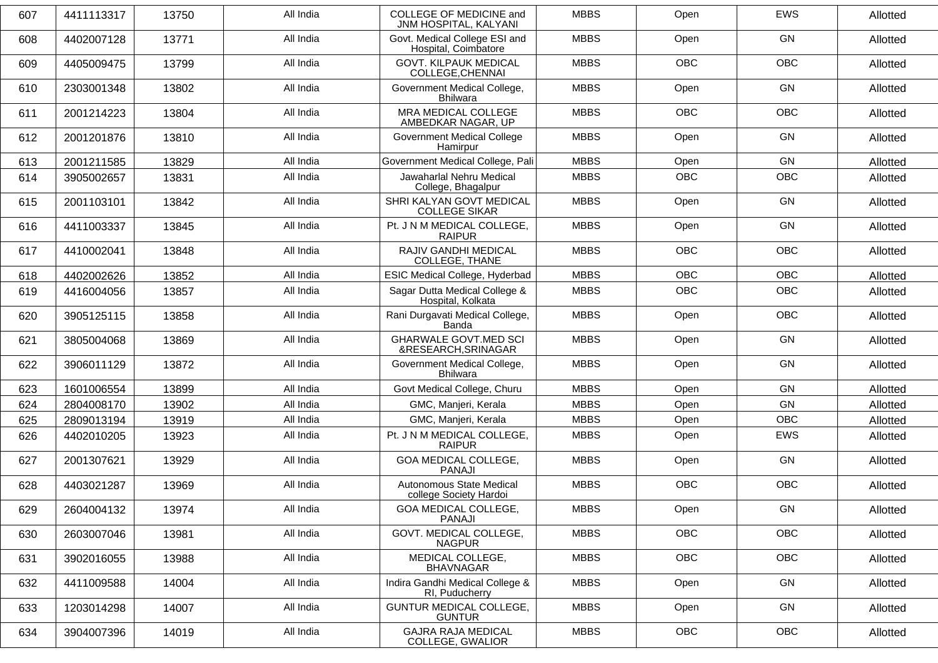| 607 | 4411113317 | 13750 | All India | COLLEGE OF MEDICINE and<br>JNM HOSPITAL, KALYANI      | <b>MBBS</b> | Open       | <b>EWS</b> | Allotted |
|-----|------------|-------|-----------|-------------------------------------------------------|-------------|------------|------------|----------|
| 608 | 4402007128 | 13771 | All India | Govt. Medical College ESI and<br>Hospital, Coimbatore | <b>MBBS</b> | Open       | GN         | Allotted |
| 609 | 4405009475 | 13799 | All India | <b>GOVT. KILPAUK MEDICAL</b><br>COLLEGE, CHENNAI      | <b>MBBS</b> | <b>OBC</b> | <b>OBC</b> | Allotted |
| 610 | 2303001348 | 13802 | All India | Government Medical College,<br><b>Bhilwara</b>        | <b>MBBS</b> | Open       | GN         | Allotted |
| 611 | 2001214223 | 13804 | All India | MRA MEDICAL COLLEGE<br>AMBEDKAR NAGAR, UP             | <b>MBBS</b> | <b>OBC</b> | <b>OBC</b> | Allotted |
| 612 | 2001201876 | 13810 | All India | <b>Government Medical College</b><br>Hamirpur         | <b>MBBS</b> | Open       | GN         | Allotted |
| 613 | 2001211585 | 13829 | All India | Government Medical College, Pali                      | <b>MBBS</b> | Open       | GN         | Allotted |
| 614 | 3905002657 | 13831 | All India | Jawaharlal Nehru Medical<br>College, Bhagalpur        | <b>MBBS</b> | <b>OBC</b> | OBC        | Allotted |
| 615 | 2001103101 | 13842 | All India | SHRI KALYAN GOVT MEDICAL<br><b>COLLEGE SIKAR</b>      | <b>MBBS</b> | Open       | GN         | Allotted |
| 616 | 4411003337 | 13845 | All India | Pt. J N M MEDICAL COLLEGE,<br><b>RAIPUR</b>           | <b>MBBS</b> | Open       | GN         | Allotted |
| 617 | 4410002041 | 13848 | All India | RAJIV GANDHI MEDICAL<br>COLLEGE, THANE                | <b>MBBS</b> | <b>OBC</b> | <b>OBC</b> | Allotted |
| 618 | 4402002626 | 13852 | All India | ESIC Medical College, Hyderbad                        | <b>MBBS</b> | <b>OBC</b> | <b>OBC</b> | Allotted |
| 619 | 4416004056 | 13857 | All India | Sagar Dutta Medical College &<br>Hospital, Kolkata    | <b>MBBS</b> | <b>OBC</b> | OBC        | Allotted |
| 620 | 3905125115 | 13858 | All India | Rani Durgavati Medical College,<br>Banda              | <b>MBBS</b> | Open       | OBC        | Allotted |
| 621 | 3805004068 | 13869 | All India | <b>GHARWALE GOVT.MED SCI</b><br>&RESEARCH, SRINAGAR   | <b>MBBS</b> | Open       | GN         | Allotted |
| 622 | 3906011129 | 13872 | All India | Government Medical College,<br><b>Bhilwara</b>        | <b>MBBS</b> | Open       | GN         | Allotted |
| 623 | 1601006554 | 13899 | All India | Govt Medical College, Churu                           | <b>MBBS</b> | Open       | GN         | Allotted |
| 624 | 2804008170 | 13902 | All India | GMC, Manjeri, Kerala                                  | <b>MBBS</b> | Open       | GN         | Allotted |
| 625 | 2809013194 | 13919 | All India | GMC, Manjeri, Kerala                                  | <b>MBBS</b> | Open       | <b>OBC</b> | Allotted |
| 626 | 4402010205 | 13923 | All India | Pt. J N M MEDICAL COLLEGE,<br><b>RAIPUR</b>           | <b>MBBS</b> | Open       | <b>EWS</b> | Allotted |
| 627 | 2001307621 | 13929 | All India | <b>GOA MEDICAL COLLEGE,</b><br><b>PANAJI</b>          | <b>MBBS</b> | Open       | GN         | Allotted |
| 628 | 4403021287 | 13969 | All India | Autonomous State Medical<br>college Society Hardoi    | <b>MBBS</b> | OBC        | OBC        | Allotted |
| 629 | 2604004132 | 13974 | All India | GOA MEDICAL COLLEGE,<br>PANAJI                        | <b>MBBS</b> | Open       | GN         | Allotted |
| 630 | 2603007046 | 13981 | All India | GOVT. MEDICAL COLLEGE,<br><b>NAGPUR</b>               | <b>MBBS</b> | OBC        | OBC        | Allotted |
| 631 | 3902016055 | 13988 | All India | MEDICAL COLLEGE,<br><b>BHAVNAGAR</b>                  | <b>MBBS</b> | OBC        | OBC        | Allotted |
| 632 | 4411009588 | 14004 | All India | Indira Gandhi Medical College &<br>RI, Puducherry     | <b>MBBS</b> | Open       | GN         | Allotted |
| 633 | 1203014298 | 14007 | All India | GUNTUR MEDICAL COLLEGE,<br><b>GUNTUR</b>              | <b>MBBS</b> | Open       | GN         | Allotted |
| 634 | 3904007396 | 14019 | All India | <b>GAJRA RAJA MEDICAL</b><br>COLLEGE, GWALIOR         | <b>MBBS</b> | OBC        | OBC        | Allotted |
|     |            |       |           |                                                       |             |            |            |          |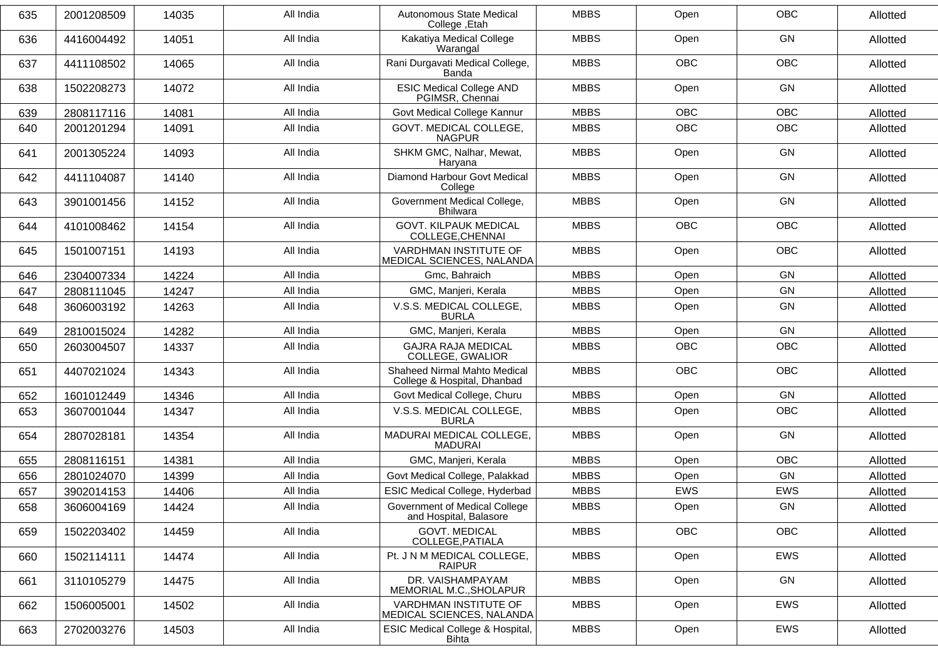| 635 | 2001208509 | 14035 | All India | Autonomous State Medical<br>College, Etah                   | <b>MBBS</b> | Open       | <b>OBC</b> | Allotted |
|-----|------------|-------|-----------|-------------------------------------------------------------|-------------|------------|------------|----------|
| 636 | 4416004492 | 14051 | All India | Kakatiya Medical College<br>Warangal                        | <b>MBBS</b> | Open       | GN         | Allotted |
| 637 | 4411108502 | 14065 | All India | Rani Durgavati Medical College,<br>Banda                    | <b>MBBS</b> | <b>OBC</b> | <b>OBC</b> | Allotted |
| 638 | 1502208273 | 14072 | All India | <b>ESIC Medical College AND</b><br>PGIMSR, Chennai          | <b>MBBS</b> | Open       | GN         | Allotted |
| 639 | 2808117116 | 14081 | All India | Govt Medical College Kannur                                 | <b>MBBS</b> | <b>OBC</b> | <b>OBC</b> | Allotted |
| 640 | 2001201294 | 14091 | All India | GOVT. MEDICAL COLLEGE,<br><b>NAGPUR</b>                     | <b>MBBS</b> | OBC        | OBC        | Allotted |
| 641 | 2001305224 | 14093 | All India | SHKM GMC, Nalhar, Mewat,<br>Haryana                         | <b>MBBS</b> | Open       | GN         | Allotted |
| 642 | 4411104087 | 14140 | All India | Diamond Harbour Govt Medical<br>College                     | <b>MBBS</b> | Open       | GN         | Allotted |
| 643 | 3901001456 | 14152 | All India | Government Medical College,<br><b>Bhilwara</b>              | <b>MBBS</b> | Open       | GN         | Allotted |
| 644 | 4101008462 | 14154 | All India | <b>GOVT. KILPAUK MEDICAL</b><br>COLLEGE, CHENNAI            | <b>MBBS</b> | <b>OBC</b> | <b>OBC</b> | Allotted |
| 645 | 1501007151 | 14193 | All India | VARDHMAN INSTITUTE OF<br>MEDICAL SCIENCES, NALANDA          | <b>MBBS</b> | Open       | OBC        | Allotted |
| 646 | 2304007334 | 14224 | All India | Gmc, Bahraich                                               | <b>MBBS</b> | Open       | GN         | Allotted |
| 647 | 2808111045 | 14247 | All India | GMC, Manjeri, Kerala                                        | <b>MBBS</b> | Open       | GN         | Allotted |
| 648 | 3606003192 | 14263 | All India | V.S.S. MEDICAL COLLEGE,<br><b>BURLA</b>                     | <b>MBBS</b> | Open       | GN         | Allotted |
| 649 | 2810015024 | 14282 | All India | GMC, Manjeri, Kerala                                        | <b>MBBS</b> | Open       | GN         | Allotted |
| 650 | 2603004507 | 14337 | All India | <b>GAJRA RAJA MEDICAL</b><br>COLLEGE, GWALIOR               | <b>MBBS</b> | <b>OBC</b> | <b>OBC</b> | Allotted |
| 651 | 4407021024 | 14343 | All India | Shaheed Nirmal Mahto Medical<br>College & Hospital, Dhanbad | <b>MBBS</b> | <b>OBC</b> | <b>OBC</b> | Allotted |
| 652 | 1601012449 | 14346 | All India | Govt Medical College, Churu                                 | <b>MBBS</b> | Open       | GN         | Allotted |
| 653 | 3607001044 | 14347 | All India | V.S.S. MEDICAL COLLEGE,<br><b>BURLA</b>                     | <b>MBBS</b> | Open       | OBC        | Allotted |
| 654 | 2807028181 | 14354 | All India | MADURAI MEDICAL COLLEGE,<br><b>MADURAI</b>                  | <b>MBBS</b> | Open       | GN         | Allotted |
| 655 | 2808116151 | 14381 | All India | GMC, Manjeri, Kerala                                        | <b>MBBS</b> | Open       | <b>OBC</b> | Allotted |
| 656 | 2801024070 | 14399 | All India | Govt Medical College, Palakkad                              | <b>MBBS</b> | Open       | GN         | Allotted |
| 657 | 3902014153 | 14406 | All India | ESIC Medical College, Hyderbad                              | <b>MBBS</b> | EWS        | EWS        | Allotted |
| 658 | 3606004169 | 14424 | All India | Government of Medical College<br>and Hospital, Balasore     | MBBS        | Open       | GN         | Allotted |
| 659 | 1502203402 | 14459 | All India | <b>GOVT. MEDICAL</b><br>COLLEGE, PATIALA                    | <b>MBBS</b> | OBC        | <b>OBC</b> | Allotted |
| 660 | 1502114111 | 14474 | All India | Pt. J N M MEDICAL COLLEGE,<br><b>RAIPUR</b>                 | <b>MBBS</b> | Open       | EWS        | Allotted |
| 661 | 3110105279 | 14475 | All India | DR. VAISHAMPAYAM<br>MEMORIAL M.C., SHOLAPUR                 | <b>MBBS</b> | Open       | GN         | Allotted |
| 662 | 1506005001 | 14502 | All India | VARDHMAN INSTITUTE OF<br>MEDICAL SCIENCES, NALANDA          | <b>MBBS</b> | Open       | EWS        | Allotted |
| 663 | 2702003276 | 14503 | All India | <b>ESIC Medical College &amp; Hospital,</b><br><b>Bihta</b> | <b>MBBS</b> | Open       | EWS        | Allotted |
|     |            |       |           |                                                             |             |            |            |          |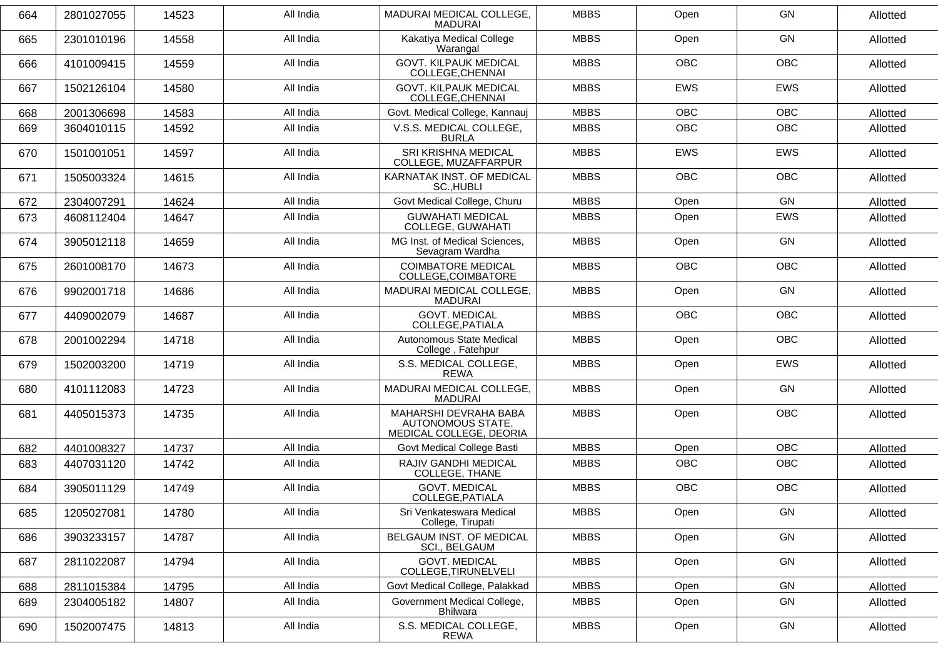| 664 | 2801027055 | 14523 | All India | MADURAI MEDICAL COLLEGE,<br>MADURAI                                   | <b>MBBS</b> | Open       | <b>GN</b>  | Allotted |
|-----|------------|-------|-----------|-----------------------------------------------------------------------|-------------|------------|------------|----------|
| 665 | 2301010196 | 14558 | All India | Kakatiya Medical College<br>Warangal                                  | <b>MBBS</b> | Open       | <b>GN</b>  | Allotted |
| 666 | 4101009415 | 14559 | All India | <b>GOVT. KILPAUK MEDICAL</b><br>COLLEGE, CHENNAI                      | <b>MBBS</b> | <b>OBC</b> | <b>OBC</b> | Allotted |
| 667 | 1502126104 | 14580 | All India | <b>GOVT. KILPAUK MEDICAL</b><br>COLLEGE, CHENNAI                      | <b>MBBS</b> | EWS        | EWS        | Allotted |
| 668 | 2001306698 | 14583 | All India | Govt. Medical College, Kannauj                                        | <b>MBBS</b> | <b>OBC</b> | <b>OBC</b> | Allotted |
| 669 | 3604010115 | 14592 | All India | V.S.S. MEDICAL COLLEGE,<br><b>BURLA</b>                               | <b>MBBS</b> | <b>OBC</b> | <b>OBC</b> | Allotted |
| 670 | 1501001051 | 14597 | All India | SRI KRISHNA MEDICAL<br>COLLEGE, MUZAFFARPUR                           | <b>MBBS</b> | <b>EWS</b> | <b>EWS</b> | Allotted |
| 671 | 1505003324 | 14615 | All India | KARNATAK INST. OF MEDICAL<br>SC., HUBLI                               | <b>MBBS</b> | <b>OBC</b> | <b>OBC</b> | Allotted |
| 672 | 2304007291 | 14624 | All India | Govt Medical College, Churu                                           | <b>MBBS</b> | Open       | <b>GN</b>  | Allotted |
| 673 | 4608112404 | 14647 | All India | <b>GUWAHATI MEDICAL</b><br>COLLEGE, GUWAHATI                          | <b>MBBS</b> | Open       | <b>EWS</b> | Allotted |
| 674 | 3905012118 | 14659 | All India | MG Inst. of Medical Sciences,<br>Sevagram Wardha                      | <b>MBBS</b> | Open       | <b>GN</b>  | Allotted |
| 675 | 2601008170 | 14673 | All India | <b>COIMBATORE MEDICAL</b><br>COLLEGE, COIMBATORE                      | <b>MBBS</b> | <b>OBC</b> | <b>OBC</b> | Allotted |
| 676 | 9902001718 | 14686 | All India | MADURAI MEDICAL COLLEGE,<br><b>MADURAI</b>                            | <b>MBBS</b> | Open       | GN         | Allotted |
| 677 | 4409002079 | 14687 | All India | <b>GOVT. MEDICAL</b><br>COLLEGE, PATIALA                              | <b>MBBS</b> | <b>OBC</b> | <b>OBC</b> | Allotted |
| 678 | 2001002294 | 14718 | All India | Autonomous State Medical<br>College, Fatehpur                         | <b>MBBS</b> | Open       | <b>OBC</b> | Allotted |
| 679 | 1502003200 | 14719 | All India | S.S. MEDICAL COLLEGE,<br><b>REWA</b>                                  | <b>MBBS</b> | Open       | <b>EWS</b> | Allotted |
| 680 | 4101112083 | 14723 | All India | MADURAI MEDICAL COLLEGE,<br><b>MADURAI</b>                            | <b>MBBS</b> | Open       | GN         | Allotted |
| 681 | 4405015373 | 14735 | All India | MAHARSHI DEVRAHA BABA<br>AUTONOMOUS STATE.<br>MEDICAL COLLEGE, DEORIA | <b>MBBS</b> | Open       | <b>OBC</b> | Allotted |
| 682 | 4401008327 | 14737 | All India | Govt Medical College Basti                                            | <b>MBBS</b> | Open       | <b>OBC</b> | Allotted |
| 683 | 4407031120 | 14742 | All India | RAJIV GANDHI MEDICAL<br>COLLEGE, THANE                                | <b>MBBS</b> | <b>OBC</b> | <b>OBC</b> | Allotted |
| 684 | 3905011129 | 14749 | All India | <b>GOVT. MEDICAL</b><br>COLLEGE, PATIALA                              | <b>MBBS</b> | OBC        | OBC        | Allotted |
| 685 | 1205027081 | 14780 | All India | Sri Venkateswara Medical<br>College, Tirupati                         | <b>MBBS</b> | Open       | GN         | Allotted |
| 686 | 3903233157 | 14787 | All India | BELGAUM INST. OF MEDICAL<br>SCI., BELGAUM                             | <b>MBBS</b> | Open       | GN         | Allotted |
| 687 | 2811022087 | 14794 | All India | <b>GOVT. MEDICAL</b><br>COLLEGE, TIRUNELVELI                          | <b>MBBS</b> | Open       | GN         | Allotted |
| 688 | 2811015384 | 14795 | All India | Govt Medical College, Palakkad                                        | <b>MBBS</b> | Open       | GN         | Allotted |
| 689 | 2304005182 | 14807 | All India | Government Medical College,<br>Bhilwara                               | <b>MBBS</b> | Open       | GN         | Allotted |
| 690 | 1502007475 | 14813 | All India | S.S. MEDICAL COLLEGE,<br>REWA                                         | <b>MBBS</b> | Open       | GN         | Allotted |
|     |            |       |           |                                                                       |             |            |            |          |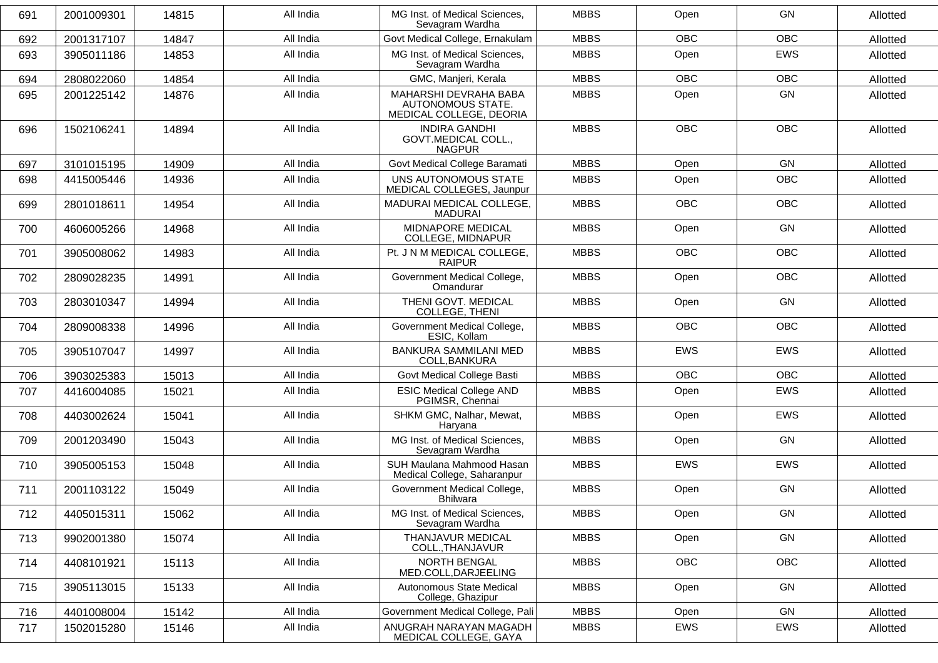| 691 | 2001009301 | 14815 | All India | MG Inst. of Medical Sciences,<br>Sevagram Wardha                      | <b>MBBS</b> | Open       | GN         | Allotted |
|-----|------------|-------|-----------|-----------------------------------------------------------------------|-------------|------------|------------|----------|
| 692 | 2001317107 | 14847 | All India | Govt Medical College, Ernakulam                                       | <b>MBBS</b> | <b>OBC</b> | <b>OBC</b> | Allotted |
| 693 | 3905011186 | 14853 | All India | MG Inst. of Medical Sciences,<br>Sevagram Wardha                      | <b>MBBS</b> | Open       | EWS        | Allotted |
| 694 | 2808022060 | 14854 | All India | GMC, Manjeri, Kerala                                                  | <b>MBBS</b> | <b>OBC</b> | <b>OBC</b> | Allotted |
| 695 | 2001225142 | 14876 | All India | MAHARSHI DEVRAHA BABA<br>AUTONOMOUS STATE.<br>MEDICAL COLLEGE, DEORIA | <b>MBBS</b> | Open       | GN         | Allotted |
| 696 | 1502106241 | 14894 | All India | <b>INDIRA GANDHI</b><br>GOVT.MEDICAL COLL.,<br><b>NAGPUR</b>          | <b>MBBS</b> | <b>OBC</b> | <b>OBC</b> | Allotted |
| 697 | 3101015195 | 14909 | All India | Govt Medical College Baramati                                         | <b>MBBS</b> | Open       | GN         | Allotted |
| 698 | 4415005446 | 14936 | All India | UNS AUTONOMOUS STATE<br>MEDICAL COLLEGES, Jaunpur                     | <b>MBBS</b> | Open       | <b>OBC</b> | Allotted |
| 699 | 2801018611 | 14954 | All India | MADURAI MEDICAL COLLEGE,<br><b>MADURAI</b>                            | <b>MBBS</b> | <b>OBC</b> | <b>OBC</b> | Allotted |
| 700 | 4606005266 | 14968 | All India | MIDNAPORE MEDICAL<br>COLLEGE, MIDNAPUR                                | <b>MBBS</b> | Open       | GN         | Allotted |
| 701 | 3905008062 | 14983 | All India | Pt. J N M MEDICAL COLLEGE,<br><b>RAIPUR</b>                           | <b>MBBS</b> | <b>OBC</b> | <b>OBC</b> | Allotted |
| 702 | 2809028235 | 14991 | All India | Government Medical College,<br>Omandurar                              | <b>MBBS</b> | Open       | <b>OBC</b> | Allotted |
| 703 | 2803010347 | 14994 | All India | THENI GOVT. MEDICAL<br>COLLEGE, THENI                                 | <b>MBBS</b> | Open       | GN         | Allotted |
| 704 | 2809008338 | 14996 | All India | Government Medical College,<br>ESIC, Kollam                           | <b>MBBS</b> | <b>OBC</b> | <b>OBC</b> | Allotted |
| 705 | 3905107047 | 14997 | All India | BANKURA SAMMILANI MED<br>COLL, BANKURA                                | <b>MBBS</b> | <b>EWS</b> | <b>EWS</b> | Allotted |
| 706 | 3903025383 | 15013 | All India | Govt Medical College Basti                                            | <b>MBBS</b> | <b>OBC</b> | <b>OBC</b> | Allotted |
| 707 | 4416004085 | 15021 | All India | <b>ESIC Medical College AND</b><br>PGIMSR, Chennai                    | <b>MBBS</b> | Open       | <b>EWS</b> | Allotted |
| 708 | 4403002624 | 15041 | All India | SHKM GMC, Nalhar, Mewat,<br>Haryana                                   | <b>MBBS</b> | Open       | EWS        | Allotted |
| 709 | 2001203490 | 15043 | All India | MG Inst. of Medical Sciences,<br>Sevagram Wardha                      | <b>MBBS</b> | Open       | <b>GN</b>  | Allotted |
| 710 | 3905005153 | 15048 | All India | SUH Maulana Mahmood Hasan<br>Medical College, Saharanpur              | <b>MBBS</b> | <b>EWS</b> | <b>EWS</b> | Allotted |
| 711 | 2001103122 | 15049 | All India | Government Medical College,<br>Bhilwara                               | <b>MBBS</b> | Open       | GN         | Allotted |
| 712 | 4405015311 | 15062 | All India | MG Inst. of Medical Sciences,<br>Sevagram Wardha                      | <b>MBBS</b> | Open       | GN         | Allotted |
| 713 | 9902001380 | 15074 | All India | <b>THANJAVUR MEDICAL</b><br>COLL., THANJAVUR                          | <b>MBBS</b> | Open       | GN         | Allotted |
| 714 | 4408101921 | 15113 | All India | NORTH BENGAL<br>MED.COLL, DARJEELING                                  | <b>MBBS</b> | OBC        | OBC        | Allotted |
| 715 | 3905113015 | 15133 | All India | Autonomous State Medical<br>College, Ghazipur                         | <b>MBBS</b> | Open       | GN         | Allotted |
| 716 | 4401008004 | 15142 | All India | Government Medical College, Pali                                      | <b>MBBS</b> | Open       | GN         | Allotted |
| 717 | 1502015280 | 15146 | All India | ANUGRAH NARAYAN MAGADH<br>MEDICAL COLLEGE, GAYA                       | <b>MBBS</b> | EWS        | EWS        | Allotted |
|     |            |       |           |                                                                       |             |            |            |          |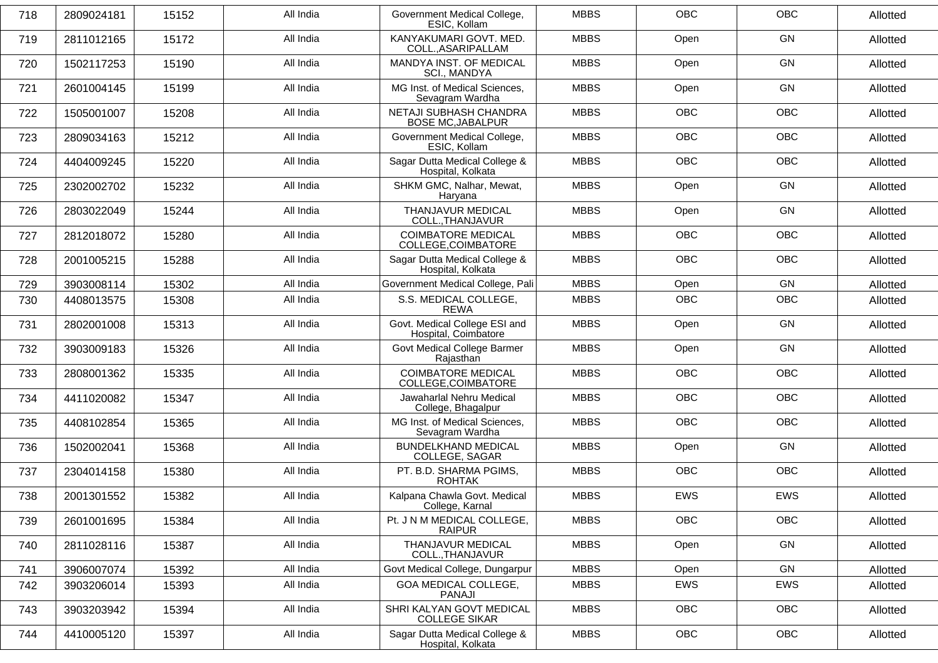| 718 | 2809024181 | 15152 | All India | Government Medical College,<br>ESIC, Kollam           | <b>MBBS</b> | <b>OBC</b> | <b>OBC</b> | Allotted |
|-----|------------|-------|-----------|-------------------------------------------------------|-------------|------------|------------|----------|
| 719 | 2811012165 | 15172 | All India | KANYAKUMARI GOVT. MED.<br>COLL., ASARIPALLAM          | <b>MBBS</b> | Open       | GN         | Allotted |
| 720 | 1502117253 | 15190 | All India | MANDYA INST. OF MEDICAL<br>SCI., MANDYA               | <b>MBBS</b> | Open       | GN         | Allotted |
| 721 | 2601004145 | 15199 | All India | MG Inst. of Medical Sciences,<br>Sevagram Wardha      | <b>MBBS</b> | Open       | GN         | Allotted |
| 722 | 1505001007 | 15208 | All India | NETAJI SUBHASH CHANDRA<br><b>BOSE MC, JABALPUR</b>    | <b>MBBS</b> | <b>OBC</b> | <b>OBC</b> | Allotted |
| 723 | 2809034163 | 15212 | All India | Government Medical College,<br>ESIC, Kollam           | <b>MBBS</b> | <b>OBC</b> | <b>OBC</b> | Allotted |
| 724 | 4404009245 | 15220 | All India | Sagar Dutta Medical College &<br>Hospital, Kolkata    | <b>MBBS</b> | <b>OBC</b> | OBC        | Allotted |
| 725 | 2302002702 | 15232 | All India | SHKM GMC, Nalhar, Mewat,<br>Haryana                   | <b>MBBS</b> | Open       | GN         | Allotted |
| 726 | 2803022049 | 15244 | All India | THANJAVUR MEDICAL<br>COLL., THANJAVUR                 | <b>MBBS</b> | Open       | GN         | Allotted |
| 727 | 2812018072 | 15280 | All India | <b>COIMBATORE MEDICAL</b><br>COLLEGE, COIMBATORE      | <b>MBBS</b> | <b>OBC</b> | OBC        | Allotted |
| 728 | 2001005215 | 15288 | All India | Sagar Dutta Medical College &<br>Hospital, Kolkata    | <b>MBBS</b> | <b>OBC</b> | <b>OBC</b> | Allotted |
| 729 | 3903008114 | 15302 | All India | Government Medical College, Pali                      | <b>MBBS</b> | Open       | GN         | Allotted |
| 730 | 4408013575 | 15308 | All India | S.S. MEDICAL COLLEGE,<br><b>REWA</b>                  | <b>MBBS</b> | <b>OBC</b> | <b>OBC</b> | Allotted |
| 731 | 2802001008 | 15313 | All India | Govt. Medical College ESI and<br>Hospital, Coimbatore | <b>MBBS</b> | Open       | GN         | Allotted |
| 732 | 3903009183 | 15326 | All India | Govt Medical College Barmer<br>Rajasthan              | <b>MBBS</b> | Open       | GN         | Allotted |
| 733 | 2808001362 | 15335 | All India | <b>COIMBATORE MEDICAL</b><br>COLLEGE, COIMBATORE      | <b>MBBS</b> | <b>OBC</b> | <b>OBC</b> | Allotted |
| 734 | 4411020082 | 15347 | All India | Jawaharlal Nehru Medical<br>College, Bhagalpur        | <b>MBBS</b> | <b>OBC</b> | <b>OBC</b> | Allotted |
| 735 | 4408102854 | 15365 | All India | MG Inst. of Medical Sciences,<br>Sevagram Wardha      | <b>MBBS</b> | <b>OBC</b> | OBC        | Allotted |
| 736 | 1502002041 | 15368 | All India | <b>BUNDELKHAND MEDICAL</b><br>COLLEGE, SAGAR          | <b>MBBS</b> | Open       | GN         | Allotted |
| 737 | 2304014158 | 15380 | All India | PT. B.D. SHARMA PGIMS,<br><b>ROHTAK</b>               | <b>MBBS</b> | <b>OBC</b> | <b>OBC</b> | Allotted |
| 738 | 2001301552 | 15382 | All India | Kalpana Chawla Govt. Medical<br>College, Karnal       | <b>MBBS</b> | EWS        | <b>EWS</b> | Allotted |
| 739 | 2601001695 | 15384 | All India | Pt. J N M MEDICAL COLLEGE,<br><b>RAIPUR</b>           | <b>MBBS</b> | OBC        | OBC        | Allotted |
| 740 | 2811028116 | 15387 | All India | THANJAVUR MEDICAL<br>COLL., THANJAVUR                 | <b>MBBS</b> | Open       | GN         | Allotted |
| 741 | 3906007074 | 15392 | All India | Govt Medical College, Dungarpur                       | <b>MBBS</b> | Open       | GN         | Allotted |
| 742 | 3903206014 | 15393 | All India | GOA MEDICAL COLLEGE,<br>PANAJI                        | <b>MBBS</b> | EWS        | EWS        | Allotted |
| 743 | 3903203942 | 15394 | All India | SHRI KALYAN GOVT MEDICAL<br><b>COLLEGE SIKAR</b>      | <b>MBBS</b> | OBC        | OBC        | Allotted |
| 744 | 4410005120 | 15397 | All India | Sagar Dutta Medical College &<br>Hospital, Kolkata    | <b>MBBS</b> | OBC        | OBC        | Allotted |
|     |            |       |           |                                                       |             |            |            |          |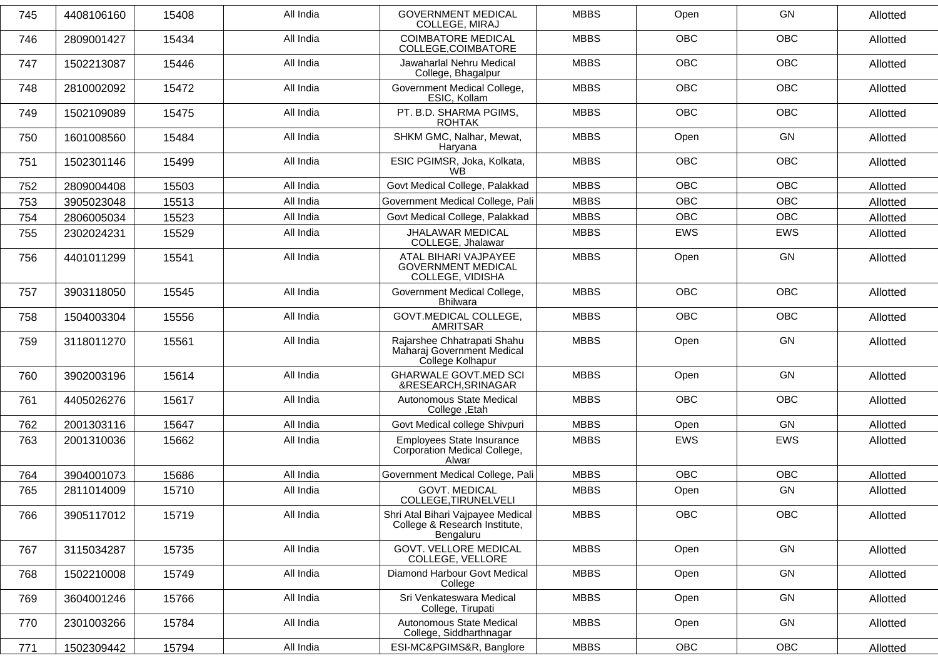| <b>OBC</b><br><b>OBC</b><br>All India<br><b>COIMBATORE MEDICAL</b><br><b>MBBS</b><br>746<br>2809001427<br>15434<br>Allotted<br>COLLEGE, COIMBATORE<br><b>OBC</b><br><b>OBC</b><br>All India<br>Jawaharlal Nehru Medical<br><b>MBBS</b><br>747<br>15446<br>1502213087<br>Allotted<br>College, Bhagalpur<br>Government Medical College,<br>OBC<br>OBC<br>2810002092<br>15472<br>All India<br><b>MBBS</b><br>748<br>Allotted<br>ESIC, Kollam<br>PT. B.D. SHARMA PGIMS,<br><b>OBC</b><br><b>OBC</b><br>All India<br><b>MBBS</b><br>749<br>1502109089<br>15475<br>Allotted<br><b>ROHTAK</b><br>SHKM GMC, Nalhar, Mewat,<br><b>MBBS</b><br>All India<br><b>GN</b><br>Open<br>750<br>1601008560<br>15484<br>Allotted<br>Haryana<br>ESIC PGIMSR, Joka, Kolkata,<br><b>MBBS</b><br>OBC<br>OBC<br>751<br>1502301146<br>15499<br>All India<br>Allotted<br>WB.<br><b>OBC</b><br>All India<br>Govt Medical College, Palakkad<br><b>MBBS</b><br><b>OBC</b><br>Allotted<br>752<br>2809004408<br>15503<br>All India<br>Government Medical College, Pali<br><b>MBBS</b><br><b>OBC</b><br><b>OBC</b><br>753<br>3905023048<br>15513<br>Allotted<br>All India<br>Govt Medical College, Palakkad<br><b>MBBS</b><br><b>OBC</b><br><b>OBC</b><br>754<br>2806005034<br>15523<br>Allotted<br><b>JHALAWAR MEDICAL</b><br><b>MBBS</b><br>All India<br><b>EWS</b><br><b>EWS</b><br>755<br>2302024231<br>15529<br>Allotted<br>COLLEGE, Jhalawar<br><b>MBBS</b><br>GN<br>All India<br>ATAL BIHARI VAJPAYEE<br>Open<br>756<br>4401011299<br>15541<br>Allotted<br><b>GOVERNMENT MEDICAL</b><br>COLLEGE, VIDISHA<br>All India<br><b>MBBS</b><br><b>OBC</b><br><b>OBC</b><br>757<br>3903118050<br>15545<br>Government Medical College,<br>Allotted<br><b>Bhilwara</b><br><b>GOVT.MEDICAL COLLEGE,</b><br><b>MBBS</b><br><b>OBC</b><br>OBC<br>All India<br>758<br>1504003304<br>15556<br>Allotted<br><b>AMRITSAR</b><br>Rajarshee Chhatrapati Shahu<br>GN<br>All India<br><b>MBBS</b><br>Open<br>3118011270<br>15561<br>759<br>Allotted<br>Maharaj Government Medical<br>College Kolhapur<br><b>GHARWALE GOVT.MED SCI</b><br><b>MBBS</b><br>GN<br>All India<br>Open<br>760<br>3902003196<br>15614<br>Allotted<br>&RESEARCH, SRINAGAR<br>All India<br>Autonomous State Medical<br><b>MBBS</b><br><b>OBC</b><br>OBC<br>761<br>4405026276<br>15617<br>Allotted<br>College, Etah<br>All India<br><b>MBBS</b><br>GN<br>Govt Medical college Shivpuri<br>Open<br>762<br>2001303116<br>15647<br>Allotted<br>All India<br>Employees State Insurance<br><b>MBBS</b><br>EWS<br>EWS<br>Allotted<br>763<br>2001310036<br>15662<br>Corporation Medical College,<br>Alwar<br>All India<br><b>MBBS</b><br><b>OBC</b><br><b>OBC</b><br>Government Medical College, Pali<br>764<br>3904001073<br>15686<br>Allotted<br><b>GOVT. MEDICAL</b><br><b>MBBS</b><br>GN<br>All India<br>765<br>2811014009<br>15710<br>Open<br>Allotted<br>COLLEGE, TIRUNELVELI<br>OBC<br>OBC<br>All India<br>Shri Atal Bihari Vajpayee Medical<br><b>MBBS</b><br>3905117012<br>15719<br>766<br>Allotted<br>College & Research Institute,<br>Bengaluru<br><b>GOVT. VELLORE MEDICAL</b><br><b>MBBS</b><br>All India<br>Open<br>GN<br>767<br>3115034287<br>15735<br>Allotted<br>COLLEGE, VELLORE<br>Diamond Harbour Govt Medical<br>GN<br>768<br>1502210008<br>All India<br><b>MBBS</b><br>Allotted<br>15749<br>Open<br>College<br>All India<br>Sri Venkateswara Medical<br><b>MBBS</b><br>GN<br>Open<br>15766<br>Allotted<br>769<br>3604001246<br>College, Tirupati<br>Autonomous State Medical<br>All India<br><b>MBBS</b><br>Open<br>GN<br>770<br>2301003266<br>15784<br>Allotted<br>College, Siddharthnagar<br>771<br>All India<br><b>MBBS</b><br>OBC<br>OBC<br>1502309442<br>15794<br>ESI-MC&PGIMS&R, Banglore<br>Allotted | 745 | 4408106160 | 15408 | All India | <b>GOVERNMENT MEDICAL</b><br><b>COLLEGE, MIRAJ</b> | <b>MBBS</b> | Open | GN | Allotted |
|--------------------------------------------------------------------------------------------------------------------------------------------------------------------------------------------------------------------------------------------------------------------------------------------------------------------------------------------------------------------------------------------------------------------------------------------------------------------------------------------------------------------------------------------------------------------------------------------------------------------------------------------------------------------------------------------------------------------------------------------------------------------------------------------------------------------------------------------------------------------------------------------------------------------------------------------------------------------------------------------------------------------------------------------------------------------------------------------------------------------------------------------------------------------------------------------------------------------------------------------------------------------------------------------------------------------------------------------------------------------------------------------------------------------------------------------------------------------------------------------------------------------------------------------------------------------------------------------------------------------------------------------------------------------------------------------------------------------------------------------------------------------------------------------------------------------------------------------------------------------------------------------------------------------------------------------------------------------------------------------------------------------------------------------------------------------------------------------------------------------------------------------------------------------------------------------------------------------------------------------------------------------------------------------------------------------------------------------------------------------------------------------------------------------------------------------------------------------------------------------------------------------------------------------------------------------------------------------------------------------------------------------------------------------------------------------------------------------------------------------------------------------------------------------------------------------------------------------------------------------------------------------------------------------------------------------------------------------------------------------------------------------------------------------------------------------------------------------------------------------------------------------------------------------------------------------------------------------------------------------------------------------------------------------------------------------------------------------------------------------------------------------------------------------------------------------------------------------------------------------------------------------------------------------------------------------------------------------------------------------------------------------------------------------------------------------------------------------------------------------------|-----|------------|-------|-----------|----------------------------------------------------|-------------|------|----|----------|
|                                                                                                                                                                                                                                                                                                                                                                                                                                                                                                                                                                                                                                                                                                                                                                                                                                                                                                                                                                                                                                                                                                                                                                                                                                                                                                                                                                                                                                                                                                                                                                                                                                                                                                                                                                                                                                                                                                                                                                                                                                                                                                                                                                                                                                                                                                                                                                                                                                                                                                                                                                                                                                                                                                                                                                                                                                                                                                                                                                                                                                                                                                                                                                                                                                                                                                                                                                                                                                                                                                                                                                                                                                                                                                                                                  |     |            |       |           |                                                    |             |      |    |          |
|                                                                                                                                                                                                                                                                                                                                                                                                                                                                                                                                                                                                                                                                                                                                                                                                                                                                                                                                                                                                                                                                                                                                                                                                                                                                                                                                                                                                                                                                                                                                                                                                                                                                                                                                                                                                                                                                                                                                                                                                                                                                                                                                                                                                                                                                                                                                                                                                                                                                                                                                                                                                                                                                                                                                                                                                                                                                                                                                                                                                                                                                                                                                                                                                                                                                                                                                                                                                                                                                                                                                                                                                                                                                                                                                                  |     |            |       |           |                                                    |             |      |    |          |
|                                                                                                                                                                                                                                                                                                                                                                                                                                                                                                                                                                                                                                                                                                                                                                                                                                                                                                                                                                                                                                                                                                                                                                                                                                                                                                                                                                                                                                                                                                                                                                                                                                                                                                                                                                                                                                                                                                                                                                                                                                                                                                                                                                                                                                                                                                                                                                                                                                                                                                                                                                                                                                                                                                                                                                                                                                                                                                                                                                                                                                                                                                                                                                                                                                                                                                                                                                                                                                                                                                                                                                                                                                                                                                                                                  |     |            |       |           |                                                    |             |      |    |          |
|                                                                                                                                                                                                                                                                                                                                                                                                                                                                                                                                                                                                                                                                                                                                                                                                                                                                                                                                                                                                                                                                                                                                                                                                                                                                                                                                                                                                                                                                                                                                                                                                                                                                                                                                                                                                                                                                                                                                                                                                                                                                                                                                                                                                                                                                                                                                                                                                                                                                                                                                                                                                                                                                                                                                                                                                                                                                                                                                                                                                                                                                                                                                                                                                                                                                                                                                                                                                                                                                                                                                                                                                                                                                                                                                                  |     |            |       |           |                                                    |             |      |    |          |
|                                                                                                                                                                                                                                                                                                                                                                                                                                                                                                                                                                                                                                                                                                                                                                                                                                                                                                                                                                                                                                                                                                                                                                                                                                                                                                                                                                                                                                                                                                                                                                                                                                                                                                                                                                                                                                                                                                                                                                                                                                                                                                                                                                                                                                                                                                                                                                                                                                                                                                                                                                                                                                                                                                                                                                                                                                                                                                                                                                                                                                                                                                                                                                                                                                                                                                                                                                                                                                                                                                                                                                                                                                                                                                                                                  |     |            |       |           |                                                    |             |      |    |          |
|                                                                                                                                                                                                                                                                                                                                                                                                                                                                                                                                                                                                                                                                                                                                                                                                                                                                                                                                                                                                                                                                                                                                                                                                                                                                                                                                                                                                                                                                                                                                                                                                                                                                                                                                                                                                                                                                                                                                                                                                                                                                                                                                                                                                                                                                                                                                                                                                                                                                                                                                                                                                                                                                                                                                                                                                                                                                                                                                                                                                                                                                                                                                                                                                                                                                                                                                                                                                                                                                                                                                                                                                                                                                                                                                                  |     |            |       |           |                                                    |             |      |    |          |
|                                                                                                                                                                                                                                                                                                                                                                                                                                                                                                                                                                                                                                                                                                                                                                                                                                                                                                                                                                                                                                                                                                                                                                                                                                                                                                                                                                                                                                                                                                                                                                                                                                                                                                                                                                                                                                                                                                                                                                                                                                                                                                                                                                                                                                                                                                                                                                                                                                                                                                                                                                                                                                                                                                                                                                                                                                                                                                                                                                                                                                                                                                                                                                                                                                                                                                                                                                                                                                                                                                                                                                                                                                                                                                                                                  |     |            |       |           |                                                    |             |      |    |          |
|                                                                                                                                                                                                                                                                                                                                                                                                                                                                                                                                                                                                                                                                                                                                                                                                                                                                                                                                                                                                                                                                                                                                                                                                                                                                                                                                                                                                                                                                                                                                                                                                                                                                                                                                                                                                                                                                                                                                                                                                                                                                                                                                                                                                                                                                                                                                                                                                                                                                                                                                                                                                                                                                                                                                                                                                                                                                                                                                                                                                                                                                                                                                                                                                                                                                                                                                                                                                                                                                                                                                                                                                                                                                                                                                                  |     |            |       |           |                                                    |             |      |    |          |
|                                                                                                                                                                                                                                                                                                                                                                                                                                                                                                                                                                                                                                                                                                                                                                                                                                                                                                                                                                                                                                                                                                                                                                                                                                                                                                                                                                                                                                                                                                                                                                                                                                                                                                                                                                                                                                                                                                                                                                                                                                                                                                                                                                                                                                                                                                                                                                                                                                                                                                                                                                                                                                                                                                                                                                                                                                                                                                                                                                                                                                                                                                                                                                                                                                                                                                                                                                                                                                                                                                                                                                                                                                                                                                                                                  |     |            |       |           |                                                    |             |      |    |          |
|                                                                                                                                                                                                                                                                                                                                                                                                                                                                                                                                                                                                                                                                                                                                                                                                                                                                                                                                                                                                                                                                                                                                                                                                                                                                                                                                                                                                                                                                                                                                                                                                                                                                                                                                                                                                                                                                                                                                                                                                                                                                                                                                                                                                                                                                                                                                                                                                                                                                                                                                                                                                                                                                                                                                                                                                                                                                                                                                                                                                                                                                                                                                                                                                                                                                                                                                                                                                                                                                                                                                                                                                                                                                                                                                                  |     |            |       |           |                                                    |             |      |    |          |
|                                                                                                                                                                                                                                                                                                                                                                                                                                                                                                                                                                                                                                                                                                                                                                                                                                                                                                                                                                                                                                                                                                                                                                                                                                                                                                                                                                                                                                                                                                                                                                                                                                                                                                                                                                                                                                                                                                                                                                                                                                                                                                                                                                                                                                                                                                                                                                                                                                                                                                                                                                                                                                                                                                                                                                                                                                                                                                                                                                                                                                                                                                                                                                                                                                                                                                                                                                                                                                                                                                                                                                                                                                                                                                                                                  |     |            |       |           |                                                    |             |      |    |          |
|                                                                                                                                                                                                                                                                                                                                                                                                                                                                                                                                                                                                                                                                                                                                                                                                                                                                                                                                                                                                                                                                                                                                                                                                                                                                                                                                                                                                                                                                                                                                                                                                                                                                                                                                                                                                                                                                                                                                                                                                                                                                                                                                                                                                                                                                                                                                                                                                                                                                                                                                                                                                                                                                                                                                                                                                                                                                                                                                                                                                                                                                                                                                                                                                                                                                                                                                                                                                                                                                                                                                                                                                                                                                                                                                                  |     |            |       |           |                                                    |             |      |    |          |
|                                                                                                                                                                                                                                                                                                                                                                                                                                                                                                                                                                                                                                                                                                                                                                                                                                                                                                                                                                                                                                                                                                                                                                                                                                                                                                                                                                                                                                                                                                                                                                                                                                                                                                                                                                                                                                                                                                                                                                                                                                                                                                                                                                                                                                                                                                                                                                                                                                                                                                                                                                                                                                                                                                                                                                                                                                                                                                                                                                                                                                                                                                                                                                                                                                                                                                                                                                                                                                                                                                                                                                                                                                                                                                                                                  |     |            |       |           |                                                    |             |      |    |          |
|                                                                                                                                                                                                                                                                                                                                                                                                                                                                                                                                                                                                                                                                                                                                                                                                                                                                                                                                                                                                                                                                                                                                                                                                                                                                                                                                                                                                                                                                                                                                                                                                                                                                                                                                                                                                                                                                                                                                                                                                                                                                                                                                                                                                                                                                                                                                                                                                                                                                                                                                                                                                                                                                                                                                                                                                                                                                                                                                                                                                                                                                                                                                                                                                                                                                                                                                                                                                                                                                                                                                                                                                                                                                                                                                                  |     |            |       |           |                                                    |             |      |    |          |
|                                                                                                                                                                                                                                                                                                                                                                                                                                                                                                                                                                                                                                                                                                                                                                                                                                                                                                                                                                                                                                                                                                                                                                                                                                                                                                                                                                                                                                                                                                                                                                                                                                                                                                                                                                                                                                                                                                                                                                                                                                                                                                                                                                                                                                                                                                                                                                                                                                                                                                                                                                                                                                                                                                                                                                                                                                                                                                                                                                                                                                                                                                                                                                                                                                                                                                                                                                                                                                                                                                                                                                                                                                                                                                                                                  |     |            |       |           |                                                    |             |      |    |          |
|                                                                                                                                                                                                                                                                                                                                                                                                                                                                                                                                                                                                                                                                                                                                                                                                                                                                                                                                                                                                                                                                                                                                                                                                                                                                                                                                                                                                                                                                                                                                                                                                                                                                                                                                                                                                                                                                                                                                                                                                                                                                                                                                                                                                                                                                                                                                                                                                                                                                                                                                                                                                                                                                                                                                                                                                                                                                                                                                                                                                                                                                                                                                                                                                                                                                                                                                                                                                                                                                                                                                                                                                                                                                                                                                                  |     |            |       |           |                                                    |             |      |    |          |
|                                                                                                                                                                                                                                                                                                                                                                                                                                                                                                                                                                                                                                                                                                                                                                                                                                                                                                                                                                                                                                                                                                                                                                                                                                                                                                                                                                                                                                                                                                                                                                                                                                                                                                                                                                                                                                                                                                                                                                                                                                                                                                                                                                                                                                                                                                                                                                                                                                                                                                                                                                                                                                                                                                                                                                                                                                                                                                                                                                                                                                                                                                                                                                                                                                                                                                                                                                                                                                                                                                                                                                                                                                                                                                                                                  |     |            |       |           |                                                    |             |      |    |          |
|                                                                                                                                                                                                                                                                                                                                                                                                                                                                                                                                                                                                                                                                                                                                                                                                                                                                                                                                                                                                                                                                                                                                                                                                                                                                                                                                                                                                                                                                                                                                                                                                                                                                                                                                                                                                                                                                                                                                                                                                                                                                                                                                                                                                                                                                                                                                                                                                                                                                                                                                                                                                                                                                                                                                                                                                                                                                                                                                                                                                                                                                                                                                                                                                                                                                                                                                                                                                                                                                                                                                                                                                                                                                                                                                                  |     |            |       |           |                                                    |             |      |    |          |
|                                                                                                                                                                                                                                                                                                                                                                                                                                                                                                                                                                                                                                                                                                                                                                                                                                                                                                                                                                                                                                                                                                                                                                                                                                                                                                                                                                                                                                                                                                                                                                                                                                                                                                                                                                                                                                                                                                                                                                                                                                                                                                                                                                                                                                                                                                                                                                                                                                                                                                                                                                                                                                                                                                                                                                                                                                                                                                                                                                                                                                                                                                                                                                                                                                                                                                                                                                                                                                                                                                                                                                                                                                                                                                                                                  |     |            |       |           |                                                    |             |      |    |          |
|                                                                                                                                                                                                                                                                                                                                                                                                                                                                                                                                                                                                                                                                                                                                                                                                                                                                                                                                                                                                                                                                                                                                                                                                                                                                                                                                                                                                                                                                                                                                                                                                                                                                                                                                                                                                                                                                                                                                                                                                                                                                                                                                                                                                                                                                                                                                                                                                                                                                                                                                                                                                                                                                                                                                                                                                                                                                                                                                                                                                                                                                                                                                                                                                                                                                                                                                                                                                                                                                                                                                                                                                                                                                                                                                                  |     |            |       |           |                                                    |             |      |    |          |
|                                                                                                                                                                                                                                                                                                                                                                                                                                                                                                                                                                                                                                                                                                                                                                                                                                                                                                                                                                                                                                                                                                                                                                                                                                                                                                                                                                                                                                                                                                                                                                                                                                                                                                                                                                                                                                                                                                                                                                                                                                                                                                                                                                                                                                                                                                                                                                                                                                                                                                                                                                                                                                                                                                                                                                                                                                                                                                                                                                                                                                                                                                                                                                                                                                                                                                                                                                                                                                                                                                                                                                                                                                                                                                                                                  |     |            |       |           |                                                    |             |      |    |          |
|                                                                                                                                                                                                                                                                                                                                                                                                                                                                                                                                                                                                                                                                                                                                                                                                                                                                                                                                                                                                                                                                                                                                                                                                                                                                                                                                                                                                                                                                                                                                                                                                                                                                                                                                                                                                                                                                                                                                                                                                                                                                                                                                                                                                                                                                                                                                                                                                                                                                                                                                                                                                                                                                                                                                                                                                                                                                                                                                                                                                                                                                                                                                                                                                                                                                                                                                                                                                                                                                                                                                                                                                                                                                                                                                                  |     |            |       |           |                                                    |             |      |    |          |
|                                                                                                                                                                                                                                                                                                                                                                                                                                                                                                                                                                                                                                                                                                                                                                                                                                                                                                                                                                                                                                                                                                                                                                                                                                                                                                                                                                                                                                                                                                                                                                                                                                                                                                                                                                                                                                                                                                                                                                                                                                                                                                                                                                                                                                                                                                                                                                                                                                                                                                                                                                                                                                                                                                                                                                                                                                                                                                                                                                                                                                                                                                                                                                                                                                                                                                                                                                                                                                                                                                                                                                                                                                                                                                                                                  |     |            |       |           |                                                    |             |      |    |          |
|                                                                                                                                                                                                                                                                                                                                                                                                                                                                                                                                                                                                                                                                                                                                                                                                                                                                                                                                                                                                                                                                                                                                                                                                                                                                                                                                                                                                                                                                                                                                                                                                                                                                                                                                                                                                                                                                                                                                                                                                                                                                                                                                                                                                                                                                                                                                                                                                                                                                                                                                                                                                                                                                                                                                                                                                                                                                                                                                                                                                                                                                                                                                                                                                                                                                                                                                                                                                                                                                                                                                                                                                                                                                                                                                                  |     |            |       |           |                                                    |             |      |    |          |
|                                                                                                                                                                                                                                                                                                                                                                                                                                                                                                                                                                                                                                                                                                                                                                                                                                                                                                                                                                                                                                                                                                                                                                                                                                                                                                                                                                                                                                                                                                                                                                                                                                                                                                                                                                                                                                                                                                                                                                                                                                                                                                                                                                                                                                                                                                                                                                                                                                                                                                                                                                                                                                                                                                                                                                                                                                                                                                                                                                                                                                                                                                                                                                                                                                                                                                                                                                                                                                                                                                                                                                                                                                                                                                                                                  |     |            |       |           |                                                    |             |      |    |          |
|                                                                                                                                                                                                                                                                                                                                                                                                                                                                                                                                                                                                                                                                                                                                                                                                                                                                                                                                                                                                                                                                                                                                                                                                                                                                                                                                                                                                                                                                                                                                                                                                                                                                                                                                                                                                                                                                                                                                                                                                                                                                                                                                                                                                                                                                                                                                                                                                                                                                                                                                                                                                                                                                                                                                                                                                                                                                                                                                                                                                                                                                                                                                                                                                                                                                                                                                                                                                                                                                                                                                                                                                                                                                                                                                                  |     |            |       |           |                                                    |             |      |    |          |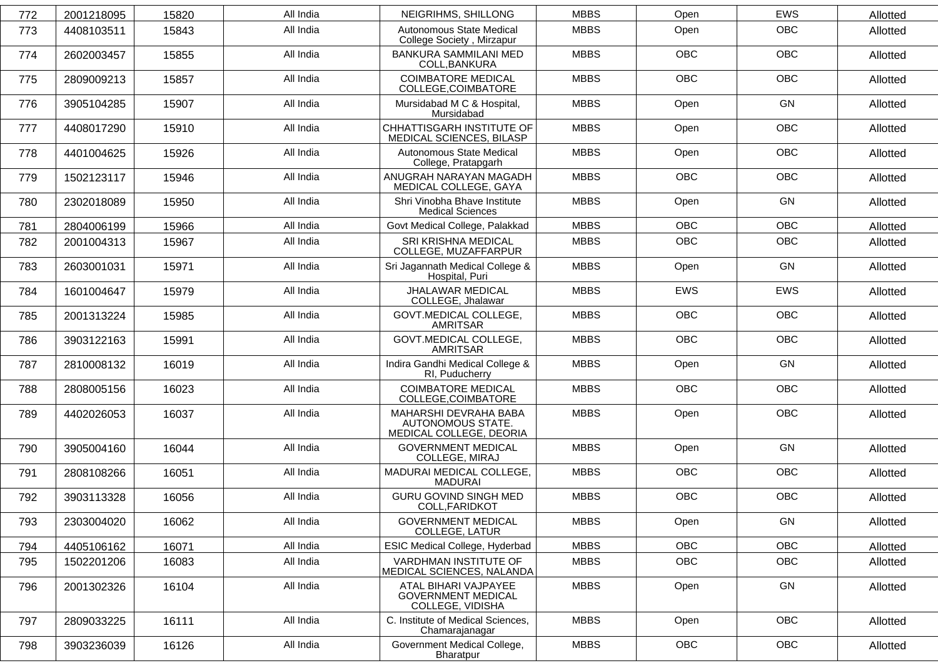| 772 | 2001218095 | 15820 | All India | NEIGRIHMS, SHILLONG                                                   | <b>MBBS</b> | Open       | <b>EWS</b> | Allotted |
|-----|------------|-------|-----------|-----------------------------------------------------------------------|-------------|------------|------------|----------|
| 773 | 4408103511 | 15843 | All India | Autonomous State Medical<br>College Society, Mirzapur                 | <b>MBBS</b> | Open       | OBC        | Allotted |
| 774 | 2602003457 | 15855 | All India | BANKURA SAMMILANI MED<br>COLL, BANKURA                                | <b>MBBS</b> | OBC        | OBC        | Allotted |
| 775 | 2809009213 | 15857 | All India | <b>COIMBATORE MEDICAL</b><br>COLLEGE, COIMBATORE                      | <b>MBBS</b> | <b>OBC</b> | <b>OBC</b> | Allotted |
| 776 | 3905104285 | 15907 | All India | Mursidabad M C & Hospital,<br>Mursidabad                              | <b>MBBS</b> | Open       | GN         | Allotted |
| 777 | 4408017290 | 15910 | All India | CHHATTISGARH INSTITUTE OF<br>MEDICAL SCIENCES, BILASP                 | <b>MBBS</b> | Open       | OBC        | Allotted |
| 778 | 4401004625 | 15926 | All India | Autonomous State Medical<br>College, Pratapgarh                       | <b>MBBS</b> | Open       | <b>OBC</b> | Allotted |
| 779 | 1502123117 | 15946 | All India | ANUGRAH NARAYAN MAGADH<br>MEDICAL COLLEGE, GAYA                       | <b>MBBS</b> | <b>OBC</b> | OBC        | Allotted |
| 780 | 2302018089 | 15950 | All India | Shri Vinobha Bhave Institute<br><b>Medical Sciences</b>               | <b>MBBS</b> | Open       | GN         | Allotted |
| 781 | 2804006199 | 15966 | All India | Govt Medical College, Palakkad                                        | <b>MBBS</b> | <b>OBC</b> | <b>OBC</b> | Allotted |
| 782 | 2001004313 | 15967 | All India | SRI KRISHNA MEDICAL<br>COLLEGE, MUZAFFARPUR                           | <b>MBBS</b> | OBC        | OBC        | Allotted |
| 783 | 2603001031 | 15971 | All India | Sri Jagannath Medical College &<br>Hospital, Puri                     | <b>MBBS</b> | Open       | GN         | Allotted |
| 784 | 1601004647 | 15979 | All India | JHALAWAR MEDICAL<br>COLLEGE, Jhalawar                                 | <b>MBBS</b> | <b>EWS</b> | <b>EWS</b> | Allotted |
| 785 | 2001313224 | 15985 | All India | GOVT.MEDICAL COLLEGE,<br><b>AMRITSAR</b>                              | <b>MBBS</b> | <b>OBC</b> | <b>OBC</b> | Allotted |
| 786 | 3903122163 | 15991 | All India | <b>GOVT.MEDICAL COLLEGE,</b><br><b>AMRITSAR</b>                       | <b>MBBS</b> | <b>OBC</b> | <b>OBC</b> | Allotted |
| 787 | 2810008132 | 16019 | All India | Indira Gandhi Medical College &<br>RI, Puducherry                     | <b>MBBS</b> | Open       | GN         | Allotted |
| 788 | 2808005156 | 16023 | All India | <b>COIMBATORE MEDICAL</b><br>COLLEGE, COIMBATORE                      | <b>MBBS</b> | <b>OBC</b> | OBC        | Allotted |
| 789 | 4402026053 | 16037 | All India | MAHARSHI DEVRAHA BABA<br>AUTONOMOUS STATE.<br>MEDICAL COLLEGE, DEORIA | <b>MBBS</b> | Open       | <b>OBC</b> | Allotted |
| 790 | 3905004160 | 16044 | All India | <b>GOVERNMENT MEDICAL</b><br>COLLEGE, MIRAJ                           | <b>MBBS</b> | Open       | GN         | Allotted |
| 791 | 2808108266 | 16051 | All India | MADURAI MEDICAL COLLEGE,<br>MADURAI                                   | <b>MBBS</b> | OBC        | OBC        | Allotted |
| 792 | 3903113328 | 16056 | All India | <b>GURU GOVIND SINGH MED</b><br>COLL, FARIDKOT                        | <b>MBBS</b> | OBC        | <b>OBC</b> | Allotted |
| 793 | 2303004020 | 16062 | All India | <b>GOVERNMENT MEDICAL</b><br>COLLEGE, LATUR                           | <b>MBBS</b> | Open       | GN         | Allotted |
| 794 | 4405106162 | 16071 | All India | ESIC Medical College, Hyderbad                                        | <b>MBBS</b> | OBC        | OBC        | Allotted |
| 795 | 1502201206 | 16083 | All India | VARDHMAN INSTITUTE OF<br>MEDICAL SCIENCES, NALANDA                    | <b>MBBS</b> | <b>OBC</b> | OBC        | Allotted |
| 796 | 2001302326 | 16104 | All India | ATAL BIHARI VAJPAYEE<br><b>GOVERNMENT MEDICAL</b><br>COLLEGE, VIDISHA | <b>MBBS</b> | Open       | GN         | Allotted |
| 797 | 2809033225 | 16111 | All India | C. Institute of Medical Sciences,<br>Chamarajanagar                   | <b>MBBS</b> | Open       | <b>OBC</b> | Allotted |
| 798 | 3903236039 | 16126 | All India | Government Medical College,<br>Bharatpur                              | <b>MBBS</b> | OBC        | OBC        | Allotted |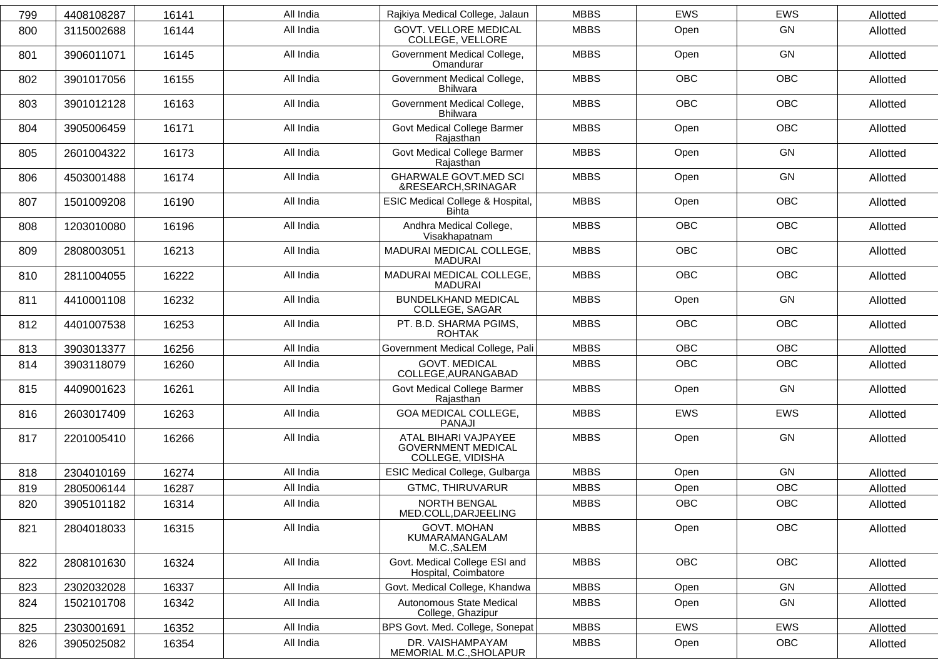| 799 | 4408108287 | 16141 | All India | Rajkiya Medical College, Jalaun                                       | <b>MBBS</b> | <b>EWS</b> | <b>EWS</b> | Allotted |
|-----|------------|-------|-----------|-----------------------------------------------------------------------|-------------|------------|------------|----------|
| 800 | 3115002688 | 16144 | All India | <b>GOVT. VELLORE MEDICAL</b><br>COLLEGE, VELLORE                      | <b>MBBS</b> | Open       | GN         | Allotted |
| 801 | 3906011071 | 16145 | All India | Government Medical College,<br>Omandurar                              | <b>MBBS</b> | Open       | GN         | Allotted |
| 802 | 3901017056 | 16155 | All India | Government Medical College,<br><b>Bhilwara</b>                        | <b>MBBS</b> | <b>OBC</b> | <b>OBC</b> | Allotted |
| 803 | 3901012128 | 16163 | All India | Government Medical College,<br><b>Bhilwara</b>                        | <b>MBBS</b> | <b>OBC</b> | OBC        | Allotted |
| 804 | 3905006459 | 16171 | All India | Govt Medical College Barmer<br>Rajasthan                              | <b>MBBS</b> | Open       | <b>OBC</b> | Allotted |
| 805 | 2601004322 | 16173 | All India | Govt Medical College Barmer<br>Rajasthan                              | <b>MBBS</b> | Open       | GN         | Allotted |
| 806 | 4503001488 | 16174 | All India | <b>GHARWALE GOVT.MED SCI</b><br>&RESEARCH, SRINAGAR                   | <b>MBBS</b> | Open       | GN         | Allotted |
| 807 | 1501009208 | 16190 | All India | <b>ESIC Medical College &amp; Hospital,</b><br><b>Bihta</b>           | <b>MBBS</b> | Open       | <b>OBC</b> | Allotted |
| 808 | 1203010080 | 16196 | All India | Andhra Medical College,<br>Visakhapatnam                              | <b>MBBS</b> | OBC        | <b>OBC</b> | Allotted |
| 809 | 2808003051 | 16213 | All India | MADURAI MEDICAL COLLEGE,<br><b>MADURAI</b>                            | <b>MBBS</b> | <b>OBC</b> | <b>OBC</b> | Allotted |
| 810 | 2811004055 | 16222 | All India | MADURAI MEDICAL COLLEGE,<br><b>MADURAI</b>                            | <b>MBBS</b> | <b>OBC</b> | <b>OBC</b> | Allotted |
| 811 | 4410001108 | 16232 | All India | <b>BUNDELKHAND MEDICAL</b><br>COLLEGE, SAGAR                          | <b>MBBS</b> | Open       | GN         | Allotted |
| 812 | 4401007538 | 16253 | All India | PT. B.D. SHARMA PGIMS,<br><b>ROHTAK</b>                               | <b>MBBS</b> | <b>OBC</b> | <b>OBC</b> | Allotted |
| 813 | 3903013377 | 16256 | All India | Government Medical College, Pali                                      | <b>MBBS</b> | <b>OBC</b> | <b>OBC</b> | Allotted |
| 814 | 3903118079 | 16260 | All India | <b>GOVT. MEDICAL</b><br>COLLEGE, AURANGABAD                           | <b>MBBS</b> | <b>OBC</b> | OBC        | Allotted |
| 815 | 4409001623 | 16261 | All India | Govt Medical College Barmer<br>Rajasthan                              | <b>MBBS</b> | Open       | GN         | Allotted |
| 816 | 2603017409 | 16263 | All India | GOA MEDICAL COLLEGE,<br><b>PANAJI</b>                                 | <b>MBBS</b> | <b>EWS</b> | <b>EWS</b> | Allotted |
| 817 | 2201005410 | 16266 | All India | ATAL BIHARI VAJPAYEE<br><b>GOVERNMENT MEDICAL</b><br>COLLEGE, VIDISHA | <b>MBBS</b> | Open       | GN         | Allotted |
| 818 | 2304010169 | 16274 | All India | ESIC Medical College, Gulbarga                                        | <b>MBBS</b> | Open       | GN         | Allotted |
| 819 | 2805006144 | 16287 | All India | <b>GTMC, THIRUVARUR</b>                                               | <b>MBBS</b> | Open       | OBC        | Allotted |
| 820 | 3905101182 | 16314 | All India | <b>NORTH BENGAL</b><br>MED.COLL, DARJEELING                           | <b>MBBS</b> | OBC        | OBC        | Allotted |
| 821 | 2804018033 | 16315 | All India | <b>GOVT. MOHAN</b><br>KUMARAMANGALAM<br>M.C., SALEM                   | <b>MBBS</b> | Open       | OBC        | Allotted |
| 822 | 2808101630 | 16324 | All India | Govt. Medical College ESI and<br>Hospital, Coimbatore                 | <b>MBBS</b> | <b>OBC</b> | OBC        | Allotted |
| 823 | 2302032028 | 16337 | All India | Govt. Medical College, Khandwa                                        | <b>MBBS</b> | Open       | GN         | Allotted |
| 824 | 1502101708 | 16342 | All India | Autonomous State Medical<br>College, Ghazipur                         | <b>MBBS</b> | Open       | GN         | Allotted |
| 825 | 2303001691 | 16352 | All India | BPS Govt. Med. College, Sonepat                                       | <b>MBBS</b> | <b>EWS</b> | EWS        | Allotted |
| 826 | 3905025082 | 16354 | All India | DR. VAISHAMPAYAM<br>MEMORIAL M.C., SHOLAPUR                           | <b>MBBS</b> | Open       | <b>OBC</b> | Allotted |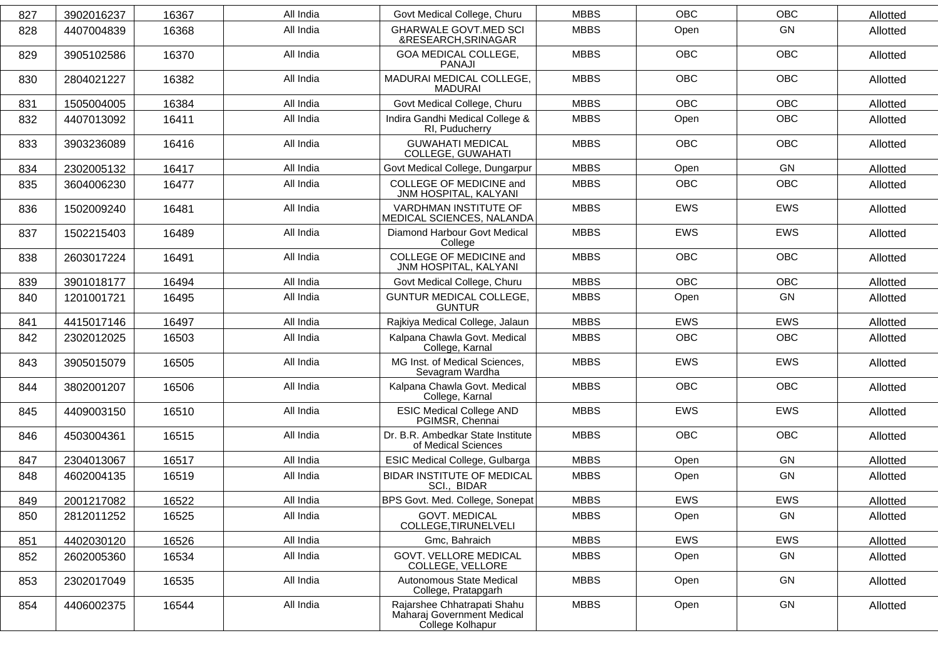| 827 | 3902016237 | 16367 | All India | Govt Medical College, Churu                                                   | <b>MBBS</b> | <b>OBC</b> | <b>OBC</b> | Allotted |
|-----|------------|-------|-----------|-------------------------------------------------------------------------------|-------------|------------|------------|----------|
| 828 | 4407004839 | 16368 | All India | <b>GHARWALE GOVT.MED SCI</b><br>&RESEARCH, SRINAGAR                           | <b>MBBS</b> | Open       | GN         | Allotted |
| 829 | 3905102586 | 16370 | All India | GOA MEDICAL COLLEGE,<br>PANAJI                                                | <b>MBBS</b> | <b>OBC</b> | <b>OBC</b> | Allotted |
| 830 | 2804021227 | 16382 | All India | MADURAI MEDICAL COLLEGE,<br>MADURAI                                           | <b>MBBS</b> | <b>OBC</b> | <b>OBC</b> | Allotted |
| 831 | 1505004005 | 16384 | All India | Govt Medical College, Churu                                                   | <b>MBBS</b> | <b>OBC</b> | <b>OBC</b> | Allotted |
| 832 | 4407013092 | 16411 | All India | Indira Gandhi Medical College &<br>RI, Puducherry                             | <b>MBBS</b> | Open       | <b>OBC</b> | Allotted |
| 833 | 3903236089 | 16416 | All India | <b>GUWAHATI MEDICAL</b><br>COLLEGE, GUWAHATI                                  | <b>MBBS</b> | <b>OBC</b> | <b>OBC</b> | Allotted |
| 834 | 2302005132 | 16417 | All India | Govt Medical College, Dungarpur                                               | <b>MBBS</b> | Open       | GN         | Allotted |
| 835 | 3604006230 | 16477 | All India | COLLEGE OF MEDICINE and<br>JNM HOSPITAL, KALYANI                              | <b>MBBS</b> | <b>OBC</b> | OBC        | Allotted |
| 836 | 1502009240 | 16481 | All India | VARDHMAN INSTITUTE OF<br>MEDICAL SCIENCES, NALANDA                            | <b>MBBS</b> | EWS        | EWS        | Allotted |
| 837 | 1502215403 | 16489 | All India | Diamond Harbour Govt Medical<br>College                                       | <b>MBBS</b> | <b>EWS</b> | <b>EWS</b> | Allotted |
| 838 | 2603017224 | 16491 | All India | <b>COLLEGE OF MEDICINE and</b><br>JNM HOSPITAL, KALYANI                       | <b>MBBS</b> | <b>OBC</b> | <b>OBC</b> | Allotted |
| 839 | 3901018177 | 16494 | All India | Govt Medical College, Churu                                                   | <b>MBBS</b> | <b>OBC</b> | <b>OBC</b> | Allotted |
| 840 | 1201001721 | 16495 | All India | <b>GUNTUR MEDICAL COLLEGE,</b><br><b>GUNTUR</b>                               | <b>MBBS</b> | Open       | GN         | Allotted |
| 841 | 4415017146 | 16497 | All India | Rajkiya Medical College, Jalaun                                               | <b>MBBS</b> | EWS        | <b>EWS</b> | Allotted |
| 842 | 2302012025 | 16503 | All India | Kalpana Chawla Govt. Medical<br>College, Karnal                               | <b>MBBS</b> | <b>OBC</b> | <b>OBC</b> | Allotted |
| 843 | 3905015079 | 16505 | All India | MG Inst. of Medical Sciences,<br>Sevagram Wardha                              | <b>MBBS</b> | <b>EWS</b> | <b>EWS</b> | Allotted |
| 844 | 3802001207 | 16506 | All India | Kalpana Chawla Govt. Medical<br>College, Karnal                               | <b>MBBS</b> | <b>OBC</b> | <b>OBC</b> | Allotted |
| 845 | 4409003150 | 16510 | All India | <b>ESIC Medical College AND</b><br>PGIMSR, Chennai                            | <b>MBBS</b> | <b>EWS</b> | <b>EWS</b> | Allotted |
| 846 | 4503004361 | 16515 | All India | Dr. B.R. Ambedkar State Institute<br>of Medical Sciences                      | <b>MBBS</b> | <b>OBC</b> | <b>OBC</b> | Allotted |
| 847 | 2304013067 | 16517 | All India | ESIC Medical College, Gulbarga                                                | <b>MBBS</b> | Open       | GN         | Allotted |
| 848 | 4602004135 | 16519 | All India | <b>BIDAR INSTITUTE OF MEDICAL</b><br>SCI., BIDAR                              | <b>MBBS</b> | Open       | GN         | Allotted |
| 849 | 2001217082 | 16522 | All India | BPS Govt. Med. College, Sonepat                                               | <b>MBBS</b> | <b>EWS</b> | <b>EWS</b> | Allotted |
| 850 | 2812011252 | 16525 | All India | <b>GOVT. MEDICAL</b><br>COLLEGE, TIRUNELVELI                                  | <b>MBBS</b> | Open       | GN         | Allotted |
| 851 | 4402030120 | 16526 | All India | Gmc, Bahraich                                                                 | <b>MBBS</b> | <b>EWS</b> | EWS        | Allotted |
| 852 | 2602005360 | 16534 | All India | <b>GOVT. VELLORE MEDICAL</b><br>COLLEGE, VELLORE                              | <b>MBBS</b> | Open       | GN         | Allotted |
| 853 | 2302017049 | 16535 | All India | Autonomous State Medical<br>College, Pratapgarh                               | <b>MBBS</b> | Open       | GN         | Allotted |
| 854 | 4406002375 | 16544 | All India | Rajarshee Chhatrapati Shahu<br>Maharaj Government Medical<br>College Kolhapur | <b>MBBS</b> | Open       | GN         | Allotted |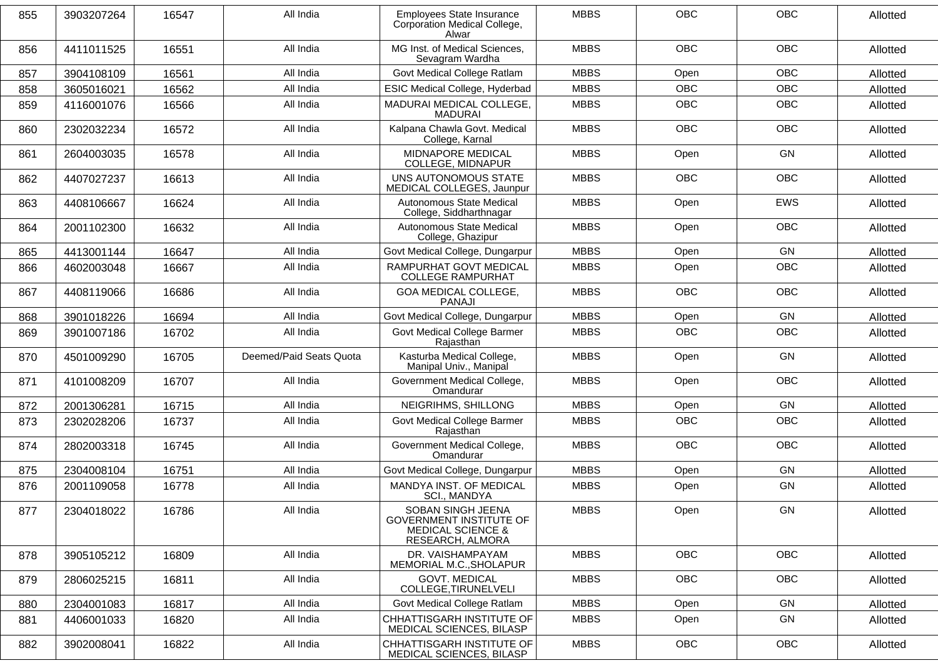| 855 | 3903207264 | 16547 | All India               | Employees State Insurance<br>Corporation Medical College,<br>Alwar                                      | <b>MBBS</b> | OBC        | OBC        | Allotted |
|-----|------------|-------|-------------------------|---------------------------------------------------------------------------------------------------------|-------------|------------|------------|----------|
| 856 | 4411011525 | 16551 | All India               | MG Inst. of Medical Sciences,<br>Sevagram Wardha                                                        | <b>MBBS</b> | <b>OBC</b> | <b>OBC</b> | Allotted |
| 857 | 3904108109 | 16561 | All India               | Govt Medical College Ratlam                                                                             | <b>MBBS</b> | Open       | <b>OBC</b> | Allotted |
| 858 | 3605016021 | 16562 | All India               | <b>ESIC Medical College, Hyderbad</b>                                                                   | <b>MBBS</b> | <b>OBC</b> | <b>OBC</b> | Allotted |
| 859 | 4116001076 | 16566 | All India               | MADURAI MEDICAL COLLEGE,<br><b>MADURAI</b>                                                              | <b>MBBS</b> | OBC        | OBC        | Allotted |
| 860 | 2302032234 | 16572 | All India               | Kalpana Chawla Govt. Medical<br>College, Karnal                                                         | <b>MBBS</b> | <b>OBC</b> | <b>OBC</b> | Allotted |
| 861 | 2604003035 | 16578 | All India               | MIDNAPORE MEDICAL<br>COLLEGE, MIDNAPUR                                                                  | <b>MBBS</b> | Open       | GN         | Allotted |
| 862 | 4407027237 | 16613 | All India               | UNS AUTONOMOUS STATE<br>MEDICAL COLLEGES, Jaunpur                                                       | <b>MBBS</b> | <b>OBC</b> | <b>OBC</b> | Allotted |
| 863 | 4408106667 | 16624 | All India               | Autonomous State Medical<br>College, Siddharthnagar                                                     | <b>MBBS</b> | Open       | <b>EWS</b> | Allotted |
| 864 | 2001102300 | 16632 | All India               | Autonomous State Medical<br>College, Ghazipur                                                           | <b>MBBS</b> | Open       | <b>OBC</b> | Allotted |
| 865 | 4413001144 | 16647 | All India               | Govt Medical College, Dungarpur                                                                         | <b>MBBS</b> | Open       | GN         | Allotted |
| 866 | 4602003048 | 16667 | All India               | RAMPURHAT GOVT MEDICAL<br><b>COLLEGE RAMPURHAT</b>                                                      | <b>MBBS</b> | Open       | <b>OBC</b> | Allotted |
| 867 | 4408119066 | 16686 | All India               | <b>GOA MEDICAL COLLEGE,</b><br><b>PANAJI</b>                                                            | <b>MBBS</b> | <b>OBC</b> | <b>OBC</b> | Allotted |
| 868 | 3901018226 | 16694 | All India               | Govt Medical College, Dungarpur                                                                         | <b>MBBS</b> | Open       | GN         | Allotted |
| 869 | 3901007186 | 16702 | All India               | Govt Medical College Barmer<br>Rajasthan                                                                | <b>MBBS</b> | <b>OBC</b> | OBC        | Allotted |
| 870 | 4501009290 | 16705 | Deemed/Paid Seats Quota | Kasturba Medical College,<br>Manipal Univ., Manipal                                                     | <b>MBBS</b> | Open       | GN         | Allotted |
| 871 | 4101008209 | 16707 | All India               | Government Medical College,<br>Omandurar                                                                | <b>MBBS</b> | Open       | <b>OBC</b> | Allotted |
| 872 | 2001306281 | 16715 | All India               | NEIGRIHMS, SHILLONG                                                                                     | <b>MBBS</b> | Open       | GN         | Allotted |
| 873 | 2302028206 | 16737 | All India               | Govt Medical College Barmer<br>Rajasthan                                                                | <b>MBBS</b> | <b>OBC</b> | <b>OBC</b> | Allotted |
| 874 | 2802003318 | 16745 | All India               | Government Medical College,<br>Omandurar                                                                | <b>MBBS</b> | <b>OBC</b> | <b>OBC</b> | Allotted |
| 875 | 2304008104 | 16751 | All India               | Govt Medical College, Dungarpur                                                                         | <b>MBBS</b> | Open       | <b>GN</b>  | Allotted |
| 876 | 2001109058 | 16778 | All India               | MANDYA INST. OF MEDICAL<br>SCI., MANDYA                                                                 | <b>MBBS</b> | Open       | <b>GN</b>  | Allotted |
| 877 | 2304018022 | 16786 | All India               | SOBAN SINGH JEENA<br><b>GOVERNMENT INSTITUTE OF</b><br><b>MEDICAL SCIENCE &amp;</b><br>RESEARCH, ALMORA | MBBS        | Open       | GN         | Allotted |
| 878 | 3905105212 | 16809 | All India               | DR. VAISHAMPAYAM<br>MEMORIAL M.C., SHOLAPUR                                                             | <b>MBBS</b> | OBC        | OBC        | Allotted |
| 879 | 2806025215 | 16811 | All India               | <b>GOVT. MEDICAL</b><br>COLLEGE, TIRUNELVELI                                                            | <b>MBBS</b> | OBC        | OBC        | Allotted |
| 880 | 2304001083 | 16817 | All India               | Govt Medical College Ratlam                                                                             | <b>MBBS</b> | Open       | GN         | Allotted |
| 881 | 4406001033 | 16820 | All India               | CHHATTISGARH INSTITUTE OF<br>MEDICAL SCIENCES, BILASP                                                   | <b>MBBS</b> | Open       | GN         | Allotted |
| 882 | 3902008041 | 16822 | All India               | CHHATTISGARH INSTITUTE OF<br>MEDICAL SCIENCES, BILASP                                                   | <b>MBBS</b> | OBC        | <b>OBC</b> | Allotted |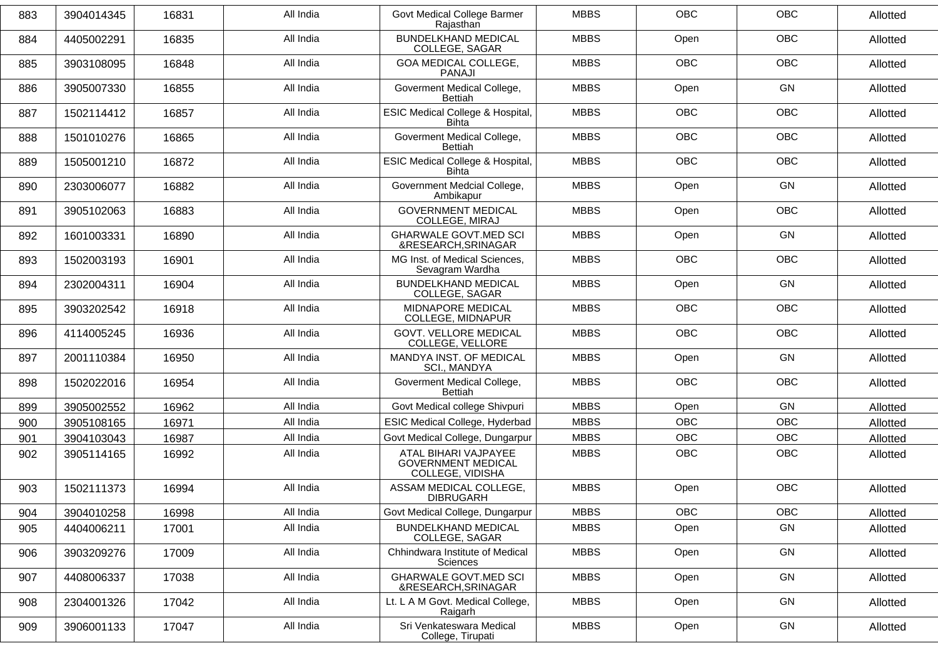| 883 | 3904014345 | 16831 | All India | Govt Medical College Barmer<br>Rajasthan                              | <b>MBBS</b> | <b>OBC</b> | <b>OBC</b> | Allotted |
|-----|------------|-------|-----------|-----------------------------------------------------------------------|-------------|------------|------------|----------|
| 884 | 4405002291 | 16835 | All India | <b>BUNDELKHAND MEDICAL</b><br>COLLEGE, SAGAR                          | <b>MBBS</b> | Open       | <b>OBC</b> | Allotted |
| 885 | 3903108095 | 16848 | All India | GOA MEDICAL COLLEGE,<br><b>PANAJI</b>                                 | <b>MBBS</b> | <b>OBC</b> | OBC        | Allotted |
| 886 | 3905007330 | 16855 | All India | Goverment Medical College,<br><b>Bettiah</b>                          | <b>MBBS</b> | Open       | GN         | Allotted |
| 887 | 1502114412 | 16857 | All India | ESIC Medical College & Hospital,<br><b>Bihta</b>                      | <b>MBBS</b> | <b>OBC</b> | <b>OBC</b> | Allotted |
| 888 | 1501010276 | 16865 | All India | Goverment Medical College,<br><b>Bettiah</b>                          | <b>MBBS</b> | <b>OBC</b> | <b>OBC</b> | Allotted |
| 889 | 1505001210 | 16872 | All India | ESIC Medical College & Hospital,<br><b>Bihta</b>                      | <b>MBBS</b> | <b>OBC</b> | <b>OBC</b> | Allotted |
| 890 | 2303006077 | 16882 | All India | Government Medcial College,<br>Ambikapur                              | <b>MBBS</b> | Open       | GN         | Allotted |
| 891 | 3905102063 | 16883 | All India | <b>GOVERNMENT MEDICAL</b><br>COLLEGE, MIRAJ                           | <b>MBBS</b> | Open       | <b>OBC</b> | Allotted |
| 892 | 1601003331 | 16890 | All India | <b>GHARWALE GOVT.MED SCI</b><br>&RESEARCH, SRINAGAR                   | <b>MBBS</b> | Open       | GN         | Allotted |
| 893 | 1502003193 | 16901 | All India | MG Inst. of Medical Sciences,<br>Sevagram Wardha                      | <b>MBBS</b> | <b>OBC</b> | OBC        | Allotted |
| 894 | 2302004311 | 16904 | All India | <b>BUNDELKHAND MEDICAL</b><br>COLLEGE, SAGAR                          | <b>MBBS</b> | Open       | GN         | Allotted |
| 895 | 3903202542 | 16918 | All India | MIDNAPORE MEDICAL<br>COLLEGE, MIDNAPUR                                | <b>MBBS</b> | <b>OBC</b> | OBC        | Allotted |
| 896 | 4114005245 | 16936 | All India | <b>GOVT. VELLORE MEDICAL</b><br>COLLEGE, VELLORE                      | <b>MBBS</b> | <b>OBC</b> | <b>OBC</b> | Allotted |
| 897 | 2001110384 | 16950 | All India | MANDYA INST. OF MEDICAL<br>SCI., MANDYA                               | <b>MBBS</b> | Open       | GN         | Allotted |
| 898 | 1502022016 | 16954 | All India | Goverment Medical College,<br><b>Bettiah</b>                          | <b>MBBS</b> | <b>OBC</b> | OBC        | Allotted |
| 899 | 3905002552 | 16962 | All India | Govt Medical college Shivpuri                                         | <b>MBBS</b> | Open       | <b>GN</b>  | Allotted |
| 900 | 3905108165 | 16971 | All India | ESIC Medical College, Hyderbad                                        | <b>MBBS</b> | <b>OBC</b> | OBC        | Allotted |
| 901 | 3904103043 | 16987 | All India | Govt Medical College, Dungarpur                                       | <b>MBBS</b> | <b>OBC</b> | <b>OBC</b> | Allotted |
| 902 | 3905114165 | 16992 | All India | ATAL BIHARI VAJPAYEE<br><b>GOVERNMENT MEDICAL</b><br>COLLEGE, VIDISHA | <b>MBBS</b> | OBC        | <b>OBC</b> | Allotted |
| 903 | 1502111373 | 16994 | All India | ASSAM MEDICAL COLLEGE,<br><b>DIBRUGARH</b>                            | <b>MBBS</b> | Open       | <b>OBC</b> | Allotted |
| 904 | 3904010258 | 16998 | All India | Govt Medical College, Dungarpur                                       | <b>MBBS</b> | OBC        | OBC        | Allotted |
| 905 | 4404006211 | 17001 | All India | <b>BUNDELKHAND MEDICAL</b><br>COLLEGE, SAGAR                          | <b>MBBS</b> | Open       | GN         | Allotted |
| 906 | 3903209276 | 17009 | All India | Chhindwara Institute of Medical<br><b>Sciences</b>                    | <b>MBBS</b> | Open       | GN         | Allotted |
| 907 | 4408006337 | 17038 | All India | <b>GHARWALE GOVT.MED SCI</b><br>&RESEARCH, SRINAGAR                   | <b>MBBS</b> | Open       | GN         | Allotted |
| 908 | 2304001326 | 17042 | All India | Lt. L A M Govt. Medical College,<br>Raigarh                           | <b>MBBS</b> | Open       | GN         | Allotted |
| 909 | 3906001133 | 17047 | All India | Sri Venkateswara Medical<br>College, Tirupati                         | <b>MBBS</b> | Open       | GN         | Allotted |
|     |            |       |           |                                                                       |             |            |            |          |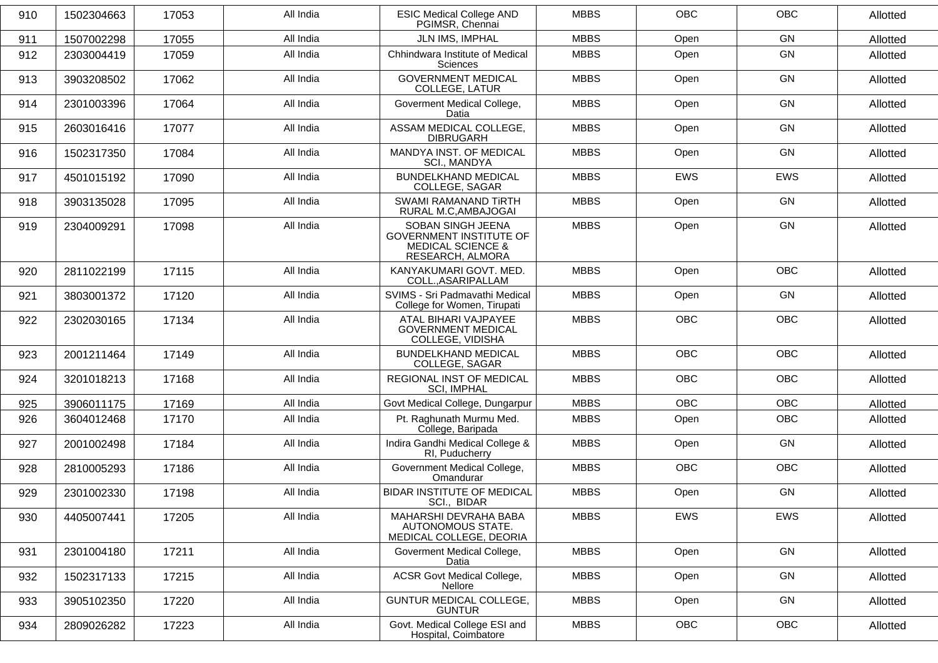| 910 | 1502304663 | 17053 | All India | <b>ESIC Medical College AND</b><br>PGIMSR, Chennai                                                      | <b>MBBS</b> | <b>OBC</b> | <b>OBC</b> | Allotted |
|-----|------------|-------|-----------|---------------------------------------------------------------------------------------------------------|-------------|------------|------------|----------|
| 911 | 1507002298 | 17055 | All India | JLN IMS, IMPHAL                                                                                         | <b>MBBS</b> | Open       | GN         | Allotted |
| 912 | 2303004419 | 17059 | All India | Chhindwara Institute of Medical<br><b>Sciences</b>                                                      | <b>MBBS</b> | Open       | GN         | Allotted |
| 913 | 3903208502 | 17062 | All India | <b>GOVERNMENT MEDICAL</b><br><b>COLLEGE, LATUR</b>                                                      | <b>MBBS</b> | Open       | GN         | Allotted |
| 914 | 2301003396 | 17064 | All India | Goverment Medical College,<br>Datia                                                                     | <b>MBBS</b> | Open       | GN         | Allotted |
| 915 | 2603016416 | 17077 | All India | ASSAM MEDICAL COLLEGE,<br><b>DIBRUGARH</b>                                                              | <b>MBBS</b> | Open       | GN         | Allotted |
| 916 | 1502317350 | 17084 | All India | MANDYA INST. OF MEDICAL<br>SCI., MANDYA                                                                 | <b>MBBS</b> | Open       | GN         | Allotted |
| 917 | 4501015192 | 17090 | All India | <b>BUNDELKHAND MEDICAL</b><br>COLLEGE, SAGAR                                                            | <b>MBBS</b> | <b>EWS</b> | <b>EWS</b> | Allotted |
| 918 | 3903135028 | 17095 | All India | <b>SWAMI RAMANAND TIRTH</b><br>RURAL M.C, AMBAJOGAI                                                     | <b>MBBS</b> | Open       | <b>GN</b>  | Allotted |
| 919 | 2304009291 | 17098 | All India | SOBAN SINGH JEENA<br><b>GOVERNMENT INSTITUTE OF</b><br><b>MEDICAL SCIENCE &amp;</b><br>RESEARCH, ALMORA | <b>MBBS</b> | Open       | GN         | Allotted |
| 920 | 2811022199 | 17115 | All India | KANYAKUMARI GOVT, MED.<br>COLL., ASARIPALLAM                                                            | <b>MBBS</b> | Open       | <b>OBC</b> | Allotted |
| 921 | 3803001372 | 17120 | All India | SVIMS - Sri Padmavathi Medical<br>College for Women, Tirupati                                           | <b>MBBS</b> | Open       | GN         | Allotted |
| 922 | 2302030165 | 17134 | All India | ATAL BIHARI VAJPAYEE<br><b>GOVERNMENT MEDICAL</b><br>COLLEGE, VIDISHA                                   | <b>MBBS</b> | <b>OBC</b> | <b>OBC</b> | Allotted |
| 923 | 2001211464 | 17149 | All India | <b>BUNDELKHAND MEDICAL</b><br>COLLEGE, SAGAR                                                            | <b>MBBS</b> | OBC        | OBC        | Allotted |
| 924 | 3201018213 | 17168 | All India | REGIONAL INST OF MEDICAL<br><b>SCI, IMPHAL</b>                                                          | <b>MBBS</b> | <b>OBC</b> | OBC        | Allotted |
| 925 | 3906011175 | 17169 | All India | Govt Medical College, Dungarpur                                                                         | <b>MBBS</b> | <b>OBC</b> | <b>OBC</b> | Allotted |
| 926 | 3604012468 | 17170 | All India | Pt. Raghunath Murmu Med.<br>College, Baripada                                                           | <b>MBBS</b> | Open       | OBC        | Allotted |
| 927 | 2001002498 | 17184 | All India | Indira Gandhi Medical College &<br>RI, Puducherry                                                       | <b>MBBS</b> | Open       | GN         | Allotted |
| 928 | 2810005293 | 17186 | All India | Government Medical College,<br>Omandurar                                                                | <b>MBBS</b> | <b>OBC</b> | OBC        | Allotted |
| 929 | 2301002330 | 17198 | All India | <b>BIDAR INSTITUTE OF MEDICAL</b><br>SCI., BIDAR                                                        | <b>MBBS</b> | Open       | GN         | Allotted |
| 930 | 4405007441 | 17205 | All India | MAHARSHI DEVRAHA BABA<br>AUTONOMOUS STATE.<br>MEDICAL COLLEGE, DEORIA                                   | <b>MBBS</b> | EWS        | EWS        | Allotted |
| 931 | 2301004180 | 17211 | All India | Goverment Medical College,<br>Datia                                                                     | <b>MBBS</b> | Open       | GN         | Allotted |
| 932 | 1502317133 | 17215 | All India | <b>ACSR Govt Medical College,</b><br>Nellore                                                            | <b>MBBS</b> | Open       | GN         | Allotted |
| 933 | 3905102350 | 17220 | All India | GUNTUR MEDICAL COLLEGE,<br><b>GUNTUR</b>                                                                | <b>MBBS</b> | Open       | GN         | Allotted |
| 934 | 2809026282 | 17223 | All India | Govt. Medical College ESI and<br>Hospital, Coimbatore                                                   | <b>MBBS</b> | OBC        | OBC        | Allotted |
|     |            |       |           |                                                                                                         |             |            |            |          |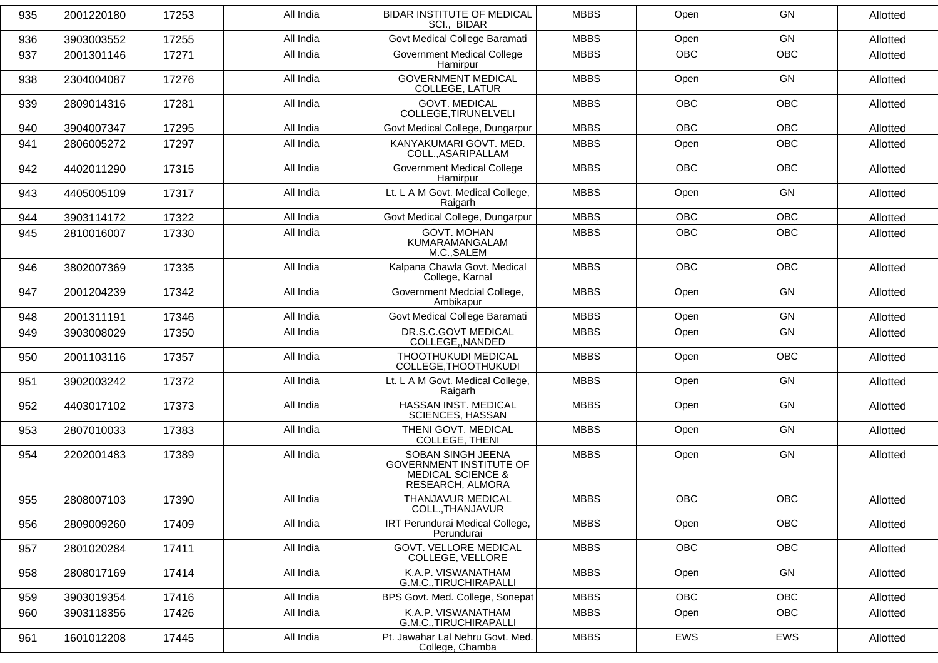| 935 | 2001220180 | 17253 | All India | <b>BIDAR INSTITUTE OF MEDICAL</b><br>SCI., BIDAR                                                        | <b>MBBS</b> | Open       | GN         | Allotted |
|-----|------------|-------|-----------|---------------------------------------------------------------------------------------------------------|-------------|------------|------------|----------|
| 936 | 3903003552 | 17255 | All India | Govt Medical College Baramati                                                                           | <b>MBBS</b> | Open       | GN         | Allotted |
| 937 | 2001301146 | 17271 | All India | <b>Government Medical College</b><br>Hamirpur                                                           | <b>MBBS</b> | <b>OBC</b> | OBC        | Allotted |
| 938 | 2304004087 | 17276 | All India | <b>GOVERNMENT MEDICAL</b><br>COLLEGE, LATUR                                                             | <b>MBBS</b> | Open       | <b>GN</b>  | Allotted |
| 939 | 2809014316 | 17281 | All India | <b>GOVT. MEDICAL</b><br>COLLEGE, TIRUNELVELI                                                            | <b>MBBS</b> | <b>OBC</b> | <b>OBC</b> | Allotted |
| 940 | 3904007347 | 17295 | All India | Govt Medical College, Dungarpur                                                                         | <b>MBBS</b> | <b>OBC</b> | OBC        | Allotted |
| 941 | 2806005272 | 17297 | All India | KANYAKUMARI GOVT. MED.<br>COLL., ASARIPALLAM                                                            | <b>MBBS</b> | Open       | <b>OBC</b> | Allotted |
| 942 | 4402011290 | 17315 | All India | <b>Government Medical College</b><br>Hamirpur                                                           | <b>MBBS</b> | OBC        | OBC        | Allotted |
| 943 | 4405005109 | 17317 | All India | Lt. L A M Govt. Medical College,<br>Raigarh                                                             | <b>MBBS</b> | Open       | GN         | Allotted |
| 944 | 3903114172 | 17322 | All India | Govt Medical College, Dungarpur                                                                         | <b>MBBS</b> | <b>OBC</b> | <b>OBC</b> | Allotted |
| 945 | 2810016007 | 17330 | All India | <b>GOVT. MOHAN</b><br>KUMARAMANGALAM<br>M.C., SALEM                                                     | <b>MBBS</b> | OBC        | OBC        | Allotted |
| 946 | 3802007369 | 17335 | All India | Kalpana Chawla Govt. Medical<br>College, Karnal                                                         | <b>MBBS</b> | <b>OBC</b> | <b>OBC</b> | Allotted |
| 947 | 2001204239 | 17342 | All India | Government Medcial College,<br>Ambikapur                                                                | <b>MBBS</b> | Open       | GN         | Allotted |
| 948 | 2001311191 | 17346 | All India | Govt Medical College Baramati                                                                           | <b>MBBS</b> | Open       | GN         | Allotted |
| 949 | 3903008029 | 17350 | All India | DR.S.C.GOVT MEDICAL<br>COLLEGE, NANDED                                                                  | <b>MBBS</b> | Open       | GN         | Allotted |
| 950 | 2001103116 | 17357 | All India | THOOTHUKUDI MEDICAL<br>COLLEGE, THOOTHUKUDI                                                             | <b>MBBS</b> | Open       | OBC        | Allotted |
| 951 | 3902003242 | 17372 | All India | Lt. L A M Govt. Medical College,<br>Raigarh                                                             | <b>MBBS</b> | Open       | GN         | Allotted |
| 952 | 4403017102 | 17373 | All India | HASSAN INST. MEDICAL<br>SCIENCES, HASSAN                                                                | <b>MBBS</b> | Open       | GN         | Allotted |
| 953 | 2807010033 | 17383 | All India | THENI GOVT. MEDICAL<br>COLLEGE, THENI                                                                   | <b>MBBS</b> | Open       | GN         | Allotted |
| 954 | 2202001483 | 17389 | All India | SOBAN SINGH JEENA<br><b>GOVERNMENT INSTITUTE OF</b><br><b>MEDICAL SCIENCE &amp;</b><br>RESEARCH, ALMORA | <b>MBBS</b> | Open       | GN         | Allotted |
| 955 | 2808007103 | 17390 | All India | THANJAVUR MEDICAL<br>COLL., THANJAVUR                                                                   | <b>MBBS</b> | <b>OBC</b> | OBC        | Allotted |
| 956 | 2809009260 | 17409 | All India | IRT Perundurai Medical College,<br>Perundurai                                                           | <b>MBBS</b> | Open       | OBC        | Allotted |
| 957 | 2801020284 | 17411 | All India | <b>GOVT. VELLORE MEDICAL</b><br>COLLEGE, VELLORE                                                        | <b>MBBS</b> | <b>OBC</b> | <b>OBC</b> | Allotted |
| 958 | 2808017169 | 17414 | All India | K.A.P. VISWANATHAM<br>G.M.C., TIRUCHIRAPALLI                                                            | <b>MBBS</b> | Open       | GN         | Allotted |
| 959 | 3903019354 | 17416 | All India | BPS Govt. Med. College, Sonepat                                                                         | <b>MBBS</b> | OBC        | OBC        | Allotted |
| 960 | 3903118356 | 17426 | All India | K.A.P. VISWANATHAM<br>G.M.C., TIRUCHIRAPALLI                                                            | <b>MBBS</b> | Open       | OBC        | Allotted |
| 961 | 1601012208 | 17445 | All India | Pt. Jawahar Lal Nehru Govt. Med.<br>College, Chamba                                                     | <b>MBBS</b> | EWS        | EWS        | Allotted |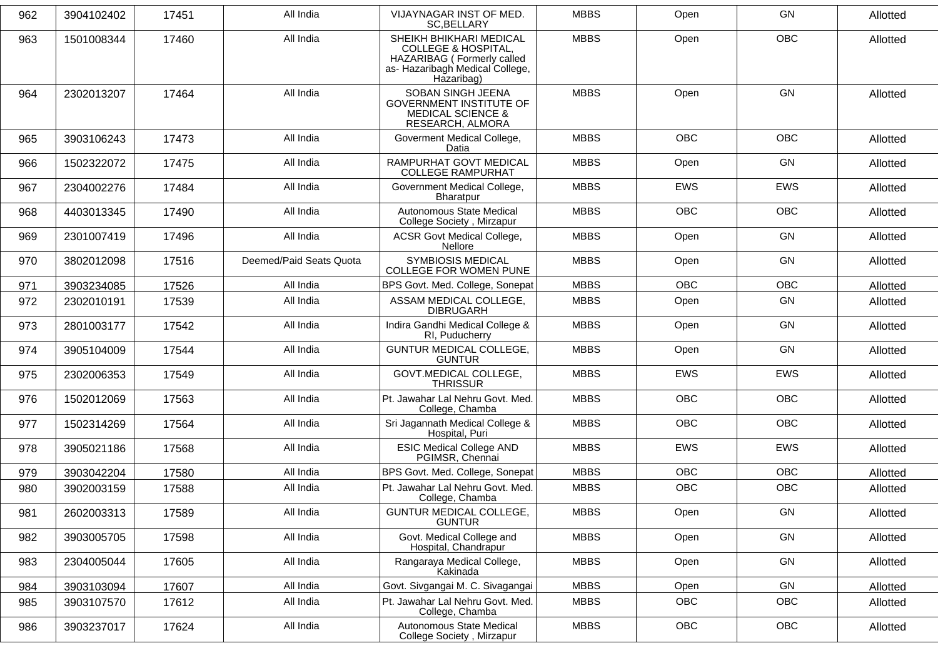| 962 | 3904102402 | 17451 | All India               | VIJAYNAGAR INST OF MED.<br>SC, BELLARY                                                                                                    | <b>MBBS</b> | Open       | GN         | Allotted |
|-----|------------|-------|-------------------------|-------------------------------------------------------------------------------------------------------------------------------------------|-------------|------------|------------|----------|
| 963 | 1501008344 | 17460 | All India               | SHEIKH BHIKHARI MEDICAL<br><b>COLLEGE &amp; HOSPITAL,</b><br>HAZARIBAG ( Formerly called<br>as- Hazaribagh Medical College,<br>Hazaribag) | <b>MBBS</b> | Open       | <b>OBC</b> | Allotted |
| 964 | 2302013207 | 17464 | All India               | SOBAN SINGH JEENA<br><b>GOVERNMENT INSTITUTE OF</b><br><b>MEDICAL SCIENCE &amp;</b><br>RESEARCH, ALMORA                                   | <b>MBBS</b> | Open       | GN         | Allotted |
| 965 | 3903106243 | 17473 | All India               | Goverment Medical College,<br>Datia                                                                                                       | <b>MBBS</b> | <b>OBC</b> | <b>OBC</b> | Allotted |
| 966 | 1502322072 | 17475 | All India               | RAMPURHAT GOVT MEDICAL<br><b>COLLEGE RAMPURHAT</b>                                                                                        | <b>MBBS</b> | Open       | <b>GN</b>  | Allotted |
| 967 | 2304002276 | 17484 | All India               | Government Medical College,<br><b>Bharatpur</b>                                                                                           | <b>MBBS</b> | <b>EWS</b> | <b>EWS</b> | Allotted |
| 968 | 4403013345 | 17490 | All India               | Autonomous State Medical<br>College Society, Mirzapur                                                                                     | <b>MBBS</b> | <b>OBC</b> | <b>OBC</b> | Allotted |
| 969 | 2301007419 | 17496 | All India               | <b>ACSR Govt Medical College,</b><br><b>Nellore</b>                                                                                       | <b>MBBS</b> | Open       | GN         | Allotted |
| 970 | 3802012098 | 17516 | Deemed/Paid Seats Quota | <b>SYMBIOSIS MEDICAL</b><br><b>COLLEGE FOR WOMEN PUNE</b>                                                                                 | <b>MBBS</b> | Open       | GN         | Allotted |
| 971 | 3903234085 | 17526 | All India               | BPS Govt. Med. College, Sonepat                                                                                                           | <b>MBBS</b> | <b>OBC</b> | OBC        | Allotted |
| 972 | 2302010191 | 17539 | All India               | ASSAM MEDICAL COLLEGE,<br><b>DIBRUGARH</b>                                                                                                | <b>MBBS</b> | Open       | <b>GN</b>  | Allotted |
| 973 | 2801003177 | 17542 | All India               | Indira Gandhi Medical College &<br>RI, Puducherry                                                                                         | <b>MBBS</b> | Open       | GN         | Allotted |
| 974 | 3905104009 | 17544 | All India               | <b>GUNTUR MEDICAL COLLEGE,</b><br><b>GUNTUR</b>                                                                                           | <b>MBBS</b> | Open       | <b>GN</b>  | Allotted |
| 975 | 2302006353 | 17549 | All India               | <b>GOVT.MEDICAL COLLEGE,</b><br><b>THRISSUR</b>                                                                                           | <b>MBBS</b> | <b>EWS</b> | <b>EWS</b> | Allotted |
| 976 | 1502012069 | 17563 | All India               | Pt. Jawahar Lal Nehru Govt. Med.<br>College, Chamba                                                                                       | <b>MBBS</b> | <b>OBC</b> | <b>OBC</b> | Allotted |
| 977 | 1502314269 | 17564 | All India               | Sri Jagannath Medical College &<br>Hospital, Puri                                                                                         | <b>MBBS</b> | <b>OBC</b> | OBC        | Allotted |
| 978 | 3905021186 | 17568 | All India               | <b>ESIC Medical College AND</b><br>PGIMSR, Chennai                                                                                        | <b>MBBS</b> | <b>EWS</b> | <b>EWS</b> | Allotted |
| 979 | 3903042204 | 17580 | All India               | BPS Govt. Med. College, Sonepat                                                                                                           | <b>MBBS</b> | <b>OBC</b> | OBC        | Allotted |
| 980 | 3902003159 | 17588 | All India               | Pt. Jawahar Lal Nehru Govt. Med.<br>College, Chamba                                                                                       | <b>MBBS</b> | <b>OBC</b> | OBC        | Allotted |
| 981 | 2602003313 | 17589 | All India               | GUNTUR MEDICAL COLLEGE,<br><b>GUNTUR</b>                                                                                                  | <b>MBBS</b> | Open       | GN         | Allotted |
| 982 | 3903005705 | 17598 | All India               | Govt. Medical College and<br>Hospital, Chandrapur                                                                                         | <b>MBBS</b> | Open       | GN         | Allotted |
| 983 | 2304005044 | 17605 | All India               | Rangaraya Medical College,<br>Kakinada                                                                                                    | <b>MBBS</b> | Open       | GN         | Allotted |
| 984 | 3903103094 | 17607 | All India               | Govt. Sivgangai M. C. Sivagangai                                                                                                          | <b>MBBS</b> | Open       | GN         | Allotted |
| 985 | 3903107570 | 17612 | All India               | Pt. Jawahar Lal Nehru Govt. Med.<br>College, Chamba                                                                                       | <b>MBBS</b> | <b>OBC</b> | OBC        | Allotted |
| 986 | 3903237017 | 17624 | All India               | Autonomous State Medical<br>College Society, Mirzapur                                                                                     | <b>MBBS</b> | OBC        | OBC        | Allotted |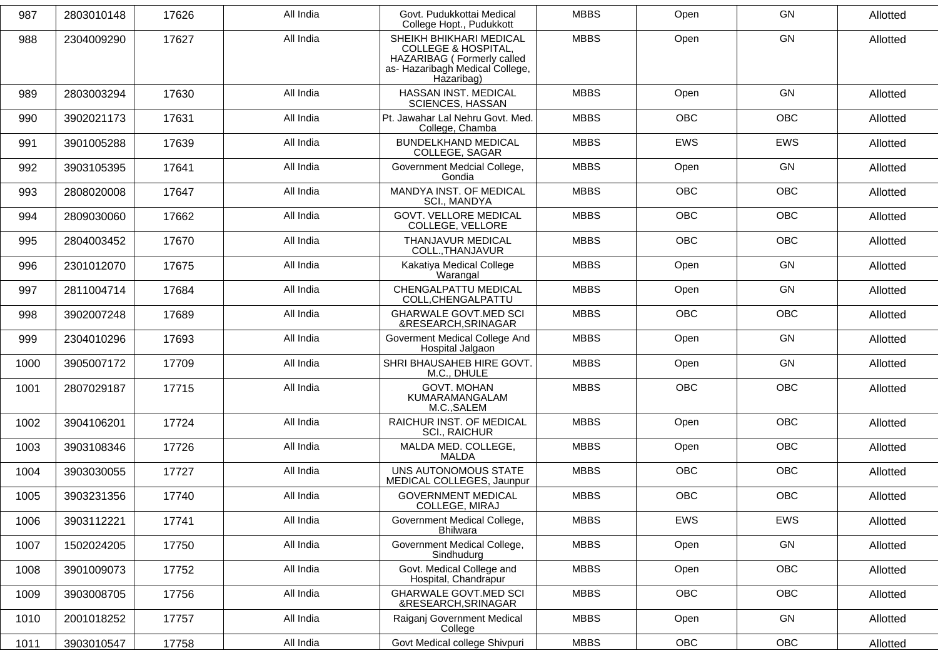| 987  | 2803010148 | 17626 | All India | Govt. Pudukkottai Medical<br>College Hopt., Pudukkott                                                                                    | <b>MBBS</b> | Open       | <b>GN</b>  | Allotted |
|------|------------|-------|-----------|------------------------------------------------------------------------------------------------------------------------------------------|-------------|------------|------------|----------|
| 988  | 2304009290 | 17627 | All India | SHEIKH BHIKHARI MEDICAL<br><b>COLLEGE &amp; HOSPITAL,</b><br>HAZARIBAG (Formerly called<br>as- Hazaribagh Medical College,<br>Hazaribag) | <b>MBBS</b> | Open       | GN         | Allotted |
| 989  | 2803003294 | 17630 | All India | HASSAN INST. MEDICAL<br><b>SCIENCES, HASSAN</b>                                                                                          | <b>MBBS</b> | Open       | GN         | Allotted |
| 990  | 3902021173 | 17631 | All India | Pt. Jawahar Lal Nehru Govt. Med.<br>College, Chamba                                                                                      | <b>MBBS</b> | <b>OBC</b> | <b>OBC</b> | Allotted |
| 991  | 3901005288 | 17639 | All India | <b>BUNDELKHAND MEDICAL</b><br>COLLEGE, SAGAR                                                                                             | <b>MBBS</b> | <b>EWS</b> | <b>EWS</b> | Allotted |
| 992  | 3903105395 | 17641 | All India | Government Medcial College,<br>Gondia                                                                                                    | <b>MBBS</b> | Open       | GN         | Allotted |
| 993  | 2808020008 | 17647 | All India | MANDYA INST. OF MEDICAL<br>SCI., MANDYA                                                                                                  | <b>MBBS</b> | <b>OBC</b> | <b>OBC</b> | Allotted |
| 994  | 2809030060 | 17662 | All India | <b>GOVT. VELLORE MEDICAL</b><br>COLLEGE, VELLORE                                                                                         | <b>MBBS</b> | <b>OBC</b> | OBC        | Allotted |
| 995  | 2804003452 | 17670 | All India | THANJAVUR MEDICAL<br>COLL., THANJAVUR                                                                                                    | <b>MBBS</b> | <b>OBC</b> | OBC        | Allotted |
| 996  | 2301012070 | 17675 | All India | Kakatiya Medical College<br>Warangal                                                                                                     | <b>MBBS</b> | Open       | GN         | Allotted |
| 997  | 2811004714 | 17684 | All India | CHENGALPATTU MEDICAL<br>COLL, CHENGALPATTU                                                                                               | <b>MBBS</b> | Open       | GN         | Allotted |
| 998  | 3902007248 | 17689 | All India | <b>GHARWALE GOVT.MED SCI</b><br>&RESEARCH, SRINAGAR                                                                                      | <b>MBBS</b> | OBC        | OBC        | Allotted |
| 999  | 2304010296 | 17693 | All India | Goverment Medical College And<br>Hospital Jalgaon                                                                                        | <b>MBBS</b> | Open       | GN         | Allotted |
| 1000 | 3905007172 | 17709 | All India | SHRI BHAUSAHEB HIRE GOVT.<br>M.C., DHULE                                                                                                 | <b>MBBS</b> | Open       | GN         | Allotted |
| 1001 | 2807029187 | 17715 | All India | <b>GOVT. MOHAN</b><br>KUMARAMANGALAM<br>M.C., SALEM                                                                                      | <b>MBBS</b> | <b>OBC</b> | <b>OBC</b> | Allotted |
| 1002 | 3904106201 | 17724 | All India | RAICHUR INST. OF MEDICAL<br><b>SCI., RAICHUR</b>                                                                                         | <b>MBBS</b> | Open       | OBC        | Allotted |
| 1003 | 3903108346 | 17726 | All India | MALDA MED. COLLEGE,<br><b>MALDA</b>                                                                                                      | <b>MBBS</b> | Open       | <b>OBC</b> | Allotted |
| 1004 | 3903030055 | 17727 | All India | UNS AUTONOMOUS STATE<br>MEDICAL COLLEGES, Jaunpur                                                                                        | <b>MBBS</b> | <b>OBC</b> | OBC        | Allotted |
| 1005 | 3903231356 | 17740 | All India | <b>GOVERNMENT MEDICAL</b><br>COLLEGE, MIRAJ                                                                                              | <b>MBBS</b> | OBC        | OBC        | Allotted |
| 1006 | 3903112221 | 17741 | All India | Government Medical College,<br><b>Bhilwara</b>                                                                                           | <b>MBBS</b> | EWS        | EWS        | Allotted |
| 1007 | 1502024205 | 17750 | All India | Government Medical College,<br>Sindhudurg                                                                                                | <b>MBBS</b> | Open       | GN         | Allotted |
| 1008 | 3901009073 | 17752 | All India | Govt. Medical College and<br>Hospital, Chandrapur                                                                                        | <b>MBBS</b> | Open       | OBC        | Allotted |
| 1009 | 3903008705 | 17756 | All India | <b>GHARWALE GOVT.MED SCI</b><br>&RESEARCH, SRINAGAR                                                                                      | <b>MBBS</b> | OBC        | OBC        | Allotted |
| 1010 | 2001018252 | 17757 | All India | Raiganj Government Medical<br>College                                                                                                    | <b>MBBS</b> | Open       | GN         | Allotted |
| 1011 | 3903010547 | 17758 | All India | Govt Medical college Shivpuri                                                                                                            | <b>MBBS</b> | OBC        | OBC        | Allotted |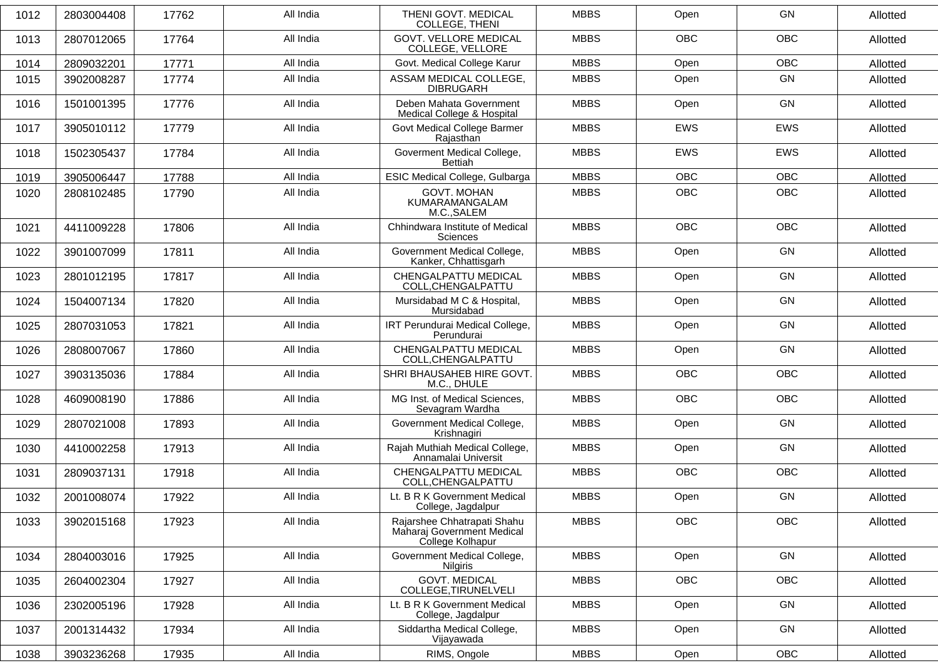| 1012 | 2803004408 | 17762 | All India | THENI GOVT. MEDICAL<br><b>COLLEGE, THENI</b>                                  | <b>MBBS</b> | Open       | GN         | Allotted |
|------|------------|-------|-----------|-------------------------------------------------------------------------------|-------------|------------|------------|----------|
| 1013 | 2807012065 | 17764 | All India | <b>GOVT. VELLORE MEDICAL</b><br>COLLEGE, VELLORE                              | <b>MBBS</b> | <b>OBC</b> | <b>OBC</b> | Allotted |
| 1014 | 2809032201 | 17771 | All India | Govt. Medical College Karur                                                   | <b>MBBS</b> | Open       | OBC        | Allotted |
| 1015 | 3902008287 | 17774 | All India | ASSAM MEDICAL COLLEGE,<br><b>DIBRUGARH</b>                                    | <b>MBBS</b> | Open       | GN         | Allotted |
| 1016 | 1501001395 | 17776 | All India | Deben Mahata Government<br>Medical College & Hospital                         | <b>MBBS</b> | Open       | GN         | Allotted |
| 1017 | 3905010112 | 17779 | All India | Govt Medical College Barmer<br>Rajasthan                                      | <b>MBBS</b> | <b>EWS</b> | <b>EWS</b> | Allotted |
| 1018 | 1502305437 | 17784 | All India | Goverment Medical College,<br>Bettiah                                         | <b>MBBS</b> | <b>EWS</b> | <b>EWS</b> | Allotted |
| 1019 | 3905006447 | 17788 | All India | ESIC Medical College, Gulbarga                                                | <b>MBBS</b> | <b>OBC</b> | <b>OBC</b> | Allotted |
| 1020 | 2808102485 | 17790 | All India | <b>GOVT. MOHAN</b><br>KUMARAMANGALAM<br>M.C., SALEM                           | <b>MBBS</b> | <b>OBC</b> | <b>OBC</b> | Allotted |
| 1021 | 4411009228 | 17806 | All India | Chhindwara Institute of Medical<br>Sciences                                   | <b>MBBS</b> | <b>OBC</b> | <b>OBC</b> | Allotted |
| 1022 | 3901007099 | 17811 | All India | Government Medical College,<br>Kanker, Chhattisgarh                           | <b>MBBS</b> | Open       | GN         | Allotted |
| 1023 | 2801012195 | 17817 | All India | CHENGALPATTU MEDICAL<br>COLL, CHENGALPATTU                                    | <b>MBBS</b> | Open       | GN         | Allotted |
| 1024 | 1504007134 | 17820 | All India | Mursidabad M C & Hospital,<br>Mursidabad                                      | <b>MBBS</b> | Open       | GN         | Allotted |
| 1025 | 2807031053 | 17821 | All India | IRT Perundurai Medical College,<br>Perundurai                                 | <b>MBBS</b> | Open       | GN         | Allotted |
| 1026 | 2808007067 | 17860 | All India | CHENGALPATTU MEDICAL<br>COLL, CHENGALPATTU                                    | <b>MBBS</b> | Open       | GN         | Allotted |
| 1027 | 3903135036 | 17884 | All India | SHRI BHAUSAHEB HIRE GOVT.<br>M.C., DHULE                                      | <b>MBBS</b> | <b>OBC</b> | <b>OBC</b> | Allotted |
| 1028 | 4609008190 | 17886 | All India | MG Inst. of Medical Sciences,<br>Sevagram Wardha                              | <b>MBBS</b> | <b>OBC</b> | OBC        | Allotted |
| 1029 | 2807021008 | 17893 | All India | Government Medical College,<br>Krishnagiri                                    | <b>MBBS</b> | Open       | GN         | Allotted |
| 1030 | 4410002258 | 17913 | All India | Rajah Muthiah Medical College,<br>Annamalai Universit                         | <b>MBBS</b> | Open       | <b>GN</b>  | Allotted |
| 1031 | 2809037131 | 17918 | All India | CHENGALPATTU MEDICAL<br>COLL, CHENGALPATTU                                    | <b>MBBS</b> | <b>OBC</b> | OBC        | Allotted |
| 1032 | 2001008074 | 17922 | All India | Lt. B R K Government Medical<br>College, Jagdalpur                            | <b>MBBS</b> | Open       | GN         | Allotted |
| 1033 | 3902015168 | 17923 | All India | Rajarshee Chhatrapati Shahu<br>Maharaj Government Medical<br>College Kolhapur | <b>MBBS</b> | OBC        | OBC        | Allotted |
| 1034 | 2804003016 | 17925 | All India | Government Medical College,<br>Nilgiris                                       | <b>MBBS</b> | Open       | GN         | Allotted |
| 1035 | 2604002304 | 17927 | All India | <b>GOVT. MEDICAL</b><br>COLLEGE, TIRUNELVELI                                  | <b>MBBS</b> | OBC        | OBC        | Allotted |
| 1036 | 2302005196 | 17928 | All India | Lt. B R K Government Medical<br>College, Jagdalpur                            | <b>MBBS</b> | Open       | GN         | Allotted |
| 1037 | 2001314432 | 17934 | All India | Siddartha Medical College,<br>Vijayawada                                      | <b>MBBS</b> | Open       | GN         | Allotted |
| 1038 | 3903236268 | 17935 | All India | RIMS, Ongole                                                                  | <b>MBBS</b> | Open       | OBC        | Allotted |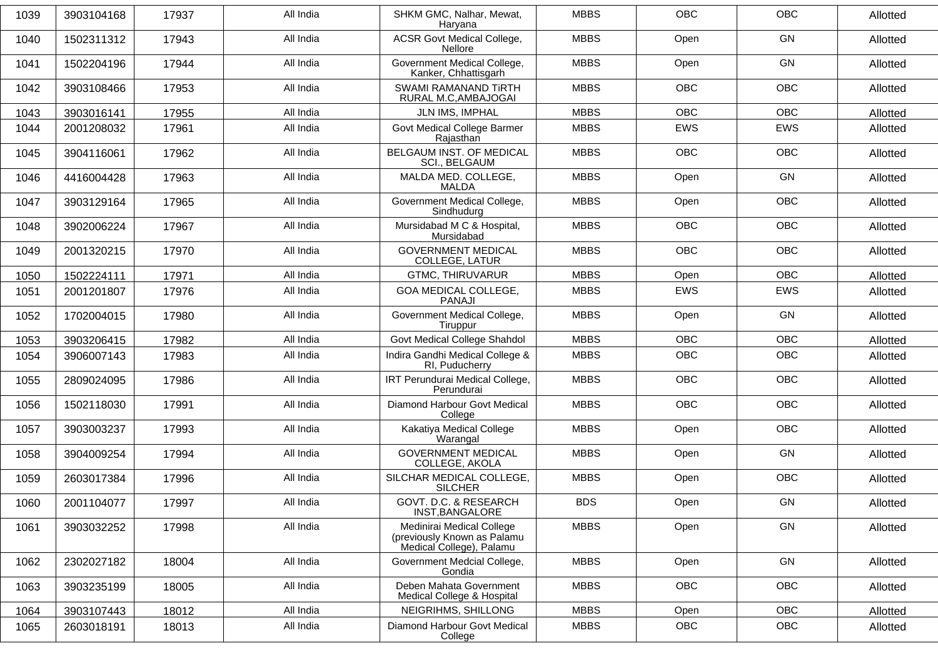| 1039 | 3903104168 | 17937 | All India | SHKM GMC, Nalhar, Mewat,<br>Haryana                                                  | <b>MBBS</b> | <b>OBC</b> | <b>OBC</b> | Allotted |
|------|------------|-------|-----------|--------------------------------------------------------------------------------------|-------------|------------|------------|----------|
| 1040 | 1502311312 | 17943 | All India | <b>ACSR Govt Medical College,</b><br><b>Nellore</b>                                  | <b>MBBS</b> | Open       | <b>GN</b>  | Allotted |
| 1041 | 1502204196 | 17944 | All India | Government Medical College,<br>Kanker, Chhattisgarh                                  | <b>MBBS</b> | Open       | GN         | Allotted |
| 1042 | 3903108466 | 17953 | All India | SWAMI RAMANAND TIRTH<br>RURAL M.C, AMBAJOGAI                                         | <b>MBBS</b> | <b>OBC</b> | OBC        | Allotted |
| 1043 | 3903016141 | 17955 | All India | JLN IMS, IMPHAL                                                                      | <b>MBBS</b> | <b>OBC</b> | <b>OBC</b> | Allotted |
| 1044 | 2001208032 | 17961 | All India | Govt Medical College Barmer<br>Rajasthan                                             | <b>MBBS</b> | EWS        | EWS        | Allotted |
| 1045 | 3904116061 | 17962 | All India | BELGAUM INST. OF MEDICAL<br><b>SCI., BELGAUM</b>                                     | <b>MBBS</b> | <b>OBC</b> | <b>OBC</b> | Allotted |
| 1046 | 4416004428 | 17963 | All India | MALDA MED. COLLEGE,<br><b>MALDA</b>                                                  | <b>MBBS</b> | Open       | GN         | Allotted |
| 1047 | 3903129164 | 17965 | All India | Government Medical College,<br>Sindhudurg                                            | <b>MBBS</b> | Open       | <b>OBC</b> | Allotted |
| 1048 | 3902006224 | 17967 | All India | Mursidabad M C & Hospital,<br>Mursidabad                                             | <b>MBBS</b> | <b>OBC</b> | <b>OBC</b> | Allotted |
| 1049 | 2001320215 | 17970 | All India | <b>GOVERNMENT MEDICAL</b><br>COLLEGE, LATUR                                          | <b>MBBS</b> | <b>OBC</b> | <b>OBC</b> | Allotted |
| 1050 | 1502224111 | 17971 | All India | <b>GTMC, THIRUVARUR</b>                                                              | <b>MBBS</b> | Open       | <b>OBC</b> | Allotted |
| 1051 | 2001201807 | 17976 | All India | GOA MEDICAL COLLEGE,<br><b>PANAJI</b>                                                | <b>MBBS</b> | <b>EWS</b> | EWS        | Allotted |
| 1052 | 1702004015 | 17980 | All India | Government Medical College,<br>Tiruppur                                              | <b>MBBS</b> | Open       | <b>GN</b>  | Allotted |
| 1053 | 3903206415 | 17982 | All India | Govt Medical College Shahdol                                                         | <b>MBBS</b> | <b>OBC</b> | <b>OBC</b> | Allotted |
| 1054 | 3906007143 | 17983 | All India | Indira Gandhi Medical College &<br>RI, Puducherry                                    | <b>MBBS</b> | <b>OBC</b> | <b>OBC</b> | Allotted |
| 1055 | 2809024095 | 17986 | All India | IRT Perundurai Medical College,<br>Perundurai                                        | <b>MBBS</b> | <b>OBC</b> | <b>OBC</b> | Allotted |
| 1056 | 1502118030 | 17991 | All India | Diamond Harbour Govt Medical<br>College                                              | <b>MBBS</b> | <b>OBC</b> | <b>OBC</b> | Allotted |
| 1057 | 3903003237 | 17993 | All India | Kakatiya Medical College<br>Warangal                                                 | <b>MBBS</b> | Open       | <b>OBC</b> | Allotted |
| 1058 | 3904009254 | 17994 | All India | <b>GOVERNMENT MEDICAL</b><br>COLLEGE, AKOLA                                          | <b>MBBS</b> | Open       | <b>GN</b>  | Allotted |
| 1059 | 2603017384 | 17996 | All India | SILCHAR MEDICAL COLLEGE,<br><b>SILCHER</b>                                           | <b>MBBS</b> | Open       | <b>OBC</b> | Allotted |
| 1060 | 2001104077 | 17997 | All India | GOVT. D.C. & RESEARCH<br>INST, BANGALORE                                             | <b>BDS</b>  | Open       | GN         | Allotted |
| 1061 | 3903032252 | 17998 | All India | Medinirai Medical College<br>(previously Known as Palamu<br>Medical College), Palamu | <b>MBBS</b> | Open       | GN         | Allotted |
| 1062 | 2302027182 | 18004 | All India | Government Medcial College,<br>Gondia                                                | <b>MBBS</b> | Open       | GN         | Allotted |
| 1063 | 3903235199 | 18005 | All India | Deben Mahata Government<br>Medical College & Hospital                                | <b>MBBS</b> | <b>OBC</b> | OBC        | Allotted |
| 1064 | 3903107443 | 18012 | All India | NEIGRIHMS, SHILLONG                                                                  | <b>MBBS</b> | Open       | OBC        | Allotted |
| 1065 | 2603018191 | 18013 | All India | Diamond Harbour Govt Medical<br>College                                              | <b>MBBS</b> | OBC        | OBC        | Allotted |
|      |            |       |           |                                                                                      |             |            |            |          |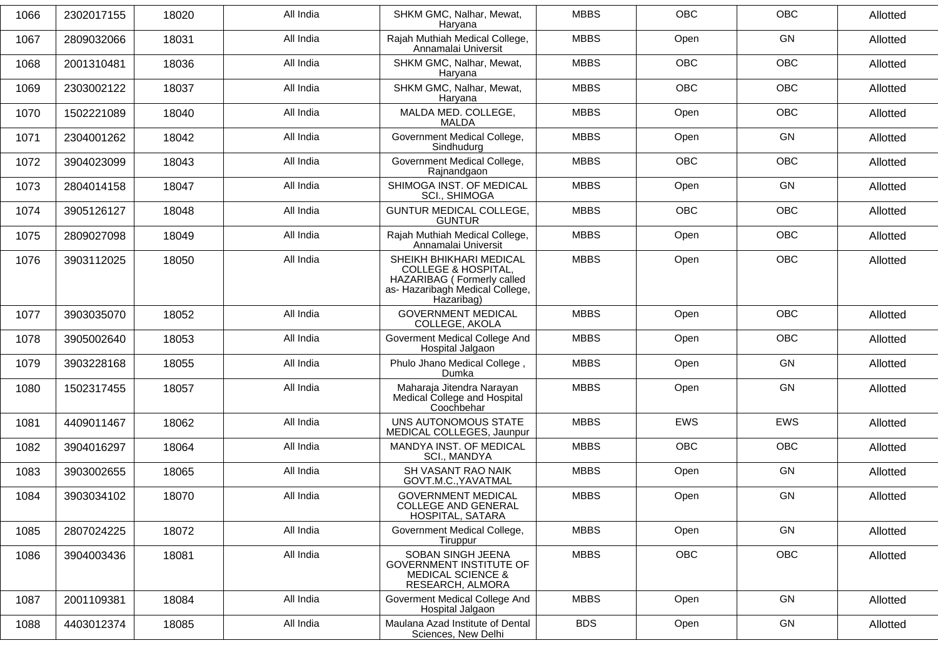| 1066 | 2302017155 | 18020 | All India | SHKM GMC, Nalhar, Mewat,<br>Haryana                                                                                                       | <b>MBBS</b> | <b>OBC</b> | <b>OBC</b> | Allotted |
|------|------------|-------|-----------|-------------------------------------------------------------------------------------------------------------------------------------------|-------------|------------|------------|----------|
| 1067 | 2809032066 | 18031 | All India | Rajah Muthiah Medical College,<br>Annamalai Universit                                                                                     | <b>MBBS</b> | Open       | GN         | Allotted |
| 1068 | 2001310481 | 18036 | All India | SHKM GMC, Nalhar, Mewat,<br>Haryana                                                                                                       | <b>MBBS</b> | <b>OBC</b> | OBC        | Allotted |
| 1069 | 2303002122 | 18037 | All India | SHKM GMC, Nalhar, Mewat,<br>Haryana                                                                                                       | <b>MBBS</b> | OBC        | OBC        | Allotted |
| 1070 | 1502221089 | 18040 | All India | MALDA MED. COLLEGE,<br>MALDA                                                                                                              | <b>MBBS</b> | Open       | <b>OBC</b> | Allotted |
| 1071 | 2304001262 | 18042 | All India | Government Medical College,<br>Sindhudurg                                                                                                 | <b>MBBS</b> | Open       | GN         | Allotted |
| 1072 | 3904023099 | 18043 | All India | Government Medical College,<br>Rajnandgaon                                                                                                | <b>MBBS</b> | <b>OBC</b> | <b>OBC</b> | Allotted |
| 1073 | 2804014158 | 18047 | All India | SHIMOGA INST. OF MEDICAL<br><b>SCI., SHIMOGA</b>                                                                                          | <b>MBBS</b> | Open       | GN         | Allotted |
| 1074 | 3905126127 | 18048 | All India | <b>GUNTUR MEDICAL COLLEGE,</b><br><b>GUNTUR</b>                                                                                           | <b>MBBS</b> | <b>OBC</b> | <b>OBC</b> | Allotted |
| 1075 | 2809027098 | 18049 | All India | Rajah Muthiah Medical College,<br>Annamalai Universit                                                                                     | <b>MBBS</b> | Open       | OBC        | Allotted |
| 1076 | 3903112025 | 18050 | All India | SHEIKH BHIKHARI MEDICAL<br><b>COLLEGE &amp; HOSPITAL,</b><br>HAZARIBAG ( Formerly called<br>as- Hazaribagh Medical College,<br>Hazaribag) | <b>MBBS</b> | Open       | <b>OBC</b> | Allotted |
| 1077 | 3903035070 | 18052 | All India | <b>GOVERNMENT MEDICAL</b><br>COLLEGE, AKOLA                                                                                               | <b>MBBS</b> | Open       | OBC        | Allotted |
| 1078 | 3905002640 | 18053 | All India | Goverment Medical College And<br>Hospital Jalgaon                                                                                         | <b>MBBS</b> | Open       | <b>OBC</b> | Allotted |
| 1079 | 3903228168 | 18055 | All India | Phulo Jhano Medical College,<br>Dumka                                                                                                     | <b>MBBS</b> | Open       | GN         | Allotted |
| 1080 | 1502317455 | 18057 | All India | Maharaja Jitendra Narayan<br>Medical College and Hospital<br>Coochbehar                                                                   | <b>MBBS</b> | Open       | GN         | Allotted |
| 1081 | 4409011467 | 18062 | All India | UNS AUTONOMOUS STATE<br>MEDICAL COLLEGES, Jaunpur                                                                                         | <b>MBBS</b> | EWS        | EWS        | Allotted |
| 1082 | 3904016297 | 18064 | All India | MANDYA INST. OF MEDICAL<br>SCI., MANDYA                                                                                                   | <b>MBBS</b> | <b>OBC</b> | <b>OBC</b> | Allotted |
| 1083 | 3903002655 | 18065 | All India | SH VASANT RAO NAIK<br>GOVT.M.C., YAVATMAL                                                                                                 | <b>MBBS</b> | Open       | GN         | Allotted |
| 1084 | 3903034102 | 18070 | All India | <b>GOVERNMENT MEDICAL</b><br><b>COLLEGE AND GENERAL</b><br>HOSPITAL, SATARA                                                               | <b>MBBS</b> | Open       | GN         | Allotted |
| 1085 | 2807024225 | 18072 | All India | Government Medical College,<br>Tiruppur                                                                                                   | <b>MBBS</b> | Open       | GN         | Allotted |
| 1086 | 3904003436 | 18081 | All India | SOBAN SINGH JEENA<br><b>GOVERNMENT INSTITUTE OF</b><br><b>MEDICAL SCIENCE &amp;</b><br>RESEARCH, ALMORA                                   | <b>MBBS</b> | OBC        | OBC        | Allotted |
| 1087 | 2001109381 | 18084 | All India | Goverment Medical College And<br>Hospital Jalgaon                                                                                         | <b>MBBS</b> | Open       | GN         | Allotted |
| 1088 | 4403012374 | 18085 | All India | Maulana Azad Institute of Dental<br>Sciences, New Delhi                                                                                   | <b>BDS</b>  | Open       | GN         | Allotted |
|      |            |       |           |                                                                                                                                           |             |            |            |          |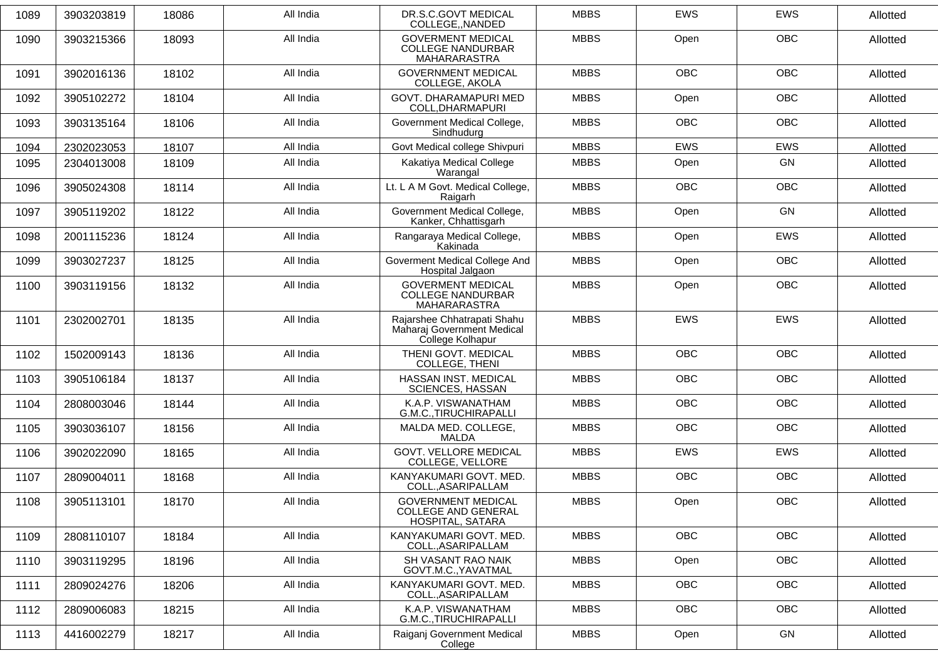| 1089 | 3903203819 | 18086 | All India | DR.S.C.GOVT MEDICAL<br>COLLEGE,, NANDED                                       | <b>MBBS</b> | <b>EWS</b> | EWS        | Allotted |
|------|------------|-------|-----------|-------------------------------------------------------------------------------|-------------|------------|------------|----------|
| 1090 | 3903215366 | 18093 | All India | <b>GOVERMENT MEDICAL</b><br><b>COLLEGE NANDURBAR</b><br>MAHARARASTRA          | <b>MBBS</b> | Open       | <b>OBC</b> | Allotted |
| 1091 | 3902016136 | 18102 | All India | <b>GOVERNMENT MEDICAL</b><br>COLLEGE, AKOLA                                   | <b>MBBS</b> | <b>OBC</b> | <b>OBC</b> | Allotted |
| 1092 | 3905102272 | 18104 | All India | GOVT. DHARAMAPURI MED<br>COLL, DHARMAPURI                                     | <b>MBBS</b> | Open       | <b>OBC</b> | Allotted |
| 1093 | 3903135164 | 18106 | All India | Government Medical College,<br>Sindhudurg                                     | <b>MBBS</b> | <b>OBC</b> | <b>OBC</b> | Allotted |
| 1094 | 2302023053 | 18107 | All India | Govt Medical college Shivpuri                                                 | <b>MBBS</b> | <b>EWS</b> | <b>EWS</b> | Allotted |
| 1095 | 2304013008 | 18109 | All India | Kakatiya Medical College<br>Warangal                                          | <b>MBBS</b> | Open       | <b>GN</b>  | Allotted |
| 1096 | 3905024308 | 18114 | All India | Lt. L A M Govt. Medical College,<br>Raigarh                                   | <b>MBBS</b> | <b>OBC</b> | <b>OBC</b> | Allotted |
| 1097 | 3905119202 | 18122 | All India | Government Medical College,<br>Kanker, Chhattisgarh                           | <b>MBBS</b> | Open       | GN         | Allotted |
| 1098 | 2001115236 | 18124 | All India | Rangaraya Medical College,<br>Kakinada                                        | <b>MBBS</b> | Open       | <b>EWS</b> | Allotted |
| 1099 | 3903027237 | 18125 | All India | Goverment Medical College And<br>Hospital Jalgaon                             | <b>MBBS</b> | Open       | <b>OBC</b> | Allotted |
| 1100 | 3903119156 | 18132 | All India | <b>GOVERMENT MEDICAL</b><br><b>COLLEGE NANDURBAR</b><br>MAHARARASTRA          | <b>MBBS</b> | Open       | <b>OBC</b> | Allotted |
| 1101 | 2302002701 | 18135 | All India | Rajarshee Chhatrapati Shahu<br>Maharaj Government Medical<br>College Kolhapur | <b>MBBS</b> | <b>EWS</b> | <b>EWS</b> | Allotted |
| 1102 | 1502009143 | 18136 | All India | THENI GOVT. MEDICAL<br>COLLEGE, THENI                                         | <b>MBBS</b> | <b>OBC</b> | <b>OBC</b> | Allotted |
| 1103 | 3905106184 | 18137 | All India | HASSAN INST. MEDICAL<br>SCIENCES, HASSAN                                      | <b>MBBS</b> | <b>OBC</b> | <b>OBC</b> | Allotted |
| 1104 | 2808003046 | 18144 | All India | K.A.P. VISWANATHAM<br>G.M.C., TIRUCHIRAPALLI                                  | <b>MBBS</b> | <b>OBC</b> | OBC        | Allotted |
| 1105 | 3903036107 | 18156 | All India | MALDA MED. COLLEGE,<br><b>MALDA</b>                                           | <b>MBBS</b> | <b>OBC</b> | <b>OBC</b> | Allotted |
| 1106 | 3902022090 | 18165 | All India | <b>GOVT. VELLORE MEDICAL</b><br>COLLEGE, VELLORE                              | <b>MBBS</b> | <b>EWS</b> | <b>EWS</b> | Allotted |
| 1107 | 2809004011 | 18168 | All India | KANYAKUMARI GOVT. MED.<br>COLL., ASARIPALLAM                                  | <b>MBBS</b> | <b>OBC</b> | <b>OBC</b> | Allotted |
| 1108 | 3905113101 | 18170 | All India | <b>GOVERNMENT MEDICAL</b><br><b>COLLEGE AND GENERAL</b><br>HOSPITAL, SATARA   | <b>MBBS</b> | Open       | <b>OBC</b> | Allotted |
| 1109 | 2808110107 | 18184 | All India | KANYAKUMARI GOVT. MED.<br>COLLASARIPALLAM                                     | <b>MBBS</b> | OBC        | OBC        | Allotted |
| 1110 | 3903119295 | 18196 | All India | SH VASANT RAO NAIK<br>GOVT.M.C., YAVATMAL                                     | <b>MBBS</b> | Open       | <b>OBC</b> | Allotted |
| 1111 | 2809024276 | 18206 | All India | KANYAKUMARI GOVT, MED.<br>COLL., ASARIPALLAM                                  | <b>MBBS</b> | <b>OBC</b> | <b>OBC</b> | Allotted |
| 1112 | 2809006083 | 18215 | All India | K.A.P. VISWANATHAM<br>G.M.C., TIRUCHIRAPALLI                                  | <b>MBBS</b> | <b>OBC</b> | OBC        | Allotted |
| 1113 | 4416002279 | 18217 | All India | Raiganj Government Medical<br>College                                         | <b>MBBS</b> | Open       | GN         | Allotted |
|      |            |       |           |                                                                               |             |            |            |          |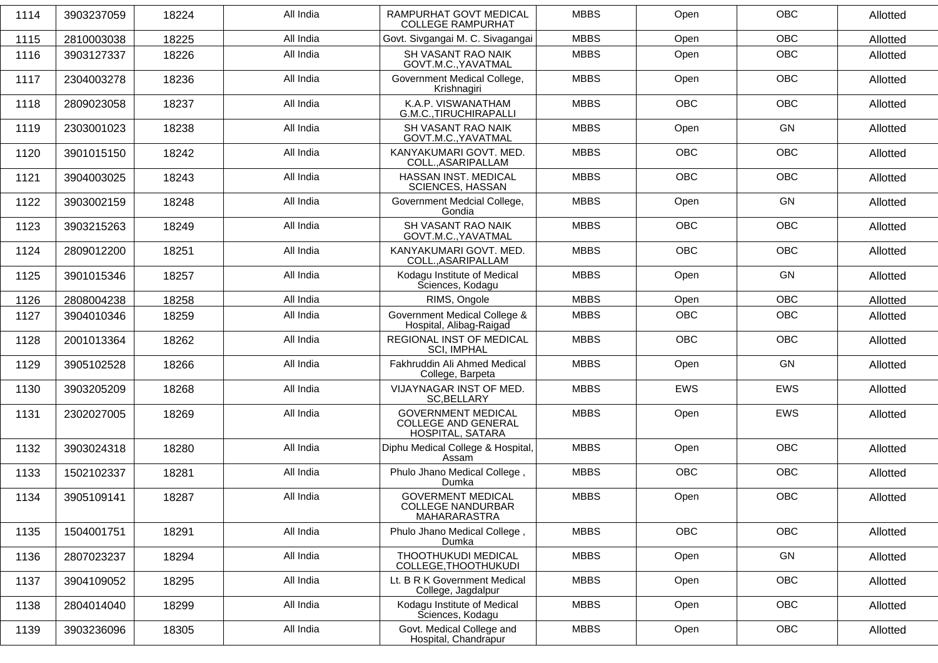| 1114 | 3903237059 | 18224 | All India | RAMPURHAT GOVT MEDICAL<br><b>COLLEGE RAMPURHAT</b>                          | <b>MBBS</b> | Open       | <b>OBC</b> | Allotted |
|------|------------|-------|-----------|-----------------------------------------------------------------------------|-------------|------------|------------|----------|
| 1115 | 2810003038 | 18225 | All India | Govt. Sivgangai M. C. Sivagangai                                            | <b>MBBS</b> | Open       | <b>OBC</b> | Allotted |
| 1116 | 3903127337 | 18226 | All India | SH VASANT RAO NAIK<br>GOVT.M.C., YAVATMAL                                   | <b>MBBS</b> | Open       | <b>OBC</b> | Allotted |
| 1117 | 2304003278 | 18236 | All India | Government Medical College,<br>Krishnagiri                                  | <b>MBBS</b> | Open       | <b>OBC</b> | Allotted |
| 1118 | 2809023058 | 18237 | All India | K.A.P. VISWANATHAM<br>G.M.C., TIRUCHIRAPALLI                                | <b>MBBS</b> | <b>OBC</b> | <b>OBC</b> | Allotted |
| 1119 | 2303001023 | 18238 | All India | SH VASANT RAO NAIK<br>GOVT.M.C., YAVATMAL                                   | <b>MBBS</b> | Open       | GN         | Allotted |
| 1120 | 3901015150 | 18242 | All India | KANYAKUMARI GOVT. MED.<br>COLL., ASARIPALLAM                                | <b>MBBS</b> | <b>OBC</b> | <b>OBC</b> | Allotted |
| 1121 | 3904003025 | 18243 | All India | HASSAN INST. MEDICAL<br><b>SCIENCES, HASSAN</b>                             | <b>MBBS</b> | <b>OBC</b> | <b>OBC</b> | Allotted |
| 1122 | 3903002159 | 18248 | All India | Government Medcial College,<br>Gondia                                       | <b>MBBS</b> | Open       | GN         | Allotted |
| 1123 | 3903215263 | 18249 | All India | <b>SH VASANT RAO NAIK</b><br>GOVT.M.C., YAVATMAL                            | <b>MBBS</b> | <b>OBC</b> | <b>OBC</b> | Allotted |
| 1124 | 2809012200 | 18251 | All India | KANYAKUMARI GOVT. MED.<br>COLL., ASARIPALLAM                                | <b>MBBS</b> | <b>OBC</b> | <b>OBC</b> | Allotted |
| 1125 | 3901015346 | 18257 | All India | Kodagu Institute of Medical<br>Sciences, Kodagu                             | <b>MBBS</b> | Open       | GN         | Allotted |
| 1126 | 2808004238 | 18258 | All India | RIMS, Ongole                                                                | <b>MBBS</b> | Open       | <b>OBC</b> | Allotted |
| 1127 | 3904010346 | 18259 | All India | Government Medical College &<br>Hospital, Alibag-Raigad                     | <b>MBBS</b> | <b>OBC</b> | OBC        | Allotted |
| 1128 | 2001013364 | 18262 | All India | REGIONAL INST OF MEDICAL<br><b>SCI, IMPHAL</b>                              | <b>MBBS</b> | <b>OBC</b> | <b>OBC</b> | Allotted |
| 1129 | 3905102528 | 18266 | All India | Fakhruddin Ali Ahmed Medical<br>College, Barpeta                            | <b>MBBS</b> | Open       | GN         | Allotted |
| 1130 | 3903205209 | 18268 | All India | VIJAYNAGAR INST OF MED.<br>SC, BELLARY                                      | <b>MBBS</b> | <b>EWS</b> | <b>EWS</b> | Allotted |
| 1131 | 2302027005 | 18269 | All India | <b>GOVERNMENT MEDICAL</b><br><b>COLLEGE AND GENERAL</b><br>HOSPITAL, SATARA | <b>MBBS</b> | Open       | EWS        | Allotted |
| 1132 | 3903024318 | 18280 | All India | Diphu Medical College & Hospital,<br>Assam                                  | <b>MBBS</b> | Open       | <b>OBC</b> | Allotted |
| 1133 | 1502102337 | 18281 | All India | Phulo Jhano Medical College,<br>Dumka                                       | <b>MBBS</b> | OBC        | OBC        | Allotted |
| 1134 | 3905109141 | 18287 | All India | <b>GOVERMENT MEDICAL</b><br><b>COLLEGE NANDURBAR</b><br>MAHARARASTRA        | <b>MBBS</b> | Open       | <b>OBC</b> | Allotted |
| 1135 | 1504001751 | 18291 | All India | Phulo Jhano Medical College,<br>Dumka                                       | <b>MBBS</b> | OBC        | <b>OBC</b> | Allotted |
| 1136 | 2807023237 | 18294 | All India | THOOTHUKUDI MEDICAL<br>COLLEGE, THOOTHUKUDI                                 | <b>MBBS</b> | Open       | GN         | Allotted |
| 1137 | 3904109052 | 18295 | All India | Lt. B R K Government Medical<br>College, Jagdalpur                          | <b>MBBS</b> | Open       | OBC        | Allotted |
| 1138 | 2804014040 | 18299 | All India | Kodagu Institute of Medical<br>Sciences, Kodagu                             | <b>MBBS</b> | Open       | OBC        | Allotted |
| 1139 | 3903236096 | 18305 | All India | Govt. Medical College and<br>Hospital, Chandrapur                           | <b>MBBS</b> | Open       | OBC        | Allotted |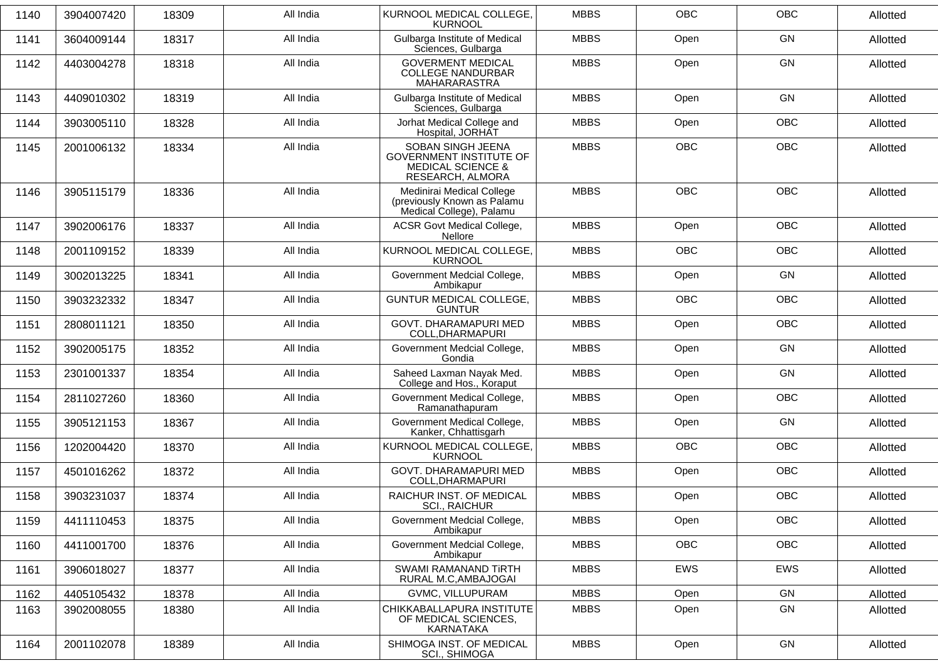| 1140 | 3904007420 | 18309 | All India | KURNOOL MEDICAL COLLEGE,<br><b>KURNOOL</b>                                                              | <b>MBBS</b> | OBC        | OBC        | Allotted |
|------|------------|-------|-----------|---------------------------------------------------------------------------------------------------------|-------------|------------|------------|----------|
| 1141 | 3604009144 | 18317 | All India | Gulbarga Institute of Medical<br>Sciences, Gulbarga                                                     | <b>MBBS</b> | Open       | GN         | Allotted |
| 1142 | 4403004278 | 18318 | All India | <b>GOVERMENT MEDICAL</b><br><b>COLLEGE NANDURBAR</b><br>MAHARARASTRA                                    | <b>MBBS</b> | Open       | GN         | Allotted |
| 1143 | 4409010302 | 18319 | All India | Gulbarga Institute of Medical<br>Sciences, Gulbarga                                                     | <b>MBBS</b> | Open       | GN         | Allotted |
| 1144 | 3903005110 | 18328 | All India | Jorhat Medical College and<br>Hospital, JORHAT                                                          | <b>MBBS</b> | Open       | OBC        | Allotted |
| 1145 | 2001006132 | 18334 | All India | SOBAN SINGH JEENA<br><b>GOVERNMENT INSTITUTE OF</b><br><b>MEDICAL SCIENCE &amp;</b><br>RESEARCH, ALMORA | <b>MBBS</b> | <b>OBC</b> | <b>OBC</b> | Allotted |
| 1146 | 3905115179 | 18336 | All India | Medinirai Medical College<br>(previously Known as Palamu<br>Medical College), Palamu                    | <b>MBBS</b> | OBC        | <b>OBC</b> | Allotted |
| 1147 | 3902006176 | 18337 | All India | <b>ACSR Govt Medical College,</b><br>Nellore                                                            | <b>MBBS</b> | Open       | <b>OBC</b> | Allotted |
| 1148 | 2001109152 | 18339 | All India | KURNOOL MEDICAL COLLEGE,<br><b>KURNOOL</b>                                                              | <b>MBBS</b> | <b>OBC</b> | <b>OBC</b> | Allotted |
| 1149 | 3002013225 | 18341 | All India | Government Medcial College,<br>Ambikapur                                                                | <b>MBBS</b> | Open       | GN         | Allotted |
| 1150 | 3903232332 | 18347 | All India | GUNTUR MEDICAL COLLEGE,<br><b>GUNTUR</b>                                                                | <b>MBBS</b> | <b>OBC</b> | <b>OBC</b> | Allotted |
| 1151 | 2808011121 | 18350 | All India | GOVT. DHARAMAPURI MED<br>COLL, DHARMAPURI                                                               | <b>MBBS</b> | Open       | <b>OBC</b> | Allotted |
| 1152 | 3902005175 | 18352 | All India | Government Medcial College,<br>Gondia                                                                   | <b>MBBS</b> | Open       | GN         | Allotted |
| 1153 | 2301001337 | 18354 | All India | Saheed Laxman Nayak Med.<br>College and Hos., Koraput                                                   | <b>MBBS</b> | Open       | GN         | Allotted |
| 1154 | 2811027260 | 18360 | All India | Government Medical College,<br>Ramanathapuram                                                           | <b>MBBS</b> | Open       | <b>OBC</b> | Allotted |
| 1155 | 3905121153 | 18367 | All India | Government Medical College,<br>Kanker, Chhattisgarh                                                     | <b>MBBS</b> | Open       | GN         | Allotted |
| 1156 | 1202004420 | 18370 | All India | KURNOOL MEDICAL COLLEGE,<br><b>KURNOOL</b>                                                              | <b>MBBS</b> | <b>OBC</b> | <b>OBC</b> | Allotted |
| 1157 | 4501016262 | 18372 | All India | GOVT. DHARAMAPURI MED<br>COLL, DHARMAPURI                                                               | <b>MBBS</b> | Open       | OBC        | Allotted |
| 1158 | 3903231037 | 18374 | All India | RAICHUR INST. OF MEDICAL<br>SCI., RAICHUR                                                               | <b>MBBS</b> | Open       | OBC        | Allotted |
| 1159 | 4411110453 | 18375 | All India | Government Medcial College,<br>Ambikapur                                                                | <b>MBBS</b> | Open       | OBC        | Allotted |
| 1160 | 4411001700 | 18376 | All India | Government Medcial College,<br>Ambikapur                                                                | <b>MBBS</b> | OBC        | OBC        | Allotted |
| 1161 | 3906018027 | 18377 | All India | SWAMI RAMANAND TIRTH<br>RURAL M.C, AMBAJOGAI                                                            | <b>MBBS</b> | <b>EWS</b> | EWS        | Allotted |
| 1162 | 4405105432 | 18378 | All India | GVMC, VILLUPURAM                                                                                        | <b>MBBS</b> | Open       | GN         | Allotted |
| 1163 | 3902008055 | 18380 | All India | CHIKKABALLAPURA INSTITUTE<br>OF MEDICAL SCIENCES,<br>KARNATAKA                                          | <b>MBBS</b> | Open       | GN         | Allotted |
| 1164 | 2001102078 | 18389 | All India | SHIMOGA INST. OF MEDICAL<br>SCI., SHIMOGA                                                               | <b>MBBS</b> | Open       | GN         | Allotted |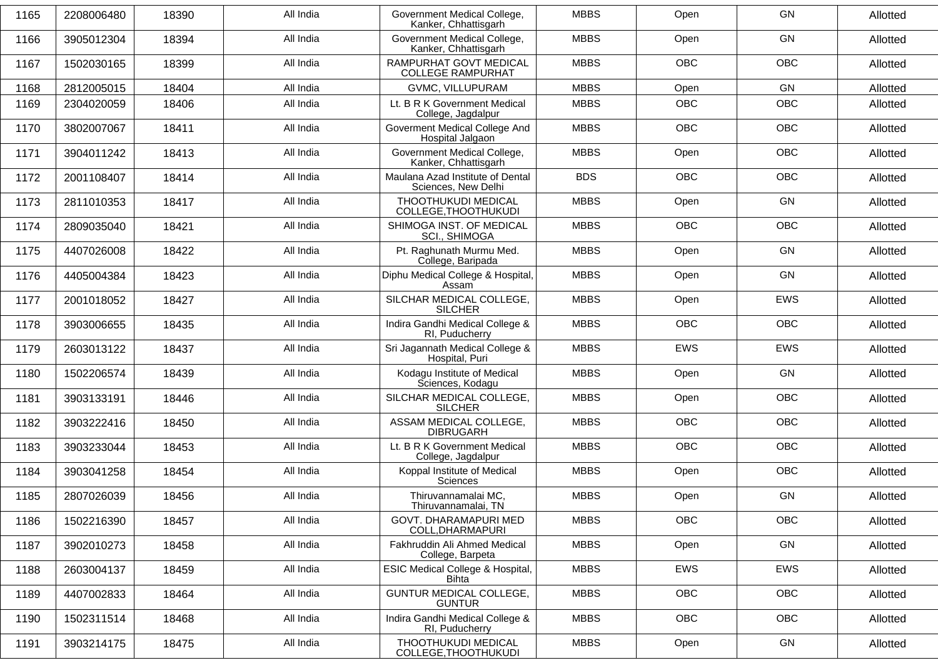| 1165 | 2208006480 | 18390 | All India | Government Medical College,<br>Kanker, Chhattisgarh     | <b>MBBS</b> | Open       | GN         | Allotted |
|------|------------|-------|-----------|---------------------------------------------------------|-------------|------------|------------|----------|
| 1166 | 3905012304 | 18394 | All India | Government Medical College,<br>Kanker, Chhattisgarh     | <b>MBBS</b> | Open       | GN         | Allotted |
| 1167 | 1502030165 | 18399 | All India | RAMPURHAT GOVT MEDICAL<br><b>COLLEGE RAMPURHAT</b>      | <b>MBBS</b> | <b>OBC</b> | <b>OBC</b> | Allotted |
| 1168 | 2812005015 | 18404 | All India | GVMC, VILLUPURAM                                        | <b>MBBS</b> | Open       | GN         | Allotted |
| 1169 | 2304020059 | 18406 | All India | Lt. B R K Government Medical<br>College, Jagdalpur      | <b>MBBS</b> | <b>OBC</b> | <b>OBC</b> | Allotted |
| 1170 | 3802007067 | 18411 | All India | Goverment Medical College And<br>Hospital Jalgaon       | <b>MBBS</b> | <b>OBC</b> | <b>OBC</b> | Allotted |
| 1171 | 3904011242 | 18413 | All India | Government Medical College,<br>Kanker, Chhattisgarh     | <b>MBBS</b> | Open       | <b>OBC</b> | Allotted |
| 1172 | 2001108407 | 18414 | All India | Maulana Azad Institute of Dental<br>Sciences, New Delhi | <b>BDS</b>  | <b>OBC</b> | <b>OBC</b> | Allotted |
| 1173 | 2811010353 | 18417 | All India | THOOTHUKUDI MEDICAL<br>COLLEGE, THOOTHUKUDI             | <b>MBBS</b> | Open       | GN         | Allotted |
| 1174 | 2809035040 | 18421 | All India | SHIMOGA INST. OF MEDICAL<br><b>SCI., SHIMOGA</b>        | <b>MBBS</b> | <b>OBC</b> | <b>OBC</b> | Allotted |
| 1175 | 4407026008 | 18422 | All India | Pt. Raghunath Murmu Med.<br>College, Baripada           | <b>MBBS</b> | Open       | GN         | Allotted |
| 1176 | 4405004384 | 18423 | All India | Diphu Medical College & Hospital,<br>Assam              | <b>MBBS</b> | Open       | GN         | Allotted |
| 1177 | 2001018052 | 18427 | All India | SILCHAR MEDICAL COLLEGE,<br><b>SILCHER</b>              | <b>MBBS</b> | Open       | <b>EWS</b> | Allotted |
| 1178 | 3903006655 | 18435 | All India | Indira Gandhi Medical College &<br>RI, Puducherry       | <b>MBBS</b> | <b>OBC</b> | <b>OBC</b> | Allotted |
| 1179 | 2603013122 | 18437 | All India | Sri Jagannath Medical College &<br>Hospital, Puri       | <b>MBBS</b> | <b>EWS</b> | <b>EWS</b> | Allotted |
| 1180 | 1502206574 | 18439 | All India | Kodagu Institute of Medical<br>Sciences, Kodagu         | <b>MBBS</b> | Open       | GN         | Allotted |
| 1181 | 3903133191 | 18446 | All India | SILCHAR MEDICAL COLLEGE,<br><b>SILCHER</b>              | <b>MBBS</b> | Open       | <b>OBC</b> | Allotted |
| 1182 | 3903222416 | 18450 | All India | ASSAM MEDICAL COLLEGE,<br><b>DIBRUGARH</b>              | <b>MBBS</b> | <b>OBC</b> | <b>OBC</b> | Allotted |
| 1183 | 3903233044 | 18453 | All India | Lt. B R K Government Medical<br>College, Jagdalpur      | <b>MBBS</b> | <b>OBC</b> | <b>OBC</b> | Allotted |
| 1184 | 3903041258 | 18454 | All India | Koppal Institute of Medical<br><b>Sciences</b>          | <b>MBBS</b> | Open       | <b>OBC</b> | Allotted |
| 1185 | 2807026039 | 18456 | All India | Thiruvannamalai MC,<br>Thiruvannamalai, TN              | <b>MBBS</b> | Open       | GN         | Allotted |
| 1186 | 1502216390 | 18457 | All India | GOVT. DHARAMAPURI MED<br>COLL, DHARMAPURI               | <b>MBBS</b> | OBC        | OBC        | Allotted |
| 1187 | 3902010273 | 18458 | All India | Fakhruddin Ali Ahmed Medical<br>College, Barpeta        | <b>MBBS</b> | Open       | GN         | Allotted |
| 1188 | 2603004137 | 18459 | All India | ESIC Medical College & Hospital,<br>Bihta               | <b>MBBS</b> | EWS        | EWS        | Allotted |
| 1189 | 4407002833 | 18464 | All India | <b>GUNTUR MEDICAL COLLEGE,</b><br><b>GUNTUR</b>         | <b>MBBS</b> | OBC        | OBC        | Allotted |
| 1190 | 1502311514 | 18468 | All India | Indira Gandhi Medical College &<br>RI, Puducherry       | <b>MBBS</b> | <b>OBC</b> | OBC        | Allotted |
| 1191 | 3903214175 | 18475 | All India | THOOTHUKUDI MEDICAL<br>COLLEGE, THOOTHUKUDI             | <b>MBBS</b> | Open       | GN         | Allotted |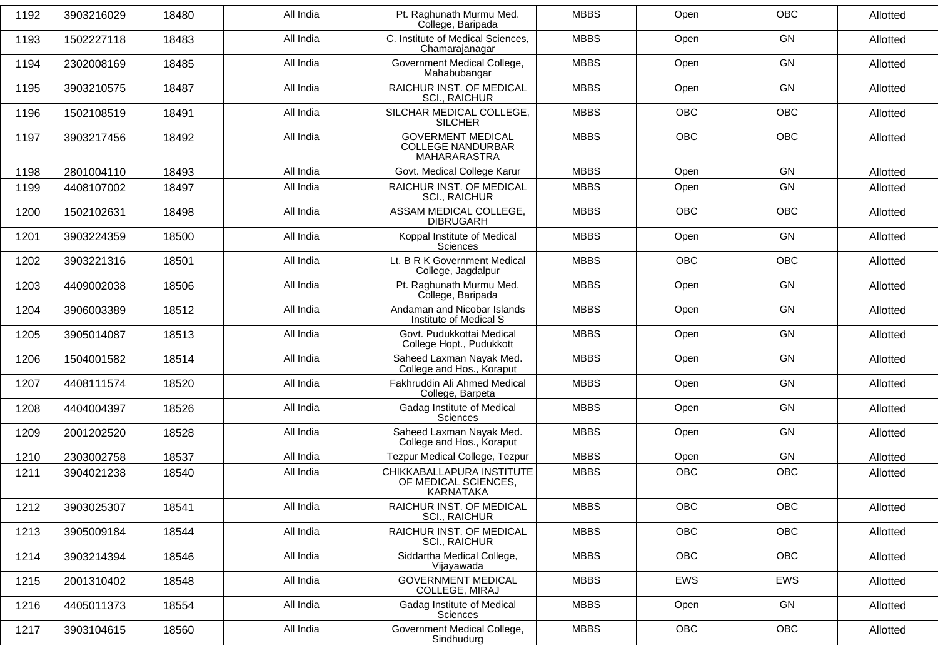| 3903216029<br>1502227118<br>2302008169<br>3903210575 | 18480<br>18483<br>18485 | All India<br>All India<br>All India | Pt. Raghunath Murmu Med.<br>College, Baripada<br>C. Institute of Medical Sciences,<br>Chamarajanagar | <b>MBBS</b><br><b>MBBS</b>                                 | Open<br>Open | <b>OBC</b><br>GN | Allotted<br>Allotted |
|------------------------------------------------------|-------------------------|-------------------------------------|------------------------------------------------------------------------------------------------------|------------------------------------------------------------|--------------|------------------|----------------------|
|                                                      |                         |                                     |                                                                                                      |                                                            |              |                  |                      |
|                                                      |                         |                                     |                                                                                                      |                                                            |              |                  |                      |
|                                                      |                         |                                     | Government Medical College,<br>Mahabubangar                                                          | <b>MBBS</b>                                                | Open         | GN               | Allotted             |
|                                                      | 18487                   | All India                           | RAICHUR INST. OF MEDICAL                                                                             | <b>MBBS</b>                                                | Open         | GN               | Allotted             |
|                                                      | 18491                   | All India                           | SILCHAR MEDICAL COLLEGE,                                                                             | <b>MBBS</b>                                                | OBC          | OBC              | Allotted             |
| 3903217456                                           | 18492                   | All India                           | <b>GOVERMENT MEDICAL</b><br><b>COLLEGE NANDURBAR</b><br>MAHARARASTRA                                 | <b>MBBS</b>                                                | <b>OBC</b>   | <b>OBC</b>       | Allotted             |
| 2801004110                                           | 18493                   | All India                           | Govt. Medical College Karur                                                                          | <b>MBBS</b>                                                | Open         | GN               | Allotted             |
| 4408107002                                           | 18497                   | All India                           | RAICHUR INST. OF MEDICAL<br><b>SCI., RAICHUR</b>                                                     | <b>MBBS</b>                                                | Open         | GN               | Allotted             |
| 1502102631                                           | 18498                   | All India                           | ASSAM MEDICAL COLLEGE,<br><b>DIBRUGARH</b>                                                           | <b>MBBS</b>                                                | <b>OBC</b>   | <b>OBC</b>       | Allotted             |
| 3903224359                                           | 18500                   | All India                           | Koppal Institute of Medical<br>Sciences                                                              | <b>MBBS</b>                                                | Open         | GN               | Allotted             |
| 3903221316                                           | 18501                   | All India                           | Lt. B R K Government Medical<br>College, Jagdalpur                                                   | <b>MBBS</b>                                                | OBC          | OBC              | Allotted             |
| 4409002038                                           | 18506                   | All India                           | Pt. Raghunath Murmu Med.<br>College, Baripada                                                        | <b>MBBS</b>                                                | Open         | GN               | Allotted             |
| 3906003389                                           | 18512                   | All India                           | Andaman and Nicobar Islands<br>Institute of Medical S                                                | <b>MBBS</b>                                                | Open         | GN               | Allotted             |
| 3905014087                                           | 18513                   | All India                           | Govt. Pudukkottai Medical<br>College Hopt., Pudukkott                                                | <b>MBBS</b>                                                | Open         | GN               | Allotted             |
| 1504001582                                           | 18514                   | All India                           | Saheed Laxman Nayak Med.<br>College and Hos., Koraput                                                | <b>MBBS</b>                                                | Open         | GN               | Allotted             |
| 4408111574                                           | 18520                   | All India                           | Fakhruddin Ali Ahmed Medical                                                                         | <b>MBBS</b>                                                | Open         | GN               | Allotted             |
| 4404004397                                           | 18526                   | All India                           | Gadag Institute of Medical<br>Sciences                                                               | <b>MBBS</b>                                                | Open         | GN               | Allotted             |
| 2001202520                                           | 18528                   | All India                           | Saheed Laxman Nayak Med.<br>College and Hos., Koraput                                                | <b>MBBS</b>                                                | Open         | <b>GN</b>        | Allotted             |
| 2303002758                                           | 18537                   | All India                           | Tezpur Medical College, Tezpur                                                                       | <b>MBBS</b>                                                | Open         | GN               | Allotted             |
| 3904021238                                           | 18540                   | All India                           | CHIKKABALLAPURA INSTITUTE<br>OF MEDICAL SCIENCES,<br>KARNATAKA                                       | <b>MBBS</b>                                                | <b>OBC</b>   | <b>OBC</b>       | Allotted             |
| 3903025307                                           | 18541                   | All India                           | RAICHUR INST. OF MEDICAL<br><b>SCI., RAICHUR</b>                                                     | <b>MBBS</b>                                                | OBC          | OBC              | Allotted             |
| 3905009184                                           | 18544                   | All India                           | RAICHUR INST. OF MEDICAL<br>SCI., RAICHUR                                                            | <b>MBBS</b>                                                | OBC          | OBC              | Allotted             |
| 3903214394                                           | 18546                   | All India                           | Siddartha Medical College,<br>Vijayawada                                                             | <b>MBBS</b>                                                | <b>OBC</b>   | OBC              | Allotted             |
| 2001310402                                           | 18548                   | All India                           | <b>GOVERNMENT MEDICAL</b><br>COLLEGE, MIRAJ                                                          | <b>MBBS</b>                                                | EWS          | EWS              | Allotted             |
| 4405011373                                           | 18554                   | All India                           | Gadag Institute of Medical<br>Sciences                                                               | <b>MBBS</b>                                                | Open         | GN               | Allotted             |
| 3903104615                                           | 18560                   | All India                           | Government Medical College,<br>Sindhudurg                                                            | <b>MBBS</b>                                                | OBC          | OBC              | Allotted             |
|                                                      | 1502108519              |                                     |                                                                                                      | <b>SCI., RAICHUR</b><br><b>SILCHER</b><br>College, Barpeta |              |                  |                      |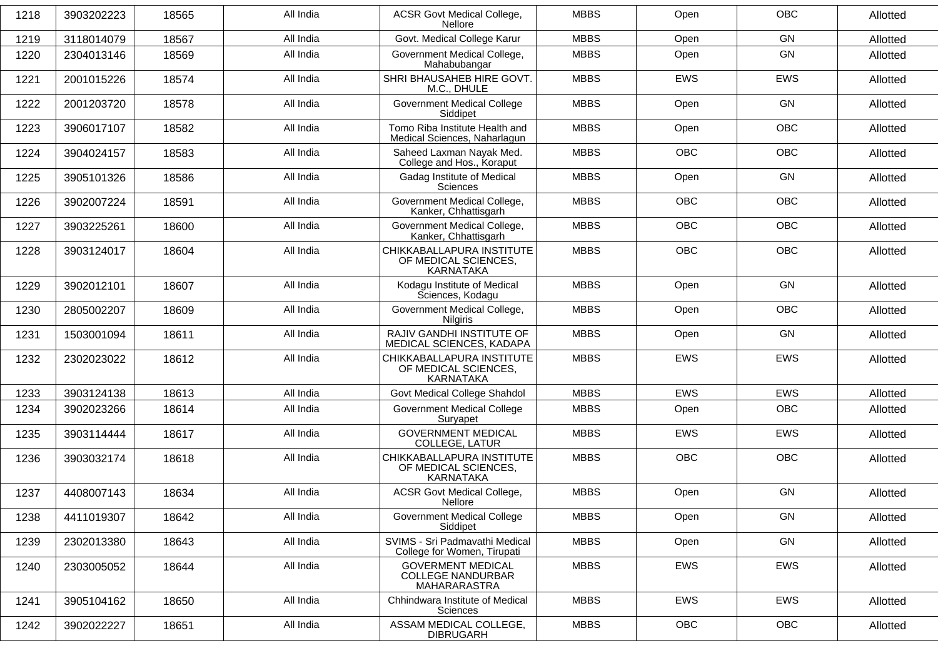| 1218 | 3903202223 | 18565 | All India | <b>ACSR Govt Medical College,</b><br><b>Nellore</b>                  | <b>MBBS</b> | Open       | <b>OBC</b> | Allotted |
|------|------------|-------|-----------|----------------------------------------------------------------------|-------------|------------|------------|----------|
| 1219 | 3118014079 | 18567 | All India | Govt. Medical College Karur                                          | <b>MBBS</b> | Open       | GN         | Allotted |
| 1220 | 2304013146 | 18569 | All India | Government Medical College,<br>Mahabubangar                          | <b>MBBS</b> | Open       | GN         | Allotted |
| 1221 | 2001015226 | 18574 | All India | SHRI BHAUSAHEB HIRE GOVT.<br>M.C., DHULE                             | <b>MBBS</b> | <b>EWS</b> | EWS        | Allotted |
| 1222 | 2001203720 | 18578 | All India | <b>Government Medical College</b><br>Siddipet                        | <b>MBBS</b> | Open       | <b>GN</b>  | Allotted |
| 1223 | 3906017107 | 18582 | All India | Tomo Riba Institute Health and<br>Medical Sciences, Naharlagun       | <b>MBBS</b> | Open       | <b>OBC</b> | Allotted |
| 1224 | 3904024157 | 18583 | All India | Saheed Laxman Nayak Med.<br>College and Hos., Koraput                | <b>MBBS</b> | <b>OBC</b> | <b>OBC</b> | Allotted |
| 1225 | 3905101326 | 18586 | All India | Gadag Institute of Medical<br>Sciences                               | <b>MBBS</b> | Open       | GN         | Allotted |
| 1226 | 3902007224 | 18591 | All India | Government Medical College,<br>Kanker, Chhattisgarh                  | <b>MBBS</b> | <b>OBC</b> | <b>OBC</b> | Allotted |
| 1227 | 3903225261 | 18600 | All India | Government Medical College,<br>Kanker, Chhattisgarh                  | <b>MBBS</b> | <b>OBC</b> | <b>OBC</b> | Allotted |
| 1228 | 3903124017 | 18604 | All India | CHIKKABALLAPURA INSTITUTE<br>OF MEDICAL SCIENCES,<br>KARNATAKA       | <b>MBBS</b> | <b>OBC</b> | <b>OBC</b> | Allotted |
| 1229 | 3902012101 | 18607 | All India | Kodagu Institute of Medical<br>Sciences, Kodagu                      | <b>MBBS</b> | Open       | GN         | Allotted |
| 1230 | 2805002207 | 18609 | All India | Government Medical College,<br>Nilgiris                              | <b>MBBS</b> | Open       | <b>OBC</b> | Allotted |
| 1231 | 1503001094 | 18611 | All India | RAJIV GANDHI INSTITUTE OF<br>MEDICAL SCIENCES, KADAPA                | <b>MBBS</b> | Open       | <b>GN</b>  | Allotted |
| 1232 | 2302023022 | 18612 | All India | CHIKKABALLAPURA INSTITUTE<br>OF MEDICAL SCIENCES,<br>KARNATAKA       | <b>MBBS</b> | <b>EWS</b> | <b>EWS</b> | Allotted |
| 1233 | 3903124138 | 18613 | All India | Govt Medical College Shahdol                                         | <b>MBBS</b> | <b>EWS</b> | EWS        | Allotted |
| 1234 | 3902023266 | 18614 | All India | <b>Government Medical College</b><br>Suryapet                        | <b>MBBS</b> | Open       | <b>OBC</b> | Allotted |
| 1235 | 3903114444 | 18617 | All India | <b>GOVERNMENT MEDICAL</b><br>COLLEGE, LATUR                          | <b>MBBS</b> | EWS        | EWS        | Allotted |
| 1236 | 3903032174 | 18618 | All India | CHIKKABALLAPURA INSTITUTE<br>OF MEDICAL SCIENCES,<br>KARNATAKA       | <b>MBBS</b> | <b>OBC</b> | <b>OBC</b> | Allotted |
| 1237 | 4408007143 | 18634 | All India | <b>ACSR Govt Medical College,</b><br>Nellore                         | <b>MBBS</b> | Open       | GN         | Allotted |
| 1238 | 4411019307 | 18642 | All India | <b>Government Medical College</b><br>Siddipet                        | <b>MBBS</b> | Open       | GN         | Allotted |
| 1239 | 2302013380 | 18643 | All India | SVIMS - Sri Padmavathi Medical<br>College for Women, Tirupati        | <b>MBBS</b> | Open       | GN         | Allotted |
| 1240 | 2303005052 | 18644 | All India | <b>GOVERMENT MEDICAL</b><br><b>COLLEGE NANDURBAR</b><br>MAHARARASTRA | <b>MBBS</b> | EWS        | EWS        | Allotted |
| 1241 | 3905104162 | 18650 | All India | Chhindwara Institute of Medical<br>Sciences                          | <b>MBBS</b> | <b>EWS</b> | <b>EWS</b> | Allotted |
| 1242 | 3902022227 | 18651 | All India | ASSAM MEDICAL COLLEGE,<br><b>DIBRUGARH</b>                           | <b>MBBS</b> | OBC        | OBC        | Allotted |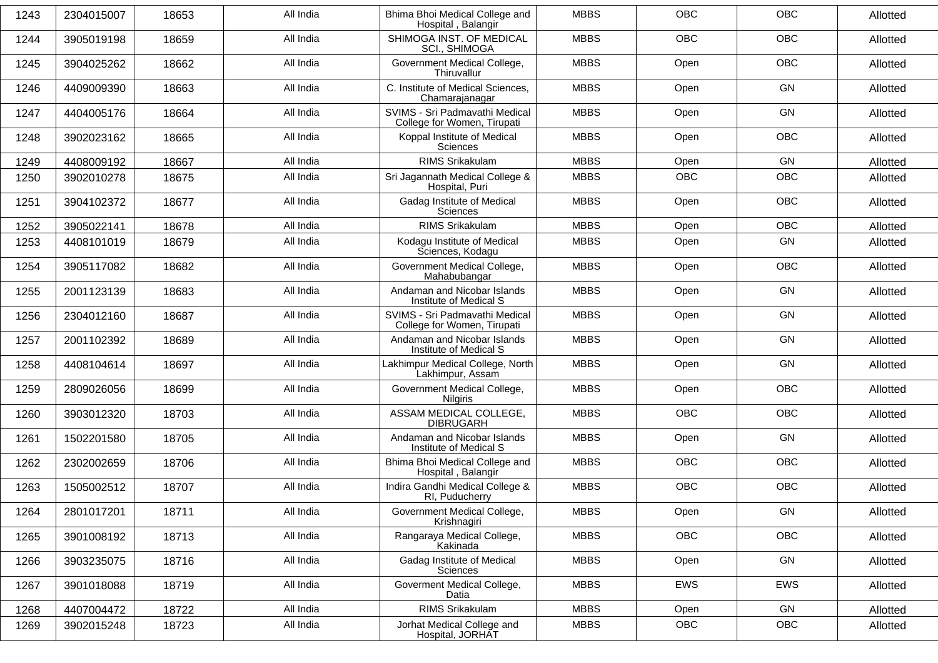| 1243 | 2304015007 | 18653 | All India | Bhima Bhoi Medical College and<br>Hospital, Balangir          | <b>MBBS</b> | <b>OBC</b> | <b>OBC</b> | Allotted |
|------|------------|-------|-----------|---------------------------------------------------------------|-------------|------------|------------|----------|
| 1244 | 3905019198 | 18659 | All India | SHIMOGA INST, OF MEDICAL<br><b>SCI., SHIMOGA</b>              | <b>MBBS</b> | <b>OBC</b> | <b>OBC</b> | Allotted |
| 1245 | 3904025262 | 18662 | All India | Government Medical College,<br>Thiruvallur                    | <b>MBBS</b> | Open       | <b>OBC</b> | Allotted |
| 1246 | 4409009390 | 18663 | All India | C. Institute of Medical Sciences,<br>Chamarajanagar           | <b>MBBS</b> | Open       | GN         | Allotted |
| 1247 | 4404005176 | 18664 | All India | SVIMS - Sri Padmavathi Medical<br>College for Women, Tirupati | <b>MBBS</b> | Open       | GN         | Allotted |
| 1248 | 3902023162 | 18665 | All India | Koppal Institute of Medical<br>Sciences                       | <b>MBBS</b> | Open       | <b>OBC</b> | Allotted |
| 1249 | 4408009192 | 18667 | All India | RIMS Srikakulam                                               | <b>MBBS</b> | Open       | <b>GN</b>  | Allotted |
| 1250 | 3902010278 | 18675 | All India | Sri Jagannath Medical College &<br>Hospital, Puri             | <b>MBBS</b> | <b>OBC</b> | <b>OBC</b> | Allotted |
| 1251 | 3904102372 | 18677 | All India | Gadag Institute of Medical<br><b>Sciences</b>                 | <b>MBBS</b> | Open       | <b>OBC</b> | Allotted |
| 1252 | 3905022141 | 18678 | All India | <b>RIMS Srikakulam</b>                                        | <b>MBBS</b> | Open       | <b>OBC</b> | Allotted |
| 1253 | 4408101019 | 18679 | All India | Kodagu Institute of Medical<br>Sciences, Kodagu               | <b>MBBS</b> | Open       | GN         | Allotted |
| 1254 | 3905117082 | 18682 | All India | Government Medical College,<br>Mahabubangar                   | <b>MBBS</b> | Open       | <b>OBC</b> | Allotted |
| 1255 | 2001123139 | 18683 | All India | Andaman and Nicobar Islands<br>Institute of Medical S         | <b>MBBS</b> | Open       | GN         | Allotted |
| 1256 | 2304012160 | 18687 | All India | SVIMS - Sri Padmavathi Medical<br>College for Women, Tirupati | <b>MBBS</b> | Open       | GN         | Allotted |
| 1257 | 2001102392 | 18689 | All India | Andaman and Nicobar Islands<br>Institute of Medical S         | <b>MBBS</b> | Open       | <b>GN</b>  | Allotted |
| 1258 | 4408104614 | 18697 | All India | Lakhimpur Medical College, North<br>Lakhimpur, Assam          | <b>MBBS</b> | Open       | GN         | Allotted |
| 1259 | 2809026056 | 18699 | All India | Government Medical College,<br><b>Nilgiris</b>                | <b>MBBS</b> | Open       | <b>OBC</b> | Allotted |
| 1260 | 3903012320 | 18703 | All India | ASSAM MEDICAL COLLEGE,<br><b>DIBRUGARH</b>                    | <b>MBBS</b> | <b>OBC</b> | <b>OBC</b> | Allotted |
| 1261 | 1502201580 | 18705 | All India | Andaman and Nicobar Islands<br>Institute of Medical S         | <b>MBBS</b> | Open       | GN         | Allotted |
| 1262 | 2302002659 | 18706 | All India | Bhima Bhoi Medical College and<br>Hospital, Balangir          | <b>MBBS</b> | OBC        | OBC        | Allotted |
| 1263 | 1505002512 | 18707 | All India | Indira Gandhi Medical College &<br>RI, Puducherry             | <b>MBBS</b> | <b>OBC</b> | OBC        | Allotted |
| 1264 | 2801017201 | 18711 | All India | Government Medical College,<br>Krishnagiri                    | <b>MBBS</b> | Open       | GN         | Allotted |
| 1265 | 3901008192 | 18713 | All India | Rangaraya Medical College,<br>Kakinada                        | <b>MBBS</b> | OBC        | OBC        | Allotted |
| 1266 | 3903235075 | 18716 | All India | Gadag Institute of Medical<br>Sciences                        | <b>MBBS</b> | Open       | GN         | Allotted |
| 1267 | 3901018088 | 18719 | All India | Goverment Medical College,<br>Datia                           | <b>MBBS</b> | EWS        | EWS        | Allotted |
| 1268 | 4407004472 | 18722 | All India | RIMS Srikakulam                                               | <b>MBBS</b> | Open       | GN         | Allotted |
| 1269 | 3902015248 | 18723 | All India | Jorhat Medical College and<br>Hospital, JORHAT                | <b>MBBS</b> | OBC        | OBC        | Allotted |
|      |            |       |           |                                                               |             |            |            |          |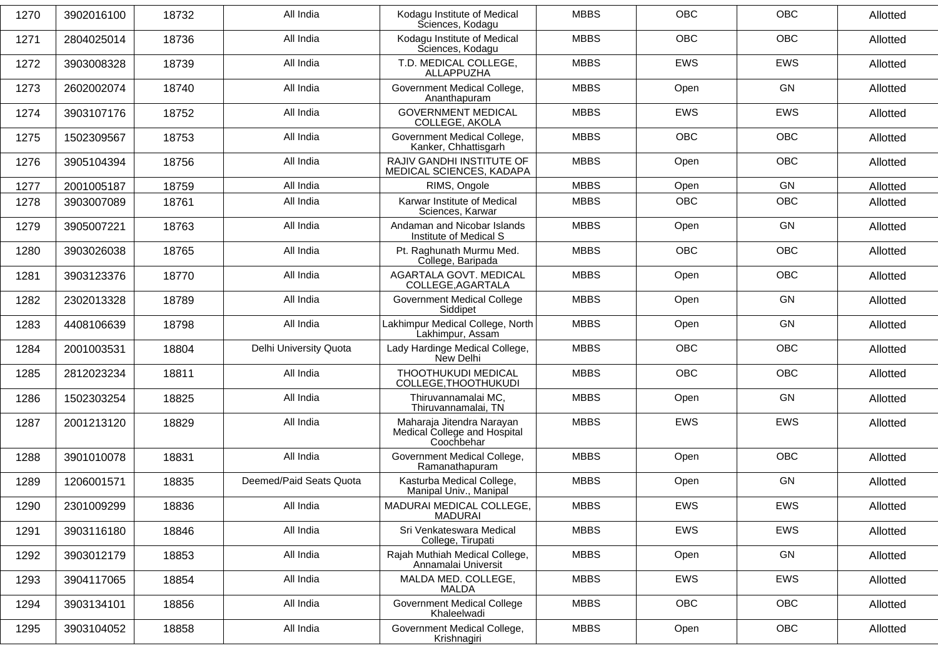| 1270 | 3902016100 | 18732 | All India               | Kodagu Institute of Medical<br>Sciences, Kodagu                         | <b>MBBS</b> | <b>OBC</b> | <b>OBC</b> | Allotted |
|------|------------|-------|-------------------------|-------------------------------------------------------------------------|-------------|------------|------------|----------|
| 1271 | 2804025014 | 18736 | All India               | Kodagu Institute of Medical<br>Sciences, Kodagu                         | <b>MBBS</b> | <b>OBC</b> | <b>OBC</b> | Allotted |
| 1272 | 3903008328 | 18739 | All India               | T.D. MEDICAL COLLEGE,<br>ALLAPPUZHA                                     | <b>MBBS</b> | <b>EWS</b> | EWS        | Allotted |
| 1273 | 2602002074 | 18740 | All India               | Government Medical College,<br>Ananthapuram                             | <b>MBBS</b> | Open       | <b>GN</b>  | Allotted |
| 1274 | 3903107176 | 18752 | All India               | <b>GOVERNMENT MEDICAL</b><br>COLLEGE, AKOLA                             | <b>MBBS</b> | <b>EWS</b> | <b>EWS</b> | Allotted |
| 1275 | 1502309567 | 18753 | All India               | Government Medical College,<br>Kanker, Chhattisgarh                     | <b>MBBS</b> | <b>OBC</b> | <b>OBC</b> | Allotted |
| 1276 | 3905104394 | 18756 | All India               | RAJIV GANDHI INSTITUTE OF<br>MEDICAL SCIENCES, KADAPA                   | <b>MBBS</b> | Open       | <b>OBC</b> | Allotted |
| 1277 | 2001005187 | 18759 | All India               | RIMS, Ongole                                                            | <b>MBBS</b> | Open       | GN         | Allotted |
| 1278 | 3903007089 | 18761 | All India               | Karwar Institute of Medical<br>Sciences, Karwar                         | <b>MBBS</b> | <b>OBC</b> | OBC        | Allotted |
| 1279 | 3905007221 | 18763 | All India               | Andaman and Nicobar Islands<br>Institute of Medical S                   | <b>MBBS</b> | Open       | <b>GN</b>  | Allotted |
| 1280 | 3903026038 | 18765 | All India               | Pt. Raghunath Murmu Med.<br>College, Baripada                           | <b>MBBS</b> | <b>OBC</b> | <b>OBC</b> | Allotted |
| 1281 | 3903123376 | 18770 | All India               | AGARTALA GOVT. MEDICAL<br>COLLEGE, AGARTALA                             | <b>MBBS</b> | Open       | OBC        | Allotted |
| 1282 | 2302013328 | 18789 | All India               | <b>Government Medical College</b><br>Siddipet                           | <b>MBBS</b> | Open       | <b>GN</b>  | Allotted |
| 1283 | 4408106639 | 18798 | All India               | Lakhimpur Medical College, North<br>Lakhimpur, Assam                    | <b>MBBS</b> | Open       | GN         | Allotted |
| 1284 | 2001003531 | 18804 | Delhi University Quota  | Lady Hardinge Medical College,<br>New Delhi                             | <b>MBBS</b> | <b>OBC</b> | <b>OBC</b> | Allotted |
| 1285 | 2812023234 | 18811 | All India               | THOOTHUKUDI MEDICAL<br>COLLEGE, THOOTHUKUDI                             | <b>MBBS</b> | <b>OBC</b> | <b>OBC</b> | Allotted |
| 1286 | 1502303254 | 18825 | All India               | Thiruvannamalai MC,<br>Thiruvannamalai, TN                              | <b>MBBS</b> | Open       | <b>GN</b>  | Allotted |
| 1287 | 2001213120 | 18829 | All India               | Maharaja Jitendra Narayan<br>Medical College and Hospital<br>Coochbehar | <b>MBBS</b> | <b>EWS</b> | <b>EWS</b> | Allotted |
| 1288 | 3901010078 | 18831 | All India               | Government Medical College,<br>Ramanathapuram                           | <b>MBBS</b> | Open       | <b>OBC</b> | Allotted |
| 1289 | 1206001571 | 18835 | Deemed/Paid Seats Quota | Kasturba Medical College,<br>Manipal Univ., Manipal                     | <b>MBBS</b> | Open       | GN         | Allotted |
| 1290 | 2301009299 | 18836 | All India               | MADURAI MEDICAL COLLEGE,<br>MADURAI                                     | <b>MBBS</b> | EWS        | EWS        | Allotted |
| 1291 | 3903116180 | 18846 | All India               | Sri Venkateswara Medical<br>College, Tirupati                           | <b>MBBS</b> | EWS        | <b>EWS</b> | Allotted |
| 1292 | 3903012179 | 18853 | All India               | Rajah Muthiah Medical College,<br>Annamalai Universit                   | <b>MBBS</b> | Open       | GN         | Allotted |
| 1293 | 3904117065 | 18854 | All India               | MALDA MED. COLLEGE,<br>MALDA                                            | <b>MBBS</b> | EWS        | EWS        | Allotted |
| 1294 | 3903134101 | 18856 | All India               | <b>Government Medical College</b><br>Khaleelwadi                        | <b>MBBS</b> | <b>OBC</b> | <b>OBC</b> | Allotted |
| 1295 | 3903104052 | 18858 | All India               | Government Medical College,<br>Krishnagiri                              | <b>MBBS</b> | Open       | OBC        | Allotted |
|      |            |       |                         |                                                                         |             |            |            |          |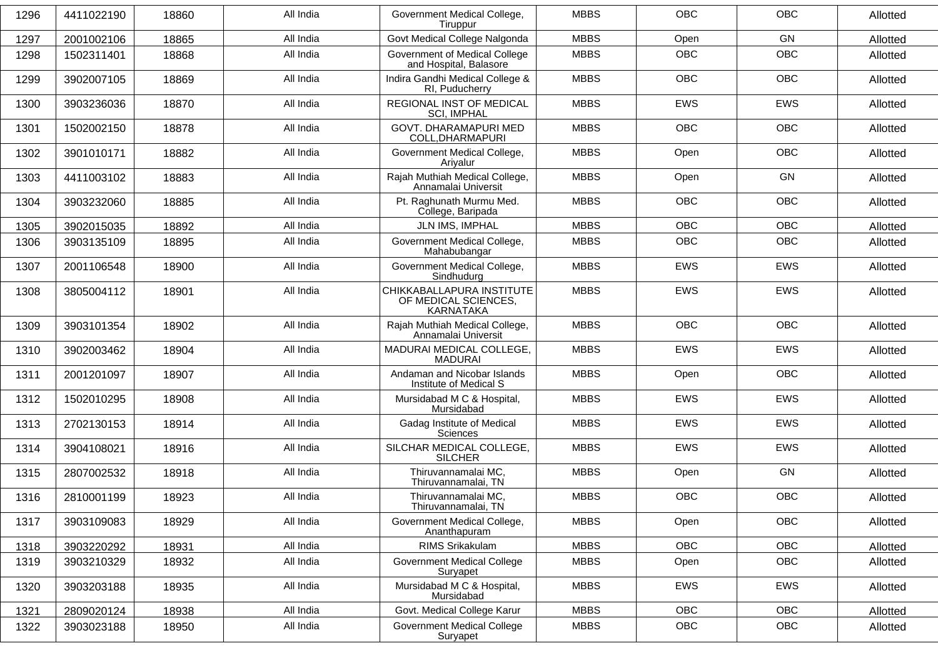| 1296 | 4411022190 | 18860 | All India | Government Medical College,<br>Tiruppur                        | <b>MBBS</b> | <b>OBC</b> | <b>OBC</b> | Allotted |
|------|------------|-------|-----------|----------------------------------------------------------------|-------------|------------|------------|----------|
| 1297 | 2001002106 | 18865 | All India | Govt Medical College Nalgonda                                  | <b>MBBS</b> | Open       | GN         | Allotted |
| 1298 | 1502311401 | 18868 | All India | Government of Medical College<br>and Hospital, Balasore        | <b>MBBS</b> | <b>OBC</b> | <b>OBC</b> | Allotted |
| 1299 | 3902007105 | 18869 | All India | Indira Gandhi Medical College &<br>RI, Puducherry              | <b>MBBS</b> | <b>OBC</b> | <b>OBC</b> | Allotted |
| 1300 | 3903236036 | 18870 | All India | REGIONAL INST OF MEDICAL<br><b>SCI, IMPHAL</b>                 | <b>MBBS</b> | <b>EWS</b> | <b>EWS</b> | Allotted |
| 1301 | 1502002150 | 18878 | All India | GOVT. DHARAMAPURI MED<br>COLL, DHARMAPURI                      | <b>MBBS</b> | <b>OBC</b> | <b>OBC</b> | Allotted |
| 1302 | 3901010171 | 18882 | All India | Government Medical College,<br>Ariyalur                        | <b>MBBS</b> | Open       | <b>OBC</b> | Allotted |
| 1303 | 4411003102 | 18883 | All India | Rajah Muthiah Medical College,<br>Annamalai Universit          | <b>MBBS</b> | Open       | GN         | Allotted |
| 1304 | 3903232060 | 18885 | All India | Pt. Raghunath Murmu Med.<br>College, Baripada                  | <b>MBBS</b> | <b>OBC</b> | <b>OBC</b> | Allotted |
| 1305 | 3902015035 | 18892 | All India | JLN IMS, IMPHAL                                                | <b>MBBS</b> | <b>OBC</b> | <b>OBC</b> | Allotted |
| 1306 | 3903135109 | 18895 | All India | Government Medical College,<br>Mahabubangar                    | <b>MBBS</b> | <b>OBC</b> | <b>OBC</b> | Allotted |
| 1307 | 2001106548 | 18900 | All India | Government Medical College,<br>Sindhudurg                      | <b>MBBS</b> | <b>EWS</b> | <b>EWS</b> | Allotted |
| 1308 | 3805004112 | 18901 | All India | CHIKKABALLAPURA INSTITUTE<br>OF MEDICAL SCIENCES,<br>KARNATAKA | <b>MBBS</b> | <b>EWS</b> | <b>EWS</b> | Allotted |
| 1309 | 3903101354 | 18902 | All India | Rajah Muthiah Medical College,<br>Annamalai Universit          | <b>MBBS</b> | <b>OBC</b> | <b>OBC</b> | Allotted |
| 1310 | 3902003462 | 18904 | All India | MADURAI MEDICAL COLLEGE,<br><b>MADURAI</b>                     | <b>MBBS</b> | <b>EWS</b> | <b>EWS</b> | Allotted |
| 1311 | 2001201097 | 18907 | All India | Andaman and Nicobar Islands<br>Institute of Medical S          | <b>MBBS</b> | Open       | <b>OBC</b> | Allotted |
| 1312 | 1502010295 | 18908 | All India | Mursidabad M C & Hospital,<br>Mursidabad                       | <b>MBBS</b> | <b>EWS</b> | <b>EWS</b> | Allotted |
| 1313 | 2702130153 | 18914 | All India | Gadag Institute of Medical<br>Sciences                         | <b>MBBS</b> | <b>EWS</b> | <b>EWS</b> | Allotted |
| 1314 | 3904108021 | 18916 | All India | SILCHAR MEDICAL COLLEGE,<br><b>SILCHER</b>                     | <b>MBBS</b> | <b>EWS</b> | <b>EWS</b> | Allotted |
| 1315 | 2807002532 | 18918 | All India | Thiruvannamalai MC,<br>Thiruvannamalai, TN                     | <b>MBBS</b> | Open       | GN         | Allotted |
| 1316 | 2810001199 | 18923 | All India | Thiruvannamalai MC,<br>Thiruvannamalai, TN                     | <b>MBBS</b> | <b>OBC</b> | OBC        | Allotted |
| 1317 | 3903109083 | 18929 | All India | Government Medical College,<br>Ananthapuram                    | <b>MBBS</b> | Open       | OBC        | Allotted |
| 1318 | 3903220292 | 18931 | All India | RIMS Srikakulam                                                | <b>MBBS</b> | OBC        | OBC        | Allotted |
| 1319 | 3903210329 | 18932 | All India | <b>Government Medical College</b><br>Suryapet                  | <b>MBBS</b> | Open       | OBC        | Allotted |
| 1320 | 3903203188 | 18935 | All India | Mursidabad M C & Hospital,<br>Mursidabad                       | <b>MBBS</b> | EWS        | EWS        | Allotted |
| 1321 | 2809020124 | 18938 | All India | Govt. Medical College Karur                                    | <b>MBBS</b> | OBC        | OBC        | Allotted |
| 1322 | 3903023188 | 18950 | All India | <b>Government Medical College</b><br>Suryapet                  | <b>MBBS</b> | OBC        | OBC        | Allotted |
|      |            |       |           |                                                                |             |            |            |          |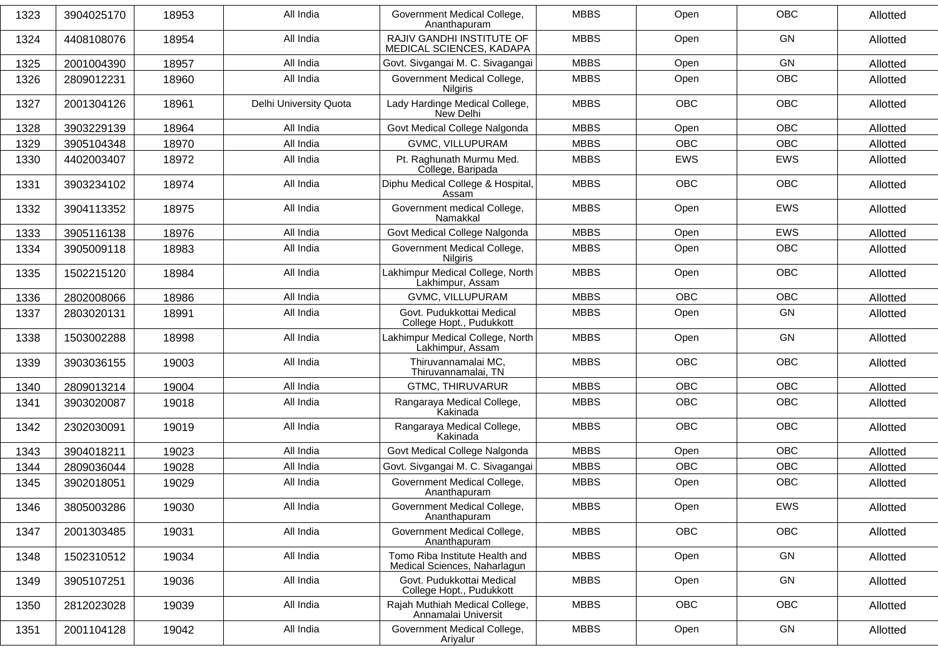| 1323 | 3904025170 | 18953 | All India              | Government Medical College,<br>Ananthapuram                    | <b>MBBS</b> | Open       | <b>OBC</b> | Allotted |
|------|------------|-------|------------------------|----------------------------------------------------------------|-------------|------------|------------|----------|
| 1324 | 4408108076 | 18954 | All India              | RAJIV GANDHI INSTITUTE OF<br>MEDICAL SCIENCES, KADAPA          | <b>MBBS</b> | Open       | GN         | Allotted |
| 1325 | 2001004390 | 18957 | All India              | Govt. Sivgangai M. C. Sivagangai                               | <b>MBBS</b> | Open       | GN         | Allotted |
| 1326 | 2809012231 | 18960 | All India              | Government Medical College,<br>Nilgiris                        | <b>MBBS</b> | Open       | <b>OBC</b> | Allotted |
| 1327 | 2001304126 | 18961 | Delhi University Quota | Lady Hardinge Medical College,<br>New Delhi                    | <b>MBBS</b> | <b>OBC</b> | <b>OBC</b> | Allotted |
| 1328 | 3903229139 | 18964 | All India              | Govt Medical College Nalgonda                                  | <b>MBBS</b> | Open       | <b>OBC</b> | Allotted |
| 1329 | 3905104348 | 18970 | All India              | GVMC, VILLUPURAM                                               | <b>MBBS</b> | <b>OBC</b> | OBC        | Allotted |
| 1330 | 4402003407 | 18972 | All India              | Pt. Raghunath Murmu Med.<br>College, Baripada                  | <b>MBBS</b> | <b>EWS</b> | EWS        | Allotted |
| 1331 | 3903234102 | 18974 | All India              | Diphu Medical College & Hospital,<br>Assam                     | <b>MBBS</b> | <b>OBC</b> | <b>OBC</b> | Allotted |
| 1332 | 3904113352 | 18975 | All India              | Government medical College,<br>Namakkal                        | <b>MBBS</b> | Open       | EWS        | Allotted |
| 1333 | 3905116138 | 18976 | All India              | Govt Medical College Nalgonda                                  | <b>MBBS</b> | Open       | <b>EWS</b> | Allotted |
| 1334 | 3905009118 | 18983 | All India              | Government Medical College,<br><b>Nilgiris</b>                 | <b>MBBS</b> | Open       | OBC        | Allotted |
| 1335 | 1502215120 | 18984 | All India              | Lakhimpur Medical College, North<br>Lakhimpur, Assam           | <b>MBBS</b> | Open       | <b>OBC</b> | Allotted |
| 1336 | 2802008066 | 18986 | All India              | GVMC, VILLUPURAM                                               | <b>MBBS</b> | <b>OBC</b> | OBC        | Allotted |
| 1337 | 2803020131 | 18991 | All India              | Govt. Pudukkottai Medical<br>College Hopt., Pudukkott          | <b>MBBS</b> | Open       | GN         | Allotted |
| 1338 | 1503002288 | 18998 | All India              | Lakhimpur Medical College, North<br>Lakhimpur, Assam           | <b>MBBS</b> | Open       | <b>GN</b>  | Allotted |
| 1339 | 3903036155 | 19003 | All India              | Thiruvannamalai MC,<br>Thiruvannamalai, TN                     | <b>MBBS</b> | <b>OBC</b> | <b>OBC</b> | Allotted |
| 1340 | 2809013214 | 19004 | All India              | <b>GTMC, THIRUVARUR</b>                                        | <b>MBBS</b> | <b>OBC</b> | <b>OBC</b> | Allotted |
| 1341 | 3903020087 | 19018 | All India              | Rangaraya Medical College,<br>Kakinada                         | <b>MBBS</b> | OBC        | OBC        | Allotted |
| 1342 | 2302030091 | 19019 | All India              | Rangaraya Medical College,<br>Kakinada                         | <b>MBBS</b> | <b>OBC</b> | <b>OBC</b> | Allotted |
| 1343 | 3904018211 | 19023 | All India              | Govt Medical College Nalgonda                                  | <b>MBBS</b> | Open       | OBC        | Allotted |
| 1344 | 2809036044 | 19028 | All India              | Govt. Sivgangai M. C. Sivagangai                               | <b>MBBS</b> | <b>OBC</b> | <b>OBC</b> | Allotted |
| 1345 | 3902018051 | 19029 | All India              | Government Medical College,<br>Ananthapuram                    | <b>MBBS</b> | Open       | OBC        | Allotted |
| 1346 | 3805003286 | 19030 | All India              | Government Medical College,<br>Ananthapuram                    | MBBS        | Open       | EWS        | Allotted |
| 1347 | 2001303485 | 19031 | All India              | Government Medical College,<br>Ananthapuram                    | <b>MBBS</b> | OBC        | OBC        | Allotted |
| 1348 | 1502310512 | 19034 | All India              | Tomo Riba Institute Health and<br>Medical Sciences, Naharlagun | <b>MBBS</b> | Open       | GN         | Allotted |
| 1349 | 3905107251 | 19036 | All India              | Govt. Pudukkottai Medical<br>College Hopt., Pudukkott          | <b>MBBS</b> | Open       | GN         | Allotted |
| 1350 | 2812023028 | 19039 | All India              | Rajah Muthiah Medical College,<br>Annamalai Universit          | <b>MBBS</b> | OBC        | OBC        | Allotted |
| 1351 | 2001104128 | 19042 | All India              | Government Medical College,<br>Ariyalur                        | <b>MBBS</b> | Open       | GN         | Allotted |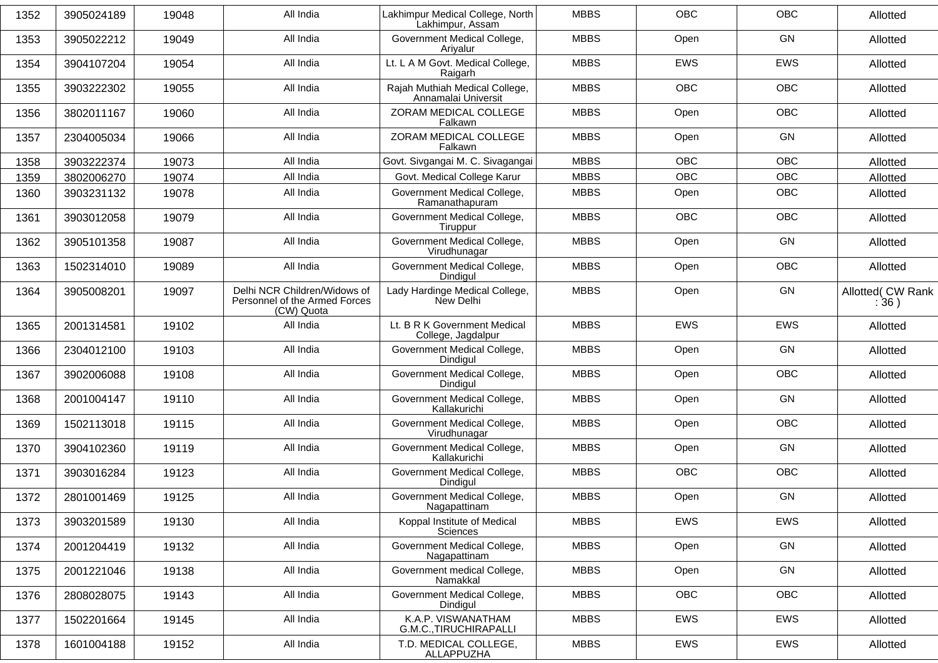| 1352 | 3905024189 | 19048 | All India                                                                   | Lakhimpur Medical College, North<br>Lakhimpur, Assam  | <b>MBBS</b> | OBC        | OBC        | Allotted                  |
|------|------------|-------|-----------------------------------------------------------------------------|-------------------------------------------------------|-------------|------------|------------|---------------------------|
| 1353 | 3905022212 | 19049 | All India                                                                   | Government Medical College,<br>Ariyalur               | <b>MBBS</b> | Open       | GN         | Allotted                  |
| 1354 | 3904107204 | 19054 | All India                                                                   | Lt. L A M Govt. Medical College,<br>Raigarh           | <b>MBBS</b> | <b>EWS</b> | <b>EWS</b> | Allotted                  |
| 1355 | 3903222302 | 19055 | All India                                                                   | Rajah Muthiah Medical College,<br>Annamalai Universit | <b>MBBS</b> | OBC        | OBC        | Allotted                  |
| 1356 | 3802011167 | 19060 | All India                                                                   | ZORAM MEDICAL COLLEGE<br>Falkawn                      | <b>MBBS</b> | Open       | <b>OBC</b> | Allotted                  |
| 1357 | 2304005034 | 19066 | All India                                                                   | ZORAM MEDICAL COLLEGE<br>Falkawn                      | <b>MBBS</b> | Open       | GN         | Allotted                  |
| 1358 | 3903222374 | 19073 | All India                                                                   | Govt. Sivgangai M. C. Sivagangai                      | <b>MBBS</b> | <b>OBC</b> | OBC        | Allotted                  |
| 1359 | 3802006270 | 19074 | All India                                                                   | Govt. Medical College Karur                           | <b>MBBS</b> | <b>OBC</b> | <b>OBC</b> | Allotted                  |
| 1360 | 3903231132 | 19078 | All India                                                                   | Government Medical College,<br>Ramanathapuram         | <b>MBBS</b> | Open       | <b>OBC</b> | Allotted                  |
| 1361 | 3903012058 | 19079 | All India                                                                   | Government Medical College,<br>Tiruppur               | <b>MBBS</b> | OBC        | <b>OBC</b> | Allotted                  |
| 1362 | 3905101358 | 19087 | All India                                                                   | Government Medical College,<br>Virudhunagar           | <b>MBBS</b> | Open       | GN         | Allotted                  |
| 1363 | 1502314010 | 19089 | All India                                                                   | Government Medical College,<br>Dindiaul               | <b>MBBS</b> | Open       | <b>OBC</b> | Allotted                  |
| 1364 | 3905008201 | 19097 | Delhi NCR Children/Widows of<br>Personnel of the Armed Forces<br>(CW) Quota | Lady Hardinge Medical College,<br>New Delhi           | <b>MBBS</b> | Open       | GN         | Allotted( CW Rank<br>:36) |
| 1365 | 2001314581 | 19102 | All India                                                                   | Lt. B R K Government Medical<br>College, Jagdalpur    | <b>MBBS</b> | <b>EWS</b> | EWS        | Allotted                  |
| 1366 | 2304012100 | 19103 | All India                                                                   | Government Medical College,<br>Dindigul               | <b>MBBS</b> | Open       | GN         | Allotted                  |
| 1367 | 3902006088 | 19108 | All India                                                                   | Government Medical College,<br>Dindiaul               | <b>MBBS</b> | Open       | <b>OBC</b> | Allotted                  |
| 1368 | 2001004147 | 19110 | All India                                                                   | Government Medical College,<br>Kallakurichi           | <b>MBBS</b> | Open       | GN         | Allotted                  |
| 1369 | 1502113018 | 19115 | All India                                                                   | Government Medical College,<br>Virudhunagar           | <b>MBBS</b> | Open       | OBC        | Allotted                  |
| 1370 | 3904102360 | 19119 | All India                                                                   | Government Medical College,<br>Kallakurichi           | <b>MBBS</b> | Open       | GN         | Allotted                  |
| 1371 | 3903016284 | 19123 | All India                                                                   | Government Medical College,<br>Dindiaul               | <b>MBBS</b> | OBC        | OBC        | Allotted                  |
| 1372 | 2801001469 | 19125 | All India                                                                   | Government Medical College,<br>Nagapattinam           | <b>MBBS</b> | Open       | GN         | Allotted                  |
| 1373 | 3903201589 | 19130 | All India                                                                   | Koppal Institute of Medical<br>Sciences               | <b>MBBS</b> | EWS        | EWS        | Allotted                  |
| 1374 | 2001204419 | 19132 | All India                                                                   | Government Medical College,<br>Nagapattinam           | <b>MBBS</b> | Open       | GN         | Allotted                  |
| 1375 | 2001221046 | 19138 | All India                                                                   | Government medical College,<br>Namakkal               | <b>MBBS</b> | Open       | GN         | Allotted                  |
| 1376 | 2808028075 | 19143 | All India                                                                   | Government Medical College,<br>Dindigul               | <b>MBBS</b> | <b>OBC</b> | OBC        | Allotted                  |
| 1377 | 1502201664 | 19145 | All India                                                                   | K.A.P. VISWANATHAM<br>G.M.C., TIRUCHIRAPALLI          | <b>MBBS</b> | EWS        | EWS        | Allotted                  |
| 1378 | 1601004188 | 19152 | All India                                                                   | T.D. MEDICAL COLLEGE,<br>ALLAPPUZHA                   | <b>MBBS</b> | EWS        | EWS        | Allotted                  |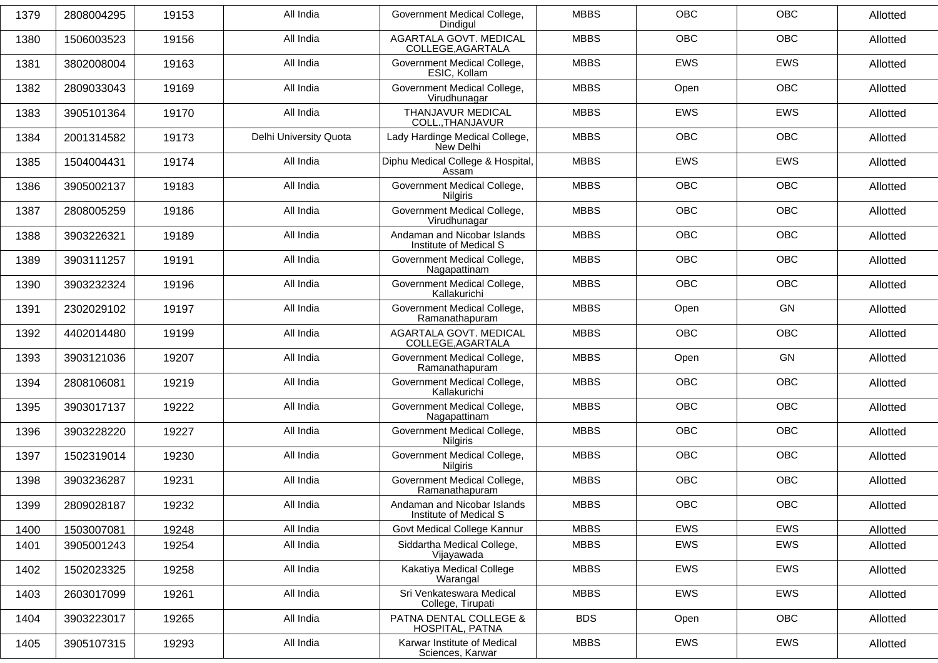| 1379 | 2808004295 | 19153 | All India              | Government Medical College,<br>Dindiaul               | <b>MBBS</b> | <b>OBC</b> | <b>OBC</b> | Allotted |
|------|------------|-------|------------------------|-------------------------------------------------------|-------------|------------|------------|----------|
| 1380 | 1506003523 | 19156 | All India              | AGARTALA GOVT. MEDICAL<br>COLLEGE, AGARTALA           | <b>MBBS</b> | <b>OBC</b> | <b>OBC</b> | Allotted |
| 1381 | 3802008004 | 19163 | All India              | Government Medical College,<br>ESIC, Kollam           | <b>MBBS</b> | <b>EWS</b> | <b>EWS</b> | Allotted |
| 1382 | 2809033043 | 19169 | All India              | Government Medical College,<br>Virudhunagar           | <b>MBBS</b> | Open       | <b>OBC</b> | Allotted |
| 1383 | 3905101364 | 19170 | All India              | THANJAVUR MEDICAL<br>COLL., THANJAVUR                 | <b>MBBS</b> | <b>EWS</b> | EWS        | Allotted |
| 1384 | 2001314582 | 19173 | Delhi University Quota | Lady Hardinge Medical College,<br>New Delhi           | <b>MBBS</b> | <b>OBC</b> | <b>OBC</b> | Allotted |
| 1385 | 1504004431 | 19174 | All India              | Diphu Medical College & Hospital,<br>Assam            | <b>MBBS</b> | <b>EWS</b> | EWS        | Allotted |
| 1386 | 3905002137 | 19183 | All India              | Government Medical College,<br><b>Nilgiris</b>        | <b>MBBS</b> | <b>OBC</b> | <b>OBC</b> | Allotted |
| 1387 | 2808005259 | 19186 | All India              | Government Medical College,<br>Virudhunagar           | <b>MBBS</b> | <b>OBC</b> | OBC        | Allotted |
| 1388 | 3903226321 | 19189 | All India              | Andaman and Nicobar Islands<br>Institute of Medical S | <b>MBBS</b> | <b>OBC</b> | <b>OBC</b> | Allotted |
| 1389 | 3903111257 | 19191 | All India              | Government Medical College,<br>Nagapattinam           | <b>MBBS</b> | <b>OBC</b> | <b>OBC</b> | Allotted |
| 1390 | 3903232324 | 19196 | All India              | Government Medical College,<br>Kallakurichi           | <b>MBBS</b> | <b>OBC</b> | <b>OBC</b> | Allotted |
| 1391 | 2302029102 | 19197 | All India              | Government Medical College,<br>Ramanathapuram         | <b>MBBS</b> | Open       | <b>GN</b>  | Allotted |
| 1392 | 4402014480 | 19199 | All India              | AGARTALA GOVT. MEDICAL<br>COLLEGE, AGARTALA           | <b>MBBS</b> | <b>OBC</b> | <b>OBC</b> | Allotted |
| 1393 | 3903121036 | 19207 | All India              | Government Medical College,<br>Ramanathapuram         | <b>MBBS</b> | Open       | <b>GN</b>  | Allotted |
| 1394 | 2808106081 | 19219 | All India              | Government Medical College,<br>Kallakurichi           | <b>MBBS</b> | <b>OBC</b> | <b>OBC</b> | Allotted |
| 1395 | 3903017137 | 19222 | All India              | Government Medical College,<br>Nagapattinam           | <b>MBBS</b> | <b>OBC</b> | <b>OBC</b> | Allotted |
| 1396 | 3903228220 | 19227 | All India              | Government Medical College,<br><b>Nilgiris</b>        | <b>MBBS</b> | <b>OBC</b> | <b>OBC</b> | Allotted |
| 1397 | 1502319014 | 19230 | All India              | Government Medical College,<br><b>Nilairis</b>        | <b>MBBS</b> | <b>OBC</b> | <b>OBC</b> | Allotted |
| 1398 | 3903236287 | 19231 | All India              | Government Medical College,<br>Ramanathapuram         | <b>MBBS</b> | <b>OBC</b> | <b>OBC</b> | Allotted |
| 1399 | 2809028187 | 19232 | All India              | Andaman and Nicobar Islands<br>Institute of Medical S | <b>MBBS</b> | OBC        | OBC        | Allotted |
| 1400 | 1503007081 | 19248 | All India              | Govt Medical College Kannur                           | <b>MBBS</b> | EWS        | EWS        | Allotted |
| 1401 | 3905001243 | 19254 | All India              | Siddartha Medical College,<br>Vijayawada              | <b>MBBS</b> | EWS        | <b>EWS</b> | Allotted |
| 1402 | 1502023325 | 19258 | All India              | Kakatiya Medical College<br>Warangal                  | <b>MBBS</b> | EWS        | EWS        | Allotted |
| 1403 | 2603017099 | 19261 | All India              | Sri Venkateswara Medical<br>College, Tirupati         | <b>MBBS</b> | <b>EWS</b> | EWS        | Allotted |
| 1404 | 3903223017 | 19265 | All India              | PATNA DENTAL COLLEGE &<br>HOSPITAL, PATNA             | <b>BDS</b>  | Open       | OBC        | Allotted |
| 1405 | 3905107315 | 19293 | All India              | Karwar Institute of Medical<br>Sciences, Karwar       | <b>MBBS</b> | EWS        | EWS        | Allotted |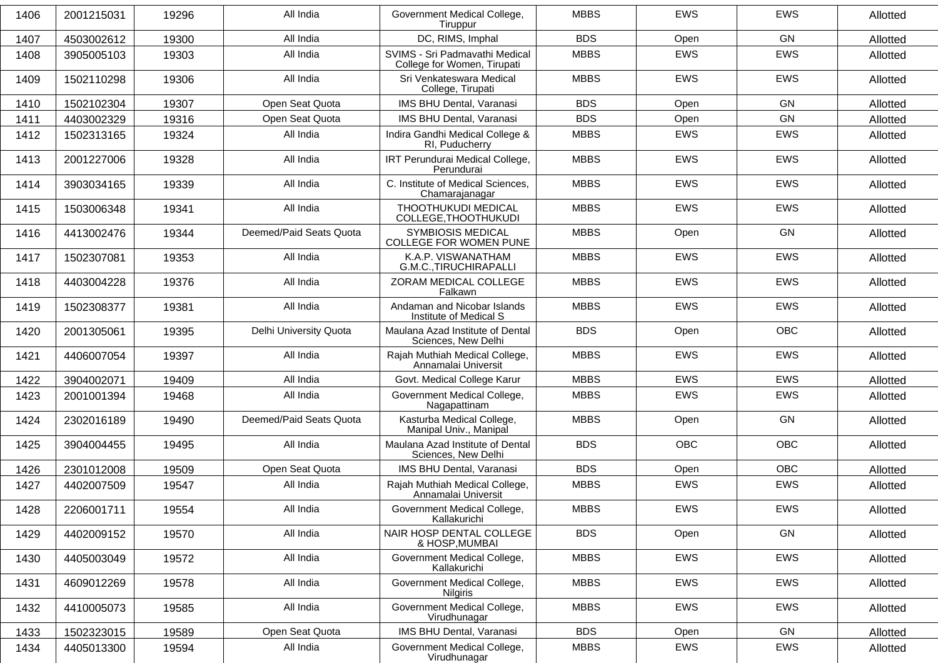| 1406 | 2001215031 | 19296 | All India               | Government Medical College,<br>Tiruppur                       | <b>MBBS</b> | <b>EWS</b> | <b>EWS</b> | Allotted |
|------|------------|-------|-------------------------|---------------------------------------------------------------|-------------|------------|------------|----------|
| 1407 | 4503002612 | 19300 | All India               | DC, RIMS, Imphal                                              | <b>BDS</b>  | Open       | GN         | Allotted |
| 1408 | 3905005103 | 19303 | All India               | SVIMS - Sri Padmavathi Medical<br>College for Women, Tirupati | <b>MBBS</b> | <b>EWS</b> | EWS        | Allotted |
| 1409 | 1502110298 | 19306 | All India               | Sri Venkateswara Medical<br>College, Tirupati                 | <b>MBBS</b> | <b>EWS</b> | <b>EWS</b> | Allotted |
| 1410 | 1502102304 | 19307 | Open Seat Quota         | IMS BHU Dental, Varanasi                                      | <b>BDS</b>  | Open       | <b>GN</b>  | Allotted |
| 1411 | 4403002329 | 19316 | Open Seat Quota         | IMS BHU Dental, Varanasi                                      | <b>BDS</b>  | Open       | GN         | Allotted |
| 1412 | 1502313165 | 19324 | All India               | Indira Gandhi Medical College &<br>RI, Puducherry             | <b>MBBS</b> | EWS        | EWS        | Allotted |
| 1413 | 2001227006 | 19328 | All India               | IRT Perundurai Medical College,<br>Perundurai                 | <b>MBBS</b> | <b>EWS</b> | <b>EWS</b> | Allotted |
| 1414 | 3903034165 | 19339 | All India               | C. Institute of Medical Sciences,<br>Chamarajanagar           | <b>MBBS</b> | <b>EWS</b> | <b>EWS</b> | Allotted |
| 1415 | 1503006348 | 19341 | All India               | THOOTHUKUDI MEDICAL<br>COLLEGE, THOOTHUKUDI                   | <b>MBBS</b> | <b>EWS</b> | <b>EWS</b> | Allotted |
| 1416 | 4413002476 | 19344 | Deemed/Paid Seats Quota | <b>SYMBIOSIS MEDICAL</b><br>COLLEGE FOR WOMEN PUNE            | <b>MBBS</b> | Open       | <b>GN</b>  | Allotted |
| 1417 | 1502307081 | 19353 | All India               | K.A.P. VISWANATHAM<br>G.M.C., TIRUCHIRAPALLI                  | <b>MBBS</b> | <b>EWS</b> | <b>EWS</b> | Allotted |
| 1418 | 4403004228 | 19376 | All India               | ZORAM MEDICAL COLLEGE<br>Falkawn                              | <b>MBBS</b> | EWS        | EWS        | Allotted |
| 1419 | 1502308377 | 19381 | All India               | Andaman and Nicobar Islands<br>Institute of Medical S         | <b>MBBS</b> | <b>EWS</b> | <b>EWS</b> | Allotted |
| 1420 | 2001305061 | 19395 | Delhi University Quota  | Maulana Azad Institute of Dental<br>Sciences, New Delhi       | <b>BDS</b>  | Open       | <b>OBC</b> | Allotted |
| 1421 | 4406007054 | 19397 | All India               | Rajah Muthiah Medical College,<br>Annamalai Universit         | <b>MBBS</b> | <b>EWS</b> | <b>EWS</b> | Allotted |
| 1422 | 3904002071 | 19409 | All India               | Govt. Medical College Karur                                   | <b>MBBS</b> | EWS        | EWS        | Allotted |
| 1423 | 2001001394 | 19468 | All India               | Government Medical College,<br>Nagapattinam                   | <b>MBBS</b> | EWS        | <b>EWS</b> | Allotted |
| 1424 | 2302016189 | 19490 | Deemed/Paid Seats Quota | Kasturba Medical College,<br>Manipal Univ., Manipal           | <b>MBBS</b> | Open       | GN         | Allotted |
| 1425 | 3904004455 | 19495 | All India               | Maulana Azad Institute of Dental<br>Sciences, New Delhi       | <b>BDS</b>  | <b>OBC</b> | <b>OBC</b> | Allotted |
| 1426 | 2301012008 | 19509 | Open Seat Quota         | IMS BHU Dental, Varanasi                                      | <b>BDS</b>  | Open       | <b>OBC</b> | Allotted |
| 1427 | 4402007509 | 19547 | All India               | Rajah Muthiah Medical College,<br>Annamalai Universit         | <b>MBBS</b> | <b>EWS</b> | <b>EWS</b> | Allotted |
| 1428 | 2206001711 | 19554 | All India               | Government Medical College,<br>Kallakurichi                   | <b>MBBS</b> | EWS        | EWS        | Allotted |
| 1429 | 4402009152 | 19570 | All India               | NAIR HOSP DENTAL COLLEGE<br>& HOSP, MUMBAI                    | <b>BDS</b>  | Open       | GN         | Allotted |
| 1430 | 4405003049 | 19572 | All India               | Government Medical College,<br>Kallakurichi                   | <b>MBBS</b> | EWS        | EWS        | Allotted |
| 1431 | 4609012269 | 19578 | All India               | Government Medical College,<br>Nilgiris                       | <b>MBBS</b> | EWS        | EWS        | Allotted |
| 1432 | 4410005073 | 19585 | All India               | Government Medical College,<br>Virudhunagar                   | <b>MBBS</b> | EWS        | EWS        | Allotted |
| 1433 | 1502323015 | 19589 | Open Seat Quota         | IMS BHU Dental, Varanasi                                      | <b>BDS</b>  | Open       | GN         | Allotted |
| 1434 | 4405013300 | 19594 | All India               | Government Medical College,<br>Virudhunagar                   | <b>MBBS</b> | EWS        | EWS        | Allotted |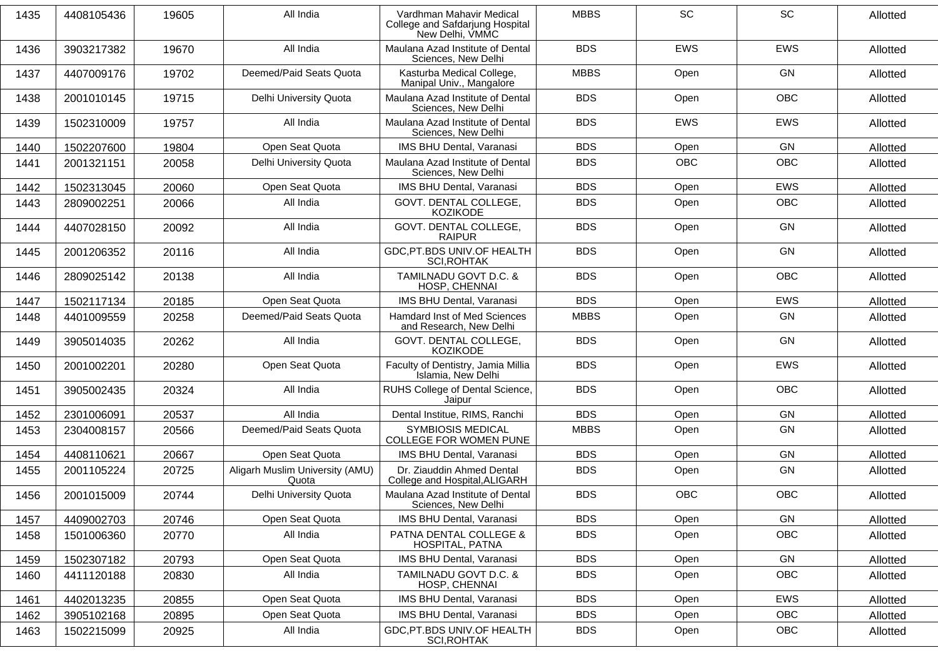| 1435 | 4408105436 | 19605 | All India                                | Vardhman Mahavir Medical<br>College and Safdarjung Hospital<br>New Delhi, VMMC | <b>MBBS</b> | <b>SC</b>  | <b>SC</b>  | Allotted |
|------|------------|-------|------------------------------------------|--------------------------------------------------------------------------------|-------------|------------|------------|----------|
| 1436 | 3903217382 | 19670 | All India                                | Maulana Azad Institute of Dental<br>Sciences, New Delhi                        | <b>BDS</b>  | <b>EWS</b> | EWS        | Allotted |
| 1437 | 4407009176 | 19702 | Deemed/Paid Seats Quota                  | Kasturba Medical College,<br>Manipal Univ., Mangalore                          | <b>MBBS</b> | Open       | <b>GN</b>  | Allotted |
| 1438 | 2001010145 | 19715 | Delhi University Quota                   | Maulana Azad Institute of Dental<br>Sciences, New Delhi                        | <b>BDS</b>  | Open       | <b>OBC</b> | Allotted |
| 1439 | 1502310009 | 19757 | All India                                | Maulana Azad Institute of Dental<br>Sciences, New Delhi                        | <b>BDS</b>  | <b>EWS</b> | EWS        | Allotted |
| 1440 | 1502207600 | 19804 | Open Seat Quota                          | IMS BHU Dental, Varanasi                                                       | <b>BDS</b>  | Open       | GN         | Allotted |
| 1441 | 2001321151 | 20058 | Delhi University Quota                   | Maulana Azad Institute of Dental<br>Sciences, New Delhi                        | <b>BDS</b>  | <b>OBC</b> | <b>OBC</b> | Allotted |
| 1442 | 1502313045 | 20060 | Open Seat Quota                          | IMS BHU Dental, Varanasi                                                       | <b>BDS</b>  | Open       | <b>EWS</b> | Allotted |
| 1443 | 2809002251 | 20066 | All India                                | GOVT. DENTAL COLLEGE,<br><b>KOZIKODE</b>                                       | <b>BDS</b>  | Open       | OBC        | Allotted |
| 1444 | 4407028150 | 20092 | All India                                | GOVT. DENTAL COLLEGE,<br>RAIPUR                                                | <b>BDS</b>  | Open       | <b>GN</b>  | Allotted |
| 1445 | 2001206352 | 20116 | All India                                | GDC, PT.BDS UNIV. OF HEALTH<br><b>SCI, ROHTAK</b>                              | <b>BDS</b>  | Open       | GN         | Allotted |
| 1446 | 2809025142 | 20138 | All India                                | TAMILNADU GOVT D.C. &<br>HOSP, CHENNAI                                         | <b>BDS</b>  | Open       | OBC        | Allotted |
| 1447 | 1502117134 | 20185 | Open Seat Quota                          | <b>IMS BHU Dental, Varanasi</b>                                                | <b>BDS</b>  | Open       | <b>EWS</b> | Allotted |
| 1448 | 4401009559 | 20258 | Deemed/Paid Seats Quota                  | Hamdard Inst of Med Sciences<br>and Research, New Delhi                        | <b>MBBS</b> | Open       | GN         | Allotted |
| 1449 | 3905014035 | 20262 | All India                                | GOVT. DENTAL COLLEGE,<br><b>KOZIKODE</b>                                       | <b>BDS</b>  | Open       | <b>GN</b>  | Allotted |
| 1450 | 2001002201 | 20280 | Open Seat Quota                          | Faculty of Dentistry, Jamia Millia<br>Islamia, New Delhi                       | <b>BDS</b>  | Open       | <b>EWS</b> | Allotted |
| 1451 | 3905002435 | 20324 | All India                                | RUHS College of Dental Science,<br>Jaipur                                      | <b>BDS</b>  | Open       | <b>OBC</b> | Allotted |
| 1452 | 2301006091 | 20537 | All India                                | Dental Institue, RIMS, Ranchi                                                  | <b>BDS</b>  | Open       | <b>GN</b>  | Allotted |
| 1453 | 2304008157 | 20566 | Deemed/Paid Seats Quota                  | <b>SYMBIOSIS MEDICAL</b><br>COLLEGE FOR WOMEN PUNE                             | <b>MBBS</b> | Open       | GN         | Allotted |
| 1454 | 4408110621 | 20667 | Open Seat Quota                          | IMS BHU Dental, Varanasi                                                       | <b>BDS</b>  | Open       | <b>GN</b>  | Allotted |
| 1455 | 2001105224 | 20725 | Aligarh Muslim University (AMU)<br>Quota | Dr. Ziauddin Ahmed Dental<br>College and Hospital, ALIGARH                     | <b>BDS</b>  | Open       | GN         | Allotted |
| 1456 | 2001015009 | 20744 | Delhi University Quota                   | Maulana Azad Institute of Dental<br>Sciences, New Delhi                        | <b>BDS</b>  | <b>OBC</b> | <b>OBC</b> | Allotted |
| 1457 | 4409002703 | 20746 | Open Seat Quota                          | <b>IMS BHU Dental, Varanasi</b>                                                | <b>BDS</b>  | Open       | GN         | Allotted |
| 1458 | 1501006360 | 20770 | All India                                | PATNA DENTAL COLLEGE &<br>HOSPITAL, PATNA                                      | <b>BDS</b>  | Open       | OBC        | Allotted |
| 1459 | 1502307182 | 20793 | Open Seat Quota                          | IMS BHU Dental, Varanasi                                                       | <b>BDS</b>  | Open       | GN         | Allotted |
| 1460 | 4411120188 | 20830 | All India                                | TAMILNADU GOVT D.C. &<br>HOSP, CHENNAI                                         | <b>BDS</b>  | Open       | OBC        | Allotted |
| 1461 | 4402013235 | 20855 | Open Seat Quota                          | <b>IMS BHU Dental, Varanasi</b>                                                | <b>BDS</b>  | Open       | <b>EWS</b> | Allotted |
| 1462 | 3905102168 | 20895 | Open Seat Quota                          | <b>IMS BHU Dental, Varanasi</b>                                                | <b>BDS</b>  | Open       | <b>OBC</b> | Allotted |
| 1463 | 1502215099 | 20925 | All India                                | GDC, PT.BDS UNIV. OF HEALTH<br>SCI, ROHTAK                                     | <b>BDS</b>  | Open       | OBC        | Allotted |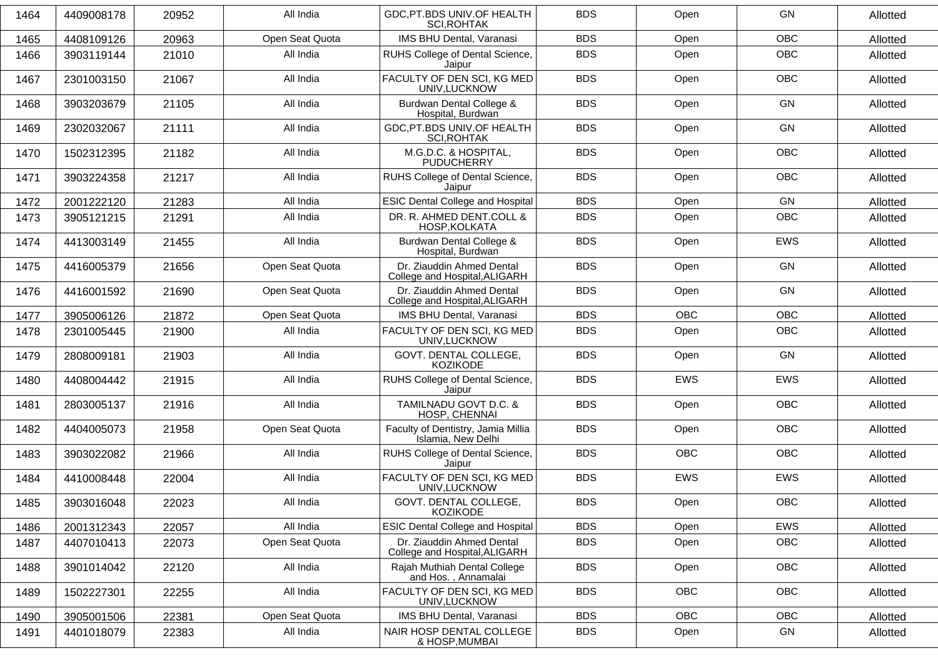| 1464 | 4409008178 | 20952 | All India       | GDC, PT.BDS UNIV. OF HEALTH<br><b>SCI, ROHTAK</b>          | <b>BDS</b> | Open       | GN         | Allotted |
|------|------------|-------|-----------------|------------------------------------------------------------|------------|------------|------------|----------|
| 1465 | 4408109126 | 20963 | Open Seat Quota | IMS BHU Dental, Varanasi                                   | <b>BDS</b> | Open       | <b>OBC</b> | Allotted |
| 1466 | 3903119144 | 21010 | All India       | RUHS College of Dental Science,<br>Jaipur                  | <b>BDS</b> | Open       | <b>OBC</b> | Allotted |
| 1467 | 2301003150 | 21067 | All India       | FACULTY OF DEN SCI, KG MED<br>UNIV, LUCKNOW                | <b>BDS</b> | Open       | OBC        | Allotted |
| 1468 | 3903203679 | 21105 | All India       | Burdwan Dental College &<br>Hospital, Burdwan              | <b>BDS</b> | Open       | GN         | Allotted |
| 1469 | 2302032067 | 21111 | All India       | GDC, PT.BDS UNIV. OF HEALTH<br>SCI, ROHTAK                 | <b>BDS</b> | Open       | GN         | Allotted |
| 1470 | 1502312395 | 21182 | All India       | M.G.D.C. & HOSPITAL,<br><b>PUDUCHERRY</b>                  | <b>BDS</b> | Open       | OBC        | Allotted |
| 1471 | 3903224358 | 21217 | All India       | RUHS College of Dental Science,<br>Jaipur                  | <b>BDS</b> | Open       | <b>OBC</b> | Allotted |
| 1472 | 2001222120 | 21283 | All India       | <b>ESIC Dental College and Hospital</b>                    | <b>BDS</b> | Open       | GN         | Allotted |
| 1473 | 3905121215 | 21291 | All India       | DR. R. AHMED DENT.COLL &<br>HOSP, KOLKATA                  | <b>BDS</b> | Open       | <b>OBC</b> | Allotted |
| 1474 | 4413003149 | 21455 | All India       | Burdwan Dental College &<br>Hospital, Burdwan              | <b>BDS</b> | Open       | <b>EWS</b> | Allotted |
| 1475 | 4416005379 | 21656 | Open Seat Quota | Dr. Ziauddin Ahmed Dental<br>College and Hospital, ALIGARH | <b>BDS</b> | Open       | GN         | Allotted |
| 1476 | 4416001592 | 21690 | Open Seat Quota | Dr. Ziauddin Ahmed Dental<br>College and Hospital, ALIGARH | <b>BDS</b> | Open       | GN         | Allotted |
| 1477 | 3905006126 | 21872 | Open Seat Quota | IMS BHU Dental, Varanasi                                   | <b>BDS</b> | <b>OBC</b> | <b>OBC</b> | Allotted |
| 1478 | 2301005445 | 21900 | All India       | FACULTY OF DEN SCI, KG MED<br>UNIV, LUCKNOW                | <b>BDS</b> | Open       | OBC        | Allotted |
| 1479 | 2808009181 | 21903 | All India       | GOVT. DENTAL COLLEGE,<br><b>KOZIKODE</b>                   | <b>BDS</b> | Open       | GN         | Allotted |
| 1480 | 4408004442 | 21915 | All India       | RUHS College of Dental Science,<br>Jaipur                  | <b>BDS</b> | <b>EWS</b> | <b>EWS</b> | Allotted |
| 1481 | 2803005137 | 21916 | All India       | TAMILNADU GOVT D.C. &<br>HOSP, CHENNAI                     | <b>BDS</b> | Open       | <b>OBC</b> | Allotted |
| 1482 | 4404005073 | 21958 | Open Seat Quota | Faculty of Dentistry, Jamia Millia<br>Islamia, New Delhi   | <b>BDS</b> | Open       | <b>OBC</b> | Allotted |
| 1483 | 3903022082 | 21966 | All India       | RUHS College of Dental Science,<br>Jaipur                  | <b>BDS</b> | <b>OBC</b> | <b>OBC</b> | Allotted |
| 1484 | 4410008448 | 22004 | All India       | FACULTY OF DEN SCI, KG MED<br>UNIV, LUCKNOW                | <b>BDS</b> | EWS        | <b>EWS</b> | Allotted |
| 1485 | 3903016048 | 22023 | All India       | GOVT. DENTAL COLLEGE,<br><b>KOZIKODE</b>                   | <b>BDS</b> | Open       | OBC        | Allotted |
| 1486 | 2001312343 | 22057 | All India       | <b>ESIC Dental College and Hospital</b>                    | <b>BDS</b> | Open       | EWS        | Allotted |
| 1487 | 4407010413 | 22073 | Open Seat Quota | Dr. Ziauddin Ahmed Dental<br>College and Hospital, ALIGARH | <b>BDS</b> | Open       | OBC        | Allotted |
| 1488 | 3901014042 | 22120 | All India       | Rajah Muthiah Dental College<br>and Hos., Annamalai        | <b>BDS</b> | Open       | OBC        | Allotted |
| 1489 | 1502227301 | 22255 | All India       | FACULTY OF DEN SCI, KG MED<br>UNIV, LUCKNOW                | <b>BDS</b> | OBC        | OBC        | Allotted |
| 1490 | 3905001506 | 22381 | Open Seat Quota | <b>IMS BHU Dental, Varanasi</b>                            | <b>BDS</b> | OBC        | OBC        | Allotted |
| 1491 | 4401018079 | 22383 | All India       | NAIR HOSP DENTAL COLLEGE<br>& HOSP, MUMBAI                 | <b>BDS</b> | Open       | GN         | Allotted |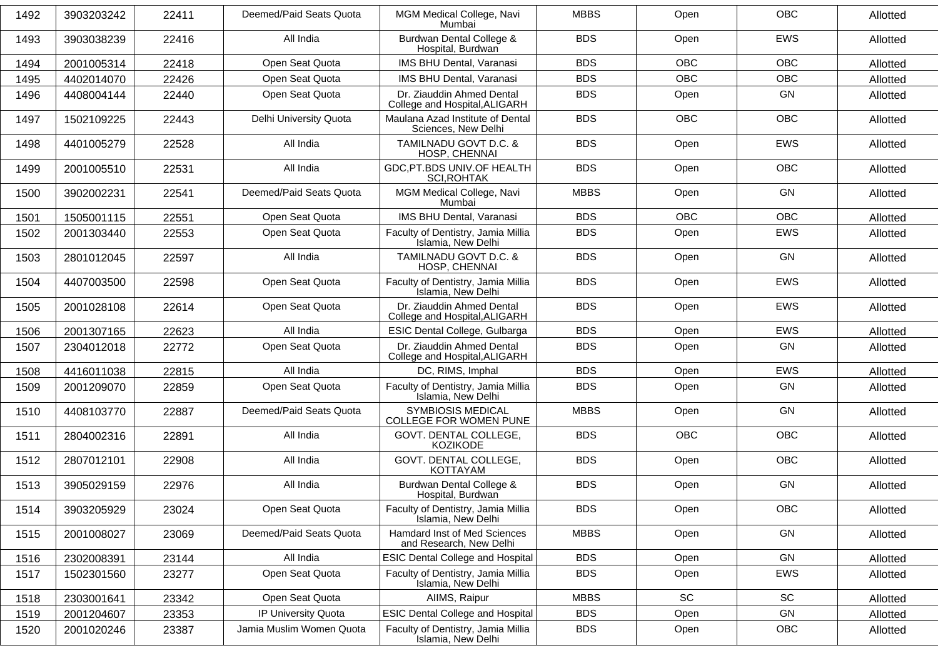| 1492 | 3903203242 | 22411 | Deemed/Paid Seats Quota  | MGM Medical College, Navi<br>Mumbai                        | <b>MBBS</b> | Open       | <b>OBC</b> | Allotted |
|------|------------|-------|--------------------------|------------------------------------------------------------|-------------|------------|------------|----------|
| 1493 | 3903038239 | 22416 | All India                | Burdwan Dental College &<br>Hospital, Burdwan              | <b>BDS</b>  | Open       | EWS        | Allotted |
| 1494 | 2001005314 | 22418 | Open Seat Quota          | IMS BHU Dental, Varanasi                                   | <b>BDS</b>  | <b>OBC</b> | <b>OBC</b> | Allotted |
| 1495 | 4402014070 | 22426 | Open Seat Quota          | IMS BHU Dental, Varanasi                                   | <b>BDS</b>  | <b>OBC</b> | <b>OBC</b> | Allotted |
| 1496 | 4408004144 | 22440 | Open Seat Quota          | Dr. Ziauddin Ahmed Dental<br>College and Hospital, ALIGARH | <b>BDS</b>  | Open       | <b>GN</b>  | Allotted |
| 1497 | 1502109225 | 22443 | Delhi University Quota   | Maulana Azad Institute of Dental<br>Sciences, New Delhi    | <b>BDS</b>  | <b>OBC</b> | OBC        | Allotted |
| 1498 | 4401005279 | 22528 | All India                | TAMILNADU GOVT D.C. &<br>HOSP, CHENNAI                     | <b>BDS</b>  | Open       | <b>EWS</b> | Allotted |
| 1499 | 2001005510 | 22531 | All India                | GDC, PT.BDS UNIV. OF HEALTH<br><b>SCI, ROHTAK</b>          | <b>BDS</b>  | Open       | <b>OBC</b> | Allotted |
| 1500 | 3902002231 | 22541 | Deemed/Paid Seats Quota  | MGM Medical College, Navi<br>Mumbai                        | <b>MBBS</b> | Open       | GN         | Allotted |
| 1501 | 1505001115 | 22551 | Open Seat Quota          | IMS BHU Dental, Varanasi                                   | <b>BDS</b>  | <b>OBC</b> | <b>OBC</b> | Allotted |
| 1502 | 2001303440 | 22553 | Open Seat Quota          | Faculty of Dentistry, Jamia Millia<br>Islamia, New Delhi   | <b>BDS</b>  | Open       | <b>EWS</b> | Allotted |
| 1503 | 2801012045 | 22597 | All India                | TAMILNADU GOVT D.C. &<br>HOSP, CHENNAI                     | <b>BDS</b>  | Open       | <b>GN</b>  | Allotted |
| 1504 | 4407003500 | 22598 | Open Seat Quota          | Faculty of Dentistry, Jamia Millia<br>Islamia, New Delhi   | <b>BDS</b>  | Open       | EWS        | Allotted |
| 1505 | 2001028108 | 22614 | Open Seat Quota          | Dr. Ziauddin Ahmed Dental<br>College and Hospital, ALIGARH | <b>BDS</b>  | Open       | EWS        | Allotted |
| 1506 | 2001307165 | 22623 | All India                | ESIC Dental College, Gulbarga                              | <b>BDS</b>  | Open       | <b>EWS</b> | Allotted |
| 1507 | 2304012018 | 22772 | Open Seat Quota          | Dr. Ziauddin Ahmed Dental<br>College and Hospital, ALIGARH | <b>BDS</b>  | Open       | GN         | Allotted |
| 1508 | 4416011038 | 22815 | All India                | DC, RIMS, Imphal                                           | <b>BDS</b>  | Open       | <b>EWS</b> | Allotted |
| 1509 | 2001209070 | 22859 | Open Seat Quota          | Faculty of Dentistry, Jamia Millia<br>Islamia, New Delhi   | <b>BDS</b>  | Open       | GN         | Allotted |
| 1510 | 4408103770 | 22887 | Deemed/Paid Seats Quota  | <b>SYMBIOSIS MEDICAL</b><br>COLLEGE FOR WOMEN PUNE         | <b>MBBS</b> | Open       | GN         | Allotted |
| 1511 | 2804002316 | 22891 | All India                | GOVT. DENTAL COLLEGE,<br>KOZIKODE                          | <b>BDS</b>  | <b>OBC</b> | <b>OBC</b> | Allotted |
| 1512 | 2807012101 | 22908 | All India                | GOVT. DENTAL COLLEGE,<br><b>KOTTAYAM</b>                   | <b>BDS</b>  | Open       | OBC        | Allotted |
| 1513 | 3905029159 | 22976 | All India                | Burdwan Dental College &<br>Hospital, Burdwan              | <b>BDS</b>  | Open       | <b>GN</b>  | Allotted |
| 1514 | 3903205929 | 23024 | Open Seat Quota          | Faculty of Dentistry, Jamia Millia<br>Islamia, New Delhi   | <b>BDS</b>  | Open       | OBC        | Allotted |
| 1515 | 2001008027 | 23069 | Deemed/Paid Seats Quota  | Hamdard Inst of Med Sciences<br>and Research, New Delhi    | <b>MBBS</b> | Open       | GN         | Allotted |
| 1516 | 2302008391 | 23144 | All India                | <b>ESIC Dental College and Hospital</b>                    | <b>BDS</b>  | Open       | GN         | Allotted |
| 1517 | 1502301560 | 23277 | Open Seat Quota          | Faculty of Dentistry, Jamia Millia<br>Islamia, New Delhi   | <b>BDS</b>  | Open       | EWS        | Allotted |
| 1518 | 2303001641 | 23342 | Open Seat Quota          | AIIMS, Raipur                                              | <b>MBBS</b> | SC         | SC         | Allotted |
| 1519 | 2001204607 | 23353 | IP University Quota      | <b>ESIC Dental College and Hospital</b>                    | <b>BDS</b>  | Open       | GN         | Allotted |
| 1520 | 2001020246 | 23387 | Jamia Muslim Women Quota | Faculty of Dentistry, Jamia Millia<br>Islamia, New Delhi   | <b>BDS</b>  | Open       | <b>OBC</b> | Allotted |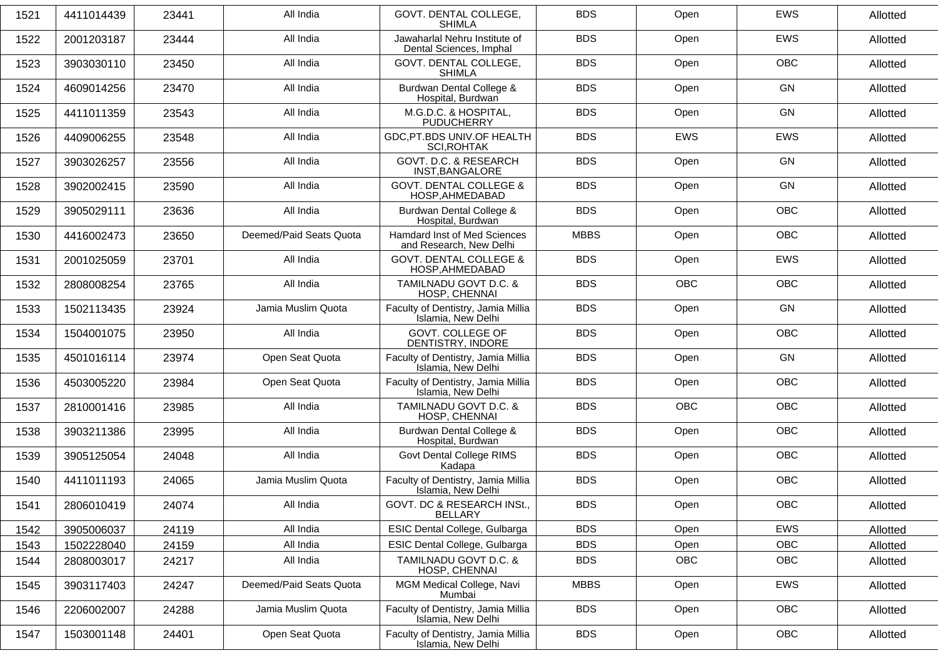| 1521 | 4411014439 | 23441 | All India               | GOVT. DENTAL COLLEGE,<br><b>SHIMLA</b>                         | <b>BDS</b>  | Open       | <b>EWS</b> | Allotted |
|------|------------|-------|-------------------------|----------------------------------------------------------------|-------------|------------|------------|----------|
| 1522 | 2001203187 | 23444 | All India               | Jawaharlal Nehru Institute of<br>Dental Sciences, Imphal       | <b>BDS</b>  | Open       | EWS        | Allotted |
| 1523 | 3903030110 | 23450 | All India               | GOVT. DENTAL COLLEGE,<br><b>SHIMLA</b>                         | <b>BDS</b>  | Open       | <b>OBC</b> | Allotted |
| 1524 | 4609014256 | 23470 | All India               | Burdwan Dental College &<br>Hospital, Burdwan                  | <b>BDS</b>  | Open       | <b>GN</b>  | Allotted |
| 1525 | 4411011359 | 23543 | All India               | M.G.D.C. & HOSPITAL,<br><b>PUDUCHERRY</b>                      | <b>BDS</b>  | Open       | <b>GN</b>  | Allotted |
| 1526 | 4409006255 | 23548 | All India               | GDC, PT.BDS UNIV. OF HEALTH<br><b>SCI, ROHTAK</b>              | <b>BDS</b>  | <b>EWS</b> | <b>EWS</b> | Allotted |
| 1527 | 3903026257 | 23556 | All India               | GOVT. D.C. & RESEARCH<br>INST, BANGALORE                       | <b>BDS</b>  | Open       | <b>GN</b>  | Allotted |
| 1528 | 3902002415 | 23590 | All India               | <b>GOVT. DENTAL COLLEGE &amp;</b><br>HOSP, AHMEDABAD           | <b>BDS</b>  | Open       | GN         | Allotted |
| 1529 | 3905029111 | 23636 | All India               | Burdwan Dental College &<br>Hospital, Burdwan                  | <b>BDS</b>  | Open       | <b>OBC</b> | Allotted |
| 1530 | 4416002473 | 23650 | Deemed/Paid Seats Quota | <b>Hamdard Inst of Med Sciences</b><br>and Research, New Delhi | <b>MBBS</b> | Open       | <b>OBC</b> | Allotted |
| 1531 | 2001025059 | 23701 | All India               | <b>GOVT. DENTAL COLLEGE &amp;</b><br>HOSP, AHMEDABAD           | <b>BDS</b>  | Open       | EWS        | Allotted |
| 1532 | 2808008254 | 23765 | All India               | TAMILNADU GOVT D.C. &<br>HOSP, CHENNAI                         | <b>BDS</b>  | <b>OBC</b> | <b>OBC</b> | Allotted |
| 1533 | 1502113435 | 23924 | Jamia Muslim Quota      | Faculty of Dentistry, Jamia Millia<br>Islamia, New Delhi       | <b>BDS</b>  | Open       | <b>GN</b>  | Allotted |
| 1534 | 1504001075 | 23950 | All India               | GOVT. COLLEGE OF<br>DENTISTRY, INDORE                          | <b>BDS</b>  | Open       | OBC        | Allotted |
| 1535 | 4501016114 | 23974 | Open Seat Quota         | Faculty of Dentistry, Jamia Millia<br>Islamia, New Delhi       | <b>BDS</b>  | Open       | GN         | Allotted |
| 1536 | 4503005220 | 23984 | Open Seat Quota         | Faculty of Dentistry, Jamia Millia<br>Islamia, New Delhi       | <b>BDS</b>  | Open       | <b>OBC</b> | Allotted |
| 1537 | 2810001416 | 23985 | All India               | TAMILNADU GOVT D.C. &<br>HOSP, CHENNAI                         | <b>BDS</b>  | <b>OBC</b> | OBC        | Allotted |
| 1538 | 3903211386 | 23995 | All India               | Burdwan Dental College &<br>Hospital, Burdwan                  | <b>BDS</b>  | Open       | <b>OBC</b> | Allotted |
| 1539 | 3905125054 | 24048 | All India               | <b>Govt Dental College RIMS</b><br>Kadapa                      | <b>BDS</b>  | Open       | <b>OBC</b> | Allotted |
| 1540 | 4411011193 | 24065 | Jamia Muslim Quota      | Faculty of Dentistry, Jamia Millia<br>Islamia, New Delhi       | <b>BDS</b>  | Open       | <b>OBC</b> | Allotted |
| 1541 | 2806010419 | 24074 | All India               | GOVT. DC & RESEARCH INSt.,<br><b>BELLARY</b>                   | <b>BDS</b>  | Open       | OBC        | Allotted |
| 1542 | 3905006037 | 24119 | All India               | ESIC Dental College, Gulbarga                                  | <b>BDS</b>  | Open       | EWS        | Allotted |
| 1543 | 1502228040 | 24159 | All India               | ESIC Dental College, Gulbarga                                  | <b>BDS</b>  | Open       | OBC        | Allotted |
| 1544 | 2808003017 | 24217 | All India               | TAMILNADU GOVT D.C. &<br>HOSP, CHENNAI                         | <b>BDS</b>  | OBC        | OBC        | Allotted |
| 1545 | 3903117403 | 24247 | Deemed/Paid Seats Quota | MGM Medical College, Navi<br>Mumbai                            | <b>MBBS</b> | Open       | EWS        | Allotted |
| 1546 | 2206002007 | 24288 | Jamia Muslim Quota      | Faculty of Dentistry, Jamia Millia<br>Islamia, New Delhi       | <b>BDS</b>  | Open       | OBC        | Allotted |
| 1547 | 1503001148 | 24401 | Open Seat Quota         | Faculty of Dentistry, Jamia Millia<br>Islamia, New Delhi       | <b>BDS</b>  | Open       | OBC        | Allotted |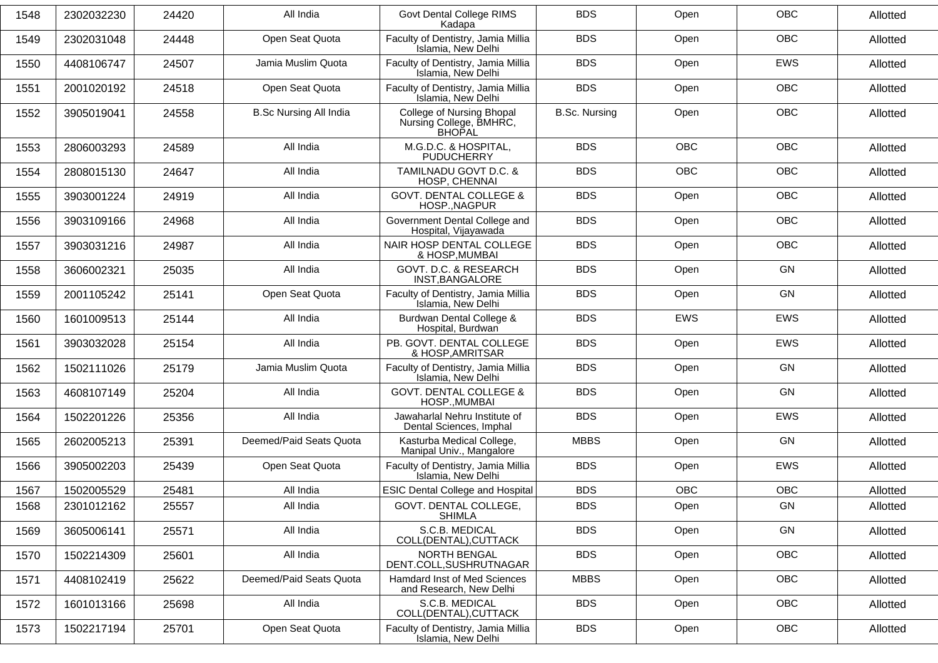| 1548 | 2302032230 | 24420 | All India                     | Govt Dental College RIMS<br>Kadapa                                    | <b>BDS</b>           | Open       | <b>OBC</b> | Allotted |
|------|------------|-------|-------------------------------|-----------------------------------------------------------------------|----------------------|------------|------------|----------|
| 1549 | 2302031048 | 24448 | Open Seat Quota               | Faculty of Dentistry, Jamia Millia<br>Islamia, New Delhi              | <b>BDS</b>           | Open       | <b>OBC</b> | Allotted |
| 1550 | 4408106747 | 24507 | Jamia Muslim Quota            | Faculty of Dentistry, Jamia Millia<br>Islamia, New Delhi              | <b>BDS</b>           | Open       | EWS        | Allotted |
| 1551 | 2001020192 | 24518 | Open Seat Quota               | Faculty of Dentistry, Jamia Millia<br>Islamia, New Delhi              | <b>BDS</b>           | Open       | OBC        | Allotted |
| 1552 | 3905019041 | 24558 | <b>B.Sc Nursing All India</b> | College of Nursing Bhopal<br>Nursing College, BMHRC,<br><b>BHOPAL</b> | <b>B.Sc. Nursing</b> | Open       | <b>OBC</b> | Allotted |
| 1553 | 2806003293 | 24589 | All India                     | M.G.D.C. & HOSPITAL,<br><b>PUDUCHERRY</b>                             | <b>BDS</b>           | <b>OBC</b> | <b>OBC</b> | Allotted |
| 1554 | 2808015130 | 24647 | All India                     | TAMILNADU GOVT D.C. &<br>HOSP, CHENNAI                                | <b>BDS</b>           | <b>OBC</b> | OBC        | Allotted |
| 1555 | 3903001224 | 24919 | All India                     | <b>GOVT. DENTAL COLLEGE &amp;</b><br>HOSP., NAGPUR                    | <b>BDS</b>           | Open       | <b>OBC</b> | Allotted |
| 1556 | 3903109166 | 24968 | All India                     | Government Dental College and<br>Hospital, Vijayawada                 | <b>BDS</b>           | Open       | OBC        | Allotted |
| 1557 | 3903031216 | 24987 | All India                     | NAIR HOSP DENTAL COLLEGE<br>& HOSP, MUMBAI                            | <b>BDS</b>           | Open       | OBC        | Allotted |
| 1558 | 3606002321 | 25035 | All India                     | GOVT. D.C. & RESEARCH<br>INST, BANGALORE                              | <b>BDS</b>           | Open       | GN         | Allotted |
| 1559 | 2001105242 | 25141 | Open Seat Quota               | Faculty of Dentistry, Jamia Millia<br>Islamia, New Delhi              | <b>BDS</b>           | Open       | <b>GN</b>  | Allotted |
| 1560 | 1601009513 | 25144 | All India                     | Burdwan Dental College &<br>Hospital, Burdwan                         | <b>BDS</b>           | EWS        | EWS        | Allotted |
| 1561 | 3903032028 | 25154 | All India                     | PB. GOVT. DENTAL COLLEGE<br>& HOSP, AMRITSAR                          | <b>BDS</b>           | Open       | <b>EWS</b> | Allotted |
| 1562 | 1502111026 | 25179 | Jamia Muslim Quota            | Faculty of Dentistry, Jamia Millia<br>Islamia, New Delhi              | <b>BDS</b>           | Open       | GN         | Allotted |
| 1563 | 4608107149 | 25204 | All India                     | <b>GOVT. DENTAL COLLEGE &amp;</b><br>HOSP., MUMBAI                    | <b>BDS</b>           | Open       | GN         | Allotted |
| 1564 | 1502201226 | 25356 | All India                     | Jawaharlal Nehru Institute of<br>Dental Sciences, Imphal              | <b>BDS</b>           | Open       | <b>EWS</b> | Allotted |
| 1565 | 2602005213 | 25391 | Deemed/Paid Seats Quota       | Kasturba Medical College,<br>Manipal Univ., Mangalore                 | <b>MBBS</b>          | Open       | GN         | Allotted |
| 1566 | 3905002203 | 25439 | Open Seat Quota               | Faculty of Dentistry, Jamia Millia<br>Islamia, New Delhi              | <b>BDS</b>           | Open       | EWS        | Allotted |
| 1567 | 1502005529 | 25481 | All India                     | <b>ESIC Dental College and Hospital</b>                               | <b>BDS</b>           | OBC        | OBC        | Allotted |
| 1568 | 2301012162 | 25557 | All India                     | GOVT. DENTAL COLLEGE,<br><b>SHIMLA</b>                                | <b>BDS</b>           | Open       | GN         | Allotted |
| 1569 | 3605006141 | 25571 | All India                     | S.C.B. MEDICAL<br>COLL(DENTAL), CUTTACK                               | <b>BDS</b>           | Open       | GN         | Allotted |
| 1570 | 1502214309 | 25601 | All India                     | NORTH BENGAL<br>DENT.COLL, SUSHRUTNAGAR                               | <b>BDS</b>           | Open       | <b>OBC</b> | Allotted |
| 1571 | 4408102419 | 25622 | Deemed/Paid Seats Quota       | Hamdard Inst of Med Sciences<br>and Research, New Delhi               | <b>MBBS</b>          | Open       | OBC        | Allotted |
| 1572 | 1601013166 | 25698 | All India                     | S.C.B. MEDICAL<br>COLL(DENTAL), CUTTACK                               | <b>BDS</b>           | Open       | <b>OBC</b> | Allotted |
| 1573 | 1502217194 | 25701 | Open Seat Quota               | Faculty of Dentistry, Jamia Millia<br>Islamia, New Delhi              | <b>BDS</b>           | Open       | OBC        | Allotted |
|      |            |       |                               |                                                                       |                      |            |            |          |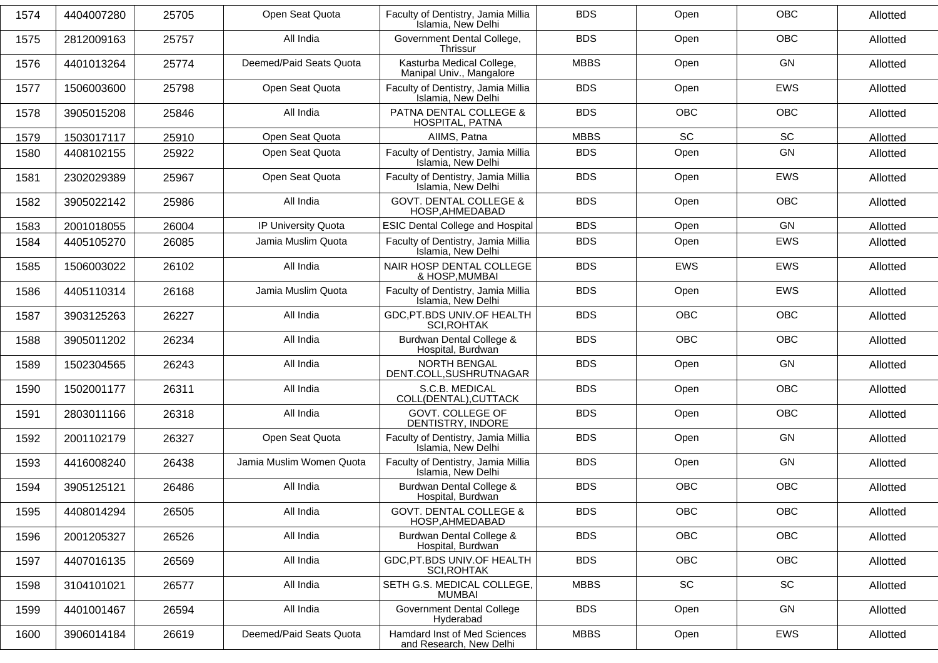| <b>OBC</b><br><b>BDS</b><br>Open<br>4404007280<br>25705<br>Open Seat Quota<br>Faculty of Dentistry, Jamia Millia<br>1574<br>Islamia, New Delhi<br>OBC<br>All India<br>Government Dental College,<br><b>BDS</b><br>Open<br>1575<br>2812009163<br>25757<br>Thrissur<br>Kasturba Medical College,<br><b>MBBS</b><br><b>GN</b><br>Deemed/Paid Seats Quota<br>Open<br>25774<br>1576<br>4401013264<br>Manipal Univ., Mangalore<br>Faculty of Dentistry, Jamia Millia<br><b>BDS</b><br><b>EWS</b><br>1577<br>1506003600<br>25798<br>Open Seat Quota<br>Open<br>Islamia, New Delhi<br>PATNA DENTAL COLLEGE &<br>All India<br><b>BDS</b><br>OBC<br>OBC<br>3905015208<br>25846<br>1578<br>HOSPITAL, PATNA<br>SC<br><b>SC</b><br><b>MBBS</b><br>Open Seat Quota<br>AIIMS, Patna<br>1579<br>1503017117<br>25910<br>Faculty of Dentistry, Jamia Millia<br>GN<br><b>BDS</b><br>Open Seat Quota<br>Open<br>1580<br>25922<br>4408102155<br>Islamia, New Delhi<br>Faculty of Dentistry, Jamia Millia<br><b>BDS</b><br>EWS<br>Open Seat Quota<br>Open<br>1581<br>2302029389<br>25967<br>Islamia, New Delhi<br><b>GOVT. DENTAL COLLEGE &amp;</b><br>All India<br><b>BDS</b><br><b>OBC</b><br>3905022142<br>25986<br>Open<br>1582<br>HOSP, AHMEDABAD<br>GN<br>IP University Quota<br><b>ESIC Dental College and Hospital</b><br><b>BDS</b><br>Open<br>1583<br>2001018055<br>26004<br>Faculty of Dentistry, Jamia Millia<br><b>BDS</b><br><b>EWS</b><br>1584<br>4405105270<br>26085<br>Jamia Muslim Quota<br>Open<br>Islamia, New Delhi<br>NAIR HOSP DENTAL COLLEGE<br>All India<br><b>BDS</b><br>EWS<br>EWS<br>1506003022<br>26102<br>1585<br>& HOSP, MUMBAI<br>Faculty of Dentistry, Jamia Millia<br><b>BDS</b><br>EWS<br>Jamia Muslim Quota<br>Open<br>1586<br>26168<br>4405110314<br>Islamia, New Delhi<br>GDC, PT.BDS UNIV. OF HEALTH<br><b>BDS</b><br><b>OBC</b><br>OBC<br>3903125263<br>26227<br>All India<br>1587<br><b>SCI, ROHTAK</b><br>Burdwan Dental College &<br><b>BDS</b><br><b>OBC</b><br><b>OBC</b><br>1588<br>3905011202<br>26234<br>All India<br>Hospital, Burdwan<br>All India<br>NORTH BENGAL<br><b>BDS</b><br>GN<br>Open<br>1589<br>1502304565<br>26243<br>DENT.COLL, SUSHRUTNAGAR<br>S.C.B. MEDICAL<br><b>BDS</b><br><b>OBC</b><br>All India<br>Open<br>1590<br>1502001177<br>26311<br>COLL(DENTAL), CUTTACK<br>GOVT. COLLEGE OF<br>OBC<br>All India<br><b>BDS</b><br>2803011166<br>26318<br>Open<br>1591<br>DENTISTRY, INDORE<br>Faculty of Dentistry, Jamia Millia<br><b>BDS</b><br><b>GN</b><br>Open Seat Quota<br>Open<br>1592<br>26327<br>2001102179<br>Islamia, New Delhi<br>Faculty of Dentistry, Jamia Millia<br><b>BDS</b><br>GN<br>Jamia Muslim Women Quota<br>Open<br>4416008240<br>26438<br>1593<br>Islamia, New Delhi<br>Burdwan Dental College &<br>All India<br><b>BDS</b><br>OBC<br>OBC<br>3905125121<br>26486<br>1594<br>Hospital, Burdwan<br><b>GOVT. DENTAL COLLEGE &amp;</b><br><b>BDS</b><br>OBC<br>OBC<br>All India<br>4408014294<br>26505<br>1595<br>HOSP, AHMEDABAD<br>Burdwan Dental College &<br><b>BDS</b><br>OBC<br>OBC<br>All India<br>2001205327<br>26526<br>1596<br>Hospital, Burdwan<br>GDC, PT.BDS UNIV. OF HEALTH<br>All India<br><b>BDS</b><br><b>OBC</b><br>OBC<br>4407016135<br>1597<br>26569<br>SCI, ROHTAK<br>SC<br>SC<br>All India<br>SETH G.S. MEDICAL COLLEGE,<br><b>MBBS</b><br>1598<br>3104101021<br>26577<br>MUMBAI<br><b>Government Dental College</b><br><b>BDS</b><br>GN<br>All India<br>Open<br>4401001467<br>26594<br>1599<br>Hyderabad<br>Deemed/Paid Seats Quota<br>Hamdard Inst of Med Sciences<br><b>MBBS</b><br>EWS<br>3906014184<br>26619<br>Open<br>1600 |  |                         |  |          |
|----------------------------------------------------------------------------------------------------------------------------------------------------------------------------------------------------------------------------------------------------------------------------------------------------------------------------------------------------------------------------------------------------------------------------------------------------------------------------------------------------------------------------------------------------------------------------------------------------------------------------------------------------------------------------------------------------------------------------------------------------------------------------------------------------------------------------------------------------------------------------------------------------------------------------------------------------------------------------------------------------------------------------------------------------------------------------------------------------------------------------------------------------------------------------------------------------------------------------------------------------------------------------------------------------------------------------------------------------------------------------------------------------------------------------------------------------------------------------------------------------------------------------------------------------------------------------------------------------------------------------------------------------------------------------------------------------------------------------------------------------------------------------------------------------------------------------------------------------------------------------------------------------------------------------------------------------------------------------------------------------------------------------------------------------------------------------------------------------------------------------------------------------------------------------------------------------------------------------------------------------------------------------------------------------------------------------------------------------------------------------------------------------------------------------------------------------------------------------------------------------------------------------------------------------------------------------------------------------------------------------------------------------------------------------------------------------------------------------------------------------------------------------------------------------------------------------------------------------------------------------------------------------------------------------------------------------------------------------------------------------------------------------------------------------------------------------------------------------------------------------------------------------------------------------------------------------------------------------------------------------------------------------------------------------------------------------------------------------------------------------------------------------------------------------------------------------------------------------------------------------------------------------------------------------------------------------------------------------------------------|--|-------------------------|--|----------|
|                                                                                                                                                                                                                                                                                                                                                                                                                                                                                                                                                                                                                                                                                                                                                                                                                                                                                                                                                                                                                                                                                                                                                                                                                                                                                                                                                                                                                                                                                                                                                                                                                                                                                                                                                                                                                                                                                                                                                                                                                                                                                                                                                                                                                                                                                                                                                                                                                                                                                                                                                                                                                                                                                                                                                                                                                                                                                                                                                                                                                                                                                                                                                                                                                                                                                                                                                                                                                                                                                                                                                                                                                      |  |                         |  | Allotted |
|                                                                                                                                                                                                                                                                                                                                                                                                                                                                                                                                                                                                                                                                                                                                                                                                                                                                                                                                                                                                                                                                                                                                                                                                                                                                                                                                                                                                                                                                                                                                                                                                                                                                                                                                                                                                                                                                                                                                                                                                                                                                                                                                                                                                                                                                                                                                                                                                                                                                                                                                                                                                                                                                                                                                                                                                                                                                                                                                                                                                                                                                                                                                                                                                                                                                                                                                                                                                                                                                                                                                                                                                                      |  |                         |  | Allotted |
|                                                                                                                                                                                                                                                                                                                                                                                                                                                                                                                                                                                                                                                                                                                                                                                                                                                                                                                                                                                                                                                                                                                                                                                                                                                                                                                                                                                                                                                                                                                                                                                                                                                                                                                                                                                                                                                                                                                                                                                                                                                                                                                                                                                                                                                                                                                                                                                                                                                                                                                                                                                                                                                                                                                                                                                                                                                                                                                                                                                                                                                                                                                                                                                                                                                                                                                                                                                                                                                                                                                                                                                                                      |  |                         |  | Allotted |
|                                                                                                                                                                                                                                                                                                                                                                                                                                                                                                                                                                                                                                                                                                                                                                                                                                                                                                                                                                                                                                                                                                                                                                                                                                                                                                                                                                                                                                                                                                                                                                                                                                                                                                                                                                                                                                                                                                                                                                                                                                                                                                                                                                                                                                                                                                                                                                                                                                                                                                                                                                                                                                                                                                                                                                                                                                                                                                                                                                                                                                                                                                                                                                                                                                                                                                                                                                                                                                                                                                                                                                                                                      |  |                         |  | Allotted |
|                                                                                                                                                                                                                                                                                                                                                                                                                                                                                                                                                                                                                                                                                                                                                                                                                                                                                                                                                                                                                                                                                                                                                                                                                                                                                                                                                                                                                                                                                                                                                                                                                                                                                                                                                                                                                                                                                                                                                                                                                                                                                                                                                                                                                                                                                                                                                                                                                                                                                                                                                                                                                                                                                                                                                                                                                                                                                                                                                                                                                                                                                                                                                                                                                                                                                                                                                                                                                                                                                                                                                                                                                      |  |                         |  | Allotted |
|                                                                                                                                                                                                                                                                                                                                                                                                                                                                                                                                                                                                                                                                                                                                                                                                                                                                                                                                                                                                                                                                                                                                                                                                                                                                                                                                                                                                                                                                                                                                                                                                                                                                                                                                                                                                                                                                                                                                                                                                                                                                                                                                                                                                                                                                                                                                                                                                                                                                                                                                                                                                                                                                                                                                                                                                                                                                                                                                                                                                                                                                                                                                                                                                                                                                                                                                                                                                                                                                                                                                                                                                                      |  |                         |  | Allotted |
|                                                                                                                                                                                                                                                                                                                                                                                                                                                                                                                                                                                                                                                                                                                                                                                                                                                                                                                                                                                                                                                                                                                                                                                                                                                                                                                                                                                                                                                                                                                                                                                                                                                                                                                                                                                                                                                                                                                                                                                                                                                                                                                                                                                                                                                                                                                                                                                                                                                                                                                                                                                                                                                                                                                                                                                                                                                                                                                                                                                                                                                                                                                                                                                                                                                                                                                                                                                                                                                                                                                                                                                                                      |  |                         |  | Allotted |
|                                                                                                                                                                                                                                                                                                                                                                                                                                                                                                                                                                                                                                                                                                                                                                                                                                                                                                                                                                                                                                                                                                                                                                                                                                                                                                                                                                                                                                                                                                                                                                                                                                                                                                                                                                                                                                                                                                                                                                                                                                                                                                                                                                                                                                                                                                                                                                                                                                                                                                                                                                                                                                                                                                                                                                                                                                                                                                                                                                                                                                                                                                                                                                                                                                                                                                                                                                                                                                                                                                                                                                                                                      |  |                         |  | Allotted |
|                                                                                                                                                                                                                                                                                                                                                                                                                                                                                                                                                                                                                                                                                                                                                                                                                                                                                                                                                                                                                                                                                                                                                                                                                                                                                                                                                                                                                                                                                                                                                                                                                                                                                                                                                                                                                                                                                                                                                                                                                                                                                                                                                                                                                                                                                                                                                                                                                                                                                                                                                                                                                                                                                                                                                                                                                                                                                                                                                                                                                                                                                                                                                                                                                                                                                                                                                                                                                                                                                                                                                                                                                      |  |                         |  | Allotted |
|                                                                                                                                                                                                                                                                                                                                                                                                                                                                                                                                                                                                                                                                                                                                                                                                                                                                                                                                                                                                                                                                                                                                                                                                                                                                                                                                                                                                                                                                                                                                                                                                                                                                                                                                                                                                                                                                                                                                                                                                                                                                                                                                                                                                                                                                                                                                                                                                                                                                                                                                                                                                                                                                                                                                                                                                                                                                                                                                                                                                                                                                                                                                                                                                                                                                                                                                                                                                                                                                                                                                                                                                                      |  |                         |  | Allotted |
|                                                                                                                                                                                                                                                                                                                                                                                                                                                                                                                                                                                                                                                                                                                                                                                                                                                                                                                                                                                                                                                                                                                                                                                                                                                                                                                                                                                                                                                                                                                                                                                                                                                                                                                                                                                                                                                                                                                                                                                                                                                                                                                                                                                                                                                                                                                                                                                                                                                                                                                                                                                                                                                                                                                                                                                                                                                                                                                                                                                                                                                                                                                                                                                                                                                                                                                                                                                                                                                                                                                                                                                                                      |  |                         |  | Allotted |
|                                                                                                                                                                                                                                                                                                                                                                                                                                                                                                                                                                                                                                                                                                                                                                                                                                                                                                                                                                                                                                                                                                                                                                                                                                                                                                                                                                                                                                                                                                                                                                                                                                                                                                                                                                                                                                                                                                                                                                                                                                                                                                                                                                                                                                                                                                                                                                                                                                                                                                                                                                                                                                                                                                                                                                                                                                                                                                                                                                                                                                                                                                                                                                                                                                                                                                                                                                                                                                                                                                                                                                                                                      |  |                         |  | Allotted |
|                                                                                                                                                                                                                                                                                                                                                                                                                                                                                                                                                                                                                                                                                                                                                                                                                                                                                                                                                                                                                                                                                                                                                                                                                                                                                                                                                                                                                                                                                                                                                                                                                                                                                                                                                                                                                                                                                                                                                                                                                                                                                                                                                                                                                                                                                                                                                                                                                                                                                                                                                                                                                                                                                                                                                                                                                                                                                                                                                                                                                                                                                                                                                                                                                                                                                                                                                                                                                                                                                                                                                                                                                      |  |                         |  | Allotted |
|                                                                                                                                                                                                                                                                                                                                                                                                                                                                                                                                                                                                                                                                                                                                                                                                                                                                                                                                                                                                                                                                                                                                                                                                                                                                                                                                                                                                                                                                                                                                                                                                                                                                                                                                                                                                                                                                                                                                                                                                                                                                                                                                                                                                                                                                                                                                                                                                                                                                                                                                                                                                                                                                                                                                                                                                                                                                                                                                                                                                                                                                                                                                                                                                                                                                                                                                                                                                                                                                                                                                                                                                                      |  |                         |  | Allotted |
|                                                                                                                                                                                                                                                                                                                                                                                                                                                                                                                                                                                                                                                                                                                                                                                                                                                                                                                                                                                                                                                                                                                                                                                                                                                                                                                                                                                                                                                                                                                                                                                                                                                                                                                                                                                                                                                                                                                                                                                                                                                                                                                                                                                                                                                                                                                                                                                                                                                                                                                                                                                                                                                                                                                                                                                                                                                                                                                                                                                                                                                                                                                                                                                                                                                                                                                                                                                                                                                                                                                                                                                                                      |  |                         |  | Allotted |
|                                                                                                                                                                                                                                                                                                                                                                                                                                                                                                                                                                                                                                                                                                                                                                                                                                                                                                                                                                                                                                                                                                                                                                                                                                                                                                                                                                                                                                                                                                                                                                                                                                                                                                                                                                                                                                                                                                                                                                                                                                                                                                                                                                                                                                                                                                                                                                                                                                                                                                                                                                                                                                                                                                                                                                                                                                                                                                                                                                                                                                                                                                                                                                                                                                                                                                                                                                                                                                                                                                                                                                                                                      |  |                         |  | Allotted |
|                                                                                                                                                                                                                                                                                                                                                                                                                                                                                                                                                                                                                                                                                                                                                                                                                                                                                                                                                                                                                                                                                                                                                                                                                                                                                                                                                                                                                                                                                                                                                                                                                                                                                                                                                                                                                                                                                                                                                                                                                                                                                                                                                                                                                                                                                                                                                                                                                                                                                                                                                                                                                                                                                                                                                                                                                                                                                                                                                                                                                                                                                                                                                                                                                                                                                                                                                                                                                                                                                                                                                                                                                      |  |                         |  | Allotted |
|                                                                                                                                                                                                                                                                                                                                                                                                                                                                                                                                                                                                                                                                                                                                                                                                                                                                                                                                                                                                                                                                                                                                                                                                                                                                                                                                                                                                                                                                                                                                                                                                                                                                                                                                                                                                                                                                                                                                                                                                                                                                                                                                                                                                                                                                                                                                                                                                                                                                                                                                                                                                                                                                                                                                                                                                                                                                                                                                                                                                                                                                                                                                                                                                                                                                                                                                                                                                                                                                                                                                                                                                                      |  |                         |  | Allotted |
|                                                                                                                                                                                                                                                                                                                                                                                                                                                                                                                                                                                                                                                                                                                                                                                                                                                                                                                                                                                                                                                                                                                                                                                                                                                                                                                                                                                                                                                                                                                                                                                                                                                                                                                                                                                                                                                                                                                                                                                                                                                                                                                                                                                                                                                                                                                                                                                                                                                                                                                                                                                                                                                                                                                                                                                                                                                                                                                                                                                                                                                                                                                                                                                                                                                                                                                                                                                                                                                                                                                                                                                                                      |  |                         |  | Allotted |
|                                                                                                                                                                                                                                                                                                                                                                                                                                                                                                                                                                                                                                                                                                                                                                                                                                                                                                                                                                                                                                                                                                                                                                                                                                                                                                                                                                                                                                                                                                                                                                                                                                                                                                                                                                                                                                                                                                                                                                                                                                                                                                                                                                                                                                                                                                                                                                                                                                                                                                                                                                                                                                                                                                                                                                                                                                                                                                                                                                                                                                                                                                                                                                                                                                                                                                                                                                                                                                                                                                                                                                                                                      |  |                         |  | Allotted |
|                                                                                                                                                                                                                                                                                                                                                                                                                                                                                                                                                                                                                                                                                                                                                                                                                                                                                                                                                                                                                                                                                                                                                                                                                                                                                                                                                                                                                                                                                                                                                                                                                                                                                                                                                                                                                                                                                                                                                                                                                                                                                                                                                                                                                                                                                                                                                                                                                                                                                                                                                                                                                                                                                                                                                                                                                                                                                                                                                                                                                                                                                                                                                                                                                                                                                                                                                                                                                                                                                                                                                                                                                      |  |                         |  | Allotted |
|                                                                                                                                                                                                                                                                                                                                                                                                                                                                                                                                                                                                                                                                                                                                                                                                                                                                                                                                                                                                                                                                                                                                                                                                                                                                                                                                                                                                                                                                                                                                                                                                                                                                                                                                                                                                                                                                                                                                                                                                                                                                                                                                                                                                                                                                                                                                                                                                                                                                                                                                                                                                                                                                                                                                                                                                                                                                                                                                                                                                                                                                                                                                                                                                                                                                                                                                                                                                                                                                                                                                                                                                                      |  |                         |  | Allotted |
|                                                                                                                                                                                                                                                                                                                                                                                                                                                                                                                                                                                                                                                                                                                                                                                                                                                                                                                                                                                                                                                                                                                                                                                                                                                                                                                                                                                                                                                                                                                                                                                                                                                                                                                                                                                                                                                                                                                                                                                                                                                                                                                                                                                                                                                                                                                                                                                                                                                                                                                                                                                                                                                                                                                                                                                                                                                                                                                                                                                                                                                                                                                                                                                                                                                                                                                                                                                                                                                                                                                                                                                                                      |  |                         |  | Allotted |
|                                                                                                                                                                                                                                                                                                                                                                                                                                                                                                                                                                                                                                                                                                                                                                                                                                                                                                                                                                                                                                                                                                                                                                                                                                                                                                                                                                                                                                                                                                                                                                                                                                                                                                                                                                                                                                                                                                                                                                                                                                                                                                                                                                                                                                                                                                                                                                                                                                                                                                                                                                                                                                                                                                                                                                                                                                                                                                                                                                                                                                                                                                                                                                                                                                                                                                                                                                                                                                                                                                                                                                                                                      |  |                         |  | Allotted |
|                                                                                                                                                                                                                                                                                                                                                                                                                                                                                                                                                                                                                                                                                                                                                                                                                                                                                                                                                                                                                                                                                                                                                                                                                                                                                                                                                                                                                                                                                                                                                                                                                                                                                                                                                                                                                                                                                                                                                                                                                                                                                                                                                                                                                                                                                                                                                                                                                                                                                                                                                                                                                                                                                                                                                                                                                                                                                                                                                                                                                                                                                                                                                                                                                                                                                                                                                                                                                                                                                                                                                                                                                      |  |                         |  | Allotted |
|                                                                                                                                                                                                                                                                                                                                                                                                                                                                                                                                                                                                                                                                                                                                                                                                                                                                                                                                                                                                                                                                                                                                                                                                                                                                                                                                                                                                                                                                                                                                                                                                                                                                                                                                                                                                                                                                                                                                                                                                                                                                                                                                                                                                                                                                                                                                                                                                                                                                                                                                                                                                                                                                                                                                                                                                                                                                                                                                                                                                                                                                                                                                                                                                                                                                                                                                                                                                                                                                                                                                                                                                                      |  |                         |  | Allotted |
|                                                                                                                                                                                                                                                                                                                                                                                                                                                                                                                                                                                                                                                                                                                                                                                                                                                                                                                                                                                                                                                                                                                                                                                                                                                                                                                                                                                                                                                                                                                                                                                                                                                                                                                                                                                                                                                                                                                                                                                                                                                                                                                                                                                                                                                                                                                                                                                                                                                                                                                                                                                                                                                                                                                                                                                                                                                                                                                                                                                                                                                                                                                                                                                                                                                                                                                                                                                                                                                                                                                                                                                                                      |  | and Research, New Delhi |  | Allotted |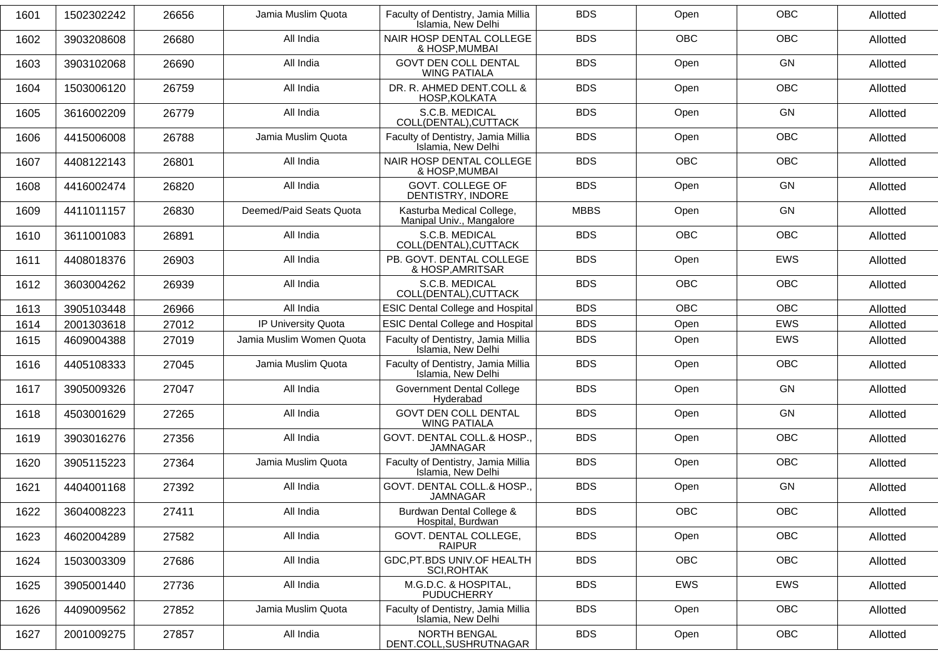| 1601 | 1502302242 | 26656 | Jamia Muslim Quota       | Faculty of Dentistry, Jamia Millia<br>Islamia, New Delhi | <b>BDS</b>  | Open       | <b>OBC</b> | Allotted |
|------|------------|-------|--------------------------|----------------------------------------------------------|-------------|------------|------------|----------|
| 1602 | 3903208608 | 26680 | All India                | NAIR HOSP DENTAL COLLEGE<br>& HOSP, MUMBAI               | <b>BDS</b>  | <b>OBC</b> | OBC        | Allotted |
| 1603 | 3903102068 | 26690 | All India                | <b>GOVT DEN COLL DENTAL</b><br><b>WING PATIALA</b>       | <b>BDS</b>  | Open       | GN         | Allotted |
| 1604 | 1503006120 | 26759 | All India                | DR. R. AHMED DENT.COLL &<br>HOSP, KOLKATA                | <b>BDS</b>  | Open       | <b>OBC</b> | Allotted |
| 1605 | 3616002209 | 26779 | All India                | S.C.B. MEDICAL<br>COLL(DENTAL), CUTTACK                  | <b>BDS</b>  | Open       | <b>GN</b>  | Allotted |
| 1606 | 4415006008 | 26788 | Jamia Muslim Quota       | Faculty of Dentistry, Jamia Millia<br>Islamia, New Delhi | <b>BDS</b>  | Open       | <b>OBC</b> | Allotted |
| 1607 | 4408122143 | 26801 | All India                | NAIR HOSP DENTAL COLLEGE<br>& HOSP, MUMBAI               | <b>BDS</b>  | <b>OBC</b> | <b>OBC</b> | Allotted |
| 1608 | 4416002474 | 26820 | All India                | GOVT. COLLEGE OF<br>DENTISTRY, INDORE                    | <b>BDS</b>  | Open       | GN         | Allotted |
| 1609 | 4411011157 | 26830 | Deemed/Paid Seats Quota  | Kasturba Medical College,<br>Manipal Univ., Mangalore    | <b>MBBS</b> | Open       | <b>GN</b>  | Allotted |
| 1610 | 3611001083 | 26891 | All India                | S.C.B. MEDICAL<br>COLL(DENTAL), CUTTACK                  | <b>BDS</b>  | <b>OBC</b> | <b>OBC</b> | Allotted |
| 1611 | 4408018376 | 26903 | All India                | PB. GOVT. DENTAL COLLEGE<br>& HOSP, AMRITSAR             | <b>BDS</b>  | Open       | EWS        | Allotted |
| 1612 | 3603004262 | 26939 | All India                | S.C.B. MEDICAL<br>COLL(DENTAL), CUTTACK                  | <b>BDS</b>  | <b>OBC</b> | <b>OBC</b> | Allotted |
| 1613 | 3905103448 | 26966 | All India                | <b>ESIC Dental College and Hospital</b>                  | <b>BDS</b>  | <b>OBC</b> | <b>OBC</b> | Allotted |
| 1614 | 2001303618 | 27012 | IP University Quota      | <b>ESIC Dental College and Hospital</b>                  | <b>BDS</b>  | Open       | EWS        | Allotted |
| 1615 | 4609004388 | 27019 | Jamia Muslim Women Quota | Faculty of Dentistry, Jamia Millia<br>Islamia, New Delhi | <b>BDS</b>  | Open       | EWS        | Allotted |
| 1616 | 4405108333 | 27045 | Jamia Muslim Quota       | Faculty of Dentistry, Jamia Millia<br>Islamia, New Delhi | <b>BDS</b>  | Open       | <b>OBC</b> | Allotted |
| 1617 | 3905009326 | 27047 | All India                | <b>Government Dental College</b><br>Hyderabad            | <b>BDS</b>  | Open       | <b>GN</b>  | Allotted |
| 1618 | 4503001629 | 27265 | All India                | <b>GOVT DEN COLL DENTAL</b><br><b>WING PATIALA</b>       | <b>BDS</b>  | Open       | <b>GN</b>  | Allotted |
| 1619 | 3903016276 | 27356 | All India                | GOVT. DENTAL COLL.& HOSP.,<br><b>JAMNAGAR</b>            | <b>BDS</b>  | Open       | <b>OBC</b> | Allotted |
| 1620 | 3905115223 | 27364 | Jamia Muslim Quota       | Faculty of Dentistry, Jamia Millia<br>Islamia, New Delhi | <b>BDS</b>  | Open       | OBC        | Allotted |
| 1621 | 4404001168 | 27392 | All India                | GOVT. DENTAL COLL.& HOSP.,<br><b>JAMNAGAR</b>            | <b>BDS</b>  | Open       | GN         | Allotted |
| 1622 | 3604008223 | 27411 | All India                | Burdwan Dental College &<br>Hospital, Burdwan            | <b>BDS</b>  | <b>OBC</b> | <b>OBC</b> | Allotted |
| 1623 | 4602004289 | 27582 | All India                | GOVT. DENTAL COLLEGE,<br><b>RAIPUR</b>                   | <b>BDS</b>  | Open       | <b>OBC</b> | Allotted |
| 1624 | 1503003309 | 27686 | All India                | GDC, PT.BDS UNIV. OF HEALTH<br><b>SCI, ROHTAK</b>        | <b>BDS</b>  | OBC        | OBC        | Allotted |
| 1625 | 3905001440 | 27736 | All India                | M.G.D.C. & HOSPITAL,<br><b>PUDUCHERRY</b>                | <b>BDS</b>  | EWS        | EWS        | Allotted |
| 1626 | 4409009562 | 27852 | Jamia Muslim Quota       | Faculty of Dentistry, Jamia Millia<br>Islamia, New Delhi | <b>BDS</b>  | Open       | <b>OBC</b> | Allotted |
| 1627 | 2001009275 | 27857 | All India                | NORTH BENGAL<br>DENT.COLL, SUSHRUTNAGAR                  | <b>BDS</b>  | Open       | OBC        | Allotted |
|      |            |       |                          |                                                          |             |            |            |          |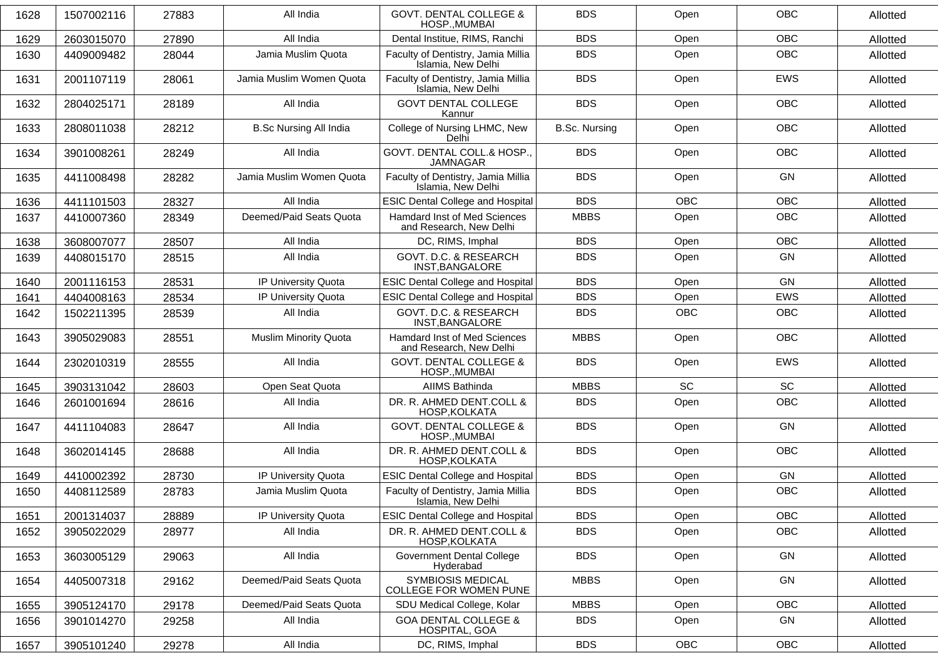| 1628 | 1507002116 | 27883 | All India                     | <b>GOVT. DENTAL COLLEGE &amp;</b><br>HOSP., MUMBAI       | <b>BDS</b>           | Open       | <b>OBC</b> | Allotted |
|------|------------|-------|-------------------------------|----------------------------------------------------------|----------------------|------------|------------|----------|
| 1629 | 2603015070 | 27890 | All India                     | Dental Institue, RIMS, Ranchi                            | <b>BDS</b>           | Open       | <b>OBC</b> | Allotted |
| 1630 | 4409009482 | 28044 | Jamia Muslim Quota            | Faculty of Dentistry, Jamia Millia<br>Islamia, New Delhi | <b>BDS</b>           | Open       | <b>OBC</b> | Allotted |
| 1631 | 2001107119 | 28061 | Jamia Muslim Women Quota      | Faculty of Dentistry, Jamia Millia<br>Islamia, New Delhi | <b>BDS</b>           | Open       | EWS        | Allotted |
| 1632 | 2804025171 | 28189 | All India                     | <b>GOVT DENTAL COLLEGE</b><br>Kannur                     | <b>BDS</b>           | Open       | <b>OBC</b> | Allotted |
| 1633 | 2808011038 | 28212 | <b>B.Sc Nursing All India</b> | College of Nursing LHMC, New<br>Delhi                    | <b>B.Sc. Nursing</b> | Open       | <b>OBC</b> | Allotted |
| 1634 | 3901008261 | 28249 | All India                     | GOVT. DENTAL COLL.& HOSP.,<br><b>JAMNAGAR</b>            | <b>BDS</b>           | Open       | <b>OBC</b> | Allotted |
| 1635 | 4411008498 | 28282 | Jamia Muslim Women Quota      | Faculty of Dentistry, Jamia Millia<br>Islamia, New Delhi | <b>BDS</b>           | Open       | <b>GN</b>  | Allotted |
| 1636 | 4411101503 | 28327 | All India                     | <b>ESIC Dental College and Hospital</b>                  | <b>BDS</b>           | <b>OBC</b> | <b>OBC</b> | Allotted |
| 1637 | 4410007360 | 28349 | Deemed/Paid Seats Quota       | Hamdard Inst of Med Sciences<br>and Research, New Delhi  | <b>MBBS</b>          | Open       | <b>OBC</b> | Allotted |
| 1638 | 3608007077 | 28507 | All India                     | DC, RIMS, Imphal                                         | <b>BDS</b>           | Open       | <b>OBC</b> | Allotted |
| 1639 | 4408015170 | 28515 | All India                     | GOVT. D.C. & RESEARCH<br>INST, BANGALORE                 | <b>BDS</b>           | Open       | <b>GN</b>  | Allotted |
| 1640 | 2001116153 | 28531 | IP University Quota           | <b>ESIC Dental College and Hospital</b>                  | <b>BDS</b>           | Open       | <b>GN</b>  | Allotted |
| 1641 | 4404008163 | 28534 | IP University Quota           | <b>ESIC Dental College and Hospital</b>                  | <b>BDS</b>           | Open       | <b>EWS</b> | Allotted |
| 1642 | 1502211395 | 28539 | All India                     | GOVT. D.C. & RESEARCH<br>INST, BANGALORE                 | <b>BDS</b>           | <b>OBC</b> | OBC        | Allotted |
| 1643 | 3905029083 | 28551 | <b>Muslim Minority Quota</b>  | Hamdard Inst of Med Sciences<br>and Research, New Delhi  | <b>MBBS</b>          | Open       | <b>OBC</b> | Allotted |
| 1644 | 2302010319 | 28555 | All India                     | <b>GOVT. DENTAL COLLEGE &amp;</b><br>HOSP., MUMBAI       | <b>BDS</b>           | Open       | <b>EWS</b> | Allotted |
| 1645 | 3903131042 | 28603 | Open Seat Quota               | AIIMS Bathinda                                           | <b>MBBS</b>          | <b>SC</b>  | <b>SC</b>  | Allotted |
| 1646 | 2601001694 | 28616 | All India                     | DR. R. AHMED DENT.COLL &<br>HOSP, KOLKATA                | <b>BDS</b>           | Open       | <b>OBC</b> | Allotted |
| 1647 | 4411104083 | 28647 | All India                     | <b>GOVT. DENTAL COLLEGE &amp;</b><br>HOSP., MUMBAI       | <b>BDS</b>           | Open       | <b>GN</b>  | Allotted |
| 1648 | 3602014145 | 28688 | All India                     | DR. R. AHMED DENT.COLL &<br>HOSP, KOLKATA                | <b>BDS</b>           | Open       | <b>OBC</b> | Allotted |
| 1649 | 4410002392 | 28730 | IP University Quota           | <b>ESIC Dental College and Hospital</b>                  | <b>BDS</b>           | Open       | GN         | Allotted |
| 1650 | 4408112589 | 28783 | Jamia Muslim Quota            | Faculty of Dentistry, Jamia Millia<br>Islamia, New Delhi | <b>BDS</b>           | Open       | <b>OBC</b> | Allotted |
| 1651 | 2001314037 | 28889 | IP University Quota           | <b>ESIC Dental College and Hospital</b>                  | <b>BDS</b>           | Open       | OBC        | Allotted |
| 1652 | 3905022029 | 28977 | All India                     | DR. R. AHMED DENT.COLL &<br>HOSP, KOLKATA                | <b>BDS</b>           | Open       | OBC        | Allotted |
| 1653 | 3603005129 | 29063 | All India                     | <b>Government Dental College</b><br>Hyderabad            | <b>BDS</b>           | Open       | GN         | Allotted |
| 1654 | 4405007318 | 29162 | Deemed/Paid Seats Quota       | <b>SYMBIOSIS MEDICAL</b><br>COLLEGE FOR WOMEN PUNE       | <b>MBBS</b>          | Open       | GN         | Allotted |
| 1655 | 3905124170 | 29178 | Deemed/Paid Seats Quota       | SDU Medical College, Kolar                               | <b>MBBS</b>          | Open       | OBC        | Allotted |
| 1656 | 3901014270 | 29258 | All India                     | <b>GOA DENTAL COLLEGE &amp;</b><br>HOSPITAL, GOA         | <b>BDS</b>           | Open       | GN         | Allotted |
| 1657 | 3905101240 | 29278 | All India                     | DC, RIMS, Imphal                                         | <b>BDS</b>           | OBC        | OBC        | Allotted |
|      |            |       |                               |                                                          |                      |            |            |          |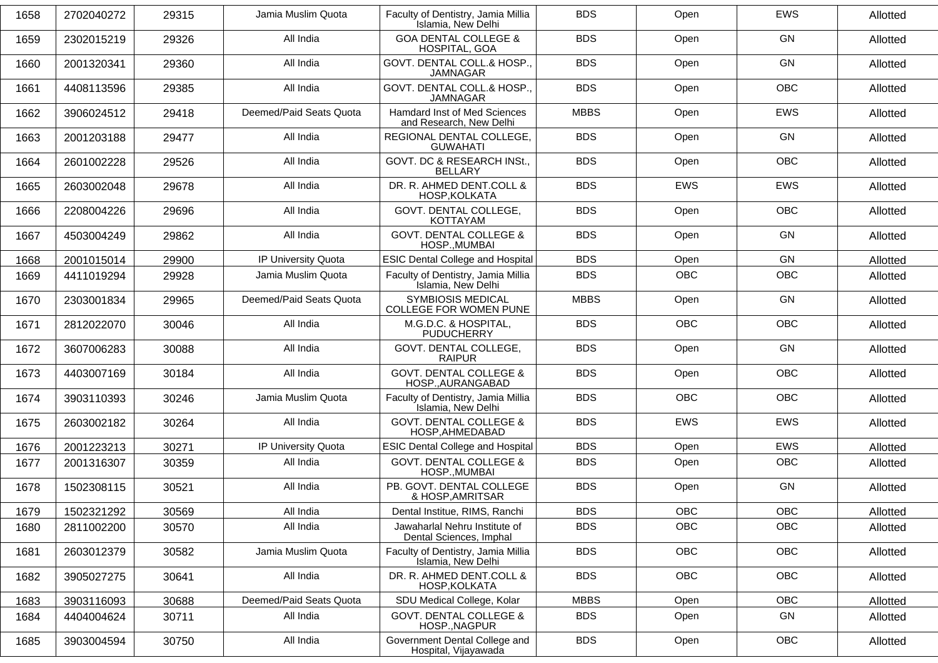| 1658 | 2702040272 | 29315 | Jamia Muslim Quota      | Faculty of Dentistry, Jamia Millia<br>Islamia, New Delhi | <b>BDS</b>  | Open       | <b>EWS</b> | Allotted |
|------|------------|-------|-------------------------|----------------------------------------------------------|-------------|------------|------------|----------|
| 1659 | 2302015219 | 29326 | All India               | <b>GOA DENTAL COLLEGE &amp;</b><br>HOSPITAL, GOA         | <b>BDS</b>  | Open       | <b>GN</b>  | Allotted |
| 1660 | 2001320341 | 29360 | All India               | GOVT. DENTAL COLL.& HOSP.,<br><b>JAMNAGAR</b>            | <b>BDS</b>  | Open       | <b>GN</b>  | Allotted |
| 1661 | 4408113596 | 29385 | All India               | GOVT. DENTAL COLL.& HOSP.<br><b>JAMNAGAR</b>             | <b>BDS</b>  | Open       | <b>OBC</b> | Allotted |
| 1662 | 3906024512 | 29418 | Deemed/Paid Seats Quota | Hamdard Inst of Med Sciences<br>and Research, New Delhi  | <b>MBBS</b> | Open       | <b>EWS</b> | Allotted |
| 1663 | 2001203188 | 29477 | All India               | REGIONAL DENTAL COLLEGE,<br><b>GUWAHATI</b>              | <b>BDS</b>  | Open       | <b>GN</b>  | Allotted |
| 1664 | 2601002228 | 29526 | All India               | GOVT. DC & RESEARCH INSt.,<br>BELLARY                    | <b>BDS</b>  | Open       | <b>OBC</b> | Allotted |
| 1665 | 2603002048 | 29678 | All India               | DR. R. AHMED DENT.COLL &<br>HOSP, KOLKATA                | <b>BDS</b>  | <b>EWS</b> | <b>EWS</b> | Allotted |
| 1666 | 2208004226 | 29696 | All India               | GOVT. DENTAL COLLEGE,<br>KOTTAYAM                        | <b>BDS</b>  | Open       | <b>OBC</b> | Allotted |
| 1667 | 4503004249 | 29862 | All India               | <b>GOVT. DENTAL COLLEGE &amp;</b><br>HOSP., MUMBAI       | <b>BDS</b>  | Open       | <b>GN</b>  | Allotted |
| 1668 | 2001015014 | 29900 | IP University Quota     | <b>ESIC Dental College and Hospital</b>                  | <b>BDS</b>  | Open       | GN         | Allotted |
| 1669 | 4411019294 | 29928 | Jamia Muslim Quota      | Faculty of Dentistry, Jamia Millia<br>Islamia, New Delhi | <b>BDS</b>  | <b>OBC</b> | <b>OBC</b> | Allotted |
| 1670 | 2303001834 | 29965 | Deemed/Paid Seats Quota | <b>SYMBIOSIS MEDICAL</b><br>COLLEGE FOR WOMEN PUNE       | <b>MBBS</b> | Open       | <b>GN</b>  | Allotted |
| 1671 | 2812022070 | 30046 | All India               | M.G.D.C. & HOSPITAL,<br><b>PUDUCHERRY</b>                | <b>BDS</b>  | <b>OBC</b> | <b>OBC</b> | Allotted |
| 1672 | 3607006283 | 30088 | All India               | GOVT. DENTAL COLLEGE,<br><b>RAIPUR</b>                   | <b>BDS</b>  | Open       | <b>GN</b>  | Allotted |
| 1673 | 4403007169 | 30184 | All India               | <b>GOVT. DENTAL COLLEGE &amp;</b><br>HOSP., AURANGABAD   | <b>BDS</b>  | Open       | <b>OBC</b> | Allotted |
| 1674 | 3903110393 | 30246 | Jamia Muslim Quota      | Faculty of Dentistry, Jamia Millia<br>Islamia, New Delhi | <b>BDS</b>  | <b>OBC</b> | <b>OBC</b> | Allotted |
| 1675 | 2603002182 | 30264 | All India               | <b>GOVT. DENTAL COLLEGE &amp;</b><br>HOSP, AHMEDABAD     | <b>BDS</b>  | <b>EWS</b> | <b>EWS</b> | Allotted |
| 1676 | 2001223213 | 30271 | IP University Quota     | <b>ESIC Dental College and Hospital</b>                  | <b>BDS</b>  | Open       | <b>EWS</b> | Allotted |
| 1677 | 2001316307 | 30359 | All India               | <b>GOVT. DENTAL COLLEGE &amp;</b><br>HOSP., MUMBAI       | <b>BDS</b>  | Open       | OBC        | Allotted |
| 1678 | 1502308115 | 30521 | All India               | PB. GOVT. DENTAL COLLEGE<br>& HOSP, AMRITSAR             | <b>BDS</b>  | Open       | <b>GN</b>  | Allotted |
| 1679 | 1502321292 | 30569 | All India               | Dental Institue, RIMS, Ranchi                            | <b>BDS</b>  | OBC        | OBC        | Allotted |
| 1680 | 2811002200 | 30570 | All India               | Jawaharlal Nehru Institute of<br>Dental Sciences, Imphal | <b>BDS</b>  | OBC        | OBC        | Allotted |
| 1681 | 2603012379 | 30582 | Jamia Muslim Quota      | Faculty of Dentistry, Jamia Millia<br>Islamia, New Delhi | <b>BDS</b>  | OBC        | OBC        | Allotted |
| 1682 | 3905027275 | 30641 | All India               | DR. R. AHMED DENT.COLL &<br>HOSP, KOLKATA                | <b>BDS</b>  | OBC        | OBC        | Allotted |
| 1683 | 3903116093 | 30688 | Deemed/Paid Seats Quota | SDU Medical College, Kolar                               | <b>MBBS</b> | Open       | OBC        | Allotted |
| 1684 | 4404004624 | 30711 | All India               | <b>GOVT. DENTAL COLLEGE &amp;</b><br>HOSP., NAGPUR       | <b>BDS</b>  | Open       | GN         | Allotted |
| 1685 | 3903004594 | 30750 | All India               | Government Dental College and<br>Hospital, Vijayawada    | <b>BDS</b>  | Open       | <b>OBC</b> | Allotted |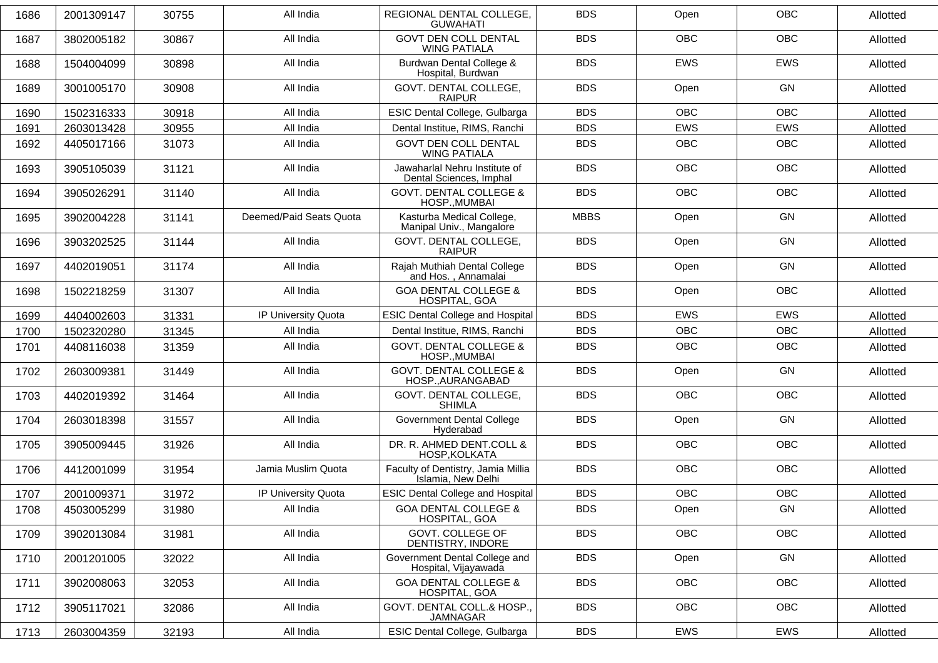| 1686 | 2001309147 | 30755 | All India               | REGIONAL DENTAL COLLEGE,<br><b>GUWAHATI</b>              | <b>BDS</b>  | Open       | <b>OBC</b> | Allotted |
|------|------------|-------|-------------------------|----------------------------------------------------------|-------------|------------|------------|----------|
| 1687 | 3802005182 | 30867 | All India               | <b>GOVT DEN COLL DENTAL</b><br><b>WING PATIALA</b>       | <b>BDS</b>  | <b>OBC</b> | <b>OBC</b> | Allotted |
| 1688 | 1504004099 | 30898 | All India               | Burdwan Dental College &<br>Hospital, Burdwan            | <b>BDS</b>  | <b>EWS</b> | EWS        | Allotted |
| 1689 | 3001005170 | 30908 | All India               | GOVT. DENTAL COLLEGE,<br><b>RAIPUR</b>                   | <b>BDS</b>  | Open       | <b>GN</b>  | Allotted |
| 1690 | 1502316333 | 30918 | All India               | ESIC Dental College, Gulbarga                            | <b>BDS</b>  | <b>OBC</b> | <b>OBC</b> | Allotted |
| 1691 | 2603013428 | 30955 | All India               | Dental Institue, RIMS, Ranchi                            | <b>BDS</b>  | <b>EWS</b> | EWS        | Allotted |
| 1692 | 4405017166 | 31073 | All India               | <b>GOVT DEN COLL DENTAL</b><br><b>WING PATIALA</b>       | <b>BDS</b>  | <b>OBC</b> | OBC        | Allotted |
| 1693 | 3905105039 | 31121 | All India               | Jawaharlal Nehru Institute of<br>Dental Sciences, Imphal | <b>BDS</b>  | OBC        | OBC        | Allotted |
| 1694 | 3905026291 | 31140 | All India               | <b>GOVT. DENTAL COLLEGE &amp;</b><br>HOSP., MUMBAI       | <b>BDS</b>  | <b>OBC</b> | <b>OBC</b> | Allotted |
| 1695 | 3902004228 | 31141 | Deemed/Paid Seats Quota | Kasturba Medical College,<br>Manipal Univ., Mangalore    | <b>MBBS</b> | Open       | GN         | Allotted |
| 1696 | 3903202525 | 31144 | All India               | GOVT. DENTAL COLLEGE,<br><b>RAIPUR</b>                   | <b>BDS</b>  | Open       | <b>GN</b>  | Allotted |
| 1697 | 4402019051 | 31174 | All India               | Rajah Muthiah Dental College<br>and Hos., Annamalai      | <b>BDS</b>  | Open       | GN         | Allotted |
| 1698 | 1502218259 | 31307 | All India               | <b>GOA DENTAL COLLEGE &amp;</b><br>HOSPITAL, GOA         | <b>BDS</b>  | Open       | <b>OBC</b> | Allotted |
| 1699 | 4404002603 | 31331 | IP University Quota     | <b>ESIC Dental College and Hospital</b>                  | <b>BDS</b>  | <b>EWS</b> | <b>EWS</b> | Allotted |
| 1700 | 1502320280 | 31345 | All India               | Dental Institue, RIMS, Ranchi                            | <b>BDS</b>  | <b>OBC</b> | OBC        | Allotted |
| 1701 | 4408116038 | 31359 | All India               | <b>GOVT. DENTAL COLLEGE &amp;</b><br>HOSP., MUMBAI       | <b>BDS</b>  | <b>OBC</b> | <b>OBC</b> | Allotted |
| 1702 | 2603009381 | 31449 | All India               | <b>GOVT. DENTAL COLLEGE &amp;</b><br>HOSP., AURANGABAD   | <b>BDS</b>  | Open       | GN         | Allotted |
| 1703 | 4402019392 | 31464 | All India               | GOVT. DENTAL COLLEGE,<br><b>SHIMLA</b>                   | <b>BDS</b>  | <b>OBC</b> | <b>OBC</b> | Allotted |
| 1704 | 2603018398 | 31557 | All India               | <b>Government Dental College</b><br>Hyderabad            | <b>BDS</b>  | Open       | GN         | Allotted |
| 1705 | 3905009445 | 31926 | All India               | DR. R. AHMED DENT.COLL &<br>HOSP, KOLKATA                | <b>BDS</b>  | <b>OBC</b> | <b>OBC</b> | Allotted |
| 1706 | 4412001099 | 31954 | Jamia Muslim Quota      | Faculty of Dentistry, Jamia Millia<br>Islamia, New Delhi | <b>BDS</b>  | OBC        | OBC        | Allotted |
| 1707 | 2001009371 | 31972 | IP University Quota     | <b>ESIC Dental College and Hospital</b>                  | <b>BDS</b>  | <b>OBC</b> | <b>OBC</b> | Allotted |
| 1708 | 4503005299 | 31980 | All India               | <b>GOA DENTAL COLLEGE &amp;</b><br>HOSPITAL, GOA         | <b>BDS</b>  | Open       | GN         | Allotted |
| 1709 | 3902013084 | 31981 | All India               | GOVT. COLLEGE OF<br>DENTISTRY, INDORE                    | <b>BDS</b>  | OBC        | <b>OBC</b> | Allotted |
| 1710 | 2001201005 | 32022 | All India               | Government Dental College and<br>Hospital, Vijayawada    | <b>BDS</b>  | Open       | GN         | Allotted |
| 1711 | 3902008063 | 32053 | All India               | <b>GOA DENTAL COLLEGE &amp;</b><br>HOSPITAL, GOA         | <b>BDS</b>  | OBC        | <b>OBC</b> | Allotted |
| 1712 | 3905117021 | 32086 | All India               | GOVT. DENTAL COLL.& HOSP<br><b>JAMNAGAR</b>              | <b>BDS</b>  | OBC        | <b>OBC</b> | Allotted |
| 1713 | 2603004359 | 32193 | All India               | ESIC Dental College, Gulbarga                            | <b>BDS</b>  | EWS        | EWS        | Allotted |
|      |            |       |                         |                                                          |             |            |            |          |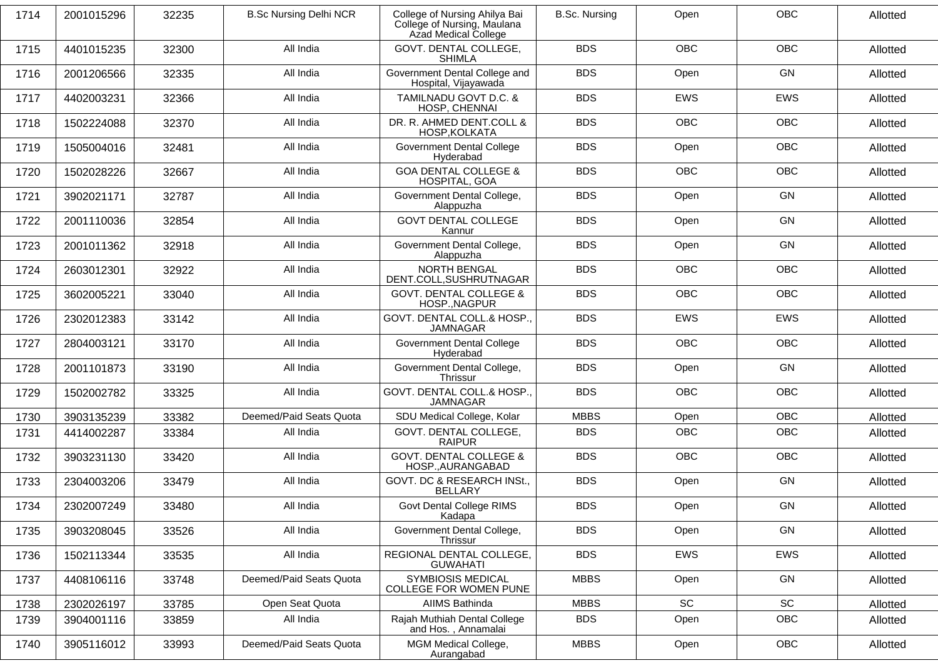| 1714 | 2001015296 | 32235 | <b>B.Sc Nursing Delhi NCR</b> | College of Nursing Ahilya Bai<br>College of Nursing, Maulana<br>Azad Medical College | <b>B.Sc. Nursing</b> | Open       | <b>OBC</b> | Allotted |
|------|------------|-------|-------------------------------|--------------------------------------------------------------------------------------|----------------------|------------|------------|----------|
| 1715 | 4401015235 | 32300 | All India                     | GOVT. DENTAL COLLEGE,<br><b>SHIMLA</b>                                               | <b>BDS</b>           | <b>OBC</b> | <b>OBC</b> | Allotted |
| 1716 | 2001206566 | 32335 | All India                     | Government Dental College and<br>Hospital, Vijayawada                                | <b>BDS</b>           | Open       | GN         | Allotted |
| 1717 | 4402003231 | 32366 | All India                     | TAMILNADU GOVT D.C. &<br>HOSP, CHENNAI                                               | <b>BDS</b>           | <b>EWS</b> | EWS        | Allotted |
| 1718 | 1502224088 | 32370 | All India                     | DR. R. AHMED DENT.COLL &<br><b>HOSP.KOLKATA</b>                                      | <b>BDS</b>           | <b>OBC</b> | <b>OBC</b> | Allotted |
| 1719 | 1505004016 | 32481 | All India                     | <b>Government Dental College</b><br>Hyderabad                                        | <b>BDS</b>           | Open       | <b>OBC</b> | Allotted |
| 1720 | 1502028226 | 32667 | All India                     | <b>GOA DENTAL COLLEGE &amp;</b><br>HOSPITAL, GOA                                     | <b>BDS</b>           | <b>OBC</b> | OBC        | Allotted |
| 1721 | 3902021171 | 32787 | All India                     | Government Dental College,<br>Alappuzha                                              | <b>BDS</b>           | Open       | GN         | Allotted |
| 1722 | 2001110036 | 32854 | All India                     | <b>GOVT DENTAL COLLEGE</b><br>Kannur                                                 | <b>BDS</b>           | Open       | GN         | Allotted |
| 1723 | 2001011362 | 32918 | All India                     | Government Dental College,<br>Alappuzha                                              | <b>BDS</b>           | Open       | GN         | Allotted |
| 1724 | 2603012301 | 32922 | All India                     | <b>NORTH BENGAL</b><br>DENT.COLL, SUSHRUTNAGAR                                       | <b>BDS</b>           | <b>OBC</b> | <b>OBC</b> | Allotted |
| 1725 | 3602005221 | 33040 | All India                     | <b>GOVT. DENTAL COLLEGE &amp;</b><br>HOSP., NAGPUR                                   | <b>BDS</b>           | <b>OBC</b> | <b>OBC</b> | Allotted |
| 1726 | 2302012383 | 33142 | All India                     | GOVT. DENTAL COLL.& HOSP.,<br><b>JAMNAGAR</b>                                        | <b>BDS</b>           | EWS        | EWS        | Allotted |
| 1727 | 2804003121 | 33170 | All India                     | <b>Government Dental College</b><br>Hyderabad                                        | <b>BDS</b>           | <b>OBC</b> | <b>OBC</b> | Allotted |
| 1728 | 2001101873 | 33190 | All India                     | Government Dental College,<br>Thrissur                                               | <b>BDS</b>           | Open       | GN         | Allotted |
| 1729 | 1502002782 | 33325 | All India                     | GOVT. DENTAL COLL.& HOSP.,<br><b>JAMNAGAR</b>                                        | <b>BDS</b>           | <b>OBC</b> | <b>OBC</b> | Allotted |
| 1730 | 3903135239 | 33382 | Deemed/Paid Seats Quota       | SDU Medical College, Kolar                                                           | <b>MBBS</b>          | Open       | <b>OBC</b> | Allotted |
| 1731 | 4414002287 | 33384 | All India                     | GOVT. DENTAL COLLEGE,<br><b>RAIPUR</b>                                               | <b>BDS</b>           | <b>OBC</b> | OBC        | Allotted |
| 1732 | 3903231130 | 33420 | All India                     | <b>GOVT. DENTAL COLLEGE &amp;</b><br>HOSP., AURANGABAD                               | <b>BDS</b>           | <b>OBC</b> | <b>OBC</b> | Allotted |
| 1733 | 2304003206 | 33479 | All India                     | GOVT. DC & RESEARCH INSt.,<br>BELLARY                                                | <b>BDS</b>           | Open       | GN         | Allotted |
| 1734 | 2302007249 | 33480 | All India                     | Govt Dental College RIMS<br>Kadapa                                                   | <b>BDS</b>           | Open       | GN         | Allotted |
| 1735 | 3903208045 | 33526 | All India                     | Government Dental College,<br>Thrissur                                               | <b>BDS</b>           | Open       | GN         | Allotted |
| 1736 | 1502113344 | 33535 | All India                     | REGIONAL DENTAL COLLEGE,<br><b>GUWAHATI</b>                                          | <b>BDS</b>           | <b>EWS</b> | EWS        | Allotted |
| 1737 | 4408106116 | 33748 | Deemed/Paid Seats Quota       | <b>SYMBIOSIS MEDICAL</b><br>COLLEGE FOR WOMEN PUNE                                   | <b>MBBS</b>          | Open       | GN         | Allotted |
| 1738 | 2302026197 | 33785 | Open Seat Quota               | AIIMS Bathinda                                                                       | <b>MBBS</b>          | SC         | SC         | Allotted |
| 1739 | 3904001116 | 33859 | All India                     | Rajah Muthiah Dental College<br>and Hos., Annamalai                                  | <b>BDS</b>           | Open       | OBC        | Allotted |
| 1740 | 3905116012 | 33993 | Deemed/Paid Seats Quota       | MGM Medical College,<br>Aurangabad                                                   | <b>MBBS</b>          | Open       | OBC        | Allotted |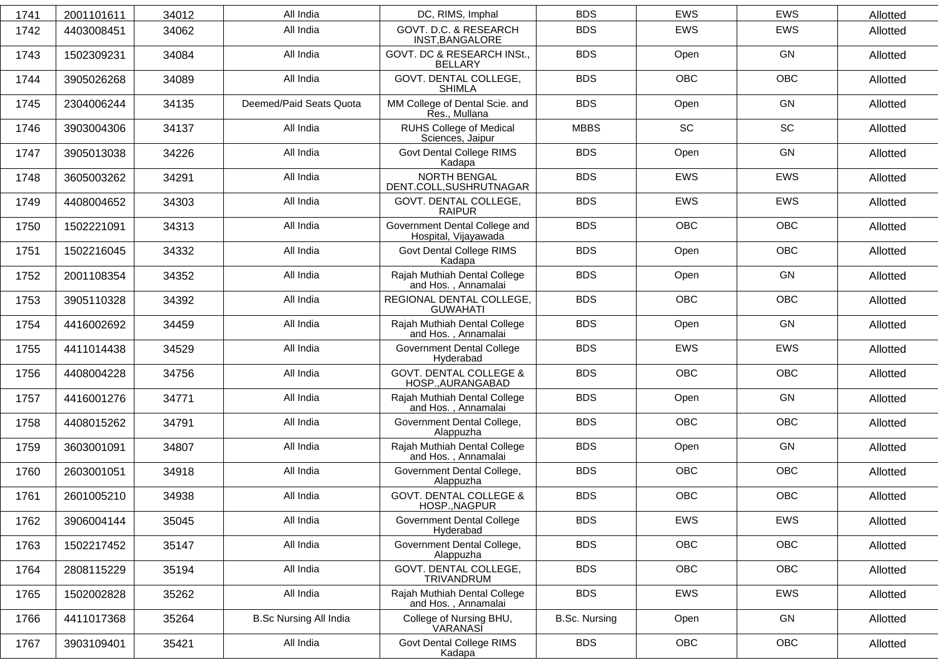| 1741 | 2001101611 | 34012 | All India                     | DC, RIMS, Imphal                                       | <b>BDS</b>           | <b>EWS</b> | <b>EWS</b> | Allotted |
|------|------------|-------|-------------------------------|--------------------------------------------------------|----------------------|------------|------------|----------|
| 1742 | 4403008451 | 34062 | All India                     | GOVT. D.C. & RESEARCH<br>INST, BANGALORE               | <b>BDS</b>           | <b>EWS</b> | <b>EWS</b> | Allotted |
| 1743 | 1502309231 | 34084 | All India                     | GOVT. DC & RESEARCH INSt.,<br><b>BELLARY</b>           | <b>BDS</b>           | Open       | GN         | Allotted |
| 1744 | 3905026268 | 34089 | All India                     | GOVT. DENTAL COLLEGE,<br><b>SHIMLA</b>                 | <b>BDS</b>           | <b>OBC</b> | <b>OBC</b> | Allotted |
| 1745 | 2304006244 | 34135 | Deemed/Paid Seats Quota       | MM College of Dental Scie. and<br>Res., Mullana        | <b>BDS</b>           | Open       | GN         | Allotted |
| 1746 | 3903004306 | 34137 | All India                     | <b>RUHS College of Medical</b><br>Sciences, Jaipur     | <b>MBBS</b>          | SC         | SC         | Allotted |
| 1747 | 3905013038 | 34226 | All India                     | Govt Dental College RIMS<br>Kadapa                     | <b>BDS</b>           | Open       | GN         | Allotted |
| 1748 | 3605003262 | 34291 | All India                     | <b>NORTH BENGAL</b><br>DENT.COLL, SUSHRUTNAGAR         | <b>BDS</b>           | <b>EWS</b> | <b>EWS</b> | Allotted |
| 1749 | 4408004652 | 34303 | All India                     | GOVT. DENTAL COLLEGE,<br><b>RAIPUR</b>                 | <b>BDS</b>           | EWS        | <b>EWS</b> | Allotted |
| 1750 | 1502221091 | 34313 | All India                     | Government Dental College and<br>Hospital, Vijayawada  | <b>BDS</b>           | <b>OBC</b> | <b>OBC</b> | Allotted |
| 1751 | 1502216045 | 34332 | All India                     | Govt Dental College RIMS<br>Kadapa                     | <b>BDS</b>           | Open       | <b>OBC</b> | Allotted |
| 1752 | 2001108354 | 34352 | All India                     | Rajah Muthiah Dental College<br>and Hos., Annamalai    | <b>BDS</b>           | Open       | GN         | Allotted |
| 1753 | 3905110328 | 34392 | All India                     | REGIONAL DENTAL COLLEGE,<br><b>GUWAHATI</b>            | <b>BDS</b>           | <b>OBC</b> | <b>OBC</b> | Allotted |
| 1754 | 4416002692 | 34459 | All India                     | Rajah Muthiah Dental College<br>and Hos., Annamalai    | <b>BDS</b>           | Open       | GN         | Allotted |
| 1755 | 4411014438 | 34529 | All India                     | <b>Government Dental College</b><br>Hyderabad          | <b>BDS</b>           | EWS        | <b>EWS</b> | Allotted |
| 1756 | 4408004228 | 34756 | All India                     | <b>GOVT. DENTAL COLLEGE &amp;</b><br>HOSP., AURANGABAD | <b>BDS</b>           | <b>OBC</b> | <b>OBC</b> | Allotted |
| 1757 | 4416001276 | 34771 | All India                     | Rajah Muthiah Dental College<br>and Hos., Annamalai    | <b>BDS</b>           | Open       | GN         | Allotted |
| 1758 | 4408015262 | 34791 | All India                     | Government Dental College,<br>Alappuzha                | <b>BDS</b>           | OBC        | OBC        | Allotted |
| 1759 | 3603001091 | 34807 | All India                     | Rajah Muthiah Dental College<br>and Hos., Annamalai    | <b>BDS</b>           | Open       | GN         | Allotted |
| 1760 | 2603001051 | 34918 | All India                     | Government Dental College,<br>Alappuzha                | <b>BDS</b>           | OBC        | OBC        | Allotted |
| 1761 | 2601005210 | 34938 | All India                     | <b>GOVT. DENTAL COLLEGE &amp;</b><br>HOSP., NAGPUR     | <b>BDS</b>           | OBC        | OBC        | Allotted |
| 1762 | 3906004144 | 35045 | All India                     | <b>Government Dental College</b><br>Hyderabad          | <b>BDS</b>           | EWS        | <b>EWS</b> | Allotted |
| 1763 | 1502217452 | 35147 | All India                     | Government Dental College,<br>Alappuzha                | <b>BDS</b>           | OBC        | OBC        | Allotted |
| 1764 | 2808115229 | 35194 | All India                     | GOVT. DENTAL COLLEGE,<br>TRIVANDRUM                    | <b>BDS</b>           | OBC        | OBC        | Allotted |
| 1765 | 1502002828 | 35262 | All India                     | Rajah Muthiah Dental College<br>and Hos., Annamalai    | <b>BDS</b>           | EWS        | EWS        | Allotted |
| 1766 | 4411017368 | 35264 | <b>B.Sc Nursing All India</b> | College of Nursing BHU,<br>VARANASI                    | <b>B.Sc. Nursing</b> | Open       | GN         | Allotted |
| 1767 | 3903109401 | 35421 | All India                     | Govt Dental College RIMS<br>Kadapa                     | <b>BDS</b>           | OBC        | OBC        | Allotted |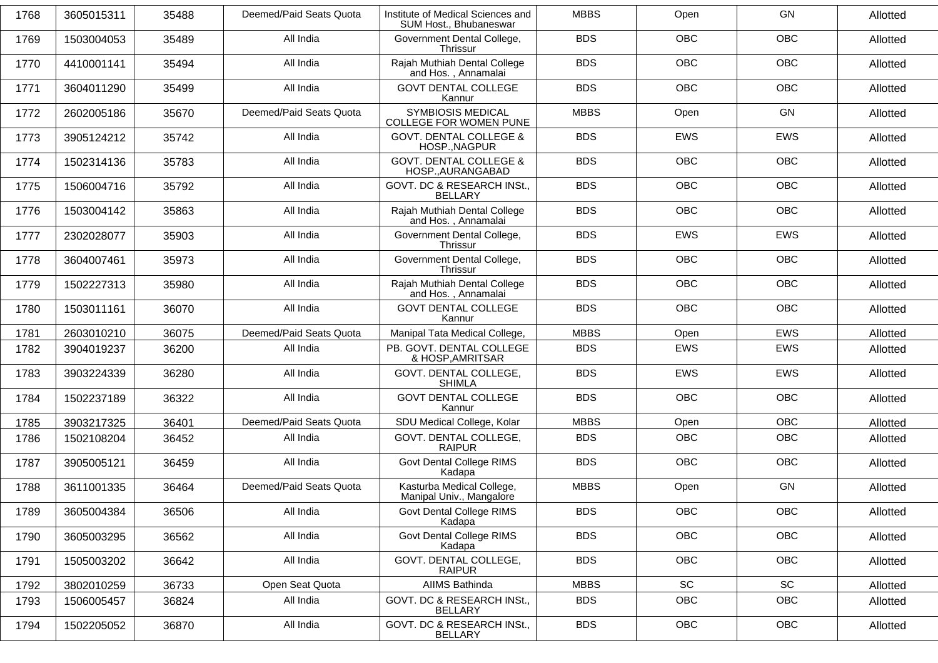| 1768 | 3605015311 | 35488 | Deemed/Paid Seats Quota | Institute of Medical Sciences and<br>SUM Host., Bhubaneswar | <b>MBBS</b> | Open       | GN         | Allotted |
|------|------------|-------|-------------------------|-------------------------------------------------------------|-------------|------------|------------|----------|
| 1769 | 1503004053 | 35489 | All India               | Government Dental College,<br><b>Thrissur</b>               | <b>BDS</b>  | <b>OBC</b> | <b>OBC</b> | Allotted |
| 1770 | 4410001141 | 35494 | All India               | Rajah Muthiah Dental College<br>and Hos., Annamalai         | <b>BDS</b>  | <b>OBC</b> | <b>OBC</b> | Allotted |
| 1771 | 3604011290 | 35499 | All India               | <b>GOVT DENTAL COLLEGE</b><br>Kannur                        | <b>BDS</b>  | <b>OBC</b> | <b>OBC</b> | Allotted |
| 1772 | 2602005186 | 35670 | Deemed/Paid Seats Quota | <b>SYMBIOSIS MEDICAL</b><br>COLLEGE FOR WOMEN PUNE          | <b>MBBS</b> | Open       | GN         | Allotted |
| 1773 | 3905124212 | 35742 | All India               | <b>GOVT. DENTAL COLLEGE &amp;</b><br>HOSP., NAGPUR          | <b>BDS</b>  | <b>EWS</b> | <b>EWS</b> | Allotted |
| 1774 | 1502314136 | 35783 | All India               | <b>GOVT. DENTAL COLLEGE &amp;</b><br>HOSP., AURANGABAD      | <b>BDS</b>  | <b>OBC</b> | <b>OBC</b> | Allotted |
| 1775 | 1506004716 | 35792 | All India               | GOVT. DC & RESEARCH INSt.,<br><b>BELLARY</b>                | <b>BDS</b>  | <b>OBC</b> | <b>OBC</b> | Allotted |
| 1776 | 1503004142 | 35863 | All India               | Rajah Muthiah Dental College<br>and Hos., Annamalai         | <b>BDS</b>  | <b>OBC</b> | <b>OBC</b> | Allotted |
| 1777 | 2302028077 | 35903 | All India               | Government Dental College,<br>Thrissur                      | <b>BDS</b>  | <b>EWS</b> | <b>EWS</b> | Allotted |
| 1778 | 3604007461 | 35973 | All India               | Government Dental College,<br>Thrissur                      | <b>BDS</b>  | OBC        | OBC        | Allotted |
| 1779 | 1502227313 | 35980 | All India               | Rajah Muthiah Dental College<br>and Hos., Annamalai         | <b>BDS</b>  | <b>OBC</b> | <b>OBC</b> | Allotted |
| 1780 | 1503011161 | 36070 | All India               | <b>GOVT DENTAL COLLEGE</b><br>Kannur                        | <b>BDS</b>  | <b>OBC</b> | <b>OBC</b> | Allotted |
| 1781 | 2603010210 | 36075 | Deemed/Paid Seats Quota | Manipal Tata Medical College,                               | <b>MBBS</b> | Open       | <b>EWS</b> | Allotted |
| 1782 | 3904019237 | 36200 | All India               | PB. GOVT. DENTAL COLLEGE<br>& HOSP, AMRITSAR                | <b>BDS</b>  | <b>EWS</b> | <b>EWS</b> | Allotted |
| 1783 | 3903224339 | 36280 | All India               | GOVT. DENTAL COLLEGE,<br><b>SHIMLA</b>                      | <b>BDS</b>  | EWS        | EWS        | Allotted |
| 1784 | 1502237189 | 36322 | All India               | <b>GOVT DENTAL COLLEGE</b><br>Kannur                        | <b>BDS</b>  | <b>OBC</b> | <b>OBC</b> | Allotted |
| 1785 | 3903217325 | 36401 | Deemed/Paid Seats Quota | SDU Medical College, Kolar                                  | <b>MBBS</b> | Open       | <b>OBC</b> | Allotted |
| 1786 | 1502108204 | 36452 | All India               | GOVT. DENTAL COLLEGE,<br><b>RAIPUR</b>                      | <b>BDS</b>  | <b>OBC</b> | OBC        | Allotted |
| 1787 | 3905005121 | 36459 | All India               | Govt Dental College RIMS<br>Kadapa                          | <b>BDS</b>  | <b>OBC</b> | <b>OBC</b> | Allotted |
| 1788 | 3611001335 | 36464 | Deemed/Paid Seats Quota | Kasturba Medical College,<br>Manipal Univ., Mangalore       | <b>MBBS</b> | Open       | GN         | Allotted |
| 1789 | 3605004384 | 36506 | All India               | <b>Govt Dental College RIMS</b><br>Kadapa                   | <b>BDS</b>  | <b>OBC</b> | OBC        | Allotted |
| 1790 | 3605003295 | 36562 | All India               | <b>Govt Dental College RIMS</b><br>Kadapa                   | <b>BDS</b>  | <b>OBC</b> | <b>OBC</b> | Allotted |
| 1791 | 1505003202 | 36642 | All India               | GOVT. DENTAL COLLEGE,<br><b>RAIPUR</b>                      | <b>BDS</b>  | <b>OBC</b> | OBC        | Allotted |
| 1792 | 3802010259 | 36733 | Open Seat Quota         | AIIMS Bathinda                                              | <b>MBBS</b> | SC         | SC         | Allotted |
| 1793 | 1506005457 | 36824 | All India               | GOVT. DC & RESEARCH INSt.,<br><b>BELLARY</b>                | <b>BDS</b>  | OBC        | OBC        | Allotted |
| 1794 | 1502205052 | 36870 | All India               | GOVT. DC & RESEARCH INSt.,<br><b>BELLARY</b>                | <b>BDS</b>  | OBC        | OBC        | Allotted |
|      |            |       |                         |                                                             |             |            |            |          |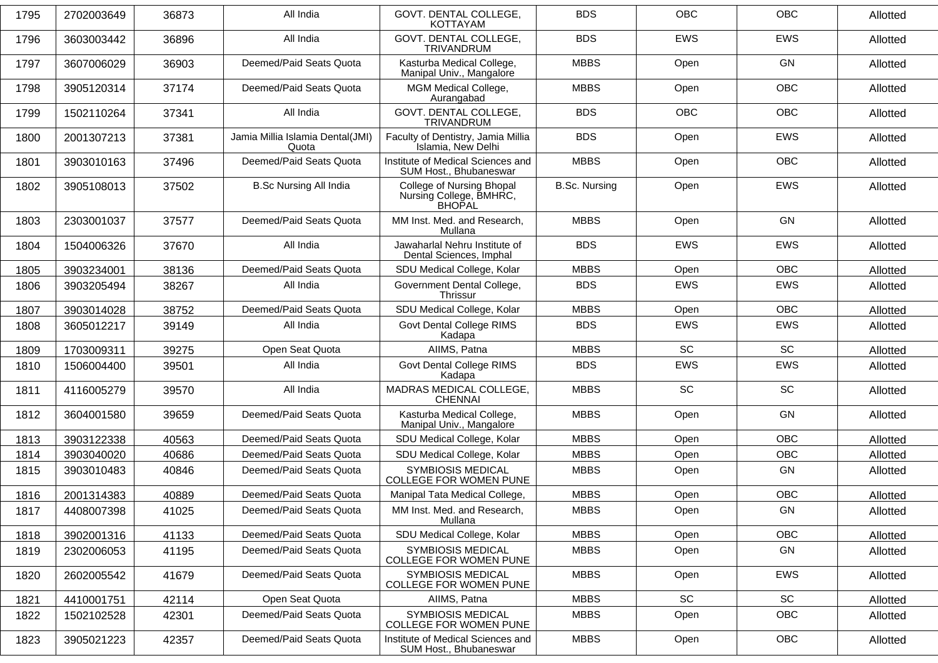| 1795 | 2702003649 | 36873 | All India                                 | GOVT. DENTAL COLLEGE.<br><b>KOTTAYAM</b>                              | <b>BDS</b>           | <b>OBC</b> | <b>OBC</b> | Allotted |
|------|------------|-------|-------------------------------------------|-----------------------------------------------------------------------|----------------------|------------|------------|----------|
| 1796 | 3603003442 | 36896 | All India                                 | GOVT. DENTAL COLLEGE,<br>TRIVANDRUM                                   | <b>BDS</b>           | <b>EWS</b> | <b>EWS</b> | Allotted |
| 1797 | 3607006029 | 36903 | Deemed/Paid Seats Quota                   | Kasturba Medical College,<br>Manipal Univ., Mangalore                 | <b>MBBS</b>          | Open       | GN         | Allotted |
| 1798 | 3905120314 | 37174 | Deemed/Paid Seats Quota                   | MGM Medical College,<br>Aurangabad                                    | <b>MBBS</b>          | Open       | OBC        | Allotted |
| 1799 | 1502110264 | 37341 | All India                                 | GOVT. DENTAL COLLEGE,<br><b>TRIVANDRUM</b>                            | <b>BDS</b>           | <b>OBC</b> | <b>OBC</b> | Allotted |
| 1800 | 2001307213 | 37381 | Jamia Millia Islamia Dental(JMI)<br>Quota | Faculty of Dentistry, Jamia Millia<br>Islamia, New Delhi              | <b>BDS</b>           | Open       | <b>EWS</b> | Allotted |
| 1801 | 3903010163 | 37496 | Deemed/Paid Seats Quota                   | Institute of Medical Sciences and<br>SUM Host., Bhubaneswar           | <b>MBBS</b>          | Open       | <b>OBC</b> | Allotted |
| 1802 | 3905108013 | 37502 | <b>B.Sc Nursing All India</b>             | College of Nursing Bhopal<br>Nursing College, BMHRC,<br><b>BHOPAL</b> | <b>B.Sc. Nursing</b> | Open       | <b>EWS</b> | Allotted |
| 1803 | 2303001037 | 37577 | Deemed/Paid Seats Quota                   | MM Inst. Med. and Research,<br>Mullana                                | <b>MBBS</b>          | Open       | GN         | Allotted |
| 1804 | 1504006326 | 37670 | All India                                 | Jawaharlal Nehru Institute of<br>Dental Sciences, Imphal              | <b>BDS</b>           | <b>EWS</b> | EWS        | Allotted |
| 1805 | 3903234001 | 38136 | Deemed/Paid Seats Quota                   | SDU Medical College, Kolar                                            | <b>MBBS</b>          | Open       | <b>OBC</b> | Allotted |
| 1806 | 3903205494 | 38267 | All India                                 | Government Dental College,<br><b>Thrissur</b>                         | <b>BDS</b>           | EWS        | <b>EWS</b> | Allotted |
| 1807 | 3903014028 | 38752 | Deemed/Paid Seats Quota                   | SDU Medical College, Kolar                                            | <b>MBBS</b>          | Open       | <b>OBC</b> | Allotted |
| 1808 | 3605012217 | 39149 | All India                                 | Govt Dental College RIMS<br>Kadapa                                    | <b>BDS</b>           | EWS        | EWS        | Allotted |
| 1809 | 1703009311 | 39275 | Open Seat Quota                           | AIIMS, Patna                                                          | <b>MBBS</b>          | <b>SC</b>  | SC         | Allotted |
| 1810 | 1506004400 | 39501 | All India                                 | Govt Dental College RIMS<br>Kadapa                                    | <b>BDS</b>           | EWS        | EWS        | Allotted |
| 1811 | 4116005279 | 39570 | All India                                 | MADRAS MEDICAL COLLEGE,<br><b>CHENNAI</b>                             | <b>MBBS</b>          | <b>SC</b>  | <b>SC</b>  | Allotted |
| 1812 | 3604001580 | 39659 | Deemed/Paid Seats Quota                   | Kasturba Medical College,<br>Manipal Univ., Mangalore                 | <b>MBBS</b>          | Open       | GN         | Allotted |
| 1813 | 3903122338 | 40563 | Deemed/Paid Seats Quota                   | SDU Medical College, Kolar                                            | <b>MBBS</b>          | Open       | <b>OBC</b> | Allotted |
| 1814 | 3903040020 | 40686 | Deemed/Paid Seats Quota                   | SDU Medical College, Kolar                                            | <b>MBBS</b>          | Open       | OBC        | Allotted |
| 1815 | 3903010483 | 40846 | Deemed/Paid Seats Quota                   | <b>SYMBIOSIS MEDICAL</b><br><b>COLLEGE FOR WOMEN PUNE</b>             | <b>MBBS</b>          | Open       | GN         | Allotted |
| 1816 | 2001314383 | 40889 | Deemed/Paid Seats Quota                   | Manipal Tata Medical College,                                         | <b>MBBS</b>          | Open       | OBC        | Allotted |
| 1817 | 4408007398 | 41025 | Deemed/Paid Seats Quota                   | MM Inst. Med. and Research,<br>Mullana                                | <b>MBBS</b>          | Open       | GN         | Allotted |
| 1818 | 3902001316 | 41133 | Deemed/Paid Seats Quota                   | SDU Medical College, Kolar                                            | <b>MBBS</b>          | Open       | OBC        | Allotted |
| 1819 | 2302006053 | 41195 | Deemed/Paid Seats Quota                   | <b>SYMBIOSIS MEDICAL</b><br>COLLEGE FOR WOMEN PUNE                    | <b>MBBS</b>          | Open       | GN         | Allotted |
| 1820 | 2602005542 | 41679 | Deemed/Paid Seats Quota                   | <b>SYMBIOSIS MEDICAL</b><br>COLLEGE FOR WOMEN PUNE                    | <b>MBBS</b>          | Open       | EWS        | Allotted |
| 1821 | 4410001751 | 42114 | Open Seat Quota                           | AIIMS, Patna                                                          | <b>MBBS</b>          | SC         | SC         | Allotted |
| 1822 | 1502102528 | 42301 | Deemed/Paid Seats Quota                   | <b>SYMBIOSIS MEDICAL</b><br><b>COLLEGE FOR WOMEN PUNE</b>             | <b>MBBS</b>          | Open       | OBC        | Allotted |
| 1823 | 3905021223 | 42357 | Deemed/Paid Seats Quota                   | Institute of Medical Sciences and<br>SUM Host., Bhubaneswar           | <b>MBBS</b>          | Open       | OBC        | Allotted |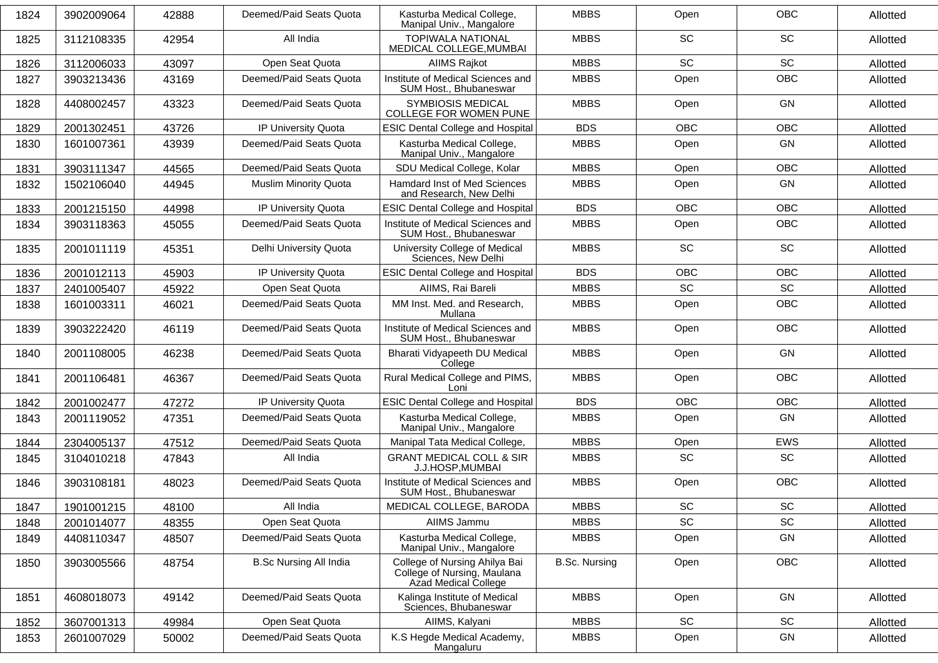| 1824 | 3902009064 | 42888 | Deemed/Paid Seats Quota       | Kasturba Medical College,<br>Manipal Univ., Mangalore                                | <b>MBBS</b>          | Open                         | <b>OBC</b>                   | Allotted |
|------|------------|-------|-------------------------------|--------------------------------------------------------------------------------------|----------------------|------------------------------|------------------------------|----------|
| 1825 | 3112108335 | 42954 | All India                     | <b>TOPIWALA NATIONAL</b><br>MEDICAL COLLEGE, MUMBAI                                  | <b>MBBS</b>          | <b>SC</b>                    | SC                           | Allotted |
| 1826 | 3112006033 | 43097 | Open Seat Quota               | <b>AIIMS Rajkot</b>                                                                  | <b>MBBS</b>          | <b>SC</b>                    | SC                           | Allotted |
| 1827 | 3903213436 | 43169 | Deemed/Paid Seats Quota       | Institute of Medical Sciences and<br>SUM Host., Bhubaneswar                          | <b>MBBS</b>          | Open                         | OBC                          | Allotted |
| 1828 | 4408002457 | 43323 | Deemed/Paid Seats Quota       | <b>SYMBIOSIS MEDICAL</b><br><b>COLLEGE FOR WOMEN PUNE</b>                            | <b>MBBS</b>          | Open                         | GN                           | Allotted |
| 1829 | 2001302451 | 43726 | IP University Quota           | <b>ESIC Dental College and Hospital</b>                                              | <b>BDS</b>           | <b>OBC</b>                   | <b>OBC</b>                   | Allotted |
| 1830 | 1601007361 | 43939 | Deemed/Paid Seats Quota       | Kasturba Medical College,<br>Manipal Univ., Mangalore                                | <b>MBBS</b>          | Open                         | GN                           | Allotted |
| 1831 | 3903111347 | 44565 | Deemed/Paid Seats Quota       | SDU Medical College, Kolar                                                           | <b>MBBS</b>          | Open                         | <b>OBC</b>                   | Allotted |
| 1832 | 1502106040 | 44945 | <b>Muslim Minority Quota</b>  | Hamdard Inst of Med Sciences<br>and Research, New Delhi                              | <b>MBBS</b>          | Open                         | GN                           | Allotted |
| 1833 | 2001215150 | 44998 | IP University Quota           | <b>ESIC Dental College and Hospital</b>                                              | <b>BDS</b>           | <b>OBC</b>                   | <b>OBC</b>                   | Allotted |
| 1834 | 3903118363 | 45055 | Deemed/Paid Seats Quota       | Institute of Medical Sciences and<br>SUM Host., Bhubaneswar                          | <b>MBBS</b>          | Open                         | OBC                          | Allotted |
| 1835 | 2001011119 | 45351 | Delhi University Quota        | University College of Medical<br>Sciences, New Delhi                                 | <b>MBBS</b>          | SC                           | SC                           | Allotted |
| 1836 | 2001012113 | 45903 | IP University Quota           | <b>ESIC Dental College and Hospital</b>                                              | <b>BDS</b>           | OBC                          | OBC                          | Allotted |
| 1837 | 2401005407 | 45922 | Open Seat Quota               | AIIMS, Rai Bareli                                                                    | <b>MBBS</b>          | SC                           | SC                           | Allotted |
| 1838 | 1601003311 | 46021 | Deemed/Paid Seats Quota       | MM Inst. Med. and Research,<br>Mullana                                               | <b>MBBS</b>          | Open                         | <b>OBC</b>                   | Allotted |
| 1839 | 3903222420 | 46119 | Deemed/Paid Seats Quota       | Institute of Medical Sciences and<br>SUM Host., Bhubaneswar                          | <b>MBBS</b>          | Open                         | <b>OBC</b>                   | Allotted |
| 1840 | 2001108005 | 46238 | Deemed/Paid Seats Quota       | Bharati Vidyapeeth DU Medical<br>College                                             | <b>MBBS</b>          | Open                         | GN                           | Allotted |
| 1841 | 2001106481 | 46367 | Deemed/Paid Seats Quota       | Rural Medical College and PIMS,<br>Loni                                              | <b>MBBS</b>          | Open                         | <b>OBC</b>                   | Allotted |
| 1842 | 2001002477 | 47272 | IP University Quota           | <b>ESIC Dental College and Hospital</b>                                              | <b>BDS</b>           | <b>OBC</b>                   | <b>OBC</b>                   | Allotted |
| 1843 | 2001119052 | 47351 | Deemed/Paid Seats Quota       | Kasturba Medical College,<br>Manipal Univ., Mangalore                                | <b>MBBS</b>          | Open                         | GN                           | Allotted |
| 1844 | 2304005137 | 47512 | Deemed/Paid Seats Quota       | Manipal Tata Medical College,                                                        | <b>MBBS</b>          | Open                         | <b>EWS</b>                   | Allotted |
| 1845 | 3104010218 | 47843 | All India                     | <b>GRANT MEDICAL COLL &amp; SIR</b><br>J.J.HOSP, MUMBAI                              | <b>MBBS</b>          | <b>SC</b>                    | SC                           | Allotted |
| 1846 | 3903108181 | 48023 | Deemed/Paid Seats Quota       | Institute of Medical Sciences and<br>SUM Host., Bhubaneswar                          | <b>MBBS</b>          | Open                         | <b>OBC</b>                   | Allotted |
| 1847 | 1901001215 | 48100 | All India                     | MEDICAL COLLEGE, BARODA                                                              | <b>MBBS</b>          | SC.                          | SC.                          | Allotted |
| 1848 | 2001014077 | 48355 | Open Seat Quota               | AIIMS Jammu                                                                          | <b>MBBS</b>          | $\operatorname{\textsf{SC}}$ | $\operatorname{\textsf{SC}}$ | Allotted |
| 1849 | 4408110347 | 48507 | Deemed/Paid Seats Quota       | Kasturba Medical College,<br>Manipal Univ., Mangalore                                | <b>MBBS</b>          | Open                         | GN                           | Allotted |
| 1850 | 3903005566 | 48754 | <b>B.Sc Nursing All India</b> | College of Nursing Ahilya Bai<br>College of Nursing, Maulana<br>Azad Medical College | <b>B.Sc. Nursing</b> | Open                         | OBC                          | Allotted |
| 1851 | 4608018073 | 49142 | Deemed/Paid Seats Quota       | Kalinga Institute of Medical<br>Sciences, Bhubaneswar                                | <b>MBBS</b>          | Open                         | GN                           | Allotted |
| 1852 | 3607001313 | 49984 | Open Seat Quota               | AIIMS, Kalyani                                                                       | <b>MBBS</b>          | SC                           | SC                           | Allotted |
| 1853 | 2601007029 | 50002 | Deemed/Paid Seats Quota       | K.S Hegde Medical Academy,<br>Mangaluru                                              | <b>MBBS</b>          | Open                         | GN                           | Allotted |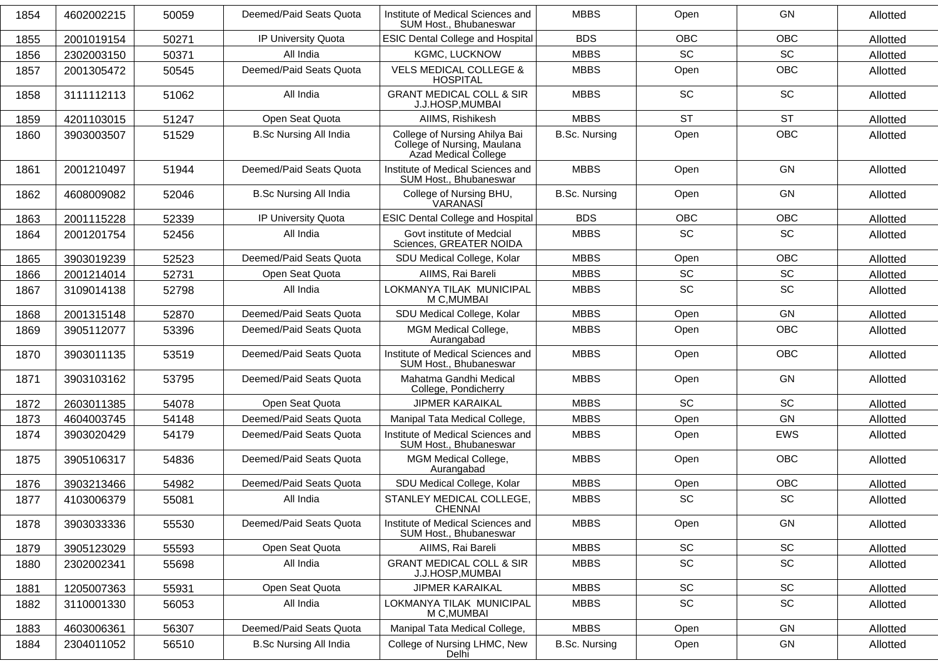| 1854 | 4602002215 | 50059 | Deemed/Paid Seats Quota       | Institute of Medical Sciences and<br>SUM Host., Bhubaneswar                          | <b>MBBS</b>          | Open                         | GN         | Allotted |
|------|------------|-------|-------------------------------|--------------------------------------------------------------------------------------|----------------------|------------------------------|------------|----------|
| 1855 | 2001019154 | 50271 | IP University Quota           | <b>ESIC Dental College and Hospital</b>                                              | <b>BDS</b>           | <b>OBC</b>                   | OBC        | Allotted |
| 1856 | 2302003150 | 50371 | All India                     | KGMC, LUCKNOW                                                                        | <b>MBBS</b>          | <b>SC</b>                    | SC         | Allotted |
| 1857 | 2001305472 | 50545 | Deemed/Paid Seats Quota       | <b>VELS MEDICAL COLLEGE &amp;</b><br><b>HOSPITAL</b>                                 | <b>MBBS</b>          | Open                         | <b>OBC</b> | Allotted |
| 1858 | 3111112113 | 51062 | All India                     | <b>GRANT MEDICAL COLL &amp; SIR</b><br>J.J.HOSP, MUMBAI                              | <b>MBBS</b>          | <b>SC</b>                    | SC         | Allotted |
| 1859 | 4201103015 | 51247 | Open Seat Quota               | AIIMS, Rishikesh                                                                     | <b>MBBS</b>          | <b>ST</b>                    | <b>ST</b>  | Allotted |
| 1860 | 3903003507 | 51529 | <b>B.Sc Nursing All India</b> | College of Nursing Ahilya Bai<br>College of Nursing, Maulana<br>Azad Medical College | <b>B.Sc. Nursing</b> | Open                         | <b>OBC</b> | Allotted |
| 1861 | 2001210497 | 51944 | Deemed/Paid Seats Quota       | Institute of Medical Sciences and<br>SUM Host., Bhubaneswar                          | <b>MBBS</b>          | Open                         | GN         | Allotted |
| 1862 | 4608009082 | 52046 | <b>B.Sc Nursing All India</b> | College of Nursing BHU,<br>VARANASI                                                  | <b>B.Sc. Nursing</b> | Open                         | GN         | Allotted |
| 1863 | 2001115228 | 52339 | IP University Quota           | <b>ESIC Dental College and Hospital</b>                                              | <b>BDS</b>           | <b>OBC</b>                   | OBC        | Allotted |
| 1864 | 2001201754 | 52456 | All India                     | Govt institute of Medcial<br>Sciences, GREATER NOIDA                                 | <b>MBBS</b>          | SC                           | SC         | Allotted |
| 1865 | 3903019239 | 52523 | Deemed/Paid Seats Quota       | SDU Medical College, Kolar                                                           | <b>MBBS</b>          | Open                         | OBC        | Allotted |
| 1866 | 2001214014 | 52731 | Open Seat Quota               | AIIMS, Rai Bareli                                                                    | <b>MBBS</b>          | $\operatorname{\textsf{SC}}$ | SC         | Allotted |
| 1867 | 3109014138 | 52798 | All India                     | LOKMANYA TILAK MUNICIPAL<br>M C, MUMBAI                                              | <b>MBBS</b>          | SC                           | SC         | Allotted |
| 1868 | 2001315148 | 52870 | Deemed/Paid Seats Quota       | SDU Medical College, Kolar                                                           | <b>MBBS</b>          | Open                         | GN         | Allotted |
| 1869 | 3905112077 | 53396 | Deemed/Paid Seats Quota       | MGM Medical College,<br>Aurangabad                                                   | <b>MBBS</b>          | Open                         | OBC        | Allotted |
| 1870 | 3903011135 | 53519 | Deemed/Paid Seats Quota       | Institute of Medical Sciences and<br>SUM Host., Bhubaneswar                          | <b>MBBS</b>          | Open                         | OBC        | Allotted |
| 1871 | 3903103162 | 53795 | Deemed/Paid Seats Quota       | Mahatma Gandhi Medical<br>College, Pondicherry                                       | <b>MBBS</b>          | Open                         | GN         | Allotted |
| 1872 | 2603011385 | 54078 | Open Seat Quota               | <b>JIPMER KARAIKAL</b>                                                               | <b>MBBS</b>          | <b>SC</b>                    | <b>SC</b>  | Allotted |
| 1873 | 4604003745 | 54148 | Deemed/Paid Seats Quota       | Manipal Tata Medical College,                                                        | <b>MBBS</b>          | Open                         | GN         | Allotted |
| 1874 | 3903020429 | 54179 | Deemed/Paid Seats Quota       | Institute of Medical Sciences and<br>SUM Host., Bhubaneswar                          | <b>MBBS</b>          | Open                         | <b>EWS</b> | Allotted |
| 1875 | 3905106317 | 54836 | Deemed/Paid Seats Quota       | MGM Medical College,<br>Aurangabad                                                   | <b>MBBS</b>          | Open                         | <b>OBC</b> | Allotted |
| 1876 | 3903213466 | 54982 | Deemed/Paid Seats Quota       | SDU Medical College, Kolar                                                           | <b>MBBS</b>          | Open                         | <b>OBC</b> | Allotted |
| 1877 | 4103006379 | 55081 | All India                     | STANLEY MEDICAL COLLEGE,<br><b>CHENNAI</b>                                           | <b>MBBS</b>          | SC                           | SC         | Allotted |
| 1878 | 3903033336 | 55530 | Deemed/Paid Seats Quota       | Institute of Medical Sciences and<br>SUM Host., Bhubaneswar                          | <b>MBBS</b>          | Open                         | GN         | Allotted |
| 1879 | 3905123029 | 55593 | Open Seat Quota               | AIIMS, Rai Bareli                                                                    | <b>MBBS</b>          | $\operatorname{\textsf{SC}}$ | SC         | Allotted |
| 1880 | 2302002341 | 55698 | All India                     | <b>GRANT MEDICAL COLL &amp; SIR</b><br>J.J.HOSP, MUMBAI                              | <b>MBBS</b>          | SC                           | SC         | Allotted |
| 1881 | 1205007363 | 55931 | Open Seat Quota               | <b>JIPMER KARAIKAL</b>                                                               | <b>MBBS</b>          | SC                           | SC         | Allotted |
| 1882 | 3110001330 | 56053 | All India                     | LOKMANYA TILAK MUNICIPAL<br>M C, MUMBAI                                              | <b>MBBS</b>          | SC                           | SC         | Allotted |
| 1883 | 4603006361 | 56307 | Deemed/Paid Seats Quota       | Manipal Tata Medical College,                                                        | <b>MBBS</b>          | Open                         | GN         | Allotted |
| 1884 | 2304011052 | 56510 | <b>B.Sc Nursing All India</b> | College of Nursing LHMC, New<br>Delhi                                                | <b>B.Sc. Nursing</b> | Open                         | GN         | Allotted |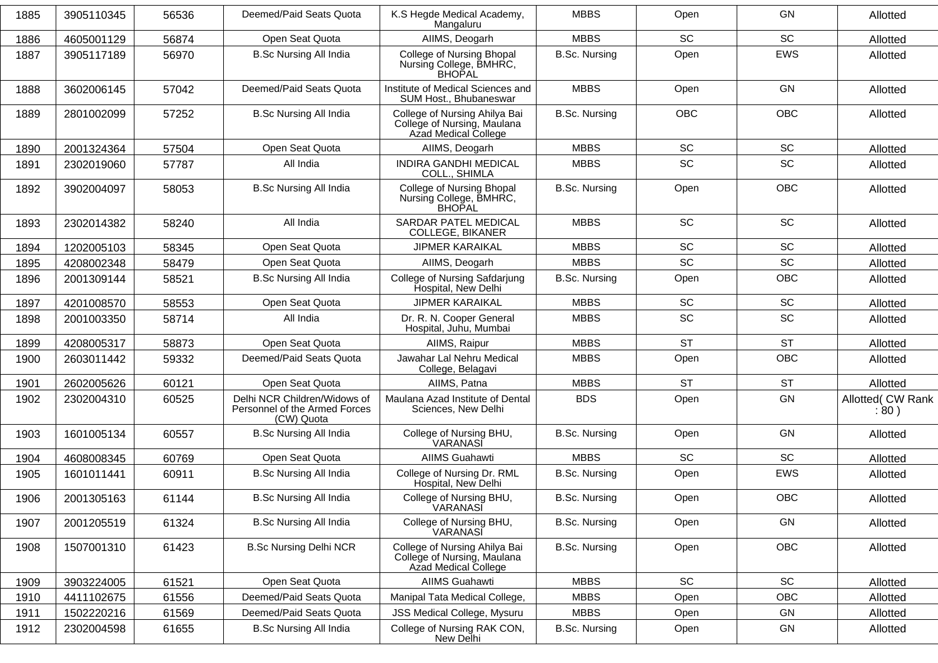| 1885 | 3905110345 | 56536 | Deemed/Paid Seats Quota                                                     | K.S Hegde Medical Academy,<br>Mangaluru                                              | <b>MBBS</b>          | Open       | GN         | Allotted                  |
|------|------------|-------|-----------------------------------------------------------------------------|--------------------------------------------------------------------------------------|----------------------|------------|------------|---------------------------|
| 1886 | 4605001129 | 56874 | Open Seat Quota                                                             | AIIMS, Deogarh                                                                       | <b>MBBS</b>          | SC         | SC         | Allotted                  |
| 1887 | 3905117189 | 56970 | <b>B.Sc Nursing All India</b>                                               | College of Nursing Bhopal<br>Nursing College, BMHRC,<br>BHOPAL                       | <b>B.Sc. Nursing</b> | Open       | <b>EWS</b> | Allotted                  |
| 1888 | 3602006145 | 57042 | Deemed/Paid Seats Quota                                                     | Institute of Medical Sciences and<br>SUM Host., Bhubaneswar                          | <b>MBBS</b>          | Open       | GN         | Allotted                  |
| 1889 | 2801002099 | 57252 | <b>B.Sc Nursing All India</b>                                               | College of Nursing Ahilya Bai<br>College of Nursing, Maulana<br>Azad Medical College | <b>B.Sc. Nursing</b> | <b>OBC</b> | <b>OBC</b> | Allotted                  |
| 1890 | 2001324364 | 57504 | Open Seat Quota                                                             | AIIMS, Deogarh                                                                       | <b>MBBS</b>          | SC         | SC         | Allotted                  |
| 1891 | 2302019060 | 57787 | All India                                                                   | <b>INDIRA GANDHI MEDICAL</b><br>COLL., SHIMLA                                        | <b>MBBS</b>          | SC         | SC         | Allotted                  |
| 1892 | 3902004097 | 58053 | <b>B.Sc Nursing All India</b>                                               | College of Nursing Bhopal<br>Nursing College, BMHRC,<br><b>BHOPAL</b>                | <b>B.Sc. Nursing</b> | Open       | <b>OBC</b> | Allotted                  |
| 1893 | 2302014382 | 58240 | All India                                                                   | SARDAR PATEL MEDICAL<br><b>COLLEGE, BIKANER</b>                                      | <b>MBBS</b>          | SC         | SC         | Allotted                  |
| 1894 | 1202005103 | 58345 | Open Seat Quota                                                             | <b>JIPMER KARAIKAL</b>                                                               | <b>MBBS</b>          | SC         | SC         | Allotted                  |
| 1895 | 4208002348 | 58479 | Open Seat Quota                                                             | AIIMS, Deogarh                                                                       | <b>MBBS</b>          | SC         | SC         | Allotted                  |
| 1896 | 2001309144 | 58521 | <b>B.Sc Nursing All India</b>                                               | College of Nursing Safdarjung<br>Hospital, New Delhi                                 | <b>B.Sc. Nursing</b> | Open       | <b>OBC</b> | Allotted                  |
| 1897 | 4201008570 | 58553 | Open Seat Quota                                                             | <b>JIPMER KARAIKAL</b>                                                               | <b>MBBS</b>          | SC         | SC         | Allotted                  |
| 1898 | 2001003350 | 58714 | All India                                                                   | Dr. R. N. Cooper General<br>Hospital, Juhu, Mumbai                                   | <b>MBBS</b>          | <b>SC</b>  | SC         | Allotted                  |
| 1899 | 4208005317 | 58873 | Open Seat Quota                                                             | AllMS, Raipur                                                                        | <b>MBBS</b>          | <b>ST</b>  | <b>ST</b>  | Allotted                  |
| 1900 | 2603011442 | 59332 | Deemed/Paid Seats Quota                                                     | Jawahar Lal Nehru Medical<br>College, Belagavi                                       | <b>MBBS</b>          | Open       | <b>OBC</b> | Allotted                  |
| 1901 | 2602005626 | 60121 | Open Seat Quota                                                             | AIIMS, Patna                                                                         | <b>MBBS</b>          | <b>ST</b>  | <b>ST</b>  | Allotted                  |
| 1902 | 2302004310 | 60525 | Delhi NCR Children/Widows of<br>Personnel of the Armed Forces<br>(CW) Quota | Maulana Azad Institute of Dental<br>Sciences, New Delhi                              | <b>BDS</b>           | Open       | GN         | Allotted( CW Rank<br>:80) |
| 1903 | 1601005134 | 60557 | <b>B.Sc Nursing All India</b>                                               | College of Nursing BHU,<br>VARANASI                                                  | <b>B.Sc. Nursing</b> | Open       | GN         | Allotted                  |
| 1904 | 4608008345 | 60769 | Open Seat Quota                                                             | <b>AIIMS Guahawti</b>                                                                | <b>MBBS</b>          | <b>SC</b>  | SC         | Allotted                  |
| 1905 | 1601011441 | 60911 | <b>B.Sc Nursing All India</b>                                               | College of Nursing Dr. RML<br>Hospital, New Delhi                                    | <b>B.Sc. Nursing</b> | Open       | <b>EWS</b> | Allotted                  |
| 1906 | 2001305163 | 61144 | <b>B.Sc Nursing All India</b>                                               | College of Nursing BHU,<br>VARANASI                                                  | <b>B.Sc. Nursing</b> | Open       | <b>OBC</b> | Allotted                  |
| 1907 | 2001205519 | 61324 | <b>B.Sc Nursing All India</b>                                               | College of Nursing BHU,<br>VARANASI                                                  | <b>B.Sc. Nursing</b> | Open       | GN         | Allotted                  |
| 1908 | 1507001310 | 61423 | <b>B.Sc Nursing Delhi NCR</b>                                               | College of Nursing Ahilya Bai<br>College of Nursing, Maulana<br>Azad Medical College | <b>B.Sc. Nursing</b> | Open       | OBC        | Allotted                  |
| 1909 | 3903224005 | 61521 | Open Seat Quota                                                             | AIIMS Guahawti                                                                       | <b>MBBS</b>          | SC         | SC         | Allotted                  |
| 1910 | 4411102675 | 61556 | Deemed/Paid Seats Quota                                                     | Manipal Tata Medical College,                                                        | <b>MBBS</b>          | Open       | OBC        | Allotted                  |
| 1911 | 1502220216 | 61569 | Deemed/Paid Seats Quota                                                     | JSS Medical College, Mysuru                                                          | <b>MBBS</b>          | Open       | GN         | Allotted                  |
| 1912 | 2302004598 | 61655 | <b>B.Sc Nursing All India</b>                                               | College of Nursing RAK CON,<br>New Delhi                                             | <b>B.Sc. Nursing</b> | Open       | GN         | Allotted                  |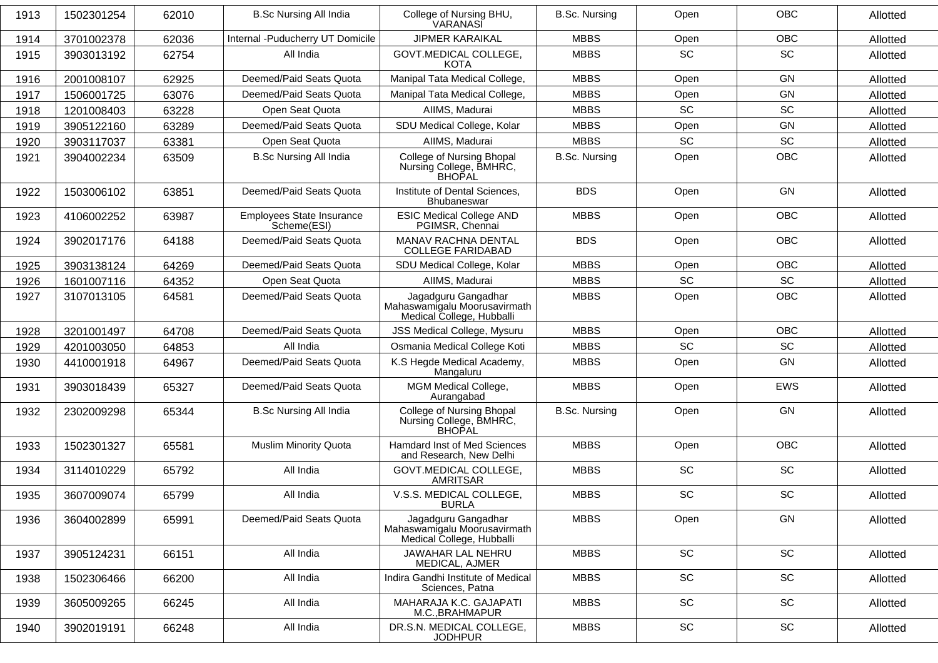| 1913 | 1502301254 | 62010 | <b>B.Sc Nursing All India</b>            | College of Nursing BHU,<br>VARANASI                                              | <b>B.Sc. Nursing</b> | Open                         | <b>OBC</b>                   | Allotted |
|------|------------|-------|------------------------------------------|----------------------------------------------------------------------------------|----------------------|------------------------------|------------------------------|----------|
| 1914 | 3701002378 | 62036 | Internal -Puducherry UT Domicile         | <b>JIPMER KARAIKAL</b>                                                           | <b>MBBS</b>          | Open                         | OBC                          | Allotted |
| 1915 | 3903013192 | 62754 | All India                                | GOVT.MEDICAL COLLEGE,<br>KOTA                                                    | <b>MBBS</b>          | <b>SC</b>                    | <b>SC</b>                    | Allotted |
| 1916 | 2001008107 | 62925 | Deemed/Paid Seats Quota                  | Manipal Tata Medical College,                                                    | <b>MBBS</b>          | Open                         | GN                           | Allotted |
| 1917 | 1506001725 | 63076 | Deemed/Paid Seats Quota                  | Manipal Tata Medical College,                                                    | <b>MBBS</b>          | Open                         | GN                           | Allotted |
| 1918 | 1201008403 | 63228 | Open Seat Quota                          | AIIMS, Madurai                                                                   | <b>MBBS</b>          | SC                           | SC                           | Allotted |
| 1919 | 3905122160 | 63289 | Deemed/Paid Seats Quota                  | SDU Medical College, Kolar                                                       | <b>MBBS</b>          | Open                         | GN                           | Allotted |
| 1920 | 3903117037 | 63381 | Open Seat Quota                          | AIIMS, Madurai                                                                   | <b>MBBS</b>          | <b>SC</b>                    | SC                           | Allotted |
| 1921 | 3904002234 | 63509 | <b>B.Sc Nursing All India</b>            | College of Nursing Bhopal<br>Nursing College, BMHRC,<br><b>BHOPAL</b>            | <b>B.Sc. Nursing</b> | Open                         | <b>OBC</b>                   | Allotted |
| 1922 | 1503006102 | 63851 | Deemed/Paid Seats Quota                  | Institute of Dental Sciences,<br>Bhubaneswar                                     | <b>BDS</b>           | Open                         | GN                           | Allotted |
| 1923 | 4106002252 | 63987 | Employees State Insurance<br>Scheme(ESI) | <b>ESIC Medical College AND</b><br>PGIMSR, Chennai                               | <b>MBBS</b>          | Open                         | <b>OBC</b>                   | Allotted |
| 1924 | 3902017176 | 64188 | Deemed/Paid Seats Quota                  | MANAV RACHNA DENTAL<br><b>COLLEGE FARIDABAD</b>                                  | <b>BDS</b>           | Open                         | <b>OBC</b>                   | Allotted |
| 1925 | 3903138124 | 64269 | Deemed/Paid Seats Quota                  | SDU Medical College, Kolar                                                       | <b>MBBS</b>          | Open                         | <b>OBC</b>                   | Allotted |
| 1926 | 1601007116 | 64352 | Open Seat Quota                          | AllMS, Madurai                                                                   | <b>MBBS</b>          | <b>SC</b>                    | SC                           | Allotted |
| 1927 | 3107013105 | 64581 | Deemed/Paid Seats Quota                  | Jagadguru Gangadhar<br>Mahaswamigalu Moorusavirmath<br>Medical College, Hubballi | <b>MBBS</b>          | Open                         | OBC                          | Allotted |
| 1928 | 3201001497 | 64708 | Deemed/Paid Seats Quota                  | <b>JSS Medical College, Mysuru</b>                                               | <b>MBBS</b>          | Open                         | <b>OBC</b>                   | Allotted |
| 1929 | 4201003050 | 64853 | All India                                | Osmania Medical College Koti                                                     | <b>MBBS</b>          | SC                           | SC                           | Allotted |
| 1930 | 4410001918 | 64967 | Deemed/Paid Seats Quota                  | K.S Hegde Medical Academy,<br>Mangaluru                                          | <b>MBBS</b>          | Open                         | GN                           | Allotted |
| 1931 | 3903018439 | 65327 | Deemed/Paid Seats Quota                  | MGM Medical College,<br>Aurangabad                                               | <b>MBBS</b>          | Open                         | <b>EWS</b>                   | Allotted |
| 1932 | 2302009298 | 65344 | <b>B.Sc Nursing All India</b>            | College of Nursing Bhopal<br>Nursing College, BMHRC,<br>BHOPAL                   | <b>B.Sc. Nursing</b> | Open                         | GN                           | Allotted |
| 1933 | 1502301327 | 65581 | <b>Muslim Minority Quota</b>             | Hamdard Inst of Med Sciences<br>and Research, New Delhi                          | <b>MBBS</b>          | Open                         | <b>OBC</b>                   | Allotted |
| 1934 | 3114010229 | 65792 | All India                                | GOVT.MEDICAL COLLEGE,<br>AMRITSAR                                                | <b>MBBS</b>          | <b>SC</b>                    | SC                           | Allotted |
| 1935 | 3607009074 | 65799 | All India                                | V.S.S. MEDICAL COLLEGE,<br><b>BURLA</b>                                          | <b>MBBS</b>          | SC                           | SC                           | Allotted |
| 1936 | 3604002899 | 65991 | Deemed/Paid Seats Quota                  | Jagadguru Gangadhar<br>Mahaswamigalu Moorusavirmath<br>Medical College, Hubballi | <b>MBBS</b>          | Open                         | GN                           | Allotted |
| 1937 | 3905124231 | 66151 | All India                                | JAWAHAR LAL NEHRU<br>MEDICAL, AJMER                                              | <b>MBBS</b>          | SC                           | SC                           | Allotted |
| 1938 | 1502306466 | 66200 | All India                                | Indira Gandhi Institute of Medical<br>Sciences, Patna                            | <b>MBBS</b>          | $\operatorname{\textsf{SC}}$ | $\operatorname{\textsf{SC}}$ | Allotted |
| 1939 | 3605009265 | 66245 | All India                                | MAHARAJA K.C. GAJAPATI<br>M.C., BRAHMAPUR                                        | <b>MBBS</b>          | <b>SC</b>                    | SC                           | Allotted |
| 1940 | 3902019191 | 66248 | All India                                | DR.S.N. MEDICAL COLLEGE,<br><b>JODHPUR</b>                                       | <b>MBBS</b>          | SC                           | SC                           | Allotted |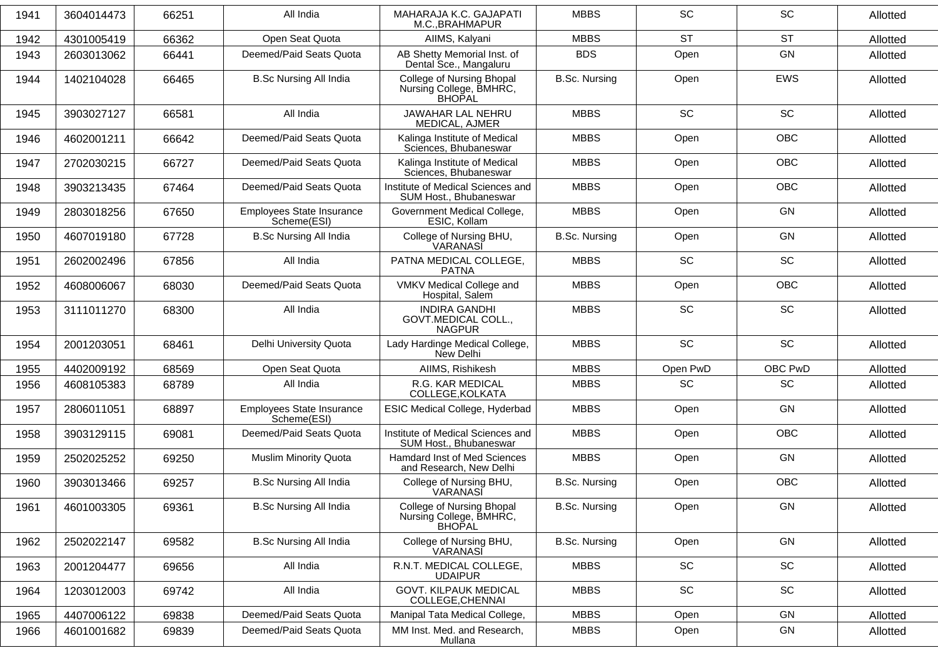| 1941 | 3604014473 | 66251 | All India                                | MAHARAJA K.C. GAJAPATI<br>M.C., BRAHMAPUR                             | <b>MBBS</b>          | <b>SC</b>                    | <b>SC</b>  | Allotted |
|------|------------|-------|------------------------------------------|-----------------------------------------------------------------------|----------------------|------------------------------|------------|----------|
| 1942 | 4301005419 | 66362 | Open Seat Quota                          | AIIMS, Kalyani                                                        | <b>MBBS</b>          | <b>ST</b>                    | <b>ST</b>  | Allotted |
| 1943 | 2603013062 | 66441 | Deemed/Paid Seats Quota                  | AB Shetty Memorial Inst. of<br>Dental Sce., Mangaluru                 | <b>BDS</b>           | Open                         | <b>GN</b>  | Allotted |
| 1944 | 1402104028 | 66465 | <b>B.Sc Nursing All India</b>            | College of Nursing Bhopal<br>Nursing College, BMHRC,<br><b>BHOPAL</b> | <b>B.Sc. Nursing</b> | Open                         | <b>EWS</b> | Allotted |
| 1945 | 3903027127 | 66581 | All India                                | JAWAHAR LAL NEHRU<br>MEDICAL, AJMER                                   | <b>MBBS</b>          | <b>SC</b>                    | <b>SC</b>  | Allotted |
| 1946 | 4602001211 | 66642 | Deemed/Paid Seats Quota                  | Kalinga Institute of Medical<br>Sciences, Bhubaneswar                 | <b>MBBS</b>          | Open                         | <b>OBC</b> | Allotted |
| 1947 | 2702030215 | 66727 | Deemed/Paid Seats Quota                  | Kalinga Institute of Medical<br>Sciences, Bhubaneswar                 | <b>MBBS</b>          | Open                         | <b>OBC</b> | Allotted |
| 1948 | 3903213435 | 67464 | Deemed/Paid Seats Quota                  | Institute of Medical Sciences and<br>SUM Host., Bhubaneswar           | <b>MBBS</b>          | Open                         | <b>OBC</b> | Allotted |
| 1949 | 2803018256 | 67650 | Employees State Insurance<br>Scheme(ESI) | Government Medical College,<br>ESIC, Kollam                           | <b>MBBS</b>          | Open                         | GN         | Allotted |
| 1950 | 4607019180 | 67728 | <b>B.Sc Nursing All India</b>            | College of Nursing BHU,<br>VARANASI                                   | <b>B.Sc. Nursing</b> | Open                         | <b>GN</b>  | Allotted |
| 1951 | 2602002496 | 67856 | All India                                | PATNA MEDICAL COLLEGE,<br><b>PATNA</b>                                | <b>MBBS</b>          | <b>SC</b>                    | SC         | Allotted |
| 1952 | 4608006067 | 68030 | Deemed/Paid Seats Quota                  | VMKV Medical College and<br>Hospital, Salem                           | <b>MBBS</b>          | Open                         | <b>OBC</b> | Allotted |
| 1953 | 3111011270 | 68300 | All India                                | <b>INDIRA GANDHI</b><br>GOVT.MEDICAL COLL.,<br><b>NAGPUR</b>          | <b>MBBS</b>          | <b>SC</b>                    | <b>SC</b>  | Allotted |
| 1954 | 2001203051 | 68461 | Delhi University Quota                   | Lady Hardinge Medical College,<br>New Delhi                           | <b>MBBS</b>          | <b>SC</b>                    | SC         | Allotted |
| 1955 | 4402009192 | 68569 | Open Seat Quota                          | AIIMS, Rishikesh                                                      | <b>MBBS</b>          | Open PwD                     | OBC PwD    | Allotted |
| 1956 | 4608105383 | 68789 | All India                                | R.G. KAR MEDICAL<br>COLLEGE, KOLKATA                                  | <b>MBBS</b>          | <b>SC</b>                    | <b>SC</b>  | Allotted |
| 1957 | 2806011051 | 68897 | Employees State Insurance<br>Scheme(ESI) | ESIC Medical College, Hyderbad                                        | <b>MBBS</b>          | Open                         | GN         | Allotted |
| 1958 | 3903129115 | 69081 | Deemed/Paid Seats Quota                  | Institute of Medical Sciences and<br>SUM Host., Bhubaneswar           | <b>MBBS</b>          | Open                         | <b>OBC</b> | Allotted |
| 1959 | 2502025252 | 69250 | <b>Muslim Minority Quota</b>             | <b>Hamdard Inst of Med Sciences</b><br>and Research, New Delhi        | <b>MBBS</b>          | Open                         | GN         | Allotted |
| 1960 | 3903013466 | 69257 | <b>B.Sc Nursing All India</b>            | College of Nursing BHU,<br>VARANASI                                   | <b>B.Sc. Nursing</b> | Open                         | OBC        | Allotted |
| 1961 | 4601003305 | 69361 | <b>B.Sc Nursing All India</b>            | <b>College of Nursing Bhopal</b><br>Nursing College, BMHRC,<br>BHOPAL | <b>B.Sc. Nursing</b> | Open                         | GN         | Allotted |
| 1962 | 2502022147 | 69582 | <b>B.Sc Nursing All India</b>            | College of Nursing BHU,<br>VARANASI                                   | <b>B.Sc. Nursing</b> | Open                         | GN         | Allotted |
| 1963 | 2001204477 | 69656 | All India                                | R.N.T. MEDICAL COLLEGE,<br><b>UDAIPUR</b>                             | <b>MBBS</b>          | $\operatorname{\textsf{SC}}$ | SC         | Allotted |
| 1964 | 1203012003 | 69742 | All India                                | <b>GOVT. KILPAUK MEDICAL</b><br>COLLEGE, CHENNAI                      | <b>MBBS</b>          | <b>SC</b>                    | SC         | Allotted |
| 1965 | 4407006122 | 69838 | Deemed/Paid Seats Quota                  | Manipal Tata Medical College,                                         | <b>MBBS</b>          | Open                         | GN         | Allotted |
| 1966 | 4601001682 | 69839 | Deemed/Paid Seats Quota                  | MM Inst. Med. and Research,<br>Mullana                                | <b>MBBS</b>          | Open                         | GN         | Allotted |
|      |            |       |                                          |                                                                       |                      |                              |            |          |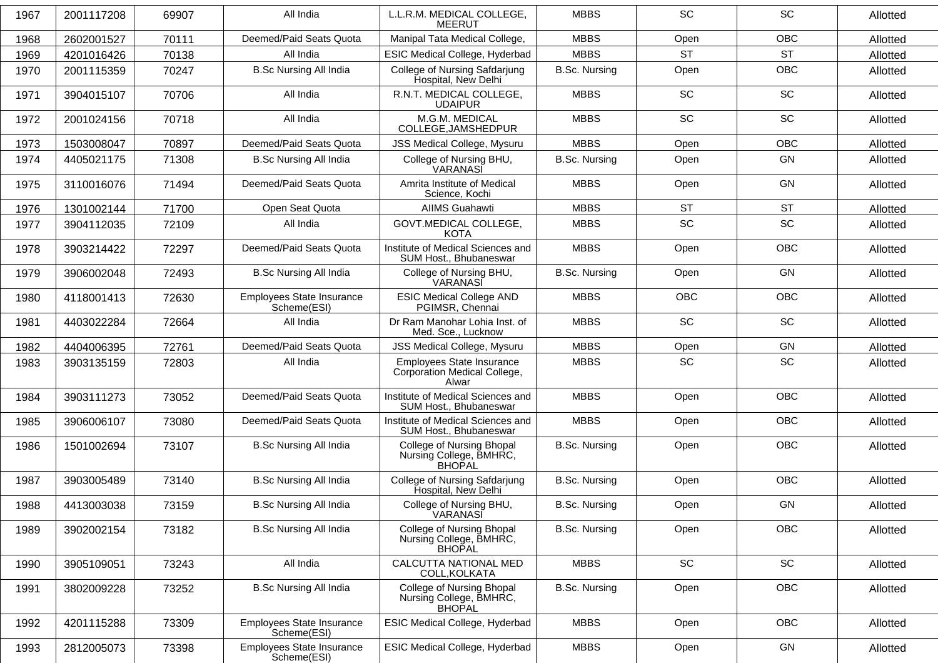| 1967 | 2001117208 | 69907 | All India                                | L.L.R.M. MEDICAL COLLEGE,<br><b>MEERUT</b>                                   | <b>MBBS</b>          | <b>SC</b>  | <b>SC</b>  | Allotted |
|------|------------|-------|------------------------------------------|------------------------------------------------------------------------------|----------------------|------------|------------|----------|
| 1968 | 2602001527 | 70111 | Deemed/Paid Seats Quota                  | Manipal Tata Medical College,                                                | <b>MBBS</b>          | Open       | <b>OBC</b> | Allotted |
| 1969 | 4201016426 | 70138 | All India                                | ESIC Medical College, Hyderbad                                               | <b>MBBS</b>          | <b>ST</b>  | <b>ST</b>  | Allotted |
| 1970 | 2001115359 | 70247 | <b>B.Sc Nursing All India</b>            | College of Nursing Safdarjung<br>Hospital, New Delhi                         | <b>B.Sc. Nursing</b> | Open       | OBC        | Allotted |
| 1971 | 3904015107 | 70706 | All India                                | R.N.T. MEDICAL COLLEGE,<br><b>UDAIPUR</b>                                    | <b>MBBS</b>          | SC         | SC         | Allotted |
| 1972 | 2001024156 | 70718 | All India                                | M.G.M. MEDICAL<br>COLLEGE, JAMSHEDPUR                                        | <b>MBBS</b>          | <b>SC</b>  | <b>SC</b>  | Allotted |
| 1973 | 1503008047 | 70897 | Deemed/Paid Seats Quota                  | <b>JSS Medical College, Mysuru</b>                                           | <b>MBBS</b>          | Open       | OBC        | Allotted |
| 1974 | 4405021175 | 71308 | <b>B.Sc Nursing All India</b>            | College of Nursing BHU,<br>VARANASĬ                                          | <b>B.Sc. Nursing</b> | Open       | GN         | Allotted |
| 1975 | 3110016076 | 71494 | Deemed/Paid Seats Quota                  | Amrita Institute of Medical<br>Science, Kochi                                | <b>MBBS</b>          | Open       | GN         | Allotted |
| 1976 | 1301002144 | 71700 | Open Seat Quota                          | <b>AIIMS Guahawti</b>                                                        | <b>MBBS</b>          | <b>ST</b>  | <b>ST</b>  | Allotted |
| 1977 | 3904112035 | 72109 | All India                                | GOVT.MEDICAL COLLEGE,<br><b>KOTA</b>                                         | <b>MBBS</b>          | SC         | SC         | Allotted |
| 1978 | 3903214422 | 72297 | Deemed/Paid Seats Quota                  | Institute of Medical Sciences and<br>SUM Host., Bhubaneswar                  | <b>MBBS</b>          | Open       | <b>OBC</b> | Allotted |
| 1979 | 3906002048 | 72493 | <b>B.Sc Nursing All India</b>            | College of Nursing BHU,<br>VARANASI                                          | <b>B.Sc. Nursing</b> | Open       | GN         | Allotted |
| 1980 | 4118001413 | 72630 | Employees State Insurance<br>Scheme(ESI) | <b>ESIC Medical College AND</b><br>PGIMSR, Chennai                           | <b>MBBS</b>          | <b>OBC</b> | <b>OBC</b> | Allotted |
| 1981 | 4403022284 | 72664 | All India                                | Dr Ram Manohar Lohia Inst. of<br>Med. Sce., Lucknow                          | <b>MBBS</b>          | SC         | SC         | Allotted |
| 1982 | 4404006395 | 72761 | Deemed/Paid Seats Quota                  | JSS Medical College, Mysuru                                                  | <b>MBBS</b>          | Open       | GN         | Allotted |
| 1983 | 3903135159 | 72803 | All India                                | Employees State Insurance<br>Corporation Medical College,<br>Alwar           | <b>MBBS</b>          | <b>SC</b>  | SC         | Allotted |
| 1984 | 3903111273 | 73052 | Deemed/Paid Seats Quota                  | Institute of Medical Sciences and<br>SUM Host., Bhubaneswar                  | <b>MBBS</b>          | Open       | <b>OBC</b> | Allotted |
| 1985 | 3906006107 | 73080 | Deemed/Paid Seats Quota                  | Institute of Medical Sciences and<br>SUM Host., Bhubaneswar                  | <b>MBBS</b>          | Open       | <b>OBC</b> | Allotted |
| 1986 | 1501002694 | 73107 | <b>B.Sc Nursing All India</b>            | <b>College of Nursing Bhopal</b><br>Nursing College, BMHRC,<br>BHOPAL        | <b>B.Sc. Nursing</b> | Open       | <b>OBC</b> | Allotted |
| 1987 | 3903005489 | 73140 | <b>B.Sc Nursing All India</b>            | College of Nursing Safdarjung<br>Hospital, New Delhi                         | B.Sc. Nursing        | Open       | <b>OBC</b> | Allotted |
| 1988 | 4413003038 | 73159 | <b>B.Sc Nursing All India</b>            | College of Nursing BHU,<br><b>VARANASI</b>                                   | <b>B.Sc. Nursing</b> | Open       | GN         | Allotted |
| 1989 | 3902002154 | 73182 | <b>B.Sc Nursing All India</b>            | <b>College of Nursing Bhopal</b><br>Nursing College, BMHRC,<br><b>BHOPAL</b> | <b>B.Sc. Nursing</b> | Open       | OBC        | Allotted |
| 1990 | 3905109051 | 73243 | All India                                | CALCUTTA NATIONAL MED<br>COLL, KOLKATA                                       | <b>MBBS</b>          | SC         | SC         | Allotted |
| 1991 | 3802009228 | 73252 | <b>B.Sc Nursing All India</b>            | <b>College of Nursing Bhopal</b><br>Nursing College, BMHRC,<br><b>BHOPAL</b> | <b>B.Sc. Nursing</b> | Open       | OBC        | Allotted |
| 1992 | 4201115288 | 73309 | Employees State Insurance<br>Scheme(ESI) | <b>ESIC Medical College, Hyderbad</b>                                        | <b>MBBS</b>          | Open       | <b>OBC</b> | Allotted |
| 1993 | 2812005073 | 73398 | Employees State Insurance<br>Scheme(ESI) | ESIC Medical College, Hyderbad                                               | <b>MBBS</b>          | Open       | GN         | Allotted |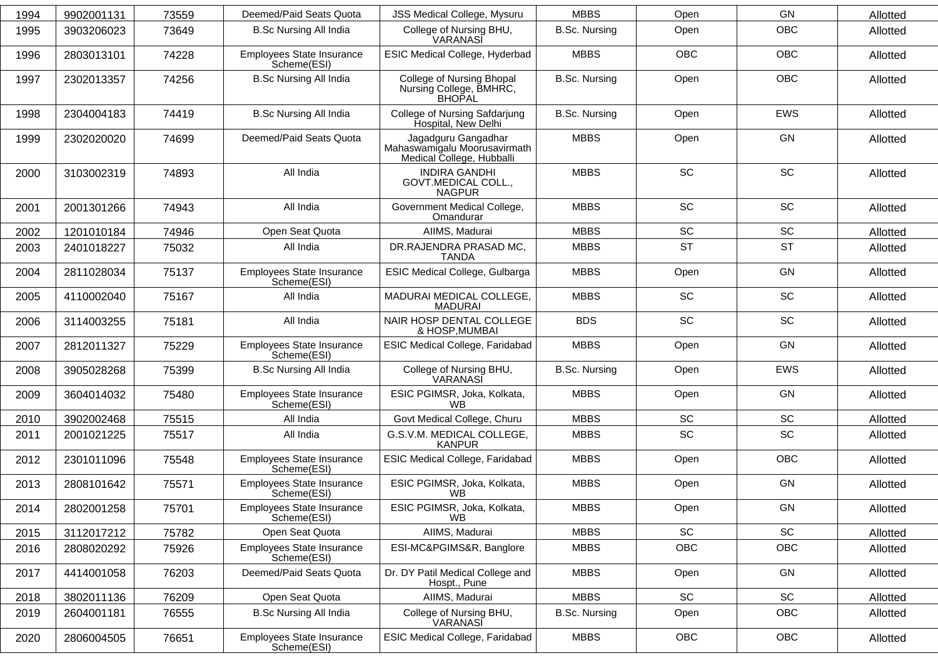| 1994 | 9902001131 | 73559 | Deemed/Paid Seats Quota                  | <b>JSS Medical College, Mysuru</b>                                               | <b>MBBS</b>          | Open       | GN                           | Allotted |
|------|------------|-------|------------------------------------------|----------------------------------------------------------------------------------|----------------------|------------|------------------------------|----------|
| 1995 | 3903206023 | 73649 | <b>B.Sc Nursing All India</b>            | College of Nursing BHU,<br>VARANASI                                              | <b>B.Sc. Nursing</b> | Open       | OBC                          | Allotted |
| 1996 | 2803013101 | 74228 | Employees State Insurance<br>Scheme(ESI) | ESIC Medical College, Hyderbad                                                   | <b>MBBS</b>          | <b>OBC</b> | <b>OBC</b>                   | Allotted |
| 1997 | 2302013357 | 74256 | <b>B.Sc Nursing All India</b>            | College of Nursing Bhopal<br>Nursing College, BMHRC,<br><b>BHOPAL</b>            | <b>B.Sc. Nursing</b> | Open       | OBC                          | Allotted |
| 1998 | 2304004183 | 74419 | <b>B.Sc Nursing All India</b>            | College of Nursing Safdarjung<br>Hospital, New Delhi                             | <b>B.Sc. Nursing</b> | Open       | EWS                          | Allotted |
| 1999 | 2302020020 | 74699 | Deemed/Paid Seats Quota                  | Jagadguru Gangadhar<br>Mahaswamigalu Moorusavirmath<br>Medical College, Hubballi | <b>MBBS</b>          | Open       | GN                           | Allotted |
| 2000 | 3103002319 | 74893 | All India                                | <b>INDIRA GANDHI</b><br>GOVT.MEDICAL COLL.,<br><b>NAGPUR</b>                     | <b>MBBS</b>          | SC         | SC                           | Allotted |
| 2001 | 2001301266 | 74943 | All India                                | Government Medical College,<br>Omandurar                                         | <b>MBBS</b>          | SC         | SC                           | Allotted |
| 2002 | 1201010184 | 74946 | Open Seat Quota                          | AllMS, Madurai                                                                   | <b>MBBS</b>          | SC         | SC                           | Allotted |
| 2003 | 2401018227 | 75032 | All India                                | DR.RAJENDRA PRASAD MC,<br><b>TANDA</b>                                           | <b>MBBS</b>          | <b>ST</b>  | <b>ST</b>                    | Allotted |
| 2004 | 2811028034 | 75137 | Employees State Insurance<br>Scheme(ESI) | ESIC Medical College, Gulbarga                                                   | <b>MBBS</b>          | Open       | GN                           | Allotted |
| 2005 | 4110002040 | 75167 | All India                                | MADURAI MEDICAL COLLEGE,<br><b>MADURAI</b>                                       | <b>MBBS</b>          | SC         | SC                           | Allotted |
| 2006 | 3114003255 | 75181 | All India                                | NAIR HOSP DENTAL COLLEGE<br>& HOSP, MUMBAI                                       | <b>BDS</b>           | SC         | SC                           | Allotted |
| 2007 | 2812011327 | 75229 | Employees State Insurance<br>Scheme(ESI) | ESIC Medical College, Faridabad                                                  | <b>MBBS</b>          | Open       | GN                           | Allotted |
| 2008 | 3905028268 | 75399 | <b>B.Sc Nursing All India</b>            | College of Nursing BHU,<br>VARANASI                                              | <b>B.Sc. Nursing</b> | Open       | EWS                          | Allotted |
| 2009 | 3604014032 | 75480 | Employees State Insurance<br>Scheme(ESI) | ESIC PGIMSR, Joka, Kolkata,<br>WB                                                | <b>MBBS</b>          | Open       | GN                           | Allotted |
| 2010 | 3902002468 | 75515 | All India                                | Govt Medical College, Churu                                                      | <b>MBBS</b>          | SC         | $\operatorname{\textsf{SC}}$ | Allotted |
| 2011 | 2001021225 | 75517 | All India                                | G.S.V.M. MEDICAL COLLEGE,<br><b>KANPUR</b>                                       | <b>MBBS</b>          | SC         | SC                           | Allotted |
| 2012 | 2301011096 | 75548 | Employees State Insurance<br>Scheme(ESI) | ESIC Medical College, Faridabad                                                  | <b>MBBS</b>          | Open       | <b>OBC</b>                   | Allotted |
| 2013 | 2808101642 | 75571 | Employees State Insurance<br>Scheme(ESI) | ESIC PGIMSR, Joka, Kolkata,<br><b>WB</b>                                         | <b>MBBS</b>          | Open       | GN                           | Allotted |
| 2014 | 2802001258 | 75701 | Employees State Insurance<br>Scheme(ESI) | ESIC PGIMSR, Joka, Kolkata,<br><b>WB</b>                                         | <b>MBBS</b>          | Open       | GN                           | Allotted |
| 2015 | 3112017212 | 75782 | Open Seat Quota                          | AllMS, Madurai                                                                   | <b>MBBS</b>          | SC         | $\operatorname{\textsf{SC}}$ | Allotted |
| 2016 | 2808020292 | 75926 | Employees State Insurance<br>Scheme(ESI) | ESI-MC&PGIMS&R, Banglore                                                         | <b>MBBS</b>          | OBC        | OBC                          | Allotted |
| 2017 | 4414001058 | 76203 | Deemed/Paid Seats Quota                  | Dr. DY Patil Medical College and<br>Hospt., Pune                                 | <b>MBBS</b>          | Open       | GN                           | Allotted |
| 2018 | 3802011136 | 76209 | Open Seat Quota                          | AIIMS, Madurai                                                                   | <b>MBBS</b>          | SC         | SC                           | Allotted |
| 2019 | 2604001181 | 76555 | <b>B.Sc Nursing All India</b>            | College of Nursing BHU,<br>VARANASI                                              | <b>B.Sc. Nursing</b> | Open       | OBC                          | Allotted |
| 2020 | 2806004505 | 76651 | Employees State Insurance<br>Scheme(ESI) | ESIC Medical College, Faridabad                                                  | <b>MBBS</b>          | OBC        | OBC                          | Allotted |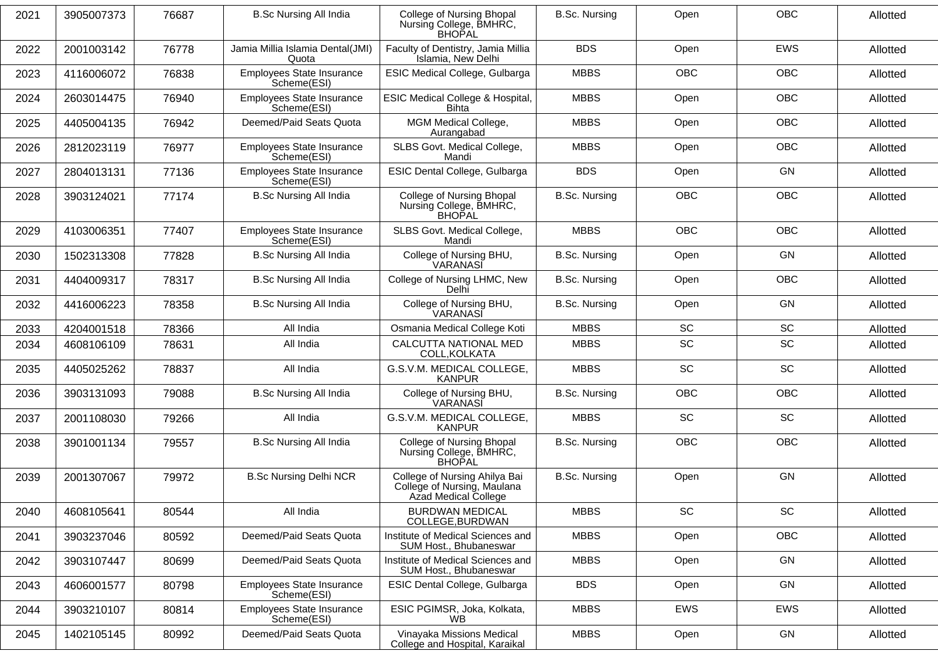| 2021 | 3905007373 | 76687 | <b>B.Sc Nursing All India</b>                   | College of Nursing Bhopal<br>Nursing College, BMHRC,<br><b>BHOPAL</b>                | <b>B.Sc. Nursing</b> | Open       | <b>OBC</b> | Allotted |
|------|------------|-------|-------------------------------------------------|--------------------------------------------------------------------------------------|----------------------|------------|------------|----------|
| 2022 | 2001003142 | 76778 | Jamia Millia Islamia Dental(JMI)<br>Quota       | Faculty of Dentistry, Jamia Millia<br>Islamia, New Delhi                             | <b>BDS</b>           | Open       | EWS        | Allotted |
| 2023 | 4116006072 | 76838 | Employees State Insurance<br>Scheme(ESI)        | ESIC Medical College, Gulbarga                                                       | <b>MBBS</b>          | <b>OBC</b> | <b>OBC</b> | Allotted |
| 2024 | 2603014475 | 76940 | Employees State Insurance<br>Scheme(ESI)        | ESIC Medical College & Hospital,<br><b>Bihta</b>                                     | <b>MBBS</b>          | Open       | <b>OBC</b> | Allotted |
| 2025 | 4405004135 | 76942 | Deemed/Paid Seats Quota                         | MGM Medical College,<br>Aurangabad                                                   | <b>MBBS</b>          | Open       | <b>OBC</b> | Allotted |
| 2026 | 2812023119 | 76977 | Employees State Insurance<br>Scheme(ESI)        | SLBS Govt. Medical College,<br>Mandi                                                 | <b>MBBS</b>          | Open       | OBC        | Allotted |
| 2027 | 2804013131 | 77136 | <b>Employees State Insurance</b><br>Scheme(ESI) | ESIC Dental College, Gulbarga                                                        | <b>BDS</b>           | Open       | GN         | Allotted |
| 2028 | 3903124021 | 77174 | <b>B.Sc Nursing All India</b>                   | College of Nursing Bhopal<br>Nursing College, BMHRC,<br><b>BHOPAL</b>                | <b>B.Sc. Nursing</b> | <b>OBC</b> | <b>OBC</b> | Allotted |
| 2029 | 4103006351 | 77407 | Employees State Insurance<br>Scheme(ESI)        | SLBS Govt. Medical College,<br>Mandi                                                 | <b>MBBS</b>          | <b>OBC</b> | <b>OBC</b> | Allotted |
| 2030 | 1502313308 | 77828 | <b>B.Sc Nursing All India</b>                   | College of Nursing BHU,<br>VARANASI                                                  | <b>B.Sc. Nursing</b> | Open       | GN         | Allotted |
| 2031 | 4404009317 | 78317 | <b>B.Sc Nursing All India</b>                   | College of Nursing LHMC, New<br>Delhi                                                | <b>B.Sc. Nursing</b> | Open       | OBC        | Allotted |
| 2032 | 4416006223 | 78358 | <b>B.Sc Nursing All India</b>                   | College of Nursing BHU,<br>VARANASĬ                                                  | <b>B.Sc. Nursing</b> | Open       | GN         | Allotted |
| 2033 | 4204001518 | 78366 | All India                                       | Osmania Medical College Koti                                                         | <b>MBBS</b>          | <b>SC</b>  | <b>SC</b>  | Allotted |
| 2034 | 4608106109 | 78631 | All India                                       | CALCUTTA NATIONAL MED<br>COLL, KOLKATA                                               | <b>MBBS</b>          | <b>SC</b>  | <b>SC</b>  | Allotted |
| 2035 | 4405025262 | 78837 | All India                                       | G.S.V.M. MEDICAL COLLEGE,<br><b>KANPUR</b>                                           | <b>MBBS</b>          | <b>SC</b>  | SC         | Allotted |
| 2036 | 3903131093 | 79088 | <b>B.Sc Nursing All India</b>                   | College of Nursing BHU,<br>VARANASI                                                  | <b>B.Sc. Nursing</b> | <b>OBC</b> | OBC        | Allotted |
| 2037 | 2001108030 | 79266 | All India                                       | G.S.V.M. MEDICAL COLLEGE,<br><b>KANPUR</b>                                           | <b>MBBS</b>          | <b>SC</b>  | <b>SC</b>  | Allotted |
| 2038 | 3901001134 | 79557 | <b>B.Sc Nursing All India</b>                   | College of Nursing Bhopal<br>Nursing College, BMHRC,<br><b>BHOPAL</b>                | <b>B.Sc. Nursing</b> | <b>OBC</b> | <b>OBC</b> | Allotted |
| 2039 | 2001307067 | 79972 | <b>B.Sc Nursing Delhi NCR</b>                   | College of Nursing Ahilya Bai<br>College of Nursing, Maulana<br>Azad Medical College | <b>B.Sc. Nursing</b> | Open       | GN         | Allotted |
| 2040 | 4608105641 | 80544 | All India                                       | <b>BURDWAN MEDICAL</b><br>COLLEGE, BURDWAN                                           | <b>MBBS</b>          | <b>SC</b>  | SC         | Allotted |
| 2041 | 3903237046 | 80592 | Deemed/Paid Seats Quota                         | Institute of Medical Sciences and<br>SUM Host., Bhubaneswar                          | <b>MBBS</b>          | Open       | <b>OBC</b> | Allotted |
| 2042 | 3903107447 | 80699 | Deemed/Paid Seats Quota                         | Institute of Medical Sciences and<br>SUM Host., Bhubaneswar                          | <b>MBBS</b>          | Open       | GN         | Allotted |
| 2043 | 4606001577 | 80798 | Employees State Insurance<br>Scheme(ESI)        | ESIC Dental College, Gulbarga                                                        | <b>BDS</b>           | Open       | GN         | Allotted |
| 2044 | 3903210107 | 80814 | Employees State Insurance<br>Scheme(ESI)        | ESIC PGIMSR, Joka, Kolkata,<br><b>WB</b>                                             | <b>MBBS</b>          | EWS        | EWS        | Allotted |
| 2045 | 1402105145 | 80992 | Deemed/Paid Seats Quota                         | Vinayaka Missions Medical<br>College and Hospital, Karaikal                          | <b>MBBS</b>          | Open       | GN         | Allotted |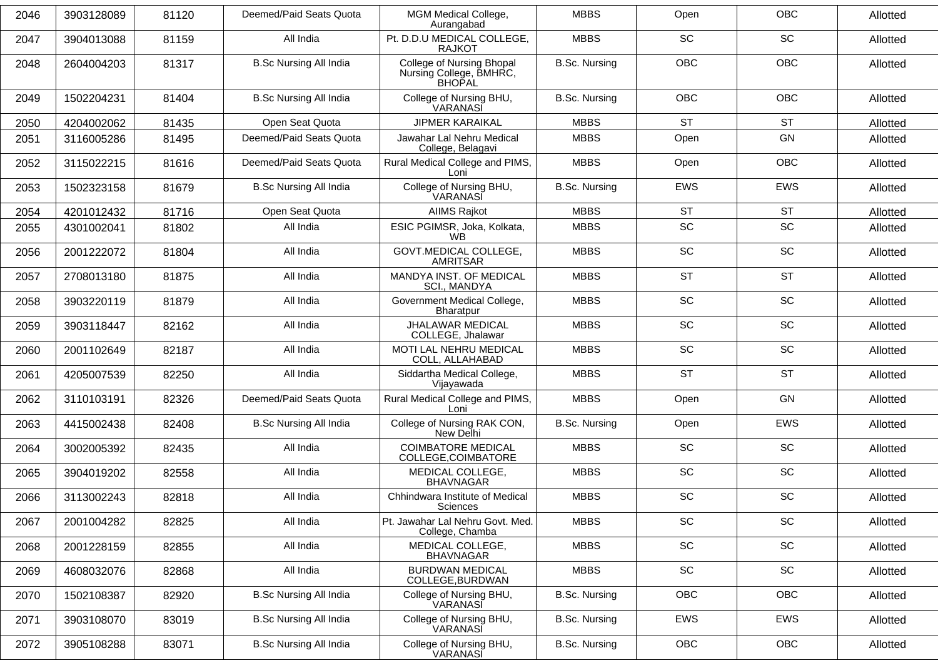| 2046 | 3903128089 | 81120 | Deemed/Paid Seats Quota       | MGM Medical College,<br>Aurangabad                                    | <b>MBBS</b>          | Open       | <b>OBC</b>                   | Allotted |
|------|------------|-------|-------------------------------|-----------------------------------------------------------------------|----------------------|------------|------------------------------|----------|
| 2047 | 3904013088 | 81159 | All India                     | Pt. D.D.U MEDICAL COLLEGE,<br><b>RAJKOT</b>                           | <b>MBBS</b>          | <b>SC</b>  | <b>SC</b>                    | Allotted |
| 2048 | 2604004203 | 81317 | <b>B.Sc Nursing All India</b> | College of Nursing Bhopal<br>Nursing College, BMHRC,<br><b>BHOPAL</b> | <b>B.Sc. Nursing</b> | <b>OBC</b> | <b>OBC</b>                   | Allotted |
| 2049 | 1502204231 | 81404 | <b>B.Sc Nursing All India</b> | College of Nursing BHU,<br>VARANASI                                   | <b>B.Sc. Nursing</b> | <b>OBC</b> | <b>OBC</b>                   | Allotted |
| 2050 | 4204002062 | 81435 | Open Seat Quota               | <b>JIPMER KARAIKAL</b>                                                | <b>MBBS</b>          | <b>ST</b>  | <b>ST</b>                    | Allotted |
| 2051 | 3116005286 | 81495 | Deemed/Paid Seats Quota       | Jawahar Lal Nehru Medical<br>College, Belagavi                        | <b>MBBS</b>          | Open       | GN                           | Allotted |
| 2052 | 3115022215 | 81616 | Deemed/Paid Seats Quota       | Rural Medical College and PIMS,<br>Loni                               | <b>MBBS</b>          | Open       | <b>OBC</b>                   | Allotted |
| 2053 | 1502323158 | 81679 | <b>B.Sc Nursing All India</b> | College of Nursing BHU,<br>VARANASĬ                                   | <b>B.Sc. Nursing</b> | <b>EWS</b> | <b>EWS</b>                   | Allotted |
| 2054 | 4201012432 | 81716 | Open Seat Quota               | <b>AIIMS Rajkot</b>                                                   | <b>MBBS</b>          | <b>ST</b>  | <b>ST</b>                    | Allotted |
| 2055 | 4301002041 | 81802 | All India                     | ESIC PGIMSR, Joka, Kolkata,<br><b>WB</b>                              | <b>MBBS</b>          | SC         | SC                           | Allotted |
| 2056 | 2001222072 | 81804 | All India                     | <b>GOVT.MEDICAL COLLEGE,</b><br><b>AMRITSAR</b>                       | <b>MBBS</b>          | SC         | SC                           | Allotted |
| 2057 | 2708013180 | 81875 | All India                     | MANDYA INST. OF MEDICAL<br>SCI., MANDYA                               | <b>MBBS</b>          | <b>ST</b>  | <b>ST</b>                    | Allotted |
| 2058 | 3903220119 | 81879 | All India                     | Government Medical College,<br>Bharatpur                              | <b>MBBS</b>          | <b>SC</b>  | SC                           | Allotted |
| 2059 | 3903118447 | 82162 | All India                     | <b>JHALAWAR MEDICAL</b><br>COLLEGE, Jhalawar                          | <b>MBBS</b>          | SC         | SC                           | Allotted |
| 2060 | 2001102649 | 82187 | All India                     | MOTI LAL NEHRU MEDICAL<br>COLL, ALLAHABAD                             | <b>MBBS</b>          | SC         | SC                           | Allotted |
| 2061 | 4205007539 | 82250 | All India                     | Siddartha Medical College,<br>Vijayawada                              | <b>MBBS</b>          | <b>ST</b>  | <b>ST</b>                    | Allotted |
| 2062 | 3110103191 | 82326 | Deemed/Paid Seats Quota       | Rural Medical College and PIMS,<br>Loni                               | <b>MBBS</b>          | Open       | GN                           | Allotted |
| 2063 | 4415002438 | 82408 | <b>B.Sc Nursing All India</b> | College of Nursing RAK CON,<br>New Delhi                              | <b>B.Sc. Nursing</b> | Open       | <b>EWS</b>                   | Allotted |
| 2064 | 3002005392 | 82435 | All India                     | <b>COIMBATORE MEDICAL</b><br>COLLEGE, COIMBATORE                      | <b>MBBS</b>          | <b>SC</b>  | SC                           | Allotted |
| 2065 | 3904019202 | 82558 | All India                     | MEDICAL COLLEGE,<br><b>BHAVNAGAR</b>                                  | <b>MBBS</b>          | SC         | SC                           | Allotted |
| 2066 | 3113002243 | 82818 | All India                     | Chhindwara Institute of Medical<br>Sciences                           | <b>MBBS</b>          | SC         | SC                           | Allotted |
| 2067 | 2001004282 | 82825 | All India                     | Pt. Jawahar Lal Nehru Govt. Med.<br>College, Chamba                   | <b>MBBS</b>          | SC         | $\operatorname{\textsf{SC}}$ | Allotted |
| 2068 | 2001228159 | 82855 | All India                     | MEDICAL COLLEGE,<br><b>BHAVNAGAR</b>                                  | <b>MBBS</b>          | SC         | SC                           | Allotted |
| 2069 | 4608032076 | 82868 | All India                     | <b>BURDWAN MEDICAL</b><br>COLLEGE, BURDWAN                            | <b>MBBS</b>          | SC         | SC                           | Allotted |
| 2070 | 1502108387 | 82920 | <b>B.Sc Nursing All India</b> | College of Nursing BHU,<br>VARANASĬ                                   | <b>B.Sc. Nursing</b> | OBC        | OBC                          | Allotted |
| 2071 | 3903108070 | 83019 | <b>B.Sc Nursing All India</b> | College of Nursing BHU,<br>VARANASI                                   | <b>B.Sc. Nursing</b> | EWS        | EWS                          | Allotted |
| 2072 | 3905108288 | 83071 | <b>B.Sc Nursing All India</b> | College of Nursing BHU,<br>VARANASI                                   | <b>B.Sc. Nursing</b> | OBC        | OBC                          | Allotted |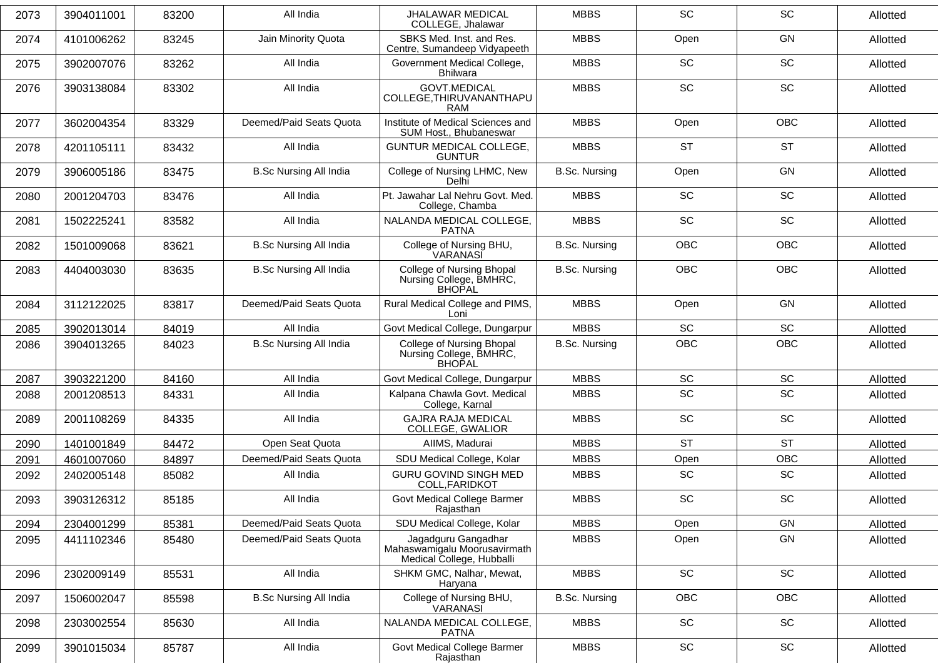| 2073 | 3904011001 | 83200 | All India                     | <b>JHALAWAR MEDICAL</b><br>COLLEGE, Jhalawar                                     | <b>MBBS</b>          | <b>SC</b>                    | <b>SC</b>                    | Allotted |
|------|------------|-------|-------------------------------|----------------------------------------------------------------------------------|----------------------|------------------------------|------------------------------|----------|
| 2074 | 4101006262 | 83245 | Jain Minority Quota           | SBKS Med. Inst. and Res.<br>Centre, Sumandeep Vidyapeeth                         | <b>MBBS</b>          | Open                         | <b>GN</b>                    | Allotted |
| 2075 | 3902007076 | 83262 | All India                     | Government Medical College,<br><b>Bhilwara</b>                                   | <b>MBBS</b>          | SC                           | SC                           | Allotted |
| 2076 | 3903138084 | 83302 | All India                     | GOVT.MEDICAL<br>COLLEGE, THIRUVANANTHAPU<br>RAM                                  | <b>MBBS</b>          | <b>SC</b>                    | <b>SC</b>                    | Allotted |
| 2077 | 3602004354 | 83329 | Deemed/Paid Seats Quota       | Institute of Medical Sciences and<br>SUM Host., Bhubaneswar                      | <b>MBBS</b>          | Open                         | <b>OBC</b>                   | Allotted |
| 2078 | 4201105111 | 83432 | All India                     | GUNTUR MEDICAL COLLEGE,<br><b>GUNTUR</b>                                         | <b>MBBS</b>          | <b>ST</b>                    | <b>ST</b>                    | Allotted |
| 2079 | 3906005186 | 83475 | <b>B.Sc Nursing All India</b> | College of Nursing LHMC, New<br>Delhi                                            | <b>B.Sc. Nursing</b> | Open                         | <b>GN</b>                    | Allotted |
| 2080 | 2001204703 | 83476 | All India                     | Pt. Jawahar Lal Nehru Govt. Med.<br>College, Chamba                              | <b>MBBS</b>          | SC                           | SC                           | Allotted |
| 2081 | 1502225241 | 83582 | All India                     | NALANDA MEDICAL COLLEGE,<br><b>PATNA</b>                                         | <b>MBBS</b>          | SC                           | SC                           | Allotted |
| 2082 | 1501009068 | 83621 | <b>B.Sc Nursing All India</b> | College of Nursing BHU,<br>VARANASI                                              | B.Sc. Nursing        | <b>OBC</b>                   | <b>OBC</b>                   | Allotted |
| 2083 | 4404003030 | 83635 | <b>B.Sc Nursing All India</b> | College of Nursing Bhopal<br>Nursing College, BMHRC,<br>BHOPAL                   | <b>B.Sc. Nursing</b> | <b>OBC</b>                   | OBC                          | Allotted |
| 2084 | 3112122025 | 83817 | Deemed/Paid Seats Quota       | Rural Medical College and PIMS,<br>Loni                                          | <b>MBBS</b>          | Open                         | GN                           | Allotted |
| 2085 | 3902013014 | 84019 | All India                     | Govt Medical College, Dungarpur                                                  | <b>MBBS</b>          | SC                           | SC                           | Allotted |
| 2086 | 3904013265 | 84023 | <b>B.Sc Nursing All India</b> | College of Nursing Bhopal<br>Nursing College, BMHRC,<br><b>BHOPAL</b>            | <b>B.Sc. Nursing</b> | <b>OBC</b>                   | OBC                          | Allotted |
| 2087 | 3903221200 | 84160 | All India                     | Govt Medical College, Dungarpur                                                  | <b>MBBS</b>          | SC                           | SC                           | Allotted |
| 2088 | 2001208513 | 84331 | All India                     | Kalpana Chawla Govt. Medical<br>College, Karnal                                  | <b>MBBS</b>          | SC                           | SC                           | Allotted |
| 2089 | 2001108269 | 84335 | All India                     | <b>GAJRA RAJA MEDICAL</b><br>COLLEGE, GWALIOR                                    | <b>MBBS</b>          | SC                           | SC                           | Allotted |
| 2090 | 1401001849 | 84472 | Open Seat Quota               | AIIMS, Madurai                                                                   | <b>MBBS</b>          | <b>ST</b>                    | <b>ST</b>                    | Allotted |
| 2091 | 4601007060 | 84897 | Deemed/Paid Seats Quota       | SDU Medical College, Kolar                                                       | <b>MBBS</b>          | Open                         | OBC                          | Allotted |
| 2092 | 2402005148 | 85082 | All India                     | <b>GURU GOVIND SINGH MED</b><br>COLL, FARIDKOT                                   | <b>MBBS</b>          | SC                           | SC                           | Allotted |
| 2093 | 3903126312 | 85185 | All India                     | <b>Govt Medical College Barmer</b><br>Rajasthan                                  | <b>MBBS</b>          | SC                           | SC                           | Allotted |
| 2094 | 2304001299 | 85381 | Deemed/Paid Seats Quota       | SDU Medical College, Kolar                                                       | <b>MBBS</b>          | Open                         | GN                           | Allotted |
| 2095 | 4411102346 | 85480 | Deemed/Paid Seats Quota       | Jagadguru Gangadhar<br>Mahaswamigalu Moorusavirmath<br>Medical College, Hubballi | <b>MBBS</b>          | Open                         | GN                           | Allotted |
| 2096 | 2302009149 | 85531 | All India                     | SHKM GMC, Nalhar, Mewat,<br>Haryana                                              | <b>MBBS</b>          | SC                           | SC                           | Allotted |
| 2097 | 1506002047 | 85598 | <b>B.Sc Nursing All India</b> | College of Nursing BHU,<br>VARANASI                                              | <b>B.Sc. Nursing</b> | OBC                          | OBC                          | Allotted |
| 2098 | 2303002554 | 85630 | All India                     | NALANDA MEDICAL COLLEGE,<br><b>PATNA</b>                                         | <b>MBBS</b>          | $\operatorname{\textsf{SC}}$ | $\operatorname{\textsf{SC}}$ | Allotted |
| 2099 | 3901015034 | 85787 | All India                     | Govt Medical College Barmer<br>Rajasthan                                         | <b>MBBS</b>          | $\operatorname{\textsf{SC}}$ | $\operatorname{\textsf{SC}}$ | Allotted |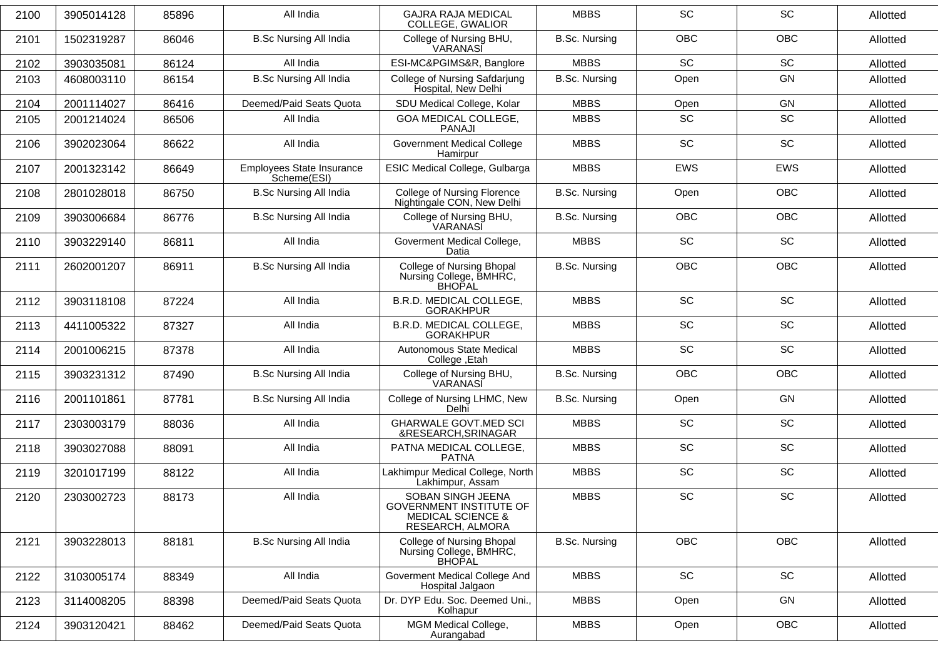| 3905014128 | 85896 | All India                                | <b>GAJRA RAJA MEDICAL</b><br>COLLEGE, GWALIOR                                                           | <b>MBBS</b>          | SC         | SC         | Allotted |
|------------|-------|------------------------------------------|---------------------------------------------------------------------------------------------------------|----------------------|------------|------------|----------|
| 1502319287 | 86046 | <b>B.Sc Nursing All India</b>            | College of Nursing BHU,<br>VARANASI                                                                     | <b>B.Sc. Nursing</b> | <b>OBC</b> | OBC        | Allotted |
| 3903035081 | 86124 | All India                                | ESI-MC&PGIMS&R, Banglore                                                                                | <b>MBBS</b>          | SC         | SC         | Allotted |
| 4608003110 | 86154 | <b>B.Sc Nursing All India</b>            | College of Nursing Safdarjung<br>Hospital, New Delhi                                                    | <b>B.Sc. Nursing</b> | Open       | GN         | Allotted |
| 2001114027 | 86416 | Deemed/Paid Seats Quota                  | SDU Medical College, Kolar                                                                              | <b>MBBS</b>          | Open       | GN         | Allotted |
| 2001214024 | 86506 | All India                                | GOA MEDICAL COLLEGE,<br><b>PANAJI</b>                                                                   | <b>MBBS</b>          | SC         | SC         | Allotted |
| 3902023064 | 86622 | All India                                | <b>Government Medical College</b><br>Hamirpur                                                           | <b>MBBS</b>          | SC         | SC         | Allotted |
| 2001323142 | 86649 | Employees State Insurance<br>Scheme(ESI) | ESIC Medical College, Gulbarga                                                                          | <b>MBBS</b>          | EWS        | EWS        | Allotted |
| 2801028018 | 86750 | <b>B.Sc Nursing All India</b>            | College of Nursing Florence<br>Nightingale CON, New Delhi                                               | <b>B.Sc. Nursing</b> | Open       | OBC        | Allotted |
| 3903006684 | 86776 | <b>B.Sc Nursing All India</b>            | College of Nursing BHU,<br>VARANASI                                                                     | <b>B.Sc. Nursing</b> | <b>OBC</b> | <b>OBC</b> | Allotted |
| 3903229140 | 86811 | All India                                | Goverment Medical College,<br>Datia                                                                     | <b>MBBS</b>          | SC         | SC         | Allotted |
| 2602001207 | 86911 | <b>B.Sc Nursing All India</b>            | College of Nursing Bhopal<br>Nursing College, BMHRC,<br>BHOPAL                                          | <b>B.Sc. Nursing</b> | <b>OBC</b> | OBC        | Allotted |
| 3903118108 | 87224 | All India                                | B.R.D. MEDICAL COLLEGE,<br><b>GORAKHPUR</b>                                                             | <b>MBBS</b>          | SC         | SC         | Allotted |
| 4411005322 | 87327 | All India                                | B.R.D. MEDICAL COLLEGE,<br><b>GORAKHPUR</b>                                                             | <b>MBBS</b>          | SC         | SC         | Allotted |
| 2001006215 | 87378 | All India                                | Autonomous State Medical<br>College, Etah                                                               | <b>MBBS</b>          | SC         | SC         | Allotted |
| 3903231312 | 87490 | <b>B.Sc Nursing All India</b>            | College of Nursing BHU,<br>VARANASI                                                                     | <b>B.Sc. Nursing</b> | <b>OBC</b> | <b>OBC</b> | Allotted |
| 2001101861 | 87781 | <b>B.Sc Nursing All India</b>            | College of Nursing LHMC, New<br>Delhi                                                                   | <b>B.Sc. Nursing</b> | Open       | GN         | Allotted |
| 2303003179 | 88036 | All India                                | <b>GHARWALE GOVT.MED SCI</b><br>&RESEARCH, SRINAGAR                                                     | <b>MBBS</b>          | SC         | SC         | Allotted |
| 3903027088 | 88091 | All India                                | PATNA MEDICAL COLLEGE,<br><b>PATNA</b>                                                                  | <b>MBBS</b>          | SC         | SC         | Allotted |
| 3201017199 | 88122 | All India                                | Lakhimpur Medical College, North<br>Lakhimpur, Assam                                                    | <b>MBBS</b>          | SC         | SC         | Allotted |
| 2303002723 | 88173 | All India                                | SOBAN SINGH JEENA<br><b>GOVERNMENT INSTITUTE OF</b><br><b>MEDICAL SCIENCE &amp;</b><br>RESEARCH, ALMORA | <b>MBBS</b>          | SC         | SC         | Allotted |
| 3903228013 | 88181 | <b>B.Sc Nursing All India</b>            | <b>College of Nursing Bhopal</b><br>Nursing College, BMHRC,<br>BHOPAL                                   | <b>B.Sc. Nursing</b> | OBC        | OBC        | Allotted |
| 3103005174 | 88349 | All India                                | Goverment Medical College And<br>Hospital Jalgaon                                                       | <b>MBBS</b>          | SC         | SC         | Allotted |
| 3114008205 | 88398 | Deemed/Paid Seats Quota                  | Dr. DYP Edu. Soc. Deemed Uni.,<br>Kolhapur                                                              | <b>MBBS</b>          | Open       | GN         | Allotted |
| 3903120421 | 88462 | Deemed/Paid Seats Quota                  | MGM Medical College,<br>Aurangabad                                                                      | <b>MBBS</b>          | Open       | <b>OBC</b> | Allotted |
|            |       |                                          |                                                                                                         |                      |            |            |          |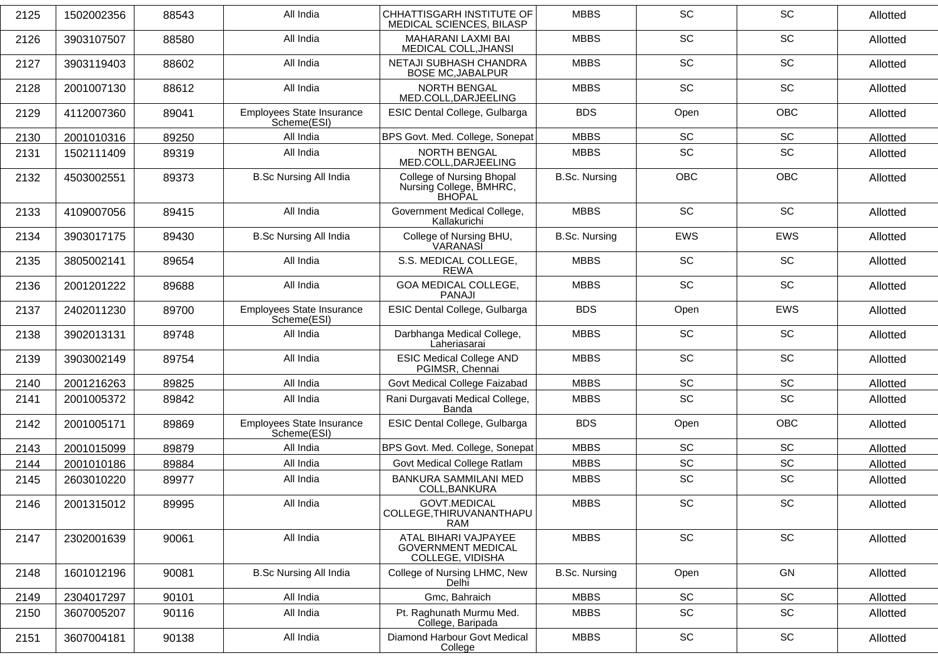| 2125 | 1502002356 | 88543 | All India                                | CHHATTISGARH INSTITUTE OF<br>MEDICAL SCIENCES, BILASP                 | <b>MBBS</b>          | <b>SC</b>                    | <b>SC</b>                    | Allotted |
|------|------------|-------|------------------------------------------|-----------------------------------------------------------------------|----------------------|------------------------------|------------------------------|----------|
| 2126 | 3903107507 | 88580 | All India                                | MAHARANI LAXMI BAI<br>MEDICAL COLL, JHANSI                            | <b>MBBS</b>          | SC                           | SC                           | Allotted |
| 2127 | 3903119403 | 88602 | All India                                | NETAJI SUBHASH CHANDRA<br><b>BOSE MC, JABALPUR</b>                    | <b>MBBS</b>          | <b>SC</b>                    | <b>SC</b>                    | Allotted |
| 2128 | 2001007130 | 88612 | All India                                | NORTH BENGAL<br>MED.COLL, DARJEELING                                  | <b>MBBS</b>          | SC                           | SC                           | Allotted |
| 2129 | 4112007360 | 89041 | Employees State Insurance<br>Scheme(ESI) | ESIC Dental College, Gulbarga                                         | <b>BDS</b>           | Open                         | OBC                          | Allotted |
| 2130 | 2001010316 | 89250 | All India                                | BPS Govt. Med. College, Sonepat                                       | <b>MBBS</b>          | SC                           | SC                           | Allotted |
| 2131 | 1502111409 | 89319 | All India                                | NORTH BENGAL<br>MED.COLL, DARJEELING                                  | <b>MBBS</b>          | SC                           | SC                           | Allotted |
| 2132 | 4503002551 | 89373 | <b>B.Sc Nursing All India</b>            | College of Nursing Bhopal<br>Nursing College, BMHRC,<br><b>BHOPAL</b> | <b>B.Sc. Nursing</b> | <b>OBC</b>                   | <b>OBC</b>                   | Allotted |
| 2133 | 4109007056 | 89415 | All India                                | Government Medical College,<br>Kallakurichi                           | <b>MBBS</b>          | <b>SC</b>                    | <b>SC</b>                    | Allotted |
| 2134 | 3903017175 | 89430 | <b>B.Sc Nursing All India</b>            | College of Nursing BHU,<br>VARANASI                                   | <b>B.Sc. Nursing</b> | EWS                          | EWS                          | Allotted |
| 2135 | 3805002141 | 89654 | All India                                | S.S. MEDICAL COLLEGE,<br><b>REWA</b>                                  | <b>MBBS</b>          | SC                           | <b>SC</b>                    | Allotted |
| 2136 | 2001201222 | 89688 | All India                                | <b>GOA MEDICAL COLLEGE,</b><br><b>PANAJI</b>                          | <b>MBBS</b>          | <b>SC</b>                    | SC                           | Allotted |
| 2137 | 2402011230 | 89700 | Employees State Insurance<br>Scheme(ESI) | ESIC Dental College, Gulbarga                                         | <b>BDS</b>           | Open                         | EWS                          | Allotted |
| 2138 | 3902013131 | 89748 | All India                                | Darbhanga Medical College,<br>Laheriasarai                            | <b>MBBS</b>          | SC                           | SC                           | Allotted |
| 2139 | 3903002149 | 89754 | All India                                | <b>ESIC Medical College AND</b><br>PGIMSR, Chennai                    | <b>MBBS</b>          | <b>SC</b>                    | <b>SC</b>                    | Allotted |
| 2140 | 2001216263 | 89825 | All India                                | Govt Medical College Faizabad                                         | <b>MBBS</b>          | SC                           | SC                           | Allotted |
| 2141 | 2001005372 | 89842 | All India                                | Rani Durgavati Medical College,<br><b>Banda</b>                       | <b>MBBS</b>          | <b>SC</b>                    | SC                           | Allotted |
| 2142 | 2001005171 | 89869 | Employees State Insurance<br>Scheme(ESI) | ESIC Dental College, Gulbarga                                         | <b>BDS</b>           | Open                         | <b>OBC</b>                   | Allotted |
| 2143 | 2001015099 | 89879 | All India                                | BPS Govt. Med. College, Sonepat                                       | <b>MBBS</b>          | SC                           | SC                           | Allotted |
| 2144 | 2001010186 | 89884 | All India                                | Govt Medical College Ratlam                                           | <b>MBBS</b>          | $\operatorname{\textsf{SC}}$ | $\operatorname{\textsf{SC}}$ | Allotted |
| 2145 | 2603010220 | 89977 | All India                                | <b>BANKURA SAMMILANI MED</b><br>COLL, BANKURA                         | <b>MBBS</b>          | <b>SC</b>                    | SC                           | Allotted |
| 2146 | 2001315012 | 89995 | All India                                | GOVT.MEDICAL<br>COLLEGE, THIRUVANANTHAPU<br><b>RAM</b>                | <b>MBBS</b>          | SC                           | $\operatorname{\textsf{SC}}$ | Allotted |
| 2147 | 2302001639 | 90061 | All India                                | ATAL BIHARI VAJPAYEE<br><b>GOVERNMENT MEDICAL</b><br>COLLEGE, VIDISHA | <b>MBBS</b>          | SC                           | SC                           | Allotted |
| 2148 | 1601012196 | 90081 | <b>B.Sc Nursing All India</b>            | College of Nursing LHMC, New<br>Delhi                                 | <b>B.Sc. Nursing</b> | Open                         | GN                           | Allotted |
| 2149 | 2304017297 | 90101 | All India                                | Gmc, Bahraich                                                         | <b>MBBS</b>          | $\operatorname{\textsf{SC}}$ | $\operatorname{\textsf{SC}}$ | Allotted |
| 2150 | 3607005207 | 90116 | All India                                | Pt. Raghunath Murmu Med.<br>College, Baripada                         | <b>MBBS</b>          | SC                           | SC                           | Allotted |
| 2151 | 3607004181 | 90138 | All India                                | Diamond Harbour Govt Medical<br>College                               | <b>MBBS</b>          | $\operatorname{\textsf{SC}}$ | $\operatorname{\textsf{SC}}$ | Allotted |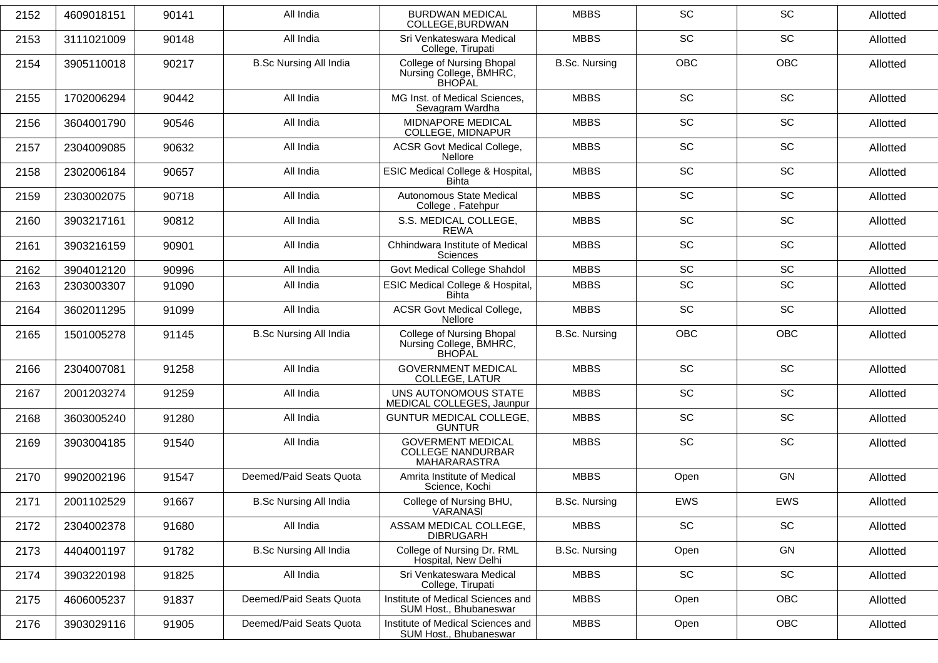| 2152 | 4609018151 | 90141 | All India                     | <b>BURDWAN MEDICAL</b><br>COLLEGE, BURDWAN                                   | <b>MBBS</b>          | <b>SC</b>  | SC         | Allotted |
|------|------------|-------|-------------------------------|------------------------------------------------------------------------------|----------------------|------------|------------|----------|
| 2153 | 3111021009 | 90148 | All India                     | Sri Venkateswara Medical<br>College, Tirupati                                | <b>MBBS</b>          | <b>SC</b>  | SC         | Allotted |
| 2154 | 3905110018 | 90217 | <b>B.Sc Nursing All India</b> | <b>College of Nursing Bhopal</b><br>Nursing College, BMHRC,<br><b>BHOPAL</b> | <b>B.Sc. Nursing</b> | <b>OBC</b> | OBC        | Allotted |
| 2155 | 1702006294 | 90442 | All India                     | MG Inst. of Medical Sciences,<br>Sevagram Wardha                             | <b>MBBS</b>          | <b>SC</b>  | <b>SC</b>  | Allotted |
| 2156 | 3604001790 | 90546 | All India                     | MIDNAPORE MEDICAL<br>COLLEGE, MIDNAPUR                                       | <b>MBBS</b>          | SC         | SC         | Allotted |
| 2157 | 2304009085 | 90632 | All India                     | <b>ACSR Govt Medical College,</b><br><b>Nellore</b>                          | <b>MBBS</b>          | SC         | SC         | Allotted |
| 2158 | 2302006184 | 90657 | All India                     | ESIC Medical College & Hospital,<br><b>Bihta</b>                             | <b>MBBS</b>          | <b>SC</b>  | <b>SC</b>  | Allotted |
| 2159 | 2303002075 | 90718 | All India                     | Autonomous State Medical<br>College, Fatehpur                                | <b>MBBS</b>          | SC         | SC         | Allotted |
| 2160 | 3903217161 | 90812 | All India                     | S.S. MEDICAL COLLEGE,<br><b>REWA</b>                                         | <b>MBBS</b>          | SC         | SC         | Allotted |
| 2161 | 3903216159 | 90901 | All India                     | Chhindwara Institute of Medical<br><b>Sciences</b>                           | <b>MBBS</b>          | SC         | SC         | Allotted |
| 2162 | 3904012120 | 90996 | All India                     | Govt Medical College Shahdol                                                 | <b>MBBS</b>          | SC         | SC         | Allotted |
| 2163 | 2303003307 | 91090 | All India                     | <b>ESIC Medical College &amp; Hospital,</b><br><b>Bihta</b>                  | <b>MBBS</b>          | SC         | SC         | Allotted |
| 2164 | 3602011295 | 91099 | All India                     | <b>ACSR Govt Medical College,</b><br><b>Nellore</b>                          | <b>MBBS</b>          | SC         | SC         | Allotted |
| 2165 | 1501005278 | 91145 | <b>B.Sc Nursing All India</b> | College of Nursing Bhopal<br>Nursing College, BMHRC,<br>BHOPAL               | <b>B.Sc. Nursing</b> | <b>OBC</b> | <b>OBC</b> | Allotted |
| 2166 | 2304007081 | 91258 | All India                     | <b>GOVERNMENT MEDICAL</b><br><b>COLLEGE, LATUR</b>                           | <b>MBBS</b>          | SC         | SC         | Allotted |
| 2167 | 2001203274 | 91259 | All India                     | UNS AUTONOMOUS STATE<br>MEDICAL COLLEGES, Jaunpur                            | <b>MBBS</b>          | <b>SC</b>  | <b>SC</b>  | Allotted |
| 2168 | 3603005240 | 91280 | All India                     | <b>GUNTUR MEDICAL COLLEGE,</b><br><b>GUNTUR</b>                              | <b>MBBS</b>          | <b>SC</b>  | SC         | Allotted |
| 2169 | 3903004185 | 91540 | All India                     | <b>GOVERMENT MEDICAL</b><br><b>COLLEGE NANDURBAR</b><br>MAHARARASTRA         | <b>MBBS</b>          | SC         | SC         | Allotted |
| 2170 | 9902002196 | 91547 | Deemed/Paid Seats Quota       | Amrita Institute of Medical<br>Science, Kochi                                | <b>MBBS</b>          | Open       | GN         | Allotted |
| 2171 | 2001102529 | 91667 | <b>B.Sc Nursing All India</b> | College of Nursing BHU,<br><u>VARANAS</u> Ĭ                                  | <b>B.Sc. Nursing</b> | <b>EWS</b> | <b>EWS</b> | Allotted |
| 2172 | 2304002378 | 91680 | All India                     | ASSAM MEDICAL COLLEGE,<br><b>DIBRUGARH</b>                                   | <b>MBBS</b>          | SC         | SC         | Allotted |
| 2173 | 4404001197 | 91782 | <b>B.Sc Nursing All India</b> | College of Nursing Dr. RML<br>Hospital, New Delhi                            | <b>B.Sc. Nursing</b> | Open       | GN         | Allotted |
| 2174 | 3903220198 | 91825 | All India                     | Sri Venkateswara Medical<br>College, Tirupati                                | <b>MBBS</b>          | SC         | SC         | Allotted |
| 2175 | 4606005237 | 91837 | Deemed/Paid Seats Quota       | Institute of Medical Sciences and<br>SUM Host., Bhubaneswar                  | <b>MBBS</b>          | Open       | OBC        | Allotted |
| 2176 | 3903029116 | 91905 | Deemed/Paid Seats Quota       | Institute of Medical Sciences and<br>SUM Host., Bhubaneswar                  | <b>MBBS</b>          | Open       | <b>OBC</b> | Allotted |
|      |            |       |                               |                                                                              |                      |            |            |          |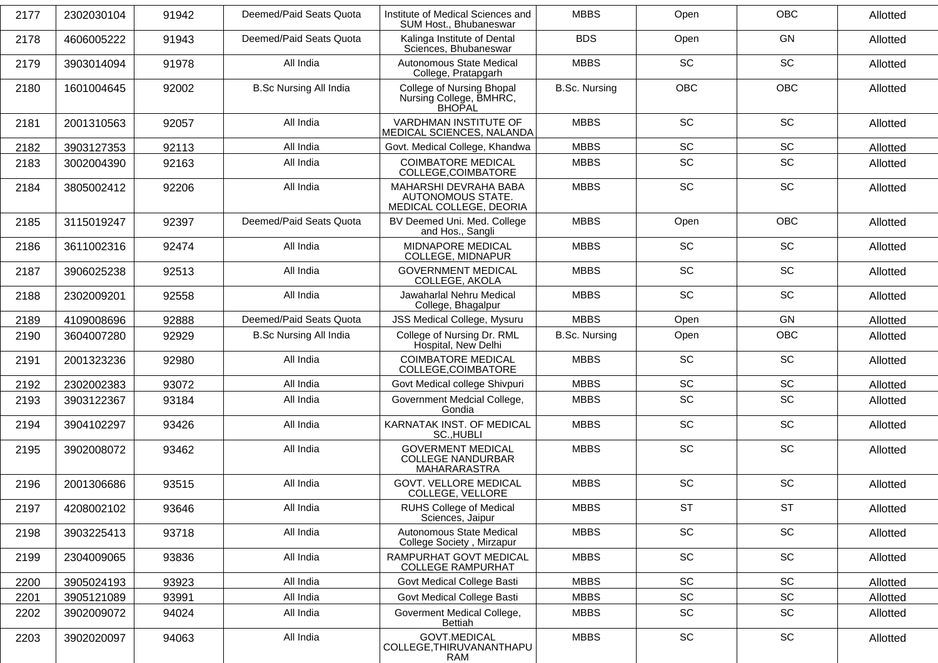| 2177 | 2302030104 | 91942 | Deemed/Paid Seats Quota       | Institute of Medical Sciences and<br>SUM Host., Bhubaneswar                  | <b>MBBS</b>          | Open                         | OBC                          | Allotted |
|------|------------|-------|-------------------------------|------------------------------------------------------------------------------|----------------------|------------------------------|------------------------------|----------|
| 2178 | 4606005222 | 91943 | Deemed/Paid Seats Quota       | Kalinga Institute of Dental<br>Sciences, Bhubaneswar                         | <b>BDS</b>           | Open                         | GN                           | Allotted |
| 2179 | 3903014094 | 91978 | All India                     | Autonomous State Medical<br>College, Pratapgarh                              | <b>MBBS</b>          | SC                           | SC                           | Allotted |
| 2180 | 1601004645 | 92002 | <b>B.Sc Nursing All India</b> | <b>College of Nursing Bhopal</b><br>Nursing College, BMHRC,<br><b>BHOPAL</b> | <b>B.Sc. Nursing</b> | <b>OBC</b>                   | OBC                          | Allotted |
| 2181 | 2001310563 | 92057 | All India                     | VARDHMAN INSTITUTE OF<br>MEDICAL SCIENCES, NALANDA                           | <b>MBBS</b>          | <b>SC</b>                    | SC                           | Allotted |
| 2182 | 3903127353 | 92113 | All India                     | Govt. Medical College, Khandwa                                               | <b>MBBS</b>          | SC                           | SC                           | Allotted |
| 2183 | 3002004390 | 92163 | All India                     | <b>COIMBATORE MEDICAL</b><br>COLLEGE, COIMBATORE                             | <b>MBBS</b>          | SC                           | SC                           | Allotted |
| 2184 | 3805002412 | 92206 | All India                     | MAHARSHI DEVRAHA BABA<br>AUTONOMOUS STATE.<br>MEDICAL COLLEGE, DEORIA        | <b>MBBS</b>          | SC                           | SC                           | Allotted |
| 2185 | 3115019247 | 92397 | Deemed/Paid Seats Quota       | BV Deemed Uni. Med. College<br>and Hos., Sangli                              | <b>MBBS</b>          | Open                         | OBC                          | Allotted |
| 2186 | 3611002316 | 92474 | All India                     | MIDNAPORE MEDICAL<br>COLLEGE, MIDNAPUR                                       | <b>MBBS</b>          | <b>SC</b>                    | SC                           | Allotted |
| 2187 | 3906025238 | 92513 | All India                     | <b>GOVERNMENT MEDICAL</b><br>COLLEGE, AKOLA                                  | <b>MBBS</b>          | SC                           | SC                           | Allotted |
| 2188 | 2302009201 | 92558 | All India                     | Jawaharlal Nehru Medical<br>College, Bhagalpur                               | <b>MBBS</b>          | <b>SC</b>                    | SC                           | Allotted |
| 2189 | 4109008696 | 92888 | Deemed/Paid Seats Quota       | JSS Medical College, Mysuru                                                  | <b>MBBS</b>          | Open                         | GN                           | Allotted |
| 2190 | 3604007280 | 92929 | <b>B.Sc Nursing All India</b> | College of Nursing Dr. RML<br>Hospital, New Delhi                            | <b>B.Sc. Nursing</b> | Open                         | OBC                          | Allotted |
| 2191 | 2001323236 | 92980 | All India                     | <b>COIMBATORE MEDICAL</b><br>COLLEGE, COIMBATORE                             | <b>MBBS</b>          | SC                           | SC                           | Allotted |
| 2192 | 2302002383 | 93072 | All India                     | Govt Medical college Shivpuri                                                | <b>MBBS</b>          | SC                           | SC                           | Allotted |
| 2193 | 3903122367 | 93184 | All India                     | Government Medcial College,<br>Gondia                                        | <b>MBBS</b>          | SC                           | SC                           | Allotted |
| 2194 | 3904102297 | 93426 | All India                     | KARNATAK INST. OF MEDICAL<br>SC., HUBLI                                      | <b>MBBS</b>          | SC                           | SC                           | Allotted |
| 2195 | 3902008072 | 93462 | All India                     | <b>GOVERMENT MEDICAL</b><br><b>COLLEGE NANDURBAR</b><br>MAHARARASTRA         | <b>MBBS</b>          | SC                           | SC                           | Allotted |
| 2196 | 2001306686 | 93515 | All India                     | <b>GOVT. VELLORE MEDICAL</b><br>COLLEGE, VELLORE                             | <b>MBBS</b>          | SC                           | <b>SC</b>                    | Allotted |
| 2197 | 4208002102 | 93646 | All India                     | RUHS College of Medical<br>Sciences, Jaipur                                  | <b>MBBS</b>          | <b>ST</b>                    | <b>ST</b>                    | Allotted |
| 2198 | 3903225413 | 93718 | All India                     | Autonomous State Medical<br>College Society, Mirzapur                        | <b>MBBS</b>          | $\operatorname{\textsf{SC}}$ | SC                           | Allotted |
| 2199 | 2304009065 | 93836 | All India                     | RAMPURHAT GOVT MEDICAL<br><b>COLLEGE RAMPURHAT</b>                           | <b>MBBS</b>          | SC                           | SC                           | Allotted |
| 2200 | 3905024193 | 93923 | All India                     | Govt Medical College Basti                                                   | <b>MBBS</b>          | $\operatorname{\textsf{SC}}$ | $\operatorname{\textsf{SC}}$ | Allotted |
| 2201 | 3905121089 | 93991 | All India                     | Govt Medical College Basti                                                   | <b>MBBS</b>          | SC                           | $\operatorname{\textsf{SC}}$ | Allotted |
| 2202 | 3902009072 | 94024 | All India                     | Goverment Medical College,<br>Bettiah                                        | <b>MBBS</b>          | SC                           | $\operatorname{\textsf{SC}}$ | Allotted |
| 2203 | 3902020097 | 94063 | All India                     | GOVT.MEDICAL<br>COLLEGE, THIRUVANANTHAPU<br>RAM                              | <b>MBBS</b>          | SC                           | $\operatorname{\textsf{SC}}$ | Allotted |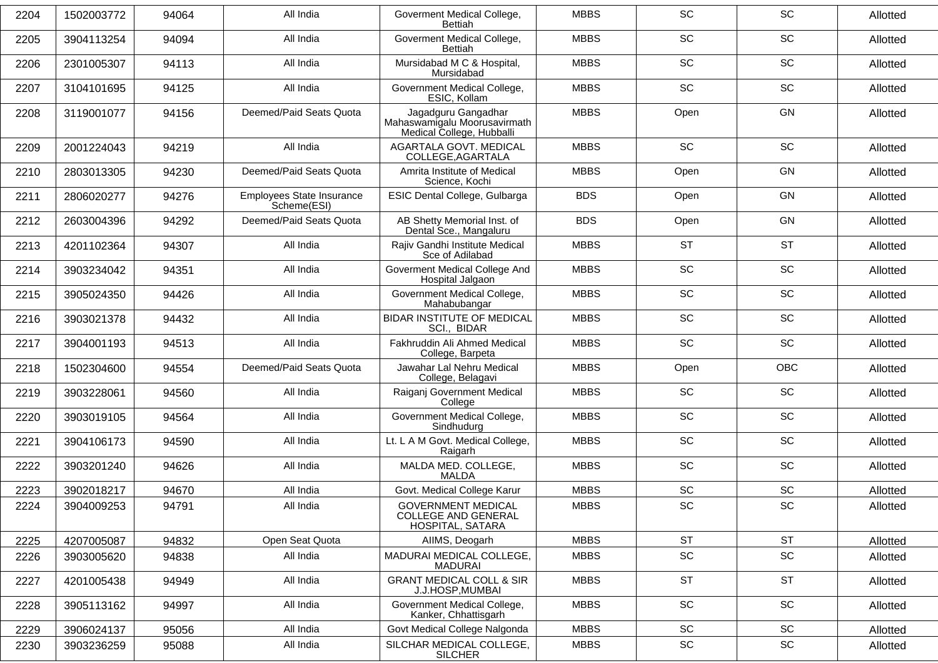| 2204 | 1502003772 | 94064 | All India                                | Goverment Medical College,<br>Bettiah                                            | <b>MBBS</b> | <b>SC</b>                    | SC         | Allotted |
|------|------------|-------|------------------------------------------|----------------------------------------------------------------------------------|-------------|------------------------------|------------|----------|
| 2205 | 3904113254 | 94094 | All India                                | Goverment Medical College,<br>Bettiah                                            | <b>MBBS</b> | <b>SC</b>                    | <b>SC</b>  | Allotted |
| 2206 | 2301005307 | 94113 | All India                                | Mursidabad M C & Hospital,<br>Mursidabad                                         | <b>MBBS</b> | SC                           | SC         | Allotted |
| 2207 | 3104101695 | 94125 | All India                                | Government Medical College,<br>ESIC, Kollam                                      | <b>MBBS</b> | SC                           | SC         | Allotted |
| 2208 | 3119001077 | 94156 | Deemed/Paid Seats Quota                  | Jagadguru Gangadhar<br>Mahaswamigalu Moorusavirmath<br>Medical College, Hubballi | <b>MBBS</b> | Open                         | GN         | Allotted |
| 2209 | 2001224043 | 94219 | All India                                | AGARTALA GOVT. MEDICAL<br>COLLEGE, AGARTALA                                      | <b>MBBS</b> | <b>SC</b>                    | <b>SC</b>  | Allotted |
| 2210 | 2803013305 | 94230 | Deemed/Paid Seats Quota                  | Amrita Institute of Medical<br>Science, Kochi                                    | <b>MBBS</b> | Open                         | GN         | Allotted |
| 2211 | 2806020277 | 94276 | Employees State Insurance<br>Scheme(ESI) | ESIC Dental College, Gulbarga                                                    | <b>BDS</b>  | Open                         | <b>GN</b>  | Allotted |
| 2212 | 2603004396 | 94292 | Deemed/Paid Seats Quota                  | AB Shetty Memorial Inst. of<br>Dental Sce., Mangaluru                            | <b>BDS</b>  | Open                         | <b>GN</b>  | Allotted |
| 2213 | 4201102364 | 94307 | All India                                | Rajiv Gandhi Institute Medical<br>Sce of Adilabad                                | <b>MBBS</b> | <b>ST</b>                    | <b>ST</b>  | Allotted |
| 2214 | 3903234042 | 94351 | All India                                | Goverment Medical College And<br>Hospital Jalgaon                                | <b>MBBS</b> | SC                           | SC         | Allotted |
| 2215 | 3905024350 | 94426 | All India                                | Government Medical College,<br>Mahabubangar                                      | <b>MBBS</b> | <b>SC</b>                    | <b>SC</b>  | Allotted |
| 2216 | 3903021378 | 94432 | All India                                | <b>BIDAR INSTITUTE OF MEDICAL</b><br>SCI., BIDAR                                 | <b>MBBS</b> | <b>SC</b>                    | SC         | Allotted |
| 2217 | 3904001193 | 94513 | All India                                | Fakhruddin Ali Ahmed Medical<br>College, Barpeta                                 | <b>MBBS</b> | SC                           | SC         | Allotted |
| 2218 | 1502304600 | 94554 | Deemed/Paid Seats Quota                  | Jawahar Lal Nehru Medical<br>College, Belagavi                                   | <b>MBBS</b> | Open                         | <b>OBC</b> | Allotted |
| 2219 | 3903228061 | 94560 | All India                                | Raiganj Government Medical<br>College                                            | <b>MBBS</b> | <b>SC</b>                    | SC         | Allotted |
| 2220 | 3903019105 | 94564 | All India                                | Government Medical College,<br>Sindhudurg                                        | <b>MBBS</b> | SC                           | SC         | Allotted |
| 2221 | 3904106173 | 94590 | All India                                | Lt. L A M Govt. Medical College,<br>Raigarh                                      | <b>MBBS</b> | <b>SC</b>                    | SC         | Allotted |
| 2222 | 3903201240 | 94626 | All India                                | MALDA MED. COLLEGE,<br><b>MALDA</b>                                              | <b>MBBS</b> | SC                           | SC         | Allotted |
| 2223 | 3902018217 | 94670 | All India                                | Govt. Medical College Karur                                                      | <b>MBBS</b> | SC                           | SC         | Allotted |
| 2224 | 3904009253 | 94791 | All India                                | <b>GOVERNMENT MEDICAL</b><br><b>COLLEGE AND GENERAL</b><br>HOSPITAL, SATARA      | <b>MBBS</b> | SC                           | SC         | Allotted |
| 2225 | 4207005087 | 94832 | Open Seat Quota                          | AIIMS, Deogarh                                                                   | <b>MBBS</b> | <b>ST</b>                    | <b>ST</b>  | Allotted |
| 2226 | 3903005620 | 94838 | All India                                | MADURAI MEDICAL COLLEGE,<br><b>MADURAI</b>                                       | <b>MBBS</b> | SC                           | SC         | Allotted |
| 2227 | 4201005438 | 94949 | All India                                | <b>GRANT MEDICAL COLL &amp; SIR</b><br>J.J.HOSP, MUMBAI                          | <b>MBBS</b> | <b>ST</b>                    | <b>ST</b>  | Allotted |
| 2228 | 3905113162 | 94997 | All India                                | Government Medical College,<br>Kanker, Chhattisgarh                              | <b>MBBS</b> | SC                           | SC         | Allotted |
| 2229 | 3906024137 | 95056 | All India                                | Govt Medical College Nalgonda                                                    | <b>MBBS</b> | SC                           | SC         | Allotted |
| 2230 | 3903236259 | 95088 | All India                                | SILCHAR MEDICAL COLLEGE,<br><b>SILCHER</b>                                       | <b>MBBS</b> | $\operatorname{\textsf{SC}}$ | SC         | Allotted |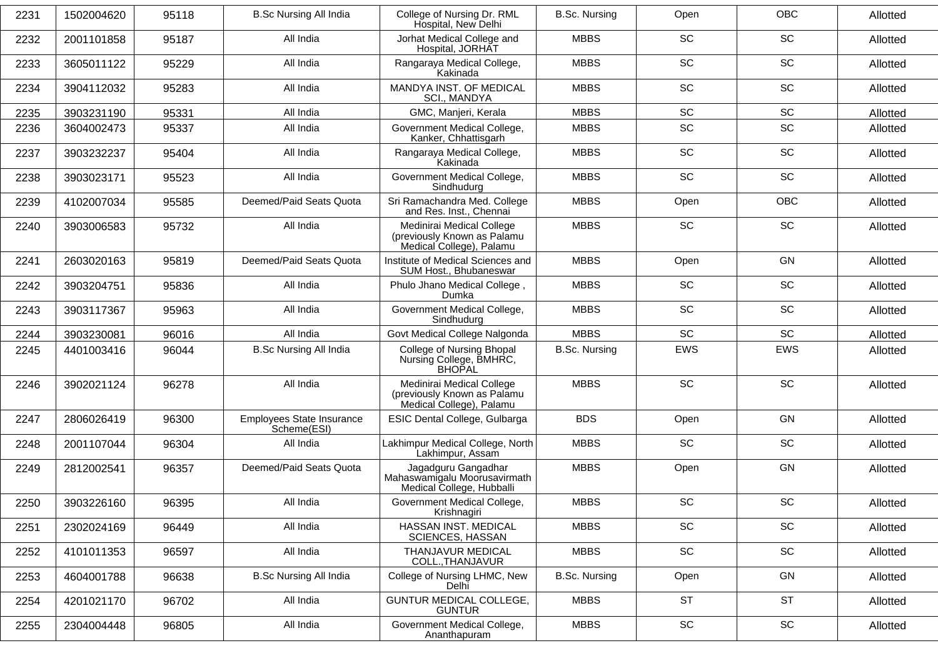| 2231 | 1502004620 | 95118 | <b>B.Sc Nursing All India</b>            | College of Nursing Dr. RML<br>Hospital, New Delhi                                    | <b>B.Sc. Nursing</b> | Open                         | <b>OBC</b> | Allotted |
|------|------------|-------|------------------------------------------|--------------------------------------------------------------------------------------|----------------------|------------------------------|------------|----------|
| 2232 | 2001101858 | 95187 | All India                                | Jorhat Medical College and<br>Hospital, JORHAT                                       | <b>MBBS</b>          | <b>SC</b>                    | <b>SC</b>  | Allotted |
| 2233 | 3605011122 | 95229 | All India                                | Rangaraya Medical College,<br>Kakinada                                               | <b>MBBS</b>          | <b>SC</b>                    | SC         | Allotted |
| 2234 | 3904112032 | 95283 | All India                                | MANDYA INST. OF MEDICAL<br>SCI., MANDYA                                              | <b>MBBS</b>          | SC                           | SC         | Allotted |
| 2235 | 3903231190 | 95331 | All India                                | GMC, Manjeri, Kerala                                                                 | <b>MBBS</b>          | SC                           | SC         | Allotted |
| 2236 | 3604002473 | 95337 | All India                                | Government Medical College,<br>Kanker, Chhattisgarh                                  | <b>MBBS</b>          | SC                           | SC         | Allotted |
| 2237 | 3903232237 | 95404 | All India                                | Rangaraya Medical College,<br>Kakinada                                               | <b>MBBS</b>          | <b>SC</b>                    | SC         | Allotted |
| 2238 | 3903023171 | 95523 | All India                                | Government Medical College,<br>Sindhudurg                                            | <b>MBBS</b>          | SC                           | SC         | Allotted |
| 2239 | 4102007034 | 95585 | Deemed/Paid Seats Quota                  | Sri Ramachandra Med. College<br>and Res. Inst., Chennai                              | <b>MBBS</b>          | Open                         | <b>OBC</b> | Allotted |
| 2240 | 3903006583 | 95732 | All India                                | Medinirai Medical College<br>(previously Known as Palamu<br>Medical College), Palamu | <b>MBBS</b>          | <b>SC</b>                    | <b>SC</b>  | Allotted |
| 2241 | 2603020163 | 95819 | Deemed/Paid Seats Quota                  | Institute of Medical Sciences and<br>SUM Host., Bhubaneswar                          | <b>MBBS</b>          | Open                         | <b>GN</b>  | Allotted |
| 2242 | 3903204751 | 95836 | All India                                | Phulo Jhano Medical College,<br>Dumka                                                | <b>MBBS</b>          | SC                           | SC         | Allotted |
| 2243 | 3903117367 | 95963 | All India                                | Government Medical College,<br>Sindhudura                                            | <b>MBBS</b>          | <b>SC</b>                    | SC         | Allotted |
| 2244 | 3903230081 | 96016 | All India                                | Govt Medical College Nalgonda                                                        | <b>MBBS</b>          | <b>SC</b>                    | SC         | Allotted |
| 2245 | 4401003416 | 96044 | <b>B.Sc Nursing All India</b>            | College of Nursing Bhopal<br>Nursing College, BMHRC,<br><b>BHOPAL</b>                | B.Sc. Nursing        | EWS                          | EWS        | Allotted |
| 2246 | 3902021124 | 96278 | All India                                | Medinirai Medical College<br>(previously Known as Palamu<br>Medical College), Palamu | <b>MBBS</b>          | SC                           | <b>SC</b>  | Allotted |
| 2247 | 2806026419 | 96300 | Employees State Insurance<br>Scheme(ESI) | ESIC Dental College, Gulbarga                                                        | <b>BDS</b>           | Open                         | <b>GN</b>  | Allotted |
| 2248 | 2001107044 | 96304 | All India                                | Lakhimpur Medical College, North<br>Lakhimpur, Assam                                 | <b>MBBS</b>          | SC                           | SC         | Allotted |
| 2249 | 2812002541 | 96357 | Deemed/Paid Seats Quota                  | Jagadguru Gangadhar<br>Mahaswamigalu Moorusavirmath<br>Medical College, Hubballi     | <b>MBBS</b>          | Open                         | <b>GN</b>  | Allotted |
| 2250 | 3903226160 | 96395 | All India                                | Government Medical College,<br>Krishnagiri                                           | <b>MBBS</b>          | SC                           | SC         | Allotted |
| 2251 | 2302024169 | 96449 | All India                                | HASSAN INST. MEDICAL<br><b>SCIENCES, HASSAN</b>                                      | <b>MBBS</b>          | SC                           | SC         | Allotted |
| 2252 | 4101011353 | 96597 | All India                                | THANJAVUR MEDICAL<br>COLL., THANJAVUR                                                | <b>MBBS</b>          | SC                           | SC         | Allotted |
| 2253 | 4604001788 | 96638 | <b>B.Sc Nursing All India</b>            | College of Nursing LHMC, New<br>Delhi                                                | <b>B.Sc. Nursing</b> | Open                         | GN         | Allotted |
| 2254 | 4201021170 | 96702 | All India                                | <b>GUNTUR MEDICAL COLLEGE,</b><br><b>GUNTUR</b>                                      | <b>MBBS</b>          | <b>ST</b>                    | <b>ST</b>  | Allotted |
| 2255 | 2304004448 | 96805 | All India                                | Government Medical College,<br>Ananthapuram                                          | <b>MBBS</b>          | $\operatorname{\textsf{SC}}$ | SC         | Allotted |
|      |            |       |                                          |                                                                                      |                      |                              |            |          |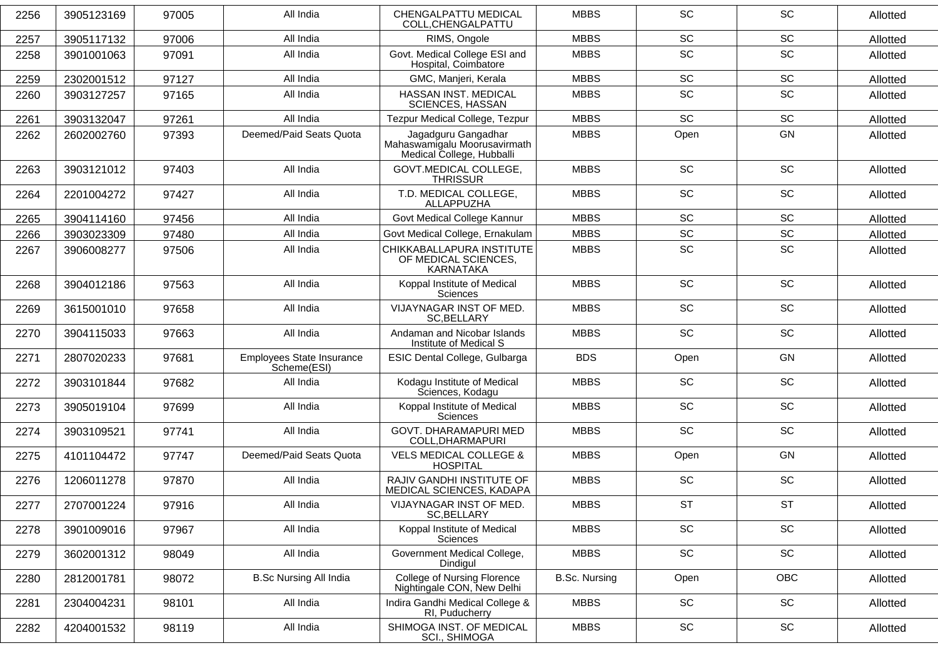| 2256 | 3905123169 | 97005 | All India                                | CHENGALPATTU MEDICAL<br>COLL, CHENGALPATTU                                       | <b>MBBS</b>          | SC                           | <b>SC</b>                    | Allotted |
|------|------------|-------|------------------------------------------|----------------------------------------------------------------------------------|----------------------|------------------------------|------------------------------|----------|
| 2257 | 3905117132 | 97006 | All India                                | RIMS, Ongole                                                                     | <b>MBBS</b>          | SC                           | SC                           | Allotted |
| 2258 | 3901001063 | 97091 | All India                                | Govt. Medical College ESI and<br>Hospital, Coimbatore                            | <b>MBBS</b>          | SC                           | SC                           | Allotted |
| 2259 | 2302001512 | 97127 | All India                                | GMC, Manjeri, Kerala                                                             | <b>MBBS</b>          | SC                           | $\operatorname{\textsf{SC}}$ | Allotted |
| 2260 | 3903127257 | 97165 | All India                                | HASSAN INST. MEDICAL<br><b>SCIENCES, HASSAN</b>                                  | <b>MBBS</b>          | SC                           | SC                           | Allotted |
| 2261 | 3903132047 | 97261 | All India                                | Tezpur Medical College, Tezpur                                                   | <b>MBBS</b>          | <b>SC</b>                    | SC                           | Allotted |
| 2262 | 2602002760 | 97393 | Deemed/Paid Seats Quota                  | Jagadguru Gangadhar<br>Mahaswamigalu Moorusavirmath<br>Medical College, Hubballi | <b>MBBS</b>          | Open                         | GN                           | Allotted |
| 2263 | 3903121012 | 97403 | All India                                | GOVT.MEDICAL COLLEGE,<br><b>THRISSUR</b>                                         | <b>MBBS</b>          | <b>SC</b>                    | <b>SC</b>                    | Allotted |
| 2264 | 2201004272 | 97427 | All India                                | T.D. MEDICAL COLLEGE,<br>ALLAPPUZHA                                              | <b>MBBS</b>          | SC                           | SC                           | Allotted |
| 2265 | 3904114160 | 97456 | All India                                | Govt Medical College Kannur                                                      | <b>MBBS</b>          | $\operatorname{\textsf{SC}}$ | $\operatorname{\textsf{SC}}$ | Allotted |
| 2266 | 3903023309 | 97480 | All India                                | Govt Medical College, Ernakulam                                                  | <b>MBBS</b>          | SC                           | SC                           | Allotted |
| 2267 | 3906008277 | 97506 | All India                                | CHIKKABALLAPURA INSTITUTE<br>OF MEDICAL SCIENCES,<br><b>KARNATAKA</b>            | <b>MBBS</b>          | SC                           | SC                           | Allotted |
| 2268 | 3904012186 | 97563 | All India                                | Koppal Institute of Medical<br><b>Sciences</b>                                   | <b>MBBS</b>          | SC                           | <b>SC</b>                    | Allotted |
| 2269 | 3615001010 | 97658 | All India                                | VIJAYNAGAR INST OF MED.<br>SC, BELLARY                                           | <b>MBBS</b>          | SC                           | SC                           | Allotted |
| 2270 | 3904115033 | 97663 | All India                                | Andaman and Nicobar Islands<br>Institute of Medical S                            | <b>MBBS</b>          | SC                           | SC                           | Allotted |
| 2271 | 2807020233 | 97681 | Employees State Insurance<br>Scheme(ESI) | ESIC Dental College, Gulbarga                                                    | <b>BDS</b>           | Open                         | GN                           | Allotted |
| 2272 | 3903101844 | 97682 | All India                                | Kodagu Institute of Medical<br>Sciences, Kodagu                                  | <b>MBBS</b>          | SC                           | SC                           | Allotted |
| 2273 | 3905019104 | 97699 | All India                                | Koppal Institute of Medical<br>Sciences                                          | <b>MBBS</b>          | SC                           | SC                           | Allotted |
| 2274 | 3903109521 | 97741 | All India                                | GOVT. DHARAMAPURI MED<br>COLL, DHARMAPURI                                        | <b>MBBS</b>          | <b>SC</b>                    | <b>SC</b>                    | Allotted |
| 2275 | 4101104472 | 97747 | Deemed/Paid Seats Quota                  | <b>VELS MEDICAL COLLEGE &amp;</b><br><b>HOSPITAL</b>                             | <b>MBBS</b>          | Open                         | GN                           | Allotted |
| 2276 | 1206011278 | 97870 | All India                                | RAJIV GANDHI INSTITUTE OF<br>MEDICAL SCIENCES, KADAPA                            | <b>MBBS</b>          | SC                           | SC                           | Allotted |
| 2277 | 2707001224 | 97916 | All India                                | VIJAYNAGAR INST OF MED.<br>SC, BELLARY                                           | <b>MBBS</b>          | <b>ST</b>                    | <b>ST</b>                    | Allotted |
| 2278 | 3901009016 | 97967 | All India                                | Koppal Institute of Medical<br><b>Sciences</b>                                   | <b>MBBS</b>          | SC                           | SC                           | Allotted |
| 2279 | 3602001312 | 98049 | All India                                | Government Medical College,<br>Dindigul                                          | <b>MBBS</b>          | SC                           | SC                           | Allotted |
| 2280 | 2812001781 | 98072 | <b>B.Sc Nursing All India</b>            | <b>College of Nursing Florence</b><br>Nightingale CON, New Delhi                 | <b>B.Sc. Nursing</b> | Open                         | OBC                          | Allotted |
| 2281 | 2304004231 | 98101 | All India                                | Indira Gandhi Medical College &<br>RI, Puducherry                                | <b>MBBS</b>          | SC                           | SC                           | Allotted |
| 2282 | 4204001532 | 98119 | All India                                | SHIMOGA INST. OF MEDICAL<br>SCI., SHIMOGA                                        | <b>MBBS</b>          | SC                           | SC                           | Allotted |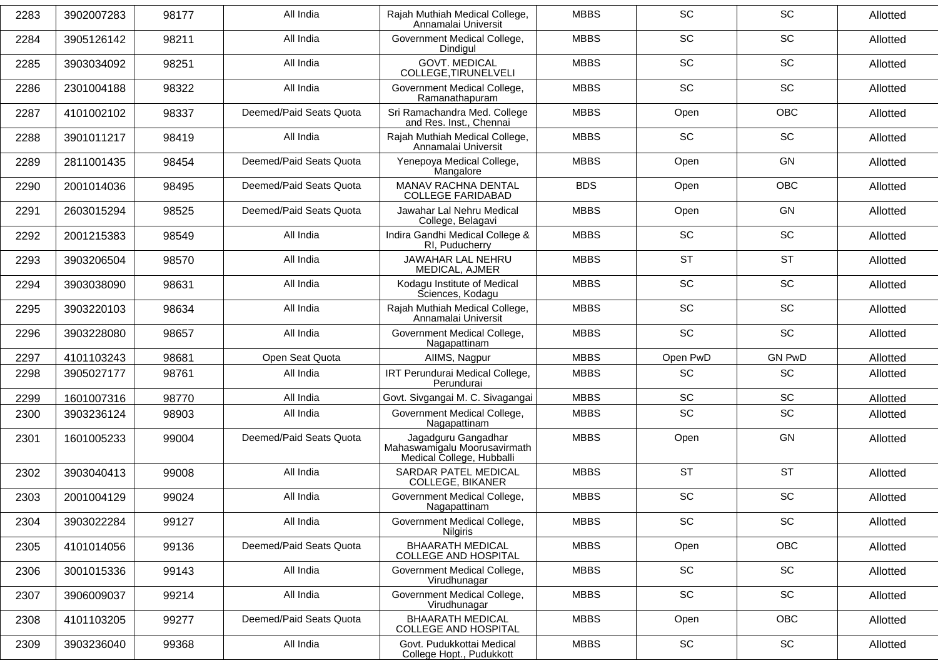| 2283 | 3902007283 | 98177 | All India               | Rajah Muthiah Medical College,<br>Annamalai Universit                            | <b>MBBS</b> | SC                           | <b>SC</b>     | Allotted |
|------|------------|-------|-------------------------|----------------------------------------------------------------------------------|-------------|------------------------------|---------------|----------|
| 2284 | 3905126142 | 98211 | All India               | Government Medical College,<br>Dindigul                                          | <b>MBBS</b> | <b>SC</b>                    | <b>SC</b>     | Allotted |
| 2285 | 3903034092 | 98251 | All India               | <b>GOVT. MEDICAL</b><br>COLLEGE, TIRUNELVELI                                     | <b>MBBS</b> | <b>SC</b>                    | SC            | Allotted |
| 2286 | 2301004188 | 98322 | All India               | Government Medical College,<br>Ramanathapuram                                    | <b>MBBS</b> | SC                           | <b>SC</b>     | Allotted |
| 2287 | 4101002102 | 98337 | Deemed/Paid Seats Quota | Sri Ramachandra Med. College<br>and Res. Inst., Chennai                          | <b>MBBS</b> | Open                         | <b>OBC</b>    | Allotted |
| 2288 | 3901011217 | 98419 | All India               | Rajah Muthiah Medical College,<br>Annamalai Universit                            | <b>MBBS</b> | <b>SC</b>                    | SC            | Allotted |
| 2289 | 2811001435 | 98454 | Deemed/Paid Seats Quota | Yenepoya Medical College,<br>Mangalore                                           | <b>MBBS</b> | Open                         | <b>GN</b>     | Allotted |
| 2290 | 2001014036 | 98495 | Deemed/Paid Seats Quota | MANAV RACHNA DENTAL<br><b>COLLEGE FARIDABAD</b>                                  | <b>BDS</b>  | Open                         | <b>OBC</b>    | Allotted |
| 2291 | 2603015294 | 98525 | Deemed/Paid Seats Quota | Jawahar Lal Nehru Medical<br>College, Belagavi                                   | <b>MBBS</b> | Open                         | <b>GN</b>     | Allotted |
| 2292 | 2001215383 | 98549 | All India               | Indira Gandhi Medical College &<br>RI, Puducherry                                | <b>MBBS</b> | SC                           | SC            | Allotted |
| 2293 | 3903206504 | 98570 | All India               | JAWAHAR LAL NEHRU<br>MEDICAL, AJMER                                              | <b>MBBS</b> | <b>ST</b>                    | <b>ST</b>     | Allotted |
| 2294 | 3903038090 | 98631 | All India               | Kodagu Institute of Medical<br>Sciences, Kodagu                                  | <b>MBBS</b> | <b>SC</b>                    | SC            | Allotted |
| 2295 | 3903220103 | 98634 | All India               | Rajah Muthiah Medical College,<br>Annamalai Universit                            | <b>MBBS</b> | SC                           | <b>SC</b>     | Allotted |
| 2296 | 3903228080 | 98657 | All India               | Government Medical College,<br>Nagapattinam                                      | <b>MBBS</b> | SC                           | SC            | Allotted |
| 2297 | 4101103243 | 98681 | Open Seat Quota         | AllMS, Nagpur                                                                    | <b>MBBS</b> | Open PwD                     | <b>GN PwD</b> | Allotted |
| 2298 | 3905027177 | 98761 | All India               | IRT Perundurai Medical College,<br>Perundurai                                    | <b>MBBS</b> | <b>SC</b>                    | <b>SC</b>     | Allotted |
| 2299 | 1601007316 | 98770 | All India               | Govt. Sivgangai M. C. Sivagangai                                                 | <b>MBBS</b> | <b>SC</b>                    | <b>SC</b>     | Allotted |
| 2300 | 3903236124 | 98903 | All India               | Government Medical College,<br>Nagapattinam                                      | <b>MBBS</b> | SC                           | SC            | Allotted |
| 2301 | 1601005233 | 99004 | Deemed/Paid Seats Quota | Jagadguru Gangadhar<br>Mahaswamigalu Moorusavirmath<br>Medical College, Hubballi | <b>MBBS</b> | Open                         | <b>GN</b>     | Allotted |
| 2302 | 3903040413 | 99008 | All India               | SARDAR PATEL MEDICAL<br><b>COLLEGE, BIKANER</b>                                  | <b>MBBS</b> | <b>ST</b>                    | <b>ST</b>     | Allotted |
| 2303 | 2001004129 | 99024 | All India               | Government Medical College,<br>Nagapattinam                                      | <b>MBBS</b> | SC                           | SC            | Allotted |
| 2304 | 3903022284 | 99127 | All India               | Government Medical College,<br><b>Nilgiris</b>                                   | <b>MBBS</b> | SC                           | SC            | Allotted |
| 2305 | 4101014056 | 99136 | Deemed/Paid Seats Quota | <b>BHAARATH MEDICAL</b><br><b>COLLEGE AND HOSPITAL</b>                           | <b>MBBS</b> | Open                         | OBC           | Allotted |
| 2306 | 3001015336 | 99143 | All India               | Government Medical College,<br>Virudhunagar                                      | <b>MBBS</b> | $\operatorname{\textsf{SC}}$ | SC            | Allotted |
| 2307 | 3906009037 | 99214 | All India               | Government Medical College,<br>Virudhunagar                                      | <b>MBBS</b> | SC                           | SC            | Allotted |
| 2308 | 4101103205 | 99277 | Deemed/Paid Seats Quota | <b>BHAARATH MEDICAL</b><br><b>COLLEGE AND HOSPITAL</b>                           | <b>MBBS</b> | Open                         | OBC           | Allotted |
| 2309 | 3903236040 | 99368 | All India               | Govt. Pudukkottai Medical<br>College Hopt., Pudukkott                            | <b>MBBS</b> | SC                           | SC            | Allotted |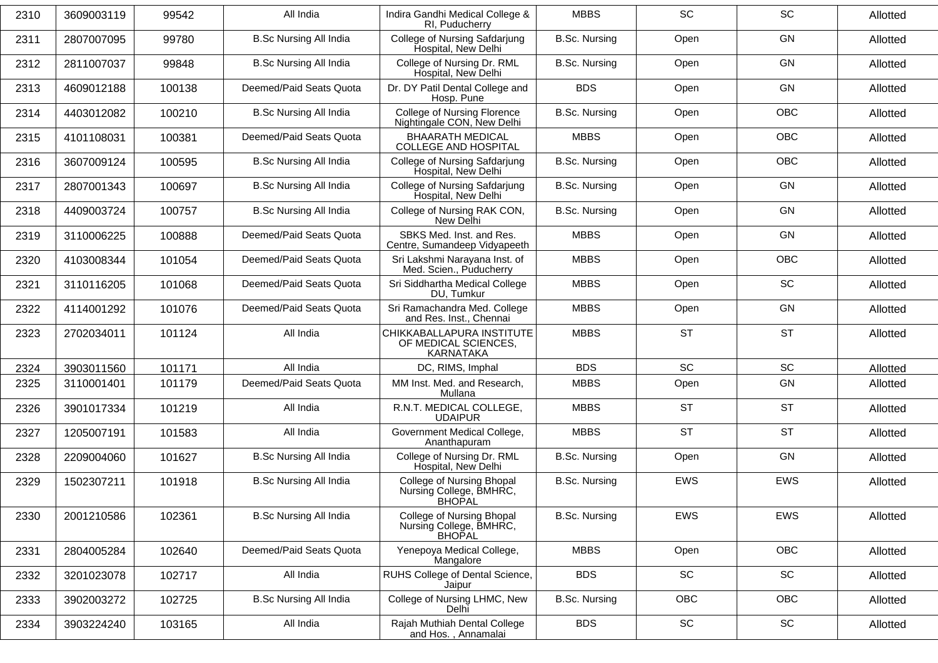| 2310 | 3609003119 | 99542  | All India                     | Indira Gandhi Medical College &<br>RI, Puducherry                     | <b>MBBS</b>          | <b>SC</b>                    | SC         | Allotted |
|------|------------|--------|-------------------------------|-----------------------------------------------------------------------|----------------------|------------------------------|------------|----------|
| 2311 | 2807007095 | 99780  | <b>B.Sc Nursing All India</b> | College of Nursing Safdarjung<br>Hospital, New Delhi                  | <b>B.Sc. Nursing</b> | Open                         | <b>GN</b>  | Allotted |
| 2312 | 2811007037 | 99848  | <b>B.Sc Nursing All India</b> | College of Nursing Dr. RML<br>Hospital, New Delhi                     | <b>B.Sc. Nursing</b> | Open                         | <b>GN</b>  | Allotted |
| 2313 | 4609012188 | 100138 | Deemed/Paid Seats Quota       | Dr. DY Patil Dental College and<br>Hosp. Pune                         | <b>BDS</b>           | Open                         | <b>GN</b>  | Allotted |
| 2314 | 4403012082 | 100210 | <b>B.Sc Nursing All India</b> | <b>College of Nursing Florence</b><br>Nightingale CON, New Delhi      | <b>B.Sc. Nursing</b> | Open                         | OBC        | Allotted |
| 2315 | 4101108031 | 100381 | Deemed/Paid Seats Quota       | <b>BHAARATH MEDICAL</b><br><b>COLLEGE AND HOSPITAL</b>                | <b>MBBS</b>          | Open                         | OBC        | Allotted |
| 2316 | 3607009124 | 100595 | <b>B.Sc Nursing All India</b> | College of Nursing Safdarjung<br>Hospital, New Delhi                  | <b>B.Sc. Nursing</b> | Open                         | <b>OBC</b> | Allotted |
| 2317 | 2807001343 | 100697 | <b>B.Sc Nursing All India</b> | College of Nursing Safdarjung<br>Hospital, New Delhi                  | <b>B.Sc. Nursing</b> | Open                         | <b>GN</b>  | Allotted |
| 2318 | 4409003724 | 100757 | <b>B.Sc Nursing All India</b> | College of Nursing RAK CON,<br>New Delhi                              | B.Sc. Nursing        | Open                         | <b>GN</b>  | Allotted |
| 2319 | 3110006225 | 100888 | Deemed/Paid Seats Quota       | SBKS Med. Inst. and Res.<br>Centre, Sumandeep Vidyapeeth              | <b>MBBS</b>          | Open                         | <b>GN</b>  | Allotted |
| 2320 | 4103008344 | 101054 | Deemed/Paid Seats Quota       | Sri Lakshmi Narayana Inst. of<br>Med. Scien., Puducherry              | <b>MBBS</b>          | Open                         | OBC        | Allotted |
| 2321 | 3110116205 | 101068 | Deemed/Paid Seats Quota       | Sri Siddhartha Medical College<br>DU, Tumkur                          | <b>MBBS</b>          | Open                         | SC         | Allotted |
| 2322 | 4114001292 | 101076 | Deemed/Paid Seats Quota       | Sri Ramachandra Med. College<br>and Res. Inst., Chennai               | <b>MBBS</b>          | Open                         | <b>GN</b>  | Allotted |
| 2323 | 2702034011 | 101124 | All India                     | CHIKKABALLAPURA INSTITUTE<br>OF MEDICAL SCIENCES,<br>KARNATAKA        | <b>MBBS</b>          | <b>ST</b>                    | <b>ST</b>  | Allotted |
| 2324 | 3903011560 | 101171 | All India                     | DC, RIMS, Imphal                                                      | <b>BDS</b>           | <b>SC</b>                    | SC         | Allotted |
| 2325 | 3110001401 | 101179 | Deemed/Paid Seats Quota       | MM Inst. Med. and Research,<br>Mullana                                | <b>MBBS</b>          | Open                         | <b>GN</b>  | Allotted |
| 2326 | 3901017334 | 101219 | All India                     | R.N.T. MEDICAL COLLEGE,<br><b>UDAIPUR</b>                             | <b>MBBS</b>          | <b>ST</b>                    | <b>ST</b>  | Allotted |
| 2327 | 1205007191 | 101583 | All India                     | Government Medical College,<br>Ananthapuram                           | <b>MBBS</b>          | <b>ST</b>                    | <b>ST</b>  | Allotted |
| 2328 | 2209004060 | 101627 | <b>B.Sc Nursing All India</b> | College of Nursing Dr. RML<br>Hospital, New Delhi                     | <b>B.Sc. Nursing</b> | Open                         | <b>GN</b>  | Allotted |
| 2329 | 1502307211 | 101918 | <b>B.Sc Nursing All India</b> | College of Nursing Bhopal<br>Nursing College, BMHRC,<br><b>BHOPAL</b> | B.Sc. Nursing        | <b>EWS</b>                   | <b>EWS</b> | Allotted |
| 2330 | 2001210586 | 102361 | <b>B.Sc Nursing All India</b> | College of Nursing Bhopal<br>Nursing College, BMHRC,<br>BHOPAL        | <b>B.Sc. Nursing</b> | EWS                          | EWS        | Allotted |
| 2331 | 2804005284 | 102640 | Deemed/Paid Seats Quota       | Yenepoya Medical College,<br>Mangalore                                | <b>MBBS</b>          | Open                         | OBC        | Allotted |
| 2332 | 3201023078 | 102717 | All India                     | RUHS College of Dental Science,<br>Jaipur                             | <b>BDS</b>           | $\operatorname{\textsf{SC}}$ | SC         | Allotted |
| 2333 | 3902003272 | 102725 | <b>B.Sc Nursing All India</b> | College of Nursing LHMC, New<br>Delhi                                 | B.Sc. Nursing        | OBC                          | OBC        | Allotted |
| 2334 | 3903224240 | 103165 | All India                     | Rajah Muthiah Dental College<br>and Hos., Annamalai                   | <b>BDS</b>           | SC                           | SC         | Allotted |
|      |            |        |                               |                                                                       |                      |                              |            |          |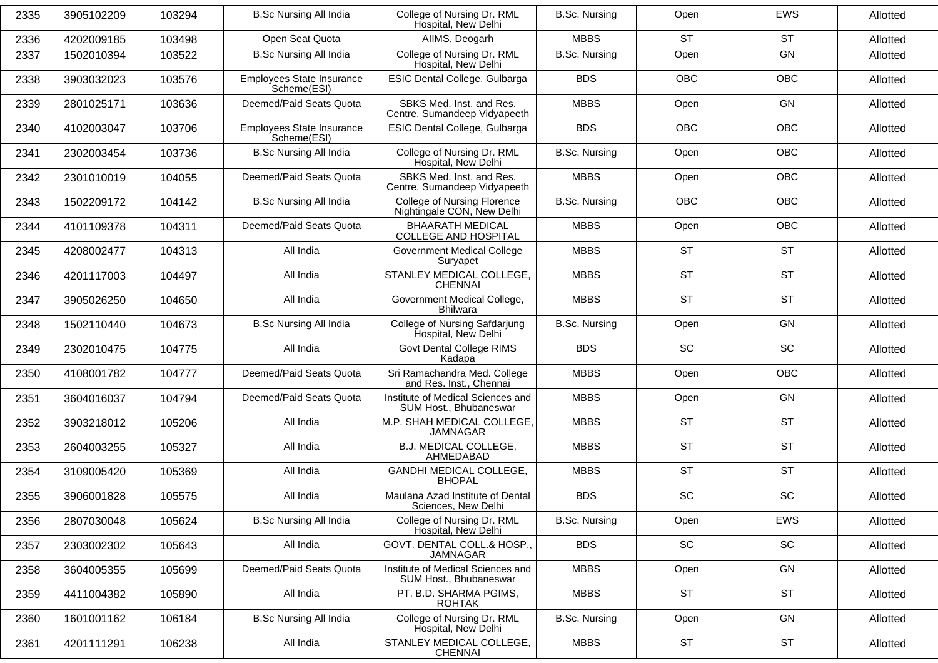| 2335 | 3905102209 | 103294 | <b>B.Sc Nursing All India</b>                   | College of Nursing Dr. RML<br>Hospital, New Delhi           | <b>B.Sc. Nursing</b> | Open       | <b>EWS</b> | Allotted |
|------|------------|--------|-------------------------------------------------|-------------------------------------------------------------|----------------------|------------|------------|----------|
| 2336 | 4202009185 | 103498 | Open Seat Quota                                 | AIIMS, Deogarh                                              | <b>MBBS</b>          | <b>ST</b>  | <b>ST</b>  | Allotted |
| 2337 | 1502010394 | 103522 | <b>B.Sc Nursing All India</b>                   | College of Nursing Dr. RML<br>Hospital, New Delhi           | <b>B.Sc. Nursing</b> | Open       | GN         | Allotted |
| 2338 | 3903032023 | 103576 | Employees State Insurance<br>Scheme(ESI)        | ESIC Dental College, Gulbarga                               | <b>BDS</b>           | OBC        | <b>OBC</b> | Allotted |
| 2339 | 2801025171 | 103636 | Deemed/Paid Seats Quota                         | SBKS Med. Inst. and Res.<br>Centre, Sumandeep Vidyapeeth    | <b>MBBS</b>          | Open       | GN         | Allotted |
| 2340 | 4102003047 | 103706 | <b>Employees State Insurance</b><br>Scheme(ESI) | ESIC Dental College, Gulbarga                               | <b>BDS</b>           | <b>OBC</b> | <b>OBC</b> | Allotted |
| 2341 | 2302003454 | 103736 | <b>B.Sc Nursing All India</b>                   | College of Nursing Dr. RML<br>Hospital, New Delhi           | <b>B.Sc. Nursing</b> | Open       | <b>OBC</b> | Allotted |
| 2342 | 2301010019 | 104055 | Deemed/Paid Seats Quota                         | SBKS Med. Inst. and Res.<br>Centre, Sumandeep Vidyapeeth    | <b>MBBS</b>          | Open       | <b>OBC</b> | Allotted |
| 2343 | 1502209172 | 104142 | <b>B.Sc Nursing All India</b>                   | College of Nursing Florence<br>Nightingale CON, New Delhi   | <b>B.Sc. Nursing</b> | <b>OBC</b> | <b>OBC</b> | Allotted |
| 2344 | 4101109378 | 104311 | Deemed/Paid Seats Quota                         | <b>BHAARATH MEDICAL</b><br><b>COLLEGE AND HOSPITAL</b>      | <b>MBBS</b>          | Open       | <b>OBC</b> | Allotted |
| 2345 | 4208002477 | 104313 | All India                                       | <b>Government Medical College</b><br>Suryapet               | <b>MBBS</b>          | <b>ST</b>  | <b>ST</b>  | Allotted |
| 2346 | 4201117003 | 104497 | All India                                       | STANLEY MEDICAL COLLEGE,<br><b>CHENNAI</b>                  | <b>MBBS</b>          | <b>ST</b>  | <b>ST</b>  | Allotted |
| 2347 | 3905026250 | 104650 | All India                                       | Government Medical College,<br><b>Bhilwara</b>              | <b>MBBS</b>          | <b>ST</b>  | <b>ST</b>  | Allotted |
| 2348 | 1502110440 | 104673 | <b>B.Sc Nursing All India</b>                   | <b>College of Nursing Safdarjung</b><br>Hospital, New Delhi | <b>B.Sc. Nursing</b> | Open       | GN         | Allotted |
| 2349 | 2302010475 | 104775 | All India                                       | Govt Dental College RIMS<br>Kadapa                          | <b>BDS</b>           | SC         | SC         | Allotted |
| 2350 | 4108001782 | 104777 | Deemed/Paid Seats Quota                         | Sri Ramachandra Med. College<br>and Res. Inst., Chennai     | <b>MBBS</b>          | Open       | <b>OBC</b> | Allotted |
| 2351 | 3604016037 | 104794 | Deemed/Paid Seats Quota                         | Institute of Medical Sciences and<br>SUM Host., Bhubaneswar | <b>MBBS</b>          | Open       | GN         | Allotted |
| 2352 | 3903218012 | 105206 | All India                                       | M.P. SHAH MEDICAL COLLEGE,<br><b>JAMNAGAR</b>               | <b>MBBS</b>          | <b>ST</b>  | <b>ST</b>  | Allotted |
| 2353 | 2604003255 | 105327 | All India                                       | B.J. MEDICAL COLLEGE,<br>AHMEDABAD                          | <b>MBBS</b>          | <b>ST</b>  | <b>ST</b>  | Allotted |
| 2354 | 3109005420 | 105369 | All India                                       | GANDHI MEDICAL COLLEGE,<br><b>BHOPAL</b>                    | <b>MBBS</b>          | <b>ST</b>  | <b>ST</b>  | Allotted |
| 2355 | 3906001828 | 105575 | All India                                       | Maulana Azad Institute of Dental<br>Sciences, New Delhi     | <b>BDS</b>           | SC         | SC         | Allotted |
| 2356 | 2807030048 | 105624 | <b>B.Sc Nursing All India</b>                   | College of Nursing Dr. RML<br>Hospital, New Delhi           | <b>B.Sc. Nursing</b> | Open       | EWS        | Allotted |
| 2357 | 2303002302 | 105643 | All India                                       | GOVT. DENTAL COLL.& HOSP.,<br>JAMNAGAR                      | <b>BDS</b>           | SC         | SC         | Allotted |
| 2358 | 3604005355 | 105699 | Deemed/Paid Seats Quota                         | Institute of Medical Sciences and<br>SUM Host., Bhubaneswar | <b>MBBS</b>          | Open       | GN         | Allotted |
| 2359 | 4411004382 | 105890 | All India                                       | PT. B.D. SHARMA PGIMS,<br><b>ROHTAK</b>                     | <b>MBBS</b>          | <b>ST</b>  | <b>ST</b>  | Allotted |
| 2360 | 1601001162 | 106184 | <b>B.Sc Nursing All India</b>                   | College of Nursing Dr. RML<br>Hospital, New Delhi           | <b>B.Sc. Nursing</b> | Open       | GN         | Allotted |
| 2361 | 4201111291 | 106238 | All India                                       | STANLEY MEDICAL COLLEGE,<br><b>CHENNAI</b>                  | <b>MBBS</b>          | ST         | <b>ST</b>  | Allotted |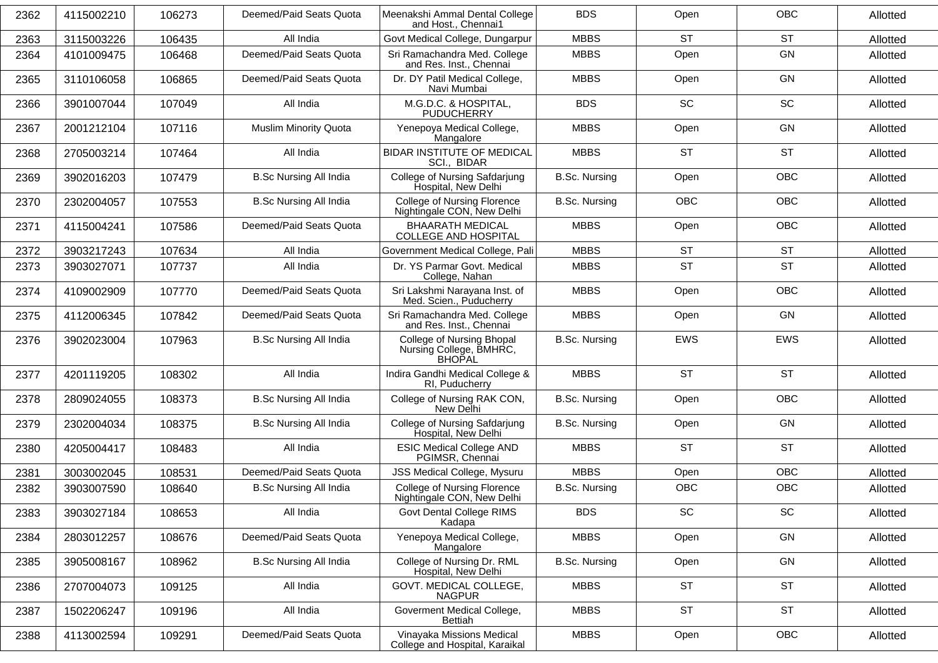| 2362 | 4115002210 | 106273 | Deemed/Paid Seats Quota       | Meenakshi Ammal Dental College<br>and Host., Chennai1                 | <b>BDS</b>           | Open       | <b>OBC</b> | Allotted |
|------|------------|--------|-------------------------------|-----------------------------------------------------------------------|----------------------|------------|------------|----------|
| 2363 | 3115003226 | 106435 | All India                     | Govt Medical College, Dungarpur                                       | <b>MBBS</b>          | <b>ST</b>  | <b>ST</b>  | Allotted |
| 2364 | 4101009475 | 106468 | Deemed/Paid Seats Quota       | Sri Ramachandra Med. College<br>and Res. Inst., Chennai               | <b>MBBS</b>          | Open       | <b>GN</b>  | Allotted |
| 2365 | 3110106058 | 106865 | Deemed/Paid Seats Quota       | Dr. DY Patil Medical College,<br>Navi Mumbai                          | <b>MBBS</b>          | Open       | GN         | Allotted |
| 2366 | 3901007044 | 107049 | All India                     | M.G.D.C. & HOSPITAL,<br><b>PUDUCHERRY</b>                             | <b>BDS</b>           | <b>SC</b>  | <b>SC</b>  | Allotted |
| 2367 | 2001212104 | 107116 | <b>Muslim Minority Quota</b>  | Yenepoya Medical College,<br>Mangalore                                | <b>MBBS</b>          | Open       | <b>GN</b>  | Allotted |
| 2368 | 2705003214 | 107464 | All India                     | <b>BIDAR INSTITUTE OF MEDICAL</b><br>SCI., BIDAR                      | <b>MBBS</b>          | <b>ST</b>  | <b>ST</b>  | Allotted |
| 2369 | 3902016203 | 107479 | <b>B.Sc Nursing All India</b> | College of Nursing Safdarjung<br>Hospital, New Delhi                  | <b>B.Sc. Nursing</b> | Open       | <b>OBC</b> | Allotted |
| 2370 | 2302004057 | 107553 | <b>B.Sc Nursing All India</b> | College of Nursing Florence<br>Nightingale CON, New Delhi             | <b>B.Sc. Nursing</b> | <b>OBC</b> | <b>OBC</b> | Allotted |
| 2371 | 4115004241 | 107586 | Deemed/Paid Seats Quota       | <b>BHAARATH MEDICAL</b><br><b>COLLEGE AND HOSPITAL</b>                | <b>MBBS</b>          | Open       | <b>OBC</b> | Allotted |
| 2372 | 3903217243 | 107634 | All India                     | Government Medical College, Pali                                      | <b>MBBS</b>          | <b>ST</b>  | <b>ST</b>  | Allotted |
| 2373 | 3903027071 | 107737 | All India                     | Dr. YS Parmar Govt. Medical<br>College, Nahan                         | <b>MBBS</b>          | <b>ST</b>  | <b>ST</b>  | Allotted |
| 2374 | 4109002909 | 107770 | Deemed/Paid Seats Quota       | Sri Lakshmi Narayana Inst. of<br>Med. Scien., Puducherry              | <b>MBBS</b>          | Open       | <b>OBC</b> | Allotted |
| 2375 | 4112006345 | 107842 | Deemed/Paid Seats Quota       | Sri Ramachandra Med. College<br>and Res. Inst., Chennai               | <b>MBBS</b>          | Open       | <b>GN</b>  | Allotted |
| 2376 | 3902023004 | 107963 | <b>B.Sc Nursing All India</b> | College of Nursing Bhopal<br>Nursing College, BMHRC,<br><b>BHOPAL</b> | <b>B.Sc. Nursing</b> | <b>EWS</b> | <b>EWS</b> | Allotted |
| 2377 | 4201119205 | 108302 | All India                     | Indira Gandhi Medical College &<br>RI, Puducherry                     | <b>MBBS</b>          | <b>ST</b>  | <b>ST</b>  | Allotted |
| 2378 | 2809024055 | 108373 | <b>B.Sc Nursing All India</b> | College of Nursing RAK CON,<br>New Delhi                              | <b>B.Sc. Nursing</b> | Open       | <b>OBC</b> | Allotted |
| 2379 | 2302004034 | 108375 | <b>B.Sc Nursing All India</b> | College of Nursing Safdarjung<br>Hospital, New Delhi                  | <b>B.Sc. Nursing</b> | Open       | GN         | Allotted |
| 2380 | 4205004417 | 108483 | All India                     | <b>ESIC Medical College AND</b><br>PGIMSR, Chennai                    | <b>MBBS</b>          | <b>ST</b>  | <b>ST</b>  | Allotted |
| 2381 | 3003002045 | 108531 | Deemed/Paid Seats Quota       | JSS Medical College, Mysuru                                           | <b>MBBS</b>          | Open       | <b>OBC</b> | Allotted |
| 2382 | 3903007590 | 108640 | <b>B.Sc Nursing All India</b> | College of Nursing Florence<br>Nightingale CON, New Delhi             | <b>B.Sc. Nursing</b> | OBC        | OBC        | Allotted |
| 2383 | 3903027184 | 108653 | All India                     | Govt Dental College RIMS<br>Kadapa                                    | <b>BDS</b>           | SC         | SC         | Allotted |
| 2384 | 2803012257 | 108676 | Deemed/Paid Seats Quota       | Yenepoya Medical College,<br>Mangalore                                | <b>MBBS</b>          | Open       | GN         | Allotted |
| 2385 | 3905008167 | 108962 | <b>B.Sc Nursing All India</b> | College of Nursing Dr. RML<br>Hospital, New Delhi                     | B.Sc. Nursing        | Open       | GN         | Allotted |
| 2386 | 2707004073 | 109125 | All India                     | GOVT. MEDICAL COLLEGE,<br><b>NAGPUR</b>                               | <b>MBBS</b>          | <b>ST</b>  | <b>ST</b>  | Allotted |
| 2387 | 1502206247 | 109196 | All India                     | Goverment Medical College,<br>Bettiah                                 | <b>MBBS</b>          | <b>ST</b>  | <b>ST</b>  | Allotted |
| 2388 | 4113002594 | 109291 | Deemed/Paid Seats Quota       | Vinayaka Missions Medical<br>College and Hospital, Karaikal           | <b>MBBS</b>          | Open       | OBC        | Allotted |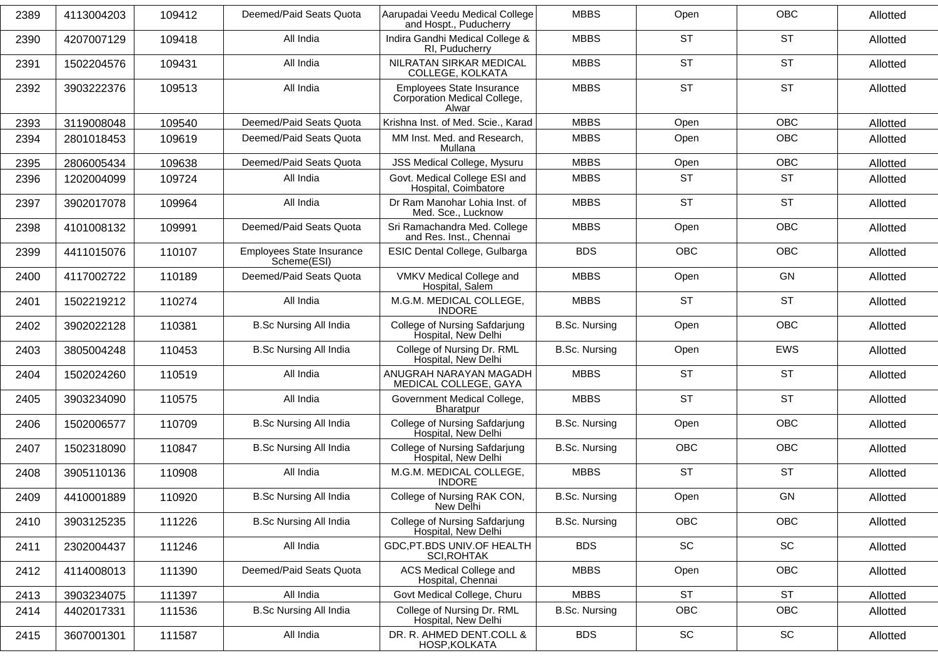| 2389 | 4113004203 | 109412 | Deemed/Paid Seats Quota                  | Aarupadai Veedu Medical College<br>and Hospt., Puducherry          | <b>MBBS</b>          | Open       | <b>OBC</b>                   | Allotted |
|------|------------|--------|------------------------------------------|--------------------------------------------------------------------|----------------------|------------|------------------------------|----------|
| 2390 | 4207007129 | 109418 | All India                                | Indira Gandhi Medical College &<br>RI, Puducherry                  | <b>MBBS</b>          | <b>ST</b>  | <b>ST</b>                    | Allotted |
| 2391 | 1502204576 | 109431 | All India                                | NILRATAN SIRKAR MEDICAL<br>COLLEGE, KOLKATA                        | <b>MBBS</b>          | <b>ST</b>  | <b>ST</b>                    | Allotted |
| 2392 | 3903222376 | 109513 | All India                                | Employees State Insurance<br>Corporation Medical College,<br>Alwar | <b>MBBS</b>          | <b>ST</b>  | <b>ST</b>                    | Allotted |
| 2393 | 3119008048 | 109540 | Deemed/Paid Seats Quota                  | Krishna Inst. of Med. Scie., Karad                                 | <b>MBBS</b>          | Open       | <b>OBC</b>                   | Allotted |
| 2394 | 2801018453 | 109619 | Deemed/Paid Seats Quota                  | MM Inst. Med. and Research,<br>Mullana                             | <b>MBBS</b>          | Open       | <b>OBC</b>                   | Allotted |
| 2395 | 2806005434 | 109638 | Deemed/Paid Seats Quota                  | JSS Medical College, Mysuru                                        | <b>MBBS</b>          | Open       | OBC                          | Allotted |
| 2396 | 1202004099 | 109724 | All India                                | Govt. Medical College ESI and<br>Hospital, Coimbatore              | <b>MBBS</b>          | <b>ST</b>  | <b>ST</b>                    | Allotted |
| 2397 | 3902017078 | 109964 | All India                                | Dr Ram Manohar Lohia Inst. of<br>Med. Sce., Lucknow                | <b>MBBS</b>          | <b>ST</b>  | <b>ST</b>                    | Allotted |
| 2398 | 4101008132 | 109991 | Deemed/Paid Seats Quota                  | Sri Ramachandra Med. College<br>and Res. Inst., Chennai            | <b>MBBS</b>          | Open       | OBC                          | Allotted |
| 2399 | 4411015076 | 110107 | Employees State Insurance<br>Scheme(ESI) | ESIC Dental College, Gulbarga                                      | <b>BDS</b>           | <b>OBC</b> | <b>OBC</b>                   | Allotted |
| 2400 | 4117002722 | 110189 | Deemed/Paid Seats Quota                  | VMKV Medical College and<br>Hospital, Salem                        | <b>MBBS</b>          | Open       | GN                           | Allotted |
| 2401 | 1502219212 | 110274 | All India                                | M.G.M. MEDICAL COLLEGE,<br><b>INDORE</b>                           | <b>MBBS</b>          | <b>ST</b>  | <b>ST</b>                    | Allotted |
| 2402 | 3902022128 | 110381 | <b>B.Sc Nursing All India</b>            | College of Nursing Safdarjung<br>Hospital, New Delhi               | <b>B.Sc. Nursing</b> | Open       | <b>OBC</b>                   | Allotted |
| 2403 | 3805004248 | 110453 | <b>B.Sc Nursing All India</b>            | College of Nursing Dr. RML<br>Hospital, New Delhi                  | <b>B.Sc. Nursing</b> | Open       | <b>EWS</b>                   | Allotted |
| 2404 | 1502024260 | 110519 | All India                                | ANUGRAH NARAYAN MAGADH<br>MEDICAL COLLEGE, GAYA                    | <b>MBBS</b>          | <b>ST</b>  | <b>ST</b>                    | Allotted |
| 2405 | 3903234090 | 110575 | All India                                | Government Medical College,<br>Bharatpur                           | <b>MBBS</b>          | <b>ST</b>  | <b>ST</b>                    | Allotted |
| 2406 | 1502006577 | 110709 | <b>B.Sc Nursing All India</b>            | College of Nursing Safdarjung<br>Hospital, New Delhi               | <b>B.Sc. Nursing</b> | Open       | <b>OBC</b>                   | Allotted |
| 2407 | 1502318090 | 110847 | <b>B.Sc Nursing All India</b>            | College of Nursing Safdarjung<br>Hospital, New Delhi               | <b>B.Sc. Nursing</b> | <b>OBC</b> | <b>OBC</b>                   | Allotted |
| 2408 | 3905110136 | 110908 | All India                                | M.G.M. MEDICAL COLLEGE,<br><b>INDORE</b>                           | <b>MBBS</b>          | <b>ST</b>  | <b>ST</b>                    | Allotted |
| 2409 | 4410001889 | 110920 | <b>B.Sc Nursing All India</b>            | College of Nursing RAK CON,<br>New Delhi                           | <b>B.Sc. Nursing</b> | Open       | GN                           | Allotted |
| 2410 | 3903125235 | 111226 | <b>B.Sc Nursing All India</b>            | College of Nursing Safdarjung<br>Hospital, New Delhi               | <b>B.Sc. Nursing</b> | OBC        | OBC                          | Allotted |
| 2411 | 2302004437 | 111246 | All India                                | GDC, PT.BDS UNIV.OF HEALTH<br><b>SCI, ROHTAK</b>                   | <b>BDS</b>           | SC         | $\operatorname{\textsf{SC}}$ | Allotted |
| 2412 | 4114008013 | 111390 | Deemed/Paid Seats Quota                  | ACS Medical College and<br>Hospital, Chennai                       | <b>MBBS</b>          | Open       | <b>OBC</b>                   | Allotted |
| 2413 | 3903234075 | 111397 | All India                                | Govt Medical College, Churu                                        | <b>MBBS</b>          | <b>ST</b>  | <b>ST</b>                    | Allotted |
| 2414 | 4402017331 | 111536 | <b>B.Sc Nursing All India</b>            | College of Nursing Dr. RML<br>Hospital, New Delhi                  | B.Sc. Nursing        | OBC        | <b>OBC</b>                   | Allotted |
| 2415 | 3607001301 | 111587 | All India                                | DR. R. AHMED DENT.COLL &<br>HOSP, KOLKATA                          | <b>BDS</b>           | SC         | SC                           | Allotted |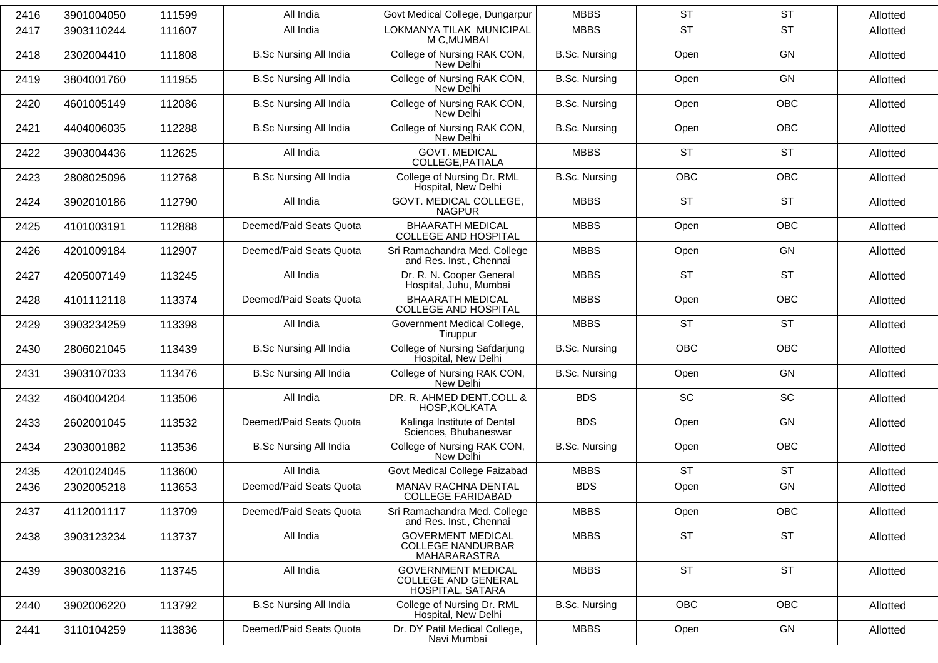| 2416 | 3901004050 | 111599 | All India                     | Govt Medical College, Dungarpur                                             | <b>MBBS</b>          | <b>ST</b>  | <b>ST</b>  | Allotted |
|------|------------|--------|-------------------------------|-----------------------------------------------------------------------------|----------------------|------------|------------|----------|
| 2417 | 3903110244 | 111607 | All India                     | LOKMANYA TILAK MUNICIPAL<br>M C, MUMBAI                                     | <b>MBBS</b>          | <b>ST</b>  | <b>ST</b>  | Allotted |
| 2418 | 2302004410 | 111808 | <b>B.Sc Nursing All India</b> | College of Nursing RAK CON,<br>New Delhi                                    | <b>B.Sc. Nursing</b> | Open       | GN         | Allotted |
| 2419 | 3804001760 | 111955 | <b>B.Sc Nursing All India</b> | College of Nursing RAK CON,<br>New Delhi                                    | <b>B.Sc. Nursing</b> | Open       | GN         | Allotted |
| 2420 | 4601005149 | 112086 | <b>B.Sc Nursing All India</b> | College of Nursing RAK CON,<br>New Delhi                                    | <b>B.Sc. Nursing</b> | Open       | <b>OBC</b> | Allotted |
| 2421 | 4404006035 | 112288 | <b>B.Sc Nursing All India</b> | College of Nursing RAK CON,<br>New Delhi                                    | <b>B.Sc. Nursing</b> | Open       | <b>OBC</b> | Allotted |
| 2422 | 3903004436 | 112625 | All India                     | <b>GOVT. MEDICAL</b><br>COLLEGE, PATIALA                                    | <b>MBBS</b>          | <b>ST</b>  | <b>ST</b>  | Allotted |
| 2423 | 2808025096 | 112768 | <b>B.Sc Nursing All India</b> | College of Nursing Dr. RML<br>Hospital, New Delhi                           | <b>B.Sc. Nursing</b> | <b>OBC</b> | <b>OBC</b> | Allotted |
| 2424 | 3902010186 | 112790 | All India                     | GOVT. MEDICAL COLLEGE,<br><b>NAGPUR</b>                                     | <b>MBBS</b>          | <b>ST</b>  | <b>ST</b>  | Allotted |
| 2425 | 4101003191 | 112888 | Deemed/Paid Seats Quota       | <b>BHAARATH MEDICAL</b><br><b>COLLEGE AND HOSPITAL</b>                      | <b>MBBS</b>          | Open       | <b>OBC</b> | Allotted |
| 2426 | 4201009184 | 112907 | Deemed/Paid Seats Quota       | Sri Ramachandra Med. College<br>and Res. Inst., Chennai                     | <b>MBBS</b>          | Open       | GN         | Allotted |
| 2427 | 4205007149 | 113245 | All India                     | Dr. R. N. Cooper General<br>Hospital, Juhu, Mumbai                          | <b>MBBS</b>          | <b>ST</b>  | <b>ST</b>  | Allotted |
| 2428 | 4101112118 | 113374 | Deemed/Paid Seats Quota       | <b>BHAARATH MEDICAL</b><br><b>COLLEGE AND HOSPITAL</b>                      | <b>MBBS</b>          | Open       | <b>OBC</b> | Allotted |
| 2429 | 3903234259 | 113398 | All India                     | Government Medical College,<br>Tiruppur                                     | <b>MBBS</b>          | <b>ST</b>  | <b>ST</b>  | Allotted |
| 2430 | 2806021045 | 113439 | <b>B.Sc Nursing All India</b> | College of Nursing Safdarjung<br>Hospital, New Delhi                        | <b>B.Sc. Nursing</b> | <b>OBC</b> | <b>OBC</b> | Allotted |
| 2431 | 3903107033 | 113476 | <b>B.Sc Nursing All India</b> | College of Nursing RAK CON,<br>New Delhi                                    | B.Sc. Nursing        | Open       | GN         | Allotted |
| 2432 | 4604004204 | 113506 | All India                     | DR. R. AHMED DENT.COLL &<br>HOSP, KOLKATA                                   | <b>BDS</b>           | <b>SC</b>  | <b>SC</b>  | Allotted |
| 2433 | 2602001045 | 113532 | Deemed/Paid Seats Quota       | Kalinga Institute of Dental<br>Sciences, Bhubaneswar                        | <b>BDS</b>           | Open       | GN         | Allotted |
| 2434 | 2303001882 | 113536 | <b>B.Sc Nursing All India</b> | College of Nursing RAK CON,<br>New Delhi                                    | <b>B.Sc. Nursing</b> | Open       | <b>OBC</b> | Allotted |
| 2435 | 4201024045 | 113600 | All India                     | Govt Medical College Faizabad                                               | <b>MBBS</b>          | <b>ST</b>  | <b>ST</b>  | Allotted |
| 2436 | 2302005218 | 113653 | Deemed/Paid Seats Quota       | MANAV RACHNA DENTAL<br><b>COLLEGE FARIDABAD</b>                             | <b>BDS</b>           | Open       | GN         | Allotted |
| 2437 | 4112001117 | 113709 | Deemed/Paid Seats Quota       | Sri Ramachandra Med. College<br>and Res. Inst., Chennai                     | <b>MBBS</b>          | Open       | OBC        | Allotted |
| 2438 | 3903123234 | 113737 | All India                     | <b>GOVERMENT MEDICAL</b><br><b>COLLEGE NANDURBAR</b><br>MAHARARASTRA        | <b>MBBS</b>          | <b>ST</b>  | <b>ST</b>  | Allotted |
| 2439 | 3903003216 | 113745 | All India                     | <b>GOVERNMENT MEDICAL</b><br><b>COLLEGE AND GENERAL</b><br>HOSPITAL, SATARA | <b>MBBS</b>          | <b>ST</b>  | <b>ST</b>  | Allotted |
| 2440 | 3902006220 | 113792 | <b>B.Sc Nursing All India</b> | College of Nursing Dr. RML<br>Hospital, New Delhi                           | <b>B.Sc. Nursing</b> | OBC        | OBC        | Allotted |
| 2441 | 3110104259 | 113836 | Deemed/Paid Seats Quota       | Dr. DY Patil Medical College,<br>Navi Mumbai                                | <b>MBBS</b>          | Open       | GN         | Allotted |
|      |            |        |                               |                                                                             |                      |            |            |          |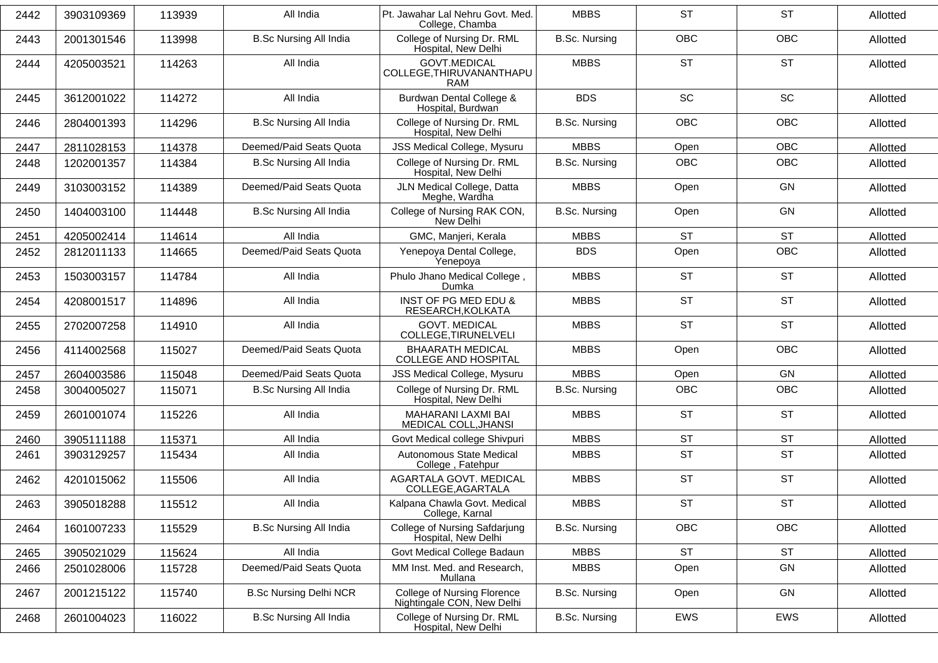| 2442 | 3903109369 | 113939 | All India                     | Pt. Jawahar Lal Nehru Govt. Med.<br>College, Chamba       | <b>MBBS</b>          | <b>ST</b>  | <b>ST</b>  | Allotted |
|------|------------|--------|-------------------------------|-----------------------------------------------------------|----------------------|------------|------------|----------|
| 2443 | 2001301546 | 113998 | <b>B.Sc Nursing All India</b> | College of Nursing Dr. RML<br>Hospital, New Delhi         | <b>B.Sc. Nursing</b> | <b>OBC</b> | OBC        | Allotted |
| 2444 | 4205003521 | 114263 | All India                     | <b>GOVT.MEDICAL</b><br>COLLEGE, THIRUVANANTHAPU<br>RAM    | <b>MBBS</b>          | <b>ST</b>  | <b>ST</b>  | Allotted |
| 2445 | 3612001022 | 114272 | All India                     | Burdwan Dental College &<br>Hospital, Burdwan             | <b>BDS</b>           | <b>SC</b>  | SC         | Allotted |
| 2446 | 2804001393 | 114296 | <b>B.Sc Nursing All India</b> | College of Nursing Dr. RML<br>Hospital, New Delhi         | <b>B.Sc. Nursing</b> | <b>OBC</b> | <b>OBC</b> | Allotted |
| 2447 | 2811028153 | 114378 | Deemed/Paid Seats Quota       | JSS Medical College, Mysuru                               | <b>MBBS</b>          | Open       | <b>OBC</b> | Allotted |
| 2448 | 1202001357 | 114384 | <b>B.Sc Nursing All India</b> | College of Nursing Dr. RML<br>Hospital, New Delhi         | <b>B.Sc. Nursing</b> | <b>OBC</b> | <b>OBC</b> | Allotted |
| 2449 | 3103003152 | 114389 | Deemed/Paid Seats Quota       | JLN Medical College, Datta<br>Meghe, Wardha               | <b>MBBS</b>          | Open       | GN         | Allotted |
| 2450 | 1404003100 | 114448 | <b>B.Sc Nursing All India</b> | College of Nursing RAK CON,<br>New Delhi                  | <b>B.Sc. Nursing</b> | Open       | <b>GN</b>  | Allotted |
| 2451 | 4205002414 | 114614 | All India                     | GMC, Manjeri, Kerala                                      | <b>MBBS</b>          | <b>ST</b>  | <b>ST</b>  | Allotted |
| 2452 | 2812011133 | 114665 | Deemed/Paid Seats Quota       | Yenepoya Dental College,<br>Yenepoya                      | <b>BDS</b>           | Open       | OBC        | Allotted |
| 2453 | 1503003157 | 114784 | All India                     | Phulo Jhano Medical College,<br>Dumka                     | <b>MBBS</b>          | <b>ST</b>  | <b>ST</b>  | Allotted |
| 2454 | 4208001517 | 114896 | All India                     | INST OF PG MED EDU &<br>RESEARCH, KOLKATA                 | <b>MBBS</b>          | <b>ST</b>  | <b>ST</b>  | Allotted |
| 2455 | 2702007258 | 114910 | All India                     | <b>GOVT. MEDICAL</b><br>COLLEGE, TIRUNELVELI              | <b>MBBS</b>          | <b>ST</b>  | <b>ST</b>  | Allotted |
| 2456 | 4114002568 | 115027 | Deemed/Paid Seats Quota       | <b>BHAARATH MEDICAL</b><br><b>COLLEGE AND HOSPITAL</b>    | <b>MBBS</b>          | Open       | OBC        | Allotted |
| 2457 | 2604003586 | 115048 | Deemed/Paid Seats Quota       | JSS Medical College, Mysuru                               | <b>MBBS</b>          | Open       | GN         | Allotted |
| 2458 | 3004005027 | 115071 | <b>B.Sc Nursing All India</b> | College of Nursing Dr. RML<br>Hospital, New Delhi         | <b>B.Sc. Nursing</b> | <b>OBC</b> | OBC        | Allotted |
| 2459 | 2601001074 | 115226 | All India                     | MAHARANI LAXMI BAI<br>MEDICAL COLL, JHANSI                | <b>MBBS</b>          | <b>ST</b>  | <b>ST</b>  | Allotted |
| 2460 | 3905111188 | 115371 | All India                     | Govt Medical college Shivpuri                             | <b>MBBS</b>          | <b>ST</b>  | <b>ST</b>  | Allotted |
| 2461 | 3903129257 | 115434 | All India                     | Autonomous State Medical<br>College, Fatehpur             | <b>MBBS</b>          | <b>ST</b>  | <b>ST</b>  | Allotted |
| 2462 | 4201015062 | 115506 | All India                     | AGARTALA GOVT. MEDICAL<br>COLLEGE, AGARTALA               | <b>MBBS</b>          | <b>ST</b>  | <b>ST</b>  | Allotted |
| 2463 | 3905018288 | 115512 | All India                     | Kalpana Chawla Govt. Medical<br>College, Karnal           | <b>MBBS</b>          | <b>ST</b>  | <b>ST</b>  | Allotted |
| 2464 | 1601007233 | 115529 | <b>B.Sc Nursing All India</b> | College of Nursing Safdarjung<br>Hospital, New Delhi      | <b>B.Sc. Nursing</b> | <b>OBC</b> | <b>OBC</b> | Allotted |
| 2465 | 3905021029 | 115624 | All India                     | Govt Medical College Badaun                               | <b>MBBS</b>          | <b>ST</b>  | <b>ST</b>  | Allotted |
| 2466 | 2501028006 | 115728 | Deemed/Paid Seats Quota       | MM Inst. Med. and Research,<br>Mullana                    | <b>MBBS</b>          | Open       | GN         | Allotted |
| 2467 | 2001215122 | 115740 | <b>B.Sc Nursing Delhi NCR</b> | College of Nursing Florence<br>Nightingale CON, New Delhi | <b>B.Sc. Nursing</b> | Open       | GN         | Allotted |
| 2468 | 2601004023 | 116022 | <b>B.Sc Nursing All India</b> | College of Nursing Dr. RML<br>Hospital, New Delhi         | <b>B.Sc. Nursing</b> | EWS        | EWS        | Allotted |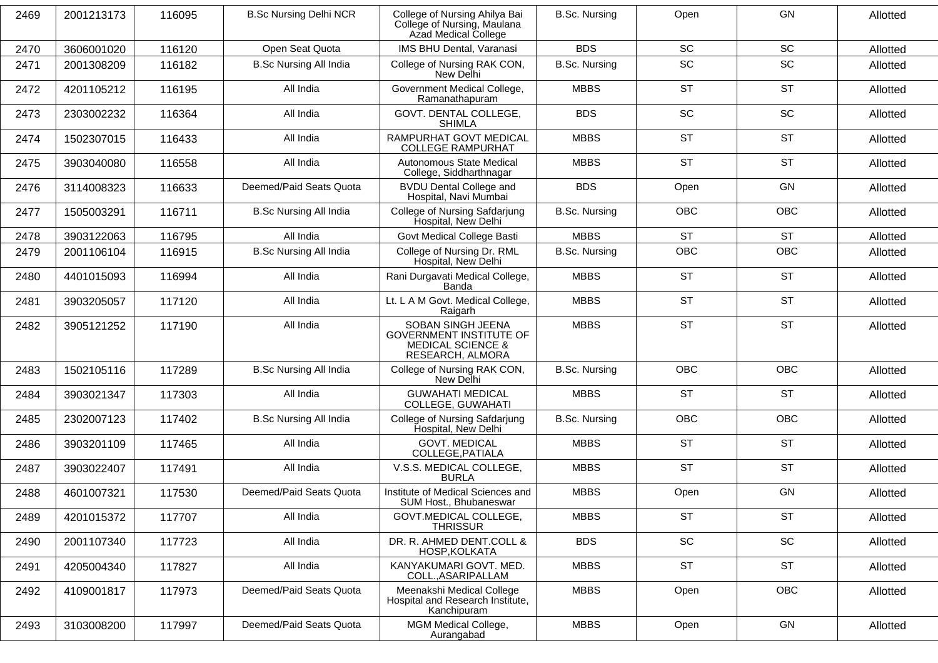| 2469 | 2001213173 | 116095 | <b>B.Sc Nursing Delhi NCR</b> | College of Nursing Ahilya Bai<br>College of Nursing, Maulana<br>Azad Medical College                    | <b>B.Sc. Nursing</b> | Open       | <b>GN</b>  | Allotted |
|------|------------|--------|-------------------------------|---------------------------------------------------------------------------------------------------------|----------------------|------------|------------|----------|
| 2470 | 3606001020 | 116120 | Open Seat Quota               | IMS BHU Dental, Varanasi                                                                                | <b>BDS</b>           | <b>SC</b>  | <b>SC</b>  | Allotted |
| 2471 | 2001308209 | 116182 | <b>B.Sc Nursing All India</b> | College of Nursing RAK CON,<br>New Delhi                                                                | <b>B.Sc. Nursing</b> | SC         | SC         | Allotted |
| 2472 | 4201105212 | 116195 | All India                     | Government Medical College,<br>Ramanathapuram                                                           | <b>MBBS</b>          | <b>ST</b>  | <b>ST</b>  | Allotted |
| 2473 | 2303002232 | 116364 | All India                     | GOVT. DENTAL COLLEGE,<br><b>SHIMLA</b>                                                                  | <b>BDS</b>           | SC         | SC         | Allotted |
| 2474 | 1502307015 | 116433 | All India                     | RAMPURHAT GOVT MEDICAL<br><b>COLLEGE RAMPURHAT</b>                                                      | <b>MBBS</b>          | <b>ST</b>  | <b>ST</b>  | Allotted |
| 2475 | 3903040080 | 116558 | All India                     | Autonomous State Medical<br>College, Siddharthnagar                                                     | <b>MBBS</b>          | <b>ST</b>  | <b>ST</b>  | Allotted |
| 2476 | 3114008323 | 116633 | Deemed/Paid Seats Quota       | <b>BVDU Dental College and</b><br>Hospital, Navi Mumbai                                                 | <b>BDS</b>           | Open       | GN         | Allotted |
| 2477 | 1505003291 | 116711 | <b>B.Sc Nursing All India</b> | College of Nursing Safdarjung<br>Hospital, New Delhi                                                    | <b>B.Sc. Nursing</b> | <b>OBC</b> | <b>OBC</b> | Allotted |
| 2478 | 3903122063 | 116795 | All India                     | Govt Medical College Basti                                                                              | <b>MBBS</b>          | <b>ST</b>  | <b>ST</b>  | Allotted |
| 2479 | 2001106104 | 116915 | <b>B.Sc Nursing All India</b> | College of Nursing Dr. RML<br>Hospital, New Delhi                                                       | <b>B.Sc. Nursing</b> | OBC        | OBC        | Allotted |
| 2480 | 4401015093 | 116994 | All India                     | Rani Durgavati Medical College,<br>Banda                                                                | <b>MBBS</b>          | <b>ST</b>  | <b>ST</b>  | Allotted |
| 2481 | 3903205057 | 117120 | All India                     | Lt. L A M Govt. Medical College,<br>Raigarh                                                             | <b>MBBS</b>          | <b>ST</b>  | <b>ST</b>  | Allotted |
| 2482 | 3905121252 | 117190 | All India                     | SOBAN SINGH JEENA<br><b>GOVERNMENT INSTITUTE OF</b><br><b>MEDICAL SCIENCE &amp;</b><br>RESEARCH, ALMORA | <b>MBBS</b>          | <b>ST</b>  | <b>ST</b>  | Allotted |
| 2483 | 1502105116 | 117289 | <b>B.Sc Nursing All India</b> | College of Nursing RAK CON,<br>New Delhi                                                                | <b>B.Sc. Nursing</b> | <b>OBC</b> | <b>OBC</b> | Allotted |
| 2484 | 3903021347 | 117303 | All India                     | <b>GUWAHATI MEDICAL</b><br>COLLEGE, GUWAHATI                                                            | <b>MBBS</b>          | <b>ST</b>  | <b>ST</b>  | Allotted |
| 2485 | 2302007123 | 117402 | <b>B.Sc Nursing All India</b> | College of Nursing Safdarjung<br>Hospital, New Delhi                                                    | <b>B.Sc. Nursing</b> | <b>OBC</b> | OBC        | Allotted |
| 2486 | 3903201109 | 117465 | All India                     | <b>GOVT. MEDICAL</b><br>COLLEGE, PATIALA                                                                | <b>MBBS</b>          | <b>ST</b>  | <b>ST</b>  | Allotted |
| 2487 | 3903022407 | 117491 | All India                     | V.S.S. MEDICAL COLLEGE,<br><b>BURLA</b>                                                                 | <b>MBBS</b>          | <b>ST</b>  | <b>ST</b>  | Allotted |
| 2488 | 4601007321 | 117530 | Deemed/Paid Seats Quota       | Institute of Medical Sciences and<br>SUM Host., Bhubaneswar                                             | <b>MBBS</b>          | Open       | GN         | Allotted |
| 2489 | 4201015372 | 117707 | All India                     | GOVT.MEDICAL COLLEGE.<br><b>THRISSUR</b>                                                                | <b>MBBS</b>          | <b>ST</b>  | <b>ST</b>  | Allotted |
| 2490 | 2001107340 | 117723 | All India                     | DR. R. AHMED DENT.COLL &<br>HOSP.KOLKATA                                                                | <b>BDS</b>           | SC         | SC         | Allotted |
| 2491 | 4205004340 | 117827 | All India                     | KANYAKUMARI GOVT. MED.<br>COLL., ASARIPALLAM                                                            | <b>MBBS</b>          | <b>ST</b>  | <b>ST</b>  | Allotted |
| 2492 | 4109001817 | 117973 | Deemed/Paid Seats Quota       | Meenakshi Medical College<br>Hospital and Research Institute,<br>Kanchipuram                            | <b>MBBS</b>          | Open       | <b>OBC</b> | Allotted |
| 2493 | 3103008200 | 117997 | Deemed/Paid Seats Quota       | MGM Medical College,<br>Aurangabad                                                                      | <b>MBBS</b>          | Open       | GN         | Allotted |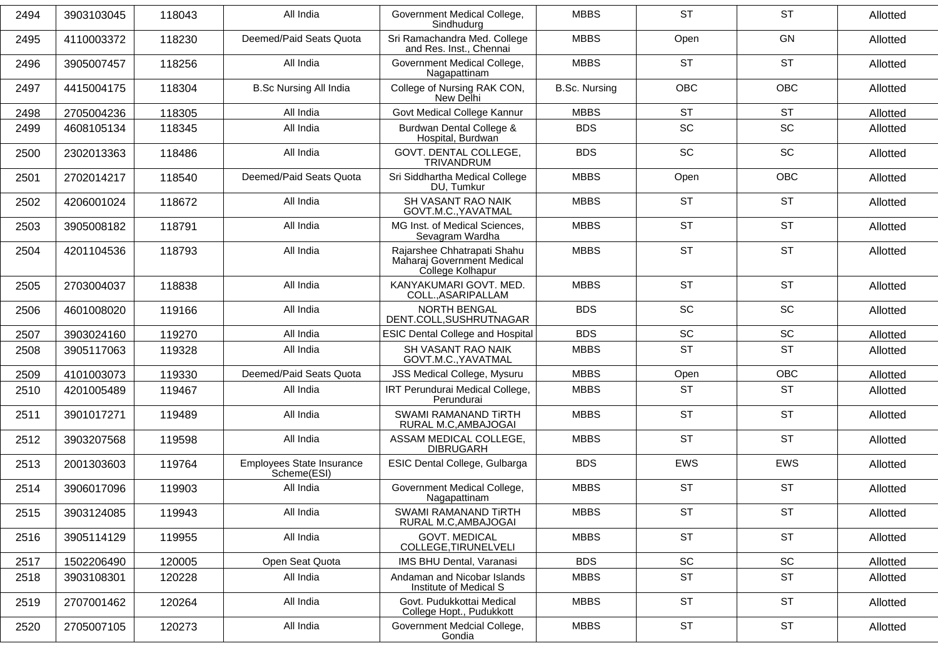| 2494 | 3903103045 | 118043 | All India                                | Government Medical College,<br>Sindhudurg                                     | <b>MBBS</b>          | <b>ST</b>  | <b>ST</b>  | Allotted |
|------|------------|--------|------------------------------------------|-------------------------------------------------------------------------------|----------------------|------------|------------|----------|
| 2495 | 4110003372 | 118230 | Deemed/Paid Seats Quota                  | Sri Ramachandra Med. College<br>and Res. Inst., Chennai                       | <b>MBBS</b>          | Open       | GN         | Allotted |
| 2496 | 3905007457 | 118256 | All India                                | Government Medical College,<br>Nagapattinam                                   | <b>MBBS</b>          | <b>ST</b>  | <b>ST</b>  | Allotted |
| 2497 | 4415004175 | 118304 | <b>B.Sc Nursing All India</b>            | College of Nursing RAK CON,<br>New Delhi                                      | <b>B.Sc. Nursing</b> | <b>OBC</b> | <b>OBC</b> | Allotted |
| 2498 | 2705004236 | 118305 | All India                                | Govt Medical College Kannur                                                   | <b>MBBS</b>          | <b>ST</b>  | <b>ST</b>  | Allotted |
| 2499 | 4608105134 | 118345 | All India                                | Burdwan Dental College &<br>Hospital, Burdwan                                 | <b>BDS</b>           | SC         | SC         | Allotted |
| 2500 | 2302013363 | 118486 | All India                                | GOVT. DENTAL COLLEGE,<br>TRIVANDRUM                                           | <b>BDS</b>           | <b>SC</b>  | SC         | Allotted |
| 2501 | 2702014217 | 118540 | Deemed/Paid Seats Quota                  | Sri Siddhartha Medical College<br>DU, Tumkur                                  | <b>MBBS</b>          | Open       | <b>OBC</b> | Allotted |
| 2502 | 4206001024 | 118672 | All India                                | SH VASANT RAO NAIK<br>GOVT.M.C., YAVATMAL                                     | <b>MBBS</b>          | <b>ST</b>  | <b>ST</b>  | Allotted |
| 2503 | 3905008182 | 118791 | All India                                | MG Inst. of Medical Sciences,<br>Sevagram Wardha                              | <b>MBBS</b>          | <b>ST</b>  | <b>ST</b>  | Allotted |
| 2504 | 4201104536 | 118793 | All India                                | Rajarshee Chhatrapati Shahu<br>Maharaj Government Medical<br>College Kolhapur | <b>MBBS</b>          | <b>ST</b>  | <b>ST</b>  | Allotted |
| 2505 | 2703004037 | 118838 | All India                                | KANYAKUMARI GOVT. MED.<br>COLL., ASARIPALLAM                                  | <b>MBBS</b>          | <b>ST</b>  | <b>ST</b>  | Allotted |
| 2506 | 4601008020 | 119166 | All India                                | <b>NORTH BENGAL</b><br>DENT.COLL, SUSHRUTNAGAR                                | <b>BDS</b>           | SC         | SC         | Allotted |
| 2507 | 3903024160 | 119270 | All India                                | <b>ESIC Dental College and Hospital</b>                                       | <b>BDS</b>           | <b>SC</b>  | SC         | Allotted |
| 2508 | 3905117063 | 119328 | All India                                | SH VASANT RAO NAIK<br>GOVT.M.C., YAVATMAL                                     | <b>MBBS</b>          | <b>ST</b>  | <b>ST</b>  | Allotted |
| 2509 | 4101003073 | 119330 | Deemed/Paid Seats Quota                  | JSS Medical College, Mysuru                                                   | <b>MBBS</b>          | Open       | <b>OBC</b> | Allotted |
| 2510 | 4201005489 | 119467 | All India                                | IRT Perundurai Medical College,<br>Perundurai                                 | <b>MBBS</b>          | <b>ST</b>  | <b>ST</b>  | Allotted |
| 2511 | 3901017271 | 119489 | All India                                | SWAMI RAMANAND TIRTH<br>RURAL M.C, AMBAJOGAI                                  | <b>MBBS</b>          | <b>ST</b>  | <b>ST</b>  | Allotted |
| 2512 | 3903207568 | 119598 | All India                                | ASSAM MEDICAL COLLEGE,<br><b>DIBRUGARH</b>                                    | <b>MBBS</b>          | <b>ST</b>  | <b>ST</b>  | Allotted |
| 2513 | 2001303603 | 119764 | Employees State Insurance<br>Scheme(ESI) | ESIC Dental College, Gulbarga                                                 | <b>BDS</b>           | EWS        | EWS        | Allotted |
| 2514 | 3906017096 | 119903 | All India                                | Government Medical College,<br>Nagapattinam                                   | <b>MBBS</b>          | <b>ST</b>  | <b>ST</b>  | Allotted |
| 2515 | 3903124085 | 119943 | All India                                | SWAMI RAMANAND TIRTH<br>RURAL M.C, AMBAJOGAI                                  | <b>MBBS</b>          | <b>ST</b>  | <b>ST</b>  | Allotted |
| 2516 | 3905114129 | 119955 | All India                                | <b>GOVT. MEDICAL</b><br>COLLEGE, TIRUNELVELI                                  | <b>MBBS</b>          | <b>ST</b>  | <b>ST</b>  | Allotted |
| 2517 | 1502206490 | 120005 | Open Seat Quota                          | IMS BHU Dental, Varanasi                                                      | <b>BDS</b>           | SC         | SC         | Allotted |
| 2518 | 3903108301 | 120228 | All India                                | Andaman and Nicobar Islands<br>Institute of Medical S                         | <b>MBBS</b>          | <b>ST</b>  | <b>ST</b>  | Allotted |
| 2519 | 2707001462 | 120264 | All India                                | Govt. Pudukkottai Medical<br>College Hopt., Pudukkott                         | <b>MBBS</b>          | <b>ST</b>  | <b>ST</b>  | Allotted |
| 2520 | 2705007105 | 120273 | All India                                | Government Medcial College,<br>Gondia                                         | <b>MBBS</b>          | <b>ST</b>  | <b>ST</b>  | Allotted |
|      |            |        |                                          |                                                                               |                      |            |            |          |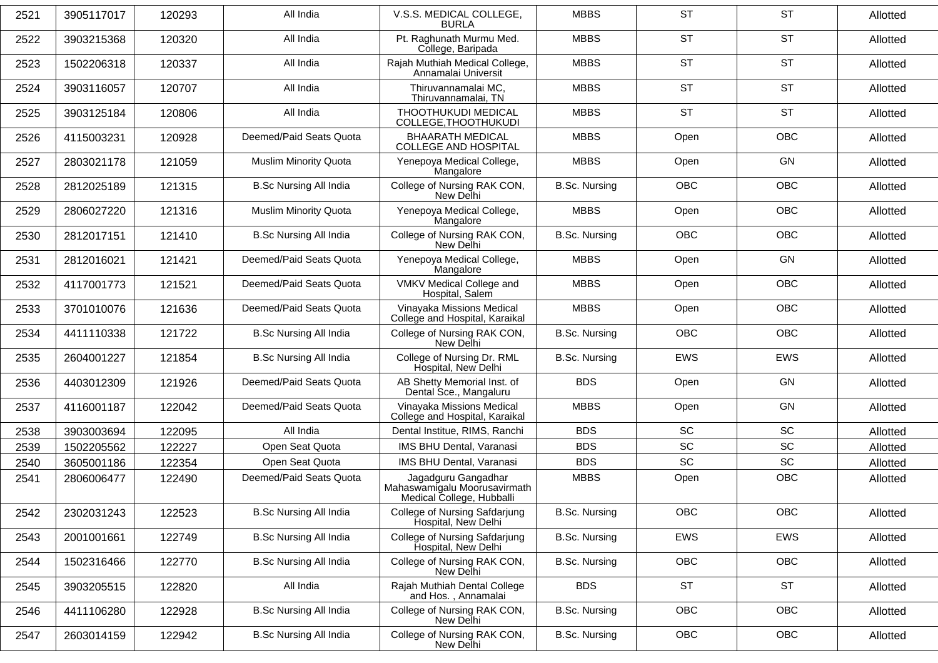| 2521 | 3905117017 | 120293 | All India                     | V.S.S. MEDICAL COLLEGE.<br><b>BURLA</b>                                          | <b>MBBS</b>          | <b>ST</b>  | <b>ST</b>                    | Allotted |
|------|------------|--------|-------------------------------|----------------------------------------------------------------------------------|----------------------|------------|------------------------------|----------|
| 2522 | 3903215368 | 120320 | All India                     | Pt. Raghunath Murmu Med.<br>College, Baripada                                    | <b>MBBS</b>          | <b>ST</b>  | <b>ST</b>                    | Allotted |
| 2523 | 1502206318 | 120337 | All India                     | Rajah Muthiah Medical College,<br>Annamalai Universit                            | <b>MBBS</b>          | <b>ST</b>  | <b>ST</b>                    | Allotted |
| 2524 | 3903116057 | 120707 | All India                     | Thiruvannamalai MC,<br>Thiruvannamalai, TN                                       | <b>MBBS</b>          | <b>ST</b>  | <b>ST</b>                    | Allotted |
| 2525 | 3903125184 | 120806 | All India                     | THOOTHUKUDI MEDICAL<br>COLLEGE, THOOTHUKUDI                                      | <b>MBBS</b>          | <b>ST</b>  | <b>ST</b>                    | Allotted |
| 2526 | 4115003231 | 120928 | Deemed/Paid Seats Quota       | <b>BHAARATH MEDICAL</b><br><b>COLLEGE AND HOSPITAL</b>                           | <b>MBBS</b>          | Open       | <b>OBC</b>                   | Allotted |
| 2527 | 2803021178 | 121059 | <b>Muslim Minority Quota</b>  | Yenepoya Medical College,<br>Mangalore                                           | <b>MBBS</b>          | Open       | <b>GN</b>                    | Allotted |
| 2528 | 2812025189 | 121315 | <b>B.Sc Nursing All India</b> | College of Nursing RAK CON,<br>New Delhi                                         | <b>B.Sc. Nursing</b> | OBC        | OBC                          | Allotted |
| 2529 | 2806027220 | 121316 | <b>Muslim Minority Quota</b>  | Yenepoya Medical College,<br>Mangalore                                           | <b>MBBS</b>          | Open       | <b>OBC</b>                   | Allotted |
| 2530 | 2812017151 | 121410 | <b>B.Sc Nursing All India</b> | College of Nursing RAK CON,<br>New Delhi                                         | <b>B.Sc. Nursing</b> | <b>OBC</b> | <b>OBC</b>                   | Allotted |
| 2531 | 2812016021 | 121421 | Deemed/Paid Seats Quota       | Yenepoya Medical College,<br>Mangalore                                           | <b>MBBS</b>          | Open       | <b>GN</b>                    | Allotted |
| 2532 | 4117001773 | 121521 | Deemed/Paid Seats Quota       | VMKV Medical College and<br>Hospital, Salem                                      | <b>MBBS</b>          | Open       | <b>OBC</b>                   | Allotted |
| 2533 | 3701010076 | 121636 | Deemed/Paid Seats Quota       | Vinayaka Missions Medical<br>College and Hospital, Karaikal                      | <b>MBBS</b>          | Open       | <b>OBC</b>                   | Allotted |
| 2534 | 4411110338 | 121722 | <b>B.Sc Nursing All India</b> | College of Nursing RAK CON,<br>New Delhi                                         | <b>B.Sc. Nursing</b> | <b>OBC</b> | <b>OBC</b>                   | Allotted |
| 2535 | 2604001227 | 121854 | <b>B.Sc Nursing All India</b> | College of Nursing Dr. RML<br>Hospital, New Delhi                                | <b>B.Sc. Nursing</b> | <b>EWS</b> | <b>EWS</b>                   | Allotted |
| 2536 | 4403012309 | 121926 | Deemed/Paid Seats Quota       | AB Shetty Memorial Inst. of<br>Dental Sce., Mangaluru                            | <b>BDS</b>           | Open       | <b>GN</b>                    | Allotted |
| 2537 | 4116001187 | 122042 | Deemed/Paid Seats Quota       | Vinayaka Missions Medical<br>College and Hospital, Karaikal                      | <b>MBBS</b>          | Open       | <b>GN</b>                    | Allotted |
| 2538 | 3903003694 | 122095 | All India                     | Dental Institue, RIMS, Ranchi                                                    | <b>BDS</b>           | SC         | SC                           | Allotted |
| 2539 | 1502205562 | 122227 | Open Seat Quota               | IMS BHU Dental, Varanasi                                                         | <b>BDS</b>           | SC         | SC                           | Allotted |
| 2540 | 3605001186 | 122354 | Open Seat Quota               | IMS BHU Dental, Varanasi                                                         | <b>BDS</b>           | SC         | $\operatorname{\textsf{SC}}$ | Allotted |
| 2541 | 2806006477 | 122490 | Deemed/Paid Seats Quota       | Jagadguru Gangadhar<br>Mahaswamigalu Moorusavirmath<br>Medical College, Hubballi | <b>MBBS</b>          | Open       | OBC                          | Allotted |
| 2542 | 2302031243 | 122523 | <b>B.Sc Nursing All India</b> | College of Nursing Safdarjung<br>Hospital, New Delhi                             | <b>B.Sc. Nursing</b> | OBC        | OBC                          | Allotted |
| 2543 | 2001001661 | 122749 | <b>B.Sc Nursing All India</b> | College of Nursing Safdarjung<br>Hospital, New Delhi                             | <b>B.Sc. Nursing</b> | EWS        | EWS                          | Allotted |
| 2544 | 1502316466 | 122770 | <b>B.Sc Nursing All India</b> | College of Nursing RAK CON,<br>New Delhi                                         | <b>B.Sc. Nursing</b> | OBC        | OBC                          | Allotted |
| 2545 | 3903205515 | 122820 | All India                     | Rajah Muthiah Dental College<br>and Hos., Annamalai                              | <b>BDS</b>           | <b>ST</b>  | <b>ST</b>                    | Allotted |
| 2546 | 4411106280 | 122928 | <b>B.Sc Nursing All India</b> | College of Nursing RAK CON,<br>New Delhi                                         | <b>B.Sc. Nursing</b> | <b>OBC</b> | OBC                          | Allotted |
| 2547 | 2603014159 | 122942 | <b>B.Sc Nursing All India</b> | College of Nursing RAK CON,<br>New Delhi                                         | <b>B.Sc. Nursing</b> | OBC        | OBC                          | Allotted |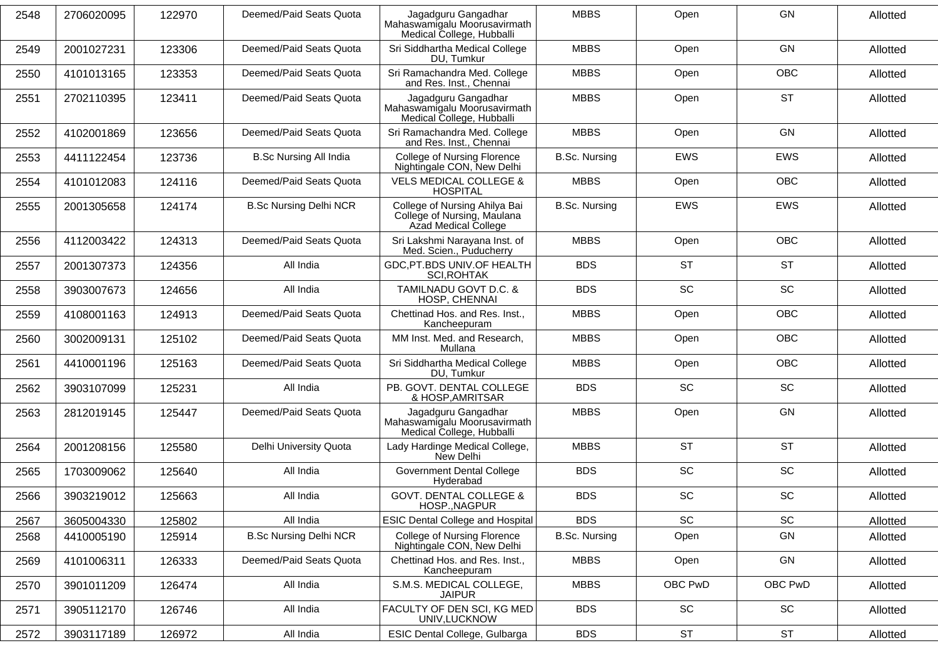| 2548 | 2706020095 | 122970 | Deemed/Paid Seats Quota       | Jagadguru Gangadhar<br>Mahaswamigalu Moorusavirmath<br>Medical College, Hubballi     | <b>MBBS</b>          | Open                         | GN         | Allotted |
|------|------------|--------|-------------------------------|--------------------------------------------------------------------------------------|----------------------|------------------------------|------------|----------|
| 2549 | 2001027231 | 123306 | Deemed/Paid Seats Quota       | Sri Siddhartha Medical College<br>DU. Tumkur                                         | <b>MBBS</b>          | Open                         | GN         | Allotted |
| 2550 | 4101013165 | 123353 | Deemed/Paid Seats Quota       | Sri Ramachandra Med. College<br>and Res. Inst., Chennai                              | <b>MBBS</b>          | Open                         | OBC        | Allotted |
| 2551 | 2702110395 | 123411 | Deemed/Paid Seats Quota       | Jagadguru Gangadhar<br>Mahaswamigalu Moorusavirmath<br>Medical College, Hubballi     | <b>MBBS</b>          | Open                         | <b>ST</b>  | Allotted |
| 2552 | 4102001869 | 123656 | Deemed/Paid Seats Quota       | Sri Ramachandra Med. College<br>and Res. Inst., Chennai                              | <b>MBBS</b>          | Open                         | <b>GN</b>  | Allotted |
| 2553 | 4411122454 | 123736 | <b>B.Sc Nursing All India</b> | <b>College of Nursing Florence</b><br>Nightingale CON, New Delhi                     | <b>B.Sc. Nursing</b> | EWS                          | EWS        | Allotted |
| 2554 | 4101012083 | 124116 | Deemed/Paid Seats Quota       | <b>VELS MEDICAL COLLEGE &amp;</b><br><b>HOSPITAL</b>                                 | <b>MBBS</b>          | Open                         | OBC        | Allotted |
| 2555 | 2001305658 | 124174 | <b>B.Sc Nursing Delhi NCR</b> | College of Nursing Ahilya Bai<br>College of Nursing, Maulana<br>Azad Medical College | <b>B.Sc. Nursing</b> | <b>EWS</b>                   | <b>EWS</b> | Allotted |
| 2556 | 4112003422 | 124313 | Deemed/Paid Seats Quota       | Sri Lakshmi Narayana Inst. of<br>Med. Scien., Puducherry                             | <b>MBBS</b>          | Open                         | OBC        | Allotted |
| 2557 | 2001307373 | 124356 | All India                     | GDC, PT.BDS UNIV. OF HEALTH<br>SCI, ROHTAK                                           | <b>BDS</b>           | <b>ST</b>                    | <b>ST</b>  | Allotted |
| 2558 | 3903007673 | 124656 | All India                     | TAMILNADU GOVT D.C. &<br>HOSP, CHENNAI                                               | <b>BDS</b>           | <b>SC</b>                    | SC         | Allotted |
| 2559 | 4108001163 | 124913 | Deemed/Paid Seats Quota       | Chettinad Hos. and Res. Inst.,<br>Kancheepuram                                       | <b>MBBS</b>          | Open                         | OBC        | Allotted |
| 2560 | 3002009131 | 125102 | Deemed/Paid Seats Quota       | MM Inst. Med. and Research,<br>Mullana                                               | <b>MBBS</b>          | Open                         | <b>OBC</b> | Allotted |
| 2561 | 4410001196 | 125163 | Deemed/Paid Seats Quota       | Sri Siddhartha Medical College<br>DU. Tumkur                                         | <b>MBBS</b>          | Open                         | <b>OBC</b> | Allotted |
| 2562 | 3903107099 | 125231 | All India                     | PB. GOVT. DENTAL COLLEGE<br>& HOSP, AMRITSAR                                         | <b>BDS</b>           | SC                           | SC         | Allotted |
| 2563 | 2812019145 | 125447 | Deemed/Paid Seats Quota       | Jagadguru Gangadhar<br>Mahaswamigalu Moorusavirmath<br>Medical College, Hubballi     | <b>MBBS</b>          | Open                         | GN         | Allotted |
| 2564 | 2001208156 | 125580 | Delhi University Quota        | Lady Hardinge Medical College,<br>New Delhi                                          | <b>MBBS</b>          | <b>ST</b>                    | <b>ST</b>  | Allotted |
| 2565 | 1703009062 | 125640 | All India                     | <b>Government Dental College</b><br>Hyderabad                                        | <b>BDS</b>           | SC                           | SC         | Allotted |
| 2566 | 3903219012 | 125663 | All India                     | <b>GOVT. DENTAL COLLEGE &amp;</b><br>HOSP., NAGPUR                                   | <b>BDS</b>           | SC                           | SC         | Allotted |
| 2567 | 3605004330 | 125802 | All India                     | <b>ESIC Dental College and Hospital</b>                                              | <b>BDS</b>           | $\operatorname{\textsf{SC}}$ | SC         | Allotted |
| 2568 | 4410005190 | 125914 | <b>B.Sc Nursing Delhi NCR</b> | <b>College of Nursing Florence</b><br>Nightingale CON, New Delhi                     | <b>B.Sc. Nursing</b> | Open                         | GN         | Allotted |
| 2569 | 4101006311 | 126333 | Deemed/Paid Seats Quota       | Chettinad Hos. and Res. Inst.,<br>Kancheepuram                                       | <b>MBBS</b>          | Open                         | GN         | Allotted |
| 2570 | 3901011209 | 126474 | All India                     | S.M.S. MEDICAL COLLEGE,<br><b>JAIPUR</b>                                             | <b>MBBS</b>          | OBC PwD                      | OBC PwD    | Allotted |
| 2571 | 3905112170 | 126746 | All India                     | FACULTY OF DEN SCI, KG MED<br>UNIV, LUCKNOW                                          | <b>BDS</b>           | $\operatorname{\textsf{SC}}$ | SC         | Allotted |
| 2572 | 3903117189 | 126972 | All India                     | ESIC Dental College, Gulbarga                                                        | <b>BDS</b>           | <b>ST</b>                    | <b>ST</b>  | Allotted |
|      |            |        |                               |                                                                                      |                      |                              |            |          |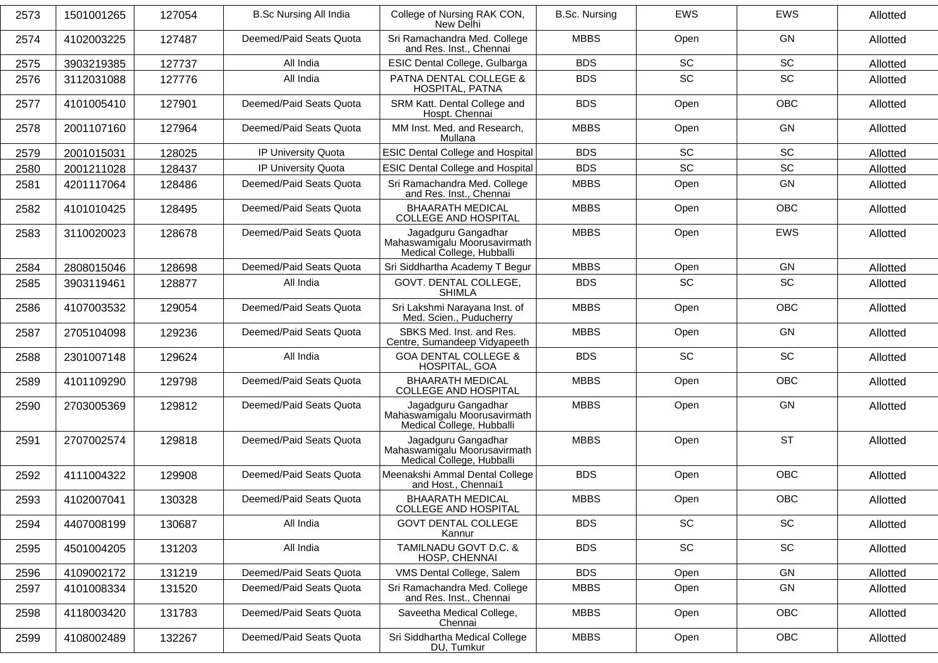| 2573 | 1501001265 | 127054 | <b>B.Sc Nursing All India</b> | College of Nursing RAK CON,<br>New Delhi                                         | <b>B.Sc. Nursing</b> | <b>EWS</b> | <b>EWS</b> | Allotted |
|------|------------|--------|-------------------------------|----------------------------------------------------------------------------------|----------------------|------------|------------|----------|
| 2574 | 4102003225 | 127487 | Deemed/Paid Seats Quota       | Sri Ramachandra Med. College<br>and Res. Inst., Chennai                          | <b>MBBS</b>          | Open       | GN         | Allotted |
| 2575 | 3903219385 | 127737 | All India                     | ESIC Dental College, Gulbarga                                                    | <b>BDS</b>           | SC         | SC         | Allotted |
| 2576 | 3112031088 | 127776 | All India                     | PATNA DENTAL COLLEGE &<br>HOSPITAL, PATNA                                        | <b>BDS</b>           | SC         | SC         | Allotted |
| 2577 | 4101005410 | 127901 | Deemed/Paid Seats Quota       | SRM Katt. Dental College and<br>Hospt. Chennai                                   | <b>BDS</b>           | Open       | <b>OBC</b> | Allotted |
| 2578 | 2001107160 | 127964 | Deemed/Paid Seats Quota       | MM Inst. Med. and Research,<br>Mullana                                           | <b>MBBS</b>          | Open       | GN         | Allotted |
| 2579 | 2001015031 | 128025 | IP University Quota           | <b>ESIC Dental College and Hospital</b>                                          | <b>BDS</b>           | SC         | SC         | Allotted |
| 2580 | 2001211028 | 128437 | IP University Quota           | <b>ESIC Dental College and Hospital</b>                                          | <b>BDS</b>           | <b>SC</b>  | SC         | Allotted |
| 2581 | 4201117064 | 128486 | Deemed/Paid Seats Quota       | Sri Ramachandra Med. College<br>and Res. Inst., Chennai                          | <b>MBBS</b>          | Open       | GN         | Allotted |
| 2582 | 4101010425 | 128495 | Deemed/Paid Seats Quota       | <b>BHAARATH MEDICAL</b><br><b>COLLEGE AND HOSPITAL</b>                           | <b>MBBS</b>          | Open       | <b>OBC</b> | Allotted |
| 2583 | 3110020023 | 128678 | Deemed/Paid Seats Quota       | Jagadguru Gangadhar<br>Mahaswamigalu Moorusavirmath<br>Medical College, Hubballi | <b>MBBS</b>          | Open       | EWS        | Allotted |
| 2584 | 2808015046 | 128698 | Deemed/Paid Seats Quota       | Sri Siddhartha Academy T Begur                                                   | <b>MBBS</b>          | Open       | GN         | Allotted |
| 2585 | 3903119461 | 128877 | All India                     | GOVT. DENTAL COLLEGE,<br><b>SHIMLA</b>                                           | <b>BDS</b>           | SC         | SC         | Allotted |
| 2586 | 4107003532 | 129054 | Deemed/Paid Seats Quota       | Sri Lakshmi Narayana Inst. of<br>Med. Scien., Puducherry                         | <b>MBBS</b>          | Open       | <b>OBC</b> | Allotted |
| 2587 | 2705104098 | 129236 | Deemed/Paid Seats Quota       | SBKS Med. Inst. and Res.<br>Centre, Sumandeep Vidyapeeth                         | <b>MBBS</b>          | Open       | GN         | Allotted |
| 2588 | 2301007148 | 129624 | All India                     | <b>GOA DENTAL COLLEGE &amp;</b><br>HOSPITAL, GOA                                 | <b>BDS</b>           | <b>SC</b>  | SC         | Allotted |
| 2589 | 4101109290 | 129798 | Deemed/Paid Seats Quota       | <b>BHAARATH MEDICAL</b><br><b>COLLEGE AND HOSPITAL</b>                           | <b>MBBS</b>          | Open       | <b>OBC</b> | Allotted |
| 2590 | 2703005369 | 129812 | Deemed/Paid Seats Quota       | Jagadguru Gangadhar<br>Mahaswamigalu Moorusavirmath<br>Medical College, Hubballi | <b>MBBS</b>          | Open       | GN         | Allotted |
| 2591 | 2707002574 | 129818 | Deemed/Paid Seats Quota       | Jagadguru Gangadhar<br>Mahaswamigalu Moorusavirmath<br>Medical College, Hubballi | <b>MBBS</b>          | Open       | <b>ST</b>  | Allotted |
| 2592 | 4111004322 | 129908 | Deemed/Paid Seats Quota       | Meenakshi Ammal Dental College<br>and Host., Chennai1                            | <b>BDS</b>           | Open       | <b>OBC</b> | Allotted |
| 2593 | 4102007041 | 130328 | Deemed/Paid Seats Quota       | <b>BHAARATH MEDICAL</b><br><b>COLLEGE AND HOSPITAL</b>                           | <b>MBBS</b>          | Open       | <b>OBC</b> | Allotted |
| 2594 | 4407008199 | 130687 | All India                     | <b>GOVT DENTAL COLLEGE</b><br>Kannur                                             | <b>BDS</b>           | SC         | SC         | Allotted |
| 2595 | 4501004205 | 131203 | All India                     | TAMILNADU GOVT D.C. &<br>HOSP, CHENNAI                                           | <b>BDS</b>           | SC         | SC         | Allotted |
| 2596 | 4109002172 | 131219 | Deemed/Paid Seats Quota       | VMS Dental College, Salem                                                        | <b>BDS</b>           | Open       | GN         | Allotted |
| 2597 | 4101008334 | 131520 | Deemed/Paid Seats Quota       | Sri Ramachandra Med. College<br>and Res. Inst., Chennai                          | <b>MBBS</b>          | Open       | GN         | Allotted |
| 2598 | 4118003420 | 131783 | Deemed/Paid Seats Quota       | Saveetha Medical College,<br>Chennai                                             | <b>MBBS</b>          | Open       | OBC        | Allotted |
| 2599 | 4108002489 | 132267 | Deemed/Paid Seats Quota       | Sri Siddhartha Medical College<br>DU, Tumkur                                     | <b>MBBS</b>          | Open       | OBC        | Allotted |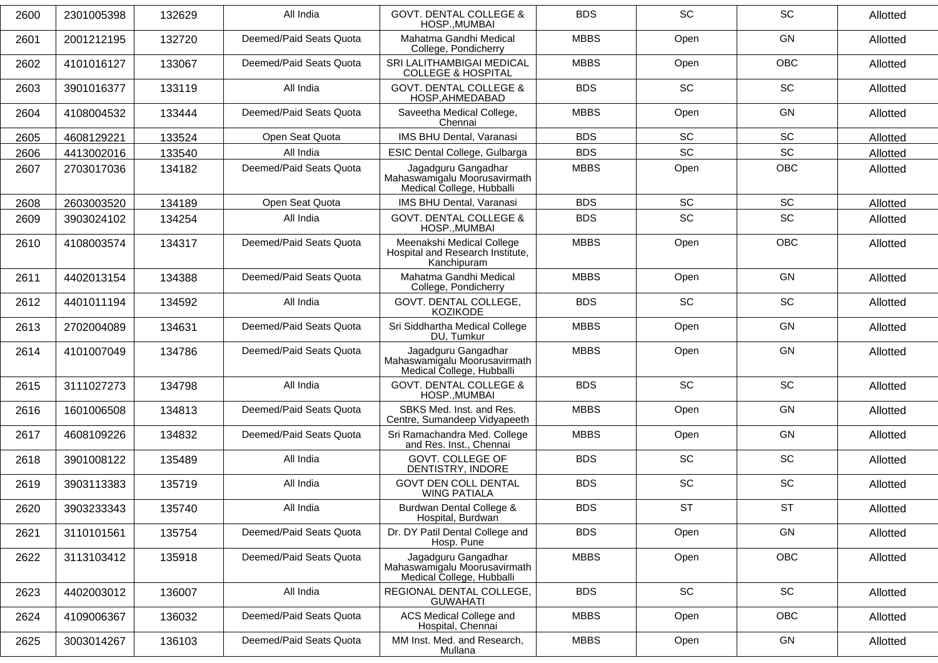| 2600 | 2301005398 | 132629 | All India               | <b>GOVT. DENTAL COLLEGE &amp;</b><br>HOSP., MUMBAI                               | <b>BDS</b>  | <b>SC</b> | SC         | Allotted |
|------|------------|--------|-------------------------|----------------------------------------------------------------------------------|-------------|-----------|------------|----------|
| 2601 | 2001212195 | 132720 | Deemed/Paid Seats Quota | Mahatma Gandhi Medical<br>College, Pondicherry                                   | <b>MBBS</b> | Open      | <b>GN</b>  | Allotted |
| 2602 | 4101016127 | 133067 | Deemed/Paid Seats Quota | SRI LALITHAMBIGAI MEDICAL<br><b>COLLEGE &amp; HOSPITAL</b>                       | <b>MBBS</b> | Open      | OBC        | Allotted |
| 2603 | 3901016377 | 133119 | All India               | <b>GOVT. DENTAL COLLEGE &amp;</b><br>HOSP, AHMEDABAD                             | <b>BDS</b>  | <b>SC</b> | SC         | Allotted |
| 2604 | 4108004532 | 133444 | Deemed/Paid Seats Quota | Saveetha Medical College,<br>Chennai                                             | <b>MBBS</b> | Open      | GN         | Allotted |
| 2605 | 4608129221 | 133524 | Open Seat Quota         | IMS BHU Dental, Varanasi                                                         | <b>BDS</b>  | SC        | SC         | Allotted |
| 2606 | 4413002016 | 133540 | All India               | ESIC Dental College, Gulbarga                                                    | <b>BDS</b>  | <b>SC</b> | SC         | Allotted |
| 2607 | 2703017036 | 134182 | Deemed/Paid Seats Quota | Jagadguru Gangadhar<br>Mahaswamigalu Moorusavirmath<br>Medical College, Hubballi | <b>MBBS</b> | Open      | OBC        | Allotted |
| 2608 | 2603003520 | 134189 | Open Seat Quota         | IMS BHU Dental, Varanasi                                                         | <b>BDS</b>  | SC        | SC         | Allotted |
| 2609 | 3903024102 | 134254 | All India               | <b>GOVT. DENTAL COLLEGE &amp;</b><br>HOSP., MUMBAI                               | <b>BDS</b>  | <b>SC</b> | <b>SC</b>  | Allotted |
| 2610 | 4108003574 | 134317 | Deemed/Paid Seats Quota | Meenakshi Medical College<br>Hospital and Research Institute,<br>Kanchipuram     | <b>MBBS</b> | Open      | OBC        | Allotted |
| 2611 | 4402013154 | 134388 | Deemed/Paid Seats Quota | Mahatma Gandhi Medical<br>College, Pondicherry                                   | <b>MBBS</b> | Open      | GN         | Allotted |
| 2612 | 4401011194 | 134592 | All India               | GOVT. DENTAL COLLEGE,<br><b>KOZIKODE</b>                                         | <b>BDS</b>  | <b>SC</b> | SC         | Allotted |
| 2613 | 2702004089 | 134631 | Deemed/Paid Seats Quota | Sri Siddhartha Medical College<br>DU, Tumkur                                     | <b>MBBS</b> | Open      | GN         | Allotted |
| 2614 | 4101007049 | 134786 | Deemed/Paid Seats Quota | Jagadguru Gangadhar<br>Mahaswamigalu Moorusavirmath<br>Medical College, Hubballi | <b>MBBS</b> | Open      | GN         | Allotted |
| 2615 | 3111027273 | 134798 | All India               | <b>GOVT. DENTAL COLLEGE &amp;</b><br>HOSP., MUMBAI                               | <b>BDS</b>  | <b>SC</b> | <b>SC</b>  | Allotted |
| 2616 | 1601006508 | 134813 | Deemed/Paid Seats Quota | SBKS Med. Inst. and Res.<br>Centre, Sumandeep Vidyapeeth                         | <b>MBBS</b> | Open      | GN         | Allotted |
| 2617 | 4608109226 | 134832 | Deemed/Paid Seats Quota | Sri Ramachandra Med. College<br>and Res. Inst., Chennai                          | <b>MBBS</b> | Open      | GN         | Allotted |
| 2618 | 3901008122 | 135489 | All India               | GOVT. COLLEGE OF<br>DENTISTRY, INDORE                                            | <b>BDS</b>  | <b>SC</b> | SC         | Allotted |
| 2619 | 3903113383 | 135719 | All India               | <b>GOVT DEN COLL DENTAL</b><br><b>WING PATIALA</b>                               | <b>BDS</b>  | <b>SC</b> | SC         | Allotted |
| 2620 | 3903233343 | 135740 | All India               | Burdwan Dental College &<br>Hospital, Burdwan                                    | <b>BDS</b>  | <b>ST</b> | <b>ST</b>  | Allotted |
| 2621 | 3110101561 | 135754 | Deemed/Paid Seats Quota | Dr. DY Patil Dental College and<br>Hosp. Pune                                    | <b>BDS</b>  | Open      | GN         | Allotted |
| 2622 | 3113103412 | 135918 | Deemed/Paid Seats Quota | Jagadguru Gangadhar<br>Mahaswamigalu Moorusavirmath<br>Medical College, Hubballi | <b>MBBS</b> | Open      | <b>OBC</b> | Allotted |
| 2623 | 4402003012 | 136007 | All India               | REGIONAL DENTAL COLLEGE,<br><b>GUWAHATI</b>                                      | <b>BDS</b>  | SC        | SC         | Allotted |
| 2624 | 4109006367 | 136032 | Deemed/Paid Seats Quota | ACS Medical College and<br>Hospital, Chennai                                     | <b>MBBS</b> | Open      | OBC        | Allotted |
| 2625 | 3003014267 | 136103 | Deemed/Paid Seats Quota | MM Inst. Med. and Research,<br>Mullana                                           | <b>MBBS</b> | Open      | GN         | Allotted |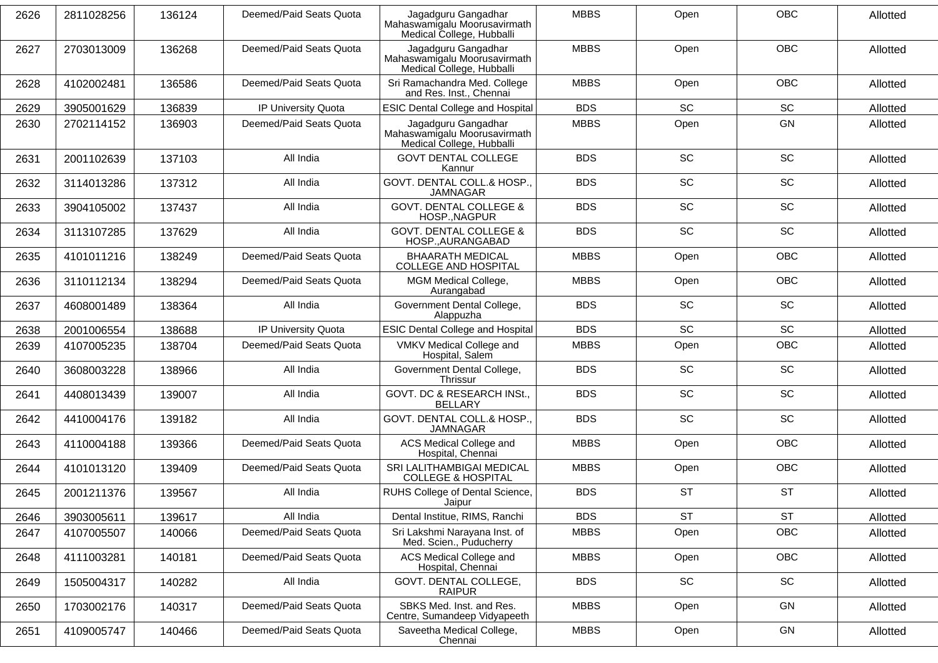| 2626 | 2811028256 | 136124 | Deemed/Paid Seats Quota | Jagadguru Gangadhar<br>Mahaswamigalu Moorusavirmath<br>Medical College, Hubballi | <b>MBBS</b> | Open      | <b>OBC</b> | Allotted |
|------|------------|--------|-------------------------|----------------------------------------------------------------------------------|-------------|-----------|------------|----------|
| 2627 | 2703013009 | 136268 | Deemed/Paid Seats Quota | Jagadguru Gangadhar<br>Mahaswamigalu Moorusavirmath<br>Medical College, Hubballi | <b>MBBS</b> | Open      | <b>OBC</b> | Allotted |
| 2628 | 4102002481 | 136586 | Deemed/Paid Seats Quota | Sri Ramachandra Med. College<br>and Res. Inst., Chennai                          | <b>MBBS</b> | Open      | <b>OBC</b> | Allotted |
| 2629 | 3905001629 | 136839 | IP University Quota     | <b>ESIC Dental College and Hospital</b>                                          | <b>BDS</b>  | <b>SC</b> | SC         | Allotted |
| 2630 | 2702114152 | 136903 | Deemed/Paid Seats Quota | Jagadguru Gangadhar<br>Mahaswamigalu Moorusavirmath<br>Medical College, Hubballi | <b>MBBS</b> | Open      | GN         | Allotted |
| 2631 | 2001102639 | 137103 | All India               | <b>GOVT DENTAL COLLEGE</b><br>Kannur                                             | <b>BDS</b>  | <b>SC</b> | SC         | Allotted |
| 2632 | 3114013286 | 137312 | All India               | GOVT. DENTAL COLL.& HOSP.,<br><b>JAMNAGAR</b>                                    | <b>BDS</b>  | SC        | SC         | Allotted |
| 2633 | 3904105002 | 137437 | All India               | <b>GOVT. DENTAL COLLEGE &amp;</b><br>HOSP., NAGPUR                               | <b>BDS</b>  | SC        | SC         | Allotted |
| 2634 | 3113107285 | 137629 | All India               | <b>GOVT. DENTAL COLLEGE &amp;</b><br>HOSP., AURANGABAD                           | <b>BDS</b>  | <b>SC</b> | SC         | Allotted |
| 2635 | 4101011216 | 138249 | Deemed/Paid Seats Quota | <b>BHAARATH MEDICAL</b><br><b>COLLEGE AND HOSPITAL</b>                           | <b>MBBS</b> | Open      | <b>OBC</b> | Allotted |
| 2636 | 3110112134 | 138294 | Deemed/Paid Seats Quota | MGM Medical College,<br>Aurangabad                                               | <b>MBBS</b> | Open      | <b>OBC</b> | Allotted |
| 2637 | 4608001489 | 138364 | All India               | Government Dental College,<br>Alappuzha                                          | <b>BDS</b>  | <b>SC</b> | SC         | Allotted |
| 2638 | 2001006554 | 138688 | IP University Quota     | <b>ESIC Dental College and Hospital</b>                                          | <b>BDS</b>  | <b>SC</b> | <b>SC</b>  | Allotted |
| 2639 | 4107005235 | 138704 | Deemed/Paid Seats Quota | VMKV Medical College and<br>Hospital, Salem                                      | <b>MBBS</b> | Open      | OBC        | Allotted |
| 2640 | 3608003228 | 138966 | All India               | Government Dental College,<br>Thrissur                                           | <b>BDS</b>  | SC        | SC         | Allotted |
| 2641 | 4408013439 | 139007 | All India               | GOVT. DC & RESEARCH INSt.,<br><b>BELLARY</b>                                     | <b>BDS</b>  | SC        | SC         | Allotted |
| 2642 | 4410004176 | 139182 | All India               | GOVT. DENTAL COLL.& HOSP.,<br><b>JAMNAGAR</b>                                    | <b>BDS</b>  | <b>SC</b> | SC         | Allotted |
| 2643 | 4110004188 | 139366 | Deemed/Paid Seats Quota | ACS Medical College and<br>Hospital, Chennai                                     | <b>MBBS</b> | Open      | OBC        | Allotted |
| 2644 | 4101013120 | 139409 | Deemed/Paid Seats Quota | SRI LALITHAMBIGAI MEDICAL<br><b>COLLEGE &amp; HOSPITAL</b>                       | <b>MBBS</b> | Open      | <b>OBC</b> | Allotted |
| 2645 | 2001211376 | 139567 | All India               | RUHS College of Dental Science,<br>Jaipur                                        | <b>BDS</b>  | <b>ST</b> | <b>ST</b>  | Allotted |
| 2646 | 3903005611 | 139617 | All India               | Dental Institue, RIMS, Ranchi                                                    | <b>BDS</b>  | <b>ST</b> | <b>ST</b>  | Allotted |
| 2647 | 4107005507 | 140066 | Deemed/Paid Seats Quota | Sri Lakshmi Narayana Inst. of<br>Med. Scien., Puducherry                         | <b>MBBS</b> | Open      | OBC        | Allotted |
| 2648 | 4111003281 | 140181 | Deemed/Paid Seats Quota | ACS Medical College and<br>Hospital, Chennai                                     | <b>MBBS</b> | Open      | OBC        | Allotted |
| 2649 | 1505004317 | 140282 | All India               | GOVT. DENTAL COLLEGE,<br><b>RAIPUR</b>                                           | <b>BDS</b>  | SC        | SC         | Allotted |
| 2650 | 1703002176 | 140317 | Deemed/Paid Seats Quota | SBKS Med. Inst. and Res.<br>Centre, Sumandeep Vidyapeeth                         | <b>MBBS</b> | Open      | GN         | Allotted |
| 2651 | 4109005747 | 140466 | Deemed/Paid Seats Quota | Saveetha Medical College,<br>Chennai                                             | <b>MBBS</b> | Open      | GN         | Allotted |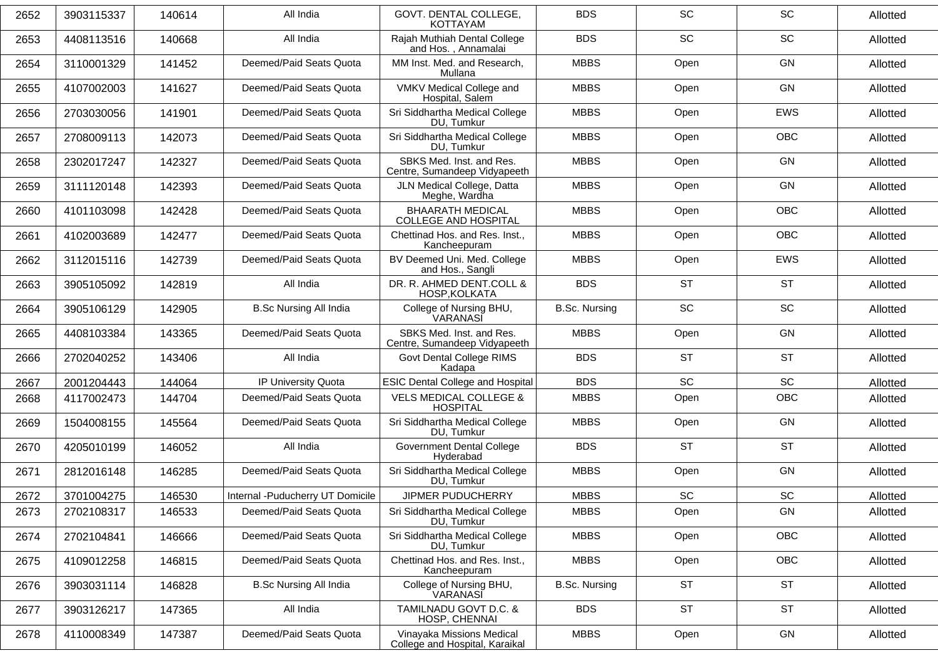| 2652 | 3903115337 | 140614 | All India                        | GOVT, DENTAL COLLEGE.<br><b>KOTTAYAM</b>                    | <b>BDS</b>           | <b>SC</b> | SC         | Allotted |
|------|------------|--------|----------------------------------|-------------------------------------------------------------|----------------------|-----------|------------|----------|
| 2653 | 4408113516 | 140668 | All India                        | Rajah Muthiah Dental College<br>and Hos., Annamalai         | <b>BDS</b>           | SC        | SC         | Allotted |
| 2654 | 3110001329 | 141452 | Deemed/Paid Seats Quota          | MM Inst. Med. and Research,<br>Mullana                      | <b>MBBS</b>          | Open      | GN         | Allotted |
| 2655 | 4107002003 | 141627 | Deemed/Paid Seats Quota          | VMKV Medical College and<br>Hospital, Salem                 | <b>MBBS</b>          | Open      | GN         | Allotted |
| 2656 | 2703030056 | 141901 | Deemed/Paid Seats Quota          | Sri Siddhartha Medical College<br>DU, Tumkur                | <b>MBBS</b>          | Open      | <b>EWS</b> | Allotted |
| 2657 | 2708009113 | 142073 | Deemed/Paid Seats Quota          | Sri Siddhartha Medical College<br>DU, Tumkur                | <b>MBBS</b>          | Open      | <b>OBC</b> | Allotted |
| 2658 | 2302017247 | 142327 | Deemed/Paid Seats Quota          | SBKS Med. Inst. and Res.<br>Centre, Sumandeep Vidyapeeth    | <b>MBBS</b>          | Open      | GN         | Allotted |
| 2659 | 3111120148 | 142393 | Deemed/Paid Seats Quota          | JLN Medical College, Datta<br>Meghe, Wardha                 | <b>MBBS</b>          | Open      | GN         | Allotted |
| 2660 | 4101103098 | 142428 | Deemed/Paid Seats Quota          | <b>BHAARATH MEDICAL</b><br><b>COLLEGE AND HOSPITAL</b>      | <b>MBBS</b>          | Open      | <b>OBC</b> | Allotted |
| 2661 | 4102003689 | 142477 | Deemed/Paid Seats Quota          | Chettinad Hos. and Res. Inst.,<br>Kancheepuram              | <b>MBBS</b>          | Open      | <b>OBC</b> | Allotted |
| 2662 | 3112015116 | 142739 | Deemed/Paid Seats Quota          | BV Deemed Uni. Med. College<br>and Hos., Sangli             | <b>MBBS</b>          | Open      | EWS        | Allotted |
| 2663 | 3905105092 | 142819 | All India                        | DR. R. AHMED DENT.COLL &<br>HOSP, KOLKATA                   | <b>BDS</b>           | <b>ST</b> | <b>ST</b>  | Allotted |
| 2664 | 3905106129 | 142905 | <b>B.Sc Nursing All India</b>    | College of Nursing BHU,<br>VARANASI                         | <b>B.Sc. Nursing</b> | <b>SC</b> | SC         | Allotted |
| 2665 | 4408103384 | 143365 | Deemed/Paid Seats Quota          | SBKS Med. Inst. and Res.<br>Centre, Sumandeep Vidyapeeth    | <b>MBBS</b>          | Open      | GN         | Allotted |
| 2666 | 2702040252 | 143406 | All India                        | Govt Dental College RIMS<br>Kadapa                          | <b>BDS</b>           | <b>ST</b> | <b>ST</b>  | Allotted |
| 2667 | 2001204443 | 144064 | IP University Quota              | <b>ESIC Dental College and Hospital</b>                     | <b>BDS</b>           | <b>SC</b> | <b>SC</b>  | Allotted |
| 2668 | 4117002473 | 144704 | Deemed/Paid Seats Quota          | <b>VELS MEDICAL COLLEGE &amp;</b><br><b>HOSPITAL</b>        | <b>MBBS</b>          | Open      | OBC        | Allotted |
| 2669 | 1504008155 | 145564 | Deemed/Paid Seats Quota          | Sri Siddhartha Medical College<br>DU, Tumkur                | <b>MBBS</b>          | Open      | GN         | Allotted |
| 2670 | 4205010199 | 146052 | All India                        | <b>Government Dental College</b><br>Hyderabad               | <b>BDS</b>           | <b>ST</b> | <b>ST</b>  | Allotted |
| 2671 | 2812016148 | 146285 | Deemed/Paid Seats Quota          | Sri Siddhartha Medical College<br>DU. Tumkur                | <b>MBBS</b>          | Open      | GN         | Allotted |
| 2672 | 3701004275 | 146530 | Internal -Puducherry UT Domicile | JIPMER PUDUCHERRY                                           | <b>MBBS</b>          | <b>SC</b> | SC         | Allotted |
| 2673 | 2702108317 | 146533 | Deemed/Paid Seats Quota          | Sri Siddhartha Medical College<br>DU, Tumkur                | <b>MBBS</b>          | Open      | GN         | Allotted |
| 2674 | 2702104841 | 146666 | Deemed/Paid Seats Quota          | Sri Siddhartha Medical College<br>DU, Tumkur                | <b>MBBS</b>          | Open      | <b>OBC</b> | Allotted |
| 2675 | 4109012258 | 146815 | Deemed/Paid Seats Quota          | Chettinad Hos. and Res. Inst.,<br>Kancheepuram              | <b>MBBS</b>          | Open      | <b>OBC</b> | Allotted |
| 2676 | 3903031114 | 146828 | <b>B.Sc Nursing All India</b>    | College of Nursing BHU,<br>VARANASI                         | <b>B.Sc. Nursing</b> | <b>ST</b> | <b>ST</b>  | Allotted |
| 2677 | 3903126217 | 147365 | All India                        | TAMILNADU GOVT D.C. &<br>HOSP, CHENNAI                      | <b>BDS</b>           | <b>ST</b> | <b>ST</b>  | Allotted |
| 2678 | 4110008349 | 147387 | Deemed/Paid Seats Quota          | Vinayaka Missions Medical<br>College and Hospital, Karaikal | <b>MBBS</b>          | Open      | GN         | Allotted |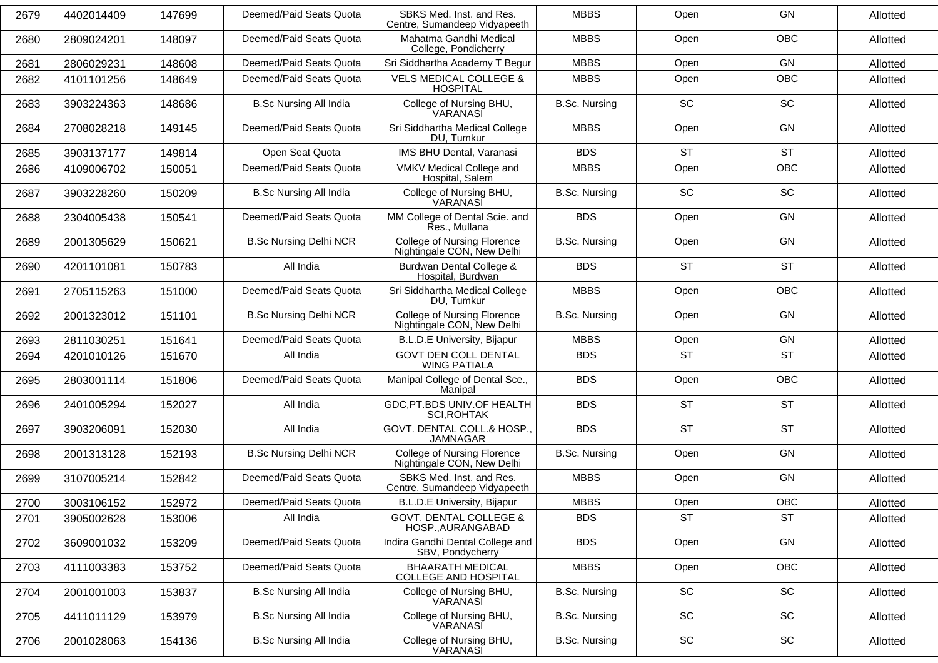| 2679 | 4402014409 | 147699 | Deemed/Paid Seats Quota       | SBKS Med. Inst. and Res.<br>Centre, Sumandeep Vidyapeeth         | <b>MBBS</b>          | Open                         | <b>GN</b>                    | Allotted |
|------|------------|--------|-------------------------------|------------------------------------------------------------------|----------------------|------------------------------|------------------------------|----------|
| 2680 | 2809024201 | 148097 | Deemed/Paid Seats Quota       | Mahatma Gandhi Medical<br>College, Pondicherry                   | <b>MBBS</b>          | Open                         | <b>OBC</b>                   | Allotted |
| 2681 | 2806029231 | 148608 | Deemed/Paid Seats Quota       | Sri Siddhartha Academy T Begur                                   | <b>MBBS</b>          | Open                         | GN                           | Allotted |
| 2682 | 4101101256 | 148649 | Deemed/Paid Seats Quota       | <b>VELS MEDICAL COLLEGE &amp;</b><br><b>HOSPITAL</b>             | <b>MBBS</b>          | Open                         | <b>OBC</b>                   | Allotted |
| 2683 | 3903224363 | 148686 | <b>B.Sc Nursing All India</b> | College of Nursing BHU,<br>VARANASĬ                              | <b>B.Sc. Nursing</b> | <b>SC</b>                    | SC                           | Allotted |
| 2684 | 2708028218 | 149145 | Deemed/Paid Seats Quota       | Sri Siddhartha Medical College<br>DU, Tumkur                     | <b>MBBS</b>          | Open                         | GN                           | Allotted |
| 2685 | 3903137177 | 149814 | Open Seat Quota               | IMS BHU Dental, Varanasi                                         | <b>BDS</b>           | <b>ST</b>                    | <b>ST</b>                    | Allotted |
| 2686 | 4109006702 | 150051 | Deemed/Paid Seats Quota       | VMKV Medical College and<br>Hospital, Salem                      | <b>MBBS</b>          | Open                         | OBC                          | Allotted |
| 2687 | 3903228260 | 150209 | <b>B.Sc Nursing All India</b> | College of Nursing BHU,<br>VARANASI                              | <b>B.Sc. Nursing</b> | <b>SC</b>                    | SC                           | Allotted |
| 2688 | 2304005438 | 150541 | Deemed/Paid Seats Quota       | MM College of Dental Scie. and<br>Res., Mullana                  | <b>BDS</b>           | Open                         | GN                           | Allotted |
| 2689 | 2001305629 | 150621 | <b>B.Sc Nursing Delhi NCR</b> | <b>College of Nursing Florence</b><br>Nightingale CON, New Delhi | <b>B.Sc. Nursing</b> | Open                         | GN                           | Allotted |
| 2690 | 4201101081 | 150783 | All India                     | Burdwan Dental College &<br>Hospital, Burdwan                    | <b>BDS</b>           | <b>ST</b>                    | <b>ST</b>                    | Allotted |
| 2691 | 2705115263 | 151000 | Deemed/Paid Seats Quota       | Sri Siddhartha Medical College<br>DU, Tumkur                     | <b>MBBS</b>          | Open                         | OBC                          | Allotted |
| 2692 | 2001323012 | 151101 | <b>B.Sc Nursing Delhi NCR</b> | College of Nursing Florence<br>Nightingale CON, New Delhi        | <b>B.Sc. Nursing</b> | Open                         | GN                           | Allotted |
| 2693 | 2811030251 | 151641 | Deemed/Paid Seats Quota       | B.L.D.E University, Bijapur                                      | <b>MBBS</b>          | Open                         | GN                           | Allotted |
| 2694 | 4201010126 | 151670 | All India                     | <b>GOVT DEN COLL DENTAL</b><br><b>WING PATIALA</b>               | <b>BDS</b>           | <b>ST</b>                    | <b>ST</b>                    | Allotted |
| 2695 | 2803001114 | 151806 | Deemed/Paid Seats Quota       | Manipal College of Dental Sce.,<br>Manipal                       | <b>BDS</b>           | Open                         | <b>OBC</b>                   | Allotted |
| 2696 | 2401005294 | 152027 | All India                     | GDC, PT.BDS UNIV. OF HEALTH<br><b>SCI, ROHTAK</b>                | <b>BDS</b>           | <b>ST</b>                    | <b>ST</b>                    | Allotted |
| 2697 | 3903206091 | 152030 | All India                     | GOVT. DENTAL COLL.& HOSP.,<br><b>JAMNAGAR</b>                    | <b>BDS</b>           | <b>ST</b>                    | <b>ST</b>                    | Allotted |
| 2698 | 2001313128 | 152193 | <b>B.Sc Nursing Delhi NCR</b> | College of Nursing Florence<br>Nightingale CON, New Delhi        | <b>B.Sc. Nursing</b> | Open                         | GN                           | Allotted |
| 2699 | 3107005214 | 152842 | Deemed/Paid Seats Quota       | SBKS Med. Inst. and Res.<br>Centre, Sumandeep Vidyapeeth         | <b>MBBS</b>          | Open                         | GN                           | Allotted |
| 2700 | 3003106152 | 152972 | Deemed/Paid Seats Quota       | B.L.D.E University, Bijapur                                      | <b>MBBS</b>          | Open                         | <b>OBC</b>                   | Allotted |
| 2701 | 3905002628 | 153006 | All India                     | <b>GOVT. DENTAL COLLEGE &amp;</b><br>HOSP., AURANGABAD           | <b>BDS</b>           | <b>ST</b>                    | <b>ST</b>                    | Allotted |
| 2702 | 3609001032 | 153209 | Deemed/Paid Seats Quota       | Indira Gandhi Dental College and<br>SBV, Pondycherry             | <b>BDS</b>           | Open                         | GN                           | Allotted |
| 2703 | 4111003383 | 153752 | Deemed/Paid Seats Quota       | <b>BHAARATH MEDICAL</b><br><b>COLLEGE AND HOSPITAL</b>           | <b>MBBS</b>          | Open                         | OBC                          | Allotted |
| 2704 | 2001001003 | 153837 | <b>B.Sc Nursing All India</b> | College of Nursing BHU,<br>VARANASI                              | <b>B.Sc. Nursing</b> | SC                           | SC                           | Allotted |
| 2705 | 4411011129 | 153979 | <b>B.Sc Nursing All India</b> | College of Nursing BHU,<br>VARANASI                              | <b>B.Sc. Nursing</b> | SC                           | SC                           | Allotted |
| 2706 | 2001028063 | 154136 | <b>B.Sc Nursing All India</b> | College of Nursing BHU,<br>VARANASI                              | <b>B.Sc. Nursing</b> | $\operatorname{\textsf{SC}}$ | $\operatorname{\textsf{SC}}$ | Allotted |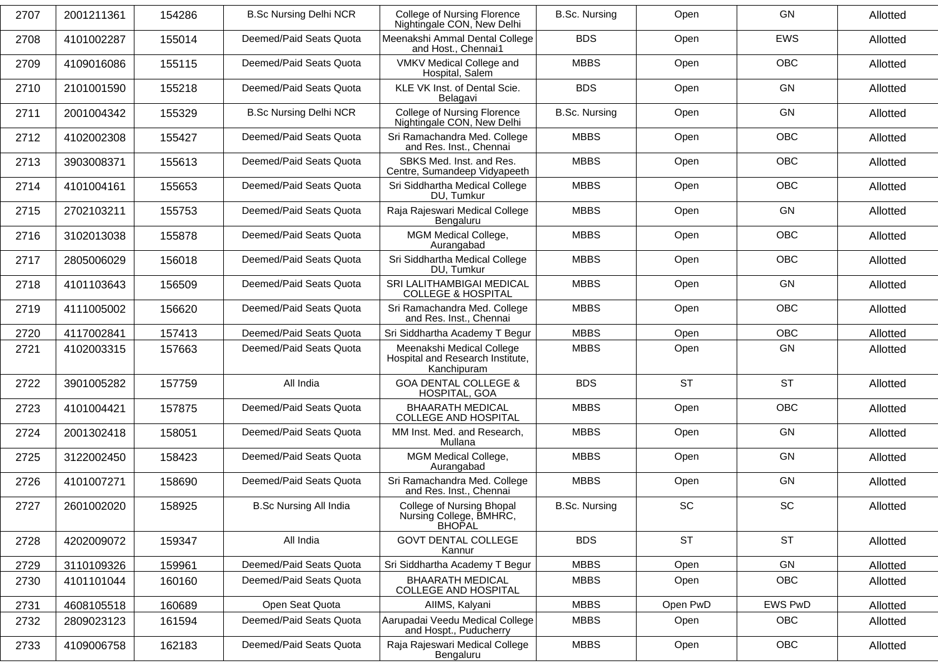| 2707 | 2001211361 | 154286 | <b>B.Sc Nursing Delhi NCR</b> | <b>College of Nursing Florence</b><br>Nightingale CON, New Delhi             | <b>B.Sc. Nursing</b> | Open                         | GN             | Allotted |
|------|------------|--------|-------------------------------|------------------------------------------------------------------------------|----------------------|------------------------------|----------------|----------|
| 2708 | 4101002287 | 155014 | Deemed/Paid Seats Quota       | Meenakshi Ammal Dental College<br>and Host., Chennai1                        | <b>BDS</b>           | Open                         | <b>EWS</b>     | Allotted |
| 2709 | 4109016086 | 155115 | Deemed/Paid Seats Quota       | VMKV Medical College and<br>Hospital, Salem                                  | <b>MBBS</b>          | Open                         | <b>OBC</b>     | Allotted |
| 2710 | 2101001590 | 155218 | Deemed/Paid Seats Quota       | KLE VK Inst. of Dental Scie.<br>Belagavi                                     | <b>BDS</b>           | Open                         | GN             | Allotted |
| 2711 | 2001004342 | 155329 | <b>B.Sc Nursing Delhi NCR</b> | <b>College of Nursing Florence</b><br>Nightingale CON, New Delhi             | <b>B.Sc. Nursing</b> | Open                         | GN             | Allotted |
| 2712 | 4102002308 | 155427 | Deemed/Paid Seats Quota       | Sri Ramachandra Med. College<br>and Res. Inst., Chennai                      | <b>MBBS</b>          | Open                         | <b>OBC</b>     | Allotted |
| 2713 | 3903008371 | 155613 | Deemed/Paid Seats Quota       | SBKS Med. Inst. and Res.<br>Centre, Sumandeep Vidyapeeth                     | <b>MBBS</b>          | Open                         | <b>OBC</b>     | Allotted |
| 2714 | 4101004161 | 155653 | Deemed/Paid Seats Quota       | Sri Siddhartha Medical College<br>DU, Tumkur                                 | <b>MBBS</b>          | Open                         | <b>OBC</b>     | Allotted |
| 2715 | 2702103211 | 155753 | Deemed/Paid Seats Quota       | Raja Rajeswari Medical College<br>Bengaluru                                  | <b>MBBS</b>          | Open                         | GN             | Allotted |
| 2716 | 3102013038 | 155878 | Deemed/Paid Seats Quota       | MGM Medical College,<br>Aurangabad                                           | <b>MBBS</b>          | Open                         | <b>OBC</b>     | Allotted |
| 2717 | 2805006029 | 156018 | Deemed/Paid Seats Quota       | Sri Siddhartha Medical College<br>DU, Tumkur                                 | <b>MBBS</b>          | Open                         | <b>OBC</b>     | Allotted |
| 2718 | 4101103643 | 156509 | Deemed/Paid Seats Quota       | SRI LALITHAMBIGAI MEDICAL<br><b>COLLEGE &amp; HOSPITAL</b>                   | <b>MBBS</b>          | Open                         | GN             | Allotted |
| 2719 | 4111005002 | 156620 | Deemed/Paid Seats Quota       | Sri Ramachandra Med. College<br>and Res. Inst., Chennai                      | <b>MBBS</b>          | Open                         | <b>OBC</b>     | Allotted |
| 2720 | 4117002841 | 157413 | Deemed/Paid Seats Quota       | Sri Siddhartha Academy T Begur                                               | <b>MBBS</b>          | Open                         | <b>OBC</b>     | Allotted |
| 2721 | 4102003315 | 157663 | Deemed/Paid Seats Quota       | Meenakshi Medical College<br>Hospital and Research Institute,<br>Kanchipuram | <b>MBBS</b>          | Open                         | GN             | Allotted |
| 2722 | 3901005282 | 157759 | All India                     | <b>GOA DENTAL COLLEGE &amp;</b><br>HOSPITAL, GOA                             | <b>BDS</b>           | <b>ST</b>                    | <b>ST</b>      | Allotted |
| 2723 | 4101004421 | 157875 | Deemed/Paid Seats Quota       | <b>BHAARATH MEDICAL</b><br><b>COLLEGE AND HOSPITAL</b>                       | <b>MBBS</b>          | Open                         | <b>OBC</b>     | Allotted |
| 2724 | 2001302418 | 158051 | Deemed/Paid Seats Quota       | MM Inst. Med. and Research,<br>Mullana                                       | <b>MBBS</b>          | Open                         | GN             | Allotted |
| 2725 | 3122002450 | 158423 | Deemed/Paid Seats Quota       | MGM Medical College,<br>Aurangabad                                           | <b>MBBS</b>          | Open                         | GN             | Allotted |
| 2726 | 4101007271 | 158690 | Deemed/Paid Seats Quota       | Sri Ramachandra Med. College<br>and Res. Inst., Chennai                      | <b>MBBS</b>          | Open                         | GN             | Allotted |
| 2727 | 2601002020 | 158925 | <b>B.Sc Nursing All India</b> | College of Nursing Bhopal<br>Nursing College, BMHRC,<br><b>BHOPAL</b>        | <b>B.Sc. Nursing</b> | $\operatorname{\textsf{SC}}$ | SC             | Allotted |
| 2728 | 4202009072 | 159347 | All India                     | <b>GOVT DENTAL COLLEGE</b><br>Kannur                                         | <b>BDS</b>           | <b>ST</b>                    | <b>ST</b>      | Allotted |
| 2729 | 3110109326 | 159961 | Deemed/Paid Seats Quota       | Sri Siddhartha Academy T Begur                                               | <b>MBBS</b>          | Open                         | GN             | Allotted |
| 2730 | 4101101044 | 160160 | Deemed/Paid Seats Quota       | <b>BHAARATH MEDICAL</b><br>COLLEGE AND HOSPITAL                              | <b>MBBS</b>          | Open                         | <b>OBC</b>     | Allotted |
| 2731 | 4608105518 | 160689 | Open Seat Quota               | AIIMS, Kalyani                                                               | <b>MBBS</b>          | Open PwD                     | <b>EWS PwD</b> | Allotted |
| 2732 | 2809023123 | 161594 | Deemed/Paid Seats Quota       | Aarupadai Veedu Medical College<br>and Hospt., Puducherry                    | <b>MBBS</b>          | Open                         | <b>OBC</b>     | Allotted |
| 2733 | 4109006758 | 162183 | Deemed/Paid Seats Quota       | Raja Rajeswari Medical College<br>Bengaluru                                  | <b>MBBS</b>          | Open                         | OBC            | Allotted |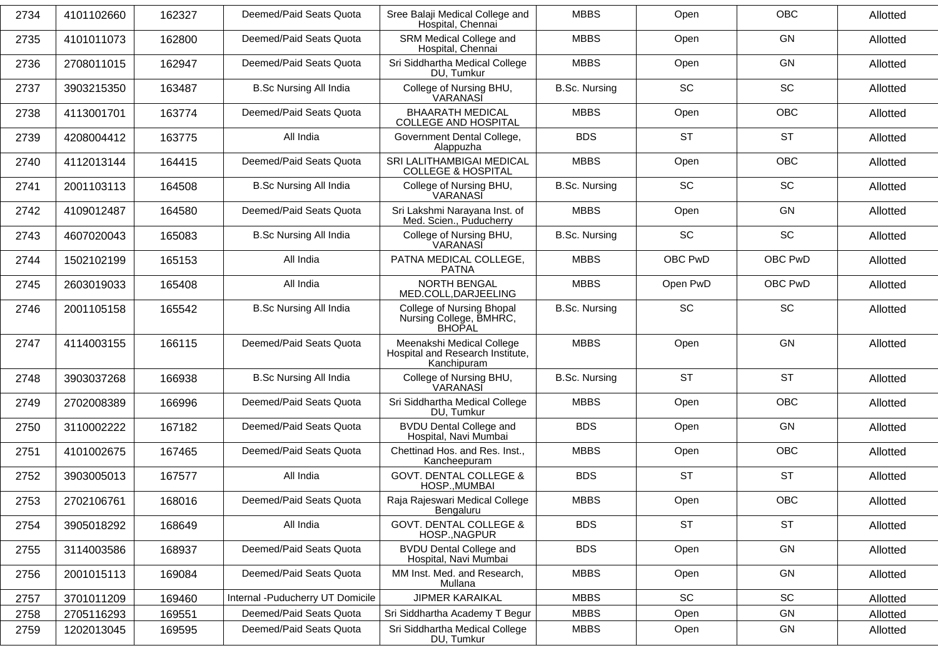| 2734 | 4101102660 | 162327 | Deemed/Paid Seats Quota           | Sree Balaji Medical College and<br>Hospital, Chennai                         | <b>MBBS</b>          | Open      | <b>OBC</b> | Allotted |
|------|------------|--------|-----------------------------------|------------------------------------------------------------------------------|----------------------|-----------|------------|----------|
| 2735 | 4101011073 | 162800 | Deemed/Paid Seats Quota           | SRM Medical College and<br>Hospital, Chennai                                 | <b>MBBS</b>          | Open      | <b>GN</b>  | Allotted |
| 2736 | 2708011015 | 162947 | Deemed/Paid Seats Quota           | Sri Siddhartha Medical College<br>DU, Tumkur                                 | <b>MBBS</b>          | Open      | <b>GN</b>  | Allotted |
| 2737 | 3903215350 | 163487 | <b>B.Sc Nursing All India</b>     | College of Nursing BHU,<br>VARANASI                                          | <b>B.Sc. Nursing</b> | <b>SC</b> | SC         | Allotted |
| 2738 | 4113001701 | 163774 | Deemed/Paid Seats Quota           | <b>BHAARATH MEDICAL</b><br><b>COLLEGE AND HOSPITAL</b>                       | <b>MBBS</b>          | Open      | <b>OBC</b> | Allotted |
| 2739 | 4208004412 | 163775 | All India                         | Government Dental College,<br>Alappuzha                                      | <b>BDS</b>           | <b>ST</b> | <b>ST</b>  | Allotted |
| 2740 | 4112013144 | 164415 | Deemed/Paid Seats Quota           | SRI LALITHAMBIGAI MEDICAL<br><b>COLLEGE &amp; HOSPITAL</b>                   | <b>MBBS</b>          | Open      | <b>OBC</b> | Allotted |
| 2741 | 2001103113 | 164508 | <b>B.Sc Nursing All India</b>     | College of Nursing BHU,<br>VARANASI                                          | <b>B.Sc. Nursing</b> | <b>SC</b> | <b>SC</b>  | Allotted |
| 2742 | 4109012487 | 164580 | Deemed/Paid Seats Quota           | Sri Lakshmi Narayana Inst. of<br>Med. Scien., Puducherry                     | <b>MBBS</b>          | Open      | <b>GN</b>  | Allotted |
| 2743 | 4607020043 | 165083 | <b>B.Sc Nursing All India</b>     | College of Nursing BHU,<br>VARANASI                                          | <b>B.Sc. Nursing</b> | <b>SC</b> | SC         | Allotted |
| 2744 | 1502102199 | 165153 | All India                         | PATNA MEDICAL COLLEGE,<br><b>PATNA</b>                                       | <b>MBBS</b>          | OBC PwD   | OBC PwD    | Allotted |
| 2745 | 2603019033 | 165408 | All India                         | <b>NORTH BENGAL</b><br>MED.COLL, DARJEELING                                  | <b>MBBS</b>          | Open PwD  | OBC PwD    | Allotted |
| 2746 | 2001105158 | 165542 | <b>B.Sc Nursing All India</b>     | College of Nursing Bhopal<br>Nursing College, BMHRC,<br>BHOPAL               | <b>B.Sc. Nursing</b> | <b>SC</b> | SC         | Allotted |
| 2747 | 4114003155 | 166115 | Deemed/Paid Seats Quota           | Meenakshi Medical College<br>Hospital and Research Institute,<br>Kanchipuram | <b>MBBS</b>          | Open      | <b>GN</b>  | Allotted |
| 2748 | 3903037268 | 166938 | <b>B.Sc Nursing All India</b>     | College of Nursing BHU,<br>VARANASI                                          | <b>B.Sc. Nursing</b> | <b>ST</b> | <b>ST</b>  | Allotted |
| 2749 | 2702008389 | 166996 | Deemed/Paid Seats Quota           | Sri Siddhartha Medical College<br>DU, Tumkur                                 | <b>MBBS</b>          | Open      | <b>OBC</b> | Allotted |
| 2750 | 3110002222 | 167182 | Deemed/Paid Seats Quota           | <b>BVDU Dental College and</b><br>Hospital, Navi Mumbai                      | <b>BDS</b>           | Open      | <b>GN</b>  | Allotted |
| 2751 | 4101002675 | 167465 | Deemed/Paid Seats Quota           | Chettinad Hos. and Res. Inst.,<br>Kancheepuram                               | <b>MBBS</b>          | Open      | <b>OBC</b> | Allotted |
| 2752 | 3903005013 | 167577 | All India                         | <b>GOVT. DENTAL COLLEGE &amp;</b><br>HOSP., MUMBAI                           | <b>BDS</b>           | <b>ST</b> | <b>ST</b>  | Allotted |
| 2753 | 2702106761 | 168016 | Deemed/Paid Seats Quota           | Raja Rajeswari Medical College<br>Bengaluru                                  | <b>MBBS</b>          | Open      | <b>OBC</b> | Allotted |
| 2754 | 3905018292 | 168649 | All India                         | <b>GOVT. DENTAL COLLEGE &amp;</b><br>HOSP., NAGPUR                           | <b>BDS</b>           | <b>ST</b> | <b>ST</b>  | Allotted |
| 2755 | 3114003586 | 168937 | Deemed/Paid Seats Quota           | <b>BVDU Dental College and</b><br>Hospital, Navi Mumbai                      | <b>BDS</b>           | Open      | GN         | Allotted |
| 2756 | 2001015113 | 169084 | Deemed/Paid Seats Quota           | MM Inst. Med. and Research,<br>Mullana                                       | <b>MBBS</b>          | Open      | GN         | Allotted |
| 2757 | 3701011209 | 169460 | Internal - Puducherry UT Domicile | <b>JIPMER KARAIKAL</b>                                                       | <b>MBBS</b>          | SC        | SC         | Allotted |
| 2758 | 2705116293 | 169551 | Deemed/Paid Seats Quota           | Sri Siddhartha Academy T Begur                                               | <b>MBBS</b>          | Open      | GN         | Allotted |
| 2759 | 1202013045 | 169595 | Deemed/Paid Seats Quota           | Sri Siddhartha Medical College                                               | <b>MBBS</b>          | Open      | GN         | Allotted |
|      |            |        |                                   | DU, Tumkur                                                                   |                      |           |            |          |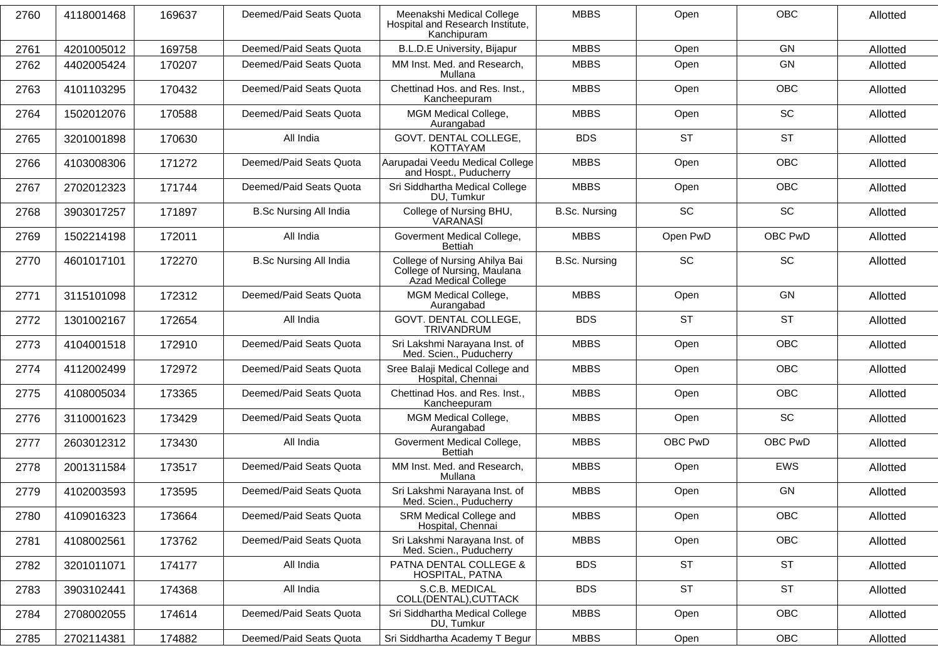| 2760 | 4118001468 | 169637 | Deemed/Paid Seats Quota       | Meenakshi Medical College<br>Hospital and Research Institute,<br>Kanchipuram         | <b>MBBS</b>          | Open      | <b>OBC</b> | Allotted |
|------|------------|--------|-------------------------------|--------------------------------------------------------------------------------------|----------------------|-----------|------------|----------|
| 2761 | 4201005012 | 169758 | Deemed/Paid Seats Quota       | B.L.D.E University, Bijapur                                                          | <b>MBBS</b>          | Open      | GN         | Allotted |
| 2762 | 4402005424 | 170207 | Deemed/Paid Seats Quota       | MM Inst. Med. and Research,<br>Mullana                                               | <b>MBBS</b>          | Open      | <b>GN</b>  | Allotted |
| 2763 | 4101103295 | 170432 | Deemed/Paid Seats Quota       | Chettinad Hos. and Res. Inst.,<br>Kancheepuram                                       | <b>MBBS</b>          | Open      | <b>OBC</b> | Allotted |
| 2764 | 1502012076 | 170588 | Deemed/Paid Seats Quota       | MGM Medical College,<br>Aurangabad                                                   | <b>MBBS</b>          | Open      | <b>SC</b>  | Allotted |
| 2765 | 3201001898 | 170630 | All India                     | GOVT. DENTAL COLLEGE,<br><b>KOTTAYAM</b>                                             | <b>BDS</b>           | <b>ST</b> | <b>ST</b>  | Allotted |
| 2766 | 4103008306 | 171272 | Deemed/Paid Seats Quota       | Aarupadai Veedu Medical College<br>and Hospt., Puducherry                            | <b>MBBS</b>          | Open      | <b>OBC</b> | Allotted |
| 2767 | 2702012323 | 171744 | Deemed/Paid Seats Quota       | Sri Siddhartha Medical College<br>DU, Tumkur                                         | <b>MBBS</b>          | Open      | <b>OBC</b> | Allotted |
| 2768 | 3903017257 | 171897 | <b>B.Sc Nursing All India</b> | College of Nursing BHU,<br>VARANASI                                                  | <b>B.Sc. Nursing</b> | <b>SC</b> | SC         | Allotted |
| 2769 | 1502214198 | 172011 | All India                     | Goverment Medical College,<br>Bettiah                                                | <b>MBBS</b>          | Open PwD  | OBC PwD    | Allotted |
| 2770 | 4601017101 | 172270 | <b>B.Sc Nursing All India</b> | College of Nursing Ahilya Bai<br>College of Nursing, Maulana<br>Azad Medical College | <b>B.Sc. Nursing</b> | <b>SC</b> | <b>SC</b>  | Allotted |
| 2771 | 3115101098 | 172312 | Deemed/Paid Seats Quota       | MGM Medical College,<br>Aurangabad                                                   | <b>MBBS</b>          | Open      | <b>GN</b>  | Allotted |
| 2772 | 1301002167 | 172654 | All India                     | GOVT. DENTAL COLLEGE,<br>TRIVANDRUM                                                  | <b>BDS</b>           | <b>ST</b> | <b>ST</b>  | Allotted |
| 2773 | 4104001518 | 172910 | Deemed/Paid Seats Quota       | Sri Lakshmi Narayana Inst. of<br>Med. Scien., Puducherry                             | <b>MBBS</b>          | Open      | <b>OBC</b> | Allotted |
| 2774 | 4112002499 | 172972 | Deemed/Paid Seats Quota       | Sree Balaji Medical College and<br>Hospital, Chennai                                 | <b>MBBS</b>          | Open      | OBC        | Allotted |
| 2775 | 4108005034 | 173365 | Deemed/Paid Seats Quota       | Chettinad Hos. and Res. Inst.,<br>Kancheepuram                                       | <b>MBBS</b>          | Open      | <b>OBC</b> | Allotted |
| 2776 | 3110001623 | 173429 | Deemed/Paid Seats Quota       | MGM Medical College,<br>Aurangabad                                                   | <b>MBBS</b>          | Open      | <b>SC</b>  | Allotted |
| 2777 | 2603012312 | 173430 | All India                     | Goverment Medical College,<br>Bettiah                                                | <b>MBBS</b>          | OBC PwD   | OBC PwD    | Allotted |
| 2778 | 2001311584 | 173517 | Deemed/Paid Seats Quota       | MM Inst. Med. and Research,<br>Mullana                                               | <b>MBBS</b>          | Open      | <b>EWS</b> | Allotted |
| 2779 | 4102003593 | 173595 | Deemed/Paid Seats Quota       | Sri Lakshmi Narayana Inst. of<br>Med. Scien., Puducherry                             | <b>MBBS</b>          | Open      | <b>GN</b>  | Allotted |
| 2780 | 4109016323 | 173664 | Deemed/Paid Seats Quota       | SRM Medical College and<br>Hospital, Chennai                                         | <b>MBBS</b>          | Open      | OBC        | Allotted |
| 2781 | 4108002561 | 173762 | Deemed/Paid Seats Quota       | Sri Lakshmi Narayana Inst. of<br>Med. Scien., Puducherry                             | <b>MBBS</b>          | Open      | OBC        | Allotted |
| 2782 | 3201011071 | 174177 | All India                     | PATNA DENTAL COLLEGE &<br>HOSPITAL, PATNA                                            | <b>BDS</b>           | <b>ST</b> | <b>ST</b>  | Allotted |
| 2783 | 3903102441 | 174368 | All India                     | S.C.B. MEDICAL<br>COLL(DENTAL), CUTTACK                                              | <b>BDS</b>           | <b>ST</b> | <b>ST</b>  | Allotted |
| 2784 | 2708002055 | 174614 | Deemed/Paid Seats Quota       | Sri Siddhartha Medical College<br>DU, Tumkur                                         | <b>MBBS</b>          | Open      | OBC        | Allotted |
| 2785 | 2702114381 | 174882 | Deemed/Paid Seats Quota       | Sri Siddhartha Academy T Begur                                                       | <b>MBBS</b>          | Open      | OBC        | Allotted |
|      |            |        |                               |                                                                                      |                      |           |            |          |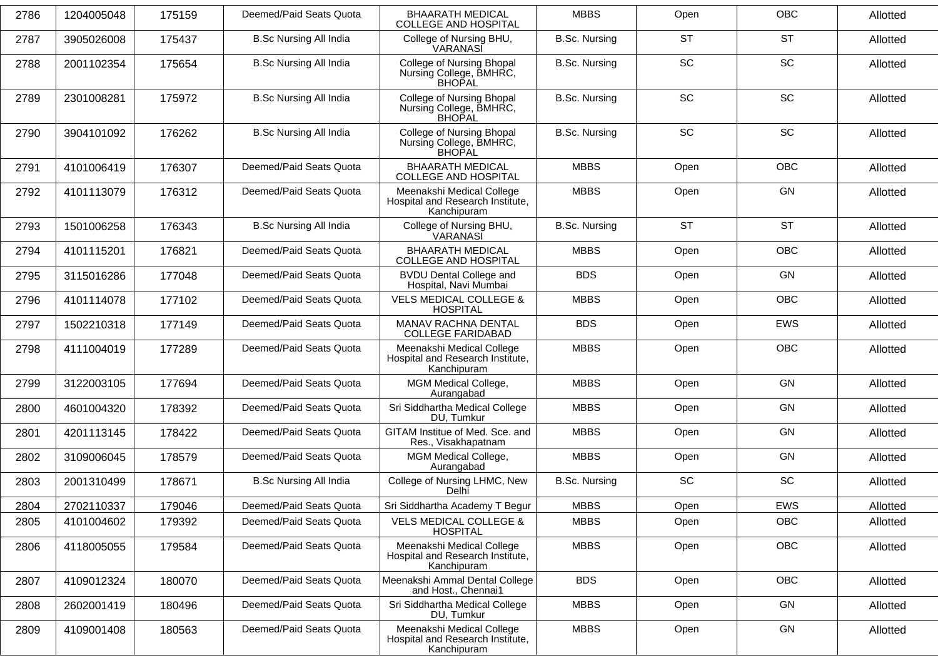| 2786 | 1204005048 | 175159 | Deemed/Paid Seats Quota       | <b>BHAARATH MEDICAL</b><br><b>COLLEGE AND HOSPITAL</b>                       | <b>MBBS</b>          | Open      | <b>OBC</b> | Allotted |
|------|------------|--------|-------------------------------|------------------------------------------------------------------------------|----------------------|-----------|------------|----------|
| 2787 | 3905026008 | 175437 | <b>B.Sc Nursing All India</b> | College of Nursing BHU,<br>VARANASĬ                                          | <b>B.Sc. Nursing</b> | <b>ST</b> | <b>ST</b>  | Allotted |
| 2788 | 2001102354 | 175654 | <b>B.Sc Nursing All India</b> | College of Nursing Bhopal<br>Nursing College, BMHRC,<br><b>BHOPAL</b>        | <b>B.Sc. Nursing</b> | SC        | SC         | Allotted |
| 2789 | 2301008281 | 175972 | <b>B.Sc Nursing All India</b> | College of Nursing Bhopal<br>Nursing College, BMHRC,<br><b>BHOPAL</b>        | <b>B.Sc. Nursing</b> | <b>SC</b> | SC         | Allotted |
| 2790 | 3904101092 | 176262 | <b>B.Sc Nursing All India</b> | College of Nursing Bhopal<br>Nursing College, BMHRC,<br><b>BHOPAL</b>        | <b>B.Sc. Nursing</b> | <b>SC</b> | SC         | Allotted |
| 2791 | 4101006419 | 176307 | Deemed/Paid Seats Quota       | <b>BHAARATH MEDICAL</b><br>COLLEGE AND HOSPITAL                              | <b>MBBS</b>          | Open      | <b>OBC</b> | Allotted |
| 2792 | 4101113079 | 176312 | Deemed/Paid Seats Quota       | Meenakshi Medical College<br>Hospital and Research Institute,<br>Kanchipuram | <b>MBBS</b>          | Open      | <b>GN</b>  | Allotted |
| 2793 | 1501006258 | 176343 | <b>B.Sc Nursing All India</b> | College of Nursing BHU,<br>VARANASI                                          | <b>B.Sc. Nursing</b> | <b>ST</b> | <b>ST</b>  | Allotted |
| 2794 | 4101115201 | 176821 | Deemed/Paid Seats Quota       | <b>BHAARATH MEDICAL</b><br><b>COLLEGE AND HOSPITAL</b>                       | <b>MBBS</b>          | Open      | OBC        | Allotted |
| 2795 | 3115016286 | 177048 | Deemed/Paid Seats Quota       | <b>BVDU Dental College and</b><br>Hospital, Navi Mumbai                      | <b>BDS</b>           | Open      | GN         | Allotted |
| 2796 | 4101114078 | 177102 | Deemed/Paid Seats Quota       | <b>VELS MEDICAL COLLEGE &amp;</b><br><b>HOSPITAL</b>                         | <b>MBBS</b>          | Open      | <b>OBC</b> | Allotted |
| 2797 | 1502210318 | 177149 | Deemed/Paid Seats Quota       | MANAV RACHNA DENTAL<br><b>COLLEGE FARIDABAD</b>                              | <b>BDS</b>           | Open      | EWS        | Allotted |
| 2798 | 4111004019 | 177289 | Deemed/Paid Seats Quota       | Meenakshi Medical College<br>Hospital and Research Institute,<br>Kanchipuram | <b>MBBS</b>          | Open      | <b>OBC</b> | Allotted |
| 2799 | 3122003105 | 177694 | Deemed/Paid Seats Quota       | MGM Medical College,<br>Aurangabad                                           | <b>MBBS</b>          | Open      | <b>GN</b>  | Allotted |
| 2800 | 4601004320 | 178392 | Deemed/Paid Seats Quota       | Sri Siddhartha Medical College<br>DU, Tumkur                                 | <b>MBBS</b>          | Open      | <b>GN</b>  | Allotted |
| 2801 | 4201113145 | 178422 | Deemed/Paid Seats Quota       | GITAM Institue of Med. Sce. and<br>Res., Visakhapatnam                       | <b>MBBS</b>          | Open      | <b>GN</b>  | Allotted |
| 2802 | 3109006045 | 178579 | Deemed/Paid Seats Quota       | MGM Medical College,<br>Aurangabad                                           | <b>MBBS</b>          | Open      | <b>GN</b>  | Allotted |
| 2803 | 2001310499 | 178671 | <b>B.Sc Nursing All India</b> | College of Nursing LHMC, New<br>Delhi                                        | <b>B.Sc. Nursing</b> | <b>SC</b> | SC         | Allotted |
| 2804 | 2702110337 | 179046 | Deemed/Paid Seats Quota       | Sri Siddhartha Academy T Begur                                               | <b>MBBS</b>          | Open      | EWS        | Allotted |
| 2805 | 4101004602 | 179392 | Deemed/Paid Seats Quota       | VELS MEDICAL COLLEGE &<br><b>HOSPITAL</b>                                    | <b>MBBS</b>          | Open      | OBC        | Allotted |
| 2806 | 4118005055 | 179584 | Deemed/Paid Seats Quota       | Meenakshi Medical College<br>Hospital and Research Institute,<br>Kanchipuram | <b>MBBS</b>          | Open      | OBC        | Allotted |
| 2807 | 4109012324 | 180070 | Deemed/Paid Seats Quota       | Meenakshi Ammal Dental College<br>and Host., Chennai1                        | <b>BDS</b>           | Open      | <b>OBC</b> | Allotted |
| 2808 | 2602001419 | 180496 | Deemed/Paid Seats Quota       | Sri Siddhartha Medical College<br>DU, Tumkur                                 | <b>MBBS</b>          | Open      | GN         | Allotted |
| 2809 | 4109001408 | 180563 | Deemed/Paid Seats Quota       | Meenakshi Medical College<br>Hospital and Research Institute,<br>Kanchipuram | <b>MBBS</b>          | Open      | GN         | Allotted |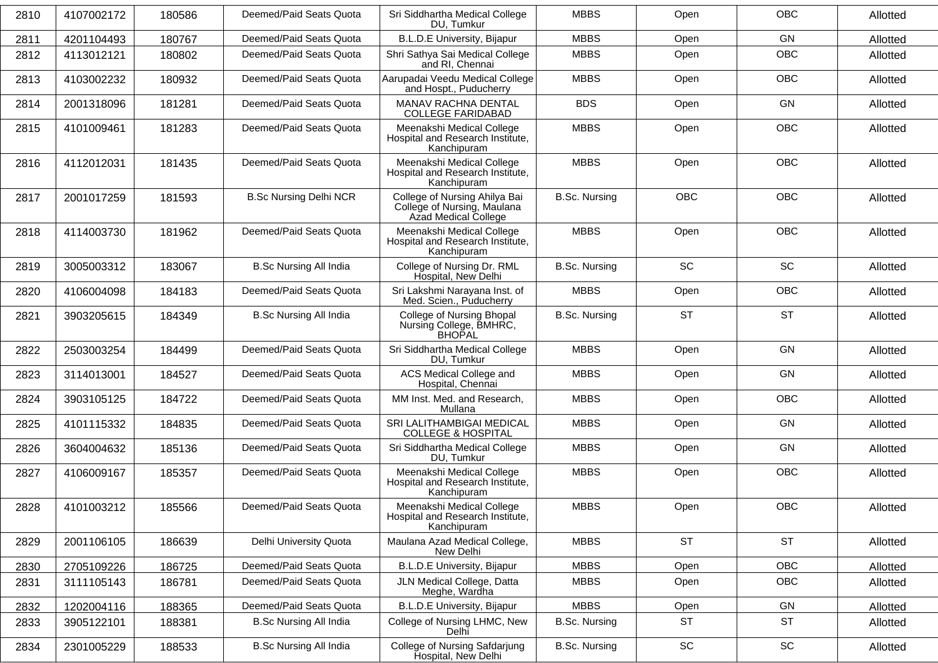| 2810 | 4107002172 | 180586 | Deemed/Paid Seats Quota       | Sri Siddhartha Medical College<br>DU, Tumkur                                         | <b>MBBS</b>          | Open                         | <b>OBC</b> | Allotted |
|------|------------|--------|-------------------------------|--------------------------------------------------------------------------------------|----------------------|------------------------------|------------|----------|
| 2811 | 4201104493 | 180767 | Deemed/Paid Seats Quota       | <b>B.L.D.E University, Bijapur</b>                                                   | <b>MBBS</b>          | Open                         | <b>GN</b>  | Allotted |
| 2812 | 4113012121 | 180802 | Deemed/Paid Seats Quota       | Shri Sathya Sai Medical College<br>and RI, Chennai                                   | <b>MBBS</b>          | Open                         | OBC        | Allotted |
| 2813 | 4103002232 | 180932 | Deemed/Paid Seats Quota       | Aarupadai Veedu Medical College<br>and Hospt., Puducherry                            | <b>MBBS</b>          | Open                         | <b>OBC</b> | Allotted |
| 2814 | 2001318096 | 181281 | Deemed/Paid Seats Quota       | MANAV RACHNA DENTAL<br><b>COLLEGE FARIDABAD</b>                                      | <b>BDS</b>           | Open                         | <b>GN</b>  | Allotted |
| 2815 | 4101009461 | 181283 | Deemed/Paid Seats Quota       | Meenakshi Medical College<br>Hospital and Research Institute,<br>Kanchipuram         | <b>MBBS</b>          | Open                         | <b>OBC</b> | Allotted |
| 2816 | 4112012031 | 181435 | Deemed/Paid Seats Quota       | Meenakshi Medical College<br>Hospital and Research Institute,<br>Kanchipuram         | <b>MBBS</b>          | Open                         | <b>OBC</b> | Allotted |
| 2817 | 2001017259 | 181593 | <b>B.Sc Nursing Delhi NCR</b> | College of Nursing Ahilya Bai<br>College of Nursing, Maulana<br>Azad Medical College | <b>B.Sc. Nursing</b> | <b>OBC</b>                   | <b>OBC</b> | Allotted |
| 2818 | 4114003730 | 181962 | Deemed/Paid Seats Quota       | Meenakshi Medical College<br>Hospital and Research Institute,<br>Kanchipuram         | <b>MBBS</b>          | Open                         | <b>OBC</b> | Allotted |
| 2819 | 3005003312 | 183067 | <b>B.Sc Nursing All India</b> | College of Nursing Dr. RML<br>Hospital, New Delhi                                    | <b>B.Sc. Nursing</b> | <b>SC</b>                    | <b>SC</b>  | Allotted |
| 2820 | 4106004098 | 184183 | Deemed/Paid Seats Quota       | Sri Lakshmi Narayana Inst. of<br>Med. Scien., Puducherry                             | <b>MBBS</b>          | Open                         | <b>OBC</b> | Allotted |
| 2821 | 3903205615 | 184349 | <b>B.Sc Nursing All India</b> | College of Nursing Bhopal<br>Nursing College, BMHRC,<br><b>BHOPAL</b>                | <b>B.Sc. Nursing</b> | <b>ST</b>                    | <b>ST</b>  | Allotted |
| 2822 | 2503003254 | 184499 | Deemed/Paid Seats Quota       | Sri Siddhartha Medical College<br>DU, Tumkur                                         | <b>MBBS</b>          | Open                         | <b>GN</b>  | Allotted |
| 2823 | 3114013001 | 184527 | Deemed/Paid Seats Quota       | <b>ACS Medical College and</b><br>Hospital, Chennai                                  | <b>MBBS</b>          | Open                         | <b>GN</b>  | Allotted |
| 2824 | 3903105125 | 184722 | Deemed/Paid Seats Quota       | MM Inst. Med. and Research,<br>Mullana                                               | <b>MBBS</b>          | Open                         | OBC        | Allotted |
| 2825 | 4101115332 | 184835 | Deemed/Paid Seats Quota       | SRI LALITHAMBIGAI MEDICAL<br><b>COLLEGE &amp; HOSPITAL</b>                           | <b>MBBS</b>          | Open                         | GN         | Allotted |
| 2826 | 3604004632 | 185136 | Deemed/Paid Seats Quota       | Sri Siddhartha Medical College<br>DU, Tumkur                                         | <b>MBBS</b>          | Open                         | <b>GN</b>  | Allotted |
| 2827 | 4106009167 | 185357 | Deemed/Paid Seats Quota       | Meenakshi Medical College<br>Hospital and Research Institute,<br>Kanchipuram         | <b>MBBS</b>          | Open                         | OBC        | Allotted |
| 2828 | 4101003212 | 185566 | Deemed/Paid Seats Quota       | Meenakshi Medical College<br>Hospital and Research Institute,<br>Kanchipuram         | <b>MBBS</b>          | Open                         | OBC        | Allotted |
| 2829 | 2001106105 | 186639 | Delhi University Quota        | Maulana Azad Medical College,<br>New Delhi                                           | <b>MBBS</b>          | <b>ST</b>                    | <b>ST</b>  | Allotted |
| 2830 | 2705109226 | 186725 | Deemed/Paid Seats Quota       | <b>B.L.D.E University, Bijapur</b>                                                   | <b>MBBS</b>          | Open                         | <b>OBC</b> | Allotted |
| 2831 | 3111105143 | 186781 | Deemed/Paid Seats Quota       | JLN Medical College, Datta<br>Meghe, Wardha                                          | <b>MBBS</b>          | Open                         | <b>OBC</b> | Allotted |
| 2832 | 1202004116 | 188365 | Deemed/Paid Seats Quota       | <b>B.L.D.E University, Bijapur</b>                                                   | <b>MBBS</b>          | Open                         | GN         | Allotted |
| 2833 | 3905122101 | 188381 | <b>B.Sc Nursing All India</b> | College of Nursing LHMC, New<br>Delhi                                                | <b>B.Sc. Nursing</b> | <b>ST</b>                    | <b>ST</b>  | Allotted |
| 2834 | 2301005229 | 188533 | <b>B.Sc Nursing All India</b> | College of Nursing Safdarjung<br>Hospital, New Delhi                                 | <b>B.Sc. Nursing</b> | $\operatorname{\textsf{SC}}$ | SC         | Allotted |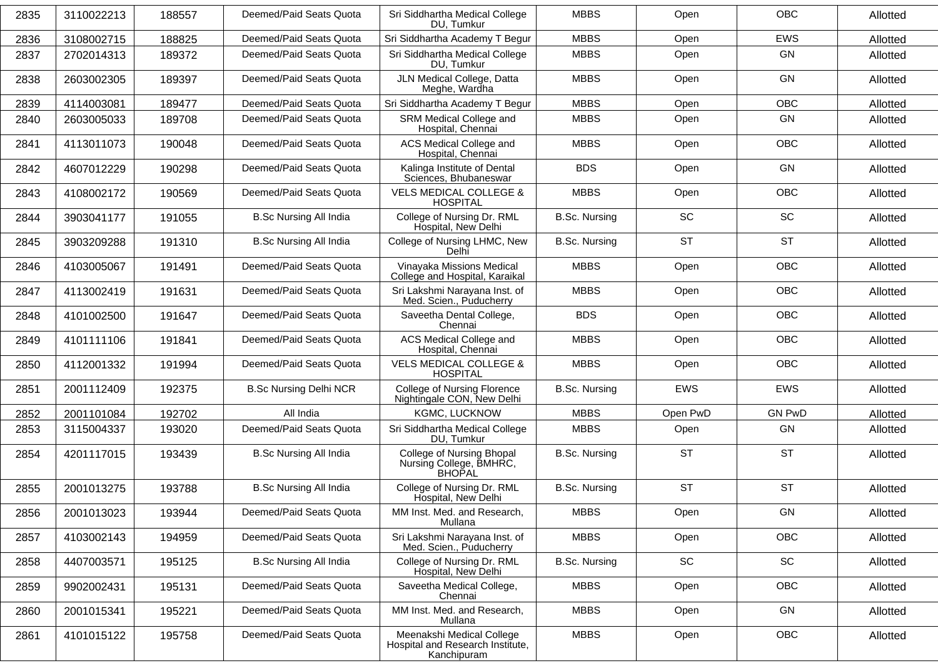| 2835 | 3110022213 | 188557 | Deemed/Paid Seats Quota       | Sri Siddhartha Medical College<br>DU, Tumkur                                 | <b>MBBS</b>          | Open                         | <b>OBC</b>    | Allotted |
|------|------------|--------|-------------------------------|------------------------------------------------------------------------------|----------------------|------------------------------|---------------|----------|
| 2836 | 3108002715 | 188825 | Deemed/Paid Seats Quota       | Sri Siddhartha Academy T Begur                                               | <b>MBBS</b>          | Open                         | <b>EWS</b>    | Allotted |
| 2837 | 2702014313 | 189372 | Deemed/Paid Seats Quota       | Sri Siddhartha Medical College<br>DU, Tumkur                                 | <b>MBBS</b>          | Open                         | <b>GN</b>     | Allotted |
| 2838 | 2603002305 | 189397 | Deemed/Paid Seats Quota       | JLN Medical College, Datta<br>Meghe, Wardha                                  | <b>MBBS</b>          | Open                         | <b>GN</b>     | Allotted |
| 2839 | 4114003081 | 189477 | Deemed/Paid Seats Quota       | Sri Siddhartha Academy T Begur                                               | <b>MBBS</b>          | Open                         | <b>OBC</b>    | Allotted |
| 2840 | 2603005033 | 189708 | Deemed/Paid Seats Quota       | SRM Medical College and<br>Hospital, Chennai                                 | <b>MBBS</b>          | Open                         | GN            | Allotted |
| 2841 | 4113011073 | 190048 | Deemed/Paid Seats Quota       | <b>ACS Medical College and</b><br>Hospital, Chennai                          | <b>MBBS</b>          | Open                         | OBC           | Allotted |
| 2842 | 4607012229 | 190298 | Deemed/Paid Seats Quota       | Kalinga Institute of Dental<br>Sciences, Bhubaneswar                         | <b>BDS</b>           | Open                         | <b>GN</b>     | Allotted |
| 2843 | 4108002172 | 190569 | Deemed/Paid Seats Quota       | <b>VELS MEDICAL COLLEGE &amp;</b><br><b>HOSPITAL</b>                         | <b>MBBS</b>          | Open                         | <b>OBC</b>    | Allotted |
| 2844 | 3903041177 | 191055 | <b>B.Sc Nursing All India</b> | College of Nursing Dr. RML<br>Hospital, New Delhi                            | <b>B.Sc. Nursing</b> | SC                           | SC            | Allotted |
| 2845 | 3903209288 | 191310 | <b>B.Sc Nursing All India</b> | College of Nursing LHMC, New<br>Delhi                                        | <b>B.Sc. Nursing</b> | <b>ST</b>                    | <b>ST</b>     | Allotted |
| 2846 | 4103005067 | 191491 | Deemed/Paid Seats Quota       | Vinayaka Missions Medical<br>College and Hospital, Karaikal                  | <b>MBBS</b>          | Open                         | <b>OBC</b>    | Allotted |
| 2847 | 4113002419 | 191631 | Deemed/Paid Seats Quota       | Sri Lakshmi Narayana Inst. of<br>Med. Scien., Puducherry                     | <b>MBBS</b>          | Open                         | OBC           | Allotted |
| 2848 | 4101002500 | 191647 | Deemed/Paid Seats Quota       | Saveetha Dental College,<br>Chennai                                          | <b>BDS</b>           | Open                         | <b>OBC</b>    | Allotted |
| 2849 | 4101111106 | 191841 | Deemed/Paid Seats Quota       | ACS Medical College and<br>Hospital, Chennai                                 | <b>MBBS</b>          | Open                         | <b>OBC</b>    | Allotted |
| 2850 | 4112001332 | 191994 | Deemed/Paid Seats Quota       | <b>VELS MEDICAL COLLEGE &amp;</b><br><b>HOSPITAL</b>                         | <b>MBBS</b>          | Open                         | <b>OBC</b>    | Allotted |
| 2851 | 2001112409 | 192375 | <b>B.Sc Nursing Delhi NCR</b> | <b>College of Nursing Florence</b><br>Nightingale CON, New Delhi             | <b>B.Sc. Nursing</b> | <b>EWS</b>                   | <b>EWS</b>    | Allotted |
| 2852 | 2001101084 | 192702 | All India                     | <b>KGMC, LUCKNOW</b>                                                         | <b>MBBS</b>          | Open PwD                     | <b>GN PwD</b> | Allotted |
| 2853 | 3115004337 | 193020 | Deemed/Paid Seats Quota       | Sri Siddhartha Medical College<br>DU, Tumkur                                 | <b>MBBS</b>          | Open                         | <b>GN</b>     | Allotted |
| 2854 | 4201117015 | 193439 | <b>B.Sc Nursing All India</b> | College of Nursing Bhopal<br>Nursing College, BMHRC,<br>BHOPAL               | <b>B.Sc. Nursing</b> | <b>ST</b>                    | <b>ST</b>     | Allotted |
| 2855 | 2001013275 | 193788 | <b>B.Sc Nursing All India</b> | College of Nursing Dr. RML<br>Hospital, New Delhi                            | <b>B.Sc. Nursing</b> | <b>ST</b>                    | <b>ST</b>     | Allotted |
| 2856 | 2001013023 | 193944 | Deemed/Paid Seats Quota       | MM Inst. Med. and Research,<br>Mullana                                       | <b>MBBS</b>          | Open                         | GN            | Allotted |
| 2857 | 4103002143 | 194959 | Deemed/Paid Seats Quota       | Sri Lakshmi Narayana Inst. of<br>Med. Scien., Puducherry                     | <b>MBBS</b>          | Open                         | <b>OBC</b>    | Allotted |
| 2858 | 4407003571 | 195125 | <b>B.Sc Nursing All India</b> | College of Nursing Dr. RML<br>Hospital, New Delhi                            | <b>B.Sc. Nursing</b> | $\operatorname{\textsf{SC}}$ | SC            | Allotted |
| 2859 | 9902002431 | 195131 | Deemed/Paid Seats Quota       | Saveetha Medical College,<br>Chennai                                         | <b>MBBS</b>          | Open                         | <b>OBC</b>    | Allotted |
| 2860 | 2001015341 | 195221 | Deemed/Paid Seats Quota       | MM Inst. Med. and Research,<br>Mullana                                       | <b>MBBS</b>          | Open                         | GN            | Allotted |
| 2861 | 4101015122 | 195758 | Deemed/Paid Seats Quota       | Meenakshi Medical College<br>Hospital and Research Institute,<br>Kanchipuram | <b>MBBS</b>          | Open                         | OBC           | Allotted |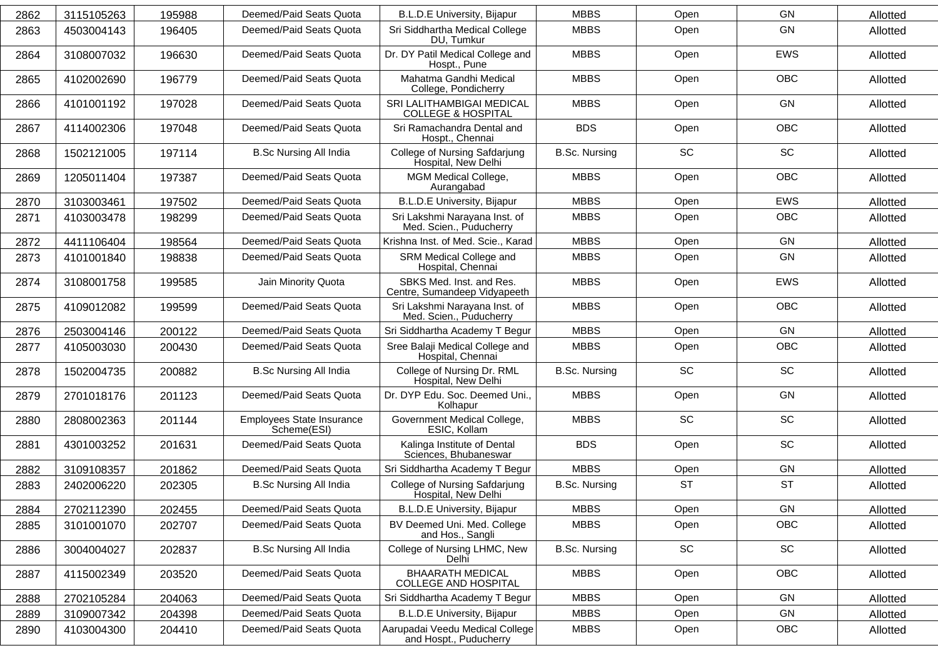| 2862 | 3115105263 | 195988 | Deemed/Paid Seats Quota                  | B.L.D.E University, Bijapur                                | <b>MBBS</b>          | Open      | <b>GN</b>  | Allotted |
|------|------------|--------|------------------------------------------|------------------------------------------------------------|----------------------|-----------|------------|----------|
| 2863 | 4503004143 | 196405 | Deemed/Paid Seats Quota                  | Sri Siddhartha Medical College<br>DU, Tumkur               | <b>MBBS</b>          | Open      | GN         | Allotted |
| 2864 | 3108007032 | 196630 | Deemed/Paid Seats Quota                  | Dr. DY Patil Medical College and<br>Hospt., Pune           | <b>MBBS</b>          | Open      | <b>EWS</b> | Allotted |
| 2865 | 4102002690 | 196779 | Deemed/Paid Seats Quota                  | Mahatma Gandhi Medical<br>College, Pondicherry             | <b>MBBS</b>          | Open      | OBC        | Allotted |
| 2866 | 4101001192 | 197028 | Deemed/Paid Seats Quota                  | SRI LALITHAMBIGAI MEDICAL<br><b>COLLEGE &amp; HOSPITAL</b> | <b>MBBS</b>          | Open      | GN         | Allotted |
| 2867 | 4114002306 | 197048 | Deemed/Paid Seats Quota                  | Sri Ramachandra Dental and<br>Hospt., Chennai              | <b>BDS</b>           | Open      | <b>OBC</b> | Allotted |
| 2868 | 1502121005 | 197114 | <b>B.Sc Nursing All India</b>            | College of Nursing Safdarjung<br>Hospital, New Delhi       | <b>B.Sc. Nursing</b> | SC        | SC         | Allotted |
| 2869 | 1205011404 | 197387 | Deemed/Paid Seats Quota                  | MGM Medical College,<br>Aurangabad                         | <b>MBBS</b>          | Open      | <b>OBC</b> | Allotted |
| 2870 | 3103003461 | 197502 | Deemed/Paid Seats Quota                  | <b>B.L.D.E University, Bijapur</b>                         | <b>MBBS</b>          | Open      | <b>EWS</b> | Allotted |
| 2871 | 4103003478 | 198299 | Deemed/Paid Seats Quota                  | Sri Lakshmi Narayana Inst. of<br>Med. Scien., Puducherry   | <b>MBBS</b>          | Open      | <b>OBC</b> | Allotted |
| 2872 | 4411106404 | 198564 | Deemed/Paid Seats Quota                  | Krishna Inst. of Med. Scie., Karad                         | <b>MBBS</b>          | Open      | GN         | Allotted |
| 2873 | 4101001840 | 198838 | Deemed/Paid Seats Quota                  | SRM Medical College and<br>Hospital, Chennai               | <b>MBBS</b>          | Open      | GN         | Allotted |
| 2874 | 3108001758 | 199585 | Jain Minority Quota                      | SBKS Med. Inst. and Res.<br>Centre, Sumandeep Vidyapeeth   | <b>MBBS</b>          | Open      | <b>EWS</b> | Allotted |
| 2875 | 4109012082 | 199599 | Deemed/Paid Seats Quota                  | Sri Lakshmi Narayana Inst. of<br>Med. Scien., Puducherry   | <b>MBBS</b>          | Open      | <b>OBC</b> | Allotted |
| 2876 | 2503004146 | 200122 | Deemed/Paid Seats Quota                  | Sri Siddhartha Academy T Begur                             | <b>MBBS</b>          | Open      | GN         | Allotted |
| 2877 | 4105003030 | 200430 | Deemed/Paid Seats Quota                  | Sree Balaji Medical College and<br>Hospital, Chennai       | <b>MBBS</b>          | Open      | <b>OBC</b> | Allotted |
| 2878 | 1502004735 | 200882 | <b>B.Sc Nursing All India</b>            | College of Nursing Dr. RML<br>Hospital, New Delhi          | <b>B.Sc. Nursing</b> | <b>SC</b> | <b>SC</b>  | Allotted |
| 2879 | 2701018176 | 201123 | Deemed/Paid Seats Quota                  | Dr. DYP Edu. Soc. Deemed Uni.,<br>Kolhapur                 | <b>MBBS</b>          | Open      | GN         | Allotted |
| 2880 | 2808002363 | 201144 | Employees State Insurance<br>Scheme(ESI) | Government Medical College,<br>ESIC, Kollam                | <b>MBBS</b>          | <b>SC</b> | <b>SC</b>  | Allotted |
| 2881 | 4301003252 | 201631 | Deemed/Paid Seats Quota                  | Kalinga Institute of Dental<br>Sciences, Bhubaneswar       | <b>BDS</b>           | Open      | SC         | Allotted |
| 2882 | 3109108357 | 201862 | Deemed/Paid Seats Quota                  | Sri Siddhartha Academy T Begur                             | <b>MBBS</b>          | Open      | GN         | Allotted |
| 2883 | 2402006220 | 202305 | <b>B.Sc Nursing All India</b>            | College of Nursing Safdarjung<br>Hospital, New Delhi       | <b>B.Sc. Nursing</b> | <b>ST</b> | <b>ST</b>  | Allotted |
| 2884 | 2702112390 | 202455 | Deemed/Paid Seats Quota                  | B.L.D.E University, Bijapur                                | <b>MBBS</b>          | Open      | GN         | Allotted |
| 2885 | 3101001070 | 202707 | Deemed/Paid Seats Quota                  | BV Deemed Uni. Med. College<br>and Hos., Sangli            | <b>MBBS</b>          | Open      | <b>OBC</b> | Allotted |
| 2886 | 3004004027 | 202837 | <b>B.Sc Nursing All India</b>            | College of Nursing LHMC, New<br>Delhi                      | <b>B.Sc. Nursing</b> | SC        | SC         | Allotted |
| 2887 | 4115002349 | 203520 | Deemed/Paid Seats Quota                  | <b>BHAARATH MEDICAL</b><br>COLLEGE AND HOSPITAL            | <b>MBBS</b>          | Open      | <b>OBC</b> | Allotted |
| 2888 | 2702105284 | 204063 | Deemed/Paid Seats Quota                  | Sri Siddhartha Academy T Begur                             | <b>MBBS</b>          | Open      | GN         | Allotted |
| 2889 | 3109007342 | 204398 | Deemed/Paid Seats Quota                  | <b>B.L.D.E University, Bijapur</b>                         | <b>MBBS</b>          | Open      | GN         | Allotted |
| 2890 | 4103004300 | 204410 | Deemed/Paid Seats Quota                  | Aarupadai Veedu Medical College<br>and Hospt., Puducherry  | <b>MBBS</b>          | Open      | OBC        | Allotted |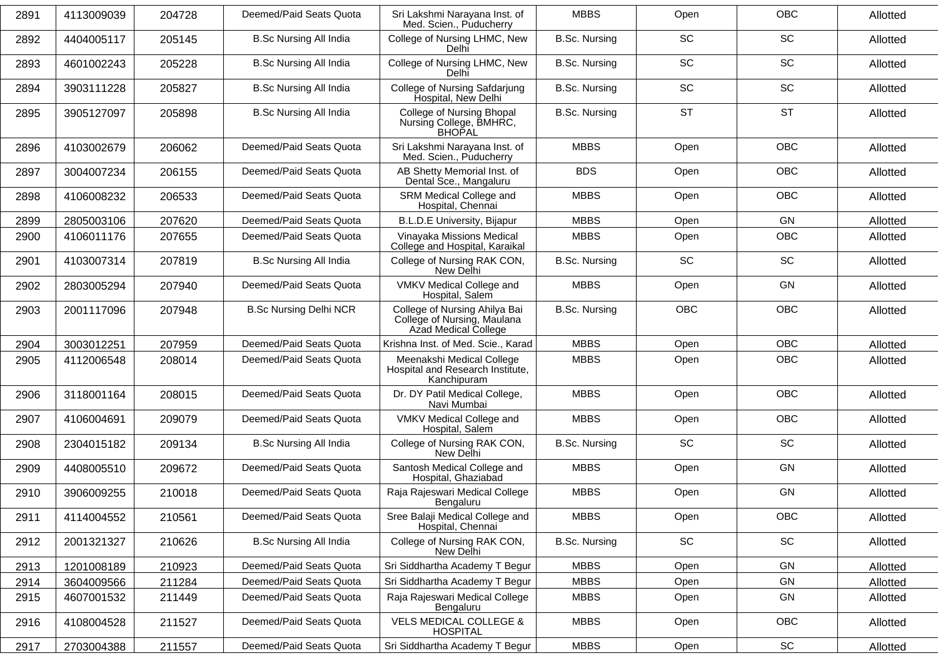| 2891 | 4113009039 | 204728 | Deemed/Paid Seats Quota       | Sri Lakshmi Narayana Inst. of<br>Med. Scien., Puducherry                             | <b>MBBS</b>          | Open      | <b>OBC</b>                   | Allotted |
|------|------------|--------|-------------------------------|--------------------------------------------------------------------------------------|----------------------|-----------|------------------------------|----------|
| 2892 | 4404005117 | 205145 | <b>B.Sc Nursing All India</b> | College of Nursing LHMC, New<br>Delhi                                                | <b>B.Sc. Nursing</b> | SC        | SC                           | Allotted |
| 2893 | 4601002243 | 205228 | <b>B.Sc Nursing All India</b> | College of Nursing LHMC, New<br>Delhi                                                | <b>B.Sc. Nursing</b> | <b>SC</b> | <b>SC</b>                    | Allotted |
| 2894 | 3903111228 | 205827 | <b>B.Sc Nursing All India</b> | College of Nursing Safdarjung<br>Hospital, New Delhi                                 | <b>B.Sc. Nursing</b> | SC        | SC                           | Allotted |
| 2895 | 3905127097 | 205898 | <b>B.Sc Nursing All India</b> | College of Nursing Bhopal<br>Nursing College, BMHRC,<br><b>BHOPAL</b>                | <b>B.Sc. Nursing</b> | <b>ST</b> | <b>ST</b>                    | Allotted |
| 2896 | 4103002679 | 206062 | Deemed/Paid Seats Quota       | Sri Lakshmi Narayana Inst. of<br>Med. Scien., Puducherry                             | <b>MBBS</b>          | Open      | <b>OBC</b>                   | Allotted |
| 2897 | 3004007234 | 206155 | Deemed/Paid Seats Quota       | AB Shetty Memorial Inst. of<br>Dental Sce., Mangaluru                                | <b>BDS</b>           | Open      | <b>OBC</b>                   | Allotted |
| 2898 | 4106008232 | 206533 | Deemed/Paid Seats Quota       | SRM Medical College and<br>Hospital, Chennai                                         | <b>MBBS</b>          | Open      | OBC                          | Allotted |
| 2899 | 2805003106 | 207620 | Deemed/Paid Seats Quota       | <b>B.L.D.E University, Bijapur</b>                                                   | <b>MBBS</b>          | Open      | <b>GN</b>                    | Allotted |
| 2900 | 4106011176 | 207655 | Deemed/Paid Seats Quota       | Vinayaka Missions Medical<br>College and Hospital, Karaikal                          | <b>MBBS</b>          | Open      | OBC                          | Allotted |
| 2901 | 4103007314 | 207819 | <b>B.Sc Nursing All India</b> | College of Nursing RAK CON,<br>New Delhi                                             | <b>B.Sc. Nursing</b> | <b>SC</b> | SC                           | Allotted |
| 2902 | 2803005294 | 207940 | Deemed/Paid Seats Quota       | VMKV Medical College and<br>Hospital, Salem                                          | <b>MBBS</b>          | Open      | <b>GN</b>                    | Allotted |
| 2903 | 2001117096 | 207948 | <b>B.Sc Nursing Delhi NCR</b> | College of Nursing Ahilya Bai<br>College of Nursing, Maulana<br>Azad Medical College | <b>B.Sc. Nursing</b> | OBC       | <b>OBC</b>                   | Allotted |
| 2904 | 3003012251 | 207959 | Deemed/Paid Seats Quota       | Krishna Inst. of Med. Scie., Karad                                                   | <b>MBBS</b>          | Open      | <b>OBC</b>                   | Allotted |
| 2905 | 4112006548 | 208014 | Deemed/Paid Seats Quota       | Meenakshi Medical College<br>Hospital and Research Institute,<br>Kanchipuram         | <b>MBBS</b>          | Open      | <b>OBC</b>                   | Allotted |
| 2906 | 3118001164 | 208015 | Deemed/Paid Seats Quota       | Dr. DY Patil Medical College,<br>Navi Mumbai                                         | <b>MBBS</b>          | Open      | OBC                          | Allotted |
| 2907 | 4106004691 | 209079 | Deemed/Paid Seats Quota       | VMKV Medical College and<br>Hospital, Salem                                          | <b>MBBS</b>          | Open      | <b>OBC</b>                   | Allotted |
| 2908 | 2304015182 | 209134 | <b>B.Sc Nursing All India</b> | College of Nursing RAK CON,<br>New Delhi                                             | <b>B.Sc. Nursing</b> | SC        | SC                           | Allotted |
| 2909 | 4408005510 | 209672 | Deemed/Paid Seats Quota       | Santosh Medical College and<br>Hospital, Ghaziabad                                   | <b>MBBS</b>          | Open      | GN                           | Allotted |
| 2910 | 3906009255 | 210018 | Deemed/Paid Seats Quota       | Raja Rajeswari Medical College<br>Bengaluru                                          | <b>MBBS</b>          | Open      | <b>GN</b>                    | Allotted |
| 2911 | 4114004552 | 210561 | Deemed/Paid Seats Quota       | Sree Balaji Medical College and<br>Hospital, Chennai                                 | <b>MBBS</b>          | Open      | OBC                          | Allotted |
| 2912 | 2001321327 | 210626 | <b>B.Sc Nursing All India</b> | College of Nursing RAK CON,<br>New Delhi                                             | <b>B.Sc. Nursing</b> | SC        | SC                           | Allotted |
| 2913 | 1201008189 | 210923 | Deemed/Paid Seats Quota       | Sri Siddhartha Academy T Begur                                                       | <b>MBBS</b>          | Open      | GN                           | Allotted |
| 2914 | 3604009566 | 211284 | Deemed/Paid Seats Quota       | Sri Siddhartha Academy T Begur                                                       | <b>MBBS</b>          | Open      | GN                           | Allotted |
| 2915 | 4607001532 | 211449 | Deemed/Paid Seats Quota       | Raja Rajeswari Medical College<br>Bengaluru                                          | <b>MBBS</b>          | Open      | GN                           | Allotted |
| 2916 | 4108004528 | 211527 | Deemed/Paid Seats Quota       | <b>VELS MEDICAL COLLEGE &amp;</b><br><b>HOSPITAL</b>                                 | <b>MBBS</b>          | Open      | OBC                          | Allotted |
| 2917 | 2703004388 | 211557 | Deemed/Paid Seats Quota       | Sri Siddhartha Academy T Begur                                                       | <b>MBBS</b>          | Open      | $\operatorname{\textsf{SC}}$ | Allotted |
|      |            |        |                               |                                                                                      |                      |           |                              |          |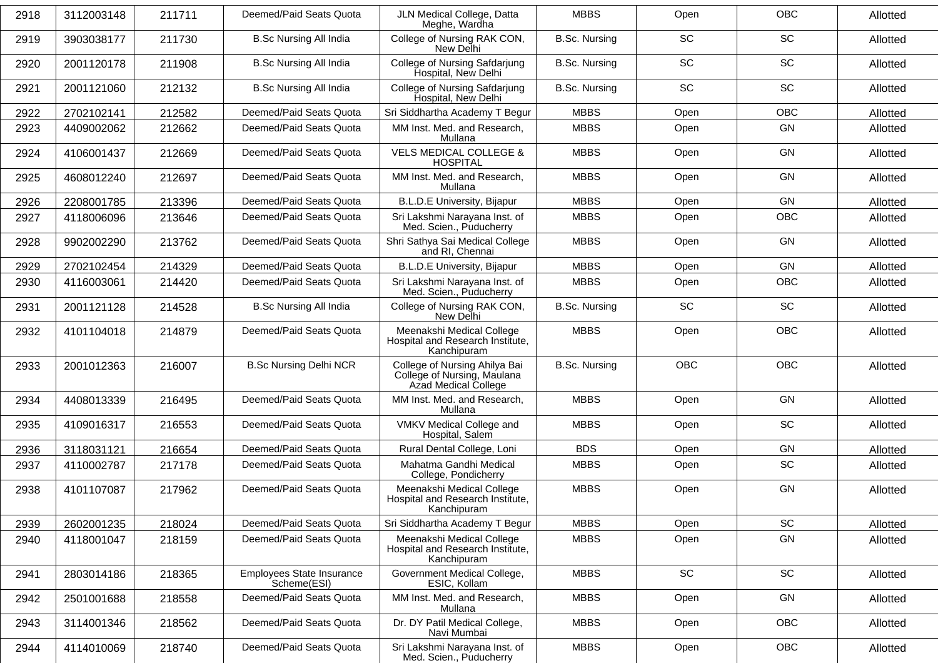| 2918 | 3112003148 | 211711 | Deemed/Paid Seats Quota                  | JLN Medical College, Datta<br>Meghe, Wardha                                          | <b>MBBS</b>          | Open       | <b>OBC</b> | Allotted |
|------|------------|--------|------------------------------------------|--------------------------------------------------------------------------------------|----------------------|------------|------------|----------|
| 2919 | 3903038177 | 211730 | <b>B.Sc Nursing All India</b>            | College of Nursing RAK CON,<br>New Delhi                                             | <b>B.Sc. Nursing</b> | <b>SC</b>  | <b>SC</b>  | Allotted |
| 2920 | 2001120178 | 211908 | <b>B.Sc Nursing All India</b>            | College of Nursing Safdarjung<br>Hospital, New Delhi                                 | <b>B.Sc. Nursing</b> | SC         | SC         | Allotted |
| 2921 | 2001121060 | 212132 | <b>B.Sc Nursing All India</b>            | <b>College of Nursing Safdarjung</b><br>Hospital, New Delhi                          | <b>B.Sc. Nursing</b> | <b>SC</b>  | SC         | Allotted |
| 2922 | 2702102141 | 212582 | Deemed/Paid Seats Quota                  | Sri Siddhartha Academy T Begur                                                       | <b>MBBS</b>          | Open       | OBC        | Allotted |
| 2923 | 4409002062 | 212662 | Deemed/Paid Seats Quota                  | MM Inst. Med. and Research,<br>Mullana                                               | <b>MBBS</b>          | Open       | GN         | Allotted |
| 2924 | 4106001437 | 212669 | Deemed/Paid Seats Quota                  | <b>VELS MEDICAL COLLEGE &amp;</b><br><b>HOSPITAL</b>                                 | <b>MBBS</b>          | Open       | <b>GN</b>  | Allotted |
| 2925 | 4608012240 | 212697 | Deemed/Paid Seats Quota                  | MM Inst. Med. and Research,<br>Mullana                                               | <b>MBBS</b>          | Open       | GN         | Allotted |
| 2926 | 2208001785 | 213396 | Deemed/Paid Seats Quota                  | <b>B.L.D.E University, Bijapur</b>                                                   | <b>MBBS</b>          | Open       | GN         | Allotted |
| 2927 | 4118006096 | 213646 | Deemed/Paid Seats Quota                  | Sri Lakshmi Narayana Inst. of<br>Med. Scien., Puducherry                             | <b>MBBS</b>          | Open       | <b>OBC</b> | Allotted |
| 2928 | 9902002290 | 213762 | Deemed/Paid Seats Quota                  | Shri Sathya Sai Medical College<br>and RI, Chennai                                   | <b>MBBS</b>          | Open       | GN         | Allotted |
| 2929 | 2702102454 | 214329 | Deemed/Paid Seats Quota                  | <b>B.L.D.E University, Bijapur</b>                                                   | <b>MBBS</b>          | Open       | GN         | Allotted |
| 2930 | 4116003061 | 214420 | Deemed/Paid Seats Quota                  | Sri Lakshmi Narayana Inst. of<br>Med. Scien., Puducherry                             | <b>MBBS</b>          | Open       | OBC        | Allotted |
| 2931 | 2001121128 | 214528 | <b>B.Sc Nursing All India</b>            | College of Nursing RAK CON,<br>New Delhi                                             | <b>B.Sc. Nursing</b> | <b>SC</b>  | <b>SC</b>  | Allotted |
| 2932 | 4101104018 | 214879 | Deemed/Paid Seats Quota                  | Meenakshi Medical College<br>Hospital and Research Institute,<br>Kanchipuram         | <b>MBBS</b>          | Open       | <b>OBC</b> | Allotted |
| 2933 | 2001012363 | 216007 | <b>B.Sc Nursing Delhi NCR</b>            | College of Nursing Ahilya Bai<br>College of Nursing, Maulana<br>Azad Medical College | <b>B.Sc. Nursing</b> | <b>OBC</b> | OBC        | Allotted |
| 2934 | 4408013339 | 216495 | Deemed/Paid Seats Quota                  | MM Inst. Med. and Research,<br>Mullana                                               | <b>MBBS</b>          | Open       | GN         | Allotted |
| 2935 | 4109016317 | 216553 | Deemed/Paid Seats Quota                  | VMKV Medical College and<br>Hospital, Salem                                          | <b>MBBS</b>          | Open       | <b>SC</b>  | Allotted |
| 2936 | 3118031121 | 216654 | Deemed/Paid Seats Quota                  | Rural Dental College, Loni                                                           | <b>BDS</b>           | Open       | GN         | Allotted |
| 2937 | 4110002787 | 217178 | Deemed/Paid Seats Quota                  | Mahatma Gandhi Medical<br>College, Pondicherry                                       | <b>MBBS</b>          | Open       | SC         | Allotted |
| 2938 | 4101107087 | 217962 | Deemed/Paid Seats Quota                  | Meenakshi Medical College<br>Hospital and Research Institute,<br>Kanchipuram         | <b>MBBS</b>          | Open       | GN         | Allotted |
| 2939 | 2602001235 | 218024 | Deemed/Paid Seats Quota                  | Sri Siddhartha Academy T Begur                                                       | <b>MBBS</b>          | Open       | SC         | Allotted |
| 2940 | 4118001047 | 218159 | Deemed/Paid Seats Quota                  | Meenakshi Medical College<br>Hospital and Research Institute,<br>Kanchipuram         | <b>MBBS</b>          | Open       | GN         | Allotted |
| 2941 | 2803014186 | 218365 | Employees State Insurance<br>Scheme(ESI) | Government Medical College,<br>ESIC, Kollam                                          | <b>MBBS</b>          | SC         | SC         | Allotted |
| 2942 | 2501001688 | 218558 | Deemed/Paid Seats Quota                  | MM Inst. Med. and Research,<br>Mullana                                               | <b>MBBS</b>          | Open       | GN         | Allotted |
| 2943 | 3114001346 | 218562 | Deemed/Paid Seats Quota                  | Dr. DY Patil Medical College,<br>Navi Mumbai                                         | <b>MBBS</b>          | Open       | <b>OBC</b> | Allotted |
| 2944 | 4114010069 | 218740 | Deemed/Paid Seats Quota                  | Sri Lakshmi Narayana Inst. of<br>Med. Scien., Puducherry                             | <b>MBBS</b>          | Open       | OBC        | Allotted |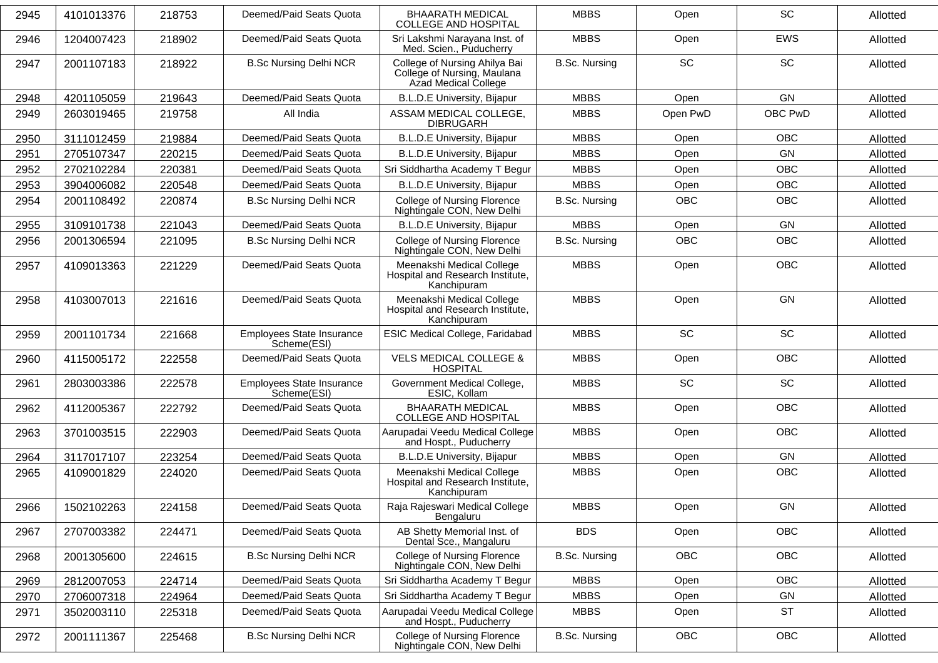| 2945 | 4101013376 | 218753 | Deemed/Paid Seats Quota                         | <b>BHAARATH MEDICAL</b><br><b>COLLEGE AND HOSPITAL</b>                               | <b>MBBS</b>          | Open       | SC         | Allotted |
|------|------------|--------|-------------------------------------------------|--------------------------------------------------------------------------------------|----------------------|------------|------------|----------|
| 2946 | 1204007423 | 218902 | Deemed/Paid Seats Quota                         | Sri Lakshmi Narayana Inst. of<br>Med. Scien., Puducherry                             | <b>MBBS</b>          | Open       | <b>EWS</b> | Allotted |
| 2947 | 2001107183 | 218922 | <b>B.Sc Nursing Delhi NCR</b>                   | College of Nursing Ahilya Bai<br>College of Nursing, Maulana<br>Azad Medical College | <b>B.Sc. Nursing</b> | <b>SC</b>  | SC         | Allotted |
| 2948 | 4201105059 | 219643 | Deemed/Paid Seats Quota                         | <b>B.L.D.E University, Bijapur</b>                                                   | <b>MBBS</b>          | Open       | GN         | Allotted |
| 2949 | 2603019465 | 219758 | All India                                       | ASSAM MEDICAL COLLEGE,<br><b>DIBRUGARH</b>                                           | <b>MBBS</b>          | Open PwD   | OBC PwD    | Allotted |
| 2950 | 3111012459 | 219884 | Deemed/Paid Seats Quota                         | <b>B.L.D.E University, Bijapur</b>                                                   | <b>MBBS</b>          | Open       | <b>OBC</b> | Allotted |
| 2951 | 2705107347 | 220215 | Deemed/Paid Seats Quota                         | <b>B.L.D.E University, Bijapur</b>                                                   | <b>MBBS</b>          | Open       | GN         | Allotted |
| 2952 | 2702102284 | 220381 | Deemed/Paid Seats Quota                         | Sri Siddhartha Academy T Begur                                                       | <b>MBBS</b>          | Open       | OBC        | Allotted |
| 2953 | 3904006082 | 220548 | Deemed/Paid Seats Quota                         | <b>B.L.D.E University, Bijapur</b>                                                   | <b>MBBS</b>          | Open       | OBC        | Allotted |
| 2954 | 2001108492 | 220874 | <b>B.Sc Nursing Delhi NCR</b>                   | <b>College of Nursing Florence</b><br>Nightingale CON, New Delhi                     | <b>B.Sc. Nursing</b> | <b>OBC</b> | OBC        | Allotted |
| 2955 | 3109101738 | 221043 | Deemed/Paid Seats Quota                         | B.L.D.E University, Bijapur                                                          | <b>MBBS</b>          | Open       | GN         | Allotted |
| 2956 | 2001306594 | 221095 | <b>B.Sc Nursing Delhi NCR</b>                   | <b>College of Nursing Florence</b><br>Nightingale CON, New Delhi                     | <b>B.Sc. Nursing</b> | <b>OBC</b> | <b>OBC</b> | Allotted |
| 2957 | 4109013363 | 221229 | Deemed/Paid Seats Quota                         | Meenakshi Medical College<br>Hospital and Research Institute,<br>Kanchipuram         | <b>MBBS</b>          | Open       | <b>OBC</b> | Allotted |
| 2958 | 4103007013 | 221616 | Deemed/Paid Seats Quota                         | Meenakshi Medical College<br>Hospital and Research Institute,<br>Kanchipuram         | <b>MBBS</b>          | Open       | GN         | Allotted |
| 2959 | 2001101734 | 221668 | <b>Employees State Insurance</b><br>Scheme(ESI) | ESIC Medical College, Faridabad                                                      | <b>MBBS</b>          | <b>SC</b>  | SC         | Allotted |
| 2960 | 4115005172 | 222558 | Deemed/Paid Seats Quota                         | <b>VELS MEDICAL COLLEGE &amp;</b><br><b>HOSPITAL</b>                                 | <b>MBBS</b>          | Open       | <b>OBC</b> | Allotted |
| 2961 | 2803003386 | 222578 | Employees State Insurance<br>Scheme(ESI)        | Government Medical College,<br>ESIC, Kollam                                          | <b>MBBS</b>          | <b>SC</b>  | SC         | Allotted |
| 2962 | 4112005367 | 222792 | Deemed/Paid Seats Quota                         | <b>BHAARATH MEDICAL</b><br><b>COLLEGE AND HOSPITAL</b>                               | <b>MBBS</b>          | Open       | <b>OBC</b> | Allotted |
| 2963 | 3701003515 | 222903 | Deemed/Paid Seats Quota                         | Aarupadai Veedu Medical College<br>and Hospt., Puducherry                            | <b>MBBS</b>          | Open       | OBC        | Allotted |
| 2964 | 3117017107 | 223254 | Deemed/Paid Seats Quota                         | <b>B.L.D.E University, Bijapur</b>                                                   | <b>MBBS</b>          | Open       | GN         | Allotted |
| 2965 | 4109001829 | 224020 | Deemed/Paid Seats Quota                         | Meenakshi Medical College<br>Hospital and Research Institute,<br>Kanchipuram         | <b>MBBS</b>          | Open       | OBC        | Allotted |
| 2966 | 1502102263 | 224158 | Deemed/Paid Seats Quota                         | Raja Rajeswari Medical College<br>Bengaluru                                          | <b>MBBS</b>          | Open       | GN         | Allotted |
| 2967 | 2707003382 | 224471 | Deemed/Paid Seats Quota                         | AB Shetty Memorial Inst. of<br>Dental Sce., Mangaluru                                | <b>BDS</b>           | Open       | <b>OBC</b> | Allotted |
| 2968 | 2001305600 | 224615 | <b>B.Sc Nursing Delhi NCR</b>                   | College of Nursing Florence<br>Nightingale CON, New Delhi                            | <b>B.Sc. Nursing</b> | OBC        | OBC        | Allotted |
| 2969 | 2812007053 | 224714 | Deemed/Paid Seats Quota                         | Sri Siddhartha Academy T Begur                                                       | <b>MBBS</b>          | Open       | OBC        | Allotted |
| 2970 | 2706007318 | 224964 | Deemed/Paid Seats Quota                         | Sri Siddhartha Academy T Begur                                                       | <b>MBBS</b>          | Open       | GN         | Allotted |
| 2971 | 3502003110 | 225318 | Deemed/Paid Seats Quota                         | Aarupadai Veedu Medical College<br>and Hospt., Puducherry                            | <b>MBBS</b>          | Open       | <b>ST</b>  | Allotted |
| 2972 | 2001111367 | 225468 | <b>B.Sc Nursing Delhi NCR</b>                   | College of Nursing Florence<br>Nightingale CON, New Delhi                            | <b>B.Sc. Nursing</b> | OBC        | OBC        | Allotted |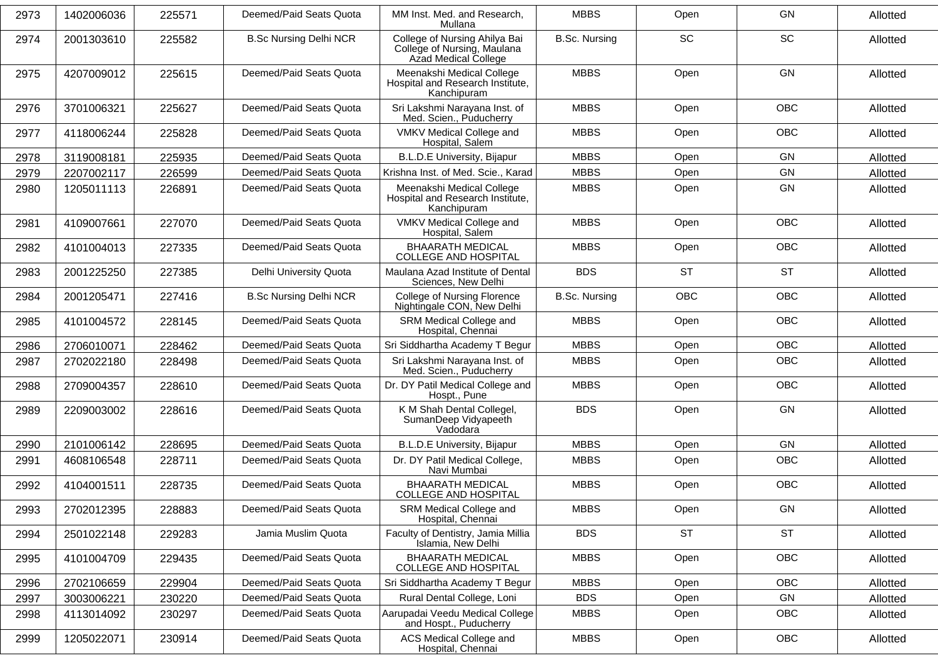| 2973 | 1402006036 | 225571 | Deemed/Paid Seats Quota       | MM Inst. Med. and Research,<br>Mullana                                               | <b>MBBS</b>          | Open       | <b>GN</b>  | Allotted |
|------|------------|--------|-------------------------------|--------------------------------------------------------------------------------------|----------------------|------------|------------|----------|
| 2974 | 2001303610 | 225582 | <b>B.Sc Nursing Delhi NCR</b> | College of Nursing Ahilya Bai<br>College of Nursing, Maulana<br>Azad Medical College | <b>B.Sc. Nursing</b> | SC         | SC         | Allotted |
| 2975 | 4207009012 | 225615 | Deemed/Paid Seats Quota       | Meenakshi Medical College<br>Hospital and Research Institute,<br>Kanchipuram         | <b>MBBS</b>          | Open       | GN         | Allotted |
| 2976 | 3701006321 | 225627 | Deemed/Paid Seats Quota       | Sri Lakshmi Narayana Inst. of<br>Med. Scien., Puducherry                             | <b>MBBS</b>          | Open       | <b>OBC</b> | Allotted |
| 2977 | 4118006244 | 225828 | Deemed/Paid Seats Quota       | VMKV Medical College and<br>Hospital, Salem                                          | <b>MBBS</b>          | Open       | <b>OBC</b> | Allotted |
| 2978 | 3119008181 | 225935 | Deemed/Paid Seats Quota       | <b>B.L.D.E University, Bijapur</b>                                                   | <b>MBBS</b>          | Open       | GN         | Allotted |
| 2979 | 2207002117 | 226599 | Deemed/Paid Seats Quota       | Krishna Inst. of Med. Scie., Karad                                                   | <b>MBBS</b>          | Open       | GN         | Allotted |
| 2980 | 1205011113 | 226891 | Deemed/Paid Seats Quota       | Meenakshi Medical College<br>Hospital and Research Institute,<br>Kanchipuram         | <b>MBBS</b>          | Open       | GN         | Allotted |
| 2981 | 4109007661 | 227070 | Deemed/Paid Seats Quota       | VMKV Medical College and<br>Hospital, Salem                                          | <b>MBBS</b>          | Open       | <b>OBC</b> | Allotted |
| 2982 | 4101004013 | 227335 | Deemed/Paid Seats Quota       | <b>BHAARATH MEDICAL</b><br><b>COLLEGE AND HOSPITAL</b>                               | <b>MBBS</b>          | Open       | <b>OBC</b> | Allotted |
| 2983 | 2001225250 | 227385 | Delhi University Quota        | Maulana Azad Institute of Dental<br>Sciences, New Delhi                              | <b>BDS</b>           | <b>ST</b>  | <b>ST</b>  | Allotted |
| 2984 | 2001205471 | 227416 | <b>B.Sc Nursing Delhi NCR</b> | <b>College of Nursing Florence</b><br>Nightingale CON, New Delhi                     | <b>B.Sc. Nursing</b> | <b>OBC</b> | <b>OBC</b> | Allotted |
| 2985 | 4101004572 | 228145 | Deemed/Paid Seats Quota       | SRM Medical College and<br>Hospital, Chennai                                         | <b>MBBS</b>          | Open       | <b>OBC</b> | Allotted |
| 2986 | 2706010071 | 228462 | Deemed/Paid Seats Quota       | Sri Siddhartha Academy T Begur                                                       | <b>MBBS</b>          | Open       | <b>OBC</b> | Allotted |
| 2987 | 2702022180 | 228498 | Deemed/Paid Seats Quota       | Sri Lakshmi Narayana Inst. of<br>Med. Scien., Puducherry                             | <b>MBBS</b>          | Open       | OBC        | Allotted |
| 2988 | 2709004357 | 228610 | Deemed/Paid Seats Quota       | Dr. DY Patil Medical College and<br>Hospt., Pune                                     | <b>MBBS</b>          | Open       | <b>OBC</b> | Allotted |
| 2989 | 2209003002 | 228616 | Deemed/Paid Seats Quota       | K M Shah Dental Collegel,<br>SumanDeep Vidyapeeth<br>Vadodara                        | <b>BDS</b>           | Open       | GN         | Allotted |
| 2990 | 2101006142 | 228695 | Deemed/Paid Seats Quota       | <b>B.L.D.E University, Bijapur</b>                                                   | <b>MBBS</b>          | Open       | <b>GN</b>  | Allotted |
| 2991 | 4608106548 | 228711 | Deemed/Paid Seats Quota       | Dr. DY Patil Medical College,<br>Navi Mumbai                                         | <b>MBBS</b>          | Open       | <b>OBC</b> | Allotted |
| 2992 | 4104001511 | 228735 | Deemed/Paid Seats Quota       | <b>BHAARATH MEDICAL</b><br><b>COLLEGE AND HOSPITAL</b>                               | <b>MBBS</b>          | Open       | OBC        | Allotted |
| 2993 | 2702012395 | 228883 | Deemed/Paid Seats Quota       | SRM Medical College and<br>Hospital, Chennai                                         | <b>MBBS</b>          | Open       | GN         | Allotted |
| 2994 | 2501022148 | 229283 | Jamia Muslim Quota            | Faculty of Dentistry, Jamia Millia<br>Islamia, New Delhi                             | <b>BDS</b>           | <b>ST</b>  | <b>ST</b>  | Allotted |
| 2995 | 4101004709 | 229435 | Deemed/Paid Seats Quota       | <b>BHAARATH MEDICAL</b><br><b>COLLEGE AND HOSPITAL</b>                               | <b>MBBS</b>          | Open       | OBC        | Allotted |
| 2996 | 2702106659 | 229904 | Deemed/Paid Seats Quota       | Sri Siddhartha Academy T Begur                                                       | <b>MBBS</b>          | Open       | OBC        | Allotted |
| 2997 | 3003006221 | 230220 | Deemed/Paid Seats Quota       | Rural Dental College, Loni                                                           | <b>BDS</b>           | Open       | GN         | Allotted |
| 2998 | 4113014092 | 230297 | Deemed/Paid Seats Quota       | Aarupadai Veedu Medical College<br>and Hospt., Puducherry                            | <b>MBBS</b>          | Open       | OBC        | Allotted |
| 2999 | 1205022071 | 230914 | Deemed/Paid Seats Quota       | ACS Medical College and<br>Hospital, Chennai                                         | <b>MBBS</b>          | Open       | OBC        | Allotted |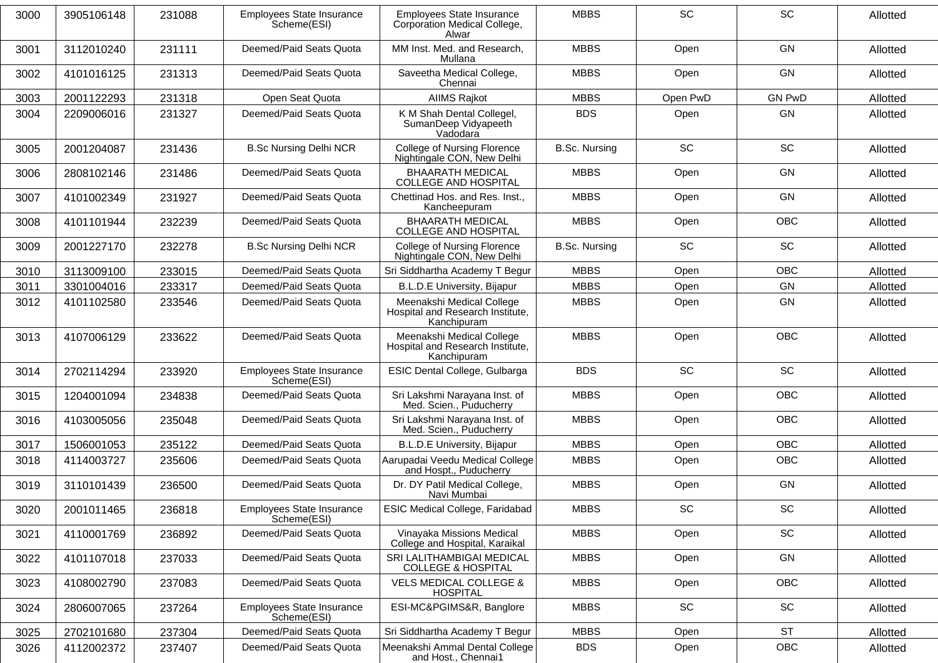| 3000 | 3905106148 | 231088 | Employees State Insurance<br>Scheme(ESI)        | Employees State Insurance<br>Corporation Medical College,<br>Alwar           | <b>MBBS</b>          | <b>SC</b>                    | <b>SC</b>                    | Allotted |
|------|------------|--------|-------------------------------------------------|------------------------------------------------------------------------------|----------------------|------------------------------|------------------------------|----------|
| 3001 | 3112010240 | 231111 | Deemed/Paid Seats Quota                         | MM Inst. Med. and Research,<br>Mullana                                       | <b>MBBS</b>          | Open                         | <b>GN</b>                    | Allotted |
| 3002 | 4101016125 | 231313 | Deemed/Paid Seats Quota                         | Saveetha Medical College,<br>Chennai                                         | <b>MBBS</b>          | Open                         | <b>GN</b>                    | Allotted |
| 3003 | 2001122293 | 231318 | Open Seat Quota                                 | <b>AIIMS Rajkot</b>                                                          | <b>MBBS</b>          | Open PwD                     | <b>GN PwD</b>                | Allotted |
| 3004 | 2209006016 | 231327 | Deemed/Paid Seats Quota                         | K M Shah Dental Collegel,<br>SumanDeep Vidyapeeth<br>Vadodara                | <b>BDS</b>           | Open                         | GN                           | Allotted |
| 3005 | 2001204087 | 231436 | <b>B.Sc Nursing Delhi NCR</b>                   | <b>College of Nursing Florence</b><br>Nightingale CON, New Delhi             | <b>B.Sc. Nursing</b> | <b>SC</b>                    | <b>SC</b>                    | Allotted |
| 3006 | 2808102146 | 231486 | Deemed/Paid Seats Quota                         | <b>BHAARATH MEDICAL</b><br><b>COLLEGE AND HOSPITAL</b>                       | <b>MBBS</b>          | Open                         | GN                           | Allotted |
| 3007 | 4101002349 | 231927 | Deemed/Paid Seats Quota                         | Chettinad Hos. and Res. Inst.,<br>Kancheepuram                               | <b>MBBS</b>          | Open                         | GN                           | Allotted |
| 3008 | 4101101944 | 232239 | Deemed/Paid Seats Quota                         | <b>BHAARATH MEDICAL</b><br><b>COLLEGE AND HOSPITAL</b>                       | <b>MBBS</b>          | Open                         | <b>OBC</b>                   | Allotted |
| 3009 | 2001227170 | 232278 | <b>B.Sc Nursing Delhi NCR</b>                   | College of Nursing Florence<br>Nightingale CON, New Delhi                    | <b>B.Sc. Nursing</b> | SC                           | SC                           | Allotted |
| 3010 | 3113009100 | 233015 | Deemed/Paid Seats Quota                         | Sri Siddhartha Academy T Begur                                               | <b>MBBS</b>          | Open                         | <b>OBC</b>                   | Allotted |
| 3011 | 3301004016 | 233317 | Deemed/Paid Seats Quota                         | B.L.D.E University, Bijapur                                                  | <b>MBBS</b>          | Open                         | GN                           | Allotted |
| 3012 | 4101102580 | 233546 | Deemed/Paid Seats Quota                         | Meenakshi Medical College<br>Hospital and Research Institute,<br>Kanchipuram | <b>MBBS</b>          | Open                         | <b>GN</b>                    | Allotted |
| 3013 | 4107006129 | 233622 | Deemed/Paid Seats Quota                         | Meenakshi Medical College<br>Hospital and Research Institute,<br>Kanchipuram | <b>MBBS</b>          | Open                         | <b>OBC</b>                   | Allotted |
| 3014 | 2702114294 | 233920 | Employees State Insurance<br>Scheme(ESI)        | ESIC Dental College, Gulbarga                                                | <b>BDS</b>           | SC                           | SC                           | Allotted |
| 3015 | 1204001094 | 234838 | Deemed/Paid Seats Quota                         | Sri Lakshmi Narayana Inst. of<br>Med. Scien., Puducherry                     | <b>MBBS</b>          | Open                         | <b>OBC</b>                   | Allotted |
| 3016 | 4103005056 | 235048 | Deemed/Paid Seats Quota                         | Sri Lakshmi Narayana Inst. of<br>Med. Scien., Puducherry                     | <b>MBBS</b>          | Open                         | <b>OBC</b>                   | Allotted |
| 3017 | 1506001053 | 235122 | Deemed/Paid Seats Quota                         | <b>B.L.D.E University, Bijapur</b>                                           | <b>MBBS</b>          | Open                         | <b>OBC</b>                   | Allotted |
| 3018 | 4114003727 | 235606 | Deemed/Paid Seats Quota                         | Aarupadai Veedu Medical College<br>and Hospt., Puducherry                    | <b>MBBS</b>          | Open                         | <b>OBC</b>                   | Allotted |
| 3019 | 3110101439 | 236500 | Deemed/Paid Seats Quota                         | Dr. DY Patil Medical College,<br>Navi Mumbai                                 | <b>MBBS</b>          | Open                         | GN                           | Allotted |
| 3020 | 2001011465 | 236818 | Employees State Insurance<br>Scheme(ESI)        | ESIC Medical College, Faridabad                                              | <b>MBBS</b>          | $\operatorname{\textsf{SC}}$ | $\operatorname{\textsf{SC}}$ | Allotted |
| 3021 | 4110001769 | 236892 | Deemed/Paid Seats Quota                         | Vinayaka Missions Medical<br>College and Hospital, Karaikal                  | <b>MBBS</b>          | Open                         | SC                           | Allotted |
| 3022 | 4101107018 | 237033 | Deemed/Paid Seats Quota                         | SRI LALITHAMBIGAI MEDICAL<br><b>COLLEGE &amp; HOSPITAL</b>                   | <b>MBBS</b>          | Open                         | GN                           | Allotted |
| 3023 | 4108002790 | 237083 | Deemed/Paid Seats Quota                         | <b>VELS MEDICAL COLLEGE &amp;</b><br><b>HOSPITAL</b>                         | <b>MBBS</b>          | Open                         | OBC                          | Allotted |
| 3024 | 2806007065 | 237264 | <b>Employees State Insurance</b><br>Scheme(ESI) | ESI-MC&PGIMS&R, Banglore                                                     | <b>MBBS</b>          | SC                           | SC                           | Allotted |
| 3025 | 2702101680 | 237304 | Deemed/Paid Seats Quota                         | Sri Siddhartha Academy T Begur                                               | <b>MBBS</b>          | Open                         | <b>ST</b>                    | Allotted |
| 3026 | 4112002372 | 237407 | Deemed/Paid Seats Quota                         | Meenakshi Ammal Dental College<br>and Host., Chennai1                        | <b>BDS</b>           | Open                         | OBC                          | Allotted |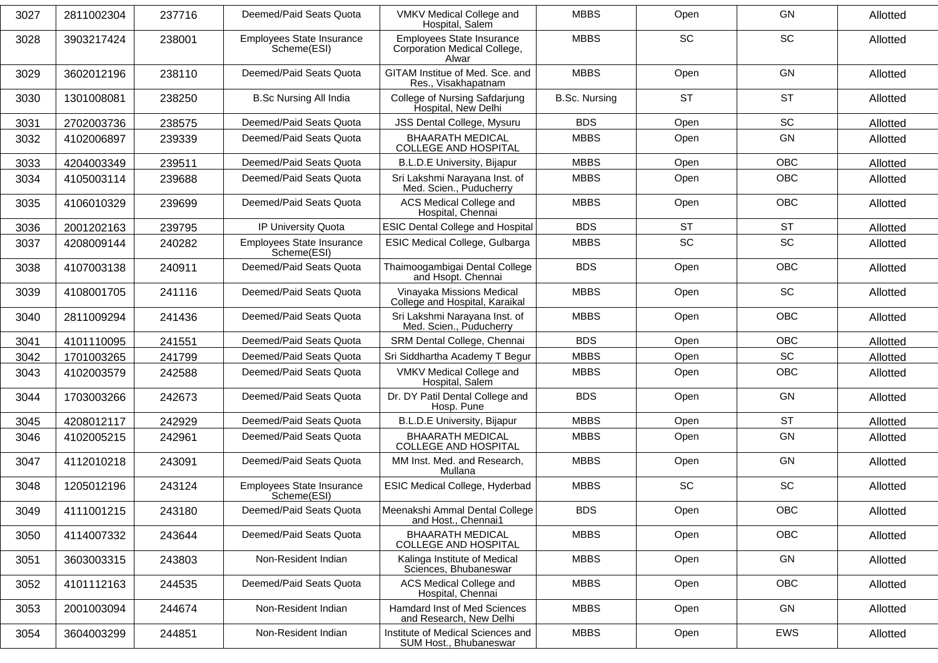| 3027 | 2811002304 | 237716 | Deemed/Paid Seats Quota                         | VMKV Medical College and<br>Hospital, Salem                               | <b>MBBS</b>          | Open      | <b>GN</b>  | Allotted |
|------|------------|--------|-------------------------------------------------|---------------------------------------------------------------------------|----------------------|-----------|------------|----------|
| 3028 | 3903217424 | 238001 | <b>Employees State Insurance</b><br>Scheme(ESI) | <b>Employees State Insurance</b><br>Corporation Medical College,<br>Alwar | <b>MBBS</b>          | SC        | <b>SC</b>  | Allotted |
| 3029 | 3602012196 | 238110 | Deemed/Paid Seats Quota                         | GITAM Institue of Med. Sce. and<br>Res., Visakhapatnam                    | <b>MBBS</b>          | Open      | <b>GN</b>  | Allotted |
| 3030 | 1301008081 | 238250 | <b>B.Sc Nursing All India</b>                   | College of Nursing Safdarjung<br>Hospital, New Delhi                      | <b>B.Sc. Nursing</b> | <b>ST</b> | <b>ST</b>  | Allotted |
| 3031 | 2702003736 | 238575 | Deemed/Paid Seats Quota                         | JSS Dental College, Mysuru                                                | <b>BDS</b>           | Open      | SC         | Allotted |
| 3032 | 4102006897 | 239339 | Deemed/Paid Seats Quota                         | <b>BHAARATH MEDICAL</b><br><b>COLLEGE AND HOSPITAL</b>                    | <b>MBBS</b>          | Open      | <b>GN</b>  | Allotted |
| 3033 | 4204003349 | 239511 | Deemed/Paid Seats Quota                         | <b>B.L.D.E University, Bijapur</b>                                        | <b>MBBS</b>          | Open      | <b>OBC</b> | Allotted |
| 3034 | 4105003114 | 239688 | Deemed/Paid Seats Quota                         | Sri Lakshmi Narayana Inst. of<br>Med. Scien., Puducherry                  | <b>MBBS</b>          | Open      | <b>OBC</b> | Allotted |
| 3035 | 4106010329 | 239699 | Deemed/Paid Seats Quota                         | <b>ACS Medical College and</b><br>Hospital, Chennai                       | <b>MBBS</b>          | Open      | <b>OBC</b> | Allotted |
| 3036 | 2001202163 | 239795 | IP University Quota                             | <b>ESIC Dental College and Hospital</b>                                   | <b>BDS</b>           | <b>ST</b> | <b>ST</b>  | Allotted |
| 3037 | 4208009144 | 240282 | Employees State Insurance<br>Scheme(ESI)        | ESIC Medical College, Gulbarga                                            | <b>MBBS</b>          | SC        | SC         | Allotted |
| 3038 | 4107003138 | 240911 | Deemed/Paid Seats Quota                         | Thaimoogambigai Dental College<br>and Hsopt. Chennai                      | <b>BDS</b>           | Open      | <b>OBC</b> | Allotted |
| 3039 | 4108001705 | 241116 | Deemed/Paid Seats Quota                         | Vinayaka Missions Medical<br>College and Hospital, Karaikal               | <b>MBBS</b>          | Open      | <b>SC</b>  | Allotted |
| 3040 | 2811009294 | 241436 | Deemed/Paid Seats Quota                         | Sri Lakshmi Narayana Inst. of<br>Med. Scien., Puducherry                  | <b>MBBS</b>          | Open      | <b>OBC</b> | Allotted |
| 3041 | 4101110095 | 241551 | Deemed/Paid Seats Quota                         | SRM Dental College, Chennai                                               | <b>BDS</b>           | Open      | <b>OBC</b> | Allotted |
| 3042 | 1701003265 | 241799 | Deemed/Paid Seats Quota                         | Sri Siddhartha Academy T Begur                                            | <b>MBBS</b>          | Open      | <b>SC</b>  | Allotted |
| 3043 | 4102003579 | 242588 | Deemed/Paid Seats Quota                         | VMKV Medical College and<br>Hospital, Salem                               | <b>MBBS</b>          | Open      | <b>OBC</b> | Allotted |
| 3044 | 1703003266 | 242673 | Deemed/Paid Seats Quota                         | Dr. DY Patil Dental College and<br>Hosp. Pune                             | <b>BDS</b>           | Open      | <b>GN</b>  | Allotted |
| 3045 | 4208012117 | 242929 | Deemed/Paid Seats Quota                         | <b>B.L.D.E University, Bijapur</b>                                        | <b>MBBS</b>          | Open      | <b>ST</b>  | Allotted |
| 3046 | 4102005215 | 242961 | Deemed/Paid Seats Quota                         | <b>BHAARATH MEDICAL</b><br><b>COLLEGE AND HOSPITAL</b>                    | <b>MBBS</b>          | Open      | <b>GN</b>  | Allotted |
| 3047 | 4112010218 | 243091 | Deemed/Paid Seats Quota                         | MM Inst. Med. and Research,<br>Mullana                                    | <b>MBBS</b>          | Open      | GN         | Allotted |
| 3048 | 1205012196 | 243124 | Employees State Insurance<br>Scheme(ESI)        | <b>ESIC Medical College, Hyderbad</b>                                     | <b>MBBS</b>          | SC        | SC         | Allotted |
| 3049 | 4111001215 | 243180 | Deemed/Paid Seats Quota                         | Meenakshi Ammal Dental College<br>and Host., Chennai1                     | <b>BDS</b>           | Open      | OBC        | Allotted |
| 3050 | 4114007332 | 243644 | Deemed/Paid Seats Quota                         | <b>BHAARATH MEDICAL</b><br>COLLEGE AND HOSPITAL                           | <b>MBBS</b>          | Open      | OBC        | Allotted |
| 3051 | 3603003315 | 243803 | Non-Resident Indian                             | Kalinga Institute of Medical<br>Sciences, Bhubaneswar                     | <b>MBBS</b>          | Open      | GN         | Allotted |
| 3052 | 4101112163 | 244535 | Deemed/Paid Seats Quota                         | ACS Medical College and<br>Hospital, Chennai                              | <b>MBBS</b>          | Open      | OBC        | Allotted |
| 3053 | 2001003094 | 244674 | Non-Resident Indian                             | Hamdard Inst of Med Sciences<br>and Research, New Delhi                   | <b>MBBS</b>          | Open      | GN         | Allotted |
| 3054 | 3604003299 | 244851 | Non-Resident Indian                             | Institute of Medical Sciences and<br>SUM Host., Bhubaneswar               | <b>MBBS</b>          | Open      | EWS        | Allotted |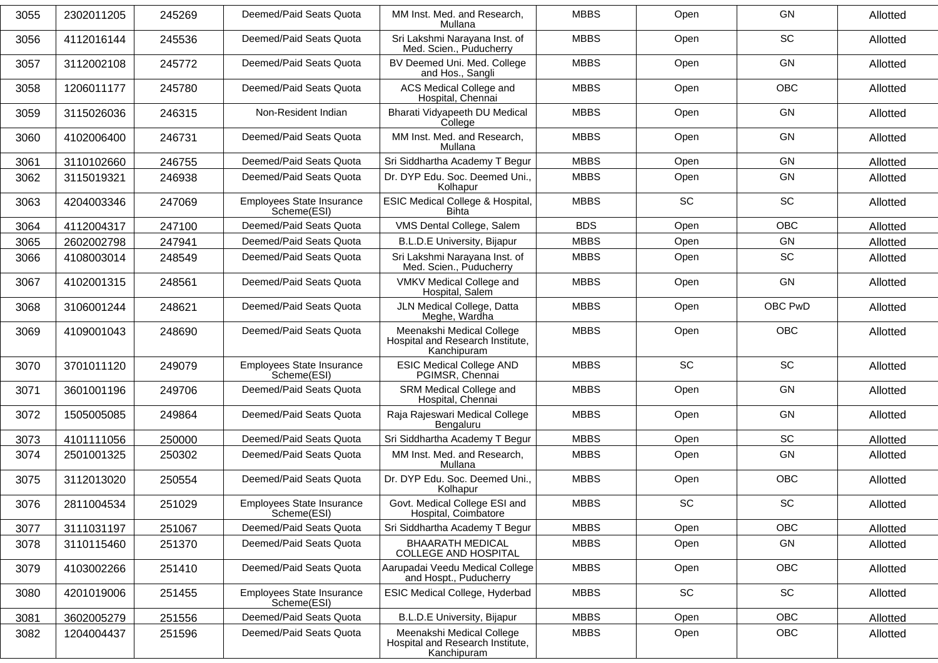| 3055 | 2302011205 | 245269 | Deemed/Paid Seats Quota                  | MM Inst. Med. and Research,<br>Mullana                                       | <b>MBBS</b> | Open      | <b>GN</b>  | Allotted |
|------|------------|--------|------------------------------------------|------------------------------------------------------------------------------|-------------|-----------|------------|----------|
| 3056 | 4112016144 | 245536 | Deemed/Paid Seats Quota                  | Sri Lakshmi Narayana Inst. of<br>Med. Scien., Puducherry                     | <b>MBBS</b> | Open      | SC         | Allotted |
| 3057 | 3112002108 | 245772 | Deemed/Paid Seats Quota                  | BV Deemed Uni. Med. College<br>and Hos., Sangli                              | <b>MBBS</b> | Open      | <b>GN</b>  | Allotted |
| 3058 | 1206011177 | 245780 | Deemed/Paid Seats Quota                  | ACS Medical College and<br>Hospital, Chennai                                 | <b>MBBS</b> | Open      | <b>OBC</b> | Allotted |
| 3059 | 3115026036 | 246315 | Non-Resident Indian                      | Bharati Vidyapeeth DU Medical<br>College                                     | <b>MBBS</b> | Open      | <b>GN</b>  | Allotted |
| 3060 | 4102006400 | 246731 | Deemed/Paid Seats Quota                  | MM Inst. Med. and Research,<br>Mullana                                       | <b>MBBS</b> | Open      | <b>GN</b>  | Allotted |
| 3061 | 3110102660 | 246755 | Deemed/Paid Seats Quota                  | Sri Siddhartha Academy T Begur                                               | <b>MBBS</b> | Open      | <b>GN</b>  | Allotted |
| 3062 | 3115019321 | 246938 | Deemed/Paid Seats Quota                  | Dr. DYP Edu. Soc. Deemed Uni.,<br>Kolhapur                                   | <b>MBBS</b> | Open      | GN         | Allotted |
| 3063 | 4204003346 | 247069 | Employees State Insurance<br>Scheme(ESI) | ESIC Medical College & Hospital,<br>Bihta                                    | <b>MBBS</b> | <b>SC</b> | <b>SC</b>  | Allotted |
| 3064 | 4112004317 | 247100 | Deemed/Paid Seats Quota                  | VMS Dental College, Salem                                                    | <b>BDS</b>  | Open      | <b>OBC</b> | Allotted |
| 3065 | 2602002798 | 247941 | Deemed/Paid Seats Quota                  | <b>B.L.D.E University, Bijapur</b>                                           | <b>MBBS</b> | Open      | <b>GN</b>  | Allotted |
| 3066 | 4108003014 | 248549 | Deemed/Paid Seats Quota                  | Sri Lakshmi Narayana Inst. of<br>Med. Scien., Puducherry                     | <b>MBBS</b> | Open      | SC         | Allotted |
| 3067 | 4102001315 | 248561 | Deemed/Paid Seats Quota                  | VMKV Medical College and<br>Hospital, Salem                                  | <b>MBBS</b> | Open      | <b>GN</b>  | Allotted |
| 3068 | 3106001244 | 248621 | Deemed/Paid Seats Quota                  | JLN Medical College, Datta<br>Meghe, Wardha                                  | <b>MBBS</b> | Open      | OBC PwD    | Allotted |
| 3069 | 4109001043 | 248690 | Deemed/Paid Seats Quota                  | Meenakshi Medical College<br>Hospital and Research Institute,<br>Kanchipuram | <b>MBBS</b> | Open      | <b>OBC</b> | Allotted |
| 3070 | 3701011120 | 249079 | Employees State Insurance<br>Scheme(ESI) | <b>ESIC Medical College AND</b><br>PGIMSR, Chennai                           | <b>MBBS</b> | <b>SC</b> | <b>SC</b>  | Allotted |
| 3071 | 3601001196 | 249706 | Deemed/Paid Seats Quota                  | SRM Medical College and<br>Hospital, Chennai                                 | <b>MBBS</b> | Open      | <b>GN</b>  | Allotted |
| 3072 | 1505005085 | 249864 | Deemed/Paid Seats Quota                  | Raja Rajeswari Medical College<br>Bengaluru                                  | <b>MBBS</b> | Open      | <b>GN</b>  | Allotted |
| 3073 | 4101111056 | 250000 | Deemed/Paid Seats Quota                  | Sri Siddhartha Academy T Begur                                               | <b>MBBS</b> | Open      | <b>SC</b>  | Allotted |
| 3074 | 2501001325 | 250302 | Deemed/Paid Seats Quota                  | MM Inst. Med. and Research,<br>Mullana                                       | <b>MBBS</b> | Open      | GN         | Allotted |
| 3075 | 3112013020 | 250554 | Deemed/Paid Seats Quota                  | Dr. DYP Edu. Soc. Deemed Uni.,<br>Kolhapur                                   | <b>MBBS</b> | Open      | <b>OBC</b> | Allotted |
| 3076 | 2811004534 | 251029 | Employees State Insurance<br>Scheme(ESI) | Govt. Medical College ESI and<br>Hospital, Coimbatore                        | <b>MBBS</b> | SC        | SC         | Allotted |
| 3077 | 3111031197 | 251067 | Deemed/Paid Seats Quota                  | Sri Siddhartha Academy T Begur                                               | <b>MBBS</b> | Open      | OBC        | Allotted |
| 3078 | 3110115460 | 251370 | Deemed/Paid Seats Quota                  | <b>BHAARATH MEDICAL</b><br>COLLEGE AND HOSPITAL                              | <b>MBBS</b> | Open      | GN         | Allotted |
| 3079 | 4103002266 | 251410 | Deemed/Paid Seats Quota                  | Aarupadai Veedu Medical College<br>and Hospt., Puducherry                    | <b>MBBS</b> | Open      | OBC        | Allotted |
| 3080 | 4201019006 | 251455 | Employees State Insurance<br>Scheme(ESI) | ESIC Medical College, Hyderbad                                               | <b>MBBS</b> | SC        | SC         | Allotted |
| 3081 | 3602005279 | 251556 | Deemed/Paid Seats Quota                  | B.L.D.E University, Bijapur                                                  | <b>MBBS</b> | Open      | <b>OBC</b> | Allotted |
| 3082 | 1204004437 | 251596 | Deemed/Paid Seats Quota                  | Meenakshi Medical College<br>Hospital and Research Institute,<br>Kanchipuram | <b>MBBS</b> | Open      | OBC        | Allotted |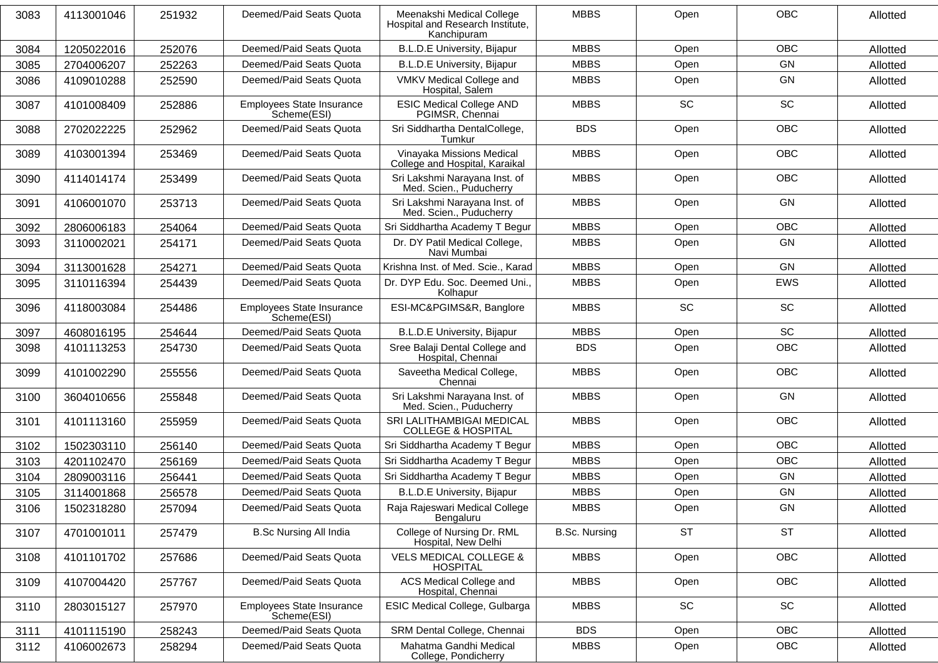| 3083 | 4113001046 | 251932 | Deemed/Paid Seats Quota                  | Meenakshi Medical College<br>Hospital and Research Institute,<br>Kanchipuram | <b>MBBS</b>          | Open      | <b>OBC</b> | Allotted |
|------|------------|--------|------------------------------------------|------------------------------------------------------------------------------|----------------------|-----------|------------|----------|
| 3084 | 1205022016 | 252076 | Deemed/Paid Seats Quota                  | <b>B.L.D.E University, Bijapur</b>                                           | <b>MBBS</b>          | Open      | <b>OBC</b> | Allotted |
| 3085 | 2704006207 | 252263 | Deemed/Paid Seats Quota                  | <b>B.L.D.E University, Bijapur</b>                                           | <b>MBBS</b>          | Open      | GN         | Allotted |
| 3086 | 4109010288 | 252590 | Deemed/Paid Seats Quota                  | VMKV Medical College and<br>Hospital, Salem                                  | <b>MBBS</b>          | Open      | GN         | Allotted |
| 3087 | 4101008409 | 252886 | Employees State Insurance<br>Scheme(ESI) | <b>ESIC Medical College AND</b><br>PGIMSR, Chennai                           | <b>MBBS</b>          | <b>SC</b> | SC         | Allotted |
| 3088 | 2702022225 | 252962 | Deemed/Paid Seats Quota                  | Sri Siddhartha DentalCollege,<br>Tumkur                                      | <b>BDS</b>           | Open      | <b>OBC</b> | Allotted |
| 3089 | 4103001394 | 253469 | Deemed/Paid Seats Quota                  | Vinayaka Missions Medical<br>College and Hospital, Karaikal                  | <b>MBBS</b>          | Open      | <b>OBC</b> | Allotted |
| 3090 | 4114014174 | 253499 | Deemed/Paid Seats Quota                  | Sri Lakshmi Narayana Inst. of<br>Med. Scien., Puducherry                     | <b>MBBS</b>          | Open      | <b>OBC</b> | Allotted |
| 3091 | 4106001070 | 253713 | Deemed/Paid Seats Quota                  | Sri Lakshmi Narayana Inst. of<br>Med. Scien., Puducherry                     | <b>MBBS</b>          | Open      | <b>GN</b>  | Allotted |
| 3092 | 2806006183 | 254064 | Deemed/Paid Seats Quota                  | Sri Siddhartha Academy T Begur                                               | <b>MBBS</b>          | Open      | <b>OBC</b> | Allotted |
| 3093 | 3110002021 | 254171 | Deemed/Paid Seats Quota                  | Dr. DY Patil Medical College,<br>Navi Mumbai                                 | <b>MBBS</b>          | Open      | <b>GN</b>  | Allotted |
| 3094 | 3113001628 | 254271 | Deemed/Paid Seats Quota                  | Krishna Inst. of Med. Scie., Karad                                           | <b>MBBS</b>          | Open      | GN         | Allotted |
| 3095 | 3110116394 | 254439 | Deemed/Paid Seats Quota                  | Dr. DYP Edu. Soc. Deemed Uni.,<br>Kolhapur                                   | <b>MBBS</b>          | Open      | EWS        | Allotted |
| 3096 | 4118003084 | 254486 | Employees State Insurance<br>Scheme(ESI) | ESI-MC&PGIMS&R, Banglore                                                     | <b>MBBS</b>          | <b>SC</b> | SC         | Allotted |
| 3097 | 4608016195 | 254644 | Deemed/Paid Seats Quota                  | <b>B.L.D.E University, Bijapur</b>                                           | <b>MBBS</b>          | Open      | SC         | Allotted |
| 3098 | 4101113253 | 254730 | Deemed/Paid Seats Quota                  | Sree Balaji Dental College and<br>Hospital, Chennai                          | <b>BDS</b>           | Open      | <b>OBC</b> | Allotted |
| 3099 | 4101002290 | 255556 | Deemed/Paid Seats Quota                  | Saveetha Medical College,<br>Chennai                                         | <b>MBBS</b>          | Open      | <b>OBC</b> | Allotted |
| 3100 | 3604010656 | 255848 | Deemed/Paid Seats Quota                  | Sri Lakshmi Narayana Inst. of<br>Med. Scien., Puducherry                     | <b>MBBS</b>          | Open      | <b>GN</b>  | Allotted |
| 3101 | 4101113160 | 255959 | Deemed/Paid Seats Quota                  | SRI LALITHAMBIGAI MEDICAL<br><b>COLLEGE &amp; HOSPITAL</b>                   | <b>MBBS</b>          | Open      | <b>OBC</b> | Allotted |
| 3102 | 1502303110 | 256140 | Deemed/Paid Seats Quota                  | Sri Siddhartha Academy T Begur                                               | <b>MBBS</b>          | Open      | <b>OBC</b> | Allotted |
| 3103 | 4201102470 | 256169 | Deemed/Paid Seats Quota                  | Sri Siddhartha Academy T Begur                                               | <b>MBBS</b>          | Open      | <b>OBC</b> | Allotted |
| 3104 | 2809003116 | 256441 | Deemed/Paid Seats Quota                  | Sri Siddhartha Academy T Begur                                               | <b>MBBS</b>          | Open      | GN         | Allotted |
| 3105 | 3114001868 | 256578 | Deemed/Paid Seats Quota                  | <b>B.L.D.E University, Bijapur</b>                                           | <b>MBBS</b>          | Open      | GN         | Allotted |
| 3106 | 1502318280 | 257094 | Deemed/Paid Seats Quota                  | Raja Rajeswari Medical College<br>Bengaluru                                  | <b>MBBS</b>          | Open      | GN         | Allotted |
| 3107 | 4701001011 | 257479 | <b>B.Sc Nursing All India</b>            | College of Nursing Dr. RML<br>Hospital, New Delhi                            | <b>B.Sc. Nursing</b> | <b>ST</b> | <b>ST</b>  | Allotted |
| 3108 | 4101101702 | 257686 | Deemed/Paid Seats Quota                  | <b>VELS MEDICAL COLLEGE &amp;</b><br><b>HOSPITAL</b>                         | <b>MBBS</b>          | Open      | <b>OBC</b> | Allotted |
| 3109 | 4107004420 | 257767 | Deemed/Paid Seats Quota                  | ACS Medical College and<br>Hospital, Chennai                                 | <b>MBBS</b>          | Open      | <b>OBC</b> | Allotted |
| 3110 | 2803015127 | 257970 | Employees State Insurance<br>Scheme(ESI) | ESIC Medical College, Gulbarga                                               | <b>MBBS</b>          | SC        | SC         | Allotted |
| 3111 | 4101115190 | 258243 | Deemed/Paid Seats Quota                  | SRM Dental College, Chennai                                                  | <b>BDS</b>           | Open      | <b>OBC</b> | Allotted |
| 3112 | 4106002673 | 258294 | Deemed/Paid Seats Quota                  | Mahatma Gandhi Medical<br>College, Pondicherry                               | <b>MBBS</b>          | Open      | OBC        | Allotted |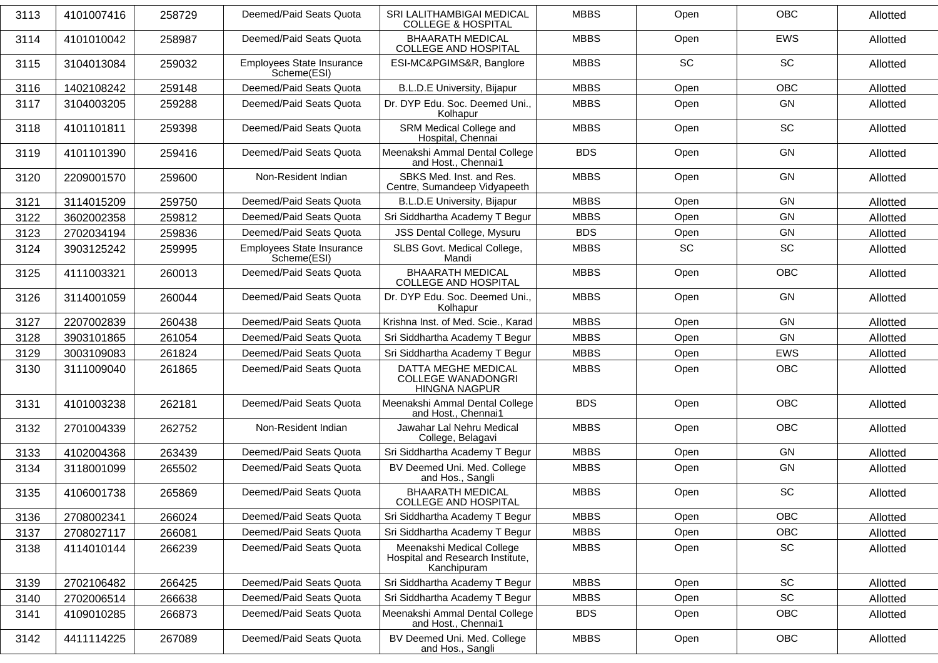| 3113 | 4101007416 | 258729 | Deemed/Paid Seats Quota                  | <b>SRI LALITHAMBIGAI MEDICAL</b><br><b>COLLEGE &amp; HOSPITAL</b>            | <b>MBBS</b> | Open      | <b>OBC</b>                   | Allotted |
|------|------------|--------|------------------------------------------|------------------------------------------------------------------------------|-------------|-----------|------------------------------|----------|
| 3114 | 4101010042 | 258987 | Deemed/Paid Seats Quota                  | <b>BHAARATH MEDICAL</b><br><b>COLLEGE AND HOSPITAL</b>                       | <b>MBBS</b> | Open      | EWS                          | Allotted |
| 3115 | 3104013084 | 259032 | Employees State Insurance<br>Scheme(ESI) | ESI-MC&PGIMS&R, Banglore                                                     | <b>MBBS</b> | SC        | SC                           | Allotted |
| 3116 | 1402108242 | 259148 | Deemed/Paid Seats Quota                  | <b>B.L.D.E University, Bijapur</b>                                           | <b>MBBS</b> | Open      | <b>OBC</b>                   | Allotted |
| 3117 | 3104003205 | 259288 | Deemed/Paid Seats Quota                  | Dr. DYP Edu. Soc. Deemed Uni.,<br>Kolhapur                                   | <b>MBBS</b> | Open      | GN                           | Allotted |
| 3118 | 4101101811 | 259398 | Deemed/Paid Seats Quota                  | SRM Medical College and<br>Hospital, Chennai                                 | <b>MBBS</b> | Open      | SC                           | Allotted |
| 3119 | 4101101390 | 259416 | Deemed/Paid Seats Quota                  | Meenakshi Ammal Dental College<br>and Host., Chennai1                        | <b>BDS</b>  | Open      | GN                           | Allotted |
| 3120 | 2209001570 | 259600 | Non-Resident Indian                      | SBKS Med. Inst. and Res.<br>Centre, Sumandeep Vidyapeeth                     | <b>MBBS</b> | Open      | GN                           | Allotted |
| 3121 | 3114015209 | 259750 | Deemed/Paid Seats Quota                  | <b>B.L.D.E University, Bijapur</b>                                           | <b>MBBS</b> | Open      | GN                           | Allotted |
| 3122 | 3602002358 | 259812 | Deemed/Paid Seats Quota                  | Sri Siddhartha Academy T Begur                                               | <b>MBBS</b> | Open      | GN                           | Allotted |
| 3123 | 2702034194 | 259836 | Deemed/Paid Seats Quota                  | JSS Dental College, Mysuru                                                   | <b>BDS</b>  | Open      | GN                           | Allotted |
| 3124 | 3903125242 | 259995 | Employees State Insurance<br>Scheme(ESI) | SLBS Govt. Medical College,<br>Mandi                                         | <b>MBBS</b> | <b>SC</b> | SC                           | Allotted |
| 3125 | 4111003321 | 260013 | Deemed/Paid Seats Quota                  | <b>BHAARATH MEDICAL</b><br><b>COLLEGE AND HOSPITAL</b>                       | <b>MBBS</b> | Open      | <b>OBC</b>                   | Allotted |
| 3126 | 3114001059 | 260044 | Deemed/Paid Seats Quota                  | Dr. DYP Edu. Soc. Deemed Uni.,<br>Kolhapur                                   | <b>MBBS</b> | Open      | GN                           | Allotted |
| 3127 | 2207002839 | 260438 | Deemed/Paid Seats Quota                  | Krishna Inst. of Med. Scie., Karad                                           | <b>MBBS</b> | Open      | GN                           | Allotted |
| 3128 | 3903101865 | 261054 | Deemed/Paid Seats Quota                  | Sri Siddhartha Academy T Begur                                               | <b>MBBS</b> | Open      | GN                           | Allotted |
| 3129 | 3003109083 | 261824 | Deemed/Paid Seats Quota                  | Sri Siddhartha Academy T Begur                                               | <b>MBBS</b> | Open      | EWS                          | Allotted |
| 3130 | 3111009040 | 261865 | Deemed/Paid Seats Quota                  | DATTA MEGHE MEDICAL<br><b>COLLEGE WANADONGRI</b><br><b>HINGNA NAGPUR</b>     | <b>MBBS</b> | Open      | <b>OBC</b>                   | Allotted |
| 3131 | 4101003238 | 262181 | Deemed/Paid Seats Quota                  | Meenakshi Ammal Dental College<br>and Host., Chennai1                        | <b>BDS</b>  | Open      | <b>OBC</b>                   | Allotted |
| 3132 | 2701004339 | 262752 | Non-Resident Indian                      | Jawahar Lal Nehru Medical<br>College, Belagavi                               | <b>MBBS</b> | Open      | <b>OBC</b>                   | Allotted |
| 3133 | 4102004368 | 263439 | Deemed/Paid Seats Quota                  | Sri Siddhartha Academy T Begur                                               | <b>MBBS</b> | Open      | GN                           | Allotted |
| 3134 | 3118001099 | 265502 | Deemed/Paid Seats Quota                  | BV Deemed Uni. Med. College<br>and Hos., Sangli                              | <b>MBBS</b> | Open      | GN                           | Allotted |
| 3135 | 4106001738 | 265869 | Deemed/Paid Seats Quota                  | <b>BHAARATH MEDICAL</b><br><b>COLLEGE AND HOSPITAL</b>                       | <b>MBBS</b> | Open      | SC                           | Allotted |
| 3136 | 2708002341 | 266024 | Deemed/Paid Seats Quota                  | Sri Siddhartha Academy T Begur                                               | <b>MBBS</b> | Open      | OBC                          | Allotted |
| 3137 | 2708027117 | 266081 | Deemed/Paid Seats Quota                  | Sri Siddhartha Academy T Begur                                               | <b>MBBS</b> | Open      | OBC                          | Allotted |
| 3138 | 4114010144 | 266239 | Deemed/Paid Seats Quota                  | Meenakshi Medical College<br>Hospital and Research Institute,<br>Kanchipuram | <b>MBBS</b> | Open      | $\operatorname{\textsf{SC}}$ | Allotted |
| 3139 | 2702106482 | 266425 | Deemed/Paid Seats Quota                  | Sri Siddhartha Academy T Begur                                               | <b>MBBS</b> | Open      | SC                           | Allotted |
| 3140 | 2702006514 | 266638 | Deemed/Paid Seats Quota                  | Sri Siddhartha Academy T Begur                                               | <b>MBBS</b> | Open      | $\operatorname{\textsf{SC}}$ | Allotted |
| 3141 | 4109010285 | 266873 | Deemed/Paid Seats Quota                  | Meenakshi Ammal Dental College<br>and Host., Chennai1                        | <b>BDS</b>  | Open      | OBC                          | Allotted |
| 3142 | 4411114225 | 267089 | Deemed/Paid Seats Quota                  | BV Deemed Uni. Med. College<br>and Hos., Sangli                              | <b>MBBS</b> | Open      | OBC                          | Allotted |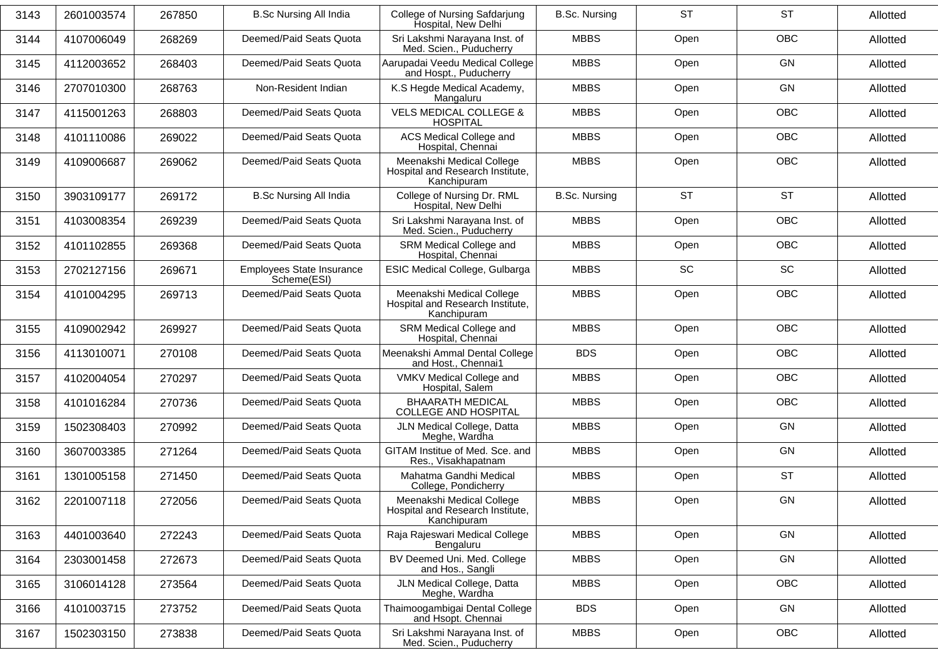| 3143 | 2601003574 | 267850 | <b>B.Sc Nursing All India</b>            | College of Nursing Safdarjung<br>Hospital, New Delhi                         | <b>B.Sc. Nursing</b> | <b>ST</b> | <b>ST</b>  | Allotted |
|------|------------|--------|------------------------------------------|------------------------------------------------------------------------------|----------------------|-----------|------------|----------|
| 3144 | 4107006049 | 268269 | Deemed/Paid Seats Quota                  | Sri Lakshmi Narayana Inst. of<br>Med. Scien., Puducherry                     | <b>MBBS</b>          | Open      | OBC        | Allotted |
| 3145 | 4112003652 | 268403 | Deemed/Paid Seats Quota                  | Aarupadai Veedu Medical College<br>and Hospt., Puducherry                    | <b>MBBS</b>          | Open      | GN         | Allotted |
| 3146 | 2707010300 | 268763 | Non-Resident Indian                      | K.S Hegde Medical Academy,<br>Mangaluru                                      | <b>MBBS</b>          | Open      | GN         | Allotted |
| 3147 | 4115001263 | 268803 | Deemed/Paid Seats Quota                  | <b>VELS MEDICAL COLLEGE &amp;</b><br><b>HOSPITAL</b>                         | <b>MBBS</b>          | Open      | OBC        | Allotted |
| 3148 | 4101110086 | 269022 | Deemed/Paid Seats Quota                  | ACS Medical College and<br>Hospital, Chennai                                 | <b>MBBS</b>          | Open      | <b>OBC</b> | Allotted |
| 3149 | 4109006687 | 269062 | Deemed/Paid Seats Quota                  | Meenakshi Medical College<br>Hospital and Research Institute,<br>Kanchipuram | <b>MBBS</b>          | Open      | OBC        | Allotted |
| 3150 | 3903109177 | 269172 | <b>B.Sc Nursing All India</b>            | College of Nursing Dr. RML<br>Hospital, New Delhi                            | <b>B.Sc. Nursing</b> | <b>ST</b> | <b>ST</b>  | Allotted |
| 3151 | 4103008354 | 269239 | Deemed/Paid Seats Quota                  | Sri Lakshmi Narayana Inst. of<br>Med. Scien., Puducherry                     | <b>MBBS</b>          | Open      | OBC        | Allotted |
| 3152 | 4101102855 | 269368 | Deemed/Paid Seats Quota                  | SRM Medical College and<br>Hospital, Chennai                                 | <b>MBBS</b>          | Open      | OBC        | Allotted |
| 3153 | 2702127156 | 269671 | Employees State Insurance<br>Scheme(ESI) | ESIC Medical College, Gulbarga                                               | <b>MBBS</b>          | <b>SC</b> | SC         | Allotted |
| 3154 | 4101004295 | 269713 | Deemed/Paid Seats Quota                  | Meenakshi Medical College<br>Hospital and Research Institute,<br>Kanchipuram | <b>MBBS</b>          | Open      | <b>OBC</b> | Allotted |
| 3155 | 4109002942 | 269927 | Deemed/Paid Seats Quota                  | SRM Medical College and<br>Hospital, Chennai                                 | <b>MBBS</b>          | Open      | OBC        | Allotted |
| 3156 | 4113010071 | 270108 | Deemed/Paid Seats Quota                  | Meenakshi Ammal Dental College<br>and Host., Chennai1                        | <b>BDS</b>           | Open      | OBC        | Allotted |
| 3157 | 4102004054 | 270297 | Deemed/Paid Seats Quota                  | VMKV Medical College and<br>Hospital, Salem                                  | <b>MBBS</b>          | Open      | <b>OBC</b> | Allotted |
| 3158 | 4101016284 | 270736 | Deemed/Paid Seats Quota                  | <b>BHAARATH MEDICAL</b><br>COLLEGE AND HOSPITAL                              | <b>MBBS</b>          | Open      | <b>OBC</b> | Allotted |
| 3159 | 1502308403 | 270992 | Deemed/Paid Seats Quota                  | JLN Medical College, Datta<br>Meghe, Wardha                                  | <b>MBBS</b>          | Open      | GN         | Allotted |
| 3160 | 3607003385 | 271264 | Deemed/Paid Seats Quota                  | GITAM Institue of Med. Sce. and<br>Res., Visakhapatnam                       | <b>MBBS</b>          | Open      | GN         | Allotted |
| 3161 | 1301005158 | 271450 | Deemed/Paid Seats Quota                  | Mahatma Gandhi Medical<br>College, Pondicherry                               | <b>MBBS</b>          | Open      | <b>ST</b>  | Allotted |
| 3162 | 2201007118 | 272056 | Deemed/Paid Seats Quota                  | Meenakshi Medical College<br>Hospital and Research Institute,<br>Kanchipuram | <b>MBBS</b>          | Open      | GN         | Allotted |
| 3163 | 4401003640 | 272243 | Deemed/Paid Seats Quota                  | Raja Rajeswari Medical College<br>Bengaluru                                  | <b>MBBS</b>          | Open      | GN         | Allotted |
| 3164 | 2303001458 | 272673 | Deemed/Paid Seats Quota                  | BV Deemed Uni. Med. College<br>and Hos., Sangli                              | <b>MBBS</b>          | Open      | GN         | Allotted |
| 3165 | 3106014128 | 273564 | Deemed/Paid Seats Quota                  | JLN Medical College, Datta<br>Meghe, Wardha                                  | <b>MBBS</b>          | Open      | OBC        | Allotted |
| 3166 | 4101003715 | 273752 | Deemed/Paid Seats Quota                  | Thaimoogambigai Dental College<br>and Hsopt. Chennai                         | <b>BDS</b>           | Open      | GN         | Allotted |
| 3167 | 1502303150 | 273838 | Deemed/Paid Seats Quota                  | Sri Lakshmi Narayana Inst. of<br>Med. Scien., Puducherry                     | <b>MBBS</b>          | Open      | OBC        | Allotted |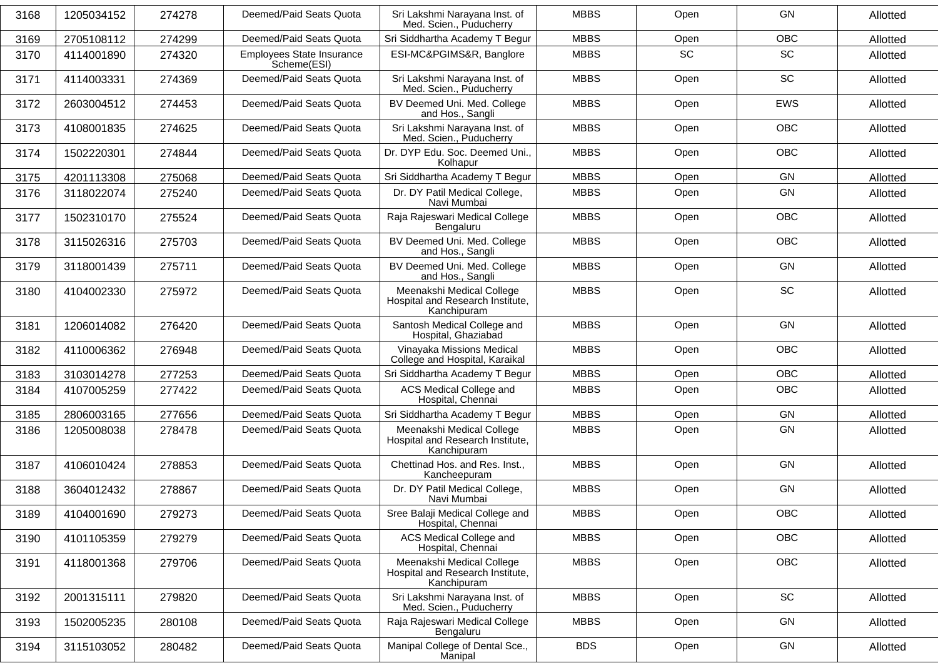| 3168 | 1205034152 | 274278 | Deemed/Paid Seats Quota                         | Sri Lakshmi Narayana Inst. of<br>Med. Scien., Puducherry                     | <b>MBBS</b> | Open      | GN         | Allotted |
|------|------------|--------|-------------------------------------------------|------------------------------------------------------------------------------|-------------|-----------|------------|----------|
| 3169 | 2705108112 | 274299 | Deemed/Paid Seats Quota                         | Sri Siddhartha Academy T Begur                                               | <b>MBBS</b> | Open      | <b>OBC</b> | Allotted |
| 3170 | 4114001890 | 274320 | <b>Employees State Insurance</b><br>Scheme(ESI) | ESI-MC&PGIMS&R, Banglore                                                     | <b>MBBS</b> | <b>SC</b> | <b>SC</b>  | Allotted |
| 3171 | 4114003331 | 274369 | Deemed/Paid Seats Quota                         | Sri Lakshmi Narayana Inst. of<br>Med. Scien., Puducherry                     | <b>MBBS</b> | Open      | <b>SC</b>  | Allotted |
| 3172 | 2603004512 | 274453 | Deemed/Paid Seats Quota                         | BV Deemed Uni. Med. College<br>and Hos., Sangli                              | <b>MBBS</b> | Open      | <b>EWS</b> | Allotted |
| 3173 | 4108001835 | 274625 | Deemed/Paid Seats Quota                         | Sri Lakshmi Narayana Inst. of<br>Med. Scien., Puducherry                     | <b>MBBS</b> | Open      | <b>OBC</b> | Allotted |
| 3174 | 1502220301 | 274844 | Deemed/Paid Seats Quota                         | Dr. DYP Edu. Soc. Deemed Uni.,<br>Kolhapur                                   | <b>MBBS</b> | Open      | <b>OBC</b> | Allotted |
| 3175 | 4201113308 | 275068 | Deemed/Paid Seats Quota                         | Sri Siddhartha Academy T Begur                                               | <b>MBBS</b> | Open      | GN         | Allotted |
| 3176 | 3118022074 | 275240 | Deemed/Paid Seats Quota                         | Dr. DY Patil Medical College,<br>Navi Mumbai                                 | <b>MBBS</b> | Open      | GN         | Allotted |
| 3177 | 1502310170 | 275524 | Deemed/Paid Seats Quota                         | Raja Rajeswari Medical College<br>Bengaluru                                  | <b>MBBS</b> | Open      | <b>OBC</b> | Allotted |
| 3178 | 3115026316 | 275703 | Deemed/Paid Seats Quota                         | BV Deemed Uni. Med. College<br>and Hos., Sangli                              | <b>MBBS</b> | Open      | <b>OBC</b> | Allotted |
| 3179 | 3118001439 | 275711 | Deemed/Paid Seats Quota                         | BV Deemed Uni. Med. College<br>and Hos., Sangli                              | <b>MBBS</b> | Open      | GN         | Allotted |
| 3180 | 4104002330 | 275972 | Deemed/Paid Seats Quota                         | Meenakshi Medical College<br>Hospital and Research Institute,<br>Kanchipuram | <b>MBBS</b> | Open      | <b>SC</b>  | Allotted |
| 3181 | 1206014082 | 276420 | Deemed/Paid Seats Quota                         | Santosh Medical College and<br>Hospital, Ghaziabad                           | <b>MBBS</b> | Open      | GN         | Allotted |
| 3182 | 4110006362 | 276948 | Deemed/Paid Seats Quota                         | Vinayaka Missions Medical<br>College and Hospital, Karaikal                  | <b>MBBS</b> | Open      | OBC        | Allotted |
| 3183 | 3103014278 | 277253 | Deemed/Paid Seats Quota                         | Sri Siddhartha Academy T Begur                                               | <b>MBBS</b> | Open      | <b>OBC</b> | Allotted |
| 3184 | 4107005259 | 277422 | Deemed/Paid Seats Quota                         | ACS Medical College and<br>Hospital, Chennai                                 | <b>MBBS</b> | Open      | OBC        | Allotted |
| 3185 | 2806003165 | 277656 | Deemed/Paid Seats Quota                         | Sri Siddhartha Academy T Begur                                               | <b>MBBS</b> | Open      | GN         | Allotted |
| 3186 | 1205008038 | 278478 | Deemed/Paid Seats Quota                         | Meenakshi Medical College<br>Hospital and Research Institute,<br>Kanchipuram | <b>MBBS</b> | Open      | GN         | Allotted |
| 3187 | 4106010424 | 278853 | Deemed/Paid Seats Quota                         | Chettinad Hos. and Res. Inst.,<br>Kancheepuram                               | <b>MBBS</b> | Open      | GN         | Allotted |
| 3188 | 3604012432 | 278867 | Deemed/Paid Seats Quota                         | Dr. DY Patil Medical College,<br>Navi Mumbai                                 | <b>MBBS</b> | Open      | GN         | Allotted |
| 3189 | 4104001690 | 279273 | Deemed/Paid Seats Quota                         | Sree Balaji Medical College and<br>Hospital, Chennai                         | <b>MBBS</b> | Open      | OBC        | Allotted |
| 3190 | 4101105359 | 279279 | Deemed/Paid Seats Quota                         | ACS Medical College and<br>Hospital, Chennai                                 | <b>MBBS</b> | Open      | OBC        | Allotted |
| 3191 | 4118001368 | 279706 | Deemed/Paid Seats Quota                         | Meenakshi Medical College<br>Hospital and Research Institute,<br>Kanchipuram | <b>MBBS</b> | Open      | OBC        | Allotted |
| 3192 | 2001315111 | 279820 | Deemed/Paid Seats Quota                         | Sri Lakshmi Narayana Inst. of<br>Med. Scien., Puducherry                     | <b>MBBS</b> | Open      | SC         | Allotted |
| 3193 | 1502005235 | 280108 | Deemed/Paid Seats Quota                         | Raja Rajeswari Medical College<br>Bengaluru                                  | <b>MBBS</b> | Open      | GN         | Allotted |
| 3194 | 3115103052 | 280482 | Deemed/Paid Seats Quota                         | Manipal College of Dental Sce.,<br>Manipal                                   | <b>BDS</b>  | Open      | GN         | Allotted |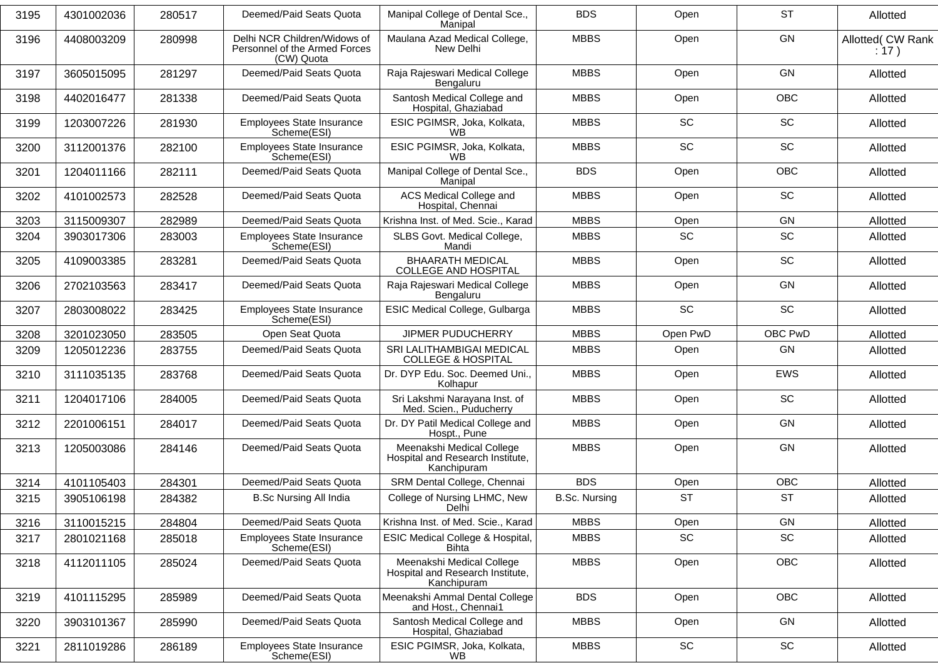| 3195 | 4301002036 | 280517 | Deemed/Paid Seats Quota                                                     | Manipal College of Dental Sce.,<br>Manipal                                   | <b>BDS</b>           | Open      | <b>ST</b>  | Allotted                   |
|------|------------|--------|-----------------------------------------------------------------------------|------------------------------------------------------------------------------|----------------------|-----------|------------|----------------------------|
| 3196 | 4408003209 | 280998 | Delhi NCR Children/Widows of<br>Personnel of the Armed Forces<br>(CW) Quota | Maulana Azad Medical College,<br>New Delhi                                   | <b>MBBS</b>          | Open      | GN         | Allotted( CW Rank<br>: 17) |
| 3197 | 3605015095 | 281297 | Deemed/Paid Seats Quota                                                     | Raja Rajeswari Medical College<br>Bengaluru                                  | <b>MBBS</b>          | Open      | <b>GN</b>  | Allotted                   |
| 3198 | 4402016477 | 281338 | Deemed/Paid Seats Quota                                                     | Santosh Medical College and<br>Hospital, Ghaziabad                           | <b>MBBS</b>          | Open      | <b>OBC</b> | Allotted                   |
| 3199 | 1203007226 | 281930 | <b>Employees State Insurance</b><br>Scheme(ESI)                             | ESIC PGIMSR, Joka, Kolkata,<br>WВ                                            | <b>MBBS</b>          | SC        | SC         | Allotted                   |
| 3200 | 3112001376 | 282100 | Employees State Insurance<br>Scheme(ESI)                                    | ESIC PGIMSR, Joka, Kolkata,<br>WB                                            | <b>MBBS</b>          | <b>SC</b> | <b>SC</b>  | Allotted                   |
| 3201 | 1204011166 | 282111 | Deemed/Paid Seats Quota                                                     | Manipal College of Dental Sce.,<br>Manipal                                   | <b>BDS</b>           | Open      | OBC        | Allotted                   |
| 3202 | 4101002573 | 282528 | Deemed/Paid Seats Quota                                                     | ACS Medical College and<br>Hospital, Chennai                                 | <b>MBBS</b>          | Open      | SC         | Allotted                   |
| 3203 | 3115009307 | 282989 | Deemed/Paid Seats Quota                                                     | Krishna Inst. of Med. Scie., Karad                                           | <b>MBBS</b>          | Open      | GN         | Allotted                   |
| 3204 | 3903017306 | 283003 | Employees State Insurance<br>Scheme(ESI)                                    | SLBS Govt. Medical College,<br>Mandi                                         | <b>MBBS</b>          | <b>SC</b> | <b>SC</b>  | Allotted                   |
| 3205 | 4109003385 | 283281 | Deemed/Paid Seats Quota                                                     | <b>BHAARATH MEDICAL</b><br><b>COLLEGE AND HOSPITAL</b>                       | <b>MBBS</b>          | Open      | SC         | Allotted                   |
| 3206 | 2702103563 | 283417 | Deemed/Paid Seats Quota                                                     | Raja Rajeswari Medical College<br>Bengaluru                                  | <b>MBBS</b>          | Open      | GN         | Allotted                   |
| 3207 | 2803008022 | 283425 | <b>Employees State Insurance</b><br>Scheme(ESI)                             | ESIC Medical College, Gulbarga                                               | <b>MBBS</b>          | SC        | SC         | Allotted                   |
| 3208 | 3201023050 | 283505 | Open Seat Quota                                                             | <b>JIPMER PUDUCHERRY</b>                                                     | <b>MBBS</b>          | Open PwD  | OBC PwD    | Allotted                   |
| 3209 | 1205012236 | 283755 | Deemed/Paid Seats Quota                                                     | SRI LALITHAMBIGAI MEDICAL<br><b>COLLEGE &amp; HOSPITAL</b>                   | <b>MBBS</b>          | Open      | GN         | Allotted                   |
| 3210 | 3111035135 | 283768 | Deemed/Paid Seats Quota                                                     | Dr. DYP Edu. Soc. Deemed Uni.,<br>Kolhapur                                   | <b>MBBS</b>          | Open      | <b>EWS</b> | Allotted                   |
| 3211 | 1204017106 | 284005 | Deemed/Paid Seats Quota                                                     | Sri Lakshmi Narayana Inst. of<br>Med. Scien., Puducherry                     | <b>MBBS</b>          | Open      | SC         | Allotted                   |
| 3212 | 2201006151 | 284017 | Deemed/Paid Seats Quota                                                     | Dr. DY Patil Medical College and<br>Hospt., Pune                             | <b>MBBS</b>          | Open      | GN         | Allotted                   |
| 3213 | 1205003086 | 284146 | Deemed/Paid Seats Quota                                                     | Meenakshi Medical College<br>Hospital and Research Institute,<br>Kanchipuram | <b>MBBS</b>          | Open      | GN         | Allotted                   |
| 3214 | 4101105403 | 284301 | Deemed/Paid Seats Quota                                                     | SRM Dental College, Chennai                                                  | <b>BDS</b>           | Open      | OBC        | Allotted                   |
| 3215 | 3905106198 | 284382 | <b>B.Sc Nursing All India</b>                                               | College of Nursing LHMC, New<br>Delhi                                        | <b>B.Sc. Nursing</b> | <b>ST</b> | <b>ST</b>  | Allotted                   |
| 3216 | 3110015215 | 284804 | Deemed/Paid Seats Quota                                                     | Krishna Inst. of Med. Scie., Karad                                           | <b>MBBS</b>          | Open      | GN         | Allotted                   |
| 3217 | 2801021168 | 285018 | Employees State Insurance<br>Scheme(ESI)                                    | ESIC Medical College & Hospital,<br><b>Bihta</b>                             | <b>MBBS</b>          | SC        | SC         | Allotted                   |
| 3218 | 4112011105 | 285024 | Deemed/Paid Seats Quota                                                     | Meenakshi Medical College<br>Hospital and Research Institute,<br>Kanchipuram | <b>MBBS</b>          | Open      | OBC        | Allotted                   |
| 3219 | 4101115295 | 285989 | Deemed/Paid Seats Quota                                                     | Meenakshi Ammal Dental College<br>and Host., Chennai1                        | <b>BDS</b>           | Open      | OBC        | Allotted                   |
| 3220 | 3903101367 | 285990 | Deemed/Paid Seats Quota                                                     | Santosh Medical College and<br>Hospital, Ghaziabad                           | <b>MBBS</b>          | Open      | GN         | Allotted                   |
| 3221 | 2811019286 | 286189 | <b>Employees State Insurance</b><br>Scheme(ESI)                             | ESIC PGIMSR, Joka, Kolkata,<br>WB.                                           | <b>MBBS</b>          | SC        | SC         | Allotted                   |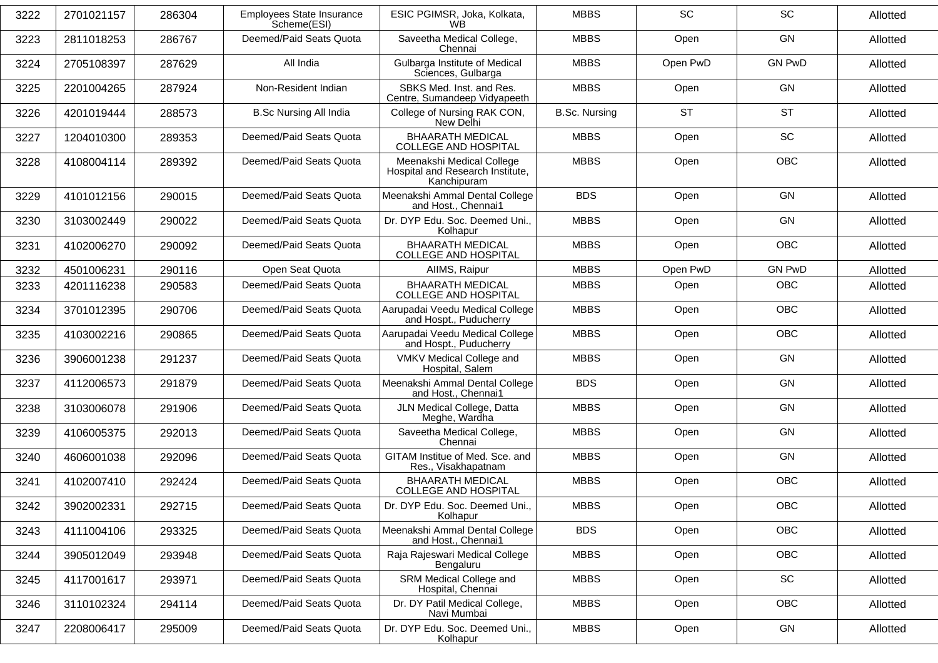| 2701021157<br>2811018253 | 286304<br>286767         | Employees State Insurance<br>Scheme(ESI) | ESIC PGIMSR, Joka, Kolkata,<br>WВ                                            | <b>MBBS</b>                                                                                                                           | <b>SC</b> | <b>SC</b>     | Allotted |
|--------------------------|--------------------------|------------------------------------------|------------------------------------------------------------------------------|---------------------------------------------------------------------------------------------------------------------------------------|-----------|---------------|----------|
|                          |                          |                                          |                                                                              |                                                                                                                                       |           |               |          |
|                          |                          | Deemed/Paid Seats Quota                  | Saveetha Medical College,<br>Chennai                                         | <b>MBBS</b>                                                                                                                           | Open      | GN            | Allotted |
|                          | 287629                   | All India                                | Gulbarga Institute of Medical                                                | <b>MBBS</b>                                                                                                                           | Open PwD  | <b>GN PwD</b> | Allotted |
| 2201004265               | 287924                   | Non-Resident Indian                      | SBKS Med. Inst. and Res.                                                     | <b>MBBS</b>                                                                                                                           | Open      | GN            | Allotted |
| 4201019444               | 288573                   | <b>B.Sc Nursing All India</b>            | College of Nursing RAK CON,<br>New Delhi                                     | <b>B.Sc. Nursing</b>                                                                                                                  | <b>ST</b> | <b>ST</b>     | Allotted |
| 1204010300               | 289353                   | Deemed/Paid Seats Quota                  | <b>BHAARATH MEDICAL</b><br><b>COLLEGE AND HOSPITAL</b>                       | <b>MBBS</b>                                                                                                                           | Open      | SC            | Allotted |
| 4108004114               | 289392                   | Deemed/Paid Seats Quota                  | Meenakshi Medical College<br>Hospital and Research Institute,<br>Kanchipuram | <b>MBBS</b>                                                                                                                           | Open      | <b>OBC</b>    | Allotted |
| 4101012156               | 290015                   | Deemed/Paid Seats Quota                  | Meenakshi Ammal Dental College<br>and Host., Chennai1                        | <b>BDS</b>                                                                                                                            | Open      | <b>GN</b>     | Allotted |
| 3103002449               | 290022                   | Deemed/Paid Seats Quota                  | Dr. DYP Edu. Soc. Deemed Uni.,<br>Kolhapur                                   | <b>MBBS</b>                                                                                                                           | Open      | GN            | Allotted |
| 4102006270               | 290092                   | Deemed/Paid Seats Quota                  | <b>BHAARATH MEDICAL</b><br><b>COLLEGE AND HOSPITAL</b>                       | <b>MBBS</b>                                                                                                                           | Open      | <b>OBC</b>    | Allotted |
|                          |                          | Open Seat Quota                          | AIIMS, Raipur                                                                | <b>MBBS</b>                                                                                                                           | Open PwD  | <b>GN PwD</b> | Allotted |
| 4201116238               | 290583                   | Deemed/Paid Seats Quota                  | <b>BHAARATH MEDICAL</b>                                                      | <b>MBBS</b>                                                                                                                           | Open      | OBC           | Allotted |
| 3701012395               | 290706                   | Deemed/Paid Seats Quota                  | Aarupadai Veedu Medical College                                              | <b>MBBS</b>                                                                                                                           | Open      | <b>OBC</b>    | Allotted |
| 4103002216               | 290865                   | Deemed/Paid Seats Quota                  | Aarupadai Veedu Medical College                                              | <b>MBBS</b>                                                                                                                           | Open      | <b>OBC</b>    | Allotted |
| 3906001238               | 291237                   | Deemed/Paid Seats Quota                  | VMKV Medical College and<br>Hospital, Salem                                  | <b>MBBS</b>                                                                                                                           | Open      | GN            | Allotted |
| 4112006573               | 291879                   | Deemed/Paid Seats Quota                  | Meenakshi Ammal Dental College<br>and Host., Chennai1                        | <b>BDS</b>                                                                                                                            | Open      | <b>GN</b>     | Allotted |
| 3103006078               | 291906                   | Deemed/Paid Seats Quota                  | JLN Medical College, Datta<br>Meghe, Wardha                                  | <b>MBBS</b>                                                                                                                           | Open      | <b>GN</b>     | Allotted |
| 4106005375               | 292013                   | Deemed/Paid Seats Quota                  | Saveetha Medical College,<br>Chennai                                         | <b>MBBS</b>                                                                                                                           | Open      | <b>GN</b>     | Allotted |
| 4606001038               | 292096                   | Deemed/Paid Seats Quota                  | GITAM Institue of Med. Sce. and<br>Res., Visakhapatnam                       | <b>MBBS</b>                                                                                                                           | Open      | <b>GN</b>     | Allotted |
| 4102007410               | 292424                   | Deemed/Paid Seats Quota                  | <b>BHAARATH MEDICAL</b><br><b>COLLEGE AND HOSPITAL</b>                       | <b>MBBS</b>                                                                                                                           | Open      | <b>OBC</b>    | Allotted |
| 3902002331               | 292715                   | Deemed/Paid Seats Quota                  | Dr. DYP Edu. Soc. Deemed Uni.,<br>Kolhapur                                   | <b>MBBS</b>                                                                                                                           | Open      | <b>OBC</b>    | Allotted |
| 4111004106               | 293325                   | Deemed/Paid Seats Quota                  | Meenakshi Ammal Dental College<br>and Host., Chennai1                        | <b>BDS</b>                                                                                                                            | Open      | <b>OBC</b>    | Allotted |
| 3905012049               | 293948                   | Deemed/Paid Seats Quota                  | Raja Rajeswari Medical College<br>Bengaluru                                  | <b>MBBS</b>                                                                                                                           | Open      | <b>OBC</b>    | Allotted |
| 4117001617               | 293971                   | Deemed/Paid Seats Quota                  | SRM Medical College and<br>Hospital, Chennai                                 | <b>MBBS</b>                                                                                                                           | Open      | SC            | Allotted |
| 3110102324               | 294114                   | Deemed/Paid Seats Quota                  | Dr. DY Patil Medical College,<br>Navi Mumbai                                 | <b>MBBS</b>                                                                                                                           | Open      | <b>OBC</b>    | Allotted |
| 2208006417               | 295009                   | Deemed/Paid Seats Quota                  | Dr. DYP Edu. Soc. Deemed Uni.,<br>Kolhapur                                   | <b>MBBS</b>                                                                                                                           | Open      | GN            | Allotted |
|                          | 2705108397<br>4501006231 | 290116                                   |                                                                              | Sciences, Gulbarga<br>Centre, Sumandeep Vidyapeeth<br><b>COLLEGE AND HOSPITAL</b><br>and Hospt., Puducherry<br>and Hospt., Puducherry |           |               |          |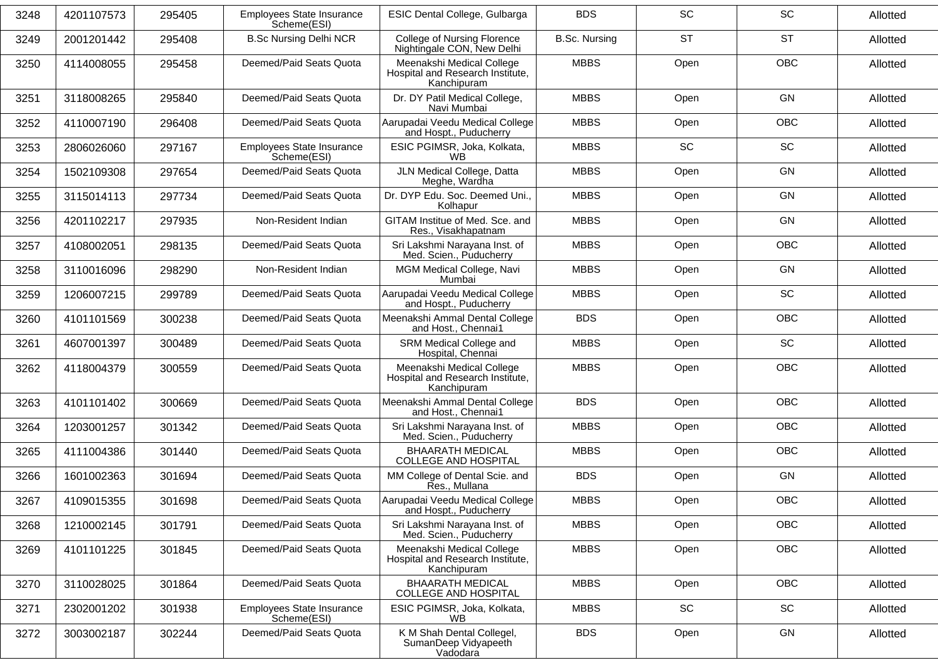| 3248 | 4201107573 | 295405 | <b>Employees State Insurance</b><br>Scheme(ESI) | ESIC Dental College, Gulbarga                                                | <b>BDS</b>           | <b>SC</b> | <b>SC</b>  | Allotted |
|------|------------|--------|-------------------------------------------------|------------------------------------------------------------------------------|----------------------|-----------|------------|----------|
| 3249 | 2001201442 | 295408 | <b>B.Sc Nursing Delhi NCR</b>                   | <b>College of Nursing Florence</b><br>Nightingale CON, New Delhi             | <b>B.Sc. Nursing</b> | <b>ST</b> | <b>ST</b>  | Allotted |
| 3250 | 4114008055 | 295458 | Deemed/Paid Seats Quota                         | Meenakshi Medical College<br>Hospital and Research Institute,<br>Kanchipuram | <b>MBBS</b>          | Open      | <b>OBC</b> | Allotted |
| 3251 | 3118008265 | 295840 | Deemed/Paid Seats Quota                         | Dr. DY Patil Medical College,<br>Navi Mumbai                                 | <b>MBBS</b>          | Open      | GN         | Allotted |
| 3252 | 4110007190 | 296408 | Deemed/Paid Seats Quota                         | Aarupadai Veedu Medical College<br>and Hospt., Puducherry                    | <b>MBBS</b>          | Open      | OBC        | Allotted |
| 3253 | 2806026060 | 297167 | Employees State Insurance<br>Scheme(ESI)        | ESIC PGIMSR, Joka, Kolkata,<br><b>WB</b>                                     | <b>MBBS</b>          | <b>SC</b> | SC         | Allotted |
| 3254 | 1502109308 | 297654 | Deemed/Paid Seats Quota                         | JLN Medical College, Datta<br>Meghe, Wardha                                  | <b>MBBS</b>          | Open      | GN         | Allotted |
| 3255 | 3115014113 | 297734 | Deemed/Paid Seats Quota                         | Dr. DYP Edu. Soc. Deemed Uni.,<br>Kolhapur                                   | <b>MBBS</b>          | Open      | <b>GN</b>  | Allotted |
| 3256 | 4201102217 | 297935 | Non-Resident Indian                             | GITAM Institue of Med. Sce. and<br>Res., Visakhapatnam                       | <b>MBBS</b>          | Open      | <b>GN</b>  | Allotted |
| 3257 | 4108002051 | 298135 | Deemed/Paid Seats Quota                         | Sri Lakshmi Narayana Inst. of<br>Med. Scien., Puducherry                     | <b>MBBS</b>          | Open      | <b>OBC</b> | Allotted |
| 3258 | 3110016096 | 298290 | Non-Resident Indian                             | MGM Medical College, Navi<br>Mumbai                                          | <b>MBBS</b>          | Open      | GN         | Allotted |
| 3259 | 1206007215 | 299789 | Deemed/Paid Seats Quota                         | Aarupadai Veedu Medical College<br>and Hospt., Puducherry                    | <b>MBBS</b>          | Open      | <b>SC</b>  | Allotted |
| 3260 | 4101101569 | 300238 | Deemed/Paid Seats Quota                         | Meenakshi Ammal Dental College<br>and Host., Chennai1                        | <b>BDS</b>           | Open      | <b>OBC</b> | Allotted |
| 3261 | 4607001397 | 300489 | Deemed/Paid Seats Quota                         | SRM Medical College and<br>Hospital, Chennai                                 | <b>MBBS</b>          | Open      | SC         | Allotted |
| 3262 | 4118004379 | 300559 | Deemed/Paid Seats Quota                         | Meenakshi Medical College<br>Hospital and Research Institute,<br>Kanchipuram | <b>MBBS</b>          | Open      | <b>OBC</b> | Allotted |
| 3263 | 4101101402 | 300669 | Deemed/Paid Seats Quota                         | Meenakshi Ammal Dental College<br>and Host., Chennai1                        | <b>BDS</b>           | Open      | <b>OBC</b> | Allotted |
| 3264 | 1203001257 | 301342 | Deemed/Paid Seats Quota                         | Sri Lakshmi Narayana Inst. of<br>Med. Scien., Puducherry                     | <b>MBBS</b>          | Open      | OBC        | Allotted |
| 3265 | 4111004386 | 301440 | Deemed/Paid Seats Quota                         | <b>BHAARATH MEDICAL</b><br><b>COLLEGE AND HOSPITAL</b>                       | <b>MBBS</b>          | Open      | OBC        | Allotted |
| 3266 | 1601002363 | 301694 | Deemed/Paid Seats Quota                         | MM College of Dental Scie. and<br>Res., Mullana                              | <b>BDS</b>           | Open      | GN         | Allotted |
| 3267 | 4109015355 | 301698 | Deemed/Paid Seats Quota                         | Aarupadai Veedu Medical College<br>and Hospt., Puducherry                    | <b>MBBS</b>          | Open      | <b>OBC</b> | Allotted |
| 3268 | 1210002145 | 301791 | Deemed/Paid Seats Quota                         | Sri Lakshmi Narayana Inst. of<br>Med. Scien., Puducherry                     | <b>MBBS</b>          | Open      | <b>OBC</b> | Allotted |
| 3269 | 4101101225 | 301845 | Deemed/Paid Seats Quota                         | Meenakshi Medical College<br>Hospital and Research Institute,<br>Kanchipuram | <b>MBBS</b>          | Open      | <b>OBC</b> | Allotted |
| 3270 | 3110028025 | 301864 | Deemed/Paid Seats Quota                         | <b>BHAARATH MEDICAL</b><br><b>COLLEGE AND HOSPITAL</b>                       | <b>MBBS</b>          | Open      | <b>OBC</b> | Allotted |
| 3271 | 2302001202 | 301938 | Employees State Insurance<br>Scheme(ESI)        | ESIC PGIMSR, Joka, Kolkata,<br>WB.                                           | <b>MBBS</b>          | SC        | SC         | Allotted |
| 3272 | 3003002187 | 302244 | Deemed/Paid Seats Quota                         | K M Shah Dental Collegel,<br>SumanDeep Vidyapeeth<br>Vadodara                | <b>BDS</b>           | Open      | GN         | Allotted |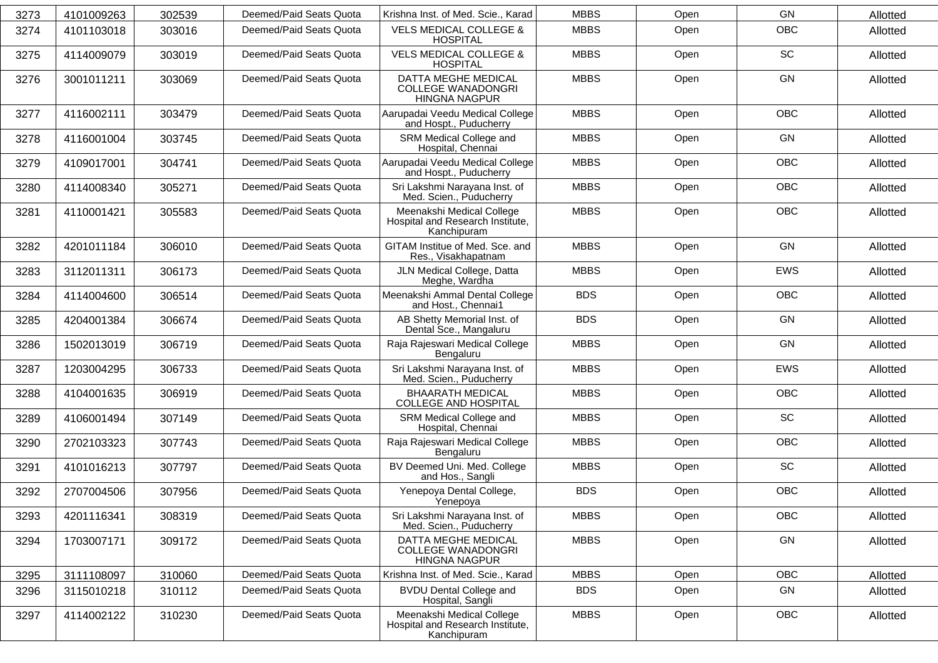| 3273 | 4101009263 | 302539 | Deemed/Paid Seats Quota | Krishna Inst. of Med. Scie., Karad                                           | <b>MBBS</b> | Open | GN         | Allotted |
|------|------------|--------|-------------------------|------------------------------------------------------------------------------|-------------|------|------------|----------|
| 3274 | 4101103018 | 303016 | Deemed/Paid Seats Quota | <b>VELS MEDICAL COLLEGE &amp;</b><br><b>HOSPITAL</b>                         | <b>MBBS</b> | Open | <b>OBC</b> | Allotted |
| 3275 | 4114009079 | 303019 | Deemed/Paid Seats Quota | <b>VELS MEDICAL COLLEGE &amp;</b><br><b>HOSPITAL</b>                         | <b>MBBS</b> | Open | <b>SC</b>  | Allotted |
| 3276 | 3001011211 | 303069 | Deemed/Paid Seats Quota | DATTA MEGHE MEDICAL<br><b>COLLEGE WANADONGRI</b><br><b>HINGNA NAGPUR</b>     | <b>MBBS</b> | Open | <b>GN</b>  | Allotted |
| 3277 | 4116002111 | 303479 | Deemed/Paid Seats Quota | Aarupadai Veedu Medical College<br>and Hospt., Puducherry                    | <b>MBBS</b> | Open | <b>OBC</b> | Allotted |
| 3278 | 4116001004 | 303745 | Deemed/Paid Seats Quota | SRM Medical College and<br>Hospital, Chennai                                 | <b>MBBS</b> | Open | GN         | Allotted |
| 3279 | 4109017001 | 304741 | Deemed/Paid Seats Quota | Aarupadai Veedu Medical College<br>and Hospt., Puducherry                    | <b>MBBS</b> | Open | <b>OBC</b> | Allotted |
| 3280 | 4114008340 | 305271 | Deemed/Paid Seats Quota | Sri Lakshmi Narayana Inst. of<br>Med. Scien., Puducherry                     | <b>MBBS</b> | Open | <b>OBC</b> | Allotted |
| 3281 | 4110001421 | 305583 | Deemed/Paid Seats Quota | Meenakshi Medical College<br>Hospital and Research Institute,<br>Kanchipuram | <b>MBBS</b> | Open | <b>OBC</b> | Allotted |
| 3282 | 4201011184 | 306010 | Deemed/Paid Seats Quota | GITAM Institue of Med. Sce. and<br>Res., Visakhapatnam                       | <b>MBBS</b> | Open | <b>GN</b>  | Allotted |
| 3283 | 3112011311 | 306173 | Deemed/Paid Seats Quota | JLN Medical College, Datta<br>Meghe, Wardha                                  | <b>MBBS</b> | Open | <b>EWS</b> | Allotted |
| 3284 | 4114004600 | 306514 | Deemed/Paid Seats Quota | Meenakshi Ammal Dental College<br>and Host., Chennai1                        | <b>BDS</b>  | Open | <b>OBC</b> | Allotted |
| 3285 | 4204001384 | 306674 | Deemed/Paid Seats Quota | AB Shetty Memorial Inst. of<br>Dental Sce., Mangaluru                        | <b>BDS</b>  | Open | GN         | Allotted |
| 3286 | 1502013019 | 306719 | Deemed/Paid Seats Quota | Raja Rajeswari Medical College<br>Bengaluru                                  | <b>MBBS</b> | Open | GN         | Allotted |
| 3287 | 1203004295 | 306733 | Deemed/Paid Seats Quota | Sri Lakshmi Narayana Inst. of<br>Med. Scien., Puducherry                     | <b>MBBS</b> | Open | <b>EWS</b> | Allotted |
| 3288 | 4104001635 | 306919 | Deemed/Paid Seats Quota | <b>BHAARATH MEDICAL</b><br><b>COLLEGE AND HOSPITAL</b>                       | <b>MBBS</b> | Open | OBC        | Allotted |
| 3289 | 4106001494 | 307149 | Deemed/Paid Seats Quota | SRM Medical College and<br>Hospital, Chennai                                 | <b>MBBS</b> | Open | SC         | Allotted |
| 3290 | 2702103323 | 307743 | Deemed/Paid Seats Quota | Raja Rajeswari Medical College<br>Bengaluru                                  | <b>MBBS</b> | Open | <b>OBC</b> | Allotted |
| 3291 | 4101016213 | 307797 | Deemed/Paid Seats Quota | BV Deemed Uni. Med. College<br>and Hos., Sangli                              | <b>MBBS</b> | Open | SC         | Allotted |
| 3292 | 2707004506 | 307956 | Deemed/Paid Seats Quota | Yenepoya Dental College,<br>Yenepoya                                         | <b>BDS</b>  | Open | <b>OBC</b> | Allotted |
| 3293 | 4201116341 | 308319 | Deemed/Paid Seats Quota | Sri Lakshmi Narayana Inst. of<br>Med. Scien., Puducherry                     | <b>MBBS</b> | Open | OBC        | Allotted |
| 3294 | 1703007171 | 309172 | Deemed/Paid Seats Quota | DATTA MEGHE MEDICAL<br><b>COLLEGE WANADONGRI</b><br>HINGNA NAGPUR            | <b>MBBS</b> | Open | GN         | Allotted |
| 3295 | 3111108097 | 310060 | Deemed/Paid Seats Quota | Krishna Inst. of Med. Scie., Karad                                           | <b>MBBS</b> | Open | <b>OBC</b> | Allotted |
| 3296 | 3115010218 | 310112 | Deemed/Paid Seats Quota | <b>BVDU Dental College and</b><br>Hospital, Sangli                           | <b>BDS</b>  | Open | GN         | Allotted |
| 3297 | 4114002122 | 310230 | Deemed/Paid Seats Quota | Meenakshi Medical College<br>Hospital and Research Institute,<br>Kanchipuram | <b>MBBS</b> | Open | OBC        | Allotted |
|      |            |        |                         |                                                                              |             |      |            |          |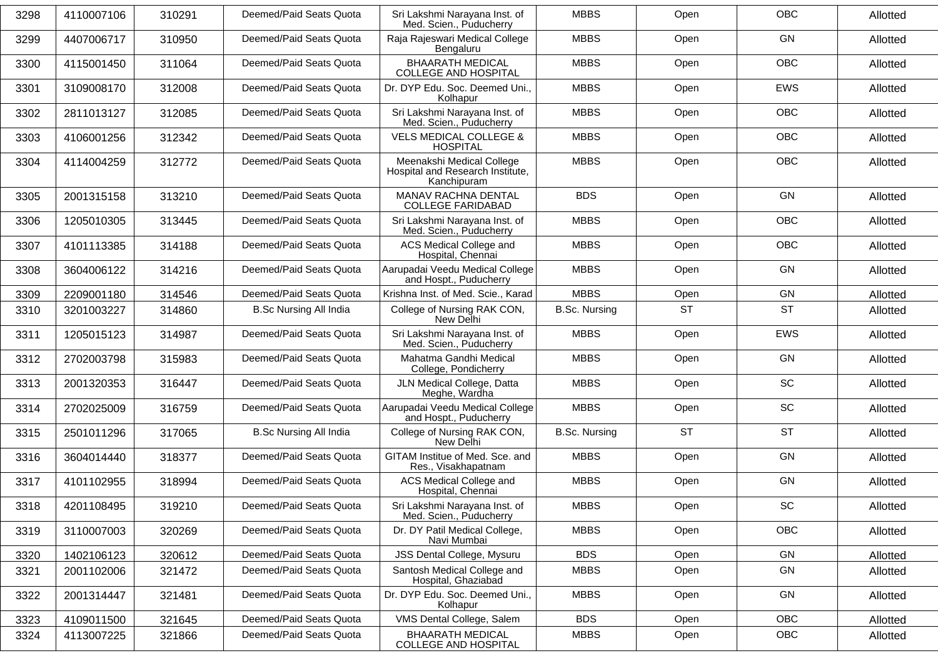| 3298 | 4110007106 | 310291 | Deemed/Paid Seats Quota       | Sri Lakshmi Narayana Inst. of<br>Med. Scien., Puducherry                     | <b>MBBS</b>          | Open      | <b>OBC</b> | Allotted |
|------|------------|--------|-------------------------------|------------------------------------------------------------------------------|----------------------|-----------|------------|----------|
| 3299 | 4407006717 | 310950 | Deemed/Paid Seats Quota       | Raja Rajeswari Medical College<br>Bengaluru                                  | <b>MBBS</b>          | Open      | GN         | Allotted |
| 3300 | 4115001450 | 311064 | Deemed/Paid Seats Quota       | <b>BHAARATH MEDICAL</b><br><b>COLLEGE AND HOSPITAL</b>                       | <b>MBBS</b>          | Open      | <b>OBC</b> | Allotted |
| 3301 | 3109008170 | 312008 | Deemed/Paid Seats Quota       | Dr. DYP Edu. Soc. Deemed Uni.,<br>Kolhapur                                   | <b>MBBS</b>          | Open      | EWS        | Allotted |
| 3302 | 2811013127 | 312085 | Deemed/Paid Seats Quota       | Sri Lakshmi Narayana Inst. of<br>Med. Scien., Puducherry                     | <b>MBBS</b>          | Open      | <b>OBC</b> | Allotted |
| 3303 | 4106001256 | 312342 | Deemed/Paid Seats Quota       | <b>VELS MEDICAL COLLEGE &amp;</b><br><b>HOSPITAL</b>                         | <b>MBBS</b>          | Open      | <b>OBC</b> | Allotted |
| 3304 | 4114004259 | 312772 | Deemed/Paid Seats Quota       | Meenakshi Medical College<br>Hospital and Research Institute,<br>Kanchipuram | <b>MBBS</b>          | Open      | <b>OBC</b> | Allotted |
| 3305 | 2001315158 | 313210 | Deemed/Paid Seats Quota       | MANAV RACHNA DENTAL<br><b>COLLEGE FARIDABAD</b>                              | <b>BDS</b>           | Open      | GN         | Allotted |
| 3306 | 1205010305 | 313445 | Deemed/Paid Seats Quota       | Sri Lakshmi Narayana Inst. of<br>Med. Scien., Puducherry                     | <b>MBBS</b>          | Open      | OBC        | Allotted |
| 3307 | 4101113385 | 314188 | Deemed/Paid Seats Quota       | ACS Medical College and<br>Hospital, Chennai                                 | <b>MBBS</b>          | Open      | OBC        | Allotted |
| 3308 | 3604006122 | 314216 | Deemed/Paid Seats Quota       | Aarupadai Veedu Medical College<br>and Hospt., Puducherry                    | <b>MBBS</b>          | Open      | GN         | Allotted |
| 3309 | 2209001180 | 314546 | Deemed/Paid Seats Quota       | Krishna Inst. of Med. Scie., Karad                                           | <b>MBBS</b>          | Open      | GN         | Allotted |
| 3310 | 3201003227 | 314860 | <b>B.Sc Nursing All India</b> | College of Nursing RAK CON,<br>New Delhi                                     | <b>B.Sc. Nursing</b> | <b>ST</b> | <b>ST</b>  | Allotted |
| 3311 | 1205015123 | 314987 | Deemed/Paid Seats Quota       | Sri Lakshmi Narayana Inst. of<br>Med. Scien., Puducherry                     | <b>MBBS</b>          | Open      | EWS        | Allotted |
| 3312 | 2702003798 | 315983 | Deemed/Paid Seats Quota       | Mahatma Gandhi Medical<br>College, Pondicherry                               | <b>MBBS</b>          | Open      | GN         | Allotted |
| 3313 | 2001320353 | 316447 | Deemed/Paid Seats Quota       | JLN Medical College, Datta<br>Meghe, Wardha                                  | <b>MBBS</b>          | Open      | SC         | Allotted |
| 3314 | 2702025009 | 316759 | Deemed/Paid Seats Quota       | Aarupadai Veedu Medical College<br>and Hospt., Puducherry                    | <b>MBBS</b>          | Open      | SC         | Allotted |
| 3315 | 2501011296 | 317065 | <b>B.Sc Nursing All India</b> | College of Nursing RAK CON,<br>New Delhi                                     | <b>B.Sc. Nursing</b> | <b>ST</b> | <b>ST</b>  | Allotted |
| 3316 | 3604014440 | 318377 | Deemed/Paid Seats Quota       | GITAM Institue of Med. Sce. and<br>Res., Visakhapatnam                       | <b>MBBS</b>          | Open      | GN         | Allotted |
| 3317 | 4101102955 | 318994 | Deemed/Paid Seats Quota       | ACS Medical College and<br>Hospital, Chennai                                 | <b>MBBS</b>          | Open      | GN         | Allotted |
| 3318 | 4201108495 | 319210 | Deemed/Paid Seats Quota       | Sri Lakshmi Narayana Inst. of<br>Med. Scien., Puducherry                     | <b>MBBS</b>          | Open      | SC         | Allotted |
| 3319 | 3110007003 | 320269 | Deemed/Paid Seats Quota       | Dr. DY Patil Medical College,<br>Navi Mumbai                                 | <b>MBBS</b>          | Open      | OBC        | Allotted |
| 3320 | 1402106123 | 320612 | Deemed/Paid Seats Quota       | JSS Dental College, Mysuru                                                   | <b>BDS</b>           | Open      | GN         | Allotted |
| 3321 | 2001102006 | 321472 | Deemed/Paid Seats Quota       | Santosh Medical College and<br>Hospital, Ghaziabad                           | <b>MBBS</b>          | Open      | GN         | Allotted |
| 3322 | 2001314447 | 321481 | Deemed/Paid Seats Quota       | Dr. DYP Edu. Soc. Deemed Uni.,<br>Kolhapur                                   | <b>MBBS</b>          | Open      | GN         | Allotted |
| 3323 | 4109011500 | 321645 | Deemed/Paid Seats Quota       | VMS Dental College, Salem                                                    | <b>BDS</b>           | Open      | OBC        | Allotted |
| 3324 | 4113007225 | 321866 | Deemed/Paid Seats Quota       | <b>BHAARATH MEDICAL</b><br><b>COLLEGE AND HOSPITAL</b>                       | <b>MBBS</b>          | Open      | OBC        | Allotted |
|      |            |        |                               |                                                                              |                      |           |            |          |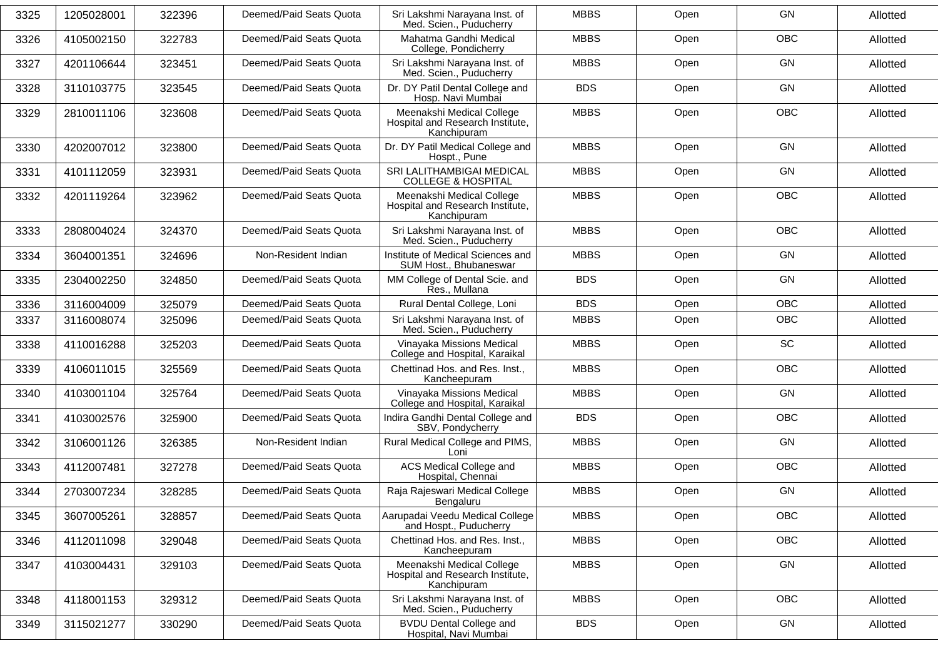| 3325 | 1205028001 | 322396 | Deemed/Paid Seats Quota | Sri Lakshmi Narayana Inst. of<br>Med. Scien., Puducherry                     | <b>MBBS</b> | Open | <b>GN</b>  | Allotted |
|------|------------|--------|-------------------------|------------------------------------------------------------------------------|-------------|------|------------|----------|
| 3326 | 4105002150 | 322783 | Deemed/Paid Seats Quota | Mahatma Gandhi Medical<br>College, Pondicherry                               | <b>MBBS</b> | Open | OBC        | Allotted |
| 3327 | 4201106644 | 323451 | Deemed/Paid Seats Quota | Sri Lakshmi Narayana Inst. of<br>Med. Scien., Puducherry                     | <b>MBBS</b> | Open | GN         | Allotted |
| 3328 | 3110103775 | 323545 | Deemed/Paid Seats Quota | Dr. DY Patil Dental College and<br>Hosp. Navi Mumbai                         | <b>BDS</b>  | Open | GN         | Allotted |
| 3329 | 2810011106 | 323608 | Deemed/Paid Seats Quota | Meenakshi Medical College<br>Hospital and Research Institute,<br>Kanchipuram | <b>MBBS</b> | Open | OBC        | Allotted |
| 3330 | 4202007012 | 323800 | Deemed/Paid Seats Quota | Dr. DY Patil Medical College and<br>Hospt., Pune                             | <b>MBBS</b> | Open | GN         | Allotted |
| 3331 | 4101112059 | 323931 | Deemed/Paid Seats Quota | SRI LALITHAMBIGAI MEDICAL<br><b>COLLEGE &amp; HOSPITAL</b>                   | <b>MBBS</b> | Open | GN         | Allotted |
| 3332 | 4201119264 | 323962 | Deemed/Paid Seats Quota | Meenakshi Medical College<br>Hospital and Research Institute,<br>Kanchipuram | <b>MBBS</b> | Open | OBC        | Allotted |
| 3333 | 2808004024 | 324370 | Deemed/Paid Seats Quota | Sri Lakshmi Narayana Inst. of<br>Med. Scien., Puducherry                     | <b>MBBS</b> | Open | OBC        | Allotted |
| 3334 | 3604001351 | 324696 | Non-Resident Indian     | Institute of Medical Sciences and<br>SUM Host., Bhubaneswar                  | <b>MBBS</b> | Open | GN         | Allotted |
| 3335 | 2304002250 | 324850 | Deemed/Paid Seats Quota | MM College of Dental Scie. and<br>Res., Mullana                              | <b>BDS</b>  | Open | GN         | Allotted |
| 3336 | 3116004009 | 325079 | Deemed/Paid Seats Quota | Rural Dental College, Loni                                                   | <b>BDS</b>  | Open | OBC        | Allotted |
| 3337 | 3116008074 | 325096 | Deemed/Paid Seats Quota | Sri Lakshmi Narayana Inst. of<br>Med. Scien., Puducherry                     | <b>MBBS</b> | Open | OBC        | Allotted |
| 3338 | 4110016288 | 325203 | Deemed/Paid Seats Quota | Vinayaka Missions Medical<br>College and Hospital, Karaikal                  | <b>MBBS</b> | Open | SC         | Allotted |
| 3339 | 4106011015 | 325569 | Deemed/Paid Seats Quota | Chettinad Hos. and Res. Inst.,<br>Kancheepuram                               | <b>MBBS</b> | Open | <b>OBC</b> | Allotted |
| 3340 | 4103001104 | 325764 | Deemed/Paid Seats Quota | Vinayaka Missions Medical<br>College and Hospital, Karaikal                  | <b>MBBS</b> | Open | GN         | Allotted |
| 3341 | 4103002576 | 325900 | Deemed/Paid Seats Quota | Indira Gandhi Dental College and<br>SBV, Pondycherry                         | <b>BDS</b>  | Open | OBC        | Allotted |
| 3342 | 3106001126 | 326385 | Non-Resident Indian     | Rural Medical College and PIMS,<br>Loni                                      | <b>MBBS</b> | Open | GN         | Allotted |
| 3343 | 4112007481 | 327278 | Deemed/Paid Seats Quota | ACS Medical College and<br>Hospital, Chennai                                 | <b>MBBS</b> | Open | OBC        | Allotted |
| 3344 | 2703007234 | 328285 | Deemed/Paid Seats Quota | Raja Rajeswari Medical College<br>Bengaluru                                  | <b>MBBS</b> | Open | GN         | Allotted |
| 3345 | 3607005261 | 328857 | Deemed/Paid Seats Quota | Aarupadai Veedu Medical College<br>and Hospt., Puducherry                    | <b>MBBS</b> | Open | <b>OBC</b> | Allotted |
| 3346 | 4112011098 | 329048 | Deemed/Paid Seats Quota | Chettinad Hos. and Res. Inst.,<br>Kancheepuram                               | <b>MBBS</b> | Open | OBC        | Allotted |
| 3347 | 4103004431 | 329103 | Deemed/Paid Seats Quota | Meenakshi Medical College<br>Hospital and Research Institute,<br>Kanchipuram | <b>MBBS</b> | Open | GN         | Allotted |
| 3348 | 4118001153 | 329312 | Deemed/Paid Seats Quota | Sri Lakshmi Narayana Inst. of<br>Med. Scien., Puducherry                     | <b>MBBS</b> | Open | OBC        | Allotted |
| 3349 | 3115021277 | 330290 | Deemed/Paid Seats Quota | <b>BVDU Dental College and</b><br>Hospital, Navi Mumbai                      | <b>BDS</b>  | Open | GN         | Allotted |
|      |            |        |                         |                                                                              |             |      |            |          |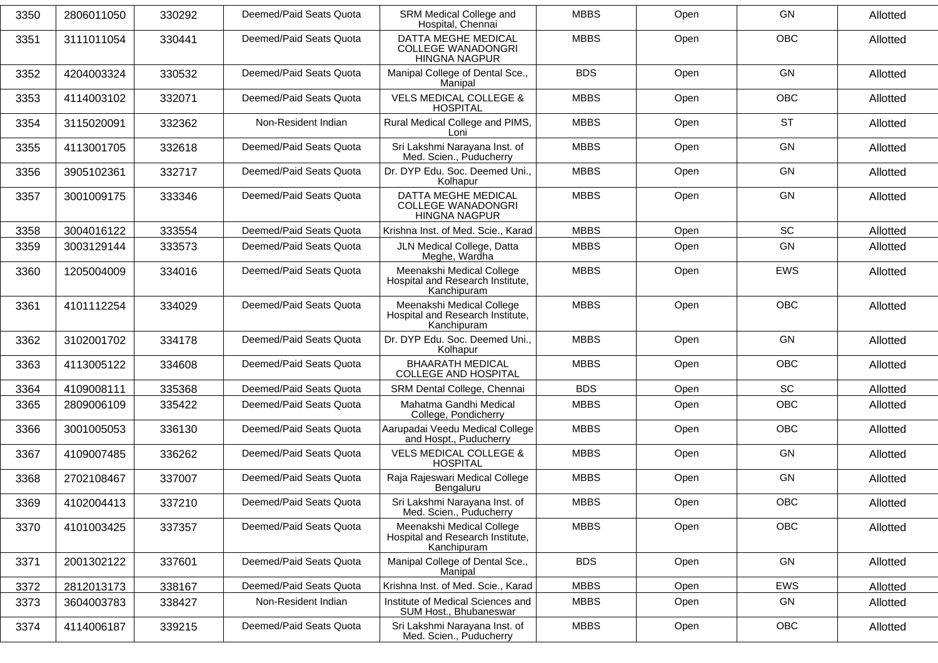| 3350 | 2806011050 | 330292 | Deemed/Paid Seats Quota | SRM Medical College and<br>Hospital, Chennai                                    | <b>MBBS</b> | Open | GN         | Allotted |
|------|------------|--------|-------------------------|---------------------------------------------------------------------------------|-------------|------|------------|----------|
| 3351 | 3111011054 | 330441 | Deemed/Paid Seats Quota | <b>DATTA MEGHE MEDICAL</b><br><b>COLLEGE WANADONGRI</b><br><b>HINGNA NAGPUR</b> | <b>MBBS</b> | Open | <b>OBC</b> | Allotted |
| 3352 | 4204003324 | 330532 | Deemed/Paid Seats Quota | Manipal College of Dental Sce.,<br>Manipal                                      | <b>BDS</b>  | Open | <b>GN</b>  | Allotted |
| 3353 | 4114003102 | 332071 | Deemed/Paid Seats Quota | <b>VELS MEDICAL COLLEGE &amp;</b><br><b>HOSPITAL</b>                            | <b>MBBS</b> | Open | <b>OBC</b> | Allotted |
| 3354 | 3115020091 | 332362 | Non-Resident Indian     | Rural Medical College and PIMS,<br>Loni                                         | <b>MBBS</b> | Open | <b>ST</b>  | Allotted |
| 3355 | 4113001705 | 332618 | Deemed/Paid Seats Quota | Sri Lakshmi Narayana Inst. of<br>Med. Scien., Puducherry                        | <b>MBBS</b> | Open | GN         | Allotted |
| 3356 | 3905102361 | 332717 | Deemed/Paid Seats Quota | Dr. DYP Edu. Soc. Deemed Uni.,<br>Kolhapur                                      | <b>MBBS</b> | Open | GN         | Allotted |
| 3357 | 3001009175 | 333346 | Deemed/Paid Seats Quota | <b>DATTA MEGHE MEDICAL</b><br><b>COLLEGE WANADONGRI</b><br><b>HINGNA NAGPUR</b> | <b>MBBS</b> | Open | GN         | Allotted |
| 3358 | 3004016122 | 333554 | Deemed/Paid Seats Quota | Krishna Inst. of Med. Scie., Karad                                              | <b>MBBS</b> | Open | <b>SC</b>  | Allotted |
| 3359 | 3003129144 | 333573 | Deemed/Paid Seats Quota | JLN Medical College, Datta<br>Meghe, Wardha                                     | <b>MBBS</b> | Open | GN         | Allotted |
| 3360 | 1205004009 | 334016 | Deemed/Paid Seats Quota | Meenakshi Medical College<br>Hospital and Research Institute,<br>Kanchipuram    | <b>MBBS</b> | Open | <b>EWS</b> | Allotted |
| 3361 | 4101112254 | 334029 | Deemed/Paid Seats Quota | Meenakshi Medical College<br>Hospital and Research Institute,<br>Kanchipuram    | <b>MBBS</b> | Open | <b>OBC</b> | Allotted |
| 3362 | 3102001702 | 334178 | Deemed/Paid Seats Quota | Dr. DYP Edu. Soc. Deemed Uni.,<br>Kolhapur                                      | <b>MBBS</b> | Open | <b>GN</b>  | Allotted |
| 3363 | 4113005122 | 334608 | Deemed/Paid Seats Quota | <b>BHAARATH MEDICAL</b><br><b>COLLEGE AND HOSPITAL</b>                          | <b>MBBS</b> | Open | <b>OBC</b> | Allotted |
| 3364 | 4109008111 | 335368 | Deemed/Paid Seats Quota | SRM Dental College, Chennai                                                     | <b>BDS</b>  | Open | SC         | Allotted |
| 3365 | 2809006109 | 335422 | Deemed/Paid Seats Quota | Mahatma Gandhi Medical<br>College, Pondicherry                                  | <b>MBBS</b> | Open | <b>OBC</b> | Allotted |
| 3366 | 3001005053 | 336130 | Deemed/Paid Seats Quota | Aarupadai Veedu Medical College<br>and Hospt., Puducherry                       | <b>MBBS</b> | Open | OBC        | Allotted |
| 3367 | 4109007485 | 336262 | Deemed/Paid Seats Quota | <b>VELS MEDICAL COLLEGE &amp;</b><br><b>HOSPITAL</b>                            | <b>MBBS</b> | Open | <b>GN</b>  | Allotted |
| 3368 | 2702108467 | 337007 | Deemed/Paid Seats Quota | Raja Rajeswari Medical College<br>Bengaluru                                     | <b>MBBS</b> | Open | GN         | Allotted |
| 3369 | 4102004413 | 337210 | Deemed/Paid Seats Quota | Sri Lakshmi Narayana Inst. of<br>Med. Scien., Puducherry                        | <b>MBBS</b> | Open | OBC        | Allotted |
| 3370 | 4101003425 | 337357 | Deemed/Paid Seats Quota | Meenakshi Medical College<br>Hospital and Research Institute,<br>Kanchipuram    | <b>MBBS</b> | Open | <b>OBC</b> | Allotted |
| 3371 | 2001302122 | 337601 | Deemed/Paid Seats Quota | Manipal College of Dental Sce.,<br>Manipal                                      | <b>BDS</b>  | Open | GN         | Allotted |
| 3372 | 2812013173 | 338167 | Deemed/Paid Seats Quota | Krishna Inst. of Med. Scie., Karad                                              | <b>MBBS</b> | Open | EWS        | Allotted |
| 3373 | 3604003783 | 338427 | Non-Resident Indian     | Institute of Medical Sciences and<br>SUM Host., Bhubaneswar                     | <b>MBBS</b> | Open | GN         | Allotted |
| 3374 | 4114006187 | 339215 | Deemed/Paid Seats Quota | Sri Lakshmi Narayana Inst. of<br>Med. Scien., Puducherry                        | <b>MBBS</b> | Open | OBC        | Allotted |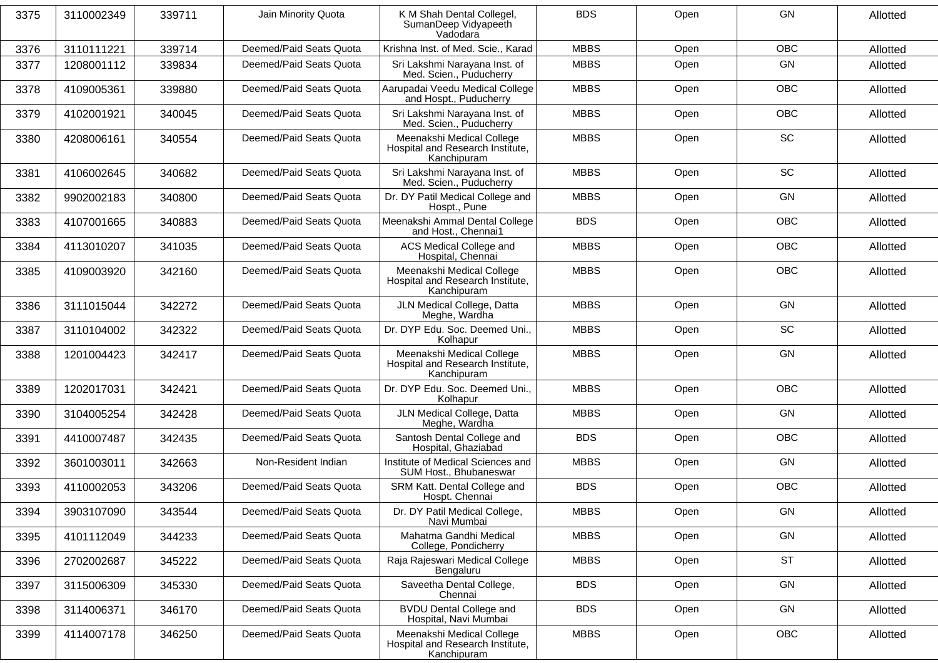| 3375 | 3110002349 | 339711 | Jain Minority Quota     | K M Shah Dental Collegel,<br>SumanDeep Vidyapeeth<br>Vadodara                | <b>BDS</b>  | Open | GN         | Allotted |
|------|------------|--------|-------------------------|------------------------------------------------------------------------------|-------------|------|------------|----------|
| 3376 | 3110111221 | 339714 | Deemed/Paid Seats Quota | Krishna Inst. of Med. Scie., Karad                                           | <b>MBBS</b> | Open | <b>OBC</b> | Allotted |
| 3377 | 1208001112 | 339834 | Deemed/Paid Seats Quota | Sri Lakshmi Narayana Inst. of<br>Med. Scien., Puducherry                     | <b>MBBS</b> | Open | GN         | Allotted |
| 3378 | 4109005361 | 339880 | Deemed/Paid Seats Quota | Aarupadai Veedu Medical College<br>and Hospt., Puducherry                    | <b>MBBS</b> | Open | OBC        | Allotted |
| 3379 | 4102001921 | 340045 | Deemed/Paid Seats Quota | Sri Lakshmi Narayana Inst. of<br>Med. Scien., Puducherry                     | <b>MBBS</b> | Open | <b>OBC</b> | Allotted |
| 3380 | 4208006161 | 340554 | Deemed/Paid Seats Quota | Meenakshi Medical College<br>Hospital and Research Institute,<br>Kanchipuram | <b>MBBS</b> | Open | SC         | Allotted |
| 3381 | 4106002645 | 340682 | Deemed/Paid Seats Quota | Sri Lakshmi Narayana Inst. of<br>Med. Scien., Puducherry                     | <b>MBBS</b> | Open | <b>SC</b>  | Allotted |
| 3382 | 9902002183 | 340800 | Deemed/Paid Seats Quota | Dr. DY Patil Medical College and<br>Hospt., Pune                             | <b>MBBS</b> | Open | GN         | Allotted |
| 3383 | 4107001665 | 340883 | Deemed/Paid Seats Quota | Meenakshi Ammal Dental College<br>and Host., Chennai1                        | <b>BDS</b>  | Open | OBC        | Allotted |
| 3384 | 4113010207 | 341035 | Deemed/Paid Seats Quota | ACS Medical College and<br>Hospital, Chennai                                 | <b>MBBS</b> | Open | <b>OBC</b> | Allotted |
| 3385 | 4109003920 | 342160 | Deemed/Paid Seats Quota | Meenakshi Medical College<br>Hospital and Research Institute,<br>Kanchipuram | <b>MBBS</b> | Open | OBC        | Allotted |
| 3386 | 3111015044 | 342272 | Deemed/Paid Seats Quota | JLN Medical College, Datta<br>Meghe, Wardha                                  | <b>MBBS</b> | Open | <b>GN</b>  | Allotted |
| 3387 | 3110104002 | 342322 | Deemed/Paid Seats Quota | Dr. DYP Edu. Soc. Deemed Uni.,<br>Kolhapur                                   | <b>MBBS</b> | Open | SC         | Allotted |
| 3388 | 1201004423 | 342417 | Deemed/Paid Seats Quota | Meenakshi Medical College<br>Hospital and Research Institute,<br>Kanchipuram | <b>MBBS</b> | Open | <b>GN</b>  | Allotted |
| 3389 | 1202017031 | 342421 | Deemed/Paid Seats Quota | Dr. DYP Edu. Soc. Deemed Uni.,<br>Kolhapur                                   | <b>MBBS</b> | Open | <b>OBC</b> | Allotted |
| 3390 | 3104005254 | 342428 | Deemed/Paid Seats Quota | JLN Medical College, Datta<br>Meghe, Wardha                                  | <b>MBBS</b> | Open | GN         | Allotted |
| 3391 | 4410007487 | 342435 | Deemed/Paid Seats Quota | Santosh Dental College and<br>Hospital, Ghaziabad                            | <b>BDS</b>  | Open | OBC        | Allotted |
| 3392 | 3601003011 | 342663 | Non-Resident Indian     | Institute of Medical Sciences and<br>SUM Host., Bhubaneswar                  | <b>MBBS</b> | Open | <b>GN</b>  | Allotted |
| 3393 | 4110002053 | 343206 | Deemed/Paid Seats Quota | SRM Katt. Dental College and<br>Hospt. Chennai                               | <b>BDS</b>  | Open | <b>OBC</b> | Allotted |
| 3394 | 3903107090 | 343544 | Deemed/Paid Seats Quota | Dr. DY Patil Medical College,<br>Navi Mumbai                                 | <b>MBBS</b> | Open | GN         | Allotted |
| 3395 | 4101112049 | 344233 | Deemed/Paid Seats Quota | Mahatma Gandhi Medical<br>College, Pondicherry                               | <b>MBBS</b> | Open | GN         | Allotted |
| 3396 | 2702002687 | 345222 | Deemed/Paid Seats Quota | Raja Rajeswari Medical College<br>Bengaluru                                  | <b>MBBS</b> | Open | <b>ST</b>  | Allotted |
| 3397 | 3115006309 | 345330 | Deemed/Paid Seats Quota | Saveetha Dental College,<br>Chennai                                          | <b>BDS</b>  | Open | GN         | Allotted |
| 3398 | 3114006371 | 346170 | Deemed/Paid Seats Quota | <b>BVDU Dental College and</b><br>Hospital, Navi Mumbai                      | <b>BDS</b>  | Open | GN         | Allotted |
| 3399 | 4114007178 | 346250 | Deemed/Paid Seats Quota | Meenakshi Medical College<br>Hospital and Research Institute,<br>Kanchipuram | <b>MBBS</b> | Open | <b>OBC</b> | Allotted |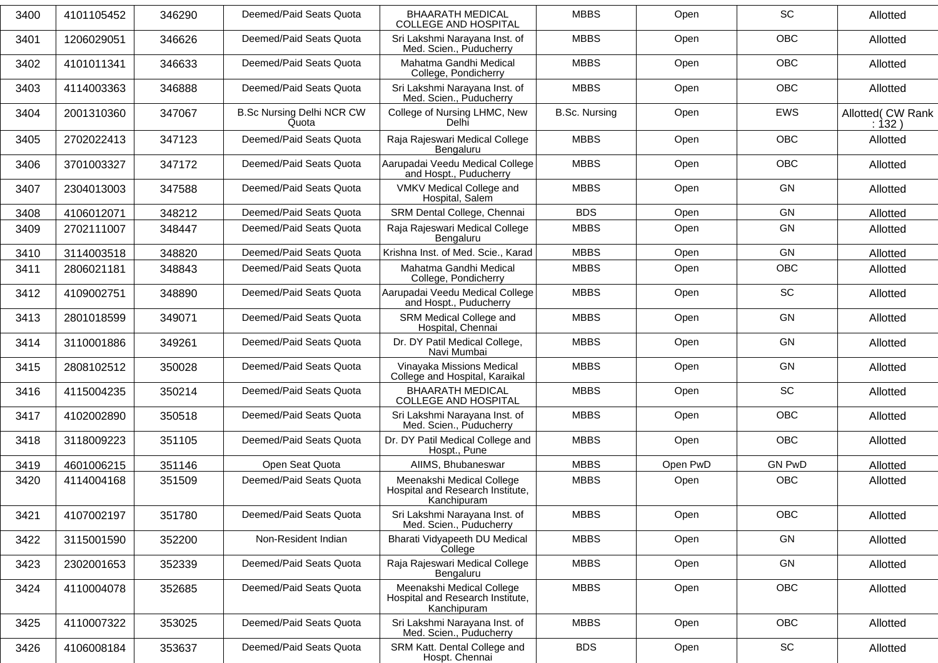| 3400 | 4101105452 | 346290 | Deemed/Paid Seats Quota                   | <b>BHAARATH MEDICAL</b><br><b>COLLEGE AND HOSPITAL</b>                       | <b>MBBS</b>          | Open     | SC                           | Allotted                   |
|------|------------|--------|-------------------------------------------|------------------------------------------------------------------------------|----------------------|----------|------------------------------|----------------------------|
| 3401 | 1206029051 | 346626 | Deemed/Paid Seats Quota                   | Sri Lakshmi Narayana Inst. of<br>Med. Scien., Puducherry                     | <b>MBBS</b>          | Open     | <b>OBC</b>                   | Allotted                   |
| 3402 | 4101011341 | 346633 | Deemed/Paid Seats Quota                   | Mahatma Gandhi Medical<br>College, Pondicherry                               | <b>MBBS</b>          | Open     | <b>OBC</b>                   | Allotted                   |
| 3403 | 4114003363 | 346888 | Deemed/Paid Seats Quota                   | Sri Lakshmi Narayana Inst. of<br>Med. Scien., Puducherry                     | <b>MBBS</b>          | Open     | <b>OBC</b>                   | Allotted                   |
| 3404 | 2001310360 | 347067 | <b>B.Sc Nursing Delhi NCR CW</b><br>Quota | College of Nursing LHMC, New<br>Delhi                                        | <b>B.Sc. Nursing</b> | Open     | <b>EWS</b>                   | Allotted( CW Rank<br>:132) |
| 3405 | 2702022413 | 347123 | Deemed/Paid Seats Quota                   | Raja Rajeswari Medical College<br>Bengaluru                                  | <b>MBBS</b>          | Open     | <b>OBC</b>                   | Allotted                   |
| 3406 | 3701003327 | 347172 | Deemed/Paid Seats Quota                   | Aarupadai Veedu Medical College<br>and Hospt., Puducherry                    | <b>MBBS</b>          | Open     | <b>OBC</b>                   | Allotted                   |
| 3407 | 2304013003 | 347588 | Deemed/Paid Seats Quota                   | VMKV Medical College and<br>Hospital, Salem                                  | <b>MBBS</b>          | Open     | GN                           | Allotted                   |
| 3408 | 4106012071 | 348212 | Deemed/Paid Seats Quota                   | SRM Dental College, Chennai                                                  | <b>BDS</b>           | Open     | GN                           | Allotted                   |
| 3409 | 2702111007 | 348447 | Deemed/Paid Seats Quota                   | Raja Rajeswari Medical College<br>Bengaluru                                  | <b>MBBS</b>          | Open     | GN                           | Allotted                   |
| 3410 | 3114003518 | 348820 | Deemed/Paid Seats Quota                   | Krishna Inst. of Med. Scie., Karad                                           | <b>MBBS</b>          | Open     | GN                           | Allotted                   |
| 3411 | 2806021181 | 348843 | Deemed/Paid Seats Quota                   | Mahatma Gandhi Medical<br>College, Pondicherry                               | <b>MBBS</b>          | Open     | OBC                          | Allotted                   |
| 3412 | 4109002751 | 348890 | Deemed/Paid Seats Quota                   | Aarupadai Veedu Medical College<br>and Hospt., Puducherry                    | <b>MBBS</b>          | Open     | SC                           | Allotted                   |
| 3413 | 2801018599 | 349071 | Deemed/Paid Seats Quota                   | SRM Medical College and<br>Hospital, Chennai                                 | <b>MBBS</b>          | Open     | GN                           | Allotted                   |
| 3414 | 3110001886 | 349261 | Deemed/Paid Seats Quota                   | Dr. DY Patil Medical College,<br>Navi Mumbai                                 | <b>MBBS</b>          | Open     | GN                           | Allotted                   |
| 3415 | 2808102512 | 350028 | Deemed/Paid Seats Quota                   | Vinayaka Missions Medical<br>College and Hospital, Karaikal                  | <b>MBBS</b>          | Open     | <b>GN</b>                    | Allotted                   |
| 3416 | 4115004235 | 350214 | Deemed/Paid Seats Quota                   | <b>BHAARATH MEDICAL</b><br><b>COLLEGE AND HOSPITAL</b>                       | <b>MBBS</b>          | Open     | SC                           | Allotted                   |
| 3417 | 4102002890 | 350518 | Deemed/Paid Seats Quota                   | Sri Lakshmi Narayana Inst. of<br>Med. Scien., Puducherry                     | <b>MBBS</b>          | Open     | OBC                          | Allotted                   |
| 3418 | 3118009223 | 351105 | Deemed/Paid Seats Quota                   | Dr. DY Patil Medical College and<br>Hospt., Pune                             | <b>MBBS</b>          | Open     | <b>OBC</b>                   | Allotted                   |
| 3419 | 4601006215 | 351146 | Open Seat Quota                           | AllMS, Bhubaneswar                                                           | <b>MBBS</b>          | Open PwD | <b>GN PwD</b>                | Allotted                   |
| 3420 | 4114004168 | 351509 | Deemed/Paid Seats Quota                   | Meenakshi Medical College<br>Hospital and Research Institute,<br>Kanchipuram | <b>MBBS</b>          | Open     | <b>OBC</b>                   | Allotted                   |
| 3421 | 4107002197 | 351780 | Deemed/Paid Seats Quota                   | Sri Lakshmi Narayana Inst. of<br>Med. Scien., Puducherry                     | <b>MBBS</b>          | Open     | OBC                          | Allotted                   |
| 3422 | 3115001590 | 352200 | Non-Resident Indian                       | Bharati Vidyapeeth DU Medical<br>College                                     | <b>MBBS</b>          | Open     | GN                           | Allotted                   |
| 3423 | 2302001653 | 352339 | Deemed/Paid Seats Quota                   | Raja Rajeswari Medical College<br>Bengaluru                                  | <b>MBBS</b>          | Open     | GN                           | Allotted                   |
| 3424 | 4110004078 | 352685 | Deemed/Paid Seats Quota                   | Meenakshi Medical College<br>Hospital and Research Institute,<br>Kanchipuram | <b>MBBS</b>          | Open     | OBC                          | Allotted                   |
| 3425 | 4110007322 | 353025 | Deemed/Paid Seats Quota                   | Sri Lakshmi Narayana Inst. of<br>Med. Scien., Puducherry                     | <b>MBBS</b>          | Open     | OBC                          | Allotted                   |
| 3426 | 4106008184 | 353637 | Deemed/Paid Seats Quota                   | SRM Katt. Dental College and<br>Hospt. Chennai                               | <b>BDS</b>           | Open     | $\operatorname{\textsf{SC}}$ | Allotted                   |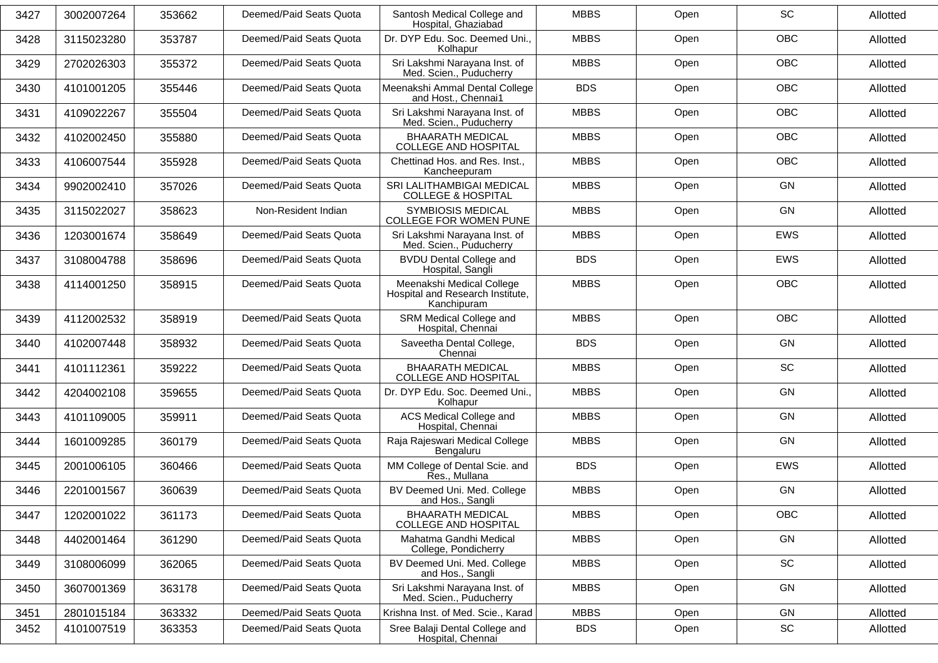| 3427 | 3002007264 | 353662 | Deemed/Paid Seats Quota | Santosh Medical College and<br>Hospital, Ghaziabad                           | <b>MBBS</b> | Open | SC                           | Allotted |
|------|------------|--------|-------------------------|------------------------------------------------------------------------------|-------------|------|------------------------------|----------|
| 3428 | 3115023280 | 353787 | Deemed/Paid Seats Quota | Dr. DYP Edu. Soc. Deemed Uni.,<br>Kolhapur                                   | <b>MBBS</b> | Open | OBC                          | Allotted |
| 3429 | 2702026303 | 355372 | Deemed/Paid Seats Quota | Sri Lakshmi Narayana Inst. of<br>Med. Scien., Puducherry                     | <b>MBBS</b> | Open | <b>OBC</b>                   | Allotted |
| 3430 | 4101001205 | 355446 | Deemed/Paid Seats Quota | Meenakshi Ammal Dental College<br>and Host., Chennai1                        | <b>BDS</b>  | Open | <b>OBC</b>                   | Allotted |
| 3431 | 4109022267 | 355504 | Deemed/Paid Seats Quota | Sri Lakshmi Narayana Inst. of<br>Med. Scien., Puducherry                     | <b>MBBS</b> | Open | OBC                          | Allotted |
| 3432 | 4102002450 | 355880 | Deemed/Paid Seats Quota | <b>BHAARATH MEDICAL</b><br><b>COLLEGE AND HOSPITAL</b>                       | <b>MBBS</b> | Open | OBC                          | Allotted |
| 3433 | 4106007544 | 355928 | Deemed/Paid Seats Quota | Chettinad Hos. and Res. Inst.,<br>Kancheepuram                               | <b>MBBS</b> | Open | <b>OBC</b>                   | Allotted |
| 3434 | 9902002410 | 357026 | Deemed/Paid Seats Quota | SRI LALITHAMBIGAI MEDICAL<br><b>COLLEGE &amp; HOSPITAL</b>                   | <b>MBBS</b> | Open | <b>GN</b>                    | Allotted |
| 3435 | 3115022027 | 358623 | Non-Resident Indian     | <b>SYMBIOSIS MEDICAL</b><br><b>COLLEGE FOR WOMEN PUNE</b>                    | <b>MBBS</b> | Open | <b>GN</b>                    | Allotted |
| 3436 | 1203001674 | 358649 | Deemed/Paid Seats Quota | Sri Lakshmi Narayana Inst. of<br>Med. Scien., Puducherry                     | <b>MBBS</b> | Open | <b>EWS</b>                   | Allotted |
| 3437 | 3108004788 | 358696 | Deemed/Paid Seats Quota | <b>BVDU Dental College and</b><br>Hospital, Sangli                           | <b>BDS</b>  | Open | <b>EWS</b>                   | Allotted |
| 3438 | 4114001250 | 358915 | Deemed/Paid Seats Quota | Meenakshi Medical College<br>Hospital and Research Institute,<br>Kanchipuram | <b>MBBS</b> | Open | <b>OBC</b>                   | Allotted |
| 3439 | 4112002532 | 358919 | Deemed/Paid Seats Quota | SRM Medical College and<br>Hospital, Chennai                                 | <b>MBBS</b> | Open | OBC                          | Allotted |
| 3440 | 4102007448 | 358932 | Deemed/Paid Seats Quota | Saveetha Dental College,<br>Chennai                                          | <b>BDS</b>  | Open | <b>GN</b>                    | Allotted |
| 3441 | 4101112361 | 359222 | Deemed/Paid Seats Quota | <b>BHAARATH MEDICAL</b><br><b>COLLEGE AND HOSPITAL</b>                       | <b>MBBS</b> | Open | SC                           | Allotted |
| 3442 | 4204002108 | 359655 | Deemed/Paid Seats Quota | Dr. DYP Edu. Soc. Deemed Uni.,<br>Kolhapur                                   | <b>MBBS</b> | Open | <b>GN</b>                    | Allotted |
| 3443 | 4101109005 | 359911 | Deemed/Paid Seats Quota | <b>ACS Medical College and</b><br>Hospital, Chennai                          | <b>MBBS</b> | Open | <b>GN</b>                    | Allotted |
| 3444 | 1601009285 | 360179 | Deemed/Paid Seats Quota | Raja Rajeswari Medical College<br>Bengaluru                                  | <b>MBBS</b> | Open | <b>GN</b>                    | Allotted |
| 3445 | 2001006105 | 360466 | Deemed/Paid Seats Quota | MM College of Dental Scie. and<br>Res., Mullana                              | <b>BDS</b>  | Open | <b>EWS</b>                   | Allotted |
| 3446 | 2201001567 | 360639 | Deemed/Paid Seats Quota | BV Deemed Uni. Med. College<br>and Hos., Sangli                              | <b>MBBS</b> | Open | <b>GN</b>                    | Allotted |
| 3447 | 1202001022 | 361173 | Deemed/Paid Seats Quota | <b>BHAARATH MEDICAL</b><br><b>COLLEGE AND HOSPITAL</b>                       | <b>MBBS</b> | Open | OBC                          | Allotted |
| 3448 | 4402001464 | 361290 | Deemed/Paid Seats Quota | Mahatma Gandhi Medical<br>College, Pondicherry                               | <b>MBBS</b> | Open | GN                           | Allotted |
| 3449 | 3108006099 | 362065 | Deemed/Paid Seats Quota | BV Deemed Uni. Med. College<br>and Hos., Sangli                              | <b>MBBS</b> | Open | SC                           | Allotted |
| 3450 | 3607001369 | 363178 | Deemed/Paid Seats Quota | Sri Lakshmi Narayana Inst. of<br>Med. Scien., Puducherry                     | <b>MBBS</b> | Open | GN                           | Allotted |
| 3451 | 2801015184 | 363332 | Deemed/Paid Seats Quota | Krishna Inst. of Med. Scie., Karad                                           | <b>MBBS</b> | Open | GN                           | Allotted |
| 3452 | 4101007519 | 363353 | Deemed/Paid Seats Quota | Sree Balaji Dental College and<br>Hospital, Chennai                          | <b>BDS</b>  | Open | $\operatorname{\textsf{SC}}$ | Allotted |
|      |            |        |                         |                                                                              |             |      |                              |          |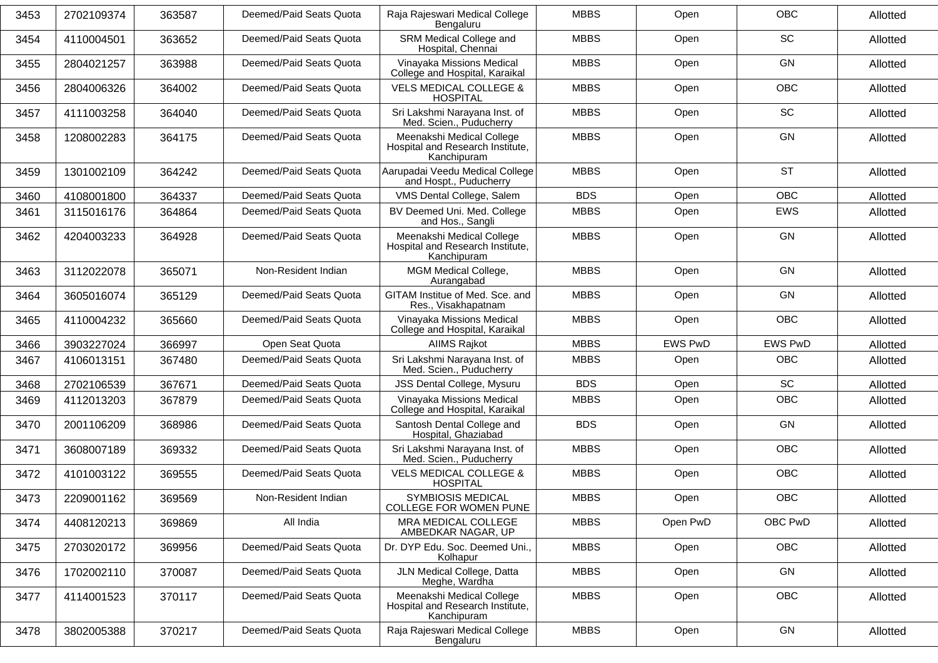| 3453 | 2702109374 | 363587 | Deemed/Paid Seats Quota | Raja Rajeswari Medical College<br>Bengaluru                                  | <b>MBBS</b> | Open           | <b>OBC</b>     | Allotted |
|------|------------|--------|-------------------------|------------------------------------------------------------------------------|-------------|----------------|----------------|----------|
| 3454 | 4110004501 | 363652 | Deemed/Paid Seats Quota | SRM Medical College and<br>Hospital, Chennai                                 | <b>MBBS</b> | Open           | SC             | Allotted |
| 3455 | 2804021257 | 363988 | Deemed/Paid Seats Quota | Vinayaka Missions Medical<br>College and Hospital, Karaikal                  | <b>MBBS</b> | Open           | <b>GN</b>      | Allotted |
| 3456 | 2804006326 | 364002 | Deemed/Paid Seats Quota | <b>VELS MEDICAL COLLEGE &amp;</b><br><b>HOSPITAL</b>                         | <b>MBBS</b> | Open           | <b>OBC</b>     | Allotted |
| 3457 | 4111003258 | 364040 | Deemed/Paid Seats Quota | Sri Lakshmi Narayana Inst. of<br>Med. Scien., Puducherry                     | <b>MBBS</b> | Open           | <b>SC</b>      | Allotted |
| 3458 | 1208002283 | 364175 | Deemed/Paid Seats Quota | Meenakshi Medical College<br>Hospital and Research Institute,<br>Kanchipuram | <b>MBBS</b> | Open           | <b>GN</b>      | Allotted |
| 3459 | 1301002109 | 364242 | Deemed/Paid Seats Quota | Aarupadai Veedu Medical College<br>and Hospt., Puducherry                    | <b>MBBS</b> | Open           | <b>ST</b>      | Allotted |
| 3460 | 4108001800 | 364337 | Deemed/Paid Seats Quota | VMS Dental College, Salem                                                    | <b>BDS</b>  | Open           | <b>OBC</b>     | Allotted |
| 3461 | 3115016176 | 364864 | Deemed/Paid Seats Quota | BV Deemed Uni. Med. College<br>and Hos., Sangli                              | <b>MBBS</b> | Open           | EWS            | Allotted |
| 3462 | 4204003233 | 364928 | Deemed/Paid Seats Quota | Meenakshi Medical College<br>Hospital and Research Institute,<br>Kanchipuram | <b>MBBS</b> | Open           | GN             | Allotted |
| 3463 | 3112022078 | 365071 | Non-Resident Indian     | MGM Medical College,<br>Aurangabad                                           | <b>MBBS</b> | Open           | <b>GN</b>      | Allotted |
| 3464 | 3605016074 | 365129 | Deemed/Paid Seats Quota | GITAM Institue of Med. Sce. and<br>Res., Visakhapatnam                       | <b>MBBS</b> | Open           | <b>GN</b>      | Allotted |
| 3465 | 4110004232 | 365660 | Deemed/Paid Seats Quota | Vinayaka Missions Medical<br>College and Hospital, Karaikal                  | <b>MBBS</b> | Open           | <b>OBC</b>     | Allotted |
| 3466 | 3903227024 | 366997 | Open Seat Quota         | <b>AIIMS Rajkot</b>                                                          | <b>MBBS</b> | <b>EWS PwD</b> | <b>EWS PwD</b> | Allotted |
| 3467 | 4106013151 | 367480 | Deemed/Paid Seats Quota | Sri Lakshmi Narayana Inst. of<br>Med. Scien., Puducherry                     | <b>MBBS</b> | Open           | <b>OBC</b>     | Allotted |
| 3468 | 2702106539 | 367671 | Deemed/Paid Seats Quota | JSS Dental College, Mysuru                                                   | <b>BDS</b>  | Open           | SC             | Allotted |
| 3469 | 4112013203 | 367879 | Deemed/Paid Seats Quota | Vinayaka Missions Medical<br>College and Hospital, Karaikal                  | <b>MBBS</b> | Open           | <b>OBC</b>     | Allotted |
| 3470 | 2001106209 | 368986 | Deemed/Paid Seats Quota | Santosh Dental College and<br>Hospital, Ghaziabad                            | <b>BDS</b>  | Open           | <b>GN</b>      | Allotted |
| 3471 | 3608007189 | 369332 | Deemed/Paid Seats Quota | Sri Lakshmi Narayana Inst. of<br>Med. Scien., Puducherry                     | <b>MBBS</b> | Open           | OBC            | Allotted |
| 3472 | 4101003122 | 369555 | Deemed/Paid Seats Quota | <b>VELS MEDICAL COLLEGE &amp;</b><br><b>HOSPITAL</b>                         | <b>MBBS</b> | Open           | <b>OBC</b>     | Allotted |
| 3473 | 2209001162 | 369569 | Non-Resident Indian     | <b>SYMBIOSIS MEDICAL</b><br>COLLEGE FOR WOMEN PUNE                           | <b>MBBS</b> | Open           | OBC            | Allotted |
| 3474 | 4408120213 | 369869 | All India               | MRA MEDICAL COLLEGE<br>AMBEDKAR NAGAR, UP                                    | <b>MBBS</b> | Open PwD       | OBC PwD        | Allotted |
| 3475 | 2703020172 | 369956 | Deemed/Paid Seats Quota | Dr. DYP Edu. Soc. Deemed Uni.,<br>Kolhapur                                   | <b>MBBS</b> | Open           | <b>OBC</b>     | Allotted |
| 3476 | 1702002110 | 370087 | Deemed/Paid Seats Quota | JLN Medical College, Datta<br>Meghe, Wardha                                  | <b>MBBS</b> | Open           | GN             | Allotted |
| 3477 | 4114001523 | 370117 | Deemed/Paid Seats Quota | Meenakshi Medical College<br>Hospital and Research Institute,<br>Kanchipuram | <b>MBBS</b> | Open           | OBC            | Allotted |
| 3478 | 3802005388 | 370217 | Deemed/Paid Seats Quota | Raja Rajeswari Medical College<br>Bengaluru                                  | <b>MBBS</b> | Open           | GN             | Allotted |
|      |            |        |                         |                                                                              |             |                |                |          |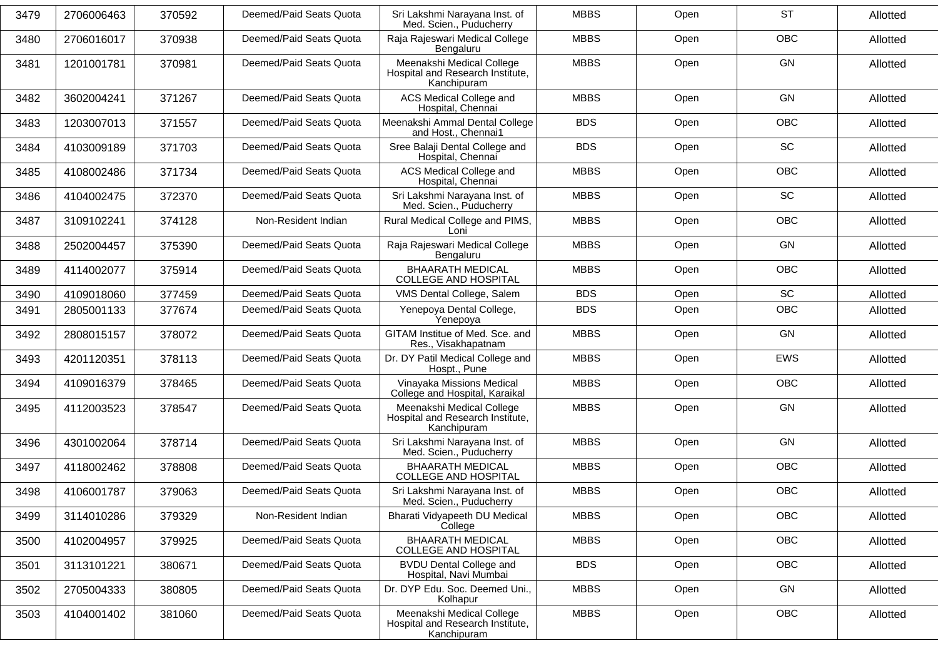| 3479 | 2706006463 | 370592 | Deemed/Paid Seats Quota | Sri Lakshmi Narayana Inst. of<br>Med. Scien., Puducherry                     | <b>MBBS</b> | Open | <b>ST</b>  | Allotted |
|------|------------|--------|-------------------------|------------------------------------------------------------------------------|-------------|------|------------|----------|
| 3480 | 2706016017 | 370938 | Deemed/Paid Seats Quota | Raja Rajeswari Medical College<br>Bengaluru                                  | <b>MBBS</b> | Open | OBC        | Allotted |
| 3481 | 1201001781 | 370981 | Deemed/Paid Seats Quota | Meenakshi Medical College<br>Hospital and Research Institute,<br>Kanchipuram | <b>MBBS</b> | Open | GN         | Allotted |
| 3482 | 3602004241 | 371267 | Deemed/Paid Seats Quota | ACS Medical College and<br>Hospital, Chennai                                 | <b>MBBS</b> | Open | GN         | Allotted |
| 3483 | 1203007013 | 371557 | Deemed/Paid Seats Quota | Meenakshi Ammal Dental College<br>and Host., Chennai1                        | <b>BDS</b>  | Open | <b>OBC</b> | Allotted |
| 3484 | 4103009189 | 371703 | Deemed/Paid Seats Quota | Sree Balaji Dental College and<br>Hospital, Chennai                          | <b>BDS</b>  | Open | SC         | Allotted |
| 3485 | 4108002486 | 371734 | Deemed/Paid Seats Quota | ACS Medical College and<br>Hospital, Chennai                                 | <b>MBBS</b> | Open | <b>OBC</b> | Allotted |
| 3486 | 4104002475 | 372370 | Deemed/Paid Seats Quota | Sri Lakshmi Narayana Inst. of<br>Med. Scien., Puducherry                     | <b>MBBS</b> | Open | SC         | Allotted |
| 3487 | 3109102241 | 374128 | Non-Resident Indian     | Rural Medical College and PIMS,<br>Loni                                      | <b>MBBS</b> | Open | <b>OBC</b> | Allotted |
| 3488 | 2502004457 | 375390 | Deemed/Paid Seats Quota | Raja Rajeswari Medical College<br>Bengaluru                                  | <b>MBBS</b> | Open | GN         | Allotted |
| 3489 | 4114002077 | 375914 | Deemed/Paid Seats Quota | <b>BHAARATH MEDICAL</b><br><b>COLLEGE AND HOSPITAL</b>                       | <b>MBBS</b> | Open | <b>OBC</b> | Allotted |
| 3490 | 4109018060 | 377459 | Deemed/Paid Seats Quota | VMS Dental College, Salem                                                    | <b>BDS</b>  | Open | SC         | Allotted |
| 3491 | 2805001133 | 377674 | Deemed/Paid Seats Quota | Yenepoya Dental College,<br>Yenepoya                                         | <b>BDS</b>  | Open | <b>OBC</b> | Allotted |
| 3492 | 2808015157 | 378072 | Deemed/Paid Seats Quota | GITAM Institue of Med. Sce. and<br>Res., Visakhapatnam                       | <b>MBBS</b> | Open | GN         | Allotted |
| 3493 | 4201120351 | 378113 | Deemed/Paid Seats Quota | Dr. DY Patil Medical College and<br>Hospt., Pune                             | <b>MBBS</b> | Open | EWS        | Allotted |
| 3494 | 4109016379 | 378465 | Deemed/Paid Seats Quota | Vinayaka Missions Medical<br>College and Hospital, Karaikal                  | <b>MBBS</b> | Open | OBC        | Allotted |
| 3495 | 4112003523 | 378547 | Deemed/Paid Seats Quota | Meenakshi Medical College<br>Hospital and Research Institute,<br>Kanchipuram | <b>MBBS</b> | Open | GN         | Allotted |
| 3496 | 4301002064 | 378714 | Deemed/Paid Seats Quota | Sri Lakshmi Narayana Inst. of<br>Med. Scien., Puducherry                     | <b>MBBS</b> | Open | GN         | Allotted |
| 3497 | 4118002462 | 378808 | Deemed/Paid Seats Quota | <b>BHAARATH MEDICAL</b><br><b>COLLEGE AND HOSPITAL</b>                       | <b>MBBS</b> | Open | OBC        | Allotted |
| 3498 | 4106001787 | 379063 | Deemed/Paid Seats Quota | Sri Lakshmi Narayana Inst. of<br>Med. Scien., Puducherry                     | <b>MBBS</b> | Open | <b>OBC</b> | Allotted |
| 3499 | 3114010286 | 379329 | Non-Resident Indian     | Bharati Vidyapeeth DU Medical<br>College                                     | <b>MBBS</b> | Open | OBC        | Allotted |
| 3500 | 4102004957 | 379925 | Deemed/Paid Seats Quota | <b>BHAARATH MEDICAL</b><br><b>COLLEGE AND HOSPITAL</b>                       | <b>MBBS</b> | Open | <b>OBC</b> | Allotted |
| 3501 | 3113101221 | 380671 | Deemed/Paid Seats Quota | <b>BVDU Dental College and</b><br>Hospital, Navi Mumbai                      | <b>BDS</b>  | Open | OBC        | Allotted |
| 3502 | 2705004333 | 380805 | Deemed/Paid Seats Quota | Dr. DYP Edu. Soc. Deemed Uni.,<br>Kolhapur                                   | <b>MBBS</b> | Open | GN         | Allotted |
| 3503 | 4104001402 | 381060 | Deemed/Paid Seats Quota | Meenakshi Medical College<br>Hospital and Research Institute,<br>Kanchipuram | <b>MBBS</b> | Open | OBC        | Allotted |
|      |            |        |                         |                                                                              |             |      |            |          |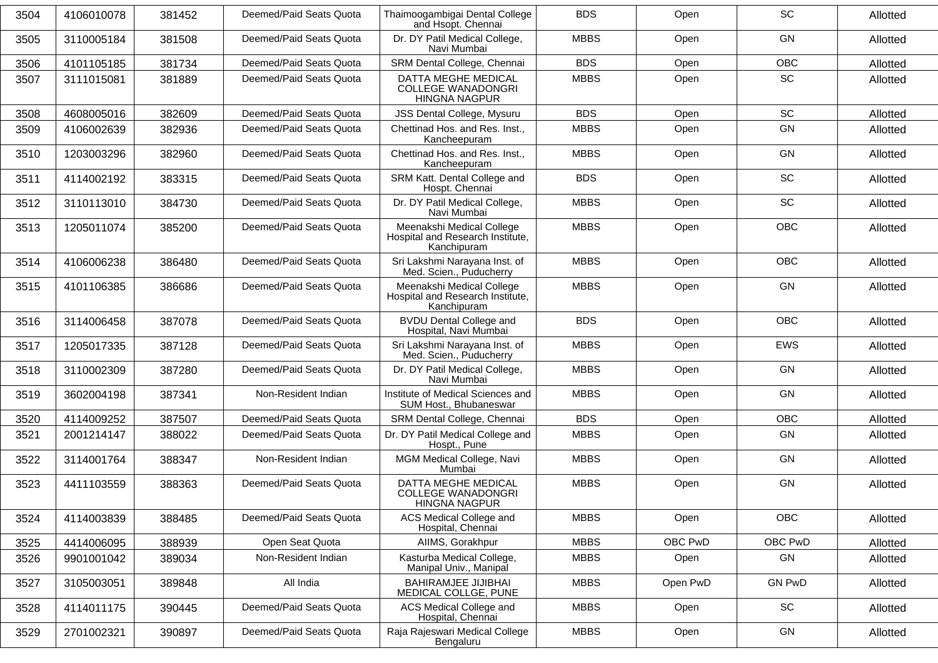| 3504 | 4106010078 | 381452 | Deemed/Paid Seats Quota | Thaimoogambigai Dental College<br>and Hsopt. Chennai                         | <b>BDS</b>  | Open     | SC            | Allotted |
|------|------------|--------|-------------------------|------------------------------------------------------------------------------|-------------|----------|---------------|----------|
| 3505 | 3110005184 | 381508 | Deemed/Paid Seats Quota | Dr. DY Patil Medical College,<br>Navi Mumbai                                 | <b>MBBS</b> | Open     | GN            | Allotted |
| 3506 | 4101105185 | 381734 | Deemed/Paid Seats Quota | SRM Dental College, Chennai                                                  | <b>BDS</b>  | Open     | OBC           | Allotted |
| 3507 | 3111015081 | 381889 | Deemed/Paid Seats Quota | DATTA MEGHE MEDICAL<br><b>COLLEGE WANADONGRI</b><br><b>HINGNA NAGPUR</b>     | <b>MBBS</b> | Open     | SC            | Allotted |
| 3508 | 4608005016 | 382609 | Deemed/Paid Seats Quota | JSS Dental College, Mysuru                                                   | <b>BDS</b>  | Open     | SC            | Allotted |
| 3509 | 4106002639 | 382936 | Deemed/Paid Seats Quota | Chettinad Hos. and Res. Inst.,<br>Kancheepuram                               | <b>MBBS</b> | Open     | GN            | Allotted |
| 3510 | 1203003296 | 382960 | Deemed/Paid Seats Quota | Chettinad Hos. and Res. Inst.,<br>Kancheepuram                               | <b>MBBS</b> | Open     | GN            | Allotted |
| 3511 | 4114002192 | 383315 | Deemed/Paid Seats Quota | SRM Katt. Dental College and<br>Hospt. Chennai                               | <b>BDS</b>  | Open     | SC            | Allotted |
| 3512 | 3110113010 | 384730 | Deemed/Paid Seats Quota | Dr. DY Patil Medical College,<br>Navi Mumbai                                 | <b>MBBS</b> | Open     | SC            | Allotted |
| 3513 | 1205011074 | 385200 | Deemed/Paid Seats Quota | Meenakshi Medical College<br>Hospital and Research Institute,<br>Kanchipuram | <b>MBBS</b> | Open     | OBC           | Allotted |
| 3514 | 4106006238 | 386480 | Deemed/Paid Seats Quota | Sri Lakshmi Narayana Inst. of<br>Med. Scien., Puducherry                     | <b>MBBS</b> | Open     | <b>OBC</b>    | Allotted |
| 3515 | 4101106385 | 386686 | Deemed/Paid Seats Quota | Meenakshi Medical College<br>Hospital and Research Institute,<br>Kanchipuram | <b>MBBS</b> | Open     | GN            | Allotted |
| 3516 | 3114006458 | 387078 | Deemed/Paid Seats Quota | <b>BVDU Dental College and</b><br>Hospital, Navi Mumbai                      | <b>BDS</b>  | Open     | OBC           | Allotted |
| 3517 | 1205017335 | 387128 | Deemed/Paid Seats Quota | Sri Lakshmi Narayana Inst. of<br>Med. Scien., Puducherry                     | <b>MBBS</b> | Open     | <b>EWS</b>    | Allotted |
| 3518 | 3110002309 | 387280 | Deemed/Paid Seats Quota | Dr. DY Patil Medical College,<br>Navi Mumbai                                 | <b>MBBS</b> | Open     | GN            | Allotted |
| 3519 | 3602004198 | 387341 | Non-Resident Indian     | Institute of Medical Sciences and<br>SUM Host., Bhubaneswar                  | <b>MBBS</b> | Open     | GN            | Allotted |
| 3520 | 4114009252 | 387507 | Deemed/Paid Seats Quota | SRM Dental College, Chennai                                                  | <b>BDS</b>  | Open     | OBC           | Allotted |
| 3521 | 2001214147 | 388022 | Deemed/Paid Seats Quota | Dr. DY Patil Medical College and<br>Hospt., Pune                             | <b>MBBS</b> | Open     | GN            | Allotted |
| 3522 | 3114001764 | 388347 | Non-Resident Indian     | MGM Medical College, Navi<br>Mumbai                                          | <b>MBBS</b> | Open     | GN            | Allotted |
| 3523 | 4411103559 | 388363 | Deemed/Paid Seats Quota | DATTA MEGHE MEDICAL<br><b>COLLEGE WANADONGRI</b><br>HINGNA NAGPUR            | <b>MBBS</b> | Open     | GN            | Allotted |
| 3524 | 4114003839 | 388485 | Deemed/Paid Seats Quota | ACS Medical College and<br>Hospital, Chennai                                 | <b>MBBS</b> | Open     | OBC           | Allotted |
| 3525 | 4414006095 | 388939 | Open Seat Quota         | AllMS, Gorakhpur                                                             | <b>MBBS</b> | OBC PwD  | OBC PwD       | Allotted |
| 3526 | 9901001042 | 389034 | Non-Resident Indian     | Kasturba Medical College,<br>Manipal Univ., Manipal                          | <b>MBBS</b> | Open     | GN            | Allotted |
| 3527 | 3105003051 | 389848 | All India               | <b>BAHIRAMJEE JIJIBHAI</b><br>MEDICAL COLLGE, PUNE                           | <b>MBBS</b> | Open PwD | <b>GN PwD</b> | Allotted |
| 3528 | 4114011175 | 390445 | Deemed/Paid Seats Quota | ACS Medical College and<br>Hospital, Chennai                                 | <b>MBBS</b> | Open     | SC            | Allotted |
| 3529 | 2701002321 | 390897 | Deemed/Paid Seats Quota | Raja Rajeswari Medical College<br>Bengaluru                                  | <b>MBBS</b> | Open     | GN            | Allotted |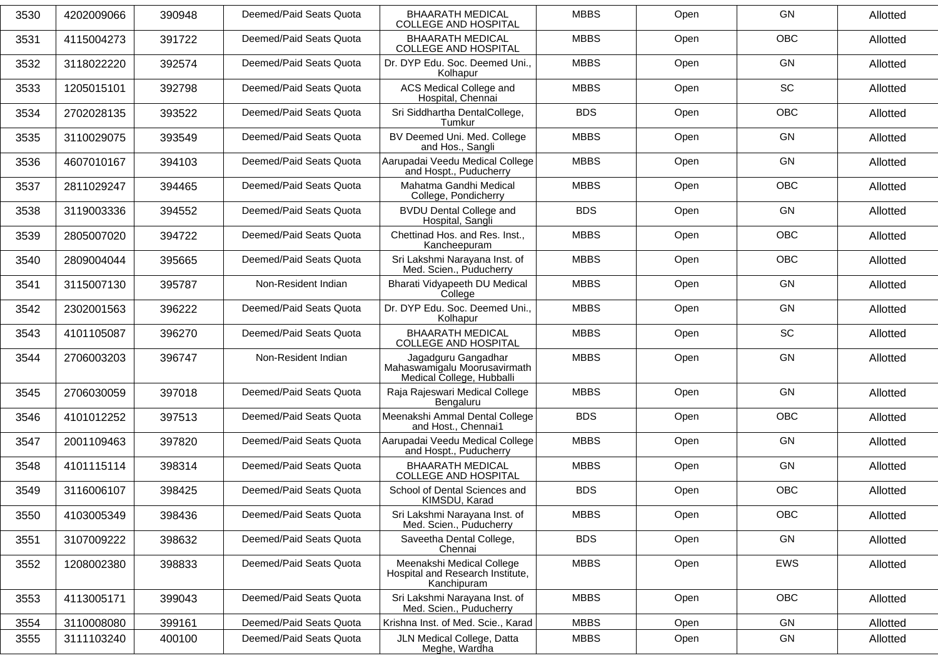| 3530 | 4202009066 | 390948 | Deemed/Paid Seats Quota | <b>BHAARATH MEDICAL</b><br><b>COLLEGE AND HOSPITAL</b>                           | <b>MBBS</b> | Open | GN         | Allotted |
|------|------------|--------|-------------------------|----------------------------------------------------------------------------------|-------------|------|------------|----------|
| 3531 | 4115004273 | 391722 | Deemed/Paid Seats Quota | <b>BHAARATH MEDICAL</b><br><b>COLLEGE AND HOSPITAL</b>                           | <b>MBBS</b> | Open | OBC        | Allotted |
| 3532 | 3118022220 | 392574 | Deemed/Paid Seats Quota | Dr. DYP Edu. Soc. Deemed Uni.,<br>Kolhapur                                       | <b>MBBS</b> | Open | GN         | Allotted |
| 3533 | 1205015101 | 392798 | Deemed/Paid Seats Quota | ACS Medical College and<br>Hospital, Chennai                                     | <b>MBBS</b> | Open | SC         | Allotted |
| 3534 | 2702028135 | 393522 | Deemed/Paid Seats Quota | Sri Siddhartha DentalCollege,<br>Tumkur                                          | <b>BDS</b>  | Open | OBC        | Allotted |
| 3535 | 3110029075 | 393549 | Deemed/Paid Seats Quota | BV Deemed Uni. Med. College<br>and Hos., Sangli                                  | <b>MBBS</b> | Open | GN         | Allotted |
| 3536 | 4607010167 | 394103 | Deemed/Paid Seats Quota | Aarupadai Veedu Medical College<br>and Hospt., Puducherry                        | <b>MBBS</b> | Open | GN         | Allotted |
| 3537 | 2811029247 | 394465 | Deemed/Paid Seats Quota | Mahatma Gandhi Medical<br>College, Pondicherry                                   | <b>MBBS</b> | Open | OBC        | Allotted |
| 3538 | 3119003336 | 394552 | Deemed/Paid Seats Quota | <b>BVDU Dental College and</b><br>Hospital, Sangli                               | <b>BDS</b>  | Open | <b>GN</b>  | Allotted |
| 3539 | 2805007020 | 394722 | Deemed/Paid Seats Quota | Chettinad Hos. and Res. Inst.,<br>Kancheepuram                                   | <b>MBBS</b> | Open | OBC        | Allotted |
| 3540 | 2809004044 | 395665 | Deemed/Paid Seats Quota | Sri Lakshmi Narayana Inst. of<br>Med. Scien., Puducherry                         | <b>MBBS</b> | Open | OBC        | Allotted |
| 3541 | 3115007130 | 395787 | Non-Resident Indian     | Bharati Vidyapeeth DU Medical<br>College                                         | <b>MBBS</b> | Open | <b>GN</b>  | Allotted |
| 3542 | 2302001563 | 396222 | Deemed/Paid Seats Quota | Dr. DYP Edu. Soc. Deemed Uni.,<br>Kolhapur                                       | <b>MBBS</b> | Open | <b>GN</b>  | Allotted |
| 3543 | 4101105087 | 396270 | Deemed/Paid Seats Quota | <b>BHAARATH MEDICAL</b><br><b>COLLEGE AND HOSPITAL</b>                           | <b>MBBS</b> | Open | <b>SC</b>  | Allotted |
| 3544 | 2706003203 | 396747 | Non-Resident Indian     | Jagadguru Gangadhar<br>Mahaswamigalu Moorusavirmath<br>Medical College, Hubballi | <b>MBBS</b> | Open | GN         | Allotted |
| 3545 | 2706030059 | 397018 | Deemed/Paid Seats Quota | Raja Rajeswari Medical College<br>Bengaluru                                      | <b>MBBS</b> | Open | <b>GN</b>  | Allotted |
| 3546 | 4101012252 | 397513 | Deemed/Paid Seats Quota | Meenakshi Ammal Dental College<br>and Host., Chennai1                            | <b>BDS</b>  | Open | <b>OBC</b> | Allotted |
| 3547 | 2001109463 | 397820 | Deemed/Paid Seats Quota | Aarupadai Veedu Medical College<br>and Hospt., Puducherry                        | <b>MBBS</b> | Open | GN         | Allotted |
| 3548 | 4101115114 | 398314 | Deemed/Paid Seats Quota | <b>BHAARATH MEDICAL</b><br><b>COLLEGE AND HOSPITAL</b>                           | <b>MBBS</b> | Open | <b>GN</b>  | Allotted |
| 3549 | 3116006107 | 398425 | Deemed/Paid Seats Quota | School of Dental Sciences and<br>KIMSDU, Karad                                   | <b>BDS</b>  | Open | <b>OBC</b> | Allotted |
| 3550 | 4103005349 | 398436 | Deemed/Paid Seats Quota | Sri Lakshmi Narayana Inst. of<br>Med. Scien., Puducherry                         | <b>MBBS</b> | Open | OBC        | Allotted |
| 3551 | 3107009222 | 398632 | Deemed/Paid Seats Quota | Saveetha Dental College,<br>Chennai                                              | <b>BDS</b>  | Open | GN         | Allotted |
| 3552 | 1208002380 | 398833 | Deemed/Paid Seats Quota | Meenakshi Medical College<br>Hospital and Research Institute,<br>Kanchipuram     | <b>MBBS</b> | Open | EWS        | Allotted |
| 3553 | 4113005171 | 399043 | Deemed/Paid Seats Quota | Sri Lakshmi Narayana Inst. of<br>Med. Scien., Puducherry                         | <b>MBBS</b> | Open | <b>OBC</b> | Allotted |
| 3554 | 3110008080 | 399161 | Deemed/Paid Seats Quota | Krishna Inst. of Med. Scie., Karad                                               | <b>MBBS</b> | Open | GN         | Allotted |
| 3555 | 3111103240 | 400100 | Deemed/Paid Seats Quota | JLN Medical College, Datta<br>Meghe, Wardha                                      | <b>MBBS</b> | Open | GN         | Allotted |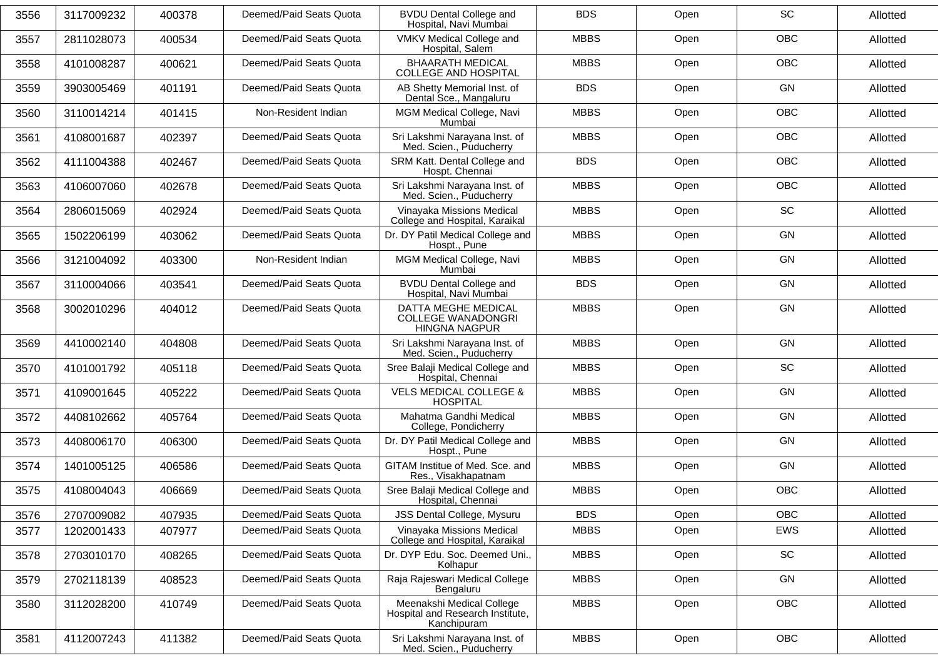| 3556 | 3117009232 | 400378 | Deemed/Paid Seats Quota | <b>BVDU Dental College and</b><br>Hospital, Navi Mumbai                      | <b>BDS</b>  | Open | SC         | Allotted |
|------|------------|--------|-------------------------|------------------------------------------------------------------------------|-------------|------|------------|----------|
| 3557 | 2811028073 | 400534 | Deemed/Paid Seats Quota | VMKV Medical College and<br>Hospital, Salem                                  | <b>MBBS</b> | Open | OBC        | Allotted |
| 3558 | 4101008287 | 400621 | Deemed/Paid Seats Quota | <b>BHAARATH MEDICAL</b><br><b>COLLEGE AND HOSPITAL</b>                       | <b>MBBS</b> | Open | <b>OBC</b> | Allotted |
| 3559 | 3903005469 | 401191 | Deemed/Paid Seats Quota | AB Shetty Memorial Inst. of<br>Dental Sce., Mangaluru                        | <b>BDS</b>  | Open | <b>GN</b>  | Allotted |
| 3560 | 3110014214 | 401415 | Non-Resident Indian     | MGM Medical College, Navi<br>Mumbai                                          | <b>MBBS</b> | Open | <b>OBC</b> | Allotted |
| 3561 | 4108001687 | 402397 | Deemed/Paid Seats Quota | Sri Lakshmi Narayana Inst. of<br>Med. Scien., Puducherry                     | <b>MBBS</b> | Open | <b>OBC</b> | Allotted |
| 3562 | 4111004388 | 402467 | Deemed/Paid Seats Quota | SRM Katt. Dental College and<br>Hospt. Chennai                               | <b>BDS</b>  | Open | <b>OBC</b> | Allotted |
| 3563 | 4106007060 | 402678 | Deemed/Paid Seats Quota | Sri Lakshmi Narayana Inst. of<br>Med. Scien., Puducherry                     | <b>MBBS</b> | Open | OBC        | Allotted |
| 3564 | 2806015069 | 402924 | Deemed/Paid Seats Quota | Vinayaka Missions Medical<br>College and Hospital, Karaikal                  | <b>MBBS</b> | Open | <b>SC</b>  | Allotted |
| 3565 | 1502206199 | 403062 | Deemed/Paid Seats Quota | Dr. DY Patil Medical College and<br>Hospt., Pune                             | <b>MBBS</b> | Open | GN         | Allotted |
| 3566 | 3121004092 | 403300 | Non-Resident Indian     | MGM Medical College, Navi<br>Mumbai                                          | <b>MBBS</b> | Open | <b>GN</b>  | Allotted |
| 3567 | 3110004066 | 403541 | Deemed/Paid Seats Quota | <b>BVDU Dental College and</b><br>Hospital, Navi Mumbai                      | <b>BDS</b>  | Open | <b>GN</b>  | Allotted |
| 3568 | 3002010296 | 404012 | Deemed/Paid Seats Quota | DATTA MEGHE MEDICAL<br><b>COLLEGE WANADONGRI</b><br><b>HINGNA NAGPUR</b>     | <b>MBBS</b> | Open | <b>GN</b>  | Allotted |
| 3569 | 4410002140 | 404808 | Deemed/Paid Seats Quota | Sri Lakshmi Narayana Inst. of<br>Med. Scien., Puducherry                     | <b>MBBS</b> | Open | GN         | Allotted |
| 3570 | 4101001792 | 405118 | Deemed/Paid Seats Quota | Sree Balaji Medical College and<br>Hospital, Chennai                         | <b>MBBS</b> | Open | <b>SC</b>  | Allotted |
| 3571 | 4109001645 | 405222 | Deemed/Paid Seats Quota | <b>VELS MEDICAL COLLEGE &amp;</b><br><b>HOSPITAL</b>                         | <b>MBBS</b> | Open | <b>GN</b>  | Allotted |
| 3572 | 4408102662 | 405764 | Deemed/Paid Seats Quota | Mahatma Gandhi Medical<br>College, Pondicherry                               | <b>MBBS</b> | Open | <b>GN</b>  | Allotted |
| 3573 | 4408006170 | 406300 | Deemed/Paid Seats Quota | Dr. DY Patil Medical College and<br>Hospt., Pune                             | <b>MBBS</b> | Open | <b>GN</b>  | Allotted |
| 3574 | 1401005125 | 406586 | Deemed/Paid Seats Quota | GITAM Institue of Med. Sce. and<br>Res., Visakhapatnam                       | <b>MBBS</b> | Open | <b>GN</b>  | Allotted |
| 3575 | 4108004043 | 406669 | Deemed/Paid Seats Quota | Sree Balaji Medical College and<br>Hospital, Chennai                         | <b>MBBS</b> | Open | OBC        | Allotted |
| 3576 | 2707009082 | 407935 | Deemed/Paid Seats Quota | JSS Dental College, Mysuru                                                   | <b>BDS</b>  | Open | <b>OBC</b> | Allotted |
| 3577 | 1202001433 | 407977 | Deemed/Paid Seats Quota | Vinayaka Missions Medical<br>College and Hospital, Karaikal                  | <b>MBBS</b> | Open | EWS        | Allotted |
| 3578 | 2703010170 | 408265 | Deemed/Paid Seats Quota | Dr. DYP Edu. Soc. Deemed Uni.,<br>Kolhapur                                   | <b>MBBS</b> | Open | SC         | Allotted |
| 3579 | 2702118139 | 408523 | Deemed/Paid Seats Quota | Raja Rajeswari Medical College<br>Bengaluru                                  | <b>MBBS</b> | Open | GN         | Allotted |
| 3580 | 3112028200 | 410749 | Deemed/Paid Seats Quota | Meenakshi Medical College<br>Hospital and Research Institute,<br>Kanchipuram | <b>MBBS</b> | Open | <b>OBC</b> | Allotted |
| 3581 | 4112007243 | 411382 | Deemed/Paid Seats Quota | Sri Lakshmi Narayana Inst. of<br>Med. Scien., Puducherry                     | <b>MBBS</b> | Open | OBC        | Allotted |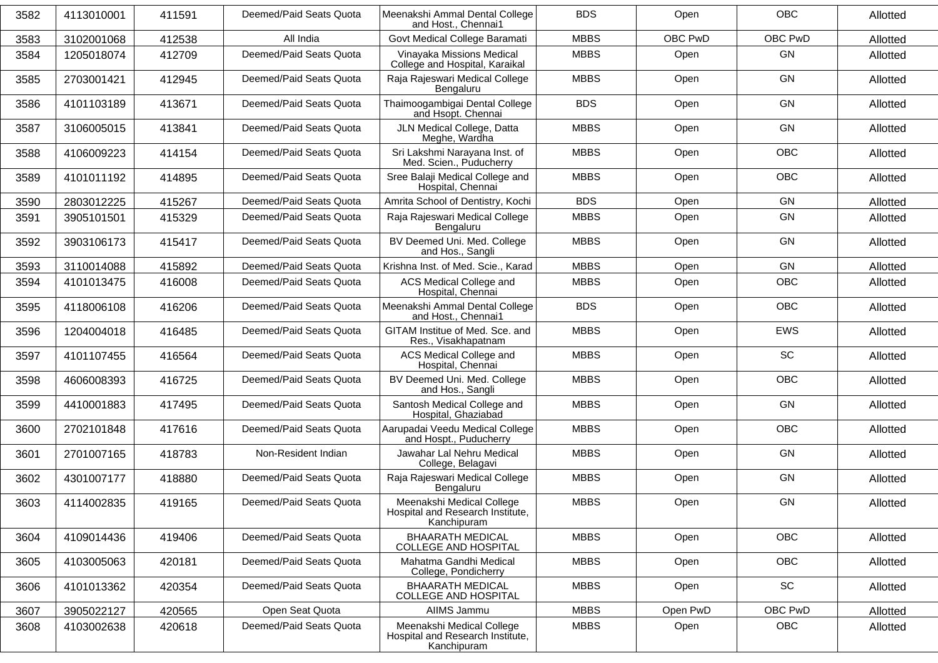| <b>BDS</b><br><b>OBC</b><br>3582<br>4113010001<br>411591<br>Deemed/Paid Seats Quota<br>Meenakshi Ammal Dental College<br>Open<br>and Host., Chennai1<br>All India<br>Govt Medical College Baramati<br><b>MBBS</b><br>OBC PwD<br>3102001068<br>3583<br>412538<br>Deemed/Paid Seats Quota<br>Vinayaka Missions Medical<br><b>MBBS</b><br><b>GN</b><br>3584<br>1205018074<br>412709<br>Open<br>College and Hospital, Karaikal<br>GN<br>Raja Rajeswari Medical College<br><b>MBBS</b><br>Deemed/Paid Seats Quota<br>Open<br>2703001421<br>412945<br>3585<br>Bengaluru<br>Thaimoogambigai Dental College<br><b>BDS</b><br><b>GN</b><br>Deemed/Paid Seats Quota<br>3586<br>4101103189<br>413671<br>Open<br>and Hsopt. Chennai<br>JLN Medical College, Datta<br><b>GN</b><br>3587<br>3106005015<br>413841<br>Deemed/Paid Seats Quota<br><b>MBBS</b><br>Open<br>Meghe, Wardha<br>Sri Lakshmi Narayana Inst. of<br>OBC<br>Deemed/Paid Seats Quota<br><b>MBBS</b><br>Open<br>4106009223<br>414154<br>3588<br>Med. Scien., Puducherry<br><b>OBC</b><br>Sree Balaji Medical College and<br><b>MBBS</b><br>Deemed/Paid Seats Quota<br>Open<br>3589<br>4101011192<br>414895<br>Hospital, Chennai<br>Amrita School of Dentistry, Kochi<br><b>BDS</b><br><b>GN</b><br>3590<br>2803012225<br>415267<br>Deemed/Paid Seats Quota<br>Open<br>Raja Rajeswari Medical College<br><b>MBBS</b><br><b>GN</b><br>Deemed/Paid Seats Quota<br>Open<br>3591<br>415329<br>3905101501<br>Bengaluru<br>BV Deemed Uni. Med. College<br><b>MBBS</b><br><b>GN</b><br>3592<br>3903106173<br>415417<br>Deemed/Paid Seats Quota<br>Open<br>and Hos., Sangli<br>GN<br>Deemed/Paid Seats Quota<br>Krishna Inst. of Med. Scie., Karad<br><b>MBBS</b><br>Open<br>3593<br>3110014088<br>415892<br>ACS Medical College and<br><b>OBC</b><br>3594<br>4101013475<br>416008<br>Deemed/Paid Seats Quota<br><b>MBBS</b><br>Open<br>Hospital, Chennai<br><b>OBC</b><br>Meenakshi Ammal Dental College<br><b>BDS</b><br>Deemed/Paid Seats Quota<br>Open<br>4118006108<br>3595<br>416206<br>and Host., Chennai1<br>GITAM Institue of Med. Sce. and<br><b>MBBS</b><br><b>EWS</b><br>Deemed/Paid Seats Quota<br>3596<br>Open<br>1204004018<br>416485<br>Res., Visakhapatnam<br><b>SC</b><br>ACS Medical College and<br>Deemed/Paid Seats Quota<br><b>MBBS</b><br>4101107455<br>416564<br>Open<br>3597<br>Hospital, Chennai<br>BV Deemed Uni. Med. College<br><b>MBBS</b><br><b>OBC</b><br>3598<br>4606008393<br>416725<br>Deemed/Paid Seats Quota<br>Open<br>and Hos., Sangli<br>Santosh Medical College and<br><b>MBBS</b><br><b>GN</b><br>Deemed/Paid Seats Quota<br>Open<br>3599<br>4410001883<br>417495<br>Hospital, Ghaziabad<br>Aarupadai Veedu Medical College<br><b>MBBS</b><br><b>OBC</b><br>Deemed/Paid Seats Quota<br>Open<br>3600<br>2702101848<br>417616<br>and Hospt., Puducherry<br>Jawahar Lal Nehru Medical<br><b>GN</b><br>2701007165<br>Non-Resident Indian<br><b>MBBS</b><br>Open<br>3601<br>418783<br>College, Belagavi<br>Raja Rajeswari Medical College<br><b>MBBS</b><br><b>GN</b><br>Deemed/Paid Seats Quota<br>Open<br>3602<br>4301007177<br>418880<br>Bengaluru<br><b>MBBS</b><br>GN<br>4114002835<br>Deemed/Paid Seats Quota<br>Meenakshi Medical College<br>3603<br>419165<br>Open<br>Hospital and Research Institute,<br>Kanchipuram<br><b>OBC</b><br><b>BHAARATH MEDICAL</b><br><b>MBBS</b><br>3604<br>4109014436<br>419406<br>Deemed/Paid Seats Quota<br>Open<br><b>COLLEGE AND HOSPITAL</b><br>Mahatma Gandhi Medical<br>Deemed/Paid Seats Quota<br><b>MBBS</b><br><b>OBC</b><br>Open<br>3605<br>4103005063<br>420181<br>College, Pondicherry<br>SC<br><b>BHAARATH MEDICAL</b><br>Deemed/Paid Seats Quota<br><b>MBBS</b><br>Open<br>3606<br>4101013362<br>420354<br><b>COLLEGE AND HOSPITAL</b> |      |                      |                 |             |             |          |         |          |
|----------------------------------------------------------------------------------------------------------------------------------------------------------------------------------------------------------------------------------------------------------------------------------------------------------------------------------------------------------------------------------------------------------------------------------------------------------------------------------------------------------------------------------------------------------------------------------------------------------------------------------------------------------------------------------------------------------------------------------------------------------------------------------------------------------------------------------------------------------------------------------------------------------------------------------------------------------------------------------------------------------------------------------------------------------------------------------------------------------------------------------------------------------------------------------------------------------------------------------------------------------------------------------------------------------------------------------------------------------------------------------------------------------------------------------------------------------------------------------------------------------------------------------------------------------------------------------------------------------------------------------------------------------------------------------------------------------------------------------------------------------------------------------------------------------------------------------------------------------------------------------------------------------------------------------------------------------------------------------------------------------------------------------------------------------------------------------------------------------------------------------------------------------------------------------------------------------------------------------------------------------------------------------------------------------------------------------------------------------------------------------------------------------------------------------------------------------------------------------------------------------------------------------------------------------------------------------------------------------------------------------------------------------------------------------------------------------------------------------------------------------------------------------------------------------------------------------------------------------------------------------------------------------------------------------------------------------------------------------------------------------------------------------------------------------------------------------------------------------------------------------------------------------------------------------------------------------------------------------------------------------------------------------------------------------------------------------------------------------------------------------------------------------------------------------------------------------------------------------------------------------------------------------------------------------------------------------------------------------------------------------------------------------------------------------------------------------------------------------------------------------------------------|------|----------------------|-----------------|-------------|-------------|----------|---------|----------|
|                                                                                                                                                                                                                                                                                                                                                                                                                                                                                                                                                                                                                                                                                                                                                                                                                                                                                                                                                                                                                                                                                                                                                                                                                                                                                                                                                                                                                                                                                                                                                                                                                                                                                                                                                                                                                                                                                                                                                                                                                                                                                                                                                                                                                                                                                                                                                                                                                                                                                                                                                                                                                                                                                                                                                                                                                                                                                                                                                                                                                                                                                                                                                                                                                                                                                                                                                                                                                                                                                                                                                                                                                                                                                                                                                                            |      |                      |                 |             |             |          |         | Allotted |
|                                                                                                                                                                                                                                                                                                                                                                                                                                                                                                                                                                                                                                                                                                                                                                                                                                                                                                                                                                                                                                                                                                                                                                                                                                                                                                                                                                                                                                                                                                                                                                                                                                                                                                                                                                                                                                                                                                                                                                                                                                                                                                                                                                                                                                                                                                                                                                                                                                                                                                                                                                                                                                                                                                                                                                                                                                                                                                                                                                                                                                                                                                                                                                                                                                                                                                                                                                                                                                                                                                                                                                                                                                                                                                                                                                            |      |                      |                 |             |             |          | OBC PwD | Allotted |
|                                                                                                                                                                                                                                                                                                                                                                                                                                                                                                                                                                                                                                                                                                                                                                                                                                                                                                                                                                                                                                                                                                                                                                                                                                                                                                                                                                                                                                                                                                                                                                                                                                                                                                                                                                                                                                                                                                                                                                                                                                                                                                                                                                                                                                                                                                                                                                                                                                                                                                                                                                                                                                                                                                                                                                                                                                                                                                                                                                                                                                                                                                                                                                                                                                                                                                                                                                                                                                                                                                                                                                                                                                                                                                                                                                            |      |                      |                 |             |             |          |         | Allotted |
|                                                                                                                                                                                                                                                                                                                                                                                                                                                                                                                                                                                                                                                                                                                                                                                                                                                                                                                                                                                                                                                                                                                                                                                                                                                                                                                                                                                                                                                                                                                                                                                                                                                                                                                                                                                                                                                                                                                                                                                                                                                                                                                                                                                                                                                                                                                                                                                                                                                                                                                                                                                                                                                                                                                                                                                                                                                                                                                                                                                                                                                                                                                                                                                                                                                                                                                                                                                                                                                                                                                                                                                                                                                                                                                                                                            |      |                      |                 |             |             |          |         | Allotted |
|                                                                                                                                                                                                                                                                                                                                                                                                                                                                                                                                                                                                                                                                                                                                                                                                                                                                                                                                                                                                                                                                                                                                                                                                                                                                                                                                                                                                                                                                                                                                                                                                                                                                                                                                                                                                                                                                                                                                                                                                                                                                                                                                                                                                                                                                                                                                                                                                                                                                                                                                                                                                                                                                                                                                                                                                                                                                                                                                                                                                                                                                                                                                                                                                                                                                                                                                                                                                                                                                                                                                                                                                                                                                                                                                                                            |      |                      |                 |             |             |          |         | Allotted |
|                                                                                                                                                                                                                                                                                                                                                                                                                                                                                                                                                                                                                                                                                                                                                                                                                                                                                                                                                                                                                                                                                                                                                                                                                                                                                                                                                                                                                                                                                                                                                                                                                                                                                                                                                                                                                                                                                                                                                                                                                                                                                                                                                                                                                                                                                                                                                                                                                                                                                                                                                                                                                                                                                                                                                                                                                                                                                                                                                                                                                                                                                                                                                                                                                                                                                                                                                                                                                                                                                                                                                                                                                                                                                                                                                                            |      |                      |                 |             |             |          |         | Allotted |
|                                                                                                                                                                                                                                                                                                                                                                                                                                                                                                                                                                                                                                                                                                                                                                                                                                                                                                                                                                                                                                                                                                                                                                                                                                                                                                                                                                                                                                                                                                                                                                                                                                                                                                                                                                                                                                                                                                                                                                                                                                                                                                                                                                                                                                                                                                                                                                                                                                                                                                                                                                                                                                                                                                                                                                                                                                                                                                                                                                                                                                                                                                                                                                                                                                                                                                                                                                                                                                                                                                                                                                                                                                                                                                                                                                            |      |                      |                 |             |             |          |         | Allotted |
|                                                                                                                                                                                                                                                                                                                                                                                                                                                                                                                                                                                                                                                                                                                                                                                                                                                                                                                                                                                                                                                                                                                                                                                                                                                                                                                                                                                                                                                                                                                                                                                                                                                                                                                                                                                                                                                                                                                                                                                                                                                                                                                                                                                                                                                                                                                                                                                                                                                                                                                                                                                                                                                                                                                                                                                                                                                                                                                                                                                                                                                                                                                                                                                                                                                                                                                                                                                                                                                                                                                                                                                                                                                                                                                                                                            |      |                      |                 |             |             |          |         | Allotted |
|                                                                                                                                                                                                                                                                                                                                                                                                                                                                                                                                                                                                                                                                                                                                                                                                                                                                                                                                                                                                                                                                                                                                                                                                                                                                                                                                                                                                                                                                                                                                                                                                                                                                                                                                                                                                                                                                                                                                                                                                                                                                                                                                                                                                                                                                                                                                                                                                                                                                                                                                                                                                                                                                                                                                                                                                                                                                                                                                                                                                                                                                                                                                                                                                                                                                                                                                                                                                                                                                                                                                                                                                                                                                                                                                                                            |      |                      |                 |             |             |          |         | Allotted |
|                                                                                                                                                                                                                                                                                                                                                                                                                                                                                                                                                                                                                                                                                                                                                                                                                                                                                                                                                                                                                                                                                                                                                                                                                                                                                                                                                                                                                                                                                                                                                                                                                                                                                                                                                                                                                                                                                                                                                                                                                                                                                                                                                                                                                                                                                                                                                                                                                                                                                                                                                                                                                                                                                                                                                                                                                                                                                                                                                                                                                                                                                                                                                                                                                                                                                                                                                                                                                                                                                                                                                                                                                                                                                                                                                                            |      |                      |                 |             |             |          |         | Allotted |
|                                                                                                                                                                                                                                                                                                                                                                                                                                                                                                                                                                                                                                                                                                                                                                                                                                                                                                                                                                                                                                                                                                                                                                                                                                                                                                                                                                                                                                                                                                                                                                                                                                                                                                                                                                                                                                                                                                                                                                                                                                                                                                                                                                                                                                                                                                                                                                                                                                                                                                                                                                                                                                                                                                                                                                                                                                                                                                                                                                                                                                                                                                                                                                                                                                                                                                                                                                                                                                                                                                                                                                                                                                                                                                                                                                            |      |                      |                 |             |             |          |         | Allotted |
|                                                                                                                                                                                                                                                                                                                                                                                                                                                                                                                                                                                                                                                                                                                                                                                                                                                                                                                                                                                                                                                                                                                                                                                                                                                                                                                                                                                                                                                                                                                                                                                                                                                                                                                                                                                                                                                                                                                                                                                                                                                                                                                                                                                                                                                                                                                                                                                                                                                                                                                                                                                                                                                                                                                                                                                                                                                                                                                                                                                                                                                                                                                                                                                                                                                                                                                                                                                                                                                                                                                                                                                                                                                                                                                                                                            |      |                      |                 |             |             |          |         | Allotted |
|                                                                                                                                                                                                                                                                                                                                                                                                                                                                                                                                                                                                                                                                                                                                                                                                                                                                                                                                                                                                                                                                                                                                                                                                                                                                                                                                                                                                                                                                                                                                                                                                                                                                                                                                                                                                                                                                                                                                                                                                                                                                                                                                                                                                                                                                                                                                                                                                                                                                                                                                                                                                                                                                                                                                                                                                                                                                                                                                                                                                                                                                                                                                                                                                                                                                                                                                                                                                                                                                                                                                                                                                                                                                                                                                                                            |      |                      |                 |             |             |          |         | Allotted |
|                                                                                                                                                                                                                                                                                                                                                                                                                                                                                                                                                                                                                                                                                                                                                                                                                                                                                                                                                                                                                                                                                                                                                                                                                                                                                                                                                                                                                                                                                                                                                                                                                                                                                                                                                                                                                                                                                                                                                                                                                                                                                                                                                                                                                                                                                                                                                                                                                                                                                                                                                                                                                                                                                                                                                                                                                                                                                                                                                                                                                                                                                                                                                                                                                                                                                                                                                                                                                                                                                                                                                                                                                                                                                                                                                                            |      |                      |                 |             |             |          |         | Allotted |
|                                                                                                                                                                                                                                                                                                                                                                                                                                                                                                                                                                                                                                                                                                                                                                                                                                                                                                                                                                                                                                                                                                                                                                                                                                                                                                                                                                                                                                                                                                                                                                                                                                                                                                                                                                                                                                                                                                                                                                                                                                                                                                                                                                                                                                                                                                                                                                                                                                                                                                                                                                                                                                                                                                                                                                                                                                                                                                                                                                                                                                                                                                                                                                                                                                                                                                                                                                                                                                                                                                                                                                                                                                                                                                                                                                            |      |                      |                 |             |             |          |         | Allotted |
|                                                                                                                                                                                                                                                                                                                                                                                                                                                                                                                                                                                                                                                                                                                                                                                                                                                                                                                                                                                                                                                                                                                                                                                                                                                                                                                                                                                                                                                                                                                                                                                                                                                                                                                                                                                                                                                                                                                                                                                                                                                                                                                                                                                                                                                                                                                                                                                                                                                                                                                                                                                                                                                                                                                                                                                                                                                                                                                                                                                                                                                                                                                                                                                                                                                                                                                                                                                                                                                                                                                                                                                                                                                                                                                                                                            |      |                      |                 |             |             |          |         | Allotted |
|                                                                                                                                                                                                                                                                                                                                                                                                                                                                                                                                                                                                                                                                                                                                                                                                                                                                                                                                                                                                                                                                                                                                                                                                                                                                                                                                                                                                                                                                                                                                                                                                                                                                                                                                                                                                                                                                                                                                                                                                                                                                                                                                                                                                                                                                                                                                                                                                                                                                                                                                                                                                                                                                                                                                                                                                                                                                                                                                                                                                                                                                                                                                                                                                                                                                                                                                                                                                                                                                                                                                                                                                                                                                                                                                                                            |      |                      |                 |             |             |          |         | Allotted |
|                                                                                                                                                                                                                                                                                                                                                                                                                                                                                                                                                                                                                                                                                                                                                                                                                                                                                                                                                                                                                                                                                                                                                                                                                                                                                                                                                                                                                                                                                                                                                                                                                                                                                                                                                                                                                                                                                                                                                                                                                                                                                                                                                                                                                                                                                                                                                                                                                                                                                                                                                                                                                                                                                                                                                                                                                                                                                                                                                                                                                                                                                                                                                                                                                                                                                                                                                                                                                                                                                                                                                                                                                                                                                                                                                                            |      |                      |                 |             |             |          |         | Allotted |
|                                                                                                                                                                                                                                                                                                                                                                                                                                                                                                                                                                                                                                                                                                                                                                                                                                                                                                                                                                                                                                                                                                                                                                                                                                                                                                                                                                                                                                                                                                                                                                                                                                                                                                                                                                                                                                                                                                                                                                                                                                                                                                                                                                                                                                                                                                                                                                                                                                                                                                                                                                                                                                                                                                                                                                                                                                                                                                                                                                                                                                                                                                                                                                                                                                                                                                                                                                                                                                                                                                                                                                                                                                                                                                                                                                            |      |                      |                 |             |             |          |         | Allotted |
|                                                                                                                                                                                                                                                                                                                                                                                                                                                                                                                                                                                                                                                                                                                                                                                                                                                                                                                                                                                                                                                                                                                                                                                                                                                                                                                                                                                                                                                                                                                                                                                                                                                                                                                                                                                                                                                                                                                                                                                                                                                                                                                                                                                                                                                                                                                                                                                                                                                                                                                                                                                                                                                                                                                                                                                                                                                                                                                                                                                                                                                                                                                                                                                                                                                                                                                                                                                                                                                                                                                                                                                                                                                                                                                                                                            |      |                      |                 |             |             |          |         | Allotted |
|                                                                                                                                                                                                                                                                                                                                                                                                                                                                                                                                                                                                                                                                                                                                                                                                                                                                                                                                                                                                                                                                                                                                                                                                                                                                                                                                                                                                                                                                                                                                                                                                                                                                                                                                                                                                                                                                                                                                                                                                                                                                                                                                                                                                                                                                                                                                                                                                                                                                                                                                                                                                                                                                                                                                                                                                                                                                                                                                                                                                                                                                                                                                                                                                                                                                                                                                                                                                                                                                                                                                                                                                                                                                                                                                                                            |      |                      |                 |             |             |          |         | Allotted |
|                                                                                                                                                                                                                                                                                                                                                                                                                                                                                                                                                                                                                                                                                                                                                                                                                                                                                                                                                                                                                                                                                                                                                                                                                                                                                                                                                                                                                                                                                                                                                                                                                                                                                                                                                                                                                                                                                                                                                                                                                                                                                                                                                                                                                                                                                                                                                                                                                                                                                                                                                                                                                                                                                                                                                                                                                                                                                                                                                                                                                                                                                                                                                                                                                                                                                                                                                                                                                                                                                                                                                                                                                                                                                                                                                                            |      |                      |                 |             |             |          |         | Allotted |
|                                                                                                                                                                                                                                                                                                                                                                                                                                                                                                                                                                                                                                                                                                                                                                                                                                                                                                                                                                                                                                                                                                                                                                                                                                                                                                                                                                                                                                                                                                                                                                                                                                                                                                                                                                                                                                                                                                                                                                                                                                                                                                                                                                                                                                                                                                                                                                                                                                                                                                                                                                                                                                                                                                                                                                                                                                                                                                                                                                                                                                                                                                                                                                                                                                                                                                                                                                                                                                                                                                                                                                                                                                                                                                                                                                            |      |                      |                 |             |             |          |         | Allotted |
|                                                                                                                                                                                                                                                                                                                                                                                                                                                                                                                                                                                                                                                                                                                                                                                                                                                                                                                                                                                                                                                                                                                                                                                                                                                                                                                                                                                                                                                                                                                                                                                                                                                                                                                                                                                                                                                                                                                                                                                                                                                                                                                                                                                                                                                                                                                                                                                                                                                                                                                                                                                                                                                                                                                                                                                                                                                                                                                                                                                                                                                                                                                                                                                                                                                                                                                                                                                                                                                                                                                                                                                                                                                                                                                                                                            |      |                      |                 |             |             |          |         | Allotted |
|                                                                                                                                                                                                                                                                                                                                                                                                                                                                                                                                                                                                                                                                                                                                                                                                                                                                                                                                                                                                                                                                                                                                                                                                                                                                                                                                                                                                                                                                                                                                                                                                                                                                                                                                                                                                                                                                                                                                                                                                                                                                                                                                                                                                                                                                                                                                                                                                                                                                                                                                                                                                                                                                                                                                                                                                                                                                                                                                                                                                                                                                                                                                                                                                                                                                                                                                                                                                                                                                                                                                                                                                                                                                                                                                                                            |      |                      |                 |             |             |          |         | Allotted |
|                                                                                                                                                                                                                                                                                                                                                                                                                                                                                                                                                                                                                                                                                                                                                                                                                                                                                                                                                                                                                                                                                                                                                                                                                                                                                                                                                                                                                                                                                                                                                                                                                                                                                                                                                                                                                                                                                                                                                                                                                                                                                                                                                                                                                                                                                                                                                                                                                                                                                                                                                                                                                                                                                                                                                                                                                                                                                                                                                                                                                                                                                                                                                                                                                                                                                                                                                                                                                                                                                                                                                                                                                                                                                                                                                                            | 3607 | 3905022127<br>420565 | Open Seat Quota | AIIMS Jammu | <b>MBBS</b> | Open PwD | OBC PwD | Allotted |
| OBC<br>Deemed/Paid Seats Quota<br>Meenakshi Medical College<br><b>MBBS</b><br>420618<br>Open<br>3608<br>4103002638<br>Hospital and Research Institute,<br>Kanchipuram                                                                                                                                                                                                                                                                                                                                                                                                                                                                                                                                                                                                                                                                                                                                                                                                                                                                                                                                                                                                                                                                                                                                                                                                                                                                                                                                                                                                                                                                                                                                                                                                                                                                                                                                                                                                                                                                                                                                                                                                                                                                                                                                                                                                                                                                                                                                                                                                                                                                                                                                                                                                                                                                                                                                                                                                                                                                                                                                                                                                                                                                                                                                                                                                                                                                                                                                                                                                                                                                                                                                                                                                      |      |                      |                 |             |             |          |         | Allotted |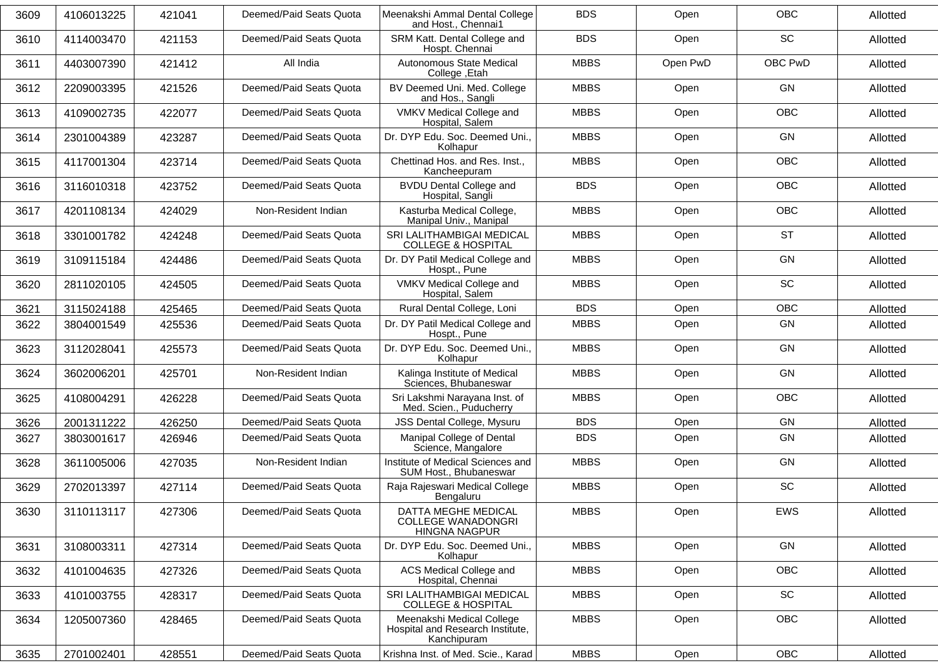| 3609 | 4106013225 | 421041 | Deemed/Paid Seats Quota | Meenakshi Ammal Dental College<br>and Host., Chennai1                        | <b>BDS</b>  | Open     | <b>OBC</b> | Allotted |
|------|------------|--------|-------------------------|------------------------------------------------------------------------------|-------------|----------|------------|----------|
| 3610 | 4114003470 | 421153 | Deemed/Paid Seats Quota | SRM Katt. Dental College and<br>Hospt. Chennai                               | <b>BDS</b>  | Open     | <b>SC</b>  | Allotted |
| 3611 | 4403007390 | 421412 | All India               | Autonomous State Medical<br>College, Etah                                    | <b>MBBS</b> | Open PwD | OBC PwD    | Allotted |
| 3612 | 2209003395 | 421526 | Deemed/Paid Seats Quota | BV Deemed Uni. Med. College<br>and Hos., Sangli                              | <b>MBBS</b> | Open     | GN         | Allotted |
| 3613 | 4109002735 | 422077 | Deemed/Paid Seats Quota | VMKV Medical College and<br>Hospital, Salem                                  | <b>MBBS</b> | Open     | <b>OBC</b> | Allotted |
| 3614 | 2301004389 | 423287 | Deemed/Paid Seats Quota | Dr. DYP Edu. Soc. Deemed Uni.,<br>Kolhapur                                   | <b>MBBS</b> | Open     | GN         | Allotted |
| 3615 | 4117001304 | 423714 | Deemed/Paid Seats Quota | Chettinad Hos. and Res. Inst.,<br>Kancheepuram                               | <b>MBBS</b> | Open     | OBC        | Allotted |
| 3616 | 3116010318 | 423752 | Deemed/Paid Seats Quota | <b>BVDU Dental College and</b><br>Hospital, Sangli                           | <b>BDS</b>  | Open     | <b>OBC</b> | Allotted |
| 3617 | 4201108134 | 424029 | Non-Resident Indian     | Kasturba Medical College,<br>Manipal Univ., Manipal                          | <b>MBBS</b> | Open     | <b>OBC</b> | Allotted |
| 3618 | 3301001782 | 424248 | Deemed/Paid Seats Quota | SRI LALITHAMBIGAI MEDICAL<br><b>COLLEGE &amp; HOSPITAL</b>                   | <b>MBBS</b> | Open     | <b>ST</b>  | Allotted |
| 3619 | 3109115184 | 424486 | Deemed/Paid Seats Quota | Dr. DY Patil Medical College and<br>Hospt., Pune                             | <b>MBBS</b> | Open     | GN         | Allotted |
| 3620 | 2811020105 | 424505 | Deemed/Paid Seats Quota | VMKV Medical College and<br>Hospital, Salem                                  | <b>MBBS</b> | Open     | SC         | Allotted |
| 3621 | 3115024188 | 425465 | Deemed/Paid Seats Quota | Rural Dental College, Loni                                                   | <b>BDS</b>  | Open     | OBC        | Allotted |
| 3622 | 3804001549 | 425536 | Deemed/Paid Seats Quota | Dr. DY Patil Medical College and<br>Hospt., Pune                             | <b>MBBS</b> | Open     | GN         | Allotted |
| 3623 | 3112028041 | 425573 | Deemed/Paid Seats Quota | Dr. DYP Edu. Soc. Deemed Uni.,<br>Kolhapur                                   | <b>MBBS</b> | Open     | GN         | Allotted |
| 3624 | 3602006201 | 425701 | Non-Resident Indian     | Kalinga Institute of Medical<br>Sciences, Bhubaneswar                        | <b>MBBS</b> | Open     | GN         | Allotted |
| 3625 | 4108004291 | 426228 | Deemed/Paid Seats Quota | Sri Lakshmi Narayana Inst. of<br>Med. Scien., Puducherry                     | <b>MBBS</b> | Open     | <b>OBC</b> | Allotted |
| 3626 | 2001311222 | 426250 | Deemed/Paid Seats Quota | JSS Dental College, Mysuru                                                   | <b>BDS</b>  | Open     | GN         | Allotted |
| 3627 | 3803001617 | 426946 | Deemed/Paid Seats Quota | Manipal College of Dental<br>Science, Mangalore                              | <b>BDS</b>  | Open     | GN         | Allotted |
| 3628 | 3611005006 | 427035 | Non-Resident Indian     | Institute of Medical Sciences and<br>SUM Host., Bhubaneswar                  | <b>MBBS</b> | Open     | GN         | Allotted |
| 3629 | 2702013397 | 427114 | Deemed/Paid Seats Quota | Raja Rajeswari Medical College<br>Bengaluru                                  | <b>MBBS</b> | Open     | SC         | Allotted |
| 3630 | 3110113117 | 427306 | Deemed/Paid Seats Quota | DATTA MEGHE MEDICAL<br><b>COLLEGE WANADONGRI</b><br><b>HINGNA NAGPUR</b>     | <b>MBBS</b> | Open     | EWS        | Allotted |
| 3631 | 3108003311 | 427314 | Deemed/Paid Seats Quota | Dr. DYP Edu. Soc. Deemed Uni.,<br>Kolhapur                                   | <b>MBBS</b> | Open     | GN         | Allotted |
| 3632 | 4101004635 | 427326 | Deemed/Paid Seats Quota | ACS Medical College and<br>Hospital, Chennai                                 | <b>MBBS</b> | Open     | OBC        | Allotted |
| 3633 | 4101003755 | 428317 | Deemed/Paid Seats Quota | SRI LALITHAMBIGAI MEDICAL<br><b>COLLEGE &amp; HOSPITAL</b>                   | <b>MBBS</b> | Open     | SC         | Allotted |
| 3634 | 1205007360 | 428465 | Deemed/Paid Seats Quota | Meenakshi Medical College<br>Hospital and Research Institute,<br>Kanchipuram | <b>MBBS</b> | Open     | OBC        | Allotted |
| 3635 | 2701002401 | 428551 | Deemed/Paid Seats Quota | Krishna Inst. of Med. Scie., Karad                                           | <b>MBBS</b> | Open     | OBC        | Allotted |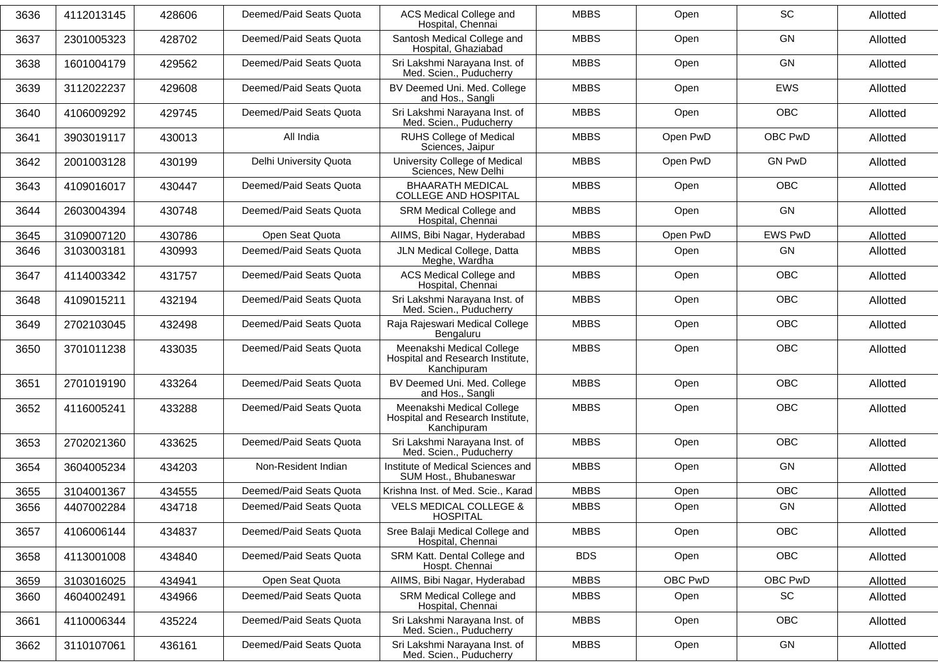| 3636 | 4112013145 | 428606 | Deemed/Paid Seats Quota | ACS Medical College and<br>Hospital, Chennai                                 | <b>MBBS</b> | Open     | <b>SC</b>      | Allotted |
|------|------------|--------|-------------------------|------------------------------------------------------------------------------|-------------|----------|----------------|----------|
| 3637 | 2301005323 | 428702 | Deemed/Paid Seats Quota | Santosh Medical College and<br>Hospital, Ghaziabad                           | <b>MBBS</b> | Open     | <b>GN</b>      | Allotted |
| 3638 | 1601004179 | 429562 | Deemed/Paid Seats Quota | Sri Lakshmi Narayana Inst. of<br>Med. Scien., Puducherry                     | <b>MBBS</b> | Open     | GN             | Allotted |
| 3639 | 3112022237 | 429608 | Deemed/Paid Seats Quota | BV Deemed Uni. Med. College<br>and Hos., Sangli                              | <b>MBBS</b> | Open     | <b>EWS</b>     | Allotted |
| 3640 | 4106009292 | 429745 | Deemed/Paid Seats Quota | Sri Lakshmi Narayana Inst. of<br>Med. Scien., Puducherry                     | <b>MBBS</b> | Open     | <b>OBC</b>     | Allotted |
| 3641 | 3903019117 | 430013 | All India               | <b>RUHS College of Medical</b><br>Sciences, Jaipur                           | <b>MBBS</b> | Open PwD | OBC PwD        | Allotted |
| 3642 | 2001003128 | 430199 | Delhi University Quota  | University College of Medical<br>Sciences, New Delhi                         | <b>MBBS</b> | Open PwD | <b>GN PwD</b>  | Allotted |
| 3643 | 4109016017 | 430447 | Deemed/Paid Seats Quota | <b>BHAARATH MEDICAL</b><br><b>COLLEGE AND HOSPITAL</b>                       | <b>MBBS</b> | Open     | <b>OBC</b>     | Allotted |
| 3644 | 2603004394 | 430748 | Deemed/Paid Seats Quota | SRM Medical College and<br>Hospital, Chennai                                 | <b>MBBS</b> | Open     | GN             | Allotted |
| 3645 | 3109007120 | 430786 | Open Seat Quota         | AIIMS, Bibi Nagar, Hyderabad                                                 | <b>MBBS</b> | Open PwD | <b>EWS PwD</b> | Allotted |
| 3646 | 3103003181 | 430993 | Deemed/Paid Seats Quota | JLN Medical College, Datta<br>Meghe, Wardha                                  | <b>MBBS</b> | Open     | GN             | Allotted |
| 3647 | 4114003342 | 431757 | Deemed/Paid Seats Quota | <b>ACS Medical College and</b><br>Hospital, Chennai                          | <b>MBBS</b> | Open     | <b>OBC</b>     | Allotted |
| 3648 | 4109015211 | 432194 | Deemed/Paid Seats Quota | Sri Lakshmi Narayana Inst. of<br>Med. Scien., Puducherry                     | <b>MBBS</b> | Open     | <b>OBC</b>     | Allotted |
| 3649 | 2702103045 | 432498 | Deemed/Paid Seats Quota | Raja Rajeswari Medical College<br>Bengaluru                                  | <b>MBBS</b> | Open     | <b>OBC</b>     | Allotted |
| 3650 | 3701011238 | 433035 | Deemed/Paid Seats Quota | Meenakshi Medical College<br>Hospital and Research Institute,<br>Kanchipuram | <b>MBBS</b> | Open     | <b>OBC</b>     | Allotted |
| 3651 | 2701019190 | 433264 | Deemed/Paid Seats Quota | BV Deemed Uni. Med. College<br>and Hos., Sangli                              | <b>MBBS</b> | Open     | <b>OBC</b>     | Allotted |
| 3652 | 4116005241 | 433288 | Deemed/Paid Seats Quota | Meenakshi Medical College<br>Hospital and Research Institute,<br>Kanchipuram | <b>MBBS</b> | Open     | <b>OBC</b>     | Allotted |
| 3653 | 2702021360 | 433625 | Deemed/Paid Seats Quota | Sri Lakshmi Narayana Inst. of<br>Med. Scien., Puducherry                     | <b>MBBS</b> | Open     | <b>OBC</b>     | Allotted |
| 3654 | 3604005234 | 434203 | Non-Resident Indian     | Institute of Medical Sciences and<br>SUM Host., Bhubaneswar                  | <b>MBBS</b> | Open     | GN             | Allotted |
| 3655 | 3104001367 | 434555 | Deemed/Paid Seats Quota | Krishna Inst. of Med. Scie., Karad                                           | <b>MBBS</b> | Open     | <b>OBC</b>     | Allotted |
| 3656 | 4407002284 | 434718 | Deemed/Paid Seats Quota | <b>VELS MEDICAL COLLEGE &amp;</b><br><b>HOSPITAL</b>                         | <b>MBBS</b> | Open     | GN             | Allotted |
| 3657 | 4106006144 | 434837 | Deemed/Paid Seats Quota | Sree Balaji Medical College and<br>Hospital, Chennai                         | <b>MBBS</b> | Open     | OBC            | Allotted |
| 3658 | 4113001008 | 434840 | Deemed/Paid Seats Quota | SRM Katt. Dental College and<br>Hospt. Chennai                               | <b>BDS</b>  | Open     | OBC            | Allotted |
| 3659 | 3103016025 | 434941 | Open Seat Quota         | AIIMS, Bibi Nagar, Hyderabad                                                 | <b>MBBS</b> | OBC PwD  | OBC PwD        | Allotted |
| 3660 | 4604002491 | 434966 | Deemed/Paid Seats Quota | SRM Medical College and<br>Hospital, Chennai                                 | <b>MBBS</b> | Open     | SC             | Allotted |
| 3661 | 4110006344 | 435224 | Deemed/Paid Seats Quota | Sri Lakshmi Narayana Inst. of<br>Med. Scien., Puducherry                     | <b>MBBS</b> | Open     | OBC            | Allotted |
| 3662 | 3110107061 | 436161 | Deemed/Paid Seats Quota | Sri Lakshmi Narayana Inst. of<br>Med. Scien., Puducherry                     | <b>MBBS</b> | Open     | GN             | Allotted |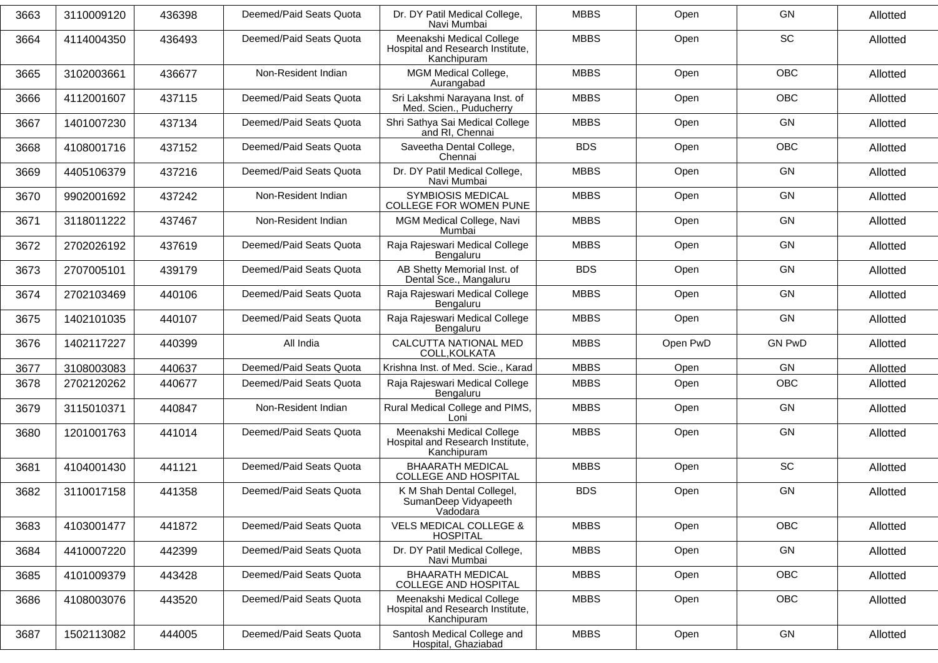| 3663 | 3110009120 | 436398 | Deemed/Paid Seats Quota | Dr. DY Patil Medical College,<br>Navi Mumbai                                 | <b>MBBS</b> | Open     | GN            | Allotted |
|------|------------|--------|-------------------------|------------------------------------------------------------------------------|-------------|----------|---------------|----------|
| 3664 | 4114004350 | 436493 | Deemed/Paid Seats Quota | Meenakshi Medical College<br>Hospital and Research Institute,<br>Kanchipuram | <b>MBBS</b> | Open     | <b>SC</b>     | Allotted |
| 3665 | 3102003661 | 436677 | Non-Resident Indian     | MGM Medical College,<br>Aurangabad                                           | <b>MBBS</b> | Open     | OBC           | Allotted |
| 3666 | 4112001607 | 437115 | Deemed/Paid Seats Quota | Sri Lakshmi Narayana Inst. of<br>Med. Scien., Puducherry                     | <b>MBBS</b> | Open     | <b>OBC</b>    | Allotted |
| 3667 | 1401007230 | 437134 | Deemed/Paid Seats Quota | Shri Sathya Sai Medical College<br>and RI, Chennai                           | <b>MBBS</b> | Open     | GN            | Allotted |
| 3668 | 4108001716 | 437152 | Deemed/Paid Seats Quota | Saveetha Dental College,<br>Chennai                                          | <b>BDS</b>  | Open     | <b>OBC</b>    | Allotted |
| 3669 | 4405106379 | 437216 | Deemed/Paid Seats Quota | Dr. DY Patil Medical College,<br>Navi Mumbai                                 | <b>MBBS</b> | Open     | GN            | Allotted |
| 3670 | 9902001692 | 437242 | Non-Resident Indian     | <b>SYMBIOSIS MEDICAL</b><br><b>COLLEGE FOR WOMEN PUNE</b>                    | <b>MBBS</b> | Open     | GN            | Allotted |
| 3671 | 3118011222 | 437467 | Non-Resident Indian     | MGM Medical College, Navi<br>Mumbai                                          | <b>MBBS</b> | Open     | GN            | Allotted |
| 3672 | 2702026192 | 437619 | Deemed/Paid Seats Quota | Raja Rajeswari Medical College<br>Bengaluru                                  | <b>MBBS</b> | Open     | GN            | Allotted |
| 3673 | 2707005101 | 439179 | Deemed/Paid Seats Quota | AB Shetty Memorial Inst. of<br>Dental Sce., Mangaluru                        | <b>BDS</b>  | Open     | GN            | Allotted |
| 3674 | 2702103469 | 440106 | Deemed/Paid Seats Quota | Raja Rajeswari Medical College<br>Bengaluru                                  | <b>MBBS</b> | Open     | <b>GN</b>     | Allotted |
| 3675 | 1402101035 | 440107 | Deemed/Paid Seats Quota | Raja Rajeswari Medical College<br>Bengaluru                                  | <b>MBBS</b> | Open     | GN            | Allotted |
| 3676 | 1402117227 | 440399 | All India               | CALCUTTA NATIONAL MED<br>COLL, KOLKATA                                       | <b>MBBS</b> | Open PwD | <b>GN PwD</b> | Allotted |
| 3677 | 3108003083 | 440637 | Deemed/Paid Seats Quota | Krishna Inst. of Med. Scie., Karad                                           | <b>MBBS</b> | Open     | GN            | Allotted |
| 3678 | 2702120262 | 440677 | Deemed/Paid Seats Quota | Raja Rajeswari Medical College<br>Bengaluru                                  | <b>MBBS</b> | Open     | <b>OBC</b>    | Allotted |
| 3679 | 3115010371 | 440847 | Non-Resident Indian     | Rural Medical College and PIMS,<br>Loni                                      | <b>MBBS</b> | Open     | GN            | Allotted |
| 3680 | 1201001763 | 441014 | Deemed/Paid Seats Quota | Meenakshi Medical College<br>Hospital and Research Institute,<br>Kanchipuram | <b>MBBS</b> | Open     | GN            | Allotted |
| 3681 | 4104001430 | 441121 | Deemed/Paid Seats Quota | <b>BHAARATH MEDICAL</b><br><b>COLLEGE AND HOSPITAL</b>                       | <b>MBBS</b> | Open     | SC            | Allotted |
| 3682 | 3110017158 | 441358 | Deemed/Paid Seats Quota | K M Shah Dental Collegel,<br>SumanDeep Vidyapeeth<br>Vadodara                | <b>BDS</b>  | Open     | GN            | Allotted |
| 3683 | 4103001477 | 441872 | Deemed/Paid Seats Quota | <b>VELS MEDICAL COLLEGE &amp;</b><br><b>HOSPITAL</b>                         | <b>MBBS</b> | Open     | <b>OBC</b>    | Allotted |
| 3684 | 4410007220 | 442399 | Deemed/Paid Seats Quota | Dr. DY Patil Medical College,<br>Navi Mumbai                                 | <b>MBBS</b> | Open     | GN            | Allotted |
| 3685 | 4101009379 | 443428 | Deemed/Paid Seats Quota | <b>BHAARATH MEDICAL</b><br>COLLEGE AND HOSPITAL                              | <b>MBBS</b> | Open     | <b>OBC</b>    | Allotted |
| 3686 | 4108003076 | 443520 | Deemed/Paid Seats Quota | Meenakshi Medical College<br>Hospital and Research Institute,<br>Kanchipuram | <b>MBBS</b> | Open     | <b>OBC</b>    | Allotted |
| 3687 | 1502113082 | 444005 | Deemed/Paid Seats Quota | Santosh Medical College and<br>Hospital, Ghaziabad                           | <b>MBBS</b> | Open     | GN            | Allotted |
|      |            |        |                         |                                                                              |             |          |               |          |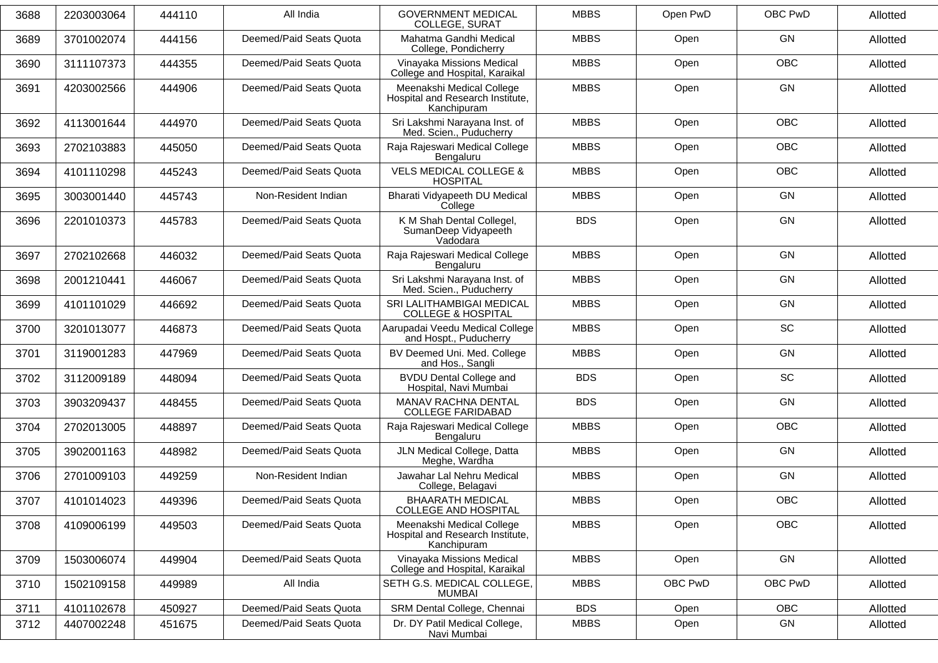| 3688 | 2203003064 | 444110 | All India               | <b>GOVERNMENT MEDICAL</b><br><b>COLLEGE, SURAT</b>                           | <b>MBBS</b> | Open PwD | OBC PwD    | Allotted |
|------|------------|--------|-------------------------|------------------------------------------------------------------------------|-------------|----------|------------|----------|
| 3689 | 3701002074 | 444156 | Deemed/Paid Seats Quota | Mahatma Gandhi Medical<br>College, Pondicherry                               | <b>MBBS</b> | Open     | GN         | Allotted |
| 3690 | 3111107373 | 444355 | Deemed/Paid Seats Quota | Vinayaka Missions Medical<br>College and Hospital, Karaikal                  | <b>MBBS</b> | Open     | <b>OBC</b> | Allotted |
| 3691 | 4203002566 | 444906 | Deemed/Paid Seats Quota | Meenakshi Medical College<br>Hospital and Research Institute,<br>Kanchipuram | <b>MBBS</b> | Open     | GN         | Allotted |
| 3692 | 4113001644 | 444970 | Deemed/Paid Seats Quota | Sri Lakshmi Narayana Inst. of<br>Med. Scien., Puducherry                     | <b>MBBS</b> | Open     | <b>OBC</b> | Allotted |
| 3693 | 2702103883 | 445050 | Deemed/Paid Seats Quota | Raja Rajeswari Medical College<br>Bengaluru                                  | <b>MBBS</b> | Open     | OBC        | Allotted |
| 3694 | 4101110298 | 445243 | Deemed/Paid Seats Quota | <b>VELS MEDICAL COLLEGE &amp;</b><br><b>HOSPITAL</b>                         | <b>MBBS</b> | Open     | OBC        | Allotted |
| 3695 | 3003001440 | 445743 | Non-Resident Indian     | Bharati Vidyapeeth DU Medical<br>College                                     | <b>MBBS</b> | Open     | GN         | Allotted |
| 3696 | 2201010373 | 445783 | Deemed/Paid Seats Quota | K M Shah Dental Collegel,<br>SumanDeep Vidyapeeth<br>Vadodara                | <b>BDS</b>  | Open     | GN         | Allotted |
| 3697 | 2702102668 | 446032 | Deemed/Paid Seats Quota | Raja Rajeswari Medical College<br>Bengaluru                                  | <b>MBBS</b> | Open     | GN         | Allotted |
| 3698 | 2001210441 | 446067 | Deemed/Paid Seats Quota | Sri Lakshmi Narayana Inst. of<br>Med. Scien., Puducherry                     | <b>MBBS</b> | Open     | GN         | Allotted |
| 3699 | 4101101029 | 446692 | Deemed/Paid Seats Quota | SRI LALITHAMBIGAI MEDICAL<br><b>COLLEGE &amp; HOSPITAL</b>                   | <b>MBBS</b> | Open     | GN         | Allotted |
| 3700 | 3201013077 | 446873 | Deemed/Paid Seats Quota | Aarupadai Veedu Medical College<br>and Hospt., Puducherry                    | <b>MBBS</b> | Open     | SC         | Allotted |
| 3701 | 3119001283 | 447969 | Deemed/Paid Seats Quota | BV Deemed Uni. Med. College<br>and Hos., Sangli                              | <b>MBBS</b> | Open     | GN         | Allotted |
| 3702 | 3112009189 | 448094 | Deemed/Paid Seats Quota | <b>BVDU Dental College and</b><br>Hospital, Navi Mumbai                      | <b>BDS</b>  | Open     | SC         | Allotted |
| 3703 | 3903209437 | 448455 | Deemed/Paid Seats Quota | MANAV RACHNA DENTAL<br><b>COLLEGE FARIDABAD</b>                              | <b>BDS</b>  | Open     | GN         | Allotted |
| 3704 | 2702013005 | 448897 | Deemed/Paid Seats Quota | Raja Rajeswari Medical College<br>Bengaluru                                  | <b>MBBS</b> | Open     | <b>OBC</b> | Allotted |
| 3705 | 3902001163 | 448982 | Deemed/Paid Seats Quota | JLN Medical College, Datta<br>Meghe, Wardha                                  | <b>MBBS</b> | Open     | GN         | Allotted |
| 3706 | 2701009103 | 449259 | Non-Resident Indian     | Jawahar Lal Nehru Medical<br>College, Belagavi                               | <b>MBBS</b> | Open     | GN         | Allotted |
| 3707 | 4101014023 | 449396 | Deemed/Paid Seats Quota | <b>BHAARATH MEDICAL</b><br>COLLEGE AND HOSPITAL                              | <b>MBBS</b> | Open     | OBC        | Allotted |
| 3708 | 4109006199 | 449503 | Deemed/Paid Seats Quota | Meenakshi Medical College<br>Hospital and Research Institute,<br>Kanchipuram | <b>MBBS</b> | Open     | OBC        | Allotted |
| 3709 | 1503006074 | 449904 | Deemed/Paid Seats Quota | Vinayaka Missions Medical<br>College and Hospital, Karaikal                  | <b>MBBS</b> | Open     | GN         | Allotted |
| 3710 | 1502109158 | 449989 | All India               | SETH G.S. MEDICAL COLLEGE,<br><b>MUMBAI</b>                                  | <b>MBBS</b> | OBC PwD  | OBC PwD    | Allotted |
| 3711 | 4101102678 | 450927 | Deemed/Paid Seats Quota | SRM Dental College, Chennai                                                  | <b>BDS</b>  | Open     | OBC        | Allotted |
| 3712 | 4407002248 | 451675 | Deemed/Paid Seats Quota | Dr. DY Patil Medical College,<br>Navi Mumbai                                 | <b>MBBS</b> | Open     | GN         | Allotted |
|      |            |        |                         |                                                                              |             |          |            |          |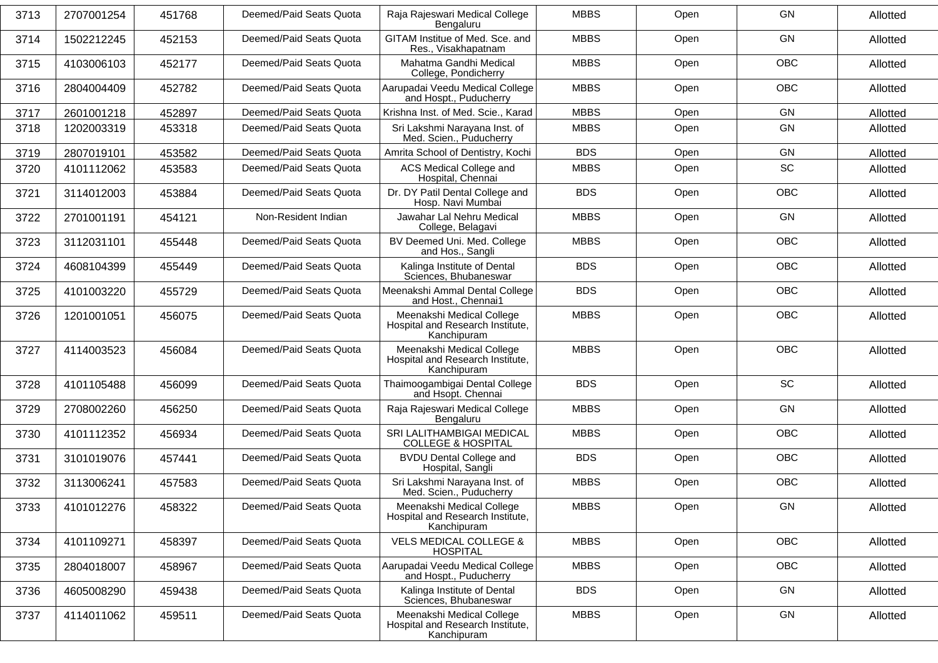| 3713 | 2707001254 | 451768 | Deemed/Paid Seats Quota | Raja Rajeswari Medical College<br>Bengaluru                                  | <b>MBBS</b> | Open | GN         | Allotted |
|------|------------|--------|-------------------------|------------------------------------------------------------------------------|-------------|------|------------|----------|
| 3714 | 1502212245 | 452153 | Deemed/Paid Seats Quota | GITAM Institue of Med. Sce. and<br>Res., Visakhapatnam                       | <b>MBBS</b> | Open | GN         | Allotted |
| 3715 | 4103006103 | 452177 | Deemed/Paid Seats Quota | Mahatma Gandhi Medical<br>College, Pondicherry                               | <b>MBBS</b> | Open | <b>OBC</b> | Allotted |
| 3716 | 2804004409 | 452782 | Deemed/Paid Seats Quota | Aarupadai Veedu Medical College<br>and Hospt., Puducherry                    | <b>MBBS</b> | Open | <b>OBC</b> | Allotted |
| 3717 | 2601001218 | 452897 | Deemed/Paid Seats Quota | Krishna Inst. of Med. Scie., Karad                                           | <b>MBBS</b> | Open | GN         | Allotted |
| 3718 | 1202003319 | 453318 | Deemed/Paid Seats Quota | Sri Lakshmi Narayana Inst. of<br>Med. Scien., Puducherry                     | <b>MBBS</b> | Open | GN         | Allotted |
| 3719 | 2807019101 | 453582 | Deemed/Paid Seats Quota | Amrita School of Dentistry, Kochi                                            | <b>BDS</b>  | Open | GN         | Allotted |
| 3720 | 4101112062 | 453583 | Deemed/Paid Seats Quota | ACS Medical College and<br>Hospital, Chennai                                 | <b>MBBS</b> | Open | SC         | Allotted |
| 3721 | 3114012003 | 453884 | Deemed/Paid Seats Quota | Dr. DY Patil Dental College and<br>Hosp. Navi Mumbai                         | <b>BDS</b>  | Open | OBC        | Allotted |
| 3722 | 2701001191 | 454121 | Non-Resident Indian     | Jawahar Lal Nehru Medical<br>College, Belagavi                               | <b>MBBS</b> | Open | GN         | Allotted |
| 3723 | 3112031101 | 455448 | Deemed/Paid Seats Quota | BV Deemed Uni. Med. College<br>and Hos., Sangli                              | <b>MBBS</b> | Open | <b>OBC</b> | Allotted |
| 3724 | 4608104399 | 455449 | Deemed/Paid Seats Quota | Kalinga Institute of Dental<br>Sciences, Bhubaneswar                         | <b>BDS</b>  | Open | <b>OBC</b> | Allotted |
| 3725 | 4101003220 | 455729 | Deemed/Paid Seats Quota | Meenakshi Ammal Dental College<br>and Host., Chennai1                        | <b>BDS</b>  | Open | <b>OBC</b> | Allotted |
| 3726 | 1201001051 | 456075 | Deemed/Paid Seats Quota | Meenakshi Medical College<br>Hospital and Research Institute,<br>Kanchipuram | <b>MBBS</b> | Open | <b>OBC</b> | Allotted |
| 3727 | 4114003523 | 456084 | Deemed/Paid Seats Quota | Meenakshi Medical College<br>Hospital and Research Institute,<br>Kanchipuram | <b>MBBS</b> | Open | <b>OBC</b> | Allotted |
| 3728 | 4101105488 | 456099 | Deemed/Paid Seats Quota | Thaimoogambigai Dental College<br>and Hsopt. Chennai                         | <b>BDS</b>  | Open | SC         | Allotted |
| 3729 | 2708002260 | 456250 | Deemed/Paid Seats Quota | Raja Rajeswari Medical College<br>Bengaluru                                  | <b>MBBS</b> | Open | GN         | Allotted |
| 3730 | 4101112352 | 456934 | Deemed/Paid Seats Quota | SRI LALITHAMBIGAI MEDICAL<br><b>COLLEGE &amp; HOSPITAL</b>                   | <b>MBBS</b> | Open | <b>OBC</b> | Allotted |
| 3731 | 3101019076 | 457441 | Deemed/Paid Seats Quota | <b>BVDU Dental College and</b><br>Hospital, Sangli                           | <b>BDS</b>  | Open | OBC        | Allotted |
| 3732 | 3113006241 | 457583 | Deemed/Paid Seats Quota | Sri Lakshmi Narayana Inst. of<br>Med. Scien., Puducherry                     | <b>MBBS</b> | Open | <b>OBC</b> | Allotted |
| 3733 | 4101012276 | 458322 | Deemed/Paid Seats Quota | Meenakshi Medical College<br>Hospital and Research Institute,<br>Kanchipuram | <b>MBBS</b> | Open | GN         | Allotted |
| 3734 | 4101109271 | 458397 | Deemed/Paid Seats Quota | <b>VELS MEDICAL COLLEGE &amp;</b><br><b>HOSPITAL</b>                         | <b>MBBS</b> | Open | OBC        | Allotted |
| 3735 | 2804018007 | 458967 | Deemed/Paid Seats Quota | Aarupadai Veedu Medical College<br>and Hospt., Puducherry                    | <b>MBBS</b> | Open | OBC        | Allotted |
| 3736 | 4605008290 | 459438 | Deemed/Paid Seats Quota | Kalinga Institute of Dental<br>Sciences, Bhubaneswar                         | <b>BDS</b>  | Open | GN         | Allotted |
| 3737 | 4114011062 | 459511 | Deemed/Paid Seats Quota | Meenakshi Medical College<br>Hospital and Research Institute,<br>Kanchipuram | <b>MBBS</b> | Open | GN         | Allotted |
|      |            |        |                         |                                                                              |             |      |            |          |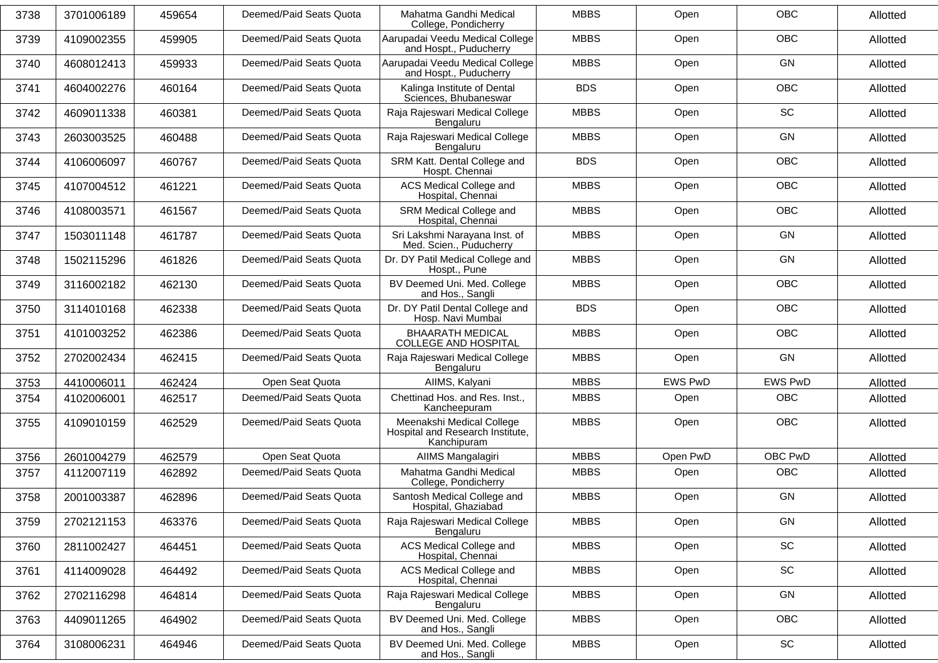| 3738 | 3701006189 | 459654 | Deemed/Paid Seats Quota | Mahatma Gandhi Medical<br>College, Pondicherry                               | <b>MBBS</b> | Open           | <b>OBC</b>     | Allotted |
|------|------------|--------|-------------------------|------------------------------------------------------------------------------|-------------|----------------|----------------|----------|
| 3739 | 4109002355 | 459905 | Deemed/Paid Seats Quota | Aarupadai Veedu Medical College<br>and Hospt., Puducherry                    | <b>MBBS</b> | Open           | <b>OBC</b>     | Allotted |
| 3740 | 4608012413 | 459933 | Deemed/Paid Seats Quota | Aarupadai Veedu Medical College<br>and Hospt., Puducherry                    | <b>MBBS</b> | Open           | GN             | Allotted |
| 3741 | 4604002276 | 460164 | Deemed/Paid Seats Quota | Kalinga Institute of Dental<br>Sciences, Bhubaneswar                         | <b>BDS</b>  | Open           | <b>OBC</b>     | Allotted |
| 3742 | 4609011338 | 460381 | Deemed/Paid Seats Quota | Raja Rajeswari Medical College<br>Bengaluru                                  | <b>MBBS</b> | Open           | SC             | Allotted |
| 3743 | 2603003525 | 460488 | Deemed/Paid Seats Quota | Raja Rajeswari Medical College<br>Bengaluru                                  | <b>MBBS</b> | Open           | GN             | Allotted |
| 3744 | 4106006097 | 460767 | Deemed/Paid Seats Quota | SRM Katt. Dental College and<br>Hospt. Chennai                               | <b>BDS</b>  | Open           | OBC            | Allotted |
| 3745 | 4107004512 | 461221 | Deemed/Paid Seats Quota | ACS Medical College and<br>Hospital, Chennai                                 | <b>MBBS</b> | Open           | <b>OBC</b>     | Allotted |
| 3746 | 4108003571 | 461567 | Deemed/Paid Seats Quota | SRM Medical College and<br>Hospital, Chennai                                 | <b>MBBS</b> | Open           | <b>OBC</b>     | Allotted |
| 3747 | 1503011148 | 461787 | Deemed/Paid Seats Quota | Sri Lakshmi Narayana Inst. of<br>Med. Scien., Puducherry                     | <b>MBBS</b> | Open           | GN             | Allotted |
| 3748 | 1502115296 | 461826 | Deemed/Paid Seats Quota | Dr. DY Patil Medical College and<br>Hospt., Pune                             | <b>MBBS</b> | Open           | GN             | Allotted |
| 3749 | 3116002182 | 462130 | Deemed/Paid Seats Quota | BV Deemed Uni. Med. College<br>and Hos., Sangli                              | <b>MBBS</b> | Open           | <b>OBC</b>     | Allotted |
| 3750 | 3114010168 | 462338 | Deemed/Paid Seats Quota | Dr. DY Patil Dental College and<br>Hosp. Navi Mumbai                         | <b>BDS</b>  | Open           | OBC            | Allotted |
| 3751 | 4101003252 | 462386 | Deemed/Paid Seats Quota | <b>BHAARATH MEDICAL</b><br><b>COLLEGE AND HOSPITAL</b>                       | <b>MBBS</b> | Open           | <b>OBC</b>     | Allotted |
| 3752 | 2702002434 | 462415 | Deemed/Paid Seats Quota | Raja Rajeswari Medical College<br>Bengaluru                                  | <b>MBBS</b> | Open           | GN             | Allotted |
| 3753 | 4410006011 | 462424 | Open Seat Quota         | AIIMS, Kalyani                                                               | <b>MBBS</b> | <b>EWS PwD</b> | <b>EWS PwD</b> | Allotted |
| 3754 | 4102006001 | 462517 | Deemed/Paid Seats Quota | Chettinad Hos. and Res. Inst.,<br>Kancheepuram                               | <b>MBBS</b> | Open           | <b>OBC</b>     | Allotted |
| 3755 | 4109010159 | 462529 | Deemed/Paid Seats Quota | Meenakshi Medical College<br>Hospital and Research Institute,<br>Kanchipuram | <b>MBBS</b> | Open           | <b>OBC</b>     | Allotted |
| 3756 | 2601004279 | 462579 | Open Seat Quota         | AIIMS Mangalagiri                                                            | <b>MBBS</b> | Open PwD       | OBC PwD        | Allotted |
| 3757 | 4112007119 | 462892 | Deemed/Paid Seats Quota | Mahatma Gandhi Medical<br>College, Pondicherry                               | <b>MBBS</b> | Open           | OBC            | Allotted |
| 3758 | 2001003387 | 462896 | Deemed/Paid Seats Quota | Santosh Medical College and<br>Hospital, Ghaziabad                           | <b>MBBS</b> | Open           | GN             | Allotted |
| 3759 | 2702121153 | 463376 | Deemed/Paid Seats Quota | Raja Rajeswari Medical College<br>Bengaluru                                  | <b>MBBS</b> | Open           | GN             | Allotted |
| 3760 | 2811002427 | 464451 | Deemed/Paid Seats Quota | ACS Medical College and<br>Hospital, Chennai                                 | <b>MBBS</b> | Open           | SC             | Allotted |
| 3761 | 4114009028 | 464492 | Deemed/Paid Seats Quota | ACS Medical College and<br>Hospital, Chennai                                 | <b>MBBS</b> | Open           | SC             | Allotted |
| 3762 | 2702116298 | 464814 | Deemed/Paid Seats Quota | Raja Rajeswari Medical College<br>Bengaluru                                  | <b>MBBS</b> | Open           | GN             | Allotted |
| 3763 | 4409011265 | 464902 | Deemed/Paid Seats Quota | BV Deemed Uni. Med. College<br>and Hos., Sangli                              | <b>MBBS</b> | Open           | OBC            | Allotted |
| 3764 | 3108006231 | 464946 | Deemed/Paid Seats Quota | BV Deemed Uni. Med. College<br>and Hos., Sangli                              | <b>MBBS</b> | Open           | SC             | Allotted |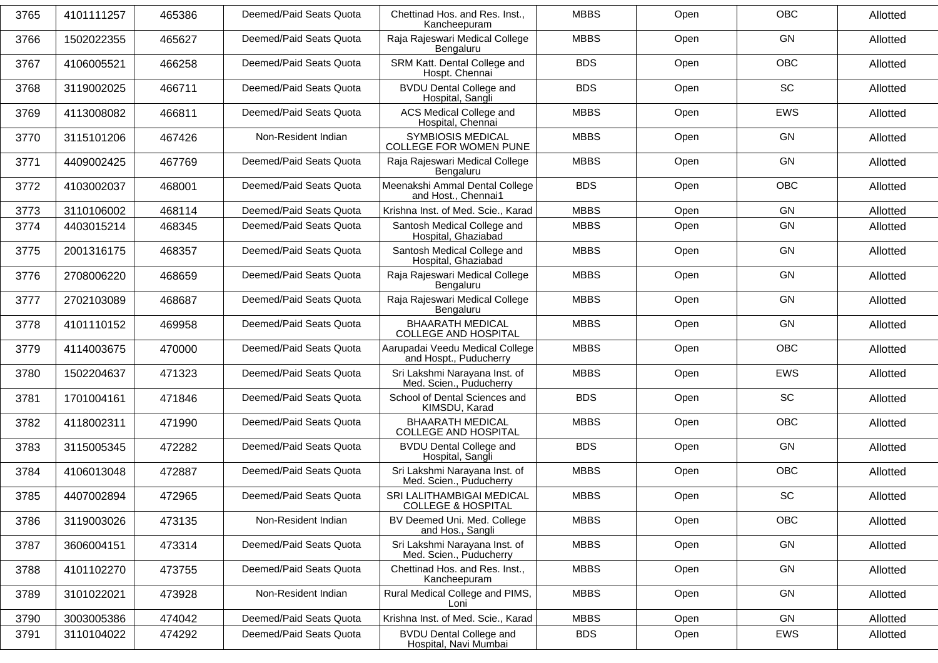| 3765 | 4101111257 | 465386 | Deemed/Paid Seats Quota | Chettinad Hos. and Res. Inst.,<br>Kancheepuram            | <b>MBBS</b> | Open | <b>OBC</b> | Allotted |
|------|------------|--------|-------------------------|-----------------------------------------------------------|-------------|------|------------|----------|
| 3766 | 1502022355 | 465627 | Deemed/Paid Seats Quota | Raja Rajeswari Medical College<br>Bengaluru               | <b>MBBS</b> | Open | GN         | Allotted |
| 3767 | 4106005521 | 466258 | Deemed/Paid Seats Quota | SRM Katt. Dental College and<br>Hospt. Chennai            | <b>BDS</b>  | Open | <b>OBC</b> | Allotted |
| 3768 | 3119002025 | 466711 | Deemed/Paid Seats Quota | <b>BVDU Dental College and</b><br>Hospital, Sangli        | <b>BDS</b>  | Open | SC         | Allotted |
| 3769 | 4113008082 | 466811 | Deemed/Paid Seats Quota | ACS Medical College and<br>Hospital, Chennai              | <b>MBBS</b> | Open | <b>EWS</b> | Allotted |
| 3770 | 3115101206 | 467426 | Non-Resident Indian     | <b>SYMBIOSIS MEDICAL</b><br>COLLEGE FOR WOMEN PUNE        | <b>MBBS</b> | Open | GN         | Allotted |
| 3771 | 4409002425 | 467769 | Deemed/Paid Seats Quota | Raja Rajeswari Medical College<br>Bengaluru               | <b>MBBS</b> | Open | GN         | Allotted |
| 3772 | 4103002037 | 468001 | Deemed/Paid Seats Quota | Meenakshi Ammal Dental College<br>and Host., Chennai1     | <b>BDS</b>  | Open | <b>OBC</b> | Allotted |
| 3773 | 3110106002 | 468114 | Deemed/Paid Seats Quota | Krishna Inst. of Med. Scie., Karad                        | <b>MBBS</b> | Open | GN         | Allotted |
| 3774 | 4403015214 | 468345 | Deemed/Paid Seats Quota | Santosh Medical College and<br>Hospital, Ghaziabad        | <b>MBBS</b> | Open | GN         | Allotted |
| 3775 | 2001316175 | 468357 | Deemed/Paid Seats Quota | Santosh Medical College and<br>Hospital, Ghaziabad        | <b>MBBS</b> | Open | GN         | Allotted |
| 3776 | 2708006220 | 468659 | Deemed/Paid Seats Quota | Raja Rajeswari Medical College<br>Bengaluru               | <b>MBBS</b> | Open | GN         | Allotted |
| 3777 | 2702103089 | 468687 | Deemed/Paid Seats Quota | Raja Rajeswari Medical College<br>Bengaluru               | <b>MBBS</b> | Open | GN         | Allotted |
| 3778 | 4101110152 | 469958 | Deemed/Paid Seats Quota | <b>BHAARATH MEDICAL</b><br><b>COLLEGE AND HOSPITAL</b>    | <b>MBBS</b> | Open | GN         | Allotted |
| 3779 | 4114003675 | 470000 | Deemed/Paid Seats Quota | Aarupadai Veedu Medical College<br>and Hospt., Puducherry | <b>MBBS</b> | Open | <b>OBC</b> | Allotted |
| 3780 | 1502204637 | 471323 | Deemed/Paid Seats Quota | Sri Lakshmi Narayana Inst. of<br>Med. Scien., Puducherry  | <b>MBBS</b> | Open | <b>EWS</b> | Allotted |
| 3781 | 1701004161 | 471846 | Deemed/Paid Seats Quota | School of Dental Sciences and<br>KIMSDU, Karad            | <b>BDS</b>  | Open | SC         | Allotted |
| 3782 | 4118002311 | 471990 | Deemed/Paid Seats Quota | <b>BHAARATH MEDICAL</b><br><b>COLLEGE AND HOSPITAL</b>    | <b>MBBS</b> | Open | OBC        | Allotted |
| 3783 | 3115005345 | 472282 | Deemed/Paid Seats Quota | <b>BVDU Dental College and</b><br>Hospital, Sangli        | <b>BDS</b>  | Open | GN         | Allotted |
| 3784 | 4106013048 | 472887 | Deemed/Paid Seats Quota | Sri Lakshmi Narayana Inst. of<br>Med. Scien., Puducherry  | <b>MBBS</b> | Open | <b>OBC</b> | Allotted |
| 3785 | 4407002894 | 472965 | Deemed/Paid Seats Quota | SRI LALITHAMBIGAI MEDICAL<br>COLLEGE & HOSPITAL           | <b>MBBS</b> | Open | <b>SC</b>  | Allotted |
| 3786 | 3119003026 | 473135 | Non-Resident Indian     | BV Deemed Uni. Med. College<br>and Hos., Sangli           | <b>MBBS</b> | Open | OBC        | Allotted |
| 3787 | 3606004151 | 473314 | Deemed/Paid Seats Quota | Sri Lakshmi Narayana Inst. of<br>Med. Scien., Puducherry  | <b>MBBS</b> | Open | GN         | Allotted |
| 3788 | 4101102270 | 473755 | Deemed/Paid Seats Quota | Chettinad Hos. and Res. Inst.,<br>Kancheepuram            | <b>MBBS</b> | Open | GN         | Allotted |
| 3789 | 3101022021 | 473928 | Non-Resident Indian     | Rural Medical College and PIMS,<br>Loni                   | <b>MBBS</b> | Open | GN         | Allotted |
| 3790 | 3003005386 | 474042 | Deemed/Paid Seats Quota | Krishna Inst. of Med. Scie., Karad                        | <b>MBBS</b> | Open | GN         | Allotted |
| 3791 | 3110104022 | 474292 | Deemed/Paid Seats Quota | <b>BVDU Dental College and</b><br>Hospital, Navi Mumbai   | <b>BDS</b>  | Open | EWS        | Allotted |
|      |            |        |                         |                                                           |             |      |            |          |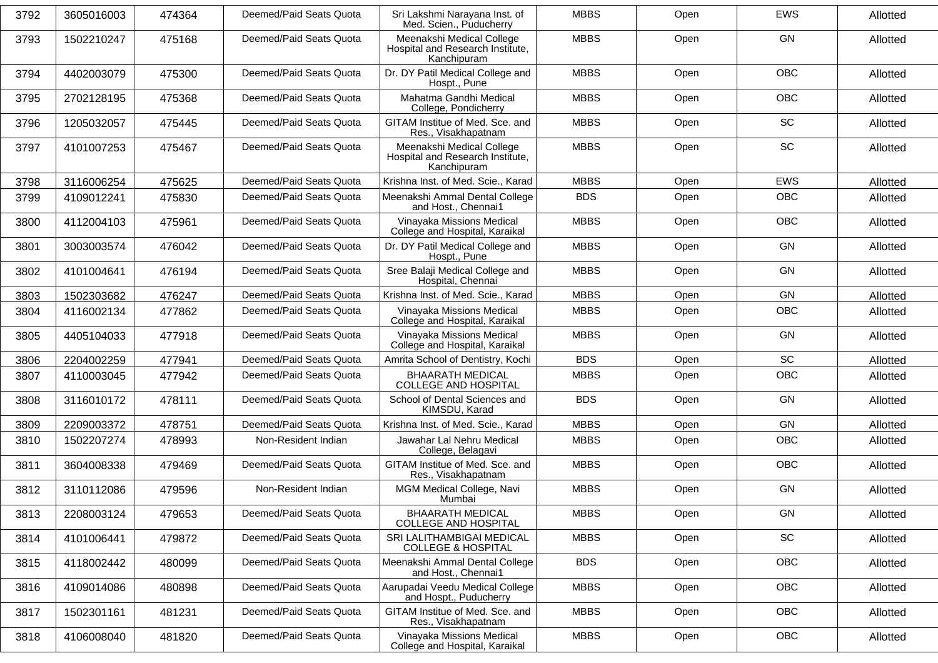| 3792 | 3605016003 | 474364 | Deemed/Paid Seats Quota | Sri Lakshmi Narayana Inst. of<br>Med. Scien., Puducherry                     | <b>MBBS</b> | Open | <b>EWS</b> | Allotted |
|------|------------|--------|-------------------------|------------------------------------------------------------------------------|-------------|------|------------|----------|
| 3793 | 1502210247 | 475168 | Deemed/Paid Seats Quota | Meenakshi Medical College<br>Hospital and Research Institute,<br>Kanchipuram | <b>MBBS</b> | Open | GN         | Allotted |
| 3794 | 4402003079 | 475300 | Deemed/Paid Seats Quota | Dr. DY Patil Medical College and<br>Hospt., Pune                             | <b>MBBS</b> | Open | <b>OBC</b> | Allotted |
| 3795 | 2702128195 | 475368 | Deemed/Paid Seats Quota | Mahatma Gandhi Medical<br>College, Pondicherry                               | <b>MBBS</b> | Open | <b>OBC</b> | Allotted |
| 3796 | 1205032057 | 475445 | Deemed/Paid Seats Quota | GITAM Institue of Med. Sce. and<br>Res., Visakhapatnam                       | <b>MBBS</b> | Open | SC         | Allotted |
| 3797 | 4101007253 | 475467 | Deemed/Paid Seats Quota | Meenakshi Medical College<br>Hospital and Research Institute,<br>Kanchipuram | <b>MBBS</b> | Open | <b>SC</b>  | Allotted |
| 3798 | 3116006254 | 475625 | Deemed/Paid Seats Quota | Krishna Inst. of Med. Scie., Karad                                           | <b>MBBS</b> | Open | <b>EWS</b> | Allotted |
| 3799 | 4109012241 | 475830 | Deemed/Paid Seats Quota | Meenakshi Ammal Dental College<br>and Host., Chennai1                        | <b>BDS</b>  | Open | <b>OBC</b> | Allotted |
| 3800 | 4112004103 | 475961 | Deemed/Paid Seats Quota | Vinayaka Missions Medical<br>College and Hospital, Karaikal                  | <b>MBBS</b> | Open | <b>OBC</b> | Allotted |
| 3801 | 3003003574 | 476042 | Deemed/Paid Seats Quota | Dr. DY Patil Medical College and<br>Hospt., Pune                             | <b>MBBS</b> | Open | GN         | Allotted |
| 3802 | 4101004641 | 476194 | Deemed/Paid Seats Quota | Sree Balaji Medical College and<br>Hospital, Chennai                         | <b>MBBS</b> | Open | GN         | Allotted |
| 3803 | 1502303682 | 476247 | Deemed/Paid Seats Quota | Krishna Inst. of Med. Scie., Karad                                           | <b>MBBS</b> | Open | <b>GN</b>  | Allotted |
| 3804 | 4116002134 | 477862 | Deemed/Paid Seats Quota | Vinayaka Missions Medical<br>College and Hospital, Karaikal                  | <b>MBBS</b> | Open | <b>OBC</b> | Allotted |
| 3805 | 4405104033 | 477918 | Deemed/Paid Seats Quota | Vinayaka Missions Medical<br>College and Hospital, Karaikal                  | <b>MBBS</b> | Open | <b>GN</b>  | Allotted |
| 3806 | 2204002259 | 477941 | Deemed/Paid Seats Quota | Amrita School of Dentistry, Kochi                                            | <b>BDS</b>  | Open | SC         | Allotted |
| 3807 | 4110003045 | 477942 | Deemed/Paid Seats Quota | <b>BHAARATH MEDICAL</b><br><b>COLLEGE AND HOSPITAL</b>                       | <b>MBBS</b> | Open | OBC        | Allotted |
| 3808 | 3116010172 | 478111 | Deemed/Paid Seats Quota | School of Dental Sciences and<br>KIMSDU, Karad                               | <b>BDS</b>  | Open | GN         | Allotted |
| 3809 | 2209003372 | 478751 | Deemed/Paid Seats Quota | Krishna Inst. of Med. Scie., Karad                                           | <b>MBBS</b> | Open | GN         | Allotted |
| 3810 | 1502207274 | 478993 | Non-Resident Indian     | Jawahar Lal Nehru Medical<br>College, Belagavi                               | <b>MBBS</b> | Open | OBC        | Allotted |
| 3811 | 3604008338 | 479469 | Deemed/Paid Seats Quota | GITAM Institue of Med. Sce. and<br>Res., Visakhapatnam                       | <b>MBBS</b> | Open | <b>OBC</b> | Allotted |
| 3812 | 3110112086 | 479596 | Non-Resident Indian     | MGM Medical College, Navi<br>Mumbai                                          | <b>MBBS</b> | Open | <b>GN</b>  | Allotted |
| 3813 | 2208003124 | 479653 | Deemed/Paid Seats Quota | <b>BHAARATH MEDICAL</b><br>COLLEGE AND HOSPITAL                              | <b>MBBS</b> | Open | GN         | Allotted |
| 3814 | 4101006441 | 479872 | Deemed/Paid Seats Quota | SRI LALITHAMBIGAI MEDICAL<br><b>COLLEGE &amp; HOSPITAL</b>                   | <b>MBBS</b> | Open | SC         | Allotted |
| 3815 | 4118002442 | 480099 | Deemed/Paid Seats Quota | Meenakshi Ammal Dental College<br>and Host., Chennai1                        | <b>BDS</b>  | Open | OBC        | Allotted |
| 3816 | 4109014086 | 480898 | Deemed/Paid Seats Quota | Aarupadai Veedu Medical College<br>and Hospt., Puducherry                    | <b>MBBS</b> | Open | OBC        | Allotted |
| 3817 | 1502301161 | 481231 | Deemed/Paid Seats Quota | GITAM Institue of Med. Sce. and<br>Res., Visakhapatnam                       | <b>MBBS</b> | Open | <b>OBC</b> | Allotted |
| 3818 | 4106008040 | 481820 | Deemed/Paid Seats Quota | Vinayaka Missions Medical<br>College and Hospital, Karaikal                  | <b>MBBS</b> | Open | OBC        | Allotted |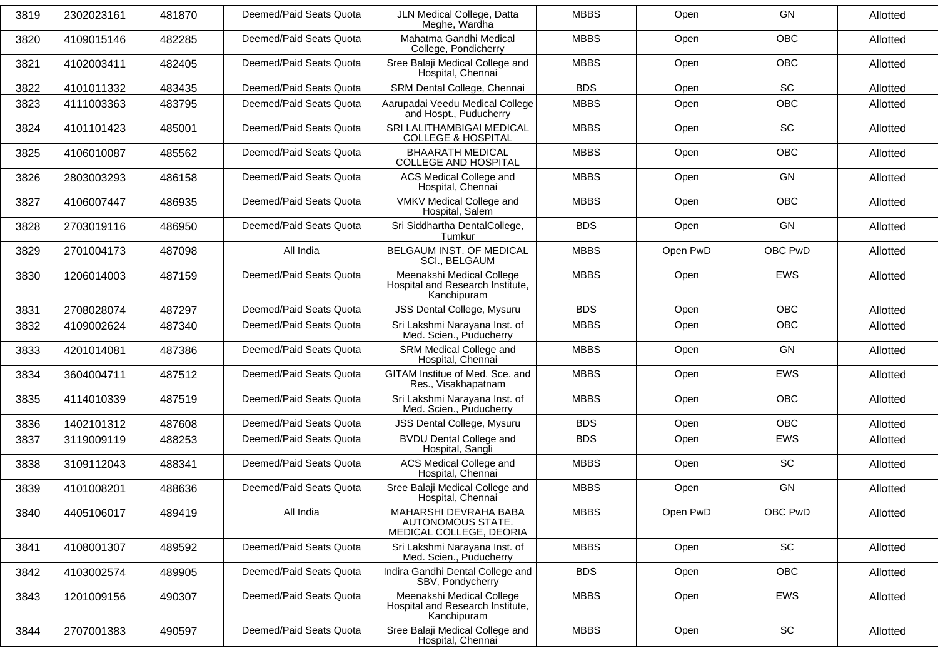| 3819 | 2302023161 | 481870 | Deemed/Paid Seats Quota | JLN Medical College, Datta<br>Meghe, Wardha                                  | <b>MBBS</b> | Open     | <b>GN</b>  | Allotted |
|------|------------|--------|-------------------------|------------------------------------------------------------------------------|-------------|----------|------------|----------|
| 3820 | 4109015146 | 482285 | Deemed/Paid Seats Quota | Mahatma Gandhi Medical<br>College, Pondicherry                               | <b>MBBS</b> | Open     | <b>OBC</b> | Allotted |
| 3821 | 4102003411 | 482405 | Deemed/Paid Seats Quota | Sree Balaji Medical College and<br>Hospital, Chennai                         | <b>MBBS</b> | Open     | <b>OBC</b> | Allotted |
| 3822 | 4101011332 | 483435 | Deemed/Paid Seats Quota | SRM Dental College, Chennai                                                  | <b>BDS</b>  | Open     | SC         | Allotted |
| 3823 | 4111003363 | 483795 | Deemed/Paid Seats Quota | Aarupadai Veedu Medical College<br>and Hospt., Puducherry                    | <b>MBBS</b> | Open     | <b>OBC</b> | Allotted |
| 3824 | 4101101423 | 485001 | Deemed/Paid Seats Quota | SRI LALITHAMBIGAI MEDICAL<br><b>COLLEGE &amp; HOSPITAL</b>                   | <b>MBBS</b> | Open     | SC         | Allotted |
| 3825 | 4106010087 | 485562 | Deemed/Paid Seats Quota | <b>BHAARATH MEDICAL</b><br><b>COLLEGE AND HOSPITAL</b>                       | <b>MBBS</b> | Open     | <b>OBC</b> | Allotted |
| 3826 | 2803003293 | 486158 | Deemed/Paid Seats Quota | ACS Medical College and<br>Hospital, Chennai                                 | <b>MBBS</b> | Open     | <b>GN</b>  | Allotted |
| 3827 | 4106007447 | 486935 | Deemed/Paid Seats Quota | VMKV Medical College and<br>Hospital, Salem                                  | <b>MBBS</b> | Open     | <b>OBC</b> | Allotted |
| 3828 | 2703019116 | 486950 | Deemed/Paid Seats Quota | Sri Siddhartha DentalCollege,<br>Tumkur                                      | <b>BDS</b>  | Open     | <b>GN</b>  | Allotted |
| 3829 | 2701004173 | 487098 | All India               | BELGAUM INST. OF MEDICAL<br>SCI., BELGAUM                                    | <b>MBBS</b> | Open PwD | OBC PwD    | Allotted |
| 3830 | 1206014003 | 487159 | Deemed/Paid Seats Quota | Meenakshi Medical College<br>Hospital and Research Institute,<br>Kanchipuram | <b>MBBS</b> | Open     | <b>EWS</b> | Allotted |
| 3831 | 2708028074 | 487297 | Deemed/Paid Seats Quota | JSS Dental College, Mysuru                                                   | <b>BDS</b>  | Open     | <b>OBC</b> | Allotted |
| 3832 | 4109002624 | 487340 | Deemed/Paid Seats Quota | Sri Lakshmi Narayana Inst. of<br>Med. Scien., Puducherry                     | <b>MBBS</b> | Open     | OBC        | Allotted |
| 3833 | 4201014081 | 487386 | Deemed/Paid Seats Quota | SRM Medical College and<br>Hospital, Chennai                                 | <b>MBBS</b> | Open     | <b>GN</b>  | Allotted |
| 3834 | 3604004711 | 487512 | Deemed/Paid Seats Quota | GITAM Institue of Med. Sce. and<br>Res., Visakhapatnam                       | <b>MBBS</b> | Open     | EWS        | Allotted |
| 3835 | 4114010339 | 487519 | Deemed/Paid Seats Quota | Sri Lakshmi Narayana Inst. of<br>Med. Scien., Puducherry                     | <b>MBBS</b> | Open     | OBC        | Allotted |
| 3836 | 1402101312 | 487608 | Deemed/Paid Seats Quota | <b>JSS Dental College, Mysuru</b>                                            | <b>BDS</b>  | Open     | OBC        | Allotted |
| 3837 | 3119009119 | 488253 | Deemed/Paid Seats Quota | <b>BVDU Dental College and</b><br>Hospital, Sangli                           | <b>BDS</b>  | Open     | EWS        | Allotted |
| 3838 | 3109112043 | 488341 | Deemed/Paid Seats Quota | ACS Medical College and<br>Hospital, Chennai                                 | <b>MBBS</b> | Open     | <b>SC</b>  | Allotted |
| 3839 | 4101008201 | 488636 | Deemed/Paid Seats Quota | Sree Balaji Medical College and<br>Hospital, Chennai                         | <b>MBBS</b> | Open     | GN         | Allotted |
| 3840 | 4405106017 | 489419 | All India               | MAHARSHI DEVRAHA BABA<br>AUTONOMOUS STATE.<br>MEDICAL COLLEGE, DEORIA        | <b>MBBS</b> | Open PwD | OBC PwD    | Allotted |
| 3841 | 4108001307 | 489592 | Deemed/Paid Seats Quota | Sri Lakshmi Narayana Inst. of<br>Med. Scien., Puducherry                     | <b>MBBS</b> | Open     | SC         | Allotted |
| 3842 | 4103002574 | 489905 | Deemed/Paid Seats Quota | Indira Gandhi Dental College and<br>SBV, Pondycherry                         | <b>BDS</b>  | Open     | <b>OBC</b> | Allotted |
| 3843 | 1201009156 | 490307 | Deemed/Paid Seats Quota | Meenakshi Medical College<br>Hospital and Research Institute,<br>Kanchipuram | <b>MBBS</b> | Open     | EWS        | Allotted |
| 3844 | 2707001383 | 490597 | Deemed/Paid Seats Quota | Sree Balaji Medical College and<br>Hospital, Chennai                         | <b>MBBS</b> | Open     | SC         | Allotted |
|      |            |        |                         |                                                                              |             |          |            |          |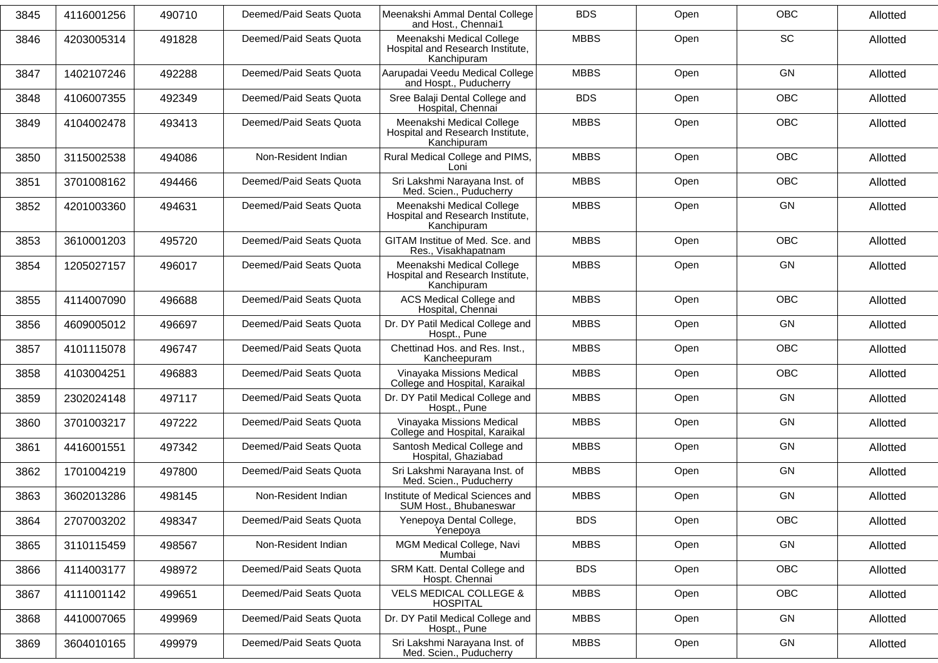| 3845 | 4116001256 | 490710 | Deemed/Paid Seats Quota | Meenakshi Ammal Dental College<br>and Host., Chennai1                        | <b>BDS</b>  | Open | OBC        | Allotted |
|------|------------|--------|-------------------------|------------------------------------------------------------------------------|-------------|------|------------|----------|
| 3846 | 4203005314 | 491828 | Deemed/Paid Seats Quota | Meenakshi Medical College<br>Hospital and Research Institute,<br>Kanchipuram | <b>MBBS</b> | Open | <b>SC</b>  | Allotted |
| 3847 | 1402107246 | 492288 | Deemed/Paid Seats Quota | Aarupadai Veedu Medical College<br>and Hospt., Puducherry                    | <b>MBBS</b> | Open | GN         | Allotted |
| 3848 | 4106007355 | 492349 | Deemed/Paid Seats Quota | Sree Balaji Dental College and<br>Hospital, Chennai                          | <b>BDS</b>  | Open | <b>OBC</b> | Allotted |
| 3849 | 4104002478 | 493413 | Deemed/Paid Seats Quota | Meenakshi Medical College<br>Hospital and Research Institute,<br>Kanchipuram | <b>MBBS</b> | Open | <b>OBC</b> | Allotted |
| 3850 | 3115002538 | 494086 | Non-Resident Indian     | Rural Medical College and PIMS,<br>Loni                                      | <b>MBBS</b> | Open | OBC        | Allotted |
| 3851 | 3701008162 | 494466 | Deemed/Paid Seats Quota | Sri Lakshmi Narayana Inst. of<br>Med. Scien., Puducherry                     | <b>MBBS</b> | Open | OBC        | Allotted |
| 3852 | 4201003360 | 494631 | Deemed/Paid Seats Quota | Meenakshi Medical College<br>Hospital and Research Institute,<br>Kanchipuram | <b>MBBS</b> | Open | <b>GN</b>  | Allotted |
| 3853 | 3610001203 | 495720 | Deemed/Paid Seats Quota | GITAM Institue of Med. Sce. and<br>Res., Visakhapatnam                       | <b>MBBS</b> | Open | <b>OBC</b> | Allotted |
| 3854 | 1205027157 | 496017 | Deemed/Paid Seats Quota | Meenakshi Medical College<br>Hospital and Research Institute,<br>Kanchipuram | <b>MBBS</b> | Open | GN         | Allotted |
| 3855 | 4114007090 | 496688 | Deemed/Paid Seats Quota | ACS Medical College and<br>Hospital, Chennai                                 | <b>MBBS</b> | Open | <b>OBC</b> | Allotted |
| 3856 | 4609005012 | 496697 | Deemed/Paid Seats Quota | Dr. DY Patil Medical College and<br>Hospt., Pune                             | <b>MBBS</b> | Open | GN         | Allotted |
| 3857 | 4101115078 | 496747 | Deemed/Paid Seats Quota | Chettinad Hos. and Res. Inst.,<br>Kancheepuram                               | <b>MBBS</b> | Open | OBC        | Allotted |
| 3858 | 4103004251 | 496883 | Deemed/Paid Seats Quota | Vinayaka Missions Medical<br>College and Hospital, Karaikal                  | <b>MBBS</b> | Open | <b>OBC</b> | Allotted |
| 3859 | 2302024148 | 497117 | Deemed/Paid Seats Quota | Dr. DY Patil Medical College and<br>Hospt., Pune                             | <b>MBBS</b> | Open | <b>GN</b>  | Allotted |
| 3860 | 3701003217 | 497222 | Deemed/Paid Seats Quota | Vinayaka Missions Medical<br>College and Hospital, Karaikal                  | <b>MBBS</b> | Open | GN         | Allotted |
| 3861 | 4416001551 | 497342 | Deemed/Paid Seats Quota | Santosh Medical College and<br>Hospital, Ghaziabad                           | <b>MBBS</b> | Open | <b>GN</b>  | Allotted |
| 3862 | 1701004219 | 497800 | Deemed/Paid Seats Quota | Sri Lakshmi Narayana Inst. of<br>Med. Scien., Puducherry                     | <b>MBBS</b> | Open | GN         | Allotted |
| 3863 | 3602013286 | 498145 | Non-Resident Indian     | Institute of Medical Sciences and<br>SUM Host., Bhubaneswar                  | <b>MBBS</b> | Open | GN         | Allotted |
| 3864 | 2707003202 | 498347 | Deemed/Paid Seats Quota | Yenepoya Dental College,<br>Yenepoya                                         | <b>BDS</b>  | Open | OBC        | Allotted |
| 3865 | 3110115459 | 498567 | Non-Resident Indian     | MGM Medical College, Navi<br>Mumbai                                          | <b>MBBS</b> | Open | GN         | Allotted |
| 3866 | 4114003177 | 498972 | Deemed/Paid Seats Quota | SRM Katt. Dental College and<br>Hospt. Chennai                               | <b>BDS</b>  | Open | OBC        | Allotted |
| 3867 | 4111001142 | 499651 | Deemed/Paid Seats Quota | <b>VELS MEDICAL COLLEGE &amp;</b><br><b>HOSPITAL</b>                         | <b>MBBS</b> | Open | OBC        | Allotted |
| 3868 | 4410007065 | 499969 | Deemed/Paid Seats Quota | Dr. DY Patil Medical College and<br>Hospt., Pune                             | <b>MBBS</b> | Open | GN         | Allotted |
| 3869 | 3604010165 | 499979 | Deemed/Paid Seats Quota | Sri Lakshmi Narayana Inst. of<br>Med. Scien., Puducherry                     | <b>MBBS</b> | Open | GN         | Allotted |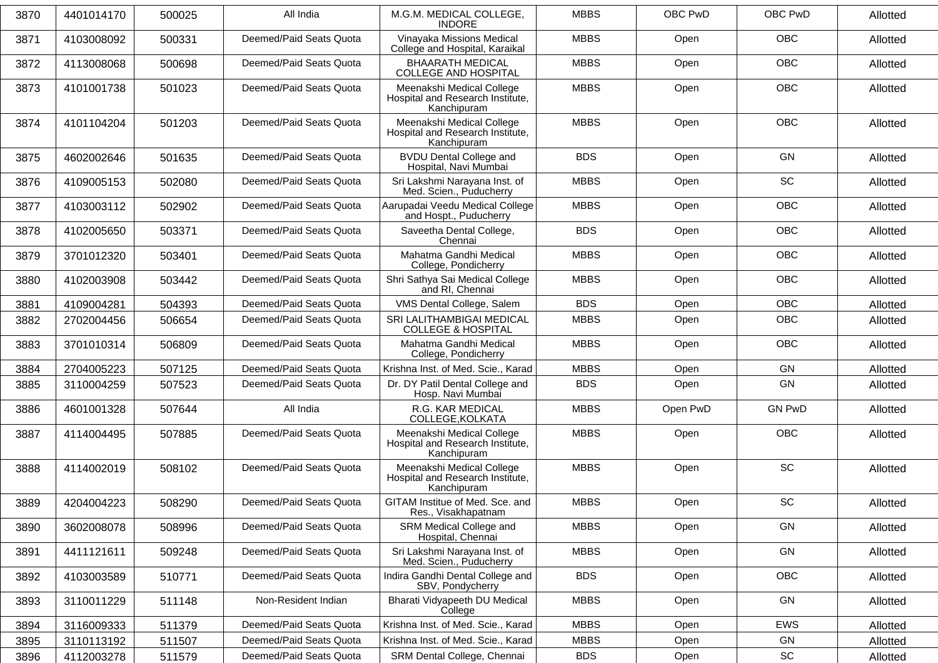| 3870 | 4401014170 | 500025 | All India               | M.G.M. MEDICAL COLLEGE,<br><b>INDORE</b>                                     | <b>MBBS</b> | OBC PwD  | OBC PwD       | Allotted |
|------|------------|--------|-------------------------|------------------------------------------------------------------------------|-------------|----------|---------------|----------|
| 3871 | 4103008092 | 500331 | Deemed/Paid Seats Quota | Vinayaka Missions Medical<br>College and Hospital, Karaikal                  | <b>MBBS</b> | Open     | <b>OBC</b>    | Allotted |
| 3872 | 4113008068 | 500698 | Deemed/Paid Seats Quota | <b>BHAARATH MEDICAL</b><br><b>COLLEGE AND HOSPITAL</b>                       | <b>MBBS</b> | Open     | <b>OBC</b>    | Allotted |
| 3873 | 4101001738 | 501023 | Deemed/Paid Seats Quota | Meenakshi Medical College<br>Hospital and Research Institute,<br>Kanchipuram | <b>MBBS</b> | Open     | <b>OBC</b>    | Allotted |
| 3874 | 4101104204 | 501203 | Deemed/Paid Seats Quota | Meenakshi Medical College<br>Hospital and Research Institute,<br>Kanchipuram | <b>MBBS</b> | Open     | <b>OBC</b>    | Allotted |
| 3875 | 4602002646 | 501635 | Deemed/Paid Seats Quota | <b>BVDU Dental College and</b><br>Hospital, Navi Mumbai                      | <b>BDS</b>  | Open     | <b>GN</b>     | Allotted |
| 3876 | 4109005153 | 502080 | Deemed/Paid Seats Quota | Sri Lakshmi Narayana Inst. of<br>Med. Scien., Puducherry                     | <b>MBBS</b> | Open     | <b>SC</b>     | Allotted |
| 3877 | 4103003112 | 502902 | Deemed/Paid Seats Quota | Aarupadai Veedu Medical College<br>and Hospt., Puducherry                    | <b>MBBS</b> | Open     | OBC           | Allotted |
| 3878 | 4102005650 | 503371 | Deemed/Paid Seats Quota | Saveetha Dental College,<br>Chennai                                          | <b>BDS</b>  | Open     | <b>OBC</b>    | Allotted |
| 3879 | 3701012320 | 503401 | Deemed/Paid Seats Quota | Mahatma Gandhi Medical<br>College, Pondicherry                               | <b>MBBS</b> | Open     | <b>OBC</b>    | Allotted |
| 3880 | 4102003908 | 503442 | Deemed/Paid Seats Quota | Shri Sathya Sai Medical College<br>and RI, Chennai                           | <b>MBBS</b> | Open     | OBC           | Allotted |
| 3881 | 4109004281 | 504393 | Deemed/Paid Seats Quota | VMS Dental College, Salem                                                    | <b>BDS</b>  | Open     | <b>OBC</b>    | Allotted |
| 3882 | 2702004456 | 506654 | Deemed/Paid Seats Quota | SRI LALITHAMBIGAI MEDICAL<br><b>COLLEGE &amp; HOSPITAL</b>                   | <b>MBBS</b> | Open     | OBC           | Allotted |
| 3883 | 3701010314 | 506809 | Deemed/Paid Seats Quota | Mahatma Gandhi Medical<br>College, Pondicherry                               | <b>MBBS</b> | Open     | <b>OBC</b>    | Allotted |
| 3884 | 2704005223 | 507125 | Deemed/Paid Seats Quota | Krishna Inst. of Med. Scie., Karad                                           | <b>MBBS</b> | Open     | GN            | Allotted |
| 3885 | 3110004259 | 507523 | Deemed/Paid Seats Quota | Dr. DY Patil Dental College and<br>Hosp. Navi Mumbai                         | <b>BDS</b>  | Open     | <b>GN</b>     | Allotted |
| 3886 | 4601001328 | 507644 | All India               | R.G. KAR MEDICAL<br>COLLEGE, KOLKATA                                         | <b>MBBS</b> | Open PwD | <b>GN PwD</b> | Allotted |
| 3887 | 4114004495 | 507885 | Deemed/Paid Seats Quota | Meenakshi Medical College<br>Hospital and Research Institute,<br>Kanchipuram | <b>MBBS</b> | Open     | OBC           | Allotted |
| 3888 | 4114002019 | 508102 | Deemed/Paid Seats Quota | Meenakshi Medical College<br>Hospital and Research Institute,<br>Kanchipuram | <b>MBBS</b> | Open     | <b>SC</b>     | Allotted |
| 3889 | 4204004223 | 508290 | Deemed/Paid Seats Quota | GITAM Institue of Med. Sce. and<br>Res., Visakhapatnam                       | <b>MBBS</b> | Open     | <b>SC</b>     | Allotted |
| 3890 | 3602008078 | 508996 | Deemed/Paid Seats Quota | SRM Medical College and<br>Hospital, Chennai                                 | <b>MBBS</b> | Open     | GN            | Allotted |
| 3891 | 4411121611 | 509248 | Deemed/Paid Seats Quota | Sri Lakshmi Narayana Inst. of<br>Med. Scien., Puducherry                     | <b>MBBS</b> | Open     | GN            | Allotted |
| 3892 | 4103003589 | 510771 | Deemed/Paid Seats Quota | Indira Gandhi Dental College and<br>SBV, Pondycherry                         | <b>BDS</b>  | Open     | <b>OBC</b>    | Allotted |
| 3893 | 3110011229 | 511148 | Non-Resident Indian     | Bharati Vidyapeeth DU Medical<br>College                                     | <b>MBBS</b> | Open     | GN            | Allotted |
| 3894 | 3116009333 | 511379 | Deemed/Paid Seats Quota | Krishna Inst. of Med. Scie., Karad                                           | <b>MBBS</b> | Open     | EWS           | Allotted |
| 3895 | 3110113192 | 511507 | Deemed/Paid Seats Quota | Krishna Inst. of Med. Scie., Karad                                           | <b>MBBS</b> | Open     | GN            | Allotted |
| 3896 | 4112003278 | 511579 | Deemed/Paid Seats Quota | SRM Dental College, Chennai                                                  | <b>BDS</b>  | Open     | SC            | Allotted |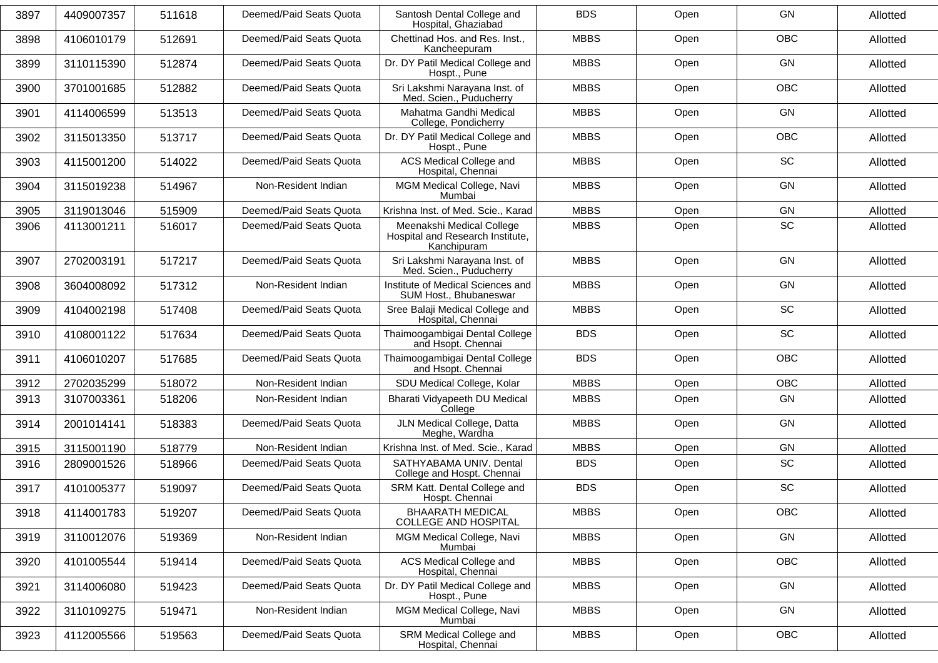| 3897 | 4409007357 | 511618 | Deemed/Paid Seats Quota | Santosh Dental College and<br>Hospital, Ghaziabad                            | <b>BDS</b>  | Open | <b>GN</b>  | Allotted |
|------|------------|--------|-------------------------|------------------------------------------------------------------------------|-------------|------|------------|----------|
| 3898 | 4106010179 | 512691 | Deemed/Paid Seats Quota | Chettinad Hos. and Res. Inst.,<br>Kancheepuram                               | <b>MBBS</b> | Open | <b>OBC</b> | Allotted |
| 3899 | 3110115390 | 512874 | Deemed/Paid Seats Quota | Dr. DY Patil Medical College and<br>Hospt., Pune                             | <b>MBBS</b> | Open | <b>GN</b>  | Allotted |
| 3900 | 3701001685 | 512882 | Deemed/Paid Seats Quota | Sri Lakshmi Narayana Inst. of<br>Med. Scien., Puducherry                     | <b>MBBS</b> | Open | <b>OBC</b> | Allotted |
| 3901 | 4114006599 | 513513 | Deemed/Paid Seats Quota | Mahatma Gandhi Medical<br>College, Pondicherry                               | <b>MBBS</b> | Open | <b>GN</b>  | Allotted |
| 3902 | 3115013350 | 513717 | Deemed/Paid Seats Quota | Dr. DY Patil Medical College and<br>Hospt., Pune                             | <b>MBBS</b> | Open | <b>OBC</b> | Allotted |
| 3903 | 4115001200 | 514022 | Deemed/Paid Seats Quota | ACS Medical College and<br>Hospital, Chennai                                 | <b>MBBS</b> | Open | SC         | Allotted |
| 3904 | 3115019238 | 514967 | Non-Resident Indian     | MGM Medical College, Navi<br>Mumbai                                          | <b>MBBS</b> | Open | <b>GN</b>  | Allotted |
| 3905 | 3119013046 | 515909 | Deemed/Paid Seats Quota | Krishna Inst. of Med. Scie., Karad                                           | <b>MBBS</b> | Open | <b>GN</b>  | Allotted |
| 3906 | 4113001211 | 516017 | Deemed/Paid Seats Quota | Meenakshi Medical College<br>Hospital and Research Institute,<br>Kanchipuram | <b>MBBS</b> | Open | <b>SC</b>  | Allotted |
| 3907 | 2702003191 | 517217 | Deemed/Paid Seats Quota | Sri Lakshmi Narayana Inst. of<br>Med. Scien., Puducherry                     | <b>MBBS</b> | Open | GN         | Allotted |
| 3908 | 3604008092 | 517312 | Non-Resident Indian     | Institute of Medical Sciences and<br>SUM Host., Bhubaneswar                  | <b>MBBS</b> | Open | <b>GN</b>  | Allotted |
| 3909 | 4104002198 | 517408 | Deemed/Paid Seats Quota | Sree Balaji Medical College and<br>Hospital, Chennai                         | <b>MBBS</b> | Open | <b>SC</b>  | Allotted |
| 3910 | 4108001122 | 517634 | Deemed/Paid Seats Quota | Thaimoogambigai Dental College<br>and Hsopt. Chennai                         | <b>BDS</b>  | Open | SC         | Allotted |
| 3911 | 4106010207 | 517685 | Deemed/Paid Seats Quota | Thaimoogambigai Dental College<br>and Hsopt. Chennai                         | <b>BDS</b>  | Open | <b>OBC</b> | Allotted |
| 3912 | 2702035299 | 518072 | Non-Resident Indian     | SDU Medical College, Kolar                                                   | <b>MBBS</b> | Open | <b>OBC</b> | Allotted |
| 3913 | 3107003361 | 518206 | Non-Resident Indian     | Bharati Vidyapeeth DU Medical<br>College                                     | <b>MBBS</b> | Open | GN         | Allotted |
| 3914 | 2001014141 | 518383 | Deemed/Paid Seats Quota | JLN Medical College, Datta<br>Meghe, Wardha                                  | <b>MBBS</b> | Open | GN         | Allotted |
| 3915 | 3115001190 | 518779 | Non-Resident Indian     | Krishna Inst. of Med. Scie., Karad                                           | <b>MBBS</b> | Open | GN         | Allotted |
| 3916 | 2809001526 | 518966 | Deemed/Paid Seats Quota | SATHYABAMA UNIV. Dental<br>College and Hospt. Chennai                        | <b>BDS</b>  | Open | SC         | Allotted |
| 3917 | 4101005377 | 519097 | Deemed/Paid Seats Quota | SRM Katt. Dental College and<br>Hospt. Chennai                               | <b>BDS</b>  | Open | SC         | Allotted |
| 3918 | 4114001783 | 519207 | Deemed/Paid Seats Quota | <b>BHAARATH MEDICAL</b><br>COLLEGE AND HOSPITAL                              | <b>MBBS</b> | Open | OBC        | Allotted |
| 3919 | 3110012076 | 519369 | Non-Resident Indian     | MGM Medical College, Navi<br>Mumbai                                          | <b>MBBS</b> | Open | GN         | Allotted |
| 3920 | 4101005544 | 519414 | Deemed/Paid Seats Quota | ACS Medical College and<br>Hospital, Chennai                                 | <b>MBBS</b> | Open | OBC        | Allotted |
| 3921 | 3114006080 | 519423 | Deemed/Paid Seats Quota | Dr. DY Patil Medical College and<br>Hospt., Pune                             | <b>MBBS</b> | Open | GN         | Allotted |
| 3922 | 3110109275 | 519471 | Non-Resident Indian     | MGM Medical College, Navi<br>Mumbai                                          | <b>MBBS</b> | Open | GN         | Allotted |
| 3923 | 4112005566 | 519563 | Deemed/Paid Seats Quota | SRM Medical College and<br>Hospital, Chennai                                 | <b>MBBS</b> | Open | OBC        | Allotted |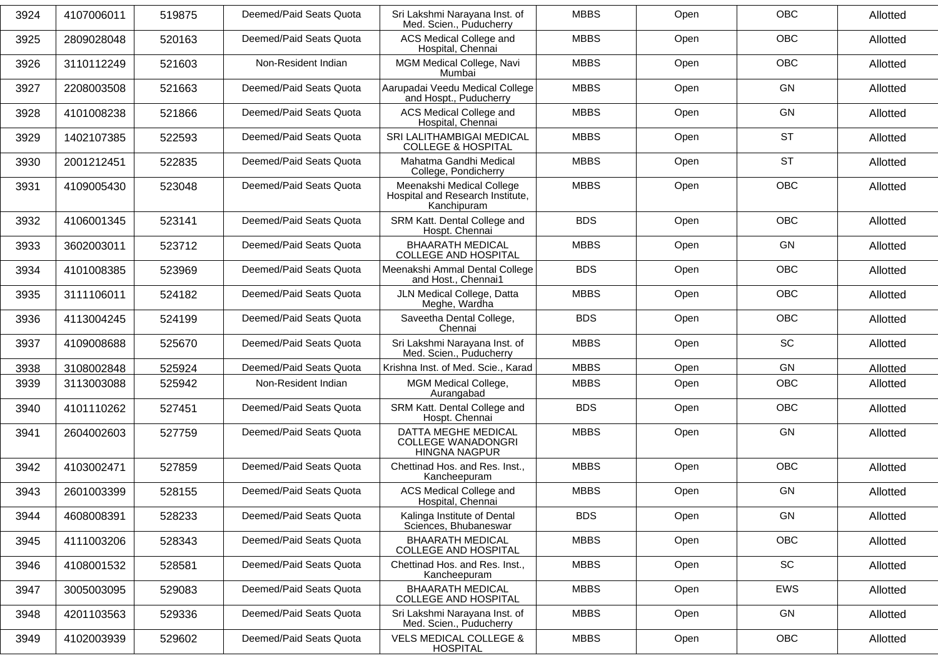| 3924 | 4107006011 | 519875 | Deemed/Paid Seats Quota | Sri Lakshmi Narayana Inst. of<br>Med. Scien., Puducherry                     | <b>MBBS</b> | Open | <b>OBC</b> | Allotted |
|------|------------|--------|-------------------------|------------------------------------------------------------------------------|-------------|------|------------|----------|
| 3925 | 2809028048 | 520163 | Deemed/Paid Seats Quota | ACS Medical College and<br>Hospital, Chennai                                 | <b>MBBS</b> | Open | OBC        | Allotted |
| 3926 | 3110112249 | 521603 | Non-Resident Indian     | MGM Medical College, Navi<br>Mumbai                                          | <b>MBBS</b> | Open | <b>OBC</b> | Allotted |
| 3927 | 2208003508 | 521663 | Deemed/Paid Seats Quota | Aarupadai Veedu Medical College<br>and Hospt., Puducherry                    | <b>MBBS</b> | Open | GN         | Allotted |
| 3928 | 4101008238 | 521866 | Deemed/Paid Seats Quota | ACS Medical College and<br>Hospital, Chennai                                 | <b>MBBS</b> | Open | GN         | Allotted |
| 3929 | 1402107385 | 522593 | Deemed/Paid Seats Quota | SRI LALITHAMBIGAI MEDICAL<br><b>COLLEGE &amp; HOSPITAL</b>                   | <b>MBBS</b> | Open | <b>ST</b>  | Allotted |
| 3930 | 2001212451 | 522835 | Deemed/Paid Seats Quota | Mahatma Gandhi Medical<br>College, Pondicherry                               | <b>MBBS</b> | Open | <b>ST</b>  | Allotted |
| 3931 | 4109005430 | 523048 | Deemed/Paid Seats Quota | Meenakshi Medical College<br>Hospital and Research Institute,<br>Kanchipuram | <b>MBBS</b> | Open | <b>OBC</b> | Allotted |
| 3932 | 4106001345 | 523141 | Deemed/Paid Seats Quota | SRM Katt. Dental College and<br>Hospt. Chennai                               | <b>BDS</b>  | Open | <b>OBC</b> | Allotted |
| 3933 | 3602003011 | 523712 | Deemed/Paid Seats Quota | <b>BHAARATH MEDICAL</b><br><b>COLLEGE AND HOSPITAL</b>                       | <b>MBBS</b> | Open | GN         | Allotted |
| 3934 | 4101008385 | 523969 | Deemed/Paid Seats Quota | Meenakshi Ammal Dental College<br>and Host., Chennai1                        | <b>BDS</b>  | Open | OBC        | Allotted |
| 3935 | 3111106011 | 524182 | Deemed/Paid Seats Quota | JLN Medical College, Datta<br>Meghe, Wardha                                  | <b>MBBS</b> | Open | <b>OBC</b> | Allotted |
| 3936 | 4113004245 | 524199 | Deemed/Paid Seats Quota | Saveetha Dental College,<br>Chennai                                          | <b>BDS</b>  | Open | <b>OBC</b> | Allotted |
| 3937 | 4109008688 | 525670 | Deemed/Paid Seats Quota | Sri Lakshmi Narayana Inst. of<br>Med. Scien., Puducherry                     | <b>MBBS</b> | Open | SC         | Allotted |
| 3938 | 3108002848 | 525924 | Deemed/Paid Seats Quota | Krishna Inst. of Med. Scie., Karad                                           | <b>MBBS</b> | Open | GN         | Allotted |
| 3939 | 3113003088 | 525942 | Non-Resident Indian     | MGM Medical College,<br>Aurangabad                                           | <b>MBBS</b> | Open | OBC        | Allotted |
| 3940 | 4101110262 | 527451 | Deemed/Paid Seats Quota | SRM Katt. Dental College and<br>Hospt. Chennai                               | <b>BDS</b>  | Open | OBC        | Allotted |
| 3941 | 2604002603 | 527759 | Deemed/Paid Seats Quota | DATTA MEGHE MEDICAL<br><b>COLLEGE WANADONGRI</b><br><b>HINGNA NAGPUR</b>     | <b>MBBS</b> | Open | GN         | Allotted |
| 3942 | 4103002471 | 527859 | Deemed/Paid Seats Quota | Chettinad Hos. and Res. Inst.,<br>Kancheepuram                               | <b>MBBS</b> | Open | OBC        | Allotted |
| 3943 | 2601003399 | 528155 | Deemed/Paid Seats Quota | ACS Medical College and<br>Hospital, Chennai                                 | <b>MBBS</b> | Open | GN         | Allotted |
| 3944 | 4608008391 | 528233 | Deemed/Paid Seats Quota | Kalinga Institute of Dental<br>Sciences, Bhubaneswar                         | <b>BDS</b>  | Open | GN         | Allotted |
| 3945 | 4111003206 | 528343 | Deemed/Paid Seats Quota | <b>BHAARATH MEDICAL</b><br>COLLEGE AND HOSPITAL                              | <b>MBBS</b> | Open | <b>OBC</b> | Allotted |
| 3946 | 4108001532 | 528581 | Deemed/Paid Seats Quota | Chettinad Hos. and Res. Inst.,<br>Kancheepuram                               | <b>MBBS</b> | Open | SC         | Allotted |
| 3947 | 3005003095 | 529083 | Deemed/Paid Seats Quota | <b>BHAARATH MEDICAL</b><br>COLLEGE AND HOSPITAL                              | <b>MBBS</b> | Open | <b>EWS</b> | Allotted |
| 3948 | 4201103563 | 529336 | Deemed/Paid Seats Quota | Sri Lakshmi Narayana Inst. of<br>Med. Scien., Puducherry                     | <b>MBBS</b> | Open | GN         | Allotted |
| 3949 | 4102003939 | 529602 | Deemed/Paid Seats Quota | <b>VELS MEDICAL COLLEGE &amp;</b><br><b>HOSPITAL</b>                         | <b>MBBS</b> | Open | <b>OBC</b> | Allotted |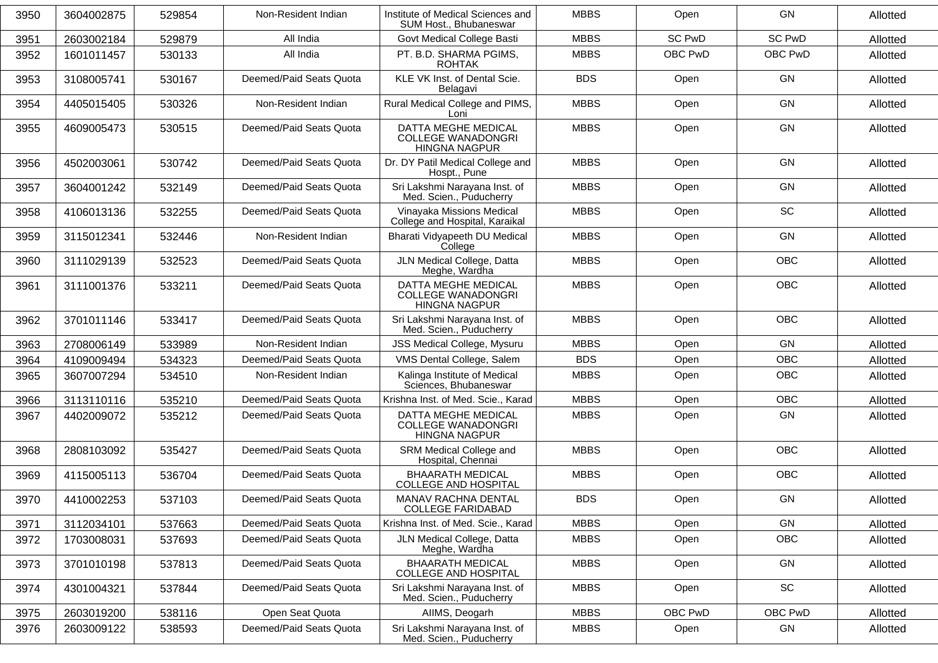| 3950 | 3604002875 | 529854 | Non-Resident Indian     | Institute of Medical Sciences and                                        | <b>MBBS</b> | Open          | GN            |          |
|------|------------|--------|-------------------------|--------------------------------------------------------------------------|-------------|---------------|---------------|----------|
|      |            |        |                         | SUM Host., Bhubaneswar                                                   |             |               |               | Allotted |
| 3951 | 2603002184 | 529879 | All India               | Govt Medical College Basti                                               | <b>MBBS</b> | <b>SC PwD</b> | <b>SC PwD</b> | Allotted |
| 3952 | 1601011457 | 530133 | All India               | PT. B.D. SHARMA PGIMS,<br><b>ROHTAK</b>                                  | <b>MBBS</b> | OBC PwD       | OBC PwD       | Allotted |
| 3953 | 3108005741 | 530167 | Deemed/Paid Seats Quota | KLE VK Inst. of Dental Scie.<br>Belagavi                                 | <b>BDS</b>  | Open          | GN            | Allotted |
| 3954 | 4405015405 | 530326 | Non-Resident Indian     | Rural Medical College and PIMS,<br>Loni                                  | <b>MBBS</b> | Open          | GN            | Allotted |
| 3955 | 4609005473 | 530515 | Deemed/Paid Seats Quota | DATTA MEGHE MEDICAL<br><b>COLLEGE WANADONGRI</b><br><b>HINGNA NAGPUR</b> | <b>MBBS</b> | Open          | GN            | Allotted |
| 3956 | 4502003061 | 530742 | Deemed/Paid Seats Quota | Dr. DY Patil Medical College and<br>Hospt., Pune                         | <b>MBBS</b> | Open          | GN            | Allotted |
| 3957 | 3604001242 | 532149 | Deemed/Paid Seats Quota | Sri Lakshmi Narayana Inst. of<br>Med. Scien., Puducherry                 | <b>MBBS</b> | Open          | GN            | Allotted |
| 3958 | 4106013136 | 532255 | Deemed/Paid Seats Quota | Vinayaka Missions Medical<br>College and Hospital, Karaikal              | <b>MBBS</b> | Open          | SC            | Allotted |
| 3959 | 3115012341 | 532446 | Non-Resident Indian     | Bharati Vidyapeeth DU Medical<br>College                                 | <b>MBBS</b> | Open          | GN            | Allotted |
| 3960 | 3111029139 | 532523 | Deemed/Paid Seats Quota | JLN Medical College, Datta<br>Meghe, Wardha                              | <b>MBBS</b> | Open          | <b>OBC</b>    | Allotted |
| 3961 | 3111001376 | 533211 | Deemed/Paid Seats Quota | DATTA MEGHE MEDICAL<br><b>COLLEGE WANADONGRI</b><br><b>HINGNA NAGPUR</b> | <b>MBBS</b> | Open          | <b>OBC</b>    | Allotted |
| 3962 | 3701011146 | 533417 | Deemed/Paid Seats Quota | Sri Lakshmi Narayana Inst. of<br>Med. Scien., Puducherry                 | <b>MBBS</b> | Open          | <b>OBC</b>    | Allotted |
| 3963 | 2708006149 | 533989 | Non-Resident Indian     | JSS Medical College, Mysuru                                              | <b>MBBS</b> | Open          | GN            | Allotted |
| 3964 | 4109009494 | 534323 | Deemed/Paid Seats Quota | VMS Dental College, Salem                                                | <b>BDS</b>  | Open          | <b>OBC</b>    | Allotted |
| 3965 | 3607007294 | 534510 | Non-Resident Indian     | Kalinga Institute of Medical<br>Sciences, Bhubaneswar                    | <b>MBBS</b> | Open          | <b>OBC</b>    | Allotted |
| 3966 | 3113110116 | 535210 | Deemed/Paid Seats Quota | Krishna Inst. of Med. Scie., Karad                                       | <b>MBBS</b> | Open          | <b>OBC</b>    | Allotted |
| 3967 | 4402009072 | 535212 | Deemed/Paid Seats Quota | DATTA MEGHE MEDICAL<br><b>COLLEGE WANADONGRI</b><br><b>HINGNA NAGPUR</b> | <b>MBBS</b> | Open          | GN            | Allotted |
| 3968 | 2808103092 | 535427 | Deemed/Paid Seats Quota | SRM Medical College and<br>Hospital, Chennai                             | <b>MBBS</b> | Open          | <b>OBC</b>    | Allotted |
| 3969 | 4115005113 | 536704 | Deemed/Paid Seats Quota | <b>BHAARATH MEDICAL</b><br><b>COLLEGE AND HOSPITAL</b>                   | <b>MBBS</b> | Open          | <b>OBC</b>    | Allotted |
| 3970 | 4410002253 | 537103 | Deemed/Paid Seats Quota | MANAV RACHNA DENTAL<br><b>COLLEGE FARIDABAD</b>                          | <b>BDS</b>  | Open          | GN            | Allotted |
| 3971 | 3112034101 | 537663 | Deemed/Paid Seats Quota | Krishna Inst. of Med. Scie., Karad                                       | <b>MBBS</b> | Open          | GN            | Allotted |
| 3972 | 1703008031 | 537693 | Deemed/Paid Seats Quota | JLN Medical College, Datta<br>Meghe, Wardha                              | <b>MBBS</b> | Open          | OBC           | Allotted |
| 3973 | 3701010198 | 537813 | Deemed/Paid Seats Quota | <b>BHAARATH MEDICAL</b><br><b>COLLEGE AND HOSPITAL</b>                   | <b>MBBS</b> | Open          | GN            | Allotted |
| 3974 | 4301004321 | 537844 | Deemed/Paid Seats Quota | Sri Lakshmi Narayana Inst. of<br>Med. Scien., Puducherry                 | <b>MBBS</b> | Open          | SC            | Allotted |
| 3975 | 2603019200 | 538116 | Open Seat Quota         | AIIMS, Deogarh                                                           | <b>MBBS</b> | OBC PwD       | OBC PwD       | Allotted |
| 3976 | 2603009122 | 538593 | Deemed/Paid Seats Quota | Sri Lakshmi Narayana Inst. of<br>Med. Scien., Puducherry                 | <b>MBBS</b> | Open          | GN            | Allotted |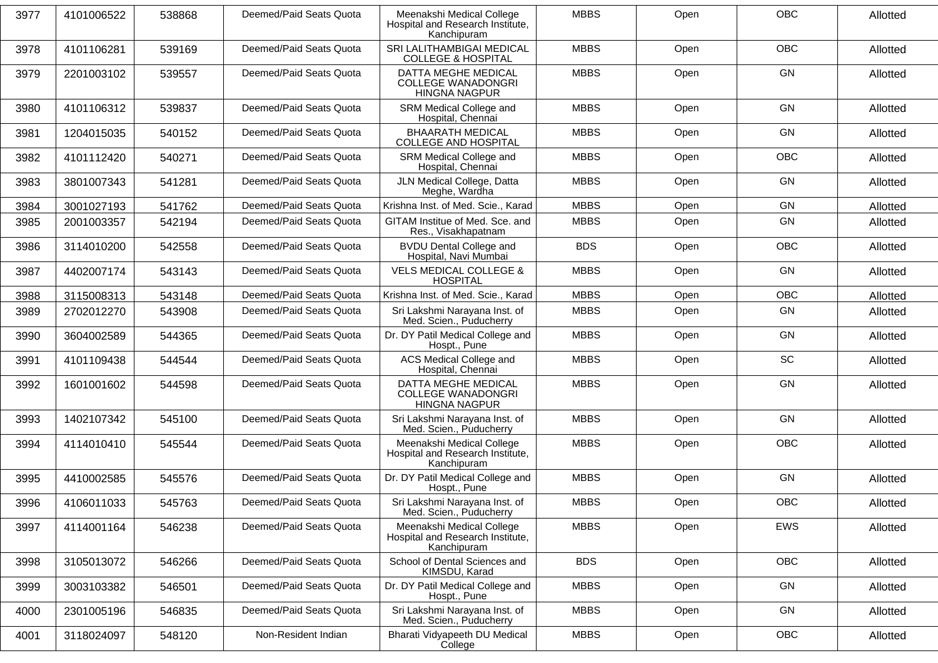| 3977 | 4101006522 | 538868 | Deemed/Paid Seats Quota | Meenakshi Medical College<br>Hospital and Research Institute,<br>Kanchipuram | <b>MBBS</b> | Open | <b>OBC</b> | Allotted |
|------|------------|--------|-------------------------|------------------------------------------------------------------------------|-------------|------|------------|----------|
| 3978 | 4101106281 | 539169 | Deemed/Paid Seats Quota | SRI LALITHAMBIGAI MEDICAL<br><b>COLLEGE &amp; HOSPITAL</b>                   | <b>MBBS</b> | Open | <b>OBC</b> | Allotted |
| 3979 | 2201003102 | 539557 | Deemed/Paid Seats Quota | DATTA MEGHE MEDICAL<br><b>COLLEGE WANADONGRI</b><br><b>HINGNA NAGPUR</b>     | <b>MBBS</b> | Open | GN         | Allotted |
| 3980 | 4101106312 | 539837 | Deemed/Paid Seats Quota | SRM Medical College and<br>Hospital, Chennai                                 | <b>MBBS</b> | Open | GN         | Allotted |
| 3981 | 1204015035 | 540152 | Deemed/Paid Seats Quota | <b>BHAARATH MEDICAL</b><br><b>COLLEGE AND HOSPITAL</b>                       | <b>MBBS</b> | Open | GN         | Allotted |
| 3982 | 4101112420 | 540271 | Deemed/Paid Seats Quota | SRM Medical College and<br>Hospital, Chennai                                 | <b>MBBS</b> | Open | <b>OBC</b> | Allotted |
| 3983 | 3801007343 | 541281 | Deemed/Paid Seats Quota | JLN Medical College, Datta<br>Meghe, Wardha                                  | <b>MBBS</b> | Open | GN         | Allotted |
| 3984 | 3001027193 | 541762 | Deemed/Paid Seats Quota | Krishna Inst. of Med. Scie., Karad                                           | <b>MBBS</b> | Open | GN         | Allotted |
| 3985 | 2001003357 | 542194 | Deemed/Paid Seats Quota | GITAM Institue of Med. Sce. and<br>Res., Visakhapatnam                       | <b>MBBS</b> | Open | GN         | Allotted |
| 3986 | 3114010200 | 542558 | Deemed/Paid Seats Quota | <b>BVDU Dental College and</b><br>Hospital, Navi Mumbai                      | <b>BDS</b>  | Open | <b>OBC</b> | Allotted |
| 3987 | 4402007174 | 543143 | Deemed/Paid Seats Quota | <b>VELS MEDICAL COLLEGE &amp;</b><br><b>HOSPITAL</b>                         | <b>MBBS</b> | Open | GN         | Allotted |
| 3988 | 3115008313 | 543148 | Deemed/Paid Seats Quota | Krishna Inst. of Med. Scie., Karad                                           | <b>MBBS</b> | Open | <b>OBC</b> | Allotted |
| 3989 | 2702012270 | 543908 | Deemed/Paid Seats Quota | Sri Lakshmi Narayana Inst. of<br>Med. Scien., Puducherry                     | <b>MBBS</b> | Open | <b>GN</b>  | Allotted |
| 3990 | 3604002589 | 544365 | Deemed/Paid Seats Quota | Dr. DY Patil Medical College and<br>Hospt., Pune                             | <b>MBBS</b> | Open | <b>GN</b>  | Allotted |
| 3991 | 4101109438 | 544544 | Deemed/Paid Seats Quota | <b>ACS Medical College and</b><br>Hospital, Chennai                          | <b>MBBS</b> | Open | SC         | Allotted |
| 3992 | 1601001602 | 544598 | Deemed/Paid Seats Quota | DATTA MEGHE MEDICAL<br><b>COLLEGE WANADONGRI</b><br><b>HINGNA NAGPUR</b>     | <b>MBBS</b> | Open | GN         | Allotted |
| 3993 | 1402107342 | 545100 | Deemed/Paid Seats Quota | Sri Lakshmi Narayana Inst. of<br>Med. Scien., Puducherry                     | <b>MBBS</b> | Open | <b>GN</b>  | Allotted |
| 3994 | 4114010410 | 545544 | Deemed/Paid Seats Quota | Meenakshi Medical College<br>Hospital and Research Institute,<br>Kanchipuram | <b>MBBS</b> | Open | OBC        | Allotted |
| 3995 | 4410002585 | 545576 | Deemed/Paid Seats Quota | Dr. DY Patil Medical College and<br>Hospt., Pune                             | <b>MBBS</b> | Open | <b>GN</b>  | Allotted |
| 3996 | 4106011033 | 545763 | Deemed/Paid Seats Quota | Sri Lakshmi Narayana Inst. of<br>Med. Scien., Puducherry                     | <b>MBBS</b> | Open | OBC        | Allotted |
| 3997 | 4114001164 | 546238 | Deemed/Paid Seats Quota | Meenakshi Medical College<br>Hospital and Research Institute,<br>Kanchipuram | <b>MBBS</b> | Open | EWS        | Allotted |
| 3998 | 3105013072 | 546266 | Deemed/Paid Seats Quota | School of Dental Sciences and<br>KIMSDU, Karad                               | <b>BDS</b>  | Open | OBC        | Allotted |
| 3999 | 3003103382 | 546501 | Deemed/Paid Seats Quota | Dr. DY Patil Medical College and<br>Hospt., Pune                             | <b>MBBS</b> | Open | GN         | Allotted |
| 4000 | 2301005196 | 546835 | Deemed/Paid Seats Quota | Sri Lakshmi Narayana Inst. of<br>Med. Scien., Puducherry                     | <b>MBBS</b> | Open | GN         | Allotted |
| 4001 | 3118024097 | 548120 | Non-Resident Indian     | Bharati Vidyapeeth DU Medical<br>College                                     | <b>MBBS</b> | Open | OBC        | Allotted |
|      |            |        |                         |                                                                              |             |      |            |          |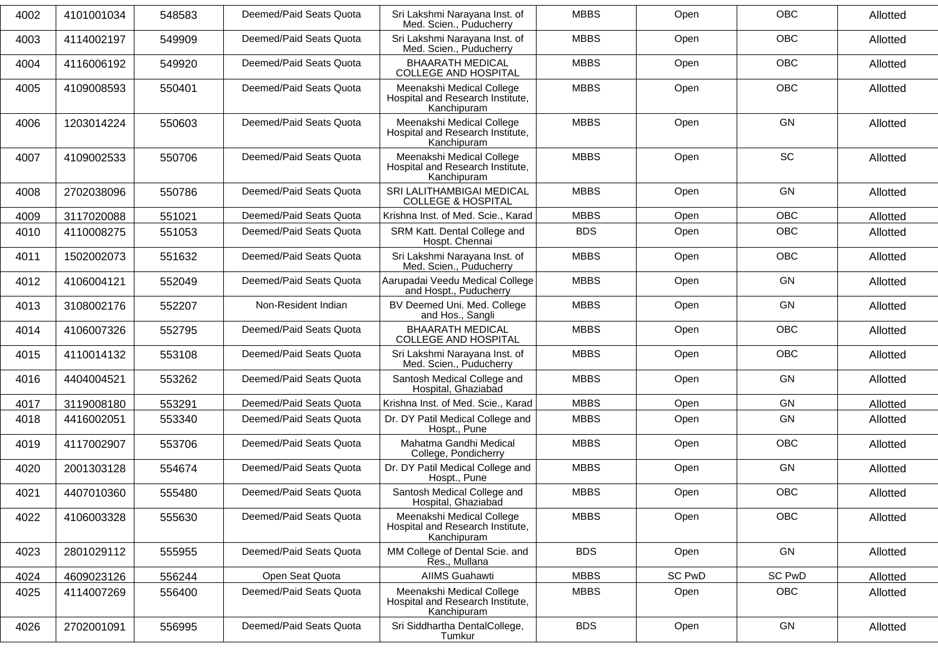| 4002 | 4101001034 | 548583 | Deemed/Paid Seats Quota | Sri Lakshmi Narayana Inst. of<br>Med. Scien Puducherry                       | <b>MBBS</b> | Open          | <b>OBC</b>    | Allotted |
|------|------------|--------|-------------------------|------------------------------------------------------------------------------|-------------|---------------|---------------|----------|
| 4003 | 4114002197 | 549909 | Deemed/Paid Seats Quota | Sri Lakshmi Narayana Inst. of<br>Med. Scien., Puducherry                     | <b>MBBS</b> | Open          | OBC           | Allotted |
| 4004 | 4116006192 | 549920 | Deemed/Paid Seats Quota | <b>BHAARATH MEDICAL</b><br><b>COLLEGE AND HOSPITAL</b>                       | <b>MBBS</b> | Open          | <b>OBC</b>    | Allotted |
| 4005 | 4109008593 | 550401 | Deemed/Paid Seats Quota | Meenakshi Medical College<br>Hospital and Research Institute,<br>Kanchipuram | <b>MBBS</b> | Open          | <b>OBC</b>    | Allotted |
| 4006 | 1203014224 | 550603 | Deemed/Paid Seats Quota | Meenakshi Medical College<br>Hospital and Research Institute,<br>Kanchipuram | <b>MBBS</b> | Open          | GN            | Allotted |
| 4007 | 4109002533 | 550706 | Deemed/Paid Seats Quota | Meenakshi Medical College<br>Hospital and Research Institute,<br>Kanchipuram | <b>MBBS</b> | Open          | SC            | Allotted |
| 4008 | 2702038096 | 550786 | Deemed/Paid Seats Quota | SRI LALITHAMBIGAI MEDICAL<br><b>COLLEGE &amp; HOSPITAL</b>                   | <b>MBBS</b> | Open          | GN            | Allotted |
| 4009 | 3117020088 | 551021 | Deemed/Paid Seats Quota | Krishna Inst. of Med. Scie., Karad                                           | <b>MBBS</b> | Open          | <b>OBC</b>    | Allotted |
| 4010 | 4110008275 | 551053 | Deemed/Paid Seats Quota | SRM Katt. Dental College and<br>Hospt. Chennai                               | <b>BDS</b>  | Open          | <b>OBC</b>    | Allotted |
| 4011 | 1502002073 | 551632 | Deemed/Paid Seats Quota | Sri Lakshmi Narayana Inst. of<br>Med. Scien., Puducherry                     | <b>MBBS</b> | Open          | <b>OBC</b>    | Allotted |
| 4012 | 4106004121 | 552049 | Deemed/Paid Seats Quota | Aarupadai Veedu Medical College<br>and Hospt., Puducherry                    | <b>MBBS</b> | Open          | GN            | Allotted |
| 4013 | 3108002176 | 552207 | Non-Resident Indian     | BV Deemed Uni. Med. College<br>and Hos., Sangli                              | <b>MBBS</b> | Open          | GN            | Allotted |
| 4014 | 4106007326 | 552795 | Deemed/Paid Seats Quota | <b>BHAARATH MEDICAL</b><br><b>COLLEGE AND HOSPITAL</b>                       | <b>MBBS</b> | Open          | OBC           | Allotted |
| 4015 | 4110014132 | 553108 | Deemed/Paid Seats Quota | Sri Lakshmi Narayana Inst. of<br>Med. Scien., Puducherry                     | <b>MBBS</b> | Open          | <b>OBC</b>    | Allotted |
| 4016 | 4404004521 | 553262 | Deemed/Paid Seats Quota | Santosh Medical College and<br>Hospital, Ghaziabad                           | <b>MBBS</b> | Open          | GN            | Allotted |
| 4017 | 3119008180 | 553291 | Deemed/Paid Seats Quota | Krishna Inst. of Med. Scie., Karad                                           | <b>MBBS</b> | Open          | GN            | Allotted |
| 4018 | 4416002051 | 553340 | Deemed/Paid Seats Quota | Dr. DY Patil Medical College and<br>Hospt., Pune                             | <b>MBBS</b> | Open          | GN            | Allotted |
| 4019 | 4117002907 | 553706 | Deemed/Paid Seats Quota | Mahatma Gandhi Medical<br>College, Pondicherry                               | <b>MBBS</b> | Open          | <b>OBC</b>    | Allotted |
| 4020 | 2001303128 | 554674 | Deemed/Paid Seats Quota | Dr. DY Patil Medical College and<br>Hospt., Pune                             | <b>MBBS</b> | Open          | GN            | Allotted |
| 4021 | 4407010360 | 555480 | Deemed/Paid Seats Quota | Santosh Medical College and<br>Hospital, Ghaziabad                           | <b>MBBS</b> | Open          | OBC           | Allotted |
| 4022 | 4106003328 | 555630 | Deemed/Paid Seats Quota | Meenakshi Medical College<br>Hospital and Research Institute,<br>Kanchipuram | <b>MBBS</b> | Open          | <b>OBC</b>    | Allotted |
| 4023 | 2801029112 | 555955 | Deemed/Paid Seats Quota | MM College of Dental Scie. and<br>Res., Mullana                              | <b>BDS</b>  | Open          | GN            | Allotted |
| 4024 | 4609023126 | 556244 | Open Seat Quota         | AIIMS Guahawti                                                               | <b>MBBS</b> | <b>SC PwD</b> | <b>SC PwD</b> | Allotted |
| 4025 | 4114007269 | 556400 | Deemed/Paid Seats Quota | Meenakshi Medical College<br>Hospital and Research Institute,<br>Kanchipuram | <b>MBBS</b> | Open          | OBC           | Allotted |
| 4026 | 2702001091 | 556995 | Deemed/Paid Seats Quota | Sri Siddhartha DentalCollege,<br>Tumkur                                      | <b>BDS</b>  | Open          | GN            | Allotted |
|      |            |        |                         |                                                                              |             |               |               |          |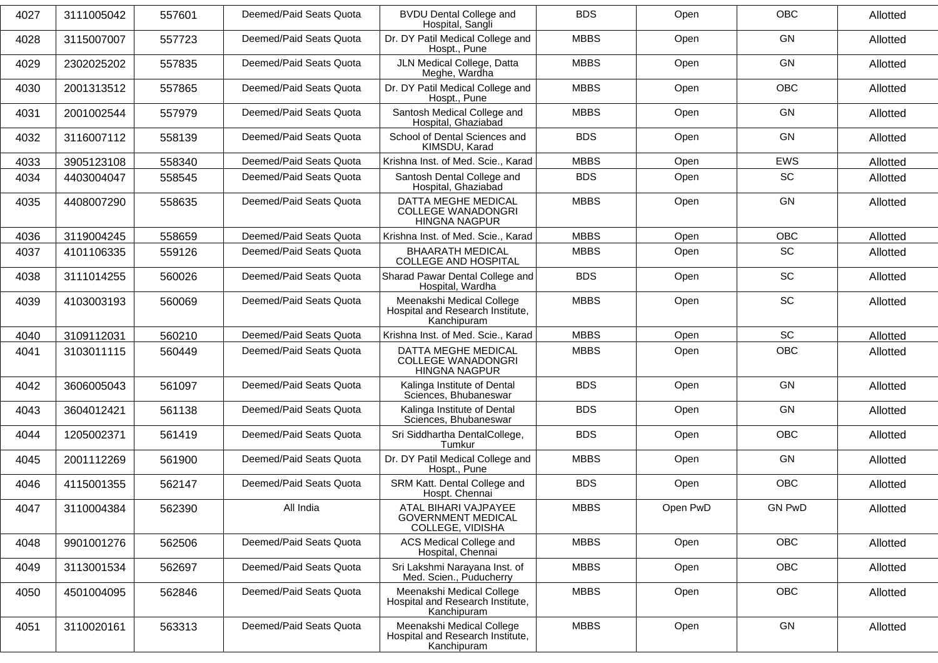| 4027 | 3111005042 | 557601 | Deemed/Paid Seats Quota | <b>BVDU Dental College and</b><br>Hospital, Sangli                              | <b>BDS</b>  | Open     | <b>OBC</b>    | Allotted |
|------|------------|--------|-------------------------|---------------------------------------------------------------------------------|-------------|----------|---------------|----------|
| 4028 | 3115007007 | 557723 | Deemed/Paid Seats Quota | Dr. DY Patil Medical College and<br>Hospt., Pune                                | <b>MBBS</b> | Open     | GN            | Allotted |
| 4029 | 2302025202 | 557835 | Deemed/Paid Seats Quota | JLN Medical College, Datta<br>Meghe, Wardha                                     | <b>MBBS</b> | Open     | <b>GN</b>     | Allotted |
| 4030 | 2001313512 | 557865 | Deemed/Paid Seats Quota | Dr. DY Patil Medical College and<br>Hospt., Pune                                | <b>MBBS</b> | Open     | <b>OBC</b>    | Allotted |
| 4031 | 2001002544 | 557979 | Deemed/Paid Seats Quota | Santosh Medical College and<br>Hospital, Ghaziabad                              | <b>MBBS</b> | Open     | <b>GN</b>     | Allotted |
| 4032 | 3116007112 | 558139 | Deemed/Paid Seats Quota | School of Dental Sciences and<br>KIMSDU, Karad                                  | <b>BDS</b>  | Open     | <b>GN</b>     | Allotted |
| 4033 | 3905123108 | 558340 | Deemed/Paid Seats Quota | Krishna Inst. of Med. Scie., Karad                                              | <b>MBBS</b> | Open     | <b>EWS</b>    | Allotted |
| 4034 | 4403004047 | 558545 | Deemed/Paid Seats Quota | Santosh Dental College and<br>Hospital, Ghaziabad                               | <b>BDS</b>  | Open     | SC            | Allotted |
| 4035 | 4408007290 | 558635 | Deemed/Paid Seats Quota | <b>DATTA MEGHE MEDICAL</b><br><b>COLLEGE WANADONGRI</b><br><b>HINGNA NAGPUR</b> | <b>MBBS</b> | Open     | <b>GN</b>     | Allotted |
| 4036 | 3119004245 | 558659 | Deemed/Paid Seats Quota | Krishna Inst. of Med. Scie., Karad                                              | <b>MBBS</b> | Open     | <b>OBC</b>    | Allotted |
| 4037 | 4101106335 | 559126 | Deemed/Paid Seats Quota | <b>BHAARATH MEDICAL</b><br><b>COLLEGE AND HOSPITAL</b>                          | <b>MBBS</b> | Open     | SC            | Allotted |
| 4038 | 3111014255 | 560026 | Deemed/Paid Seats Quota | Sharad Pawar Dental College and<br>Hospital, Wardha                             | <b>BDS</b>  | Open     | SC            | Allotted |
| 4039 | 4103003193 | 560069 | Deemed/Paid Seats Quota | Meenakshi Medical College<br>Hospital and Research Institute,<br>Kanchipuram    | <b>MBBS</b> | Open     | SC            | Allotted |
| 4040 | 3109112031 | 560210 | Deemed/Paid Seats Quota | Krishna Inst. of Med. Scie., Karad                                              | <b>MBBS</b> | Open     | SC            | Allotted |
| 4041 | 3103011115 | 560449 | Deemed/Paid Seats Quota | DATTA MEGHE MEDICAL<br><b>COLLEGE WANADONGRI</b><br><b>HINGNA NAGPUR</b>        | <b>MBBS</b> | Open     | <b>OBC</b>    | Allotted |
| 4042 | 3606005043 | 561097 | Deemed/Paid Seats Quota | Kalinga Institute of Dental<br>Sciences, Bhubaneswar                            | <b>BDS</b>  | Open     | <b>GN</b>     | Allotted |
| 4043 | 3604012421 | 561138 | Deemed/Paid Seats Quota | Kalinga Institute of Dental<br>Sciences, Bhubaneswar                            | <b>BDS</b>  | Open     | GN            | Allotted |
| 4044 | 1205002371 | 561419 | Deemed/Paid Seats Quota | Sri Siddhartha DentalCollege,<br>Tumkur                                         | <b>BDS</b>  | Open     | OBC           | Allotted |
| 4045 | 2001112269 | 561900 | Deemed/Paid Seats Quota | Dr. DY Patil Medical College and<br>Hospt., Pune                                | <b>MBBS</b> | Open     | <b>GN</b>     | Allotted |
| 4046 | 4115001355 | 562147 | Deemed/Paid Seats Quota | SRM Katt. Dental College and<br>Hospt. Chennai                                  | <b>BDS</b>  | Open     | OBC           | Allotted |
| 4047 | 3110004384 | 562390 | All India               | ATAL BIHARI VAJPAYEE<br><b>GOVERNMENT MEDICAL</b><br>COLLEGE, VIDISHA           | <b>MBBS</b> | Open PwD | <b>GN PwD</b> | Allotted |
| 4048 | 9901001276 | 562506 | Deemed/Paid Seats Quota | ACS Medical College and<br>Hospital, Chennai                                    | <b>MBBS</b> | Open     | <b>OBC</b>    | Allotted |
| 4049 | 3113001534 | 562697 | Deemed/Paid Seats Quota | Sri Lakshmi Narayana Inst. of<br>Med. Scien., Puducherry                        | <b>MBBS</b> | Open     | <b>OBC</b>    | Allotted |
| 4050 | 4501004095 | 562846 | Deemed/Paid Seats Quota | Meenakshi Medical College<br>Hospital and Research Institute,<br>Kanchipuram    | <b>MBBS</b> | Open     | <b>OBC</b>    | Allotted |
| 4051 | 3110020161 | 563313 | Deemed/Paid Seats Quota | Meenakshi Medical College<br>Hospital and Research Institute,<br>Kanchipuram    | <b>MBBS</b> | Open     | GN            | Allotted |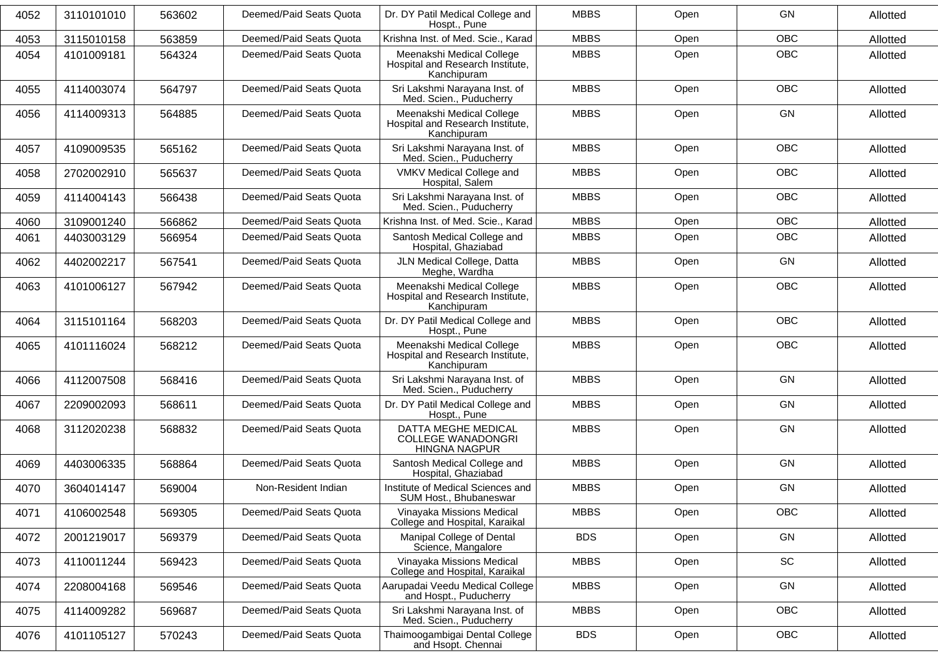| 4052 | 3110101010 | 563602 | Deemed/Paid Seats Quota | Dr. DY Patil Medical College and<br>Hospt., Pune                             | <b>MBBS</b> | Open | <b>GN</b>  | Allotted |
|------|------------|--------|-------------------------|------------------------------------------------------------------------------|-------------|------|------------|----------|
| 4053 | 3115010158 | 563859 | Deemed/Paid Seats Quota | Krishna Inst. of Med. Scie., Karad                                           | <b>MBBS</b> | Open | <b>OBC</b> | Allotted |
| 4054 | 4101009181 | 564324 | Deemed/Paid Seats Quota | Meenakshi Medical College<br>Hospital and Research Institute,<br>Kanchipuram | <b>MBBS</b> | Open | OBC        | Allotted |
| 4055 | 4114003074 | 564797 | Deemed/Paid Seats Quota | Sri Lakshmi Narayana Inst. of<br>Med. Scien., Puducherry                     | <b>MBBS</b> | Open | <b>OBC</b> | Allotted |
| 4056 | 4114009313 | 564885 | Deemed/Paid Seats Quota | Meenakshi Medical College<br>Hospital and Research Institute,<br>Kanchipuram | <b>MBBS</b> | Open | <b>GN</b>  | Allotted |
| 4057 | 4109009535 | 565162 | Deemed/Paid Seats Quota | Sri Lakshmi Narayana Inst. of<br>Med. Scien., Puducherry                     | <b>MBBS</b> | Open | <b>OBC</b> | Allotted |
| 4058 | 2702002910 | 565637 | Deemed/Paid Seats Quota | VMKV Medical College and<br>Hospital, Salem                                  | <b>MBBS</b> | Open | <b>OBC</b> | Allotted |
| 4059 | 4114004143 | 566438 | Deemed/Paid Seats Quota | Sri Lakshmi Narayana Inst. of<br>Med. Scien., Puducherry                     | <b>MBBS</b> | Open | <b>OBC</b> | Allotted |
| 4060 | 3109001240 | 566862 | Deemed/Paid Seats Quota | Krishna Inst. of Med. Scie., Karad                                           | <b>MBBS</b> | Open | <b>OBC</b> | Allotted |
| 4061 | 4403003129 | 566954 | Deemed/Paid Seats Quota | Santosh Medical College and<br>Hospital, Ghaziabad                           | <b>MBBS</b> | Open | OBC        | Allotted |
| 4062 | 4402002217 | 567541 | Deemed/Paid Seats Quota | JLN Medical College, Datta<br>Meghe, Wardha                                  | <b>MBBS</b> | Open | GN         | Allotted |
| 4063 | 4101006127 | 567942 | Deemed/Paid Seats Quota | Meenakshi Medical College<br>Hospital and Research Institute,<br>Kanchipuram | <b>MBBS</b> | Open | <b>OBC</b> | Allotted |
| 4064 | 3115101164 | 568203 | Deemed/Paid Seats Quota | Dr. DY Patil Medical College and<br>Hospt., Pune                             | <b>MBBS</b> | Open | OBC        | Allotted |
| 4065 | 4101116024 | 568212 | Deemed/Paid Seats Quota | Meenakshi Medical College<br>Hospital and Research Institute,<br>Kanchipuram | <b>MBBS</b> | Open | OBC        | Allotted |
| 4066 | 4112007508 | 568416 | Deemed/Paid Seats Quota | Sri Lakshmi Narayana Inst. of<br>Med. Scien., Puducherry                     | <b>MBBS</b> | Open | <b>GN</b>  | Allotted |
| 4067 | 2209002093 | 568611 | Deemed/Paid Seats Quota | Dr. DY Patil Medical College and<br>Hospt., Pune                             | <b>MBBS</b> | Open | <b>GN</b>  | Allotted |
| 4068 | 3112020238 | 568832 | Deemed/Paid Seats Quota | DATTA MEGHE MEDICAL<br><b>COLLEGE WANADONGRI</b><br><b>HINGNA NAGPUR</b>     | <b>MBBS</b> | Open | GN         | Allotted |
| 4069 | 4403006335 | 568864 | Deemed/Paid Seats Quota | Santosh Medical College and<br>Hospital, Ghaziabad                           | <b>MBBS</b> | Open | GN         | Allotted |
| 4070 | 3604014147 | 569004 | Non-Resident Indian     | Institute of Medical Sciences and<br>SUM Host., Bhubaneswar                  | <b>MBBS</b> | Open | GN         | Allotted |
| 4071 | 4106002548 | 569305 | Deemed/Paid Seats Quota | Vinayaka Missions Medical<br>College and Hospital, Karaikal                  | <b>MBBS</b> | Open | OBC        | Allotted |
| 4072 | 2001219017 | 569379 | Deemed/Paid Seats Quota | Manipal College of Dental<br>Science, Mangalore                              | <b>BDS</b>  | Open | GN         | Allotted |
| 4073 | 4110011244 | 569423 | Deemed/Paid Seats Quota | Vinayaka Missions Medical<br>College and Hospital, Karaikal                  | <b>MBBS</b> | Open | SC         | Allotted |
| 4074 | 2208004168 | 569546 | Deemed/Paid Seats Quota | Aarupadai Veedu Medical College<br>and Hospt., Puducherry                    | <b>MBBS</b> | Open | GN         | Allotted |
| 4075 | 4114009282 | 569687 | Deemed/Paid Seats Quota | Sri Lakshmi Narayana Inst. of<br>Med. Scien., Puducherry                     | <b>MBBS</b> | Open | OBC        | Allotted |
| 4076 | 4101105127 | 570243 | Deemed/Paid Seats Quota | Thaimoogambigai Dental College<br>and Hsopt. Chennai                         | <b>BDS</b>  | Open | OBC        | Allotted |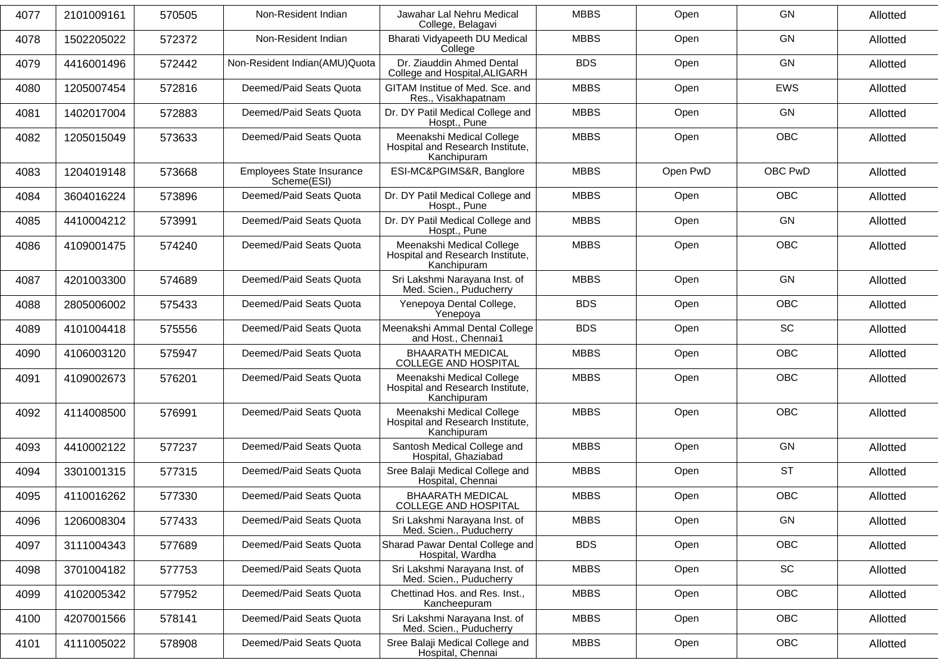| 4077 | 2101009161 | 570505 | Non-Resident Indian                      | Jawahar Lal Nehru Medical<br>College, Belagavi                               | <b>MBBS</b> | Open     | <b>GN</b>  | Allotted |
|------|------------|--------|------------------------------------------|------------------------------------------------------------------------------|-------------|----------|------------|----------|
| 4078 | 1502205022 | 572372 | Non-Resident Indian                      | Bharati Vidyapeeth DU Medical<br>College                                     | <b>MBBS</b> | Open     | <b>GN</b>  | Allotted |
| 4079 | 4416001496 | 572442 | Non-Resident Indian(AMU)Quota            | Dr. Ziauddin Ahmed Dental<br>College and Hospital, ALIGARH                   | <b>BDS</b>  | Open     | <b>GN</b>  | Allotted |
| 4080 | 1205007454 | 572816 | Deemed/Paid Seats Quota                  | GITAM Institue of Med. Sce. and<br>Res., Visakhapatnam                       | <b>MBBS</b> | Open     | <b>EWS</b> | Allotted |
| 4081 | 1402017004 | 572883 | Deemed/Paid Seats Quota                  | Dr. DY Patil Medical College and<br>Hospt., Pune                             | <b>MBBS</b> | Open     | <b>GN</b>  | Allotted |
| 4082 | 1205015049 | 573633 | Deemed/Paid Seats Quota                  | Meenakshi Medical College<br>Hospital and Research Institute,<br>Kanchipuram | <b>MBBS</b> | Open     | <b>OBC</b> | Allotted |
| 4083 | 1204019148 | 573668 | Employees State Insurance<br>Scheme(ESI) | ESI-MC&PGIMS&R, Banglore                                                     | <b>MBBS</b> | Open PwD | OBC PwD    | Allotted |
| 4084 | 3604016224 | 573896 | Deemed/Paid Seats Quota                  | Dr. DY Patil Medical College and<br>Hospt., Pune                             | <b>MBBS</b> | Open     | OBC        | Allotted |
| 4085 | 4410004212 | 573991 | Deemed/Paid Seats Quota                  | Dr. DY Patil Medical College and<br>Hospt., Pune                             | <b>MBBS</b> | Open     | <b>GN</b>  | Allotted |
| 4086 | 4109001475 | 574240 | Deemed/Paid Seats Quota                  | Meenakshi Medical College<br>Hospital and Research Institute.<br>Kanchipuram | <b>MBBS</b> | Open     | <b>OBC</b> | Allotted |
| 4087 | 4201003300 | 574689 | Deemed/Paid Seats Quota                  | Sri Lakshmi Narayana Inst. of<br>Med. Scien., Puducherry                     | <b>MBBS</b> | Open     | <b>GN</b>  | Allotted |
| 4088 | 2805006002 | 575433 | Deemed/Paid Seats Quota                  | Yenepoya Dental College,<br>Yenepoya                                         | <b>BDS</b>  | Open     | OBC        | Allotted |
| 4089 | 4101004418 | 575556 | Deemed/Paid Seats Quota                  | Meenakshi Ammal Dental College<br>and Host., Chennai1                        | <b>BDS</b>  | Open     | <b>SC</b>  | Allotted |
| 4090 | 4106003120 | 575947 | Deemed/Paid Seats Quota                  | <b>BHAARATH MEDICAL</b><br>COLLEGE AND HOSPITAL                              | <b>MBBS</b> | Open     | <b>OBC</b> | Allotted |
| 4091 | 4109002673 | 576201 | Deemed/Paid Seats Quota                  | Meenakshi Medical College<br>Hospital and Research Institute,<br>Kanchipuram | <b>MBBS</b> | Open     | <b>OBC</b> | Allotted |
| 4092 | 4114008500 | 576991 | Deemed/Paid Seats Quota                  | Meenakshi Medical College<br>Hospital and Research Institute,<br>Kanchipuram | <b>MBBS</b> | Open     | <b>OBC</b> | Allotted |
| 4093 | 4410002122 | 577237 | Deemed/Paid Seats Quota                  | Santosh Medical College and<br>Hospital, Ghaziabad                           | <b>MBBS</b> | Open     | GN         | Allotted |
| 4094 | 3301001315 | 577315 | Deemed/Paid Seats Quota                  | Sree Balaji Medical College and<br>Hospital, Chennai                         | <b>MBBS</b> | Open     | <b>ST</b>  | Allotted |
| 4095 | 4110016262 | 577330 | Deemed/Paid Seats Quota                  | <b>BHAARATH MEDICAL</b><br>COLLEGE AND HOSPITAL                              | <b>MBBS</b> | Open     | OBC        | Allotted |
| 4096 | 1206008304 | 577433 | Deemed/Paid Seats Quota                  | Sri Lakshmi Narayana Inst. of<br>Med. Scien., Puducherry                     | <b>MBBS</b> | Open     | GN         | Allotted |
| 4097 | 3111004343 | 577689 | Deemed/Paid Seats Quota                  | Sharad Pawar Dental College and<br>Hospital, Wardha                          | <b>BDS</b>  | Open     | OBC        | Allotted |
| 4098 | 3701004182 | 577753 | Deemed/Paid Seats Quota                  | Sri Lakshmi Narayana Inst. of<br>Med. Scien., Puducherry                     | <b>MBBS</b> | Open     | SC         | Allotted |
| 4099 | 4102005342 | 577952 | Deemed/Paid Seats Quota                  | Chettinad Hos. and Res. Inst.,<br>Kancheepuram                               | <b>MBBS</b> | Open     | <b>OBC</b> | Allotted |
| 4100 | 4207001566 | 578141 | Deemed/Paid Seats Quota                  | Sri Lakshmi Narayana Inst. of<br>Med. Scien., Puducherry                     | <b>MBBS</b> | Open     | OBC        | Allotted |
| 4101 | 4111005022 | 578908 | Deemed/Paid Seats Quota                  | Sree Balaji Medical College and<br>Hospital, Chennai                         | <b>MBBS</b> | Open     | <b>OBC</b> | Allotted |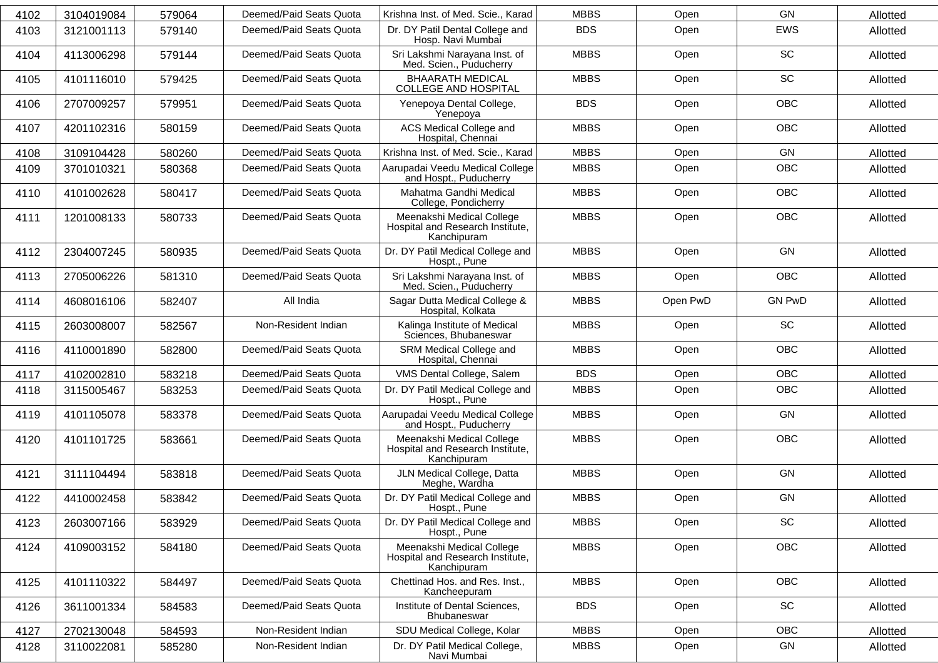| 4102 | 3104019084 | 579064 | Deemed/Paid Seats Quota | Krishna Inst. of Med. Scie., Karad                                           | <b>MBBS</b> | Open     | GN            | Allotted |
|------|------------|--------|-------------------------|------------------------------------------------------------------------------|-------------|----------|---------------|----------|
| 4103 | 3121001113 | 579140 | Deemed/Paid Seats Quota | Dr. DY Patil Dental College and<br>Hosp. Navi Mumbai                         | <b>BDS</b>  | Open     | <b>EWS</b>    | Allotted |
| 4104 | 4113006298 | 579144 | Deemed/Paid Seats Quota | Sri Lakshmi Narayana Inst. of<br>Med. Scien., Puducherry                     | <b>MBBS</b> | Open     | SC            | Allotted |
| 4105 | 4101116010 | 579425 | Deemed/Paid Seats Quota | <b>BHAARATH MEDICAL</b><br><b>COLLEGE AND HOSPITAL</b>                       | <b>MBBS</b> | Open     | <b>SC</b>     | Allotted |
| 4106 | 2707009257 | 579951 | Deemed/Paid Seats Quota | Yenepoya Dental College,<br>Yenepoya                                         | <b>BDS</b>  | Open     | <b>OBC</b>    | Allotted |
| 4107 | 4201102316 | 580159 | Deemed/Paid Seats Quota | ACS Medical College and<br>Hospital, Chennai                                 | <b>MBBS</b> | Open     | <b>OBC</b>    | Allotted |
| 4108 | 3109104428 | 580260 | Deemed/Paid Seats Quota | Krishna Inst. of Med. Scie., Karad                                           | <b>MBBS</b> | Open     | GN            | Allotted |
| 4109 | 3701010321 | 580368 | Deemed/Paid Seats Quota | Aarupadai Veedu Medical College<br>and Hospt., Puducherry                    | <b>MBBS</b> | Open     | OBC           | Allotted |
| 4110 | 4101002628 | 580417 | Deemed/Paid Seats Quota | Mahatma Gandhi Medical<br>College, Pondicherry                               | <b>MBBS</b> | Open     | <b>OBC</b>    | Allotted |
| 4111 | 1201008133 | 580733 | Deemed/Paid Seats Quota | Meenakshi Medical College<br>Hospital and Research Institute,<br>Kanchipuram | <b>MBBS</b> | Open     | <b>OBC</b>    | Allotted |
| 4112 | 2304007245 | 580935 | Deemed/Paid Seats Quota | Dr. DY Patil Medical College and<br>Hospt., Pune                             | <b>MBBS</b> | Open     | GN            | Allotted |
| 4113 | 2705006226 | 581310 | Deemed/Paid Seats Quota | Sri Lakshmi Narayana Inst. of<br>Med. Scien., Puducherry                     | <b>MBBS</b> | Open     | <b>OBC</b>    | Allotted |
| 4114 | 4608016106 | 582407 | All India               | Sagar Dutta Medical College &<br>Hospital, Kolkata                           | <b>MBBS</b> | Open PwD | <b>GN PwD</b> | Allotted |
| 4115 | 2603008007 | 582567 | Non-Resident Indian     | Kalinga Institute of Medical<br>Sciences, Bhubaneswar                        | <b>MBBS</b> | Open     | SC            | Allotted |
| 4116 | 4110001890 | 582800 | Deemed/Paid Seats Quota | SRM Medical College and<br>Hospital, Chennai                                 | <b>MBBS</b> | Open     | <b>OBC</b>    | Allotted |
| 4117 | 4102002810 | 583218 | Deemed/Paid Seats Quota | VMS Dental College, Salem                                                    | <b>BDS</b>  | Open     | <b>OBC</b>    | Allotted |
| 4118 | 3115005467 | 583253 | Deemed/Paid Seats Quota | Dr. DY Patil Medical College and<br>Hospt., Pune                             | <b>MBBS</b> | Open     | OBC           | Allotted |
| 4119 | 4101105078 | 583378 | Deemed/Paid Seats Quota | Aarupadai Veedu Medical College<br>and Hospt., Puducherry                    | <b>MBBS</b> | Open     | GN            | Allotted |
| 4120 | 4101101725 | 583661 | Deemed/Paid Seats Quota | Meenakshi Medical College<br>Hospital and Research Institute,<br>Kanchipuram | <b>MBBS</b> | Open     | <b>OBC</b>    | Allotted |
| 4121 | 3111104494 | 583818 | Deemed/Paid Seats Quota | JLN Medical College, Datta<br>Meghe, Wardha                                  | <b>MBBS</b> | Open     | GN            | Allotted |
| 4122 | 4410002458 | 583842 | Deemed/Paid Seats Quota | Dr. DY Patil Medical College and<br>Hospt., Pune                             | <b>MBBS</b> | Open     | GN            | Allotted |
| 4123 | 2603007166 | 583929 | Deemed/Paid Seats Quota | Dr. DY Patil Medical College and<br>Hospt., Pune                             | <b>MBBS</b> | Open     | SC            | Allotted |
| 4124 | 4109003152 | 584180 | Deemed/Paid Seats Quota | Meenakshi Medical College<br>Hospital and Research Institute,<br>Kanchipuram | <b>MBBS</b> | Open     | OBC           | Allotted |
| 4125 | 4101110322 | 584497 | Deemed/Paid Seats Quota | Chettinad Hos. and Res. Inst.,<br>Kancheepuram                               | <b>MBBS</b> | Open     | OBC           | Allotted |
| 4126 | 3611001334 | 584583 | Deemed/Paid Seats Quota | Institute of Dental Sciences,<br>Bhubaneswar                                 | <b>BDS</b>  | Open     | SC            | Allotted |
| 4127 | 2702130048 | 584593 | Non-Resident Indian     | SDU Medical College, Kolar                                                   | <b>MBBS</b> | Open     | <b>OBC</b>    | Allotted |
| 4128 | 3110022081 | 585280 | Non-Resident Indian     | Dr. DY Patil Medical College,<br>Navi Mumbai                                 | <b>MBBS</b> | Open     | GN            | Allotted |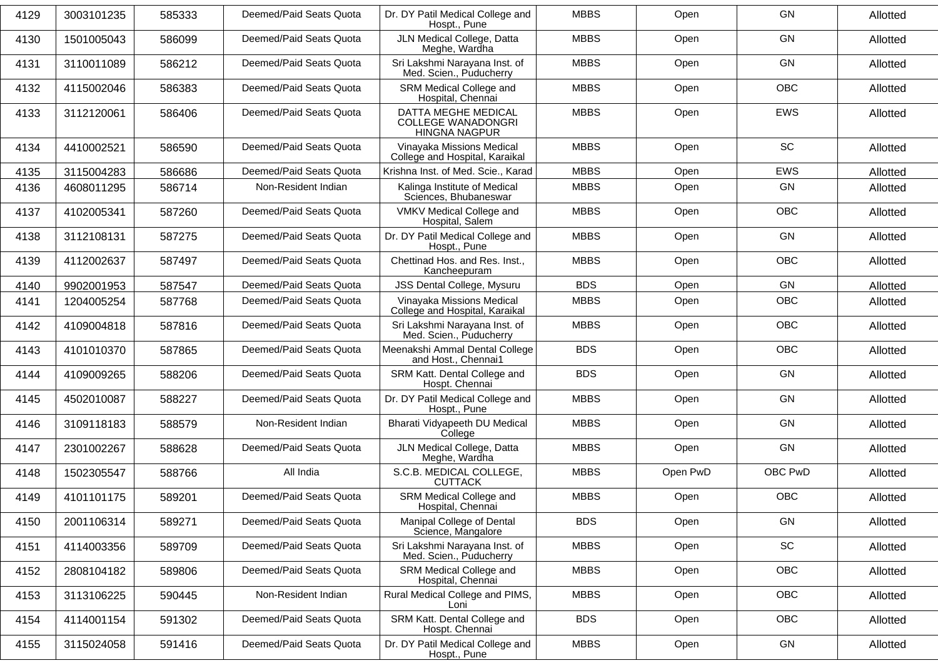| 4129 | 3003101235 | 585333 | Deemed/Paid Seats Quota | Dr. DY Patil Medical College and<br>Hospt., Pune                         | <b>MBBS</b> | Open     | GN         | Allotted |
|------|------------|--------|-------------------------|--------------------------------------------------------------------------|-------------|----------|------------|----------|
| 4130 | 1501005043 | 586099 | Deemed/Paid Seats Quota | JLN Medical College, Datta<br>Meghe, Wardha                              | <b>MBBS</b> | Open     | GN         | Allotted |
| 4131 | 3110011089 | 586212 | Deemed/Paid Seats Quota | Sri Lakshmi Narayana Inst. of<br>Med. Scien., Puducherry                 | <b>MBBS</b> | Open     | GN         | Allotted |
| 4132 | 4115002046 | 586383 | Deemed/Paid Seats Quota | SRM Medical College and<br>Hospital, Chennai                             | <b>MBBS</b> | Open     | <b>OBC</b> | Allotted |
| 4133 | 3112120061 | 586406 | Deemed/Paid Seats Quota | DATTA MEGHE MEDICAL<br><b>COLLEGE WANADONGRI</b><br><b>HINGNA NAGPUR</b> | <b>MBBS</b> | Open     | <b>EWS</b> | Allotted |
| 4134 | 4410002521 | 586590 | Deemed/Paid Seats Quota | Vinayaka Missions Medical<br>College and Hospital, Karaikal              | <b>MBBS</b> | Open     | SC         | Allotted |
| 4135 | 3115004283 | 586686 | Deemed/Paid Seats Quota | Krishna Inst. of Med. Scie., Karad                                       | <b>MBBS</b> | Open     | EWS        | Allotted |
| 4136 | 4608011295 | 586714 | Non-Resident Indian     | Kalinga Institute of Medical<br>Sciences, Bhubaneswar                    | <b>MBBS</b> | Open     | GN         | Allotted |
| 4137 | 4102005341 | 587260 | Deemed/Paid Seats Quota | VMKV Medical College and<br>Hospital, Salem                              | <b>MBBS</b> | Open     | OBC        | Allotted |
| 4138 | 3112108131 | 587275 | Deemed/Paid Seats Quota | Dr. DY Patil Medical College and<br>Hospt., Pune                         | <b>MBBS</b> | Open     | GN         | Allotted |
| 4139 | 4112002637 | 587497 | Deemed/Paid Seats Quota | Chettinad Hos. and Res. Inst.,<br>Kancheepuram                           | <b>MBBS</b> | Open     | <b>OBC</b> | Allotted |
| 4140 | 9902001953 | 587547 | Deemed/Paid Seats Quota | JSS Dental College, Mysuru                                               | <b>BDS</b>  | Open     | GN         | Allotted |
| 4141 | 1204005254 | 587768 | Deemed/Paid Seats Quota | Vinayaka Missions Medical<br>College and Hospital, Karaikal              | <b>MBBS</b> | Open     | <b>OBC</b> | Allotted |
| 4142 | 4109004818 | 587816 | Deemed/Paid Seats Quota | Sri Lakshmi Narayana Inst. of<br>Med. Scien., Puducherry                 | <b>MBBS</b> | Open     | <b>OBC</b> | Allotted |
| 4143 | 4101010370 | 587865 | Deemed/Paid Seats Quota | Meenakshi Ammal Dental College<br>and Host., Chennai1                    | <b>BDS</b>  | Open     | OBC        | Allotted |
| 4144 | 4109009265 | 588206 | Deemed/Paid Seats Quota | SRM Katt. Dental College and<br>Hospt. Chennai                           | <b>BDS</b>  | Open     | GN         | Allotted |
| 4145 | 4502010087 | 588227 | Deemed/Paid Seats Quota | Dr. DY Patil Medical College and<br>Hospt., Pune                         | <b>MBBS</b> | Open     | GN         | Allotted |
| 4146 | 3109118183 | 588579 | Non-Resident Indian     | Bharati Vidyapeeth DU Medical<br>College                                 | <b>MBBS</b> | Open     | GN         | Allotted |
| 4147 | 2301002267 | 588628 | Deemed/Paid Seats Quota | JLN Medical College, Datta<br>Meghe, Wardha                              | <b>MBBS</b> | Open     | GN         | Allotted |
| 4148 | 1502305547 | 588766 | All India               | S.C.B. MEDICAL COLLEGE,<br><b>CUTTACK</b>                                | <b>MBBS</b> | Open PwD | OBC PwD    | Allotted |
| 4149 | 4101101175 | 589201 | Deemed/Paid Seats Quota | SRM Medical College and<br>Hospital, Chennai                             | <b>MBBS</b> | Open     | OBC        | Allotted |
| 4150 | 2001106314 | 589271 | Deemed/Paid Seats Quota | Manipal College of Dental<br>Science, Mangalore                          | <b>BDS</b>  | Open     | GN         | Allotted |
| 4151 | 4114003356 | 589709 | Deemed/Paid Seats Quota | Sri Lakshmi Narayana Inst. of<br>Med. Scien., Puducherry                 | <b>MBBS</b> | Open     | SC         | Allotted |
| 4152 | 2808104182 | 589806 | Deemed/Paid Seats Quota | SRM Medical College and<br>Hospital, Chennai                             | <b>MBBS</b> | Open     | OBC        | Allotted |
| 4153 | 3113106225 | 590445 | Non-Resident Indian     | Rural Medical College and PIMS,<br>Loni                                  | <b>MBBS</b> | Open     | OBC        | Allotted |
| 4154 | 4114001154 | 591302 | Deemed/Paid Seats Quota | SRM Katt. Dental College and<br>Hospt. Chennai                           | <b>BDS</b>  | Open     | OBC        | Allotted |
| 4155 | 3115024058 | 591416 | Deemed/Paid Seats Quota | Dr. DY Patil Medical College and<br>Hospt., Pune                         | <b>MBBS</b> | Open     | GN         | Allotted |
|      |            |        |                         |                                                                          |             |          |            |          |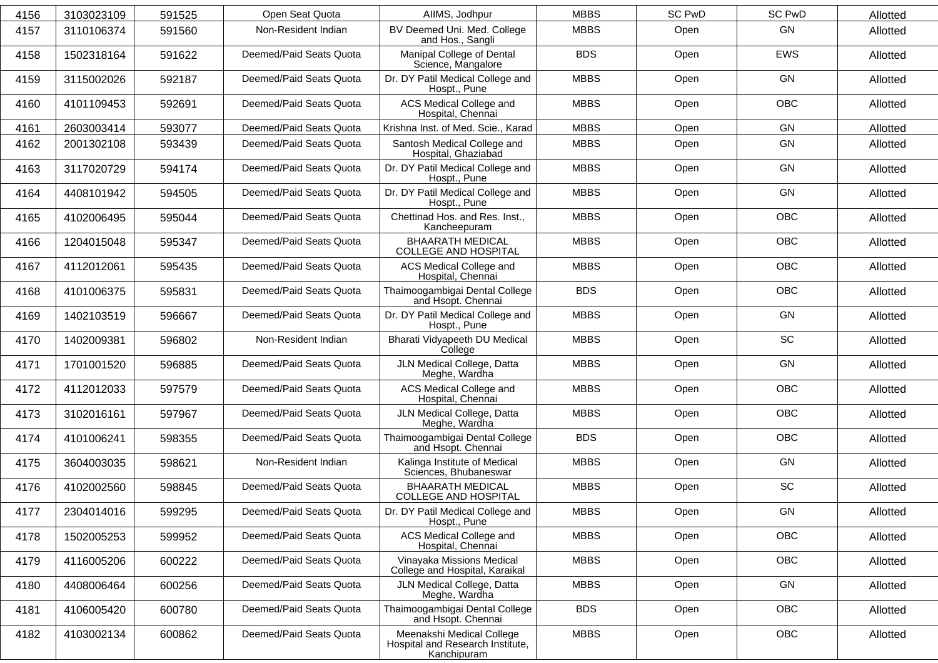| 4156 | 3103023109 | 591525 | Open Seat Quota         | AllMS, Jodhpur                                                               | <b>MBBS</b> | <b>SC PwD</b> | <b>SC PwD</b> | Allotted |
|------|------------|--------|-------------------------|------------------------------------------------------------------------------|-------------|---------------|---------------|----------|
| 4157 | 3110106374 | 591560 | Non-Resident Indian     | BV Deemed Uni. Med. College<br>and Hos., Sangli                              | <b>MBBS</b> | Open          | GN            | Allotted |
| 4158 | 1502318164 | 591622 | Deemed/Paid Seats Quota | Manipal College of Dental<br>Science, Mangalore                              | <b>BDS</b>  | Open          | EWS           | Allotted |
| 4159 | 3115002026 | 592187 | Deemed/Paid Seats Quota | Dr. DY Patil Medical College and<br>Hospt., Pune                             | <b>MBBS</b> | Open          | GN            | Allotted |
| 4160 | 4101109453 | 592691 | Deemed/Paid Seats Quota | ACS Medical College and<br>Hospital, Chennai                                 | <b>MBBS</b> | Open          | OBC           | Allotted |
| 4161 | 2603003414 | 593077 | Deemed/Paid Seats Quota | Krishna Inst. of Med. Scie., Karad                                           | <b>MBBS</b> | Open          | GN            | Allotted |
| 4162 | 2001302108 | 593439 | Deemed/Paid Seats Quota | Santosh Medical College and<br>Hospital, Ghaziabad                           | <b>MBBS</b> | Open          | GN            | Allotted |
| 4163 | 3117020729 | 594174 | Deemed/Paid Seats Quota | Dr. DY Patil Medical College and<br>Hospt., Pune                             | <b>MBBS</b> | Open          | GN            | Allotted |
| 4164 | 4408101942 | 594505 | Deemed/Paid Seats Quota | Dr. DY Patil Medical College and<br>Hospt., Pune                             | <b>MBBS</b> | Open          | GN            | Allotted |
| 4165 | 4102006495 | 595044 | Deemed/Paid Seats Quota | Chettinad Hos. and Res. Inst.,<br>Kancheepuram                               | <b>MBBS</b> | Open          | OBC           | Allotted |
| 4166 | 1204015048 | 595347 | Deemed/Paid Seats Quota | <b>BHAARATH MEDICAL</b><br><b>COLLEGE AND HOSPITAL</b>                       | <b>MBBS</b> | Open          | OBC           | Allotted |
| 4167 | 4112012061 | 595435 | Deemed/Paid Seats Quota | ACS Medical College and<br>Hospital, Chennai                                 | <b>MBBS</b> | Open          | <b>OBC</b>    | Allotted |
| 4168 | 4101006375 | 595831 | Deemed/Paid Seats Quota | Thaimoogambigai Dental College<br>and Hsopt. Chennai                         | <b>BDS</b>  | Open          | OBC           | Allotted |
| 4169 | 1402103519 | 596667 | Deemed/Paid Seats Quota | Dr. DY Patil Medical College and<br>Hospt., Pune                             | <b>MBBS</b> | Open          | GN            | Allotted |
| 4170 | 1402009381 | 596802 | Non-Resident Indian     | Bharati Vidyapeeth DU Medical<br>College                                     | <b>MBBS</b> | Open          | SC            | Allotted |
| 4171 | 1701001520 | 596885 | Deemed/Paid Seats Quota | JLN Medical College, Datta<br>Meghe, Wardha                                  | <b>MBBS</b> | Open          | GN            | Allotted |
| 4172 | 4112012033 | 597579 | Deemed/Paid Seats Quota | ACS Medical College and<br>Hospital, Chennai                                 | <b>MBBS</b> | Open          | OBC           | Allotted |
| 4173 | 3102016161 | 597967 | Deemed/Paid Seats Quota | JLN Medical College, Datta<br>Meghe, Wardha                                  | <b>MBBS</b> | Open          | <b>OBC</b>    | Allotted |
| 4174 | 4101006241 | 598355 | Deemed/Paid Seats Quota | Thaimoogambigai Dental College<br>and Hsopt. Chennai                         | <b>BDS</b>  | Open          | OBC           | Allotted |
| 4175 | 3604003035 | 598621 | Non-Resident Indian     | Kalinga Institute of Medical<br>Sciences, Bhubaneswar                        | <b>MBBS</b> | Open          | GN            | Allotted |
| 4176 | 4102002560 | 598845 | Deemed/Paid Seats Quota | <b>BHAARATH MEDICAL</b><br>COLLEGE AND HOSPITAL                              | <b>MBBS</b> | Open          | SC            | Allotted |
| 4177 | 2304014016 | 599295 | Deemed/Paid Seats Quota | Dr. DY Patil Medical College and<br>Hospt., Pune                             | <b>MBBS</b> | Open          | GN            | Allotted |
| 4178 | 1502005253 | 599952 | Deemed/Paid Seats Quota | ACS Medical College and<br>Hospital, Chennai                                 | <b>MBBS</b> | Open          | OBC           | Allotted |
| 4179 | 4116005206 | 600222 | Deemed/Paid Seats Quota | Vinayaka Missions Medical<br>College and Hospital, Karaikal                  | <b>MBBS</b> | Open          | <b>OBC</b>    | Allotted |
| 4180 | 4408006464 | 600256 | Deemed/Paid Seats Quota | JLN Medical College, Datta<br>Meghe, Wardha                                  | <b>MBBS</b> | Open          | GN            | Allotted |
| 4181 | 4106005420 | 600780 | Deemed/Paid Seats Quota | Thaimoogambigai Dental College<br>and Hsopt. Chennai                         | <b>BDS</b>  | Open          | OBC           | Allotted |
| 4182 | 4103002134 | 600862 | Deemed/Paid Seats Quota | Meenakshi Medical College<br>Hospital and Research Institute,<br>Kanchipuram | <b>MBBS</b> | Open          | OBC           | Allotted |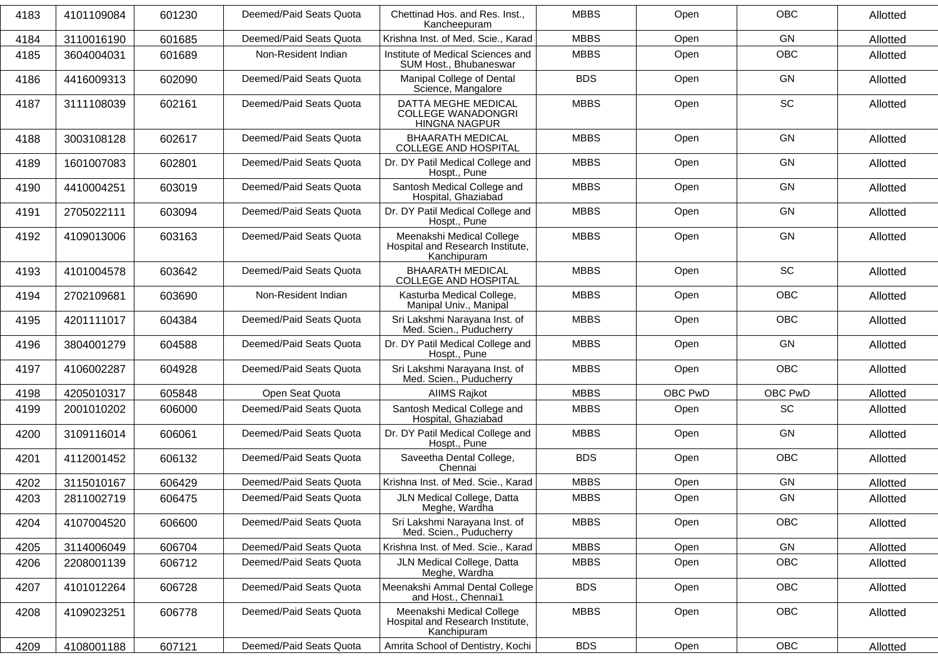| 4183 | 4101109084 | 601230 | Deemed/Paid Seats Quota | Chettinad Hos. and Res. Inst.,<br>Kancheepuram                               | <b>MBBS</b> | Open    | <b>OBC</b> | Allotted |
|------|------------|--------|-------------------------|------------------------------------------------------------------------------|-------------|---------|------------|----------|
| 4184 | 3110016190 | 601685 | Deemed/Paid Seats Quota | Krishna Inst. of Med. Scie., Karad                                           | <b>MBBS</b> | Open    | GN         | Allotted |
| 4185 | 3604004031 | 601689 | Non-Resident Indian     | Institute of Medical Sciences and<br>SUM Host., Bhubaneswar                  | <b>MBBS</b> | Open    | <b>OBC</b> | Allotted |
| 4186 | 4416009313 | 602090 | Deemed/Paid Seats Quota | Manipal College of Dental<br>Science, Mangalore                              | <b>BDS</b>  | Open    | GN         | Allotted |
| 4187 | 3111108039 | 602161 | Deemed/Paid Seats Quota | DATTA MEGHE MEDICAL<br><b>COLLEGE WANADONGRI</b><br><b>HINGNA NAGPUR</b>     | <b>MBBS</b> | Open    | SC         | Allotted |
| 4188 | 3003108128 | 602617 | Deemed/Paid Seats Quota | <b>BHAARATH MEDICAL</b><br>COLLEGE AND HOSPITAL                              | <b>MBBS</b> | Open    | GN         | Allotted |
| 4189 | 1601007083 | 602801 | Deemed/Paid Seats Quota | Dr. DY Patil Medical College and<br>Hospt., Pune                             | <b>MBBS</b> | Open    | GN         | Allotted |
| 4190 | 4410004251 | 603019 | Deemed/Paid Seats Quota | Santosh Medical College and<br>Hospital, Ghaziabad                           | <b>MBBS</b> | Open    | GN         | Allotted |
| 4191 | 2705022111 | 603094 | Deemed/Paid Seats Quota | Dr. DY Patil Medical College and<br>Hospt., Pune                             | <b>MBBS</b> | Open    | GN         | Allotted |
| 4192 | 4109013006 | 603163 | Deemed/Paid Seats Quota | Meenakshi Medical College<br>Hospital and Research Institute,<br>Kanchipuram | <b>MBBS</b> | Open    | GN         | Allotted |
| 4193 | 4101004578 | 603642 | Deemed/Paid Seats Quota | <b>BHAARATH MEDICAL</b><br><b>COLLEGE AND HOSPITAL</b>                       | <b>MBBS</b> | Open    | <b>SC</b>  | Allotted |
| 4194 | 2702109681 | 603690 | Non-Resident Indian     | Kasturba Medical College,<br>Manipal Univ., Manipal                          | <b>MBBS</b> | Open    | <b>OBC</b> | Allotted |
| 4195 | 4201111017 | 604384 | Deemed/Paid Seats Quota | Sri Lakshmi Narayana Inst. of<br>Med. Scien., Puducherry                     | <b>MBBS</b> | Open    | <b>OBC</b> | Allotted |
| 4196 | 3804001279 | 604588 | Deemed/Paid Seats Quota | Dr. DY Patil Medical College and<br>Hospt., Pune                             | <b>MBBS</b> | Open    | GN         | Allotted |
| 4197 | 4106002287 | 604928 | Deemed/Paid Seats Quota | Sri Lakshmi Narayana Inst. of<br>Med. Scien., Puducherry                     | <b>MBBS</b> | Open    | <b>OBC</b> | Allotted |
| 4198 | 4205010317 | 605848 | Open Seat Quota         | <b>AIIMS Rajkot</b>                                                          | <b>MBBS</b> | OBC PwD | OBC PwD    | Allotted |
| 4199 | 2001010202 | 606000 | Deemed/Paid Seats Quota | Santosh Medical College and<br>Hospital, Ghaziabad                           | <b>MBBS</b> | Open    | SC         | Allotted |
| 4200 | 3109116014 | 606061 | Deemed/Paid Seats Quota | Dr. DY Patil Medical College and<br>Hospt., Pune                             | <b>MBBS</b> | Open    | GN         | Allotted |
| 4201 | 4112001452 | 606132 | Deemed/Paid Seats Quota | Saveetha Dental College,<br>Chennai                                          | <b>BDS</b>  | Open    | <b>OBC</b> | Allotted |
| 4202 | 3115010167 | 606429 | Deemed/Paid Seats Quota | Krishna Inst. of Med. Scie., Karad                                           | <b>MBBS</b> | Open    | GN         | Allotted |
| 4203 | 2811002719 | 606475 | Deemed/Paid Seats Quota | JLN Medical College, Datta<br>Meghe, Wardha                                  | <b>MBBS</b> | Open    | GN         | Allotted |
| 4204 | 4107004520 | 606600 | Deemed/Paid Seats Quota | Sri Lakshmi Narayana Inst. of<br>Med. Scien., Puducherry                     | <b>MBBS</b> | Open    | OBC        | Allotted |
| 4205 | 3114006049 | 606704 | Deemed/Paid Seats Quota | Krishna Inst. of Med. Scie., Karad                                           | <b>MBBS</b> | Open    | GN         | Allotted |
| 4206 | 2208001139 | 606712 | Deemed/Paid Seats Quota | JLN Medical College, Datta<br>Meghe, Wardha                                  | <b>MBBS</b> | Open    | <b>OBC</b> | Allotted |
| 4207 | 4101012264 | 606728 | Deemed/Paid Seats Quota | Meenakshi Ammal Dental College<br>and Host., Chennai1                        | <b>BDS</b>  | Open    | OBC        | Allotted |
| 4208 | 4109023251 | 606778 | Deemed/Paid Seats Quota | Meenakshi Medical College<br>Hospital and Research Institute,<br>Kanchipuram | <b>MBBS</b> | Open    | OBC        | Allotted |
| 4209 | 4108001188 | 607121 | Deemed/Paid Seats Quota | Amrita School of Dentistry, Kochi                                            | <b>BDS</b>  | Open    | OBC        | Allotted |
|      |            |        |                         |                                                                              |             |         |            |          |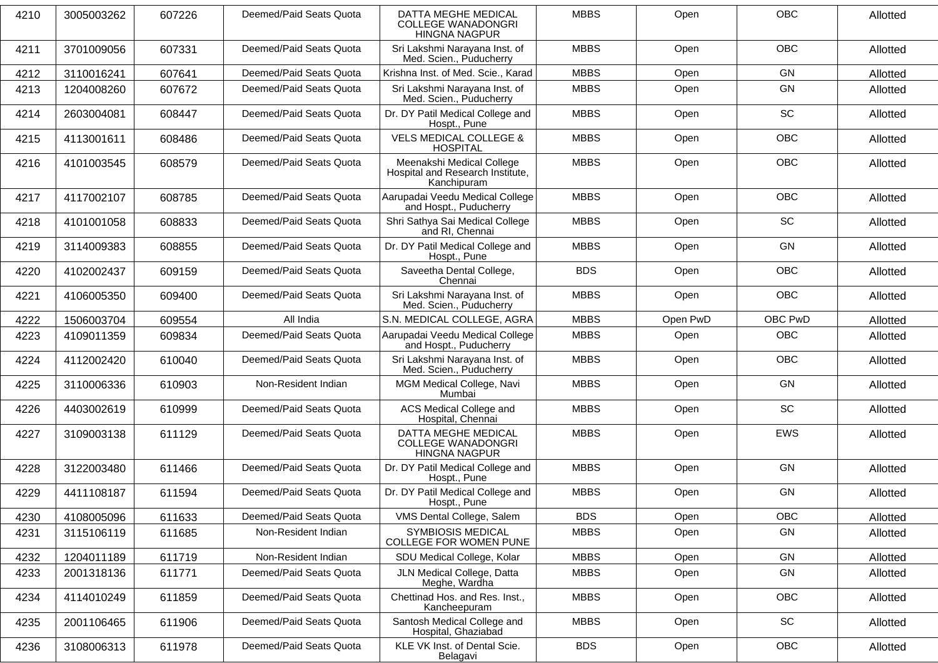| 4210 | 3005003262 | 607226 | Deemed/Paid Seats Quota | DATTA MEGHE MEDICAL<br><b>COLLEGE WANADONGRI</b><br><b>HINGNA NAGPUR</b>     | <b>MBBS</b> | Open     | <b>OBC</b> | Allotted |
|------|------------|--------|-------------------------|------------------------------------------------------------------------------|-------------|----------|------------|----------|
| 4211 | 3701009056 | 607331 | Deemed/Paid Seats Quota | Sri Lakshmi Narayana Inst. of<br>Med. Scien., Puducherry                     | <b>MBBS</b> | Open     | <b>OBC</b> | Allotted |
| 4212 | 3110016241 | 607641 | Deemed/Paid Seats Quota | Krishna Inst. of Med. Scie., Karad                                           | <b>MBBS</b> | Open     | GN         | Allotted |
| 4213 | 1204008260 | 607672 | Deemed/Paid Seats Quota | Sri Lakshmi Narayana Inst. of<br>Med. Scien., Puducherry                     | <b>MBBS</b> | Open     | GN         | Allotted |
| 4214 | 2603004081 | 608447 | Deemed/Paid Seats Quota | Dr. DY Patil Medical College and<br>Hospt., Pune                             | <b>MBBS</b> | Open     | SC         | Allotted |
| 4215 | 4113001611 | 608486 | Deemed/Paid Seats Quota | <b>VELS MEDICAL COLLEGE &amp;</b><br><b>HOSPITAL</b>                         | <b>MBBS</b> | Open     | <b>OBC</b> | Allotted |
| 4216 | 4101003545 | 608579 | Deemed/Paid Seats Quota | Meenakshi Medical College<br>Hospital and Research Institute,<br>Kanchipuram | <b>MBBS</b> | Open     | <b>OBC</b> | Allotted |
| 4217 | 4117002107 | 608785 | Deemed/Paid Seats Quota | Aarupadai Veedu Medical College<br>and Hospt., Puducherry                    | <b>MBBS</b> | Open     | <b>OBC</b> | Allotted |
| 4218 | 4101001058 | 608833 | Deemed/Paid Seats Quota | Shri Sathya Sai Medical College<br>and RI, Chennai                           | <b>MBBS</b> | Open     | SC         | Allotted |
| 4219 | 3114009383 | 608855 | Deemed/Paid Seats Quota | Dr. DY Patil Medical College and<br>Hospt., Pune                             | <b>MBBS</b> | Open     | GN         | Allotted |
| 4220 | 4102002437 | 609159 | Deemed/Paid Seats Quota | Saveetha Dental College,<br>Chennai                                          | <b>BDS</b>  | Open     | <b>OBC</b> | Allotted |
| 4221 | 4106005350 | 609400 | Deemed/Paid Seats Quota | Sri Lakshmi Narayana Inst. of<br>Med. Scien., Puducherry                     | <b>MBBS</b> | Open     | <b>OBC</b> | Allotted |
| 4222 | 1506003704 | 609554 | All India               | S.N. MEDICAL COLLEGE, AGRA                                                   | <b>MBBS</b> | Open PwD | OBC PwD    | Allotted |
| 4223 | 4109011359 | 609834 | Deemed/Paid Seats Quota | Aarupadai Veedu Medical College<br>and Hospt., Puducherry                    | <b>MBBS</b> | Open     | <b>OBC</b> | Allotted |
| 4224 | 4112002420 | 610040 | Deemed/Paid Seats Quota | Sri Lakshmi Narayana Inst. of<br>Med. Scien., Puducherry                     | <b>MBBS</b> | Open     | <b>OBC</b> | Allotted |
| 4225 | 3110006336 | 610903 | Non-Resident Indian     | MGM Medical College, Navi<br>Mumbai                                          | <b>MBBS</b> | Open     | GN         | Allotted |
| 4226 | 4403002619 | 610999 | Deemed/Paid Seats Quota | <b>ACS Medical College and</b><br>Hospital, Chennai                          | <b>MBBS</b> | Open     | SC         | Allotted |
| 4227 | 3109003138 | 611129 | Deemed/Paid Seats Quota | DATTA MEGHE MEDICAL<br><b>COLLEGE WANADONGRI</b><br><b>HINGNA NAGPUR</b>     | <b>MBBS</b> | Open     | <b>EWS</b> | Allotted |
| 4228 | 3122003480 | 611466 | Deemed/Paid Seats Quota | Dr. DY Patil Medical College and<br>Hospt., Pune                             | <b>MBBS</b> | Open     | GN         | Allotted |
| 4229 | 4411108187 | 611594 | Deemed/Paid Seats Quota | Dr. DY Patil Medical College and<br>Hospt., Pune                             | <b>MBBS</b> | Open     | GN         | Allotted |
| 4230 | 4108005096 | 611633 | Deemed/Paid Seats Quota | VMS Dental College, Salem                                                    | <b>BDS</b>  | Open     | <b>OBC</b> | Allotted |
| 4231 | 3115106119 | 611685 | Non-Resident Indian     | <b>SYMBIOSIS MEDICAL</b><br>COLLEGE FOR WOMEN PUNE                           | <b>MBBS</b> | Open     | GN         | Allotted |
| 4232 | 1204011189 | 611719 | Non-Resident Indian     | SDU Medical College, Kolar                                                   | <b>MBBS</b> | Open     | GN         | Allotted |
| 4233 | 2001318136 | 611771 | Deemed/Paid Seats Quota | JLN Medical College, Datta<br>Meghe, Wardha                                  | <b>MBBS</b> | Open     | GN         | Allotted |
| 4234 | 4114010249 | 611859 | Deemed/Paid Seats Quota | Chettinad Hos. and Res. Inst.,<br>Kancheepuram                               | <b>MBBS</b> | Open     | OBC        | Allotted |
| 4235 | 2001106465 | 611906 | Deemed/Paid Seats Quota | Santosh Medical College and<br>Hospital, Ghaziabad                           | <b>MBBS</b> | Open     | SC         | Allotted |
| 4236 | 3108006313 | 611978 | Deemed/Paid Seats Quota | KLE VK Inst. of Dental Scie.<br>Belagavi                                     | <b>BDS</b>  | Open     | OBC        | Allotted |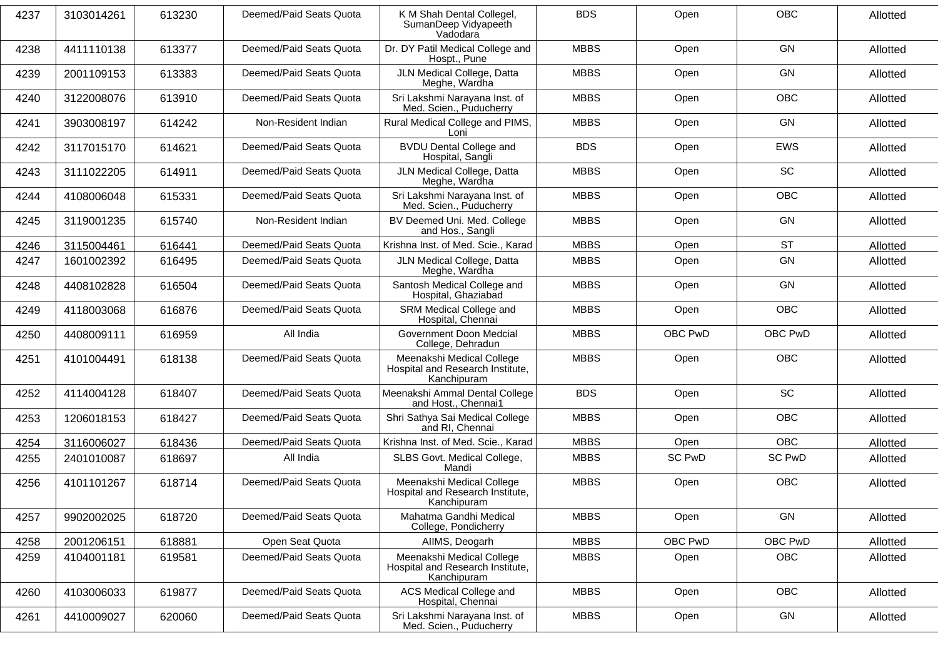| 4237 | 3103014261 | 613230 | Deemed/Paid Seats Quota | K M Shah Dental Collegel,<br>SumanDeep Vidyapeeth<br>Vadodara                | <b>BDS</b>  | Open          | <b>OBC</b>    | Allotted |
|------|------------|--------|-------------------------|------------------------------------------------------------------------------|-------------|---------------|---------------|----------|
| 4238 | 4411110138 | 613377 | Deemed/Paid Seats Quota | Dr. DY Patil Medical College and<br>Hospt., Pune                             | <b>MBBS</b> | Open          | <b>GN</b>     | Allotted |
| 4239 | 2001109153 | 613383 | Deemed/Paid Seats Quota | JLN Medical College, Datta<br>Meghe, Wardha                                  | <b>MBBS</b> | Open          | GN            | Allotted |
| 4240 | 3122008076 | 613910 | Deemed/Paid Seats Quota | Sri Lakshmi Narayana Inst. of<br>Med. Scien., Puducherry                     | <b>MBBS</b> | Open          | <b>OBC</b>    | Allotted |
| 4241 | 3903008197 | 614242 | Non-Resident Indian     | Rural Medical College and PIMS,<br>Loni                                      | <b>MBBS</b> | Open          | <b>GN</b>     | Allotted |
| 4242 | 3117015170 | 614621 | Deemed/Paid Seats Quota | <b>BVDU Dental College and</b><br>Hospital, Sangli                           | <b>BDS</b>  | Open          | <b>EWS</b>    | Allotted |
| 4243 | 3111022205 | 614911 | Deemed/Paid Seats Quota | JLN Medical College, Datta<br>Meghe, Wardha                                  | <b>MBBS</b> | Open          | <b>SC</b>     | Allotted |
| 4244 | 4108006048 | 615331 | Deemed/Paid Seats Quota | Sri Lakshmi Narayana Inst. of<br>Med. Scien., Puducherry                     | <b>MBBS</b> | Open          | <b>OBC</b>    | Allotted |
| 4245 | 3119001235 | 615740 | Non-Resident Indian     | BV Deemed Uni. Med. College<br>and Hos., Sangli                              | <b>MBBS</b> | Open          | GN            | Allotted |
| 4246 | 3115004461 | 616441 | Deemed/Paid Seats Quota | Krishna Inst. of Med. Scie., Karad                                           | <b>MBBS</b> | Open          | <b>ST</b>     | Allotted |
| 4247 | 1601002392 | 616495 | Deemed/Paid Seats Quota | JLN Medical College, Datta<br>Meghe, Wardha                                  | <b>MBBS</b> | Open          | GN            | Allotted |
| 4248 | 4408102828 | 616504 | Deemed/Paid Seats Quota | Santosh Medical College and<br>Hospital, Ghaziabad                           | <b>MBBS</b> | Open          | GN            | Allotted |
| 4249 | 4118003068 | 616876 | Deemed/Paid Seats Quota | SRM Medical College and<br>Hospital, Chennai                                 | <b>MBBS</b> | Open          | <b>OBC</b>    | Allotted |
| 4250 | 4408009111 | 616959 | All India               | Government Doon Medcial<br>College, Dehradun                                 | <b>MBBS</b> | OBC PwD       | OBC PwD       | Allotted |
| 4251 | 4101004491 | 618138 | Deemed/Paid Seats Quota | Meenakshi Medical College<br>Hospital and Research Institute,<br>Kanchipuram | <b>MBBS</b> | Open          | <b>OBC</b>    | Allotted |
| 4252 | 4114004128 | 618407 | Deemed/Paid Seats Quota | Meenakshi Ammal Dental College<br>and Host., Chennai1                        | <b>BDS</b>  | Open          | SC            | Allotted |
| 4253 | 1206018153 | 618427 | Deemed/Paid Seats Quota | Shri Sathya Sai Medical College<br>and RI, Chennai                           | <b>MBBS</b> | Open          | <b>OBC</b>    | Allotted |
| 4254 | 3116006027 | 618436 | Deemed/Paid Seats Quota | Krishna Inst. of Med. Scie., Karad                                           | <b>MBBS</b> | Open          | <b>OBC</b>    | Allotted |
| 4255 | 2401010087 | 618697 | All India               | SLBS Govt. Medical College,<br>Mandi                                         | <b>MBBS</b> | <b>SC PwD</b> | <b>SC PwD</b> | Allotted |
| 4256 | 4101101267 | 618714 | Deemed/Paid Seats Quota | Meenakshi Medical College<br>Hospital and Research Institute,<br>Kanchipuram | <b>MBBS</b> | Open          | <b>OBC</b>    | Allotted |
| 4257 | 9902002025 | 618720 | Deemed/Paid Seats Quota | Mahatma Gandhi Medical<br>College, Pondicherry                               | <b>MBBS</b> | Open          | GN            | Allotted |
| 4258 | 2001206151 | 618881 | Open Seat Quota         | AIIMS, Deogarh                                                               | <b>MBBS</b> | OBC PwD       | OBC PwD       | Allotted |
| 4259 | 4104001181 | 619581 | Deemed/Paid Seats Quota | Meenakshi Medical College<br>Hospital and Research Institute,<br>Kanchipuram | <b>MBBS</b> | Open          | OBC           | Allotted |
| 4260 | 4103006033 | 619877 | Deemed/Paid Seats Quota | ACS Medical College and<br>Hospital, Chennai                                 | <b>MBBS</b> | Open          | <b>OBC</b>    | Allotted |
| 4261 | 4410009027 | 620060 | Deemed/Paid Seats Quota | Sri Lakshmi Narayana Inst. of<br>Med. Scien., Puducherry                     | <b>MBBS</b> | Open          | GN            | Allotted |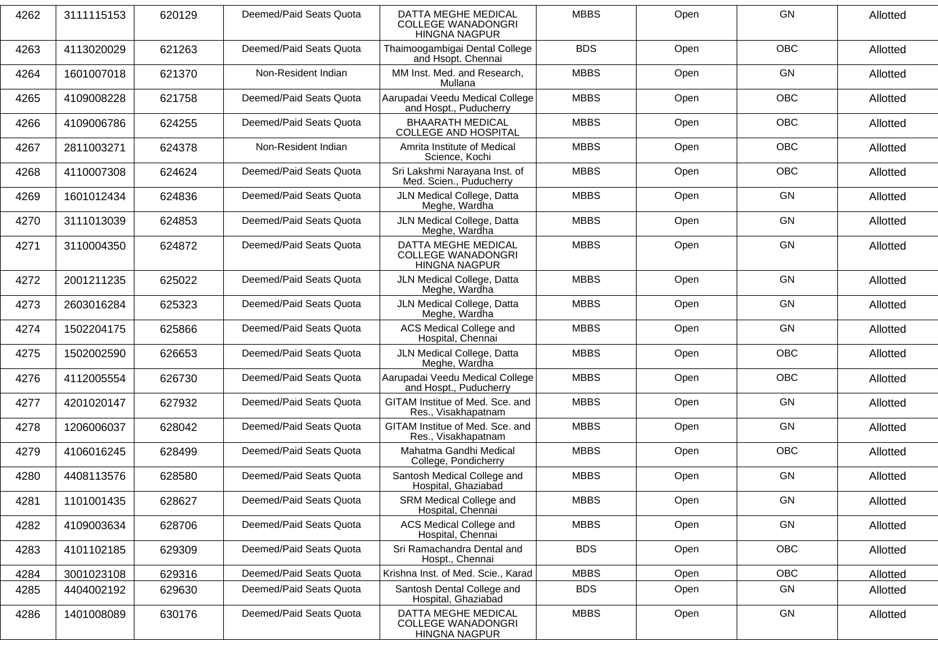| 4262 | 3111115153 | 620129 | Deemed/Paid Seats Quota | DATTA MEGHE MEDICAL<br><b>COLLEGE WANADONGRI</b><br><b>HINGNA NAGPUR</b> | <b>MBBS</b> | Open | GN         | Allotted |
|------|------------|--------|-------------------------|--------------------------------------------------------------------------|-------------|------|------------|----------|
| 4263 | 4113020029 | 621263 | Deemed/Paid Seats Quota | Thaimoogambigai Dental College<br>and Hsopt. Chennai                     | <b>BDS</b>  | Open | <b>OBC</b> | Allotted |
| 4264 | 1601007018 | 621370 | Non-Resident Indian     | MM Inst. Med. and Research,<br>Mullana                                   | <b>MBBS</b> | Open | GN         | Allotted |
| 4265 | 4109008228 | 621758 | Deemed/Paid Seats Quota | Aarupadai Veedu Medical College<br>and Hospt., Puducherry                | <b>MBBS</b> | Open | OBC        | Allotted |
| 4266 | 4109006786 | 624255 | Deemed/Paid Seats Quota | <b>BHAARATH MEDICAL</b><br><b>COLLEGE AND HOSPITAL</b>                   | <b>MBBS</b> | Open | <b>OBC</b> | Allotted |
| 4267 | 2811003271 | 624378 | Non-Resident Indian     | Amrita Institute of Medical<br>Science, Kochi                            | <b>MBBS</b> | Open | <b>OBC</b> | Allotted |
| 4268 | 4110007308 | 624624 | Deemed/Paid Seats Quota | Sri Lakshmi Narayana Inst. of<br>Med. Scien., Puducherry                 | <b>MBBS</b> | Open | OBC        | Allotted |
| 4269 | 1601012434 | 624836 | Deemed/Paid Seats Quota | JLN Medical College, Datta<br>Meghe, Wardha                              | <b>MBBS</b> | Open | GN         | Allotted |
| 4270 | 3111013039 | 624853 | Deemed/Paid Seats Quota | JLN Medical College, Datta<br>Meghe, Wardha                              | <b>MBBS</b> | Open | GN         | Allotted |
| 4271 | 3110004350 | 624872 | Deemed/Paid Seats Quota | DATTA MEGHE MEDICAL<br><b>COLLEGE WANADONGRI</b><br><b>HINGNA NAGPUR</b> | <b>MBBS</b> | Open | GN         | Allotted |
| 4272 | 2001211235 | 625022 | Deemed/Paid Seats Quota | JLN Medical College, Datta<br>Meghe, Wardha                              | <b>MBBS</b> | Open | GN         | Allotted |
| 4273 | 2603016284 | 625323 | Deemed/Paid Seats Quota | JLN Medical College, Datta<br>Meghe, Wardha                              | <b>MBBS</b> | Open | GN         | Allotted |
| 4274 | 1502204175 | 625866 | Deemed/Paid Seats Quota | ACS Medical College and<br>Hospital, Chennai                             | <b>MBBS</b> | Open | GN         | Allotted |
| 4275 | 1502002590 | 626653 | Deemed/Paid Seats Quota | JLN Medical College, Datta<br>Meghe, Wardha                              | <b>MBBS</b> | Open | OBC        | Allotted |
| 4276 | 4112005554 | 626730 | Deemed/Paid Seats Quota | Aarupadai Veedu Medical College<br>and Hospt., Puducherry                | <b>MBBS</b> | Open | <b>OBC</b> | Allotted |
| 4277 | 4201020147 | 627932 | Deemed/Paid Seats Quota | GITAM Institue of Med. Sce. and<br>Res., Visakhapatnam                   | <b>MBBS</b> | Open | GN         | Allotted |
| 4278 | 1206006037 | 628042 | Deemed/Paid Seats Quota | GITAM Institue of Med. Sce. and<br>Res., Visakhapatnam                   | <b>MBBS</b> | Open | GN         | Allotted |
| 4279 | 4106016245 | 628499 | Deemed/Paid Seats Quota | Mahatma Gandhi Medical<br>College, Pondicherry                           | <b>MBBS</b> | Open | <b>OBC</b> | Allotted |
| 4280 | 4408113576 | 628580 | Deemed/Paid Seats Quota | Santosh Medical College and<br>Hospital, Ghaziabad                       | <b>MBBS</b> | Open | GN         | Allotted |
| 4281 | 1101001435 | 628627 | Deemed/Paid Seats Quota | SRM Medical College and<br>Hospital, Chennai                             | <b>MBBS</b> | Open | GN         | Allotted |
| 4282 | 4109003634 | 628706 | Deemed/Paid Seats Quota | ACS Medical College and<br>Hospital, Chennai                             | <b>MBBS</b> | Open | GN         | Allotted |
| 4283 | 4101102185 | 629309 | Deemed/Paid Seats Quota | Sri Ramachandra Dental and<br>Hospt., Chennai                            | <b>BDS</b>  | Open | OBC        | Allotted |
| 4284 | 3001023108 | 629316 | Deemed/Paid Seats Quota | Krishna Inst. of Med. Scie., Karad                                       | <b>MBBS</b> | Open | <b>OBC</b> | Allotted |
| 4285 | 4404002192 | 629630 | Deemed/Paid Seats Quota | Santosh Dental College and<br>Hospital, Ghaziabad                        | <b>BDS</b>  | Open | GN         | Allotted |
| 4286 | 1401008089 | 630176 | Deemed/Paid Seats Quota | DATTA MEGHE MEDICAL<br><b>COLLEGE WANADONGRI</b><br><b>HINGNA NAGPUR</b> | <b>MBBS</b> | Open | GN         | Allotted |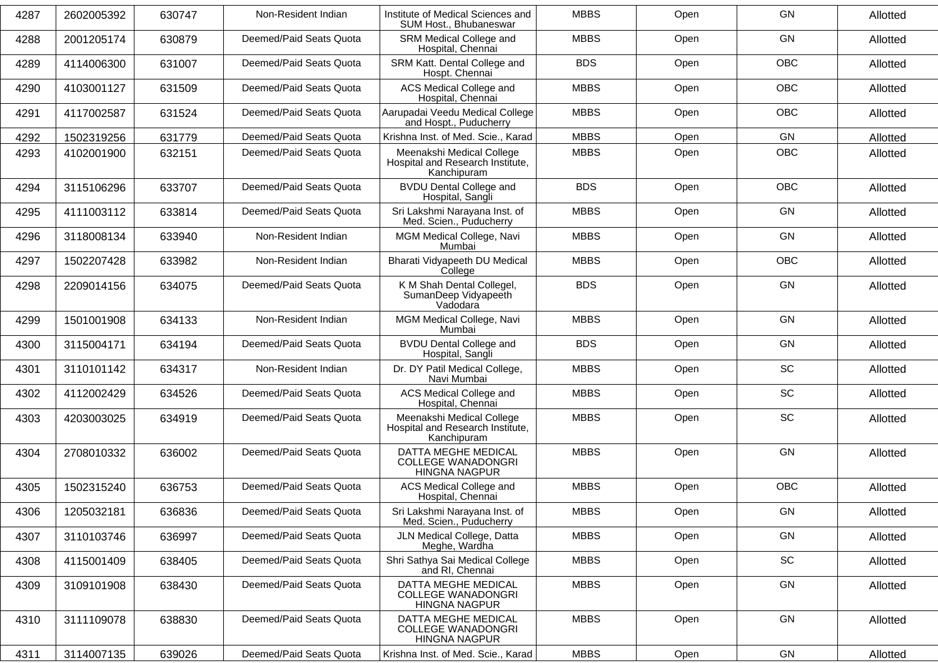| 4287 | 2602005392 | 630747 | Non-Resident Indian     | Institute of Medical Sciences and<br>SUM Host., Bhubaneswar                  | <b>MBBS</b> | Open | GN         | Allotted |
|------|------------|--------|-------------------------|------------------------------------------------------------------------------|-------------|------|------------|----------|
| 4288 | 2001205174 | 630879 | Deemed/Paid Seats Quota | SRM Medical College and<br>Hospital, Chennai                                 | <b>MBBS</b> | Open | GN         | Allotted |
| 4289 | 4114006300 | 631007 | Deemed/Paid Seats Quota | SRM Katt. Dental College and<br>Hospt. Chennai                               | <b>BDS</b>  | Open | OBC        | Allotted |
| 4290 | 4103001127 | 631509 | Deemed/Paid Seats Quota | ACS Medical College and<br>Hospital, Chennai                                 | <b>MBBS</b> | Open | <b>OBC</b> | Allotted |
| 4291 | 4117002587 | 631524 | Deemed/Paid Seats Quota | Aarupadai Veedu Medical College<br>and Hospt., Puducherry                    | <b>MBBS</b> | Open | <b>OBC</b> | Allotted |
| 4292 | 1502319256 | 631779 | Deemed/Paid Seats Quota | Krishna Inst. of Med. Scie., Karad                                           | <b>MBBS</b> | Open | <b>GN</b>  | Allotted |
| 4293 | 4102001900 | 632151 | Deemed/Paid Seats Quota | Meenakshi Medical College<br>Hospital and Research Institute,<br>Kanchipuram | <b>MBBS</b> | Open | <b>OBC</b> | Allotted |
| 4294 | 3115106296 | 633707 | Deemed/Paid Seats Quota | <b>BVDU Dental College and</b><br>Hospital, Sangli                           | <b>BDS</b>  | Open | <b>OBC</b> | Allotted |
| 4295 | 4111003112 | 633814 | Deemed/Paid Seats Quota | Sri Lakshmi Narayana Inst. of<br>Med. Scien., Puducherry                     | <b>MBBS</b> | Open | GN         | Allotted |
| 4296 | 3118008134 | 633940 | Non-Resident Indian     | MGM Medical College, Navi<br>Mumbai                                          | <b>MBBS</b> | Open | GN         | Allotted |
| 4297 | 1502207428 | 633982 | Non-Resident Indian     | Bharati Vidyapeeth DU Medical<br>College                                     | <b>MBBS</b> | Open | <b>OBC</b> | Allotted |
| 4298 | 2209014156 | 634075 | Deemed/Paid Seats Quota | K M Shah Dental Collegel,<br>SumanDeep Vidyapeeth<br>Vadodara                | <b>BDS</b>  | Open | GN         | Allotted |
| 4299 | 1501001908 | 634133 | Non-Resident Indian     | MGM Medical College, Navi<br>Mumbai                                          | <b>MBBS</b> | Open | GN         | Allotted |
| 4300 | 3115004171 | 634194 | Deemed/Paid Seats Quota | <b>BVDU Dental College and</b><br>Hospital, Sangli                           | <b>BDS</b>  | Open | GN         | Allotted |
| 4301 | 3110101142 | 634317 | Non-Resident Indian     | Dr. DY Patil Medical College,<br>Navi Mumbai                                 | <b>MBBS</b> | Open | SC         | Allotted |
| 4302 | 4112002429 | 634526 | Deemed/Paid Seats Quota | ACS Medical College and<br>Hospital, Chennai                                 | <b>MBBS</b> | Open | <b>SC</b>  | Allotted |
| 4303 | 4203003025 | 634919 | Deemed/Paid Seats Quota | Meenakshi Medical College<br>Hospital and Research Institute,<br>Kanchipuram | <b>MBBS</b> | Open | SC         | Allotted |
| 4304 | 2708010332 | 636002 | Deemed/Paid Seats Quota | DATTA MEGHE MEDICAL<br><b>COLLEGE WANADONGRI</b><br><b>HINGNA NAGPUR</b>     | <b>MBBS</b> | Open | GN         | Allotted |
| 4305 | 1502315240 | 636753 | Deemed/Paid Seats Quota | ACS Medical College and<br>Hospital, Chennai                                 | <b>MBBS</b> | Open | <b>OBC</b> | Allotted |
| 4306 | 1205032181 | 636836 | Deemed/Paid Seats Quota | Sri Lakshmi Narayana Inst. of<br>Med. Scien., Puducherry                     | <b>MBBS</b> | Open | GN         | Allotted |
| 4307 | 3110103746 | 636997 | Deemed/Paid Seats Quota | JLN Medical College, Datta<br>Meghe, Wardha                                  | <b>MBBS</b> | Open | GN         | Allotted |
| 4308 | 4115001409 | 638405 | Deemed/Paid Seats Quota | Shri Sathya Sai Medical College<br>and RI, Chennai                           | <b>MBBS</b> | Open | SC         | Allotted |
| 4309 | 3109101908 | 638430 | Deemed/Paid Seats Quota | DATTA MEGHE MEDICAL<br><b>COLLEGE WANADONGRI</b><br>HINGNA NAGPUR            | <b>MBBS</b> | Open | GN         | Allotted |
| 4310 | 3111109078 | 638830 | Deemed/Paid Seats Quota | DATTA MEGHE MEDICAL<br><b>COLLEGE WANADONGRI</b><br>HINGNA NAGPUR            | <b>MBBS</b> | Open | GN         | Allotted |
| 4311 | 3114007135 | 639026 | Deemed/Paid Seats Quota | Krishna Inst. of Med. Scie., Karad                                           | <b>MBBS</b> | Open | GN         | Allotted |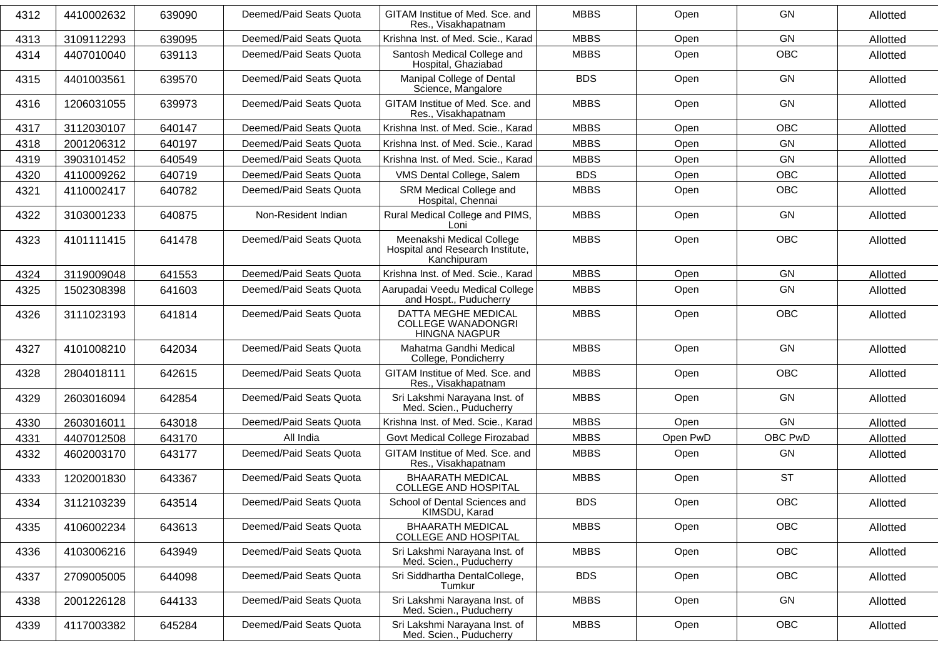| 4312 | 4410002632 | 639090 | Deemed/Paid Seats Quota | GITAM Institue of Med. Sce. and<br>Res., Visakhapatnam                       | <b>MBBS</b> | Open     | <b>GN</b>  | Allotted |
|------|------------|--------|-------------------------|------------------------------------------------------------------------------|-------------|----------|------------|----------|
| 4313 | 3109112293 | 639095 | Deemed/Paid Seats Quota | Krishna Inst. of Med. Scie., Karad                                           | <b>MBBS</b> | Open     | GN         | Allotted |
| 4314 | 4407010040 | 639113 | Deemed/Paid Seats Quota | Santosh Medical College and<br>Hospital, Ghaziabad                           | <b>MBBS</b> | Open     | <b>OBC</b> | Allotted |
| 4315 | 4401003561 | 639570 | Deemed/Paid Seats Quota | Manipal College of Dental<br>Science, Mangalore                              | <b>BDS</b>  | Open     | GN         | Allotted |
| 4316 | 1206031055 | 639973 | Deemed/Paid Seats Quota | GITAM Institue of Med. Sce. and<br>Res., Visakhapatnam                       | <b>MBBS</b> | Open     | GN         | Allotted |
| 4317 | 3112030107 | 640147 | Deemed/Paid Seats Quota | Krishna Inst. of Med. Scie., Karad                                           | <b>MBBS</b> | Open     | <b>OBC</b> | Allotted |
| 4318 | 2001206312 | 640197 | Deemed/Paid Seats Quota | Krishna Inst. of Med. Scie., Karad                                           | <b>MBBS</b> | Open     | GN         | Allotted |
| 4319 | 3903101452 | 640549 | Deemed/Paid Seats Quota | Krishna Inst. of Med. Scie., Karad                                           | <b>MBBS</b> | Open     | GN         | Allotted |
| 4320 | 4110009262 | 640719 | Deemed/Paid Seats Quota | VMS Dental College, Salem                                                    | <b>BDS</b>  | Open     | <b>OBC</b> | Allotted |
| 4321 | 4110002417 | 640782 | Deemed/Paid Seats Quota | SRM Medical College and<br>Hospital, Chennai                                 | <b>MBBS</b> | Open     | <b>OBC</b> | Allotted |
| 4322 | 3103001233 | 640875 | Non-Resident Indian     | Rural Medical College and PIMS,<br>Loni                                      | <b>MBBS</b> | Open     | GN         | Allotted |
| 4323 | 4101111415 | 641478 | Deemed/Paid Seats Quota | Meenakshi Medical College<br>Hospital and Research Institute,<br>Kanchipuram | <b>MBBS</b> | Open     | OBC        | Allotted |
| 4324 | 3119009048 | 641553 | Deemed/Paid Seats Quota | Krishna Inst. of Med. Scie., Karad                                           | <b>MBBS</b> | Open     | GN         | Allotted |
| 4325 | 1502308398 | 641603 | Deemed/Paid Seats Quota | Aarupadai Veedu Medical College<br>and Hospt., Puducherry                    | <b>MBBS</b> | Open     | GN         | Allotted |
| 4326 | 3111023193 | 641814 | Deemed/Paid Seats Quota | DATTA MEGHE MEDICAL<br><b>COLLEGE WANADONGRI</b><br><b>HINGNA NAGPUR</b>     | <b>MBBS</b> | Open     | <b>OBC</b> | Allotted |
| 4327 | 4101008210 | 642034 | Deemed/Paid Seats Quota | Mahatma Gandhi Medical<br>College, Pondicherry                               | <b>MBBS</b> | Open     | GN         | Allotted |
| 4328 | 2804018111 | 642615 | Deemed/Paid Seats Quota | GITAM Institue of Med. Sce. and<br>Res., Visakhapatnam                       | <b>MBBS</b> | Open     | <b>OBC</b> | Allotted |
| 4329 | 2603016094 | 642854 | Deemed/Paid Seats Quota | Sri Lakshmi Narayana Inst. of<br>Med. Scien., Puducherry                     | <b>MBBS</b> | Open     | GN         | Allotted |
| 4330 | 2603016011 | 643018 | Deemed/Paid Seats Quota | Krishna Inst. of Med. Scie., Karad                                           | <b>MBBS</b> | Open     | GN         | Allotted |
| 4331 | 4407012508 | 643170 | All India               | Govt Medical College Firozabad                                               | <b>MBBS</b> | Open PwD | OBC PwD    | Allotted |
| 4332 | 4602003170 | 643177 | Deemed/Paid Seats Quota | GITAM Institue of Med. Sce. and<br>Res., Visakhapatnam                       | <b>MBBS</b> | Open     | GN         | Allotted |
| 4333 | 1202001830 | 643367 | Deemed/Paid Seats Quota | <b>BHAARATH MEDICAL</b><br>COLLEGE AND HOSPITAL                              | <b>MBBS</b> | Open     | <b>ST</b>  | Allotted |
| 4334 | 3112103239 | 643514 | Deemed/Paid Seats Quota | School of Dental Sciences and<br>KIMSDU, Karad                               | <b>BDS</b>  | Open     | OBC        | Allotted |
| 4335 | 4106002234 | 643613 | Deemed/Paid Seats Quota | <b>BHAARATH MEDICAL</b><br>COLLEGE AND HOSPITAL                              | <b>MBBS</b> | Open     | <b>OBC</b> | Allotted |
| 4336 | 4103006216 | 643949 | Deemed/Paid Seats Quota | Sri Lakshmi Narayana Inst. of<br>Med. Scien., Puducherry                     | <b>MBBS</b> | Open     | OBC        | Allotted |
| 4337 | 2709005005 | 644098 | Deemed/Paid Seats Quota | Sri Siddhartha DentalCollege,<br>Tumkur                                      | <b>BDS</b>  | Open     | <b>OBC</b> | Allotted |
| 4338 | 2001226128 | 644133 | Deemed/Paid Seats Quota | Sri Lakshmi Narayana Inst. of<br>Med. Scien., Puducherry                     | <b>MBBS</b> | Open     | GN         | Allotted |
| 4339 | 4117003382 | 645284 | Deemed/Paid Seats Quota | Sri Lakshmi Narayana Inst. of<br>Med. Scien., Puducherry                     | <b>MBBS</b> | Open     | OBC        | Allotted |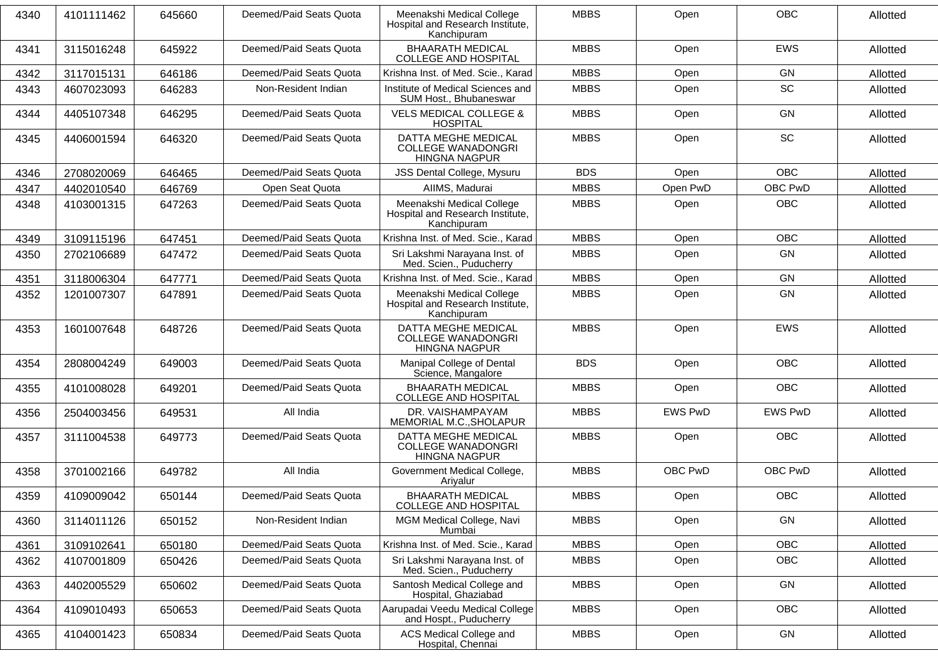| 4340 | 4101111462 | 645660 | Deemed/Paid Seats Quota | Meenakshi Medical College<br>Hospital and Research Institute,<br>Kanchipuram    | <b>MBBS</b> | Open           | <b>OBC</b>     | Allotted |
|------|------------|--------|-------------------------|---------------------------------------------------------------------------------|-------------|----------------|----------------|----------|
| 4341 | 3115016248 | 645922 | Deemed/Paid Seats Quota | <b>BHAARATH MEDICAL</b><br><b>COLLEGE AND HOSPITAL</b>                          | <b>MBBS</b> | Open           | <b>EWS</b>     | Allotted |
| 4342 | 3117015131 | 646186 | Deemed/Paid Seats Quota | Krishna Inst. of Med. Scie., Karad                                              | <b>MBBS</b> | Open           | <b>GN</b>      | Allotted |
| 4343 | 4607023093 | 646283 | Non-Resident Indian     | Institute of Medical Sciences and<br>SUM Host., Bhubaneswar                     | <b>MBBS</b> | Open           | SC             | Allotted |
| 4344 | 4405107348 | 646295 | Deemed/Paid Seats Quota | <b>VELS MEDICAL COLLEGE &amp;</b><br><b>HOSPITAL</b>                            | <b>MBBS</b> | Open           | <b>GN</b>      | Allotted |
| 4345 | 4406001594 | 646320 | Deemed/Paid Seats Quota | DATTA MEGHE MEDICAL<br><b>COLLEGE WANADONGRI</b><br><b>HINGNA NAGPUR</b>        | <b>MBBS</b> | Open           | SC             | Allotted |
| 4346 | 2708020069 | 646465 | Deemed/Paid Seats Quota | JSS Dental College, Mysuru                                                      | <b>BDS</b>  | Open           | <b>OBC</b>     | Allotted |
| 4347 | 4402010540 | 646769 | Open Seat Quota         | AIIMS, Madurai                                                                  | <b>MBBS</b> | Open PwD       | OBC PwD        | Allotted |
| 4348 | 4103001315 | 647263 | Deemed/Paid Seats Quota | Meenakshi Medical College<br>Hospital and Research Institute,<br>Kanchipuram    | <b>MBBS</b> | Open           | <b>OBC</b>     | Allotted |
| 4349 | 3109115196 | 647451 | Deemed/Paid Seats Quota | Krishna Inst. of Med. Scie., Karad                                              | <b>MBBS</b> | Open           | <b>OBC</b>     | Allotted |
| 4350 | 2702106689 | 647472 | Deemed/Paid Seats Quota | Sri Lakshmi Narayana Inst. of<br>Med. Scien., Puducherry                        | <b>MBBS</b> | Open           | <b>GN</b>      | Allotted |
| 4351 | 3118006304 | 647771 | Deemed/Paid Seats Quota | Krishna Inst. of Med. Scie., Karad                                              | <b>MBBS</b> | Open           | GN             | Allotted |
| 4352 | 1201007307 | 647891 | Deemed/Paid Seats Quota | Meenakshi Medical College<br>Hospital and Research Institute,<br>Kanchipuram    | <b>MBBS</b> | Open           | <b>GN</b>      | Allotted |
| 4353 | 1601007648 | 648726 | Deemed/Paid Seats Quota | <b>DATTA MEGHE MEDICAL</b><br><b>COLLEGE WANADONGRI</b><br><b>HINGNA NAGPUR</b> | <b>MBBS</b> | Open           | <b>EWS</b>     | Allotted |
| 4354 | 2808004249 | 649003 | Deemed/Paid Seats Quota | Manipal College of Dental<br>Science, Mangalore                                 | <b>BDS</b>  | Open           | <b>OBC</b>     | Allotted |
| 4355 | 4101008028 | 649201 | Deemed/Paid Seats Quota | <b>BHAARATH MEDICAL</b><br><b>COLLEGE AND HOSPITAL</b>                          | <b>MBBS</b> | Open           | <b>OBC</b>     | Allotted |
| 4356 | 2504003456 | 649531 | All India               | DR. VAISHAMPAYAM<br>MEMORIAL M.C., SHOLAPUR                                     | <b>MBBS</b> | <b>EWS PwD</b> | <b>EWS PwD</b> | Allotted |
| 4357 | 3111004538 | 649773 | Deemed/Paid Seats Quota | DATTA MEGHE MEDICAL<br><b>COLLEGE WANADONGRI</b><br><b>HINGNA NAGPUR</b>        | <b>MBBS</b> | Open           | <b>OBC</b>     | Allotted |
| 4358 | 3701002166 | 649782 | All India               | Government Medical College,<br>Ariyalur                                         | <b>MBBS</b> | OBC PwD        | OBC PwD        | Allotted |
| 4359 | 4109009042 | 650144 | Deemed/Paid Seats Quota | <b>BHAARATH MEDICAL</b><br><b>COLLEGE AND HOSPITAL</b>                          | <b>MBBS</b> | Open           | <b>OBC</b>     | Allotted |
| 4360 | 3114011126 | 650152 | Non-Resident Indian     | MGM Medical College, Navi<br>Mumbai                                             | <b>MBBS</b> | Open           | GN             | Allotted |
| 4361 | 3109102641 | 650180 | Deemed/Paid Seats Quota | Krishna Inst. of Med. Scie., Karad                                              | <b>MBBS</b> | Open           | OBC            | Allotted |
| 4362 | 4107001809 | 650426 | Deemed/Paid Seats Quota | Sri Lakshmi Narayana Inst. of<br>Med. Scien., Puducherry                        | <b>MBBS</b> | Open           | OBC            | Allotted |
| 4363 | 4402005529 | 650602 | Deemed/Paid Seats Quota | Santosh Medical College and<br>Hospital, Ghaziabad                              | <b>MBBS</b> | Open           | GN             | Allotted |
| 4364 | 4109010493 | 650653 | Deemed/Paid Seats Quota | Aarupadai Veedu Medical College<br>and Hospt., Puducherry                       | <b>MBBS</b> | Open           | OBC            | Allotted |
| 4365 | 4104001423 | 650834 | Deemed/Paid Seats Quota | ACS Medical College and<br>Hospital, Chennai                                    | <b>MBBS</b> | Open           | GN             | Allotted |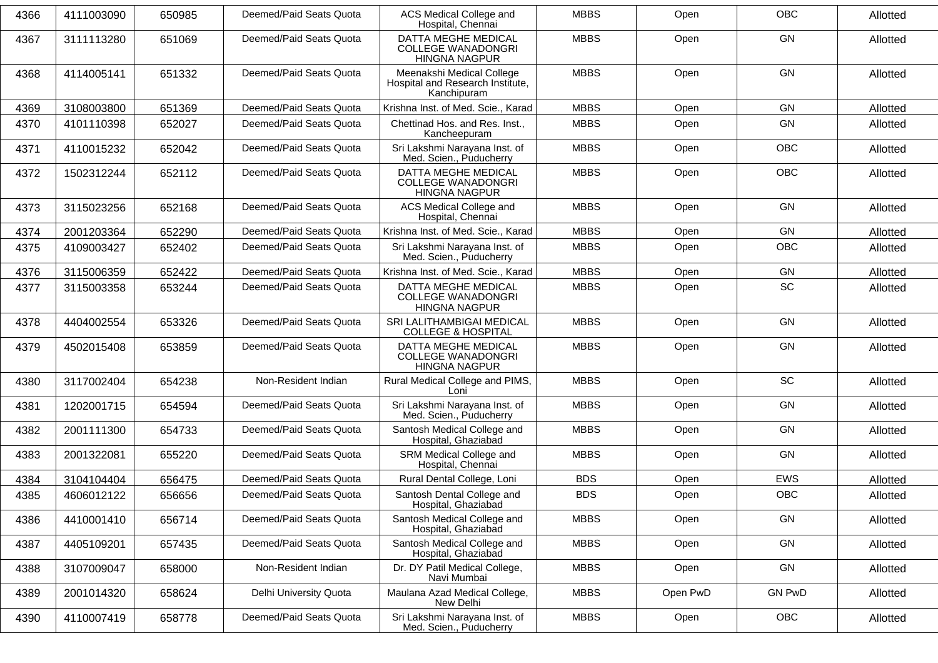| 4366 | 4111003090 | 650985 | Deemed/Paid Seats Quota | <b>ACS Medical College and</b><br>Hospital, Chennai                          | <b>MBBS</b> | Open     | <b>OBC</b>    | Allotted |
|------|------------|--------|-------------------------|------------------------------------------------------------------------------|-------------|----------|---------------|----------|
| 4367 | 3111113280 | 651069 | Deemed/Paid Seats Quota | DATTA MEGHE MEDICAL<br><b>COLLEGE WANADONGRI</b><br><b>HINGNA NAGPUR</b>     | <b>MBBS</b> | Open     | <b>GN</b>     | Allotted |
| 4368 | 4114005141 | 651332 | Deemed/Paid Seats Quota | Meenakshi Medical College<br>Hospital and Research Institute,<br>Kanchipuram | <b>MBBS</b> | Open     | <b>GN</b>     | Allotted |
| 4369 | 3108003800 | 651369 | Deemed/Paid Seats Quota | Krishna Inst. of Med. Scie., Karad                                           | <b>MBBS</b> | Open     | <b>GN</b>     | Allotted |
| 4370 | 4101110398 | 652027 | Deemed/Paid Seats Quota | Chettinad Hos. and Res. Inst.,<br>Kancheepuram                               | <b>MBBS</b> | Open     | <b>GN</b>     | Allotted |
| 4371 | 4110015232 | 652042 | Deemed/Paid Seats Quota | Sri Lakshmi Narayana Inst. of<br>Med. Scien., Puducherry                     | <b>MBBS</b> | Open     | OBC           | Allotted |
| 4372 | 1502312244 | 652112 | Deemed/Paid Seats Quota | DATTA MEGHE MEDICAL<br><b>COLLEGE WANADONGRI</b><br><b>HINGNA NAGPUR</b>     | <b>MBBS</b> | Open     | <b>OBC</b>    | Allotted |
| 4373 | 3115023256 | 652168 | Deemed/Paid Seats Quota | ACS Medical College and<br>Hospital, Chennai                                 | <b>MBBS</b> | Open     | <b>GN</b>     | Allotted |
| 4374 | 2001203364 | 652290 | Deemed/Paid Seats Quota | Krishna Inst. of Med. Scie., Karad                                           | <b>MBBS</b> | Open     | <b>GN</b>     | Allotted |
| 4375 | 4109003427 | 652402 | Deemed/Paid Seats Quota | Sri Lakshmi Narayana Inst. of<br>Med. Scien., Puducherry                     | <b>MBBS</b> | Open     | OBC           | Allotted |
| 4376 | 3115006359 | 652422 | Deemed/Paid Seats Quota | Krishna Inst. of Med. Scie., Karad                                           | <b>MBBS</b> | Open     | GN            | Allotted |
| 4377 | 3115003358 | 653244 | Deemed/Paid Seats Quota | DATTA MEGHE MEDICAL<br><b>COLLEGE WANADONGRI</b><br><b>HINGNA NAGPUR</b>     | <b>MBBS</b> | Open     | <b>SC</b>     | Allotted |
| 4378 | 4404002554 | 653326 | Deemed/Paid Seats Quota | SRI LALITHAMBIGAI MEDICAL<br><b>COLLEGE &amp; HOSPITAL</b>                   | <b>MBBS</b> | Open     | <b>GN</b>     | Allotted |
| 4379 | 4502015408 | 653859 | Deemed/Paid Seats Quota | DATTA MEGHE MEDICAL<br><b>COLLEGE WANADONGRI</b><br><b>HINGNA NAGPUR</b>     | <b>MBBS</b> | Open     | <b>GN</b>     | Allotted |
| 4380 | 3117002404 | 654238 | Non-Resident Indian     | Rural Medical College and PIMS,<br>Loni                                      | <b>MBBS</b> | Open     | <b>SC</b>     | Allotted |
| 4381 | 1202001715 | 654594 | Deemed/Paid Seats Quota | Sri Lakshmi Narayana Inst. of<br>Med. Scien., Puducherry                     | <b>MBBS</b> | Open     | <b>GN</b>     | Allotted |
| 4382 | 2001111300 | 654733 | Deemed/Paid Seats Quota | Santosh Medical College and<br>Hospital, Ghaziabad                           | <b>MBBS</b> | Open     | <b>GN</b>     | Allotted |
| 4383 | 2001322081 | 655220 | Deemed/Paid Seats Quota | SRM Medical College and<br>Hospital, Chennai                                 | <b>MBBS</b> | Open     | <b>GN</b>     | Allotted |
| 4384 | 3104104404 | 656475 | Deemed/Paid Seats Quota | Rural Dental College, Loni                                                   | <b>BDS</b>  | Open     | EWS           | Allotted |
| 4385 | 4606012122 | 656656 | Deemed/Paid Seats Quota | Santosh Dental College and<br>Hospital, Ghaziabad                            | <b>BDS</b>  | Open     | OBC           | Allotted |
| 4386 | 4410001410 | 656714 | Deemed/Paid Seats Quota | Santosh Medical College and<br>Hospital, Ghaziabad                           | <b>MBBS</b> | Open     | GN            | Allotted |
| 4387 | 4405109201 | 657435 | Deemed/Paid Seats Quota | Santosh Medical College and<br>Hospital, Ghaziabad                           | <b>MBBS</b> | Open     | GN            | Allotted |
| 4388 | 3107009047 | 658000 | Non-Resident Indian     | Dr. DY Patil Medical College,<br>Navi Mumbai                                 | <b>MBBS</b> | Open     | GN            | Allotted |
| 4389 | 2001014320 | 658624 | Delhi University Quota  | Maulana Azad Medical College,<br>New Delhi                                   | <b>MBBS</b> | Open PwD | <b>GN PwD</b> | Allotted |
| 4390 | 4110007419 | 658778 | Deemed/Paid Seats Quota | Sri Lakshmi Narayana Inst. of<br>Med. Scien., Puducherry                     | <b>MBBS</b> | Open     | OBC           | Allotted |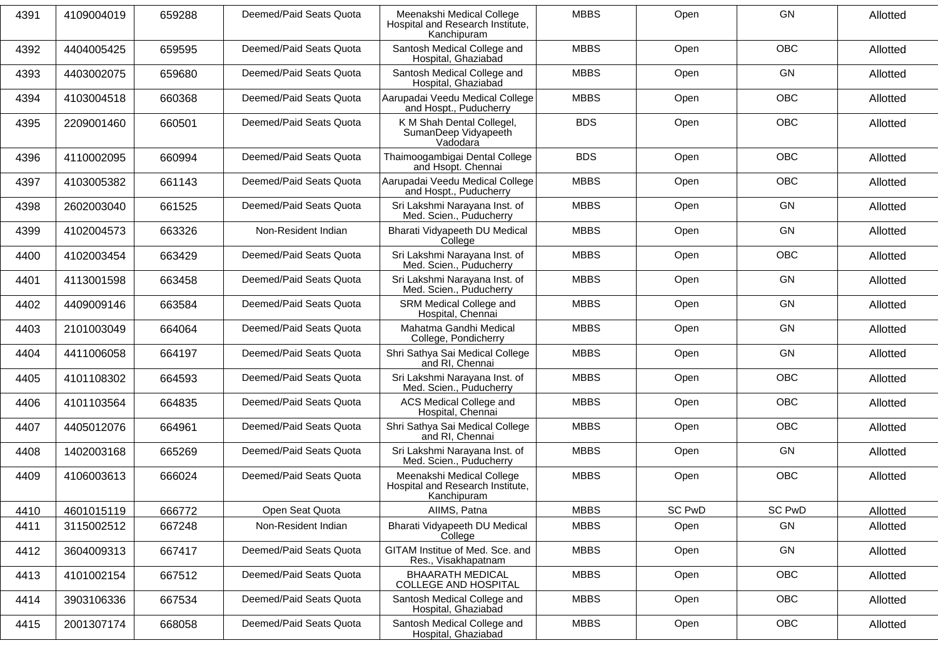| 4391 | 4109004019 | 659288 | Deemed/Paid Seats Quota | Meenakshi Medical College<br>Hospital and Research Institute,<br>Kanchipuram | <b>MBBS</b> | Open          | GN            | Allotted |
|------|------------|--------|-------------------------|------------------------------------------------------------------------------|-------------|---------------|---------------|----------|
| 4392 | 4404005425 | 659595 | Deemed/Paid Seats Quota | Santosh Medical College and<br>Hospital, Ghaziabad                           | <b>MBBS</b> | Open          | <b>OBC</b>    | Allotted |
| 4393 | 4403002075 | 659680 | Deemed/Paid Seats Quota | Santosh Medical College and<br>Hospital, Ghaziabad                           | <b>MBBS</b> | Open          | GN            | Allotted |
| 4394 | 4103004518 | 660368 | Deemed/Paid Seats Quota | Aarupadai Veedu Medical College<br>and Hospt., Puducherry                    | <b>MBBS</b> | Open          | OBC           | Allotted |
| 4395 | 2209001460 | 660501 | Deemed/Paid Seats Quota | K M Shah Dental Collegel,<br>SumanDeep Vidyapeeth<br>Vadodara                | <b>BDS</b>  | Open          | <b>OBC</b>    | Allotted |
| 4396 | 4110002095 | 660994 | Deemed/Paid Seats Quota | Thaimoogambigai Dental College<br>and Hsopt. Chennai                         | <b>BDS</b>  | Open          | <b>OBC</b>    | Allotted |
| 4397 | 4103005382 | 661143 | Deemed/Paid Seats Quota | Aarupadai Veedu Medical College<br>and Hospt., Puducherry                    | <b>MBBS</b> | Open          | <b>OBC</b>    | Allotted |
| 4398 | 2602003040 | 661525 | Deemed/Paid Seats Quota | Sri Lakshmi Narayana Inst. of<br>Med. Scien., Puducherry                     | <b>MBBS</b> | Open          | <b>GN</b>     | Allotted |
| 4399 | 4102004573 | 663326 | Non-Resident Indian     | Bharati Vidyapeeth DU Medical<br>College                                     | <b>MBBS</b> | Open          | GN            | Allotted |
| 4400 | 4102003454 | 663429 | Deemed/Paid Seats Quota | Sri Lakshmi Narayana Inst. of<br>Med. Scien., Puducherry                     | <b>MBBS</b> | Open          | <b>OBC</b>    | Allotted |
| 4401 | 4113001598 | 663458 | Deemed/Paid Seats Quota | Sri Lakshmi Narayana Inst. of<br>Med. Scien., Puducherry                     | <b>MBBS</b> | Open          | GN            | Allotted |
| 4402 | 4409009146 | 663584 | Deemed/Paid Seats Quota | SRM Medical College and<br>Hospital, Chennai                                 | <b>MBBS</b> | Open          | <b>GN</b>     | Allotted |
| 4403 | 2101003049 | 664064 | Deemed/Paid Seats Quota | Mahatma Gandhi Medical<br>College, Pondicherry                               | <b>MBBS</b> | Open          | <b>GN</b>     | Allotted |
| 4404 | 4411006058 | 664197 | Deemed/Paid Seats Quota | Shri Sathya Sai Medical College<br>and RI, Chennai                           | <b>MBBS</b> | Open          | <b>GN</b>     | Allotted |
| 4405 | 4101108302 | 664593 | Deemed/Paid Seats Quota | Sri Lakshmi Narayana Inst. of<br>Med. Scien., Puducherry                     | <b>MBBS</b> | Open          | <b>OBC</b>    | Allotted |
| 4406 | 4101103564 | 664835 | Deemed/Paid Seats Quota | ACS Medical College and<br>Hospital, Chennai                                 | <b>MBBS</b> | Open          | OBC           | Allotted |
| 4407 | 4405012076 | 664961 | Deemed/Paid Seats Quota | Shri Sathya Sai Medical College<br>and RI, Chennai                           | <b>MBBS</b> | Open          | <b>OBC</b>    | Allotted |
| 4408 | 1402003168 | 665269 | Deemed/Paid Seats Quota | Sri Lakshmi Narayana Inst. of<br>Med. Scien., Puducherry                     | <b>MBBS</b> | Open          | GN            | Allotted |
| 4409 | 4106003613 | 666024 | Deemed/Paid Seats Quota | Meenakshi Medical College<br>Hospital and Research Institute,<br>Kanchipuram | <b>MBBS</b> | Open          | <b>OBC</b>    | Allotted |
| 4410 | 4601015119 | 666772 | Open Seat Quota         | AIIMS, Patna                                                                 | <b>MBBS</b> | <b>SC PwD</b> | <b>SC PwD</b> | Allotted |
| 4411 | 3115002512 | 667248 | Non-Resident Indian     | Bharati Vidyapeeth DU Medical<br>College                                     | <b>MBBS</b> | Open          | GN            | Allotted |
| 4412 | 3604009313 | 667417 | Deemed/Paid Seats Quota | GITAM Institue of Med. Sce. and<br>Res., Visakhapatnam                       | <b>MBBS</b> | Open          | GN            | Allotted |
| 4413 | 4101002154 | 667512 | Deemed/Paid Seats Quota | <b>BHAARATH MEDICAL</b><br>COLLEGE AND HOSPITAL                              | <b>MBBS</b> | Open          | OBC           | Allotted |
| 4414 | 3903106336 | 667534 | Deemed/Paid Seats Quota | Santosh Medical College and<br>Hospital, Ghaziabad                           | <b>MBBS</b> | Open          | OBC           | Allotted |
| 4415 | 2001307174 | 668058 | Deemed/Paid Seats Quota | Santosh Medical College and<br>Hospital, Ghaziabad                           | <b>MBBS</b> | Open          | <b>OBC</b>    | Allotted |
|      |            |        |                         |                                                                              |             |               |               |          |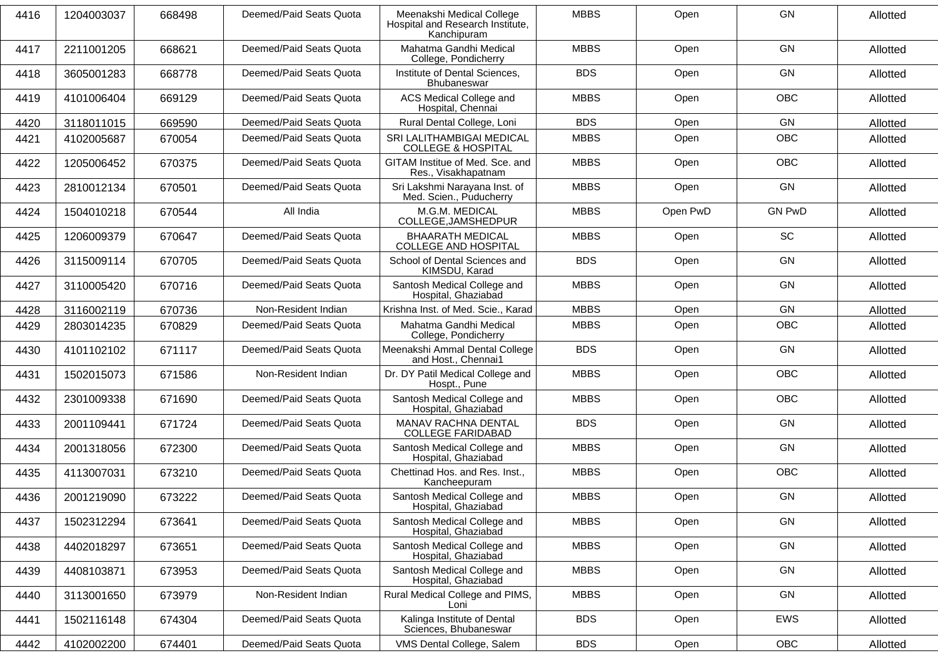| 4416 | 1204003037 | 668498 | Deemed/Paid Seats Quota | Meenakshi Medical College<br>Hospital and Research Institute,<br>Kanchipuram | <b>MBBS</b> | Open     | <b>GN</b>     | Allotted |
|------|------------|--------|-------------------------|------------------------------------------------------------------------------|-------------|----------|---------------|----------|
| 4417 | 2211001205 | 668621 | Deemed/Paid Seats Quota | Mahatma Gandhi Medical<br>College, Pondicherry                               | <b>MBBS</b> | Open     | GN            | Allotted |
| 4418 | 3605001283 | 668778 | Deemed/Paid Seats Quota | Institute of Dental Sciences,<br>Bhubaneswar                                 | <b>BDS</b>  | Open     | <b>GN</b>     | Allotted |
| 4419 | 4101006404 | 669129 | Deemed/Paid Seats Quota | ACS Medical College and<br>Hospital, Chennai                                 | <b>MBBS</b> | Open     | <b>OBC</b>    | Allotted |
| 4420 | 3118011015 | 669590 | Deemed/Paid Seats Quota | Rural Dental College, Loni                                                   | <b>BDS</b>  | Open     | GN            | Allotted |
| 4421 | 4102005687 | 670054 | Deemed/Paid Seats Quota | SRI LALITHAMBIGAI MEDICAL<br><b>COLLEGE &amp; HOSPITAL</b>                   | <b>MBBS</b> | Open     | <b>OBC</b>    | Allotted |
| 4422 | 1205006452 | 670375 | Deemed/Paid Seats Quota | GITAM Institue of Med. Sce. and<br>Res., Visakhapatnam                       | <b>MBBS</b> | Open     | <b>OBC</b>    | Allotted |
| 4423 | 2810012134 | 670501 | Deemed/Paid Seats Quota | Sri Lakshmi Narayana Inst. of<br>Med. Scien., Puducherry                     | <b>MBBS</b> | Open     | GN            | Allotted |
| 4424 | 1504010218 | 670544 | All India               | M.G.M. MEDICAL<br>COLLEGE, JAMSHEDPUR                                        | <b>MBBS</b> | Open PwD | <b>GN PwD</b> | Allotted |
| 4425 | 1206009379 | 670647 | Deemed/Paid Seats Quota | <b>BHAARATH MEDICAL</b><br><b>COLLEGE AND HOSPITAL</b>                       | <b>MBBS</b> | Open     | <b>SC</b>     | Allotted |
| 4426 | 3115009114 | 670705 | Deemed/Paid Seats Quota | School of Dental Sciences and<br>KIMSDU, Karad                               | <b>BDS</b>  | Open     | <b>GN</b>     | Allotted |
| 4427 | 3110005420 | 670716 | Deemed/Paid Seats Quota | Santosh Medical College and<br>Hospital, Ghaziabad                           | <b>MBBS</b> | Open     | GN            | Allotted |
| 4428 | 3116002119 | 670736 | Non-Resident Indian     | Krishna Inst. of Med. Scie., Karad                                           | <b>MBBS</b> | Open     | GN            | Allotted |
| 4429 | 2803014235 | 670829 | Deemed/Paid Seats Quota | Mahatma Gandhi Medical<br>College, Pondicherry                               | <b>MBBS</b> | Open     | <b>OBC</b>    | Allotted |
| 4430 | 4101102102 | 671117 | Deemed/Paid Seats Quota | Meenakshi Ammal Dental College<br>and Host., Chennai1                        | <b>BDS</b>  | Open     | GN            | Allotted |
| 4431 | 1502015073 | 671586 | Non-Resident Indian     | Dr. DY Patil Medical College and<br>Hospt., Pune                             | <b>MBBS</b> | Open     | <b>OBC</b>    | Allotted |
| 4432 | 2301009338 | 671690 | Deemed/Paid Seats Quota | Santosh Medical College and<br>Hospital, Ghaziabad                           | <b>MBBS</b> | Open     | <b>OBC</b>    | Allotted |
| 4433 | 2001109441 | 671724 | Deemed/Paid Seats Quota | MANAV RACHNA DENTAL<br><b>COLLEGE FARIDABAD</b>                              | <b>BDS</b>  | Open     | GN            | Allotted |
| 4434 | 2001318056 | 672300 | Deemed/Paid Seats Quota | Santosh Medical College and<br>Hospital, Ghaziabad                           | <b>MBBS</b> | Open     | GN            | Allotted |
| 4435 | 4113007031 | 673210 | Deemed/Paid Seats Quota | Chettinad Hos. and Res. Inst.,<br>Kancheepuram                               | <b>MBBS</b> | Open     | <b>OBC</b>    | Allotted |
| 4436 | 2001219090 | 673222 | Deemed/Paid Seats Quota | Santosh Medical College and<br>Hospital, Ghaziabad                           | <b>MBBS</b> | Open     | GN            | Allotted |
| 4437 | 1502312294 | 673641 | Deemed/Paid Seats Quota | Santosh Medical College and<br>Hospital, Ghaziabad                           | <b>MBBS</b> | Open     | GN            | Allotted |
| 4438 | 4402018297 | 673651 | Deemed/Paid Seats Quota | Santosh Medical College and<br>Hospital, Ghaziabad                           | <b>MBBS</b> | Open     | GN            | Allotted |
| 4439 | 4408103871 | 673953 | Deemed/Paid Seats Quota | Santosh Medical College and<br>Hospital, Ghaziabad                           | <b>MBBS</b> | Open     | GN            | Allotted |
| 4440 | 3113001650 | 673979 | Non-Resident Indian     | Rural Medical College and PIMS,<br>Loni                                      | <b>MBBS</b> | Open     | GN            | Allotted |
| 4441 | 1502116148 | 674304 | Deemed/Paid Seats Quota | Kalinga Institute of Dental<br>Sciences, Bhubaneswar                         | <b>BDS</b>  | Open     | EWS           | Allotted |
| 4442 | 4102002200 | 674401 | Deemed/Paid Seats Quota | VMS Dental College, Salem                                                    | <b>BDS</b>  | Open     | OBC           | Allotted |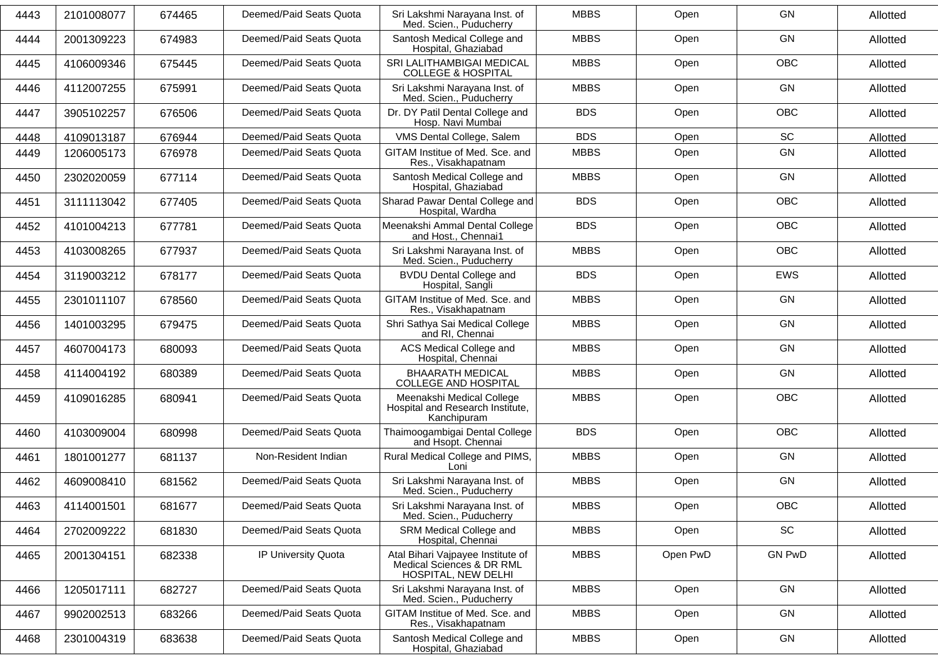| 4443 | 2101008077 | 674465 | Deemed/Paid Seats Quota | Sri Lakshmi Naravana Inst. of<br>Med. Scien., Puducherry                              | <b>MBBS</b> | Open     | <b>GN</b>     | Allotted |
|------|------------|--------|-------------------------|---------------------------------------------------------------------------------------|-------------|----------|---------------|----------|
| 4444 | 2001309223 | 674983 | Deemed/Paid Seats Quota | Santosh Medical College and<br>Hospital, Ghaziabad                                    | <b>MBBS</b> | Open     | <b>GN</b>     | Allotted |
| 4445 | 4106009346 | 675445 | Deemed/Paid Seats Quota | SRI LALITHAMBIGAI MEDICAL<br><b>COLLEGE &amp; HOSPITAL</b>                            | <b>MBBS</b> | Open     | <b>OBC</b>    | Allotted |
| 4446 | 4112007255 | 675991 | Deemed/Paid Seats Quota | Sri Lakshmi Narayana Inst. of<br>Med. Scien., Puducherry                              | <b>MBBS</b> | Open     | <b>GN</b>     | Allotted |
| 4447 | 3905102257 | 676506 | Deemed/Paid Seats Quota | Dr. DY Patil Dental College and<br>Hosp. Navi Mumbai                                  | <b>BDS</b>  | Open     | <b>OBC</b>    | Allotted |
| 4448 | 4109013187 | 676944 | Deemed/Paid Seats Quota | VMS Dental College, Salem                                                             | <b>BDS</b>  | Open     | SC            | Allotted |
| 4449 | 1206005173 | 676978 | Deemed/Paid Seats Quota | GITAM Institue of Med. Sce. and<br>Res., Visakhapatnam                                | <b>MBBS</b> | Open     | GN            | Allotted |
| 4450 | 2302020059 | 677114 | Deemed/Paid Seats Quota | Santosh Medical College and<br>Hospital, Ghaziabad                                    | <b>MBBS</b> | Open     | <b>GN</b>     | Allotted |
| 4451 | 3111113042 | 677405 | Deemed/Paid Seats Quota | Sharad Pawar Dental College and<br>Hospital, Wardha                                   | <b>BDS</b>  | Open     | <b>OBC</b>    | Allotted |
| 4452 | 4101004213 | 677781 | Deemed/Paid Seats Quota | Meenakshi Ammal Dental College<br>and Host., Chennai1                                 | <b>BDS</b>  | Open     | <b>OBC</b>    | Allotted |
| 4453 | 4103008265 | 677937 | Deemed/Paid Seats Quota | Sri Lakshmi Narayana Inst. of<br>Med. Scien., Puducherry                              | <b>MBBS</b> | Open     | <b>OBC</b>    | Allotted |
| 4454 | 3119003212 | 678177 | Deemed/Paid Seats Quota | <b>BVDU Dental College and</b><br>Hospital, Sangli                                    | <b>BDS</b>  | Open     | <b>EWS</b>    | Allotted |
| 4455 | 2301011107 | 678560 | Deemed/Paid Seats Quota | GITAM Institue of Med. Sce. and<br>Res., Visakhapatnam                                | <b>MBBS</b> | Open     | <b>GN</b>     | Allotted |
| 4456 | 1401003295 | 679475 | Deemed/Paid Seats Quota | Shri Sathya Sai Medical College<br>and RI, Chennai                                    | <b>MBBS</b> | Open     | <b>GN</b>     | Allotted |
| 4457 | 4607004173 | 680093 | Deemed/Paid Seats Quota | <b>ACS Medical College and</b><br>Hospital, Chennai                                   | <b>MBBS</b> | Open     | GN            | Allotted |
| 4458 | 4114004192 | 680389 | Deemed/Paid Seats Quota | <b>BHAARATH MEDICAL</b><br>COLLEGE AND HOSPITAL                                       | <b>MBBS</b> | Open     | <b>GN</b>     | Allotted |
| 4459 | 4109016285 | 680941 | Deemed/Paid Seats Quota | Meenakshi Medical College<br>Hospital and Research Institute,<br>Kanchipuram          | <b>MBBS</b> | Open     | <b>OBC</b>    | Allotted |
| 4460 | 4103009004 | 680998 | Deemed/Paid Seats Quota | Thaimoogambigai Dental College<br>and Hsopt. Chennai                                  | <b>BDS</b>  | Open     | <b>OBC</b>    | Allotted |
| 4461 | 1801001277 | 681137 | Non-Resident Indian     | Rural Medical College and PIMS,<br>Loni                                               | <b>MBBS</b> | Open     | GN            | Allotted |
| 4462 | 4609008410 | 681562 | Deemed/Paid Seats Quota | Sri Lakshmi Narayana Inst. of<br>Med. Scien., Puducherry                              | <b>MBBS</b> | Open     | GN            | Allotted |
| 4463 | 4114001501 | 681677 | Deemed/Paid Seats Quota | Sri Lakshmi Narayana Inst. of<br>Med. Scien., Puducherry                              | <b>MBBS</b> | Open     | OBC           | Allotted |
| 4464 | 2702009222 | 681830 | Deemed/Paid Seats Quota | SRM Medical College and<br>Hospital, Chennai                                          | <b>MBBS</b> | Open     | SC            | Allotted |
| 4465 | 2001304151 | 682338 | IP University Quota     | Atal Bihari Vajpayee Institute of<br>Medical Sciences & DR RML<br>HOSPITAL, NEW DELHI | <b>MBBS</b> | Open PwD | <b>GN PwD</b> | Allotted |
| 4466 | 1205017111 | 682727 | Deemed/Paid Seats Quota | Sri Lakshmi Narayana Inst. of<br>Med. Scien., Puducherry                              | <b>MBBS</b> | Open     | GN            | Allotted |
| 4467 | 9902002513 | 683266 | Deemed/Paid Seats Quota | GITAM Institue of Med. Sce. and<br>Res., Visakhapatnam                                | <b>MBBS</b> | Open     | GN            | Allotted |
| 4468 | 2301004319 | 683638 | Deemed/Paid Seats Quota | Santosh Medical College and<br>Hospital, Ghaziabad                                    | <b>MBBS</b> | Open     | GN            | Allotted |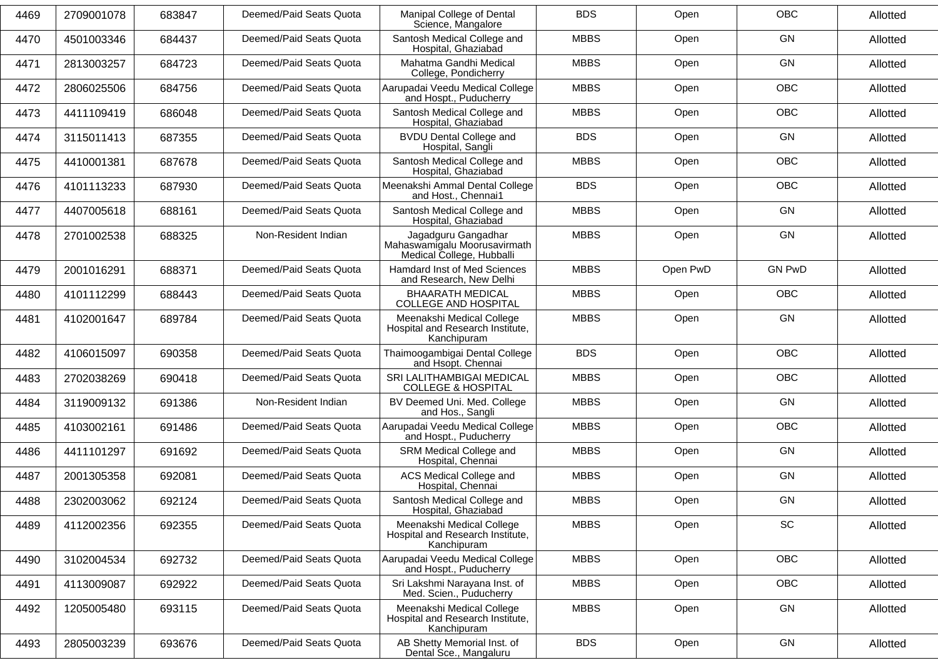| 4469 | 2709001078 | 683847 | Deemed/Paid Seats Quota | Manipal College of Dental<br>Science, Mangalore                                  | <b>BDS</b>  | Open     | <b>OBC</b>    | Allotted |
|------|------------|--------|-------------------------|----------------------------------------------------------------------------------|-------------|----------|---------------|----------|
| 4470 | 4501003346 | 684437 | Deemed/Paid Seats Quota | Santosh Medical College and<br>Hospital, Ghaziabad                               | <b>MBBS</b> | Open     | <b>GN</b>     | Allotted |
| 4471 | 2813003257 | 684723 | Deemed/Paid Seats Quota | Mahatma Gandhi Medical<br>College, Pondicherry                                   | <b>MBBS</b> | Open     | <b>GN</b>     | Allotted |
| 4472 | 2806025506 | 684756 | Deemed/Paid Seats Quota | Aarupadai Veedu Medical College<br>and Hospt., Puducherry                        | <b>MBBS</b> | Open     | <b>OBC</b>    | Allotted |
| 4473 | 4411109419 | 686048 | Deemed/Paid Seats Quota | Santosh Medical College and<br>Hospital, Ghaziabad                               | <b>MBBS</b> | Open     | <b>OBC</b>    | Allotted |
| 4474 | 3115011413 | 687355 | Deemed/Paid Seats Quota | <b>BVDU Dental College and</b><br>Hospital, Sangli                               | <b>BDS</b>  | Open     | <b>GN</b>     | Allotted |
| 4475 | 4410001381 | 687678 | Deemed/Paid Seats Quota | Santosh Medical College and<br>Hospital, Ghaziabad                               | <b>MBBS</b> | Open     | <b>OBC</b>    | Allotted |
| 4476 | 4101113233 | 687930 | Deemed/Paid Seats Quota | Meenakshi Ammal Dental College<br>and Host., Chennai1                            | <b>BDS</b>  | Open     | OBC           | Allotted |
| 4477 | 4407005618 | 688161 | Deemed/Paid Seats Quota | Santosh Medical College and<br>Hospital, Ghaziabad                               | <b>MBBS</b> | Open     | <b>GN</b>     | Allotted |
| 4478 | 2701002538 | 688325 | Non-Resident Indian     | Jagadguru Gangadhar<br>Mahaswamigalu Moorusavirmath<br>Medical College, Hubballi | <b>MBBS</b> | Open     | <b>GN</b>     | Allotted |
| 4479 | 2001016291 | 688371 | Deemed/Paid Seats Quota | Hamdard Inst of Med Sciences<br>and Research, New Delhi                          | <b>MBBS</b> | Open PwD | <b>GN PwD</b> | Allotted |
| 4480 | 4101112299 | 688443 | Deemed/Paid Seats Quota | <b>BHAARATH MEDICAL</b><br>COLLEGE AND HOSPITAL                                  | <b>MBBS</b> | Open     | <b>OBC</b>    | Allotted |
| 4481 | 4102001647 | 689784 | Deemed/Paid Seats Quota | Meenakshi Medical College<br>Hospital and Research Institute,<br>Kanchipuram     | <b>MBBS</b> | Open     | GN            | Allotted |
| 4482 | 4106015097 | 690358 | Deemed/Paid Seats Quota | Thaimoogambigai Dental College<br>and Hsopt. Chennai                             | <b>BDS</b>  | Open     | <b>OBC</b>    | Allotted |
| 4483 | 2702038269 | 690418 | Deemed/Paid Seats Quota | SRI LALITHAMBIGAI MEDICAL<br><b>COLLEGE &amp; HOSPITAL</b>                       | <b>MBBS</b> | Open     | OBC           | Allotted |
| 4484 | 3119009132 | 691386 | Non-Resident Indian     | BV Deemed Uni. Med. College<br>and Hos., Sangli                                  | <b>MBBS</b> | Open     | <b>GN</b>     | Allotted |
| 4485 | 4103002161 | 691486 | Deemed/Paid Seats Quota | Aarupadai Veedu Medical College<br>and Hospt., Puducherry                        | <b>MBBS</b> | Open     | <b>OBC</b>    | Allotted |
| 4486 | 4411101297 | 691692 | Deemed/Paid Seats Quota | SRM Medical College and<br>Hospital, Chennai                                     | <b>MBBS</b> | Open     | <b>GN</b>     | Allotted |
| 4487 | 2001305358 | 692081 | Deemed/Paid Seats Quota | ACS Medical College and<br>Hospital, Chennai                                     | <b>MBBS</b> | Open     | <b>GN</b>     | Allotted |
| 4488 | 2302003062 | 692124 | Deemed/Paid Seats Quota | Santosh Medical College and<br>Hospital, Ghaziabad                               | <b>MBBS</b> | Open     | <b>GN</b>     | Allotted |
| 4489 | 4112002356 | 692355 | Deemed/Paid Seats Quota | Meenakshi Medical College<br>Hospital and Research Institute,<br>Kanchipuram     | <b>MBBS</b> | Open     | SC            | Allotted |
| 4490 | 3102004534 | 692732 | Deemed/Paid Seats Quota | Aarupadai Veedu Medical College<br>and Hospt., Puducherry                        | <b>MBBS</b> | Open     | <b>OBC</b>    | Allotted |
| 4491 | 4113009087 | 692922 | Deemed/Paid Seats Quota | Sri Lakshmi Narayana Inst. of<br>Med. Scien., Puducherry                         | <b>MBBS</b> | Open     | <b>OBC</b>    | Allotted |
| 4492 | 1205005480 | 693115 | Deemed/Paid Seats Quota | Meenakshi Medical College<br>Hospital and Research Institute,<br>Kanchipuram     | <b>MBBS</b> | Open     | GN            | Allotted |
| 4493 | 2805003239 | 693676 | Deemed/Paid Seats Quota | AB Shetty Memorial Inst. of<br>Dental Sce., Mangaluru                            | <b>BDS</b>  | Open     | GN            | Allotted |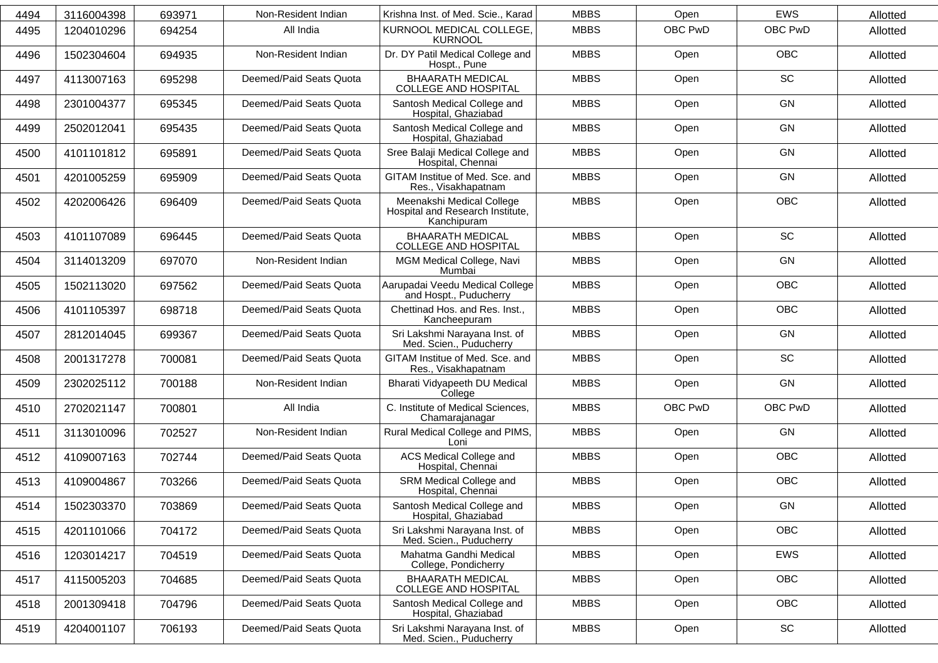|      |            |        |                         | Krishna Inst. of Med. Scie., Karad                                           | <b>MBBS</b> |         | <b>EWS</b> |          |
|------|------------|--------|-------------------------|------------------------------------------------------------------------------|-------------|---------|------------|----------|
| 4494 | 3116004398 | 693971 | Non-Resident Indian     |                                                                              |             | Open    |            | Allotted |
| 4495 | 1204010296 | 694254 | All India               | KURNOOL MEDICAL COLLEGE,<br><b>KURNOOL</b>                                   | <b>MBBS</b> | OBC PwD | OBC PwD    | Allotted |
| 4496 | 1502304604 | 694935 | Non-Resident Indian     | Dr. DY Patil Medical College and<br>Hospt., Pune                             | <b>MBBS</b> | Open    | <b>OBC</b> | Allotted |
| 4497 | 4113007163 | 695298 | Deemed/Paid Seats Quota | <b>BHAARATH MEDICAL</b><br><b>COLLEGE AND HOSPITAL</b>                       | <b>MBBS</b> | Open    | SC         | Allotted |
| 4498 | 2301004377 | 695345 | Deemed/Paid Seats Quota | Santosh Medical College and<br>Hospital, Ghaziabad                           | <b>MBBS</b> | Open    | GN         | Allotted |
| 4499 | 2502012041 | 695435 | Deemed/Paid Seats Quota | Santosh Medical College and<br>Hospital, Ghaziabad                           | <b>MBBS</b> | Open    | GN         | Allotted |
| 4500 | 4101101812 | 695891 | Deemed/Paid Seats Quota | Sree Balaji Medical College and<br>Hospital, Chennai                         | <b>MBBS</b> | Open    | GN         | Allotted |
| 4501 | 4201005259 | 695909 | Deemed/Paid Seats Quota | GITAM Institue of Med. Sce. and<br>Res., Visakhapatnam                       | <b>MBBS</b> | Open    | GN         | Allotted |
| 4502 | 4202006426 | 696409 | Deemed/Paid Seats Quota | Meenakshi Medical College<br>Hospital and Research Institute,<br>Kanchipuram | <b>MBBS</b> | Open    | <b>OBC</b> | Allotted |
| 4503 | 4101107089 | 696445 | Deemed/Paid Seats Quota | <b>BHAARATH MEDICAL</b><br><b>COLLEGE AND HOSPITAL</b>                       | <b>MBBS</b> | Open    | SC         | Allotted |
| 4504 | 3114013209 | 697070 | Non-Resident Indian     | MGM Medical College, Navi<br>Mumbai                                          | <b>MBBS</b> | Open    | GN         | Allotted |
| 4505 | 1502113020 | 697562 | Deemed/Paid Seats Quota | Aarupadai Veedu Medical College<br>and Hospt., Puducherry                    | <b>MBBS</b> | Open    | <b>OBC</b> | Allotted |
| 4506 | 4101105397 | 698718 | Deemed/Paid Seats Quota | Chettinad Hos. and Res. Inst.,<br>Kancheepuram                               | <b>MBBS</b> | Open    | <b>OBC</b> | Allotted |
| 4507 | 2812014045 | 699367 | Deemed/Paid Seats Quota | Sri Lakshmi Narayana Inst. of<br>Med. Scien., Puducherry                     | <b>MBBS</b> | Open    | GN         | Allotted |
| 4508 | 2001317278 | 700081 | Deemed/Paid Seats Quota | GITAM Institue of Med. Sce. and<br>Res., Visakhapatnam                       | <b>MBBS</b> | Open    | SC         | Allotted |
| 4509 | 2302025112 | 700188 | Non-Resident Indian     | Bharati Vidyapeeth DU Medical<br>College                                     | <b>MBBS</b> | Open    | GN         | Allotted |
| 4510 | 2702021147 | 700801 | All India               | C. Institute of Medical Sciences,<br>Chamarajanagar                          | <b>MBBS</b> | OBC PwD | OBC PwD    | Allotted |
| 4511 | 3113010096 | 702527 | Non-Resident Indian     | Rural Medical College and PIMS,<br>Loni                                      | <b>MBBS</b> | Open    | GN         | Allotted |
| 4512 | 4109007163 | 702744 | Deemed/Paid Seats Quota | <b>ACS Medical College and</b><br>Hospital, Chennai                          | <b>MBBS</b> | Open    | <b>OBC</b> | Allotted |
| 4513 | 4109004867 | 703266 | Deemed/Paid Seats Quota | SRM Medical College and<br>Hospital, Chennai                                 | <b>MBBS</b> | Open    | OBC        | Allotted |
| 4514 | 1502303370 | 703869 | Deemed/Paid Seats Quota | Santosh Medical College and<br>Hospital, Ghaziabad                           | <b>MBBS</b> | Open    | GN         | Allotted |
| 4515 | 4201101066 | 704172 | Deemed/Paid Seats Quota | Sri Lakshmi Narayana Inst. of<br>Med. Scien., Puducherry                     | <b>MBBS</b> | Open    | OBC        | Allotted |
| 4516 | 1203014217 | 704519 | Deemed/Paid Seats Quota | Mahatma Gandhi Medical<br>College, Pondicherry                               | <b>MBBS</b> | Open    | EWS        | Allotted |
| 4517 | 4115005203 | 704685 | Deemed/Paid Seats Quota | <b>BHAARATH MEDICAL</b><br><b>COLLEGE AND HOSPITAL</b>                       | <b>MBBS</b> | Open    | OBC        | Allotted |
| 4518 | 2001309418 | 704796 | Deemed/Paid Seats Quota | Santosh Medical College and<br>Hospital, Ghaziabad                           | <b>MBBS</b> | Open    | OBC        | Allotted |
| 4519 | 4204001107 | 706193 | Deemed/Paid Seats Quota | Sri Lakshmi Narayana Inst. of<br>Med. Scien., Puducherry                     | <b>MBBS</b> | Open    | SC         | Allotted |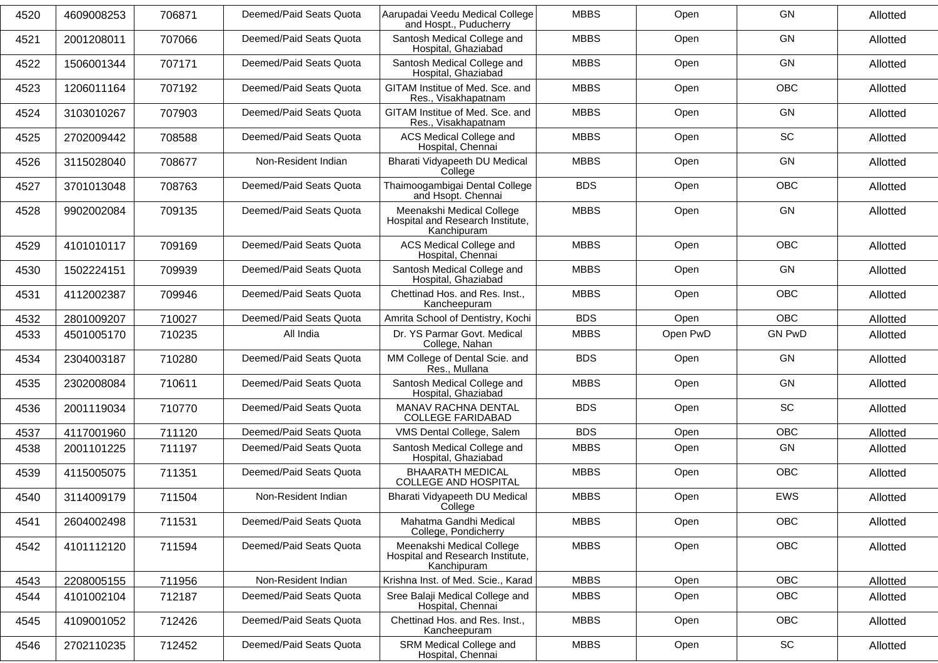| 4520 | 4609008253 | 706871 | Deemed/Paid Seats Quota | Aarupadai Veedu Medical College<br>and Hospt., Puducherry                    | <b>MBBS</b> | Open     | <b>GN</b>     | Allotted |
|------|------------|--------|-------------------------|------------------------------------------------------------------------------|-------------|----------|---------------|----------|
| 4521 | 2001208011 | 707066 | Deemed/Paid Seats Quota | Santosh Medical College and<br>Hospital, Ghaziabad                           | <b>MBBS</b> | Open     | <b>GN</b>     | Allotted |
| 4522 | 1506001344 | 707171 | Deemed/Paid Seats Quota | Santosh Medical College and<br>Hospital, Ghaziabad                           | <b>MBBS</b> | Open     | <b>GN</b>     | Allotted |
| 4523 | 1206011164 | 707192 | Deemed/Paid Seats Quota | GITAM Institue of Med. Sce. and<br>Res., Visakhapatnam                       | <b>MBBS</b> | Open     | <b>OBC</b>    | Allotted |
| 4524 | 3103010267 | 707903 | Deemed/Paid Seats Quota | GITAM Institue of Med. Sce. and<br>Res., Visakhapatnam                       | <b>MBBS</b> | Open     | <b>GN</b>     | Allotted |
| 4525 | 2702009442 | 708588 | Deemed/Paid Seats Quota | ACS Medical College and<br>Hospital, Chennai                                 | <b>MBBS</b> | Open     | SC            | Allotted |
| 4526 | 3115028040 | 708677 | Non-Resident Indian     | Bharati Vidyapeeth DU Medical<br>College                                     | <b>MBBS</b> | Open     | <b>GN</b>     | Allotted |
| 4527 | 3701013048 | 708763 | Deemed/Paid Seats Quota | Thaimoogambigai Dental College<br>and Hsopt. Chennai                         | <b>BDS</b>  | Open     | <b>OBC</b>    | Allotted |
| 4528 | 9902002084 | 709135 | Deemed/Paid Seats Quota | Meenakshi Medical College<br>Hospital and Research Institute,<br>Kanchipuram | <b>MBBS</b> | Open     | <b>GN</b>     | Allotted |
| 4529 | 4101010117 | 709169 | Deemed/Paid Seats Quota | ACS Medical College and<br>Hospital, Chennai                                 | <b>MBBS</b> | Open     | <b>OBC</b>    | Allotted |
| 4530 | 1502224151 | 709939 | Deemed/Paid Seats Quota | Santosh Medical College and<br>Hospital, Ghaziabad                           | <b>MBBS</b> | Open     | <b>GN</b>     | Allotted |
| 4531 | 4112002387 | 709946 | Deemed/Paid Seats Quota | Chettinad Hos. and Res. Inst.,<br>Kancheepuram                               | <b>MBBS</b> | Open     | <b>OBC</b>    | Allotted |
| 4532 | 2801009207 | 710027 | Deemed/Paid Seats Quota | Amrita School of Dentistry, Kochi                                            | <b>BDS</b>  | Open     | <b>OBC</b>    | Allotted |
| 4533 | 4501005170 | 710235 | All India               | Dr. YS Parmar Govt. Medical<br>College, Nahan                                | <b>MBBS</b> | Open PwD | <b>GN PwD</b> | Allotted |
| 4534 | 2304003187 | 710280 | Deemed/Paid Seats Quota | MM College of Dental Scie. and<br>Res., Mullana                              | <b>BDS</b>  | Open     | <b>GN</b>     | Allotted |
| 4535 | 2302008084 | 710611 | Deemed/Paid Seats Quota | Santosh Medical College and<br>Hospital, Ghaziabad                           | <b>MBBS</b> | Open     | GN            | Allotted |
| 4536 | 2001119034 | 710770 | Deemed/Paid Seats Quota | MANAV RACHNA DENTAL<br><b>COLLEGE FARIDABAD</b>                              | <b>BDS</b>  | Open     | SC            | Allotted |
| 4537 | 4117001960 | 711120 | Deemed/Paid Seats Quota | VMS Dental College, Salem                                                    | <b>BDS</b>  | Open     | <b>OBC</b>    | Allotted |
| 4538 | 2001101225 | 711197 | Deemed/Paid Seats Quota | Santosh Medical College and<br>Hospital, Ghaziabad                           | <b>MBBS</b> | Open     | <b>GN</b>     | Allotted |
| 4539 | 4115005075 | 711351 | Deemed/Paid Seats Quota | <b>BHAARATH MEDICAL</b><br><b>COLLEGE AND HOSPITAL</b>                       | <b>MBBS</b> | Open     | OBC           | Allotted |
| 4540 | 3114009179 | 711504 | Non-Resident Indian     | Bharati Vidyapeeth DU Medical<br>College                                     | <b>MBBS</b> | Open     | EWS           | Allotted |
| 4541 | 2604002498 | 711531 | Deemed/Paid Seats Quota | Mahatma Gandhi Medical<br>College, Pondicherry                               | <b>MBBS</b> | Open     | OBC           | Allotted |
| 4542 | 4101112120 | 711594 | Deemed/Paid Seats Quota | Meenakshi Medical College<br>Hospital and Research Institute,<br>Kanchipuram | <b>MBBS</b> | Open     | OBC           | Allotted |
| 4543 | 2208005155 | 711956 | Non-Resident Indian     | Krishna Inst. of Med. Scie., Karad                                           | <b>MBBS</b> | Open     | <b>OBC</b>    | Allotted |
| 4544 | 4101002104 | 712187 | Deemed/Paid Seats Quota | Sree Balaji Medical College and<br>Hospital, Chennai                         | <b>MBBS</b> | Open     | OBC           | Allotted |
| 4545 | 4109001052 | 712426 | Deemed/Paid Seats Quota | Chettinad Hos. and Res. Inst.,<br>Kancheepuram                               | <b>MBBS</b> | Open     | OBC           | Allotted |
| 4546 | 2702110235 | 712452 | Deemed/Paid Seats Quota | SRM Medical College and<br>Hospital, Chennai                                 | <b>MBBS</b> | Open     | SC            | Allotted |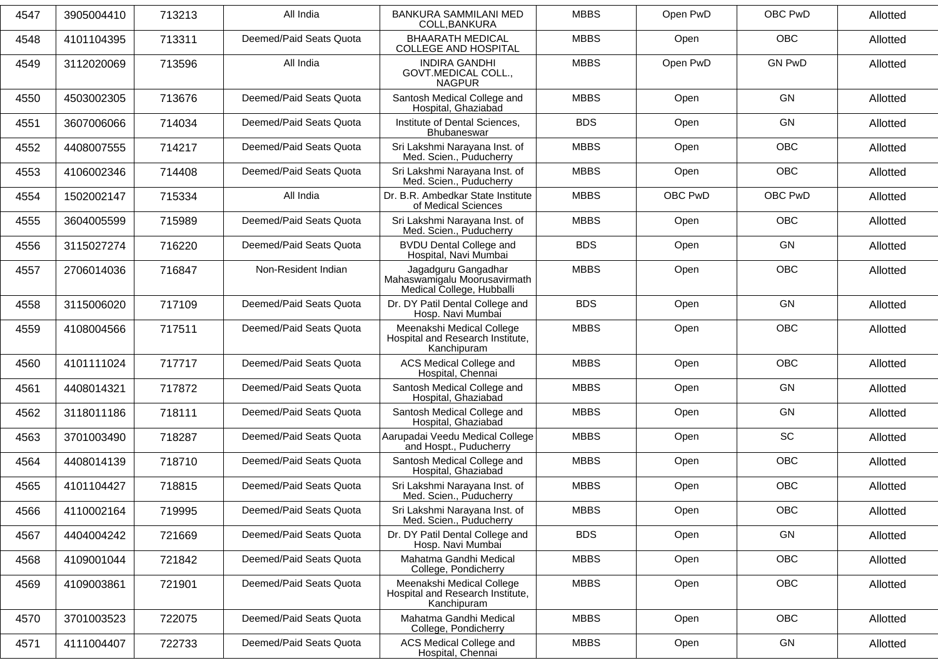| 4547 | 3905004410 | 713213 | All India               | BANKURA SAMMILANI MED<br>COLL, BANKURA                                           | <b>MBBS</b> | Open PwD | OBC PwD       | Allotted |
|------|------------|--------|-------------------------|----------------------------------------------------------------------------------|-------------|----------|---------------|----------|
| 4548 | 4101104395 | 713311 | Deemed/Paid Seats Quota | <b>BHAARATH MEDICAL</b><br><b>COLLEGE AND HOSPITAL</b>                           | <b>MBBS</b> | Open     | <b>OBC</b>    | Allotted |
| 4549 | 3112020069 | 713596 | All India               | <b>INDIRA GANDHI</b><br>GOVT.MEDICAL COLL.,<br><b>NAGPUR</b>                     | <b>MBBS</b> | Open PwD | <b>GN PwD</b> | Allotted |
| 4550 | 4503002305 | 713676 | Deemed/Paid Seats Quota | Santosh Medical College and<br>Hospital, Ghaziabad                               | <b>MBBS</b> | Open     | GN            | Allotted |
| 4551 | 3607006066 | 714034 | Deemed/Paid Seats Quota | Institute of Dental Sciences,<br>Bhubaneswar                                     | <b>BDS</b>  | Open     | <b>GN</b>     | Allotted |
| 4552 | 4408007555 | 714217 | Deemed/Paid Seats Quota | Sri Lakshmi Narayana Inst. of<br>Med. Scien., Puducherry                         | <b>MBBS</b> | Open     | <b>OBC</b>    | Allotted |
| 4553 | 4106002346 | 714408 | Deemed/Paid Seats Quota | Sri Lakshmi Narayana Inst. of<br>Med. Scien., Puducherry                         | <b>MBBS</b> | Open     | <b>OBC</b>    | Allotted |
| 4554 | 1502002147 | 715334 | All India               | Dr. B.R. Ambedkar State Institute<br>of Medical Sciences                         | <b>MBBS</b> | OBC PwD  | OBC PwD       | Allotted |
| 4555 | 3604005599 | 715989 | Deemed/Paid Seats Quota | Sri Lakshmi Narayana Inst. of<br>Med. Scien., Puducherry                         | <b>MBBS</b> | Open     | <b>OBC</b>    | Allotted |
| 4556 | 3115027274 | 716220 | Deemed/Paid Seats Quota | <b>BVDU Dental College and</b><br>Hospital, Navi Mumbai                          | <b>BDS</b>  | Open     | <b>GN</b>     | Allotted |
| 4557 | 2706014036 | 716847 | Non-Resident Indian     | Jagadguru Gangadhar<br>Mahaswamigalu Moorusavirmath<br>Medical College, Hubballi | <b>MBBS</b> | Open     | <b>OBC</b>    | Allotted |
| 4558 | 3115006020 | 717109 | Deemed/Paid Seats Quota | Dr. DY Patil Dental College and<br>Hosp. Navi Mumbai                             | <b>BDS</b>  | Open     | GN            | Allotted |
| 4559 | 4108004566 | 717511 | Deemed/Paid Seats Quota | Meenakshi Medical College<br>Hospital and Research Institute,<br>Kanchipuram     | <b>MBBS</b> | Open     | <b>OBC</b>    | Allotted |
| 4560 | 4101111024 | 717717 | Deemed/Paid Seats Quota | ACS Medical College and<br>Hospital, Chennai                                     | <b>MBBS</b> | Open     | <b>OBC</b>    | Allotted |
| 4561 | 4408014321 | 717872 | Deemed/Paid Seats Quota | Santosh Medical College and<br>Hospital, Ghaziabad                               | <b>MBBS</b> | Open     | <b>GN</b>     | Allotted |
| 4562 | 3118011186 | 718111 | Deemed/Paid Seats Quota | Santosh Medical College and<br>Hospital, Ghaziabad                               | <b>MBBS</b> | Open     | GN            | Allotted |
| 4563 | 3701003490 | 718287 | Deemed/Paid Seats Quota | Aarupadai Veedu Medical College<br>and Hospt., Puducherry                        | <b>MBBS</b> | Open     | SC            | Allotted |
| 4564 | 4408014139 | 718710 | Deemed/Paid Seats Quota | Santosh Medical College and<br>Hospital, Ghaziabad                               | <b>MBBS</b> | Open     | <b>OBC</b>    | Allotted |
| 4565 | 4101104427 | 718815 | Deemed/Paid Seats Quota | Sri Lakshmi Narayana Inst. of<br>Med. Scien., Puducherry                         | <b>MBBS</b> | Open     | OBC           | Allotted |
| 4566 | 4110002164 | 719995 | Deemed/Paid Seats Quota | Sri Lakshmi Narayana Inst. of<br>Med. Scien., Puducherry                         | <b>MBBS</b> | Open     | <b>OBC</b>    | Allotted |
| 4567 | 4404004242 | 721669 | Deemed/Paid Seats Quota | Dr. DY Patil Dental College and<br>Hosp. Navi Mumbai                             | <b>BDS</b>  | Open     | GN            | Allotted |
| 4568 | 4109001044 | 721842 | Deemed/Paid Seats Quota | Mahatma Gandhi Medical<br>College, Pondicherry                                   | <b>MBBS</b> | Open     | OBC           | Allotted |
| 4569 | 4109003861 | 721901 | Deemed/Paid Seats Quota | Meenakshi Medical College<br>Hospital and Research Institute,<br>Kanchipuram     | <b>MBBS</b> | Open     | OBC           | Allotted |
| 4570 | 3701003523 | 722075 | Deemed/Paid Seats Quota | Mahatma Gandhi Medical<br>College, Pondicherry                                   | <b>MBBS</b> | Open     | OBC           | Allotted |
| 4571 | 4111004407 | 722733 | Deemed/Paid Seats Quota | ACS Medical College and<br>Hospital, Chennai                                     | <b>MBBS</b> | Open     | GN            | Allotted |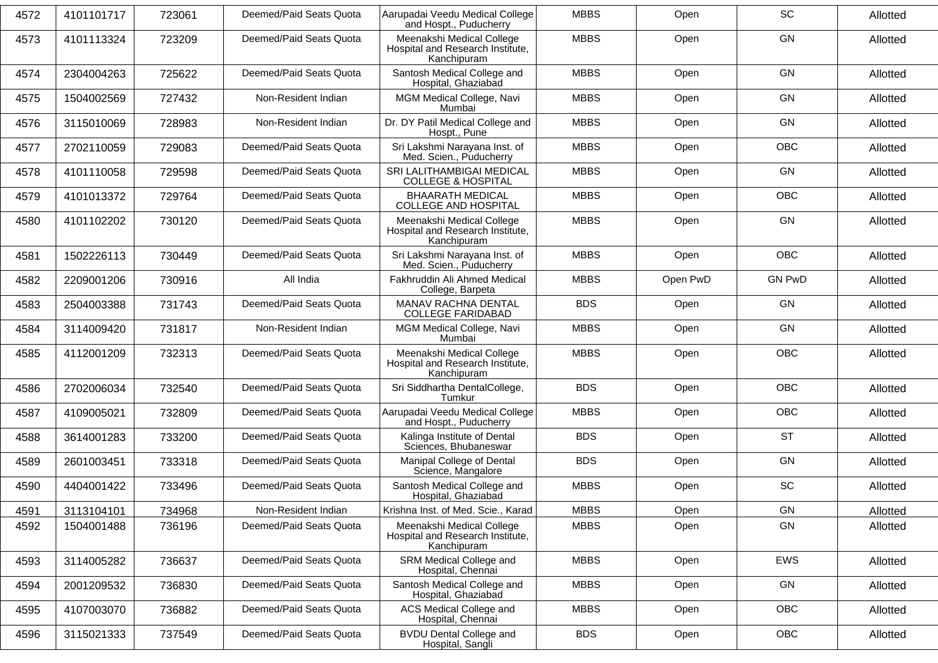| 4572 | 4101101717 | 723061 | Deemed/Paid Seats Quota | Aarupadai Veedu Medical College<br>and Hospt., Puducherry                    | <b>MBBS</b> | Open     | SC            | Allotted |
|------|------------|--------|-------------------------|------------------------------------------------------------------------------|-------------|----------|---------------|----------|
| 4573 | 4101113324 | 723209 | Deemed/Paid Seats Quota | Meenakshi Medical College<br>Hospital and Research Institute,<br>Kanchipuram | <b>MBBS</b> | Open     | <b>GN</b>     | Allotted |
| 4574 | 2304004263 | 725622 | Deemed/Paid Seats Quota | Santosh Medical College and<br>Hospital, Ghaziabad                           | <b>MBBS</b> | Open     | GN            | Allotted |
| 4575 | 1504002569 | 727432 | Non-Resident Indian     | MGM Medical College, Navi<br>Mumbai                                          | <b>MBBS</b> | Open     | <b>GN</b>     | Allotted |
| 4576 | 3115010069 | 728983 | Non-Resident Indian     | Dr. DY Patil Medical College and<br>Hospt., Pune                             | <b>MBBS</b> | Open     | <b>GN</b>     | Allotted |
| 4577 | 2702110059 | 729083 | Deemed/Paid Seats Quota | Sri Lakshmi Narayana Inst. of<br>Med. Scien., Puducherry                     | <b>MBBS</b> | Open     | OBC           | Allotted |
| 4578 | 4101110058 | 729598 | Deemed/Paid Seats Quota | SRI LALITHAMBIGAI MEDICAL<br><b>COLLEGE &amp; HOSPITAL</b>                   | <b>MBBS</b> | Open     | <b>GN</b>     | Allotted |
| 4579 | 4101013372 | 729764 | Deemed/Paid Seats Quota | <b>BHAARATH MEDICAL</b><br><b>COLLEGE AND HOSPITAL</b>                       | <b>MBBS</b> | Open     | <b>OBC</b>    | Allotted |
| 4580 | 4101102202 | 730120 | Deemed/Paid Seats Quota | Meenakshi Medical College<br>Hospital and Research Institute,<br>Kanchipuram | <b>MBBS</b> | Open     | GN            | Allotted |
| 4581 | 1502226113 | 730449 | Deemed/Paid Seats Quota | Sri Lakshmi Narayana Inst. of<br>Med. Scien., Puducherry                     | <b>MBBS</b> | Open     | <b>OBC</b>    | Allotted |
| 4582 | 2209001206 | 730916 | All India               | Fakhruddin Ali Ahmed Medical<br>College, Barpeta                             | <b>MBBS</b> | Open PwD | <b>GN PwD</b> | Allotted |
| 4583 | 2504003388 | 731743 | Deemed/Paid Seats Quota | MANAV RACHNA DENTAL<br><b>COLLEGE FARIDABAD</b>                              | <b>BDS</b>  | Open     | <b>GN</b>     | Allotted |
| 4584 | 3114009420 | 731817 | Non-Resident Indian     | MGM Medical College, Navi<br>Mumbai                                          | <b>MBBS</b> | Open     | <b>GN</b>     | Allotted |
| 4585 | 4112001209 | 732313 | Deemed/Paid Seats Quota | Meenakshi Medical College<br>Hospital and Research Institute,<br>Kanchipuram | <b>MBBS</b> | Open     | <b>OBC</b>    | Allotted |
| 4586 | 2702006034 | 732540 | Deemed/Paid Seats Quota | Sri Siddhartha DentalCollege,<br>Tumkur                                      | <b>BDS</b>  | Open     | OBC           | Allotted |
| 4587 | 4109005021 | 732809 | Deemed/Paid Seats Quota | Aarupadai Veedu Medical College<br>and Hospt., Puducherry                    | <b>MBBS</b> | Open     | OBC           | Allotted |
| 4588 | 3614001283 | 733200 | Deemed/Paid Seats Quota | Kalinga Institute of Dental<br>Sciences, Bhubaneswar                         | <b>BDS</b>  | Open     | <b>ST</b>     | Allotted |
| 4589 | 2601003451 | 733318 | Deemed/Paid Seats Quota | Manipal College of Dental<br>Science, Mangalore                              | <b>BDS</b>  | Open     | GN            | Allotted |
| 4590 | 4404001422 | 733496 | Deemed/Paid Seats Quota | Santosh Medical College and<br>Hospital, Ghaziabad                           | <b>MBBS</b> | Open     | SC            | Allotted |
| 4591 | 3113104101 | 734968 | Non-Resident Indian     | Krishna Inst. of Med. Scie., Karad                                           | <b>MBBS</b> | Open     | GN            | Allotted |
| 4592 | 1504001488 | 736196 | Deemed/Paid Seats Quota | Meenakshi Medical College<br>Hospital and Research Institute,<br>Kanchipuram | <b>MBBS</b> | Open     | GN            | Allotted |
| 4593 | 3114005282 | 736637 | Deemed/Paid Seats Quota | SRM Medical College and<br>Hospital, Chennai                                 | <b>MBBS</b> | Open     | EWS           | Allotted |
| 4594 | 2001209532 | 736830 | Deemed/Paid Seats Quota | Santosh Medical College and<br>Hospital, Ghaziabad                           | <b>MBBS</b> | Open     | GN            | Allotted |
| 4595 | 4107003070 | 736882 | Deemed/Paid Seats Quota | ACS Medical College and<br>Hospital, Chennai                                 | <b>MBBS</b> | Open     | OBC           | Allotted |
| 4596 | 3115021333 | 737549 | Deemed/Paid Seats Quota | <b>BVDU Dental College and</b><br>Hospital, Sangli                           | <b>BDS</b>  | Open     | OBC           | Allotted |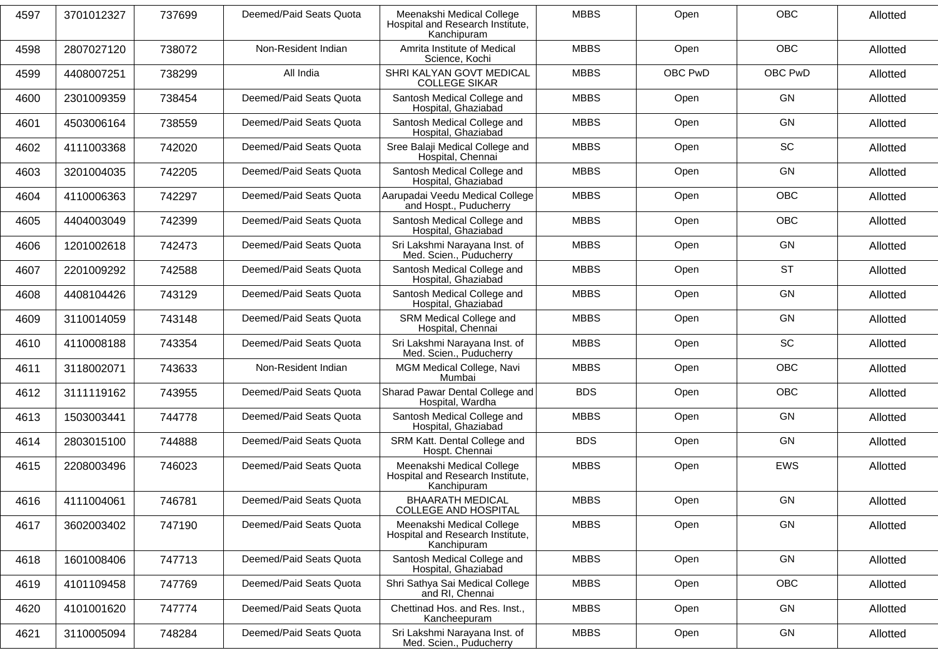| 4597 | 3701012327 | 737699 | Deemed/Paid Seats Quota | Meenakshi Medical College<br>Hospital and Research Institute,<br>Kanchipuram | <b>MBBS</b> | Open    | <b>OBC</b> | Allotted |
|------|------------|--------|-------------------------|------------------------------------------------------------------------------|-------------|---------|------------|----------|
| 4598 | 2807027120 | 738072 | Non-Resident Indian     | Amrita Institute of Medical<br>Science, Kochi                                | <b>MBBS</b> | Open    | <b>OBC</b> | Allotted |
| 4599 | 4408007251 | 738299 | All India               | SHRI KALYAN GOVT MEDICAL<br><b>COLLEGE SIKAR</b>                             | <b>MBBS</b> | OBC PwD | OBC PwD    | Allotted |
| 4600 | 2301009359 | 738454 | Deemed/Paid Seats Quota | Santosh Medical College and<br>Hospital, Ghaziabad                           | <b>MBBS</b> | Open    | <b>GN</b>  | Allotted |
| 4601 | 4503006164 | 738559 | Deemed/Paid Seats Quota | Santosh Medical College and<br>Hospital, Ghaziabad                           | <b>MBBS</b> | Open    | GN         | Allotted |
| 4602 | 4111003368 | 742020 | Deemed/Paid Seats Quota | Sree Balaji Medical College and<br>Hospital, Chennai                         | <b>MBBS</b> | Open    | <b>SC</b>  | Allotted |
| 4603 | 3201004035 | 742205 | Deemed/Paid Seats Quota | Santosh Medical College and<br>Hospital, Ghaziabad                           | <b>MBBS</b> | Open    | <b>GN</b>  | Allotted |
| 4604 | 4110006363 | 742297 | Deemed/Paid Seats Quota | Aarupadai Veedu Medical College<br>and Hospt., Puducherry                    | <b>MBBS</b> | Open    | <b>OBC</b> | Allotted |
| 4605 | 4404003049 | 742399 | Deemed/Paid Seats Quota | Santosh Medical College and<br>Hospital, Ghaziabad                           | <b>MBBS</b> | Open    | <b>OBC</b> | Allotted |
| 4606 | 1201002618 | 742473 | Deemed/Paid Seats Quota | Sri Lakshmi Narayana Inst. of<br>Med. Scien., Puducherry                     | <b>MBBS</b> | Open    | <b>GN</b>  | Allotted |
| 4607 | 2201009292 | 742588 | Deemed/Paid Seats Quota | Santosh Medical College and<br>Hospital, Ghaziabad                           | <b>MBBS</b> | Open    | <b>ST</b>  | Allotted |
| 4608 | 4408104426 | 743129 | Deemed/Paid Seats Quota | Santosh Medical College and<br>Hospital, Ghaziabad                           | <b>MBBS</b> | Open    | <b>GN</b>  | Allotted |
| 4609 | 3110014059 | 743148 | Deemed/Paid Seats Quota | SRM Medical College and<br>Hospital, Chennai                                 | <b>MBBS</b> | Open    | <b>GN</b>  | Allotted |
| 4610 | 4110008188 | 743354 | Deemed/Paid Seats Quota | Sri Lakshmi Narayana Inst. of<br>Med. Scien., Puducherry                     | <b>MBBS</b> | Open    | <b>SC</b>  | Allotted |
| 4611 | 3118002071 | 743633 | Non-Resident Indian     | MGM Medical College, Navi<br>Mumbai                                          | <b>MBBS</b> | Open    | <b>OBC</b> | Allotted |
| 4612 | 3111119162 | 743955 | Deemed/Paid Seats Quota | Sharad Pawar Dental College and<br>Hospital, Wardha                          | <b>BDS</b>  | Open    | <b>OBC</b> | Allotted |
| 4613 | 1503003441 | 744778 | Deemed/Paid Seats Quota | Santosh Medical College and<br>Hospital, Ghaziabad                           | <b>MBBS</b> | Open    | GN         | Allotted |
| 4614 | 2803015100 | 744888 | Deemed/Paid Seats Quota | SRM Katt. Dental College and<br>Hospt. Chennai                               | <b>BDS</b>  | Open    | GN         | Allotted |
| 4615 | 2208003496 | 746023 | Deemed/Paid Seats Quota | Meenakshi Medical College<br>Hospital and Research Institute,<br>Kanchipuram | <b>MBBS</b> | Open    | EWS        | Allotted |
| 4616 | 4111004061 | 746781 | Deemed/Paid Seats Quota | <b>BHAARATH MEDICAL</b><br><b>COLLEGE AND HOSPITAL</b>                       | <b>MBBS</b> | Open    | GN         | Allotted |
| 4617 | 3602003402 | 747190 | Deemed/Paid Seats Quota | Meenakshi Medical College<br>Hospital and Research Institute,<br>Kanchipuram | <b>MBBS</b> | Open    | GN         | Allotted |
| 4618 | 1601008406 | 747713 | Deemed/Paid Seats Quota | Santosh Medical College and<br>Hospital, Ghaziabad                           | <b>MBBS</b> | Open    | GN         | Allotted |
| 4619 | 4101109458 | 747769 | Deemed/Paid Seats Quota | Shri Sathya Sai Medical College<br>and RI, Chennai                           | <b>MBBS</b> | Open    | OBC        | Allotted |
| 4620 | 4101001620 | 747774 | Deemed/Paid Seats Quota | Chettinad Hos. and Res. Inst.,<br>Kancheepuram                               | <b>MBBS</b> | Open    | GN         | Allotted |
| 4621 | 3110005094 | 748284 | Deemed/Paid Seats Quota | Sri Lakshmi Narayana Inst. of<br>Med. Scien., Puducherry                     | <b>MBBS</b> | Open    | GN         | Allotted |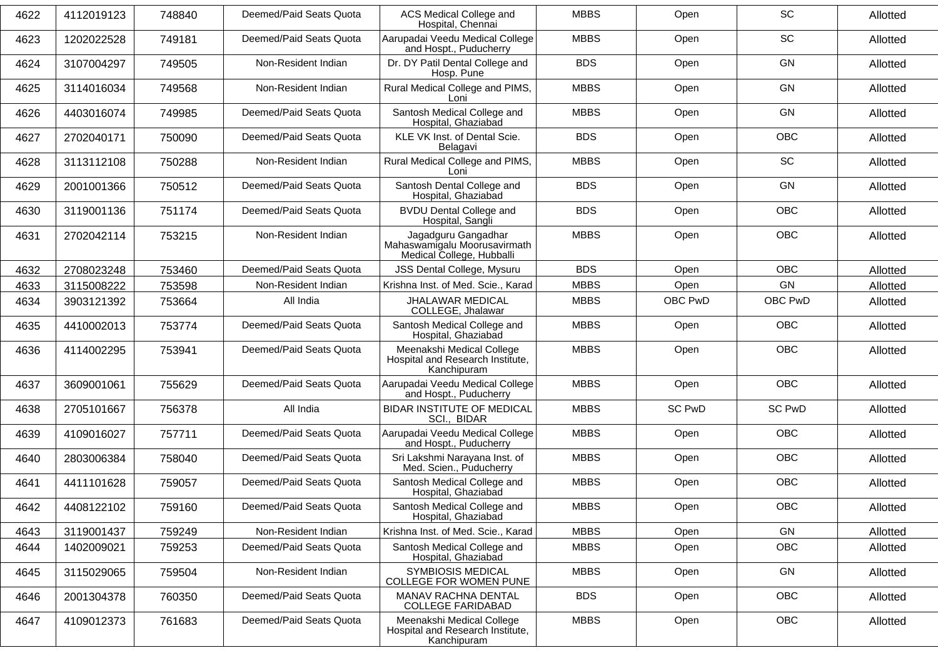| 4622 | 4112019123 | 748840 | Deemed/Paid Seats Quota | <b>ACS Medical College and</b><br>Hospital, Chennai                              | <b>MBBS</b> | Open          | SC            | Allotted |
|------|------------|--------|-------------------------|----------------------------------------------------------------------------------|-------------|---------------|---------------|----------|
| 4623 | 1202022528 | 749181 | Deemed/Paid Seats Quota | Aarupadai Veedu Medical College<br>and Hospt., Puducherry                        | <b>MBBS</b> | Open          | SC            | Allotted |
| 4624 | 3107004297 | 749505 | Non-Resident Indian     | Dr. DY Patil Dental College and<br>Hosp. Pune                                    | <b>BDS</b>  | Open          | <b>GN</b>     | Allotted |
| 4625 | 3114016034 | 749568 | Non-Resident Indian     | Rural Medical College and PIMS,<br>Loni                                          | <b>MBBS</b> | Open          | <b>GN</b>     | Allotted |
| 4626 | 4403016074 | 749985 | Deemed/Paid Seats Quota | Santosh Medical College and<br>Hospital, Ghaziabad                               | <b>MBBS</b> | Open          | <b>GN</b>     | Allotted |
| 4627 | 2702040171 | 750090 | Deemed/Paid Seats Quota | KLE VK Inst. of Dental Scie.<br>Belagavi                                         | <b>BDS</b>  | Open          | <b>OBC</b>    | Allotted |
| 4628 | 3113112108 | 750288 | Non-Resident Indian     | Rural Medical College and PIMS,<br>Loni                                          | <b>MBBS</b> | Open          | SC            | Allotted |
| 4629 | 2001001366 | 750512 | Deemed/Paid Seats Quota | Santosh Dental College and<br>Hospital, Ghaziabad                                | <b>BDS</b>  | Open          | GN            | Allotted |
| 4630 | 3119001136 | 751174 | Deemed/Paid Seats Quota | <b>BVDU Dental College and</b><br>Hospital, Sangli                               | <b>BDS</b>  | Open          | <b>OBC</b>    | Allotted |
| 4631 | 2702042114 | 753215 | Non-Resident Indian     | Jagadguru Gangadhar<br>Mahaswamigalu Moorusavirmath<br>Medical College, Hubballi | <b>MBBS</b> | Open          | <b>OBC</b>    | Allotted |
| 4632 | 2708023248 | 753460 | Deemed/Paid Seats Quota | JSS Dental College, Mysuru                                                       | <b>BDS</b>  | Open          | <b>OBC</b>    | Allotted |
| 4633 | 3115008222 | 753598 | Non-Resident Indian     | Krishna Inst. of Med. Scie., Karad                                               | <b>MBBS</b> | Open          | GN            | Allotted |
| 4634 | 3903121392 | 753664 | All India               | JHALAWAR MEDICAL<br>COLLEGE, Jhalawar                                            | <b>MBBS</b> | OBC PwD       | OBC PwD       | Allotted |
| 4635 | 4410002013 | 753774 | Deemed/Paid Seats Quota | Santosh Medical College and<br>Hospital, Ghaziabad                               | <b>MBBS</b> | Open          | <b>OBC</b>    | Allotted |
| 4636 | 4114002295 | 753941 | Deemed/Paid Seats Quota | Meenakshi Medical College<br>Hospital and Research Institute,<br>Kanchipuram     | <b>MBBS</b> | Open          | <b>OBC</b>    | Allotted |
| 4637 | 3609001061 | 755629 | Deemed/Paid Seats Quota | Aarupadai Veedu Medical College<br>and Hospt., Puducherry                        | <b>MBBS</b> | Open          | <b>OBC</b>    | Allotted |
| 4638 | 2705101667 | 756378 | All India               | <b>BIDAR INSTITUTE OF MEDICAL</b><br>SCI., BIDAR                                 | <b>MBBS</b> | <b>SC PwD</b> | <b>SC PwD</b> | Allotted |
| 4639 | 4109016027 | 757711 | Deemed/Paid Seats Quota | Aarupadai Veedu Medical College<br>and Hospt., Puducherry                        | <b>MBBS</b> | Open          | <b>OBC</b>    | Allotted |
| 4640 | 2803006384 | 758040 | Deemed/Paid Seats Quota | Sri Lakshmi Narayana Inst. of<br>Med. Scien., Puducherry                         | <b>MBBS</b> | Open          | <b>OBC</b>    | Allotted |
| 4641 | 4411101628 | 759057 | Deemed/Paid Seats Quota | Santosh Medical College and<br>Hospital, Ghaziabad                               | <b>MBBS</b> | Open          | OBC           | Allotted |
| 4642 | 4408122102 | 759160 | Deemed/Paid Seats Quota | Santosh Medical College and<br>Hospital, Ghaziabad                               | <b>MBBS</b> | Open          | OBC.          | Allotted |
| 4643 | 3119001437 | 759249 | Non-Resident Indian     | Krishna Inst. of Med. Scie., Karad                                               | <b>MBBS</b> | Open          | GN            | Allotted |
| 4644 | 1402009021 | 759253 | Deemed/Paid Seats Quota | Santosh Medical College and<br>Hospital, Ghaziabad                               | <b>MBBS</b> | Open          | <b>OBC</b>    | Allotted |
| 4645 | 3115029065 | 759504 | Non-Resident Indian     | <b>SYMBIOSIS MEDICAL</b><br>COLLEGE FOR WOMEN PUNE                               | <b>MBBS</b> | Open          | GN            | Allotted |
| 4646 | 2001304378 | 760350 | Deemed/Paid Seats Quota | MANAV RACHNA DENTAL<br><b>COLLEGE FARIDABAD</b>                                  | <b>BDS</b>  | Open          | OBC           | Allotted |
| 4647 | 4109012373 | 761683 | Deemed/Paid Seats Quota | Meenakshi Medical College<br>Hospital and Research Institute,<br>Kanchipuram     | <b>MBBS</b> | Open          | <b>OBC</b>    | Allotted |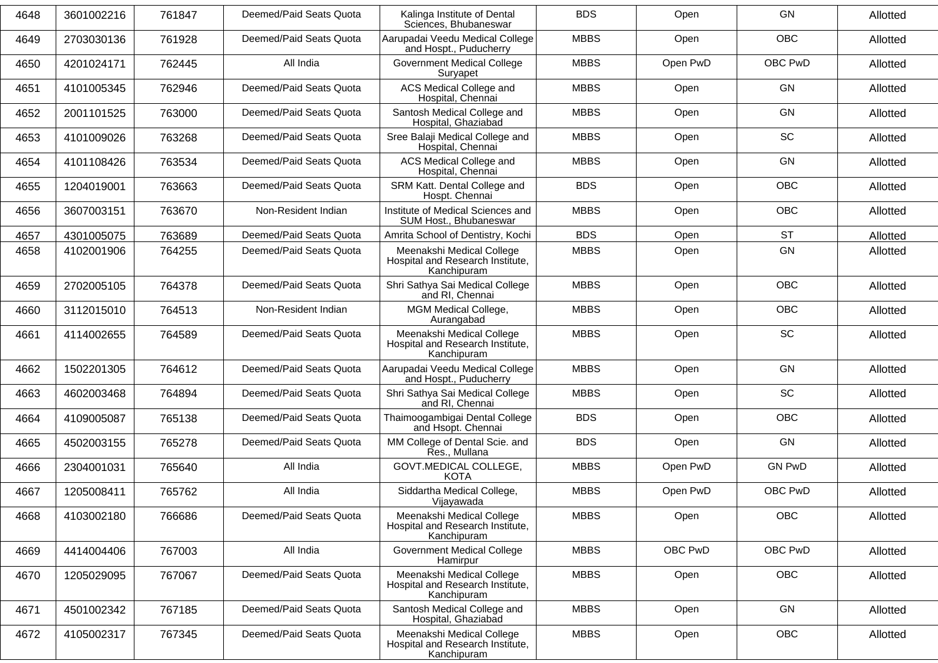| 4648 | 3601002216 | 761847 | Deemed/Paid Seats Quota | Kalinga Institute of Dental<br>Sciences, Bhubaneswar                         | <b>BDS</b>  | Open     | <b>GN</b>     | Allotted |
|------|------------|--------|-------------------------|------------------------------------------------------------------------------|-------------|----------|---------------|----------|
| 4649 | 2703030136 | 761928 | Deemed/Paid Seats Quota | Aarupadai Veedu Medical College<br>and Hospt., Puducherry                    | <b>MBBS</b> | Open     | <b>OBC</b>    | Allotted |
| 4650 | 4201024171 | 762445 | All India               | <b>Government Medical College</b><br>Suryapet                                | <b>MBBS</b> | Open PwD | OBC PwD       | Allotted |
| 4651 | 4101005345 | 762946 | Deemed/Paid Seats Quota | ACS Medical College and<br>Hospital, Chennai                                 | <b>MBBS</b> | Open     | <b>GN</b>     | Allotted |
| 4652 | 2001101525 | 763000 | Deemed/Paid Seats Quota | Santosh Medical College and<br>Hospital, Ghaziabad                           | <b>MBBS</b> | Open     | <b>GN</b>     | Allotted |
| 4653 | 4101009026 | 763268 | Deemed/Paid Seats Quota | Sree Balaji Medical College and<br>Hospital, Chennai                         | <b>MBBS</b> | Open     | SC            | Allotted |
| 4654 | 4101108426 | 763534 | Deemed/Paid Seats Quota | ACS Medical College and<br>Hospital, Chennai                                 | <b>MBBS</b> | Open     | <b>GN</b>     | Allotted |
| 4655 | 1204019001 | 763663 | Deemed/Paid Seats Quota | SRM Katt. Dental College and<br>Hospt. Chennai                               | <b>BDS</b>  | Open     | <b>OBC</b>    | Allotted |
| 4656 | 3607003151 | 763670 | Non-Resident Indian     | Institute of Medical Sciences and<br>SUM Host., Bhubaneswar                  | <b>MBBS</b> | Open     | OBC           | Allotted |
| 4657 | 4301005075 | 763689 | Deemed/Paid Seats Quota | Amrita School of Dentistry, Kochi                                            | <b>BDS</b>  | Open     | <b>ST</b>     | Allotted |
| 4658 | 4102001906 | 764255 | Deemed/Paid Seats Quota | Meenakshi Medical College<br>Hospital and Research Institute,<br>Kanchipuram | <b>MBBS</b> | Open     | <b>GN</b>     | Allotted |
| 4659 | 2702005105 | 764378 | Deemed/Paid Seats Quota | Shri Sathya Sai Medical College<br>and RI, Chennai                           | <b>MBBS</b> | Open     | <b>OBC</b>    | Allotted |
| 4660 | 3112015010 | 764513 | Non-Resident Indian     | MGM Medical College,<br>Aurangabad                                           | <b>MBBS</b> | Open     | OBC           | Allotted |
| 4661 | 4114002655 | 764589 | Deemed/Paid Seats Quota | Meenakshi Medical College<br>Hospital and Research Institute,<br>Kanchipuram | <b>MBBS</b> | Open     | <b>SC</b>     | Allotted |
| 4662 | 1502201305 | 764612 | Deemed/Paid Seats Quota | Aarupadai Veedu Medical College<br>and Hospt., Puducherry                    | <b>MBBS</b> | Open     | <b>GN</b>     | Allotted |
| 4663 | 4602003468 | 764894 | Deemed/Paid Seats Quota | Shri Sathya Sai Medical College<br>and RI, Chennai                           | <b>MBBS</b> | Open     | SC            | Allotted |
| 4664 | 4109005087 | 765138 | Deemed/Paid Seats Quota | Thaimoogambigai Dental College<br>and Hsopt. Chennai                         | <b>BDS</b>  | Open     | <b>OBC</b>    | Allotted |
| 4665 | 4502003155 | 765278 | Deemed/Paid Seats Quota | MM College of Dental Scie. and<br>Res., Mullana                              | <b>BDS</b>  | Open     | <b>GN</b>     | Allotted |
| 4666 | 2304001031 | 765640 | All India               | GOVT.MEDICAL COLLEGE,<br><b>KOTA</b>                                         | <b>MBBS</b> | Open PwD | <b>GN PwD</b> | Allotted |
| 4667 | 1205008411 | 765762 | All India               | Siddartha Medical College,<br>Vijayawada                                     | <b>MBBS</b> | Open PwD | OBC PwD       | Allotted |
| 4668 | 4103002180 | 766686 | Deemed/Paid Seats Quota | Meenakshi Medical College<br>Hospital and Research Institute,<br>Kanchipuram | <b>MBBS</b> | Open     | OBC           | Allotted |
| 4669 | 4414004406 | 767003 | All India               | <b>Government Medical College</b><br>Hamirpur                                | <b>MBBS</b> | OBC PwD  | OBC PwD       | Allotted |
| 4670 | 1205029095 | 767067 | Deemed/Paid Seats Quota | Meenakshi Medical College<br>Hospital and Research Institute,<br>Kanchipuram | <b>MBBS</b> | Open     | <b>OBC</b>    | Allotted |
| 4671 | 4501002342 | 767185 | Deemed/Paid Seats Quota | Santosh Medical College and<br>Hospital, Ghaziabad                           | <b>MBBS</b> | Open     | GN            | Allotted |
| 4672 | 4105002317 | 767345 | Deemed/Paid Seats Quota | Meenakshi Medical College<br>Hospital and Research Institute,<br>Kanchipuram | <b>MBBS</b> | Open     | OBC           | Allotted |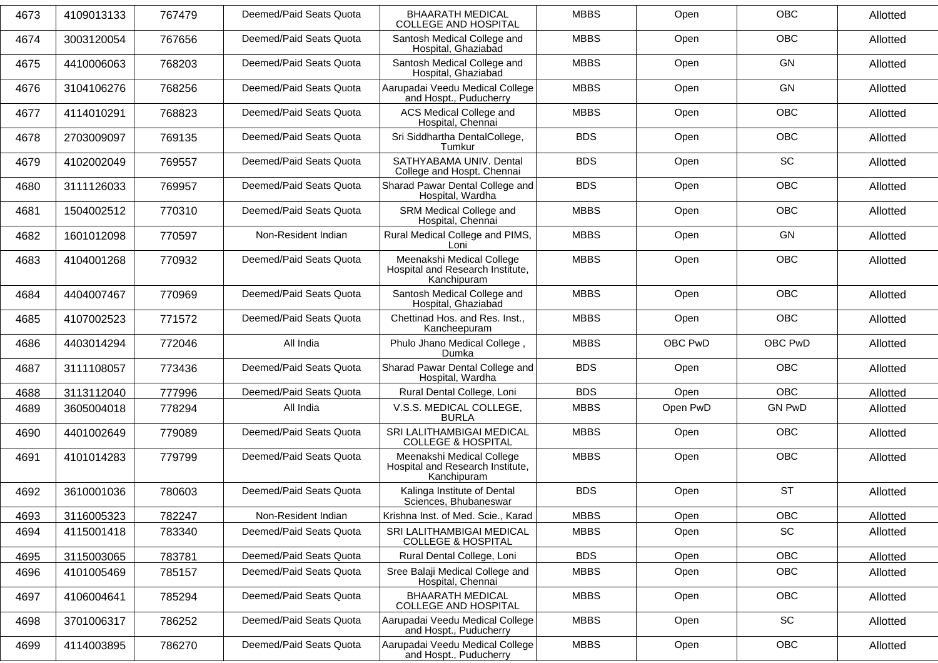| 4673 | 4109013133 | 767479 | Deemed/Paid Seats Quota | <b>BHAARATH MEDICAL</b><br><b>COLLEGE AND HOSPITAL</b>                       | <b>MBBS</b> | Open     | OBC           | Allotted |
|------|------------|--------|-------------------------|------------------------------------------------------------------------------|-------------|----------|---------------|----------|
| 4674 | 3003120054 | 767656 | Deemed/Paid Seats Quota | Santosh Medical College and<br>Hospital, Ghaziabad                           | <b>MBBS</b> | Open     | <b>OBC</b>    | Allotted |
| 4675 | 4410006063 | 768203 | Deemed/Paid Seats Quota | Santosh Medical College and<br>Hospital, Ghaziabad                           | <b>MBBS</b> | Open     | <b>GN</b>     | Allotted |
| 4676 | 3104106276 | 768256 | Deemed/Paid Seats Quota | Aarupadai Veedu Medical College<br>and Hospt., Puducherry                    | <b>MBBS</b> | Open     | <b>GN</b>     | Allotted |
| 4677 | 4114010291 | 768823 | Deemed/Paid Seats Quota | ACS Medical College and<br>Hospital, Chennai                                 | <b>MBBS</b> | Open     | <b>OBC</b>    | Allotted |
| 4678 | 2703009097 | 769135 | Deemed/Paid Seats Quota | Sri Siddhartha DentalCollege,<br>Tumkur                                      | <b>BDS</b>  | Open     | OBC           | Allotted |
| 4679 | 4102002049 | 769557 | Deemed/Paid Seats Quota | SATHYABAMA UNIV. Dental<br>College and Hospt. Chennai                        | <b>BDS</b>  | Open     | SC            | Allotted |
| 4680 | 3111126033 | 769957 | Deemed/Paid Seats Quota | Sharad Pawar Dental College and<br>Hospital, Wardha                          | <b>BDS</b>  | Open     | <b>OBC</b>    | Allotted |
| 4681 | 1504002512 | 770310 | Deemed/Paid Seats Quota | SRM Medical College and<br>Hospital, Chennai                                 | <b>MBBS</b> | Open     | <b>OBC</b>    | Allotted |
| 4682 | 1601012098 | 770597 | Non-Resident Indian     | Rural Medical College and PIMS,<br>Loni                                      | <b>MBBS</b> | Open     | GN            | Allotted |
| 4683 | 4104001268 | 770932 | Deemed/Paid Seats Quota | Meenakshi Medical College<br>Hospital and Research Institute,<br>Kanchipuram | <b>MBBS</b> | Open     | <b>OBC</b>    | Allotted |
| 4684 | 4404007467 | 770969 | Deemed/Paid Seats Quota | Santosh Medical College and<br>Hospital, Ghaziabad                           | <b>MBBS</b> | Open     | <b>OBC</b>    | Allotted |
| 4685 | 4107002523 | 771572 | Deemed/Paid Seats Quota | Chettinad Hos. and Res. Inst.,<br>Kancheepuram                               | <b>MBBS</b> | Open     | OBC           | Allotted |
| 4686 | 4403014294 | 772046 | All India               | Phulo Jhano Medical College,<br>Dumka                                        | <b>MBBS</b> | OBC PwD  | OBC PwD       | Allotted |
| 4687 | 3111108057 | 773436 | Deemed/Paid Seats Quota | Sharad Pawar Dental College and<br>Hospital, Wardha                          | <b>BDS</b>  | Open     | <b>OBC</b>    | Allotted |
| 4688 | 3113112040 | 777996 | Deemed/Paid Seats Quota | Rural Dental College, Loni                                                   | <b>BDS</b>  | Open     | <b>OBC</b>    | Allotted |
| 4689 | 3605004018 | 778294 | All India               | V.S.S. MEDICAL COLLEGE,<br><b>BURLA</b>                                      | <b>MBBS</b> | Open PwD | <b>GN PwD</b> | Allotted |
| 4690 | 4401002649 | 779089 | Deemed/Paid Seats Quota | SRI LALITHAMBIGAI MEDICAL<br><b>COLLEGE &amp; HOSPITAL</b>                   | <b>MBBS</b> | Open     | OBC           | Allotted |
| 4691 | 4101014283 | 779799 | Deemed/Paid Seats Quota | Meenakshi Medical College<br>Hospital and Research Institute,<br>Kanchipuram | <b>MBBS</b> | Open     | <b>OBC</b>    | Allotted |
| 4692 | 3610001036 | 780603 | Deemed/Paid Seats Quota | Kalinga Institute of Dental<br>Sciences, Bhubaneswar                         | <b>BDS</b>  | Open     | <b>ST</b>     | Allotted |
| 4693 | 3116005323 | 782247 | Non-Resident Indian     | Krishna Inst. of Med. Scie., Karad                                           | <b>MBBS</b> | Open     | OBC           | Allotted |
| 4694 | 4115001418 | 783340 | Deemed/Paid Seats Quota | SRI LALITHAMBIGAI MEDICAL<br><b>COLLEGE &amp; HOSPITAL</b>                   | <b>MBBS</b> | Open     | SC            | Allotted |
| 4695 | 3115003065 | 783781 | Deemed/Paid Seats Quota | Rural Dental College, Loni                                                   | <b>BDS</b>  | Open     | OBC           | Allotted |
| 4696 | 4101005469 | 785157 | Deemed/Paid Seats Quota | Sree Balaji Medical College and<br>Hospital, Chennai                         | <b>MBBS</b> | Open     | <b>OBC</b>    | Allotted |
| 4697 | 4106004641 | 785294 | Deemed/Paid Seats Quota | <b>BHAARATH MEDICAL</b><br>COLLEGE AND HOSPITAL                              | <b>MBBS</b> | Open     | OBC           | Allotted |
| 4698 | 3701006317 | 786252 | Deemed/Paid Seats Quota | Aarupadai Veedu Medical College<br>and Hospt., Puducherry                    | <b>MBBS</b> | Open     | SC            | Allotted |
| 4699 | 4114003895 | 786270 | Deemed/Paid Seats Quota | Aarupadai Veedu Medical College<br>and Hospt., Puducherry                    | <b>MBBS</b> | Open     | OBC           | Allotted |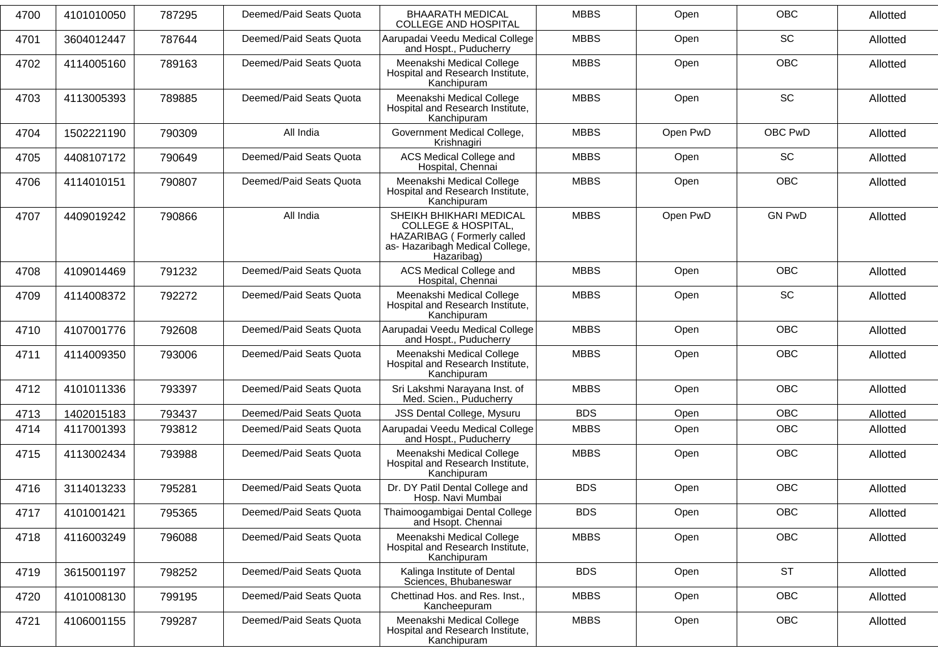| 4700 | 4101010050 | 787295 | Deemed/Paid Seats Quota | <b>BHAARATH MEDICAL</b><br><b>COLLEGE AND HOSPITAL</b>                                                                                   | <b>MBBS</b> | Open     | <b>OBC</b>    | Allotted |
|------|------------|--------|-------------------------|------------------------------------------------------------------------------------------------------------------------------------------|-------------|----------|---------------|----------|
| 4701 | 3604012447 | 787644 | Deemed/Paid Seats Quota | Aarupadai Veedu Medical College<br>and Hospt., Puducherry                                                                                | <b>MBBS</b> | Open     | SC            | Allotted |
| 4702 | 4114005160 | 789163 | Deemed/Paid Seats Quota | Meenakshi Medical College<br>Hospital and Research Institute,<br>Kanchipuram                                                             | <b>MBBS</b> | Open     | <b>OBC</b>    | Allotted |
| 4703 | 4113005393 | 789885 | Deemed/Paid Seats Quota | Meenakshi Medical College<br>Hospital and Research Institute,<br>Kanchipuram                                                             | <b>MBBS</b> | Open     | <b>SC</b>     | Allotted |
| 4704 | 1502221190 | 790309 | All India               | Government Medical College,<br>Krishnagiri                                                                                               | <b>MBBS</b> | Open PwD | OBC PwD       | Allotted |
| 4705 | 4408107172 | 790649 | Deemed/Paid Seats Quota | ACS Medical College and<br>Hospital, Chennai                                                                                             | <b>MBBS</b> | Open     | SC            | Allotted |
| 4706 | 4114010151 | 790807 | Deemed/Paid Seats Quota | Meenakshi Medical College<br>Hospital and Research Institute,<br>Kanchipuram                                                             | <b>MBBS</b> | Open     | <b>OBC</b>    | Allotted |
| 4707 | 4409019242 | 790866 | All India               | SHEIKH BHIKHARI MEDICAL<br><b>COLLEGE &amp; HOSPITAL,</b><br>HAZARIBAG (Formerly called<br>as- Hazaribagh Medical College,<br>Hazaribag) | <b>MBBS</b> | Open PwD | <b>GN PwD</b> | Allotted |
| 4708 | 4109014469 | 791232 | Deemed/Paid Seats Quota | ACS Medical College and<br>Hospital, Chennai                                                                                             | <b>MBBS</b> | Open     | <b>OBC</b>    | Allotted |
| 4709 | 4114008372 | 792272 | Deemed/Paid Seats Quota | Meenakshi Medical College<br>Hospital and Research Institute,<br>Kanchipuram                                                             | <b>MBBS</b> | Open     | <b>SC</b>     | Allotted |
| 4710 | 4107001776 | 792608 | Deemed/Paid Seats Quota | Aarupadai Veedu Medical College<br>and Hospt., Puducherry                                                                                | <b>MBBS</b> | Open     | <b>OBC</b>    | Allotted |
| 4711 | 4114009350 | 793006 | Deemed/Paid Seats Quota | Meenakshi Medical College<br>Hospital and Research Institute,<br>Kanchipuram                                                             | <b>MBBS</b> | Open     | <b>OBC</b>    | Allotted |
| 4712 | 4101011336 | 793397 | Deemed/Paid Seats Quota | Sri Lakshmi Narayana Inst. of<br>Med. Scien., Puducherry                                                                                 | <b>MBBS</b> | Open     | <b>OBC</b>    | Allotted |
| 4713 | 1402015183 | 793437 | Deemed/Paid Seats Quota | JSS Dental College, Mysuru                                                                                                               | <b>BDS</b>  | Open     | <b>OBC</b>    | Allotted |
| 4714 | 4117001393 | 793812 | Deemed/Paid Seats Quota | Aarupadai Veedu Medical College<br>and Hospt., Puducherry                                                                                | <b>MBBS</b> | Open     | OBC           | Allotted |
| 4715 | 4113002434 | 793988 | Deemed/Paid Seats Quota | Meenakshi Medical College<br>Hospital and Research Institute,<br>Kanchipuram                                                             | <b>MBBS</b> | Open     | <b>OBC</b>    | Allotted |
| 4716 | 3114013233 | 795281 | Deemed/Paid Seats Quota | Dr. DY Patil Dental College and<br>Hosp. Navi Mumbai                                                                                     | <b>BDS</b>  | Open     | OBC           | Allotted |
| 4717 | 4101001421 | 795365 | Deemed/Paid Seats Quota | Thaimoogambigai Dental College<br>and Hsopt. Chennai                                                                                     | <b>BDS</b>  | Open     | OBC           | Allotted |
| 4718 | 4116003249 | 796088 | Deemed/Paid Seats Quota | Meenakshi Medical College<br>Hospital and Research Institute,<br>Kanchipuram                                                             | <b>MBBS</b> | Open     | <b>OBC</b>    | Allotted |
| 4719 | 3615001197 | 798252 | Deemed/Paid Seats Quota | Kalinga Institute of Dental<br>Sciences, Bhubaneswar                                                                                     | <b>BDS</b>  | Open     | <b>ST</b>     | Allotted |
| 4720 | 4101008130 | 799195 | Deemed/Paid Seats Quota | Chettinad Hos. and Res. Inst.,<br>Kancheepuram                                                                                           | <b>MBBS</b> | Open     | OBC           | Allotted |
| 4721 | 4106001155 | 799287 | Deemed/Paid Seats Quota | Meenakshi Medical College<br>Hospital and Research Institute,<br>Kanchipuram                                                             | <b>MBBS</b> | Open     | <b>OBC</b>    | Allotted |
|      |            |        |                         |                                                                                                                                          |             |          |               |          |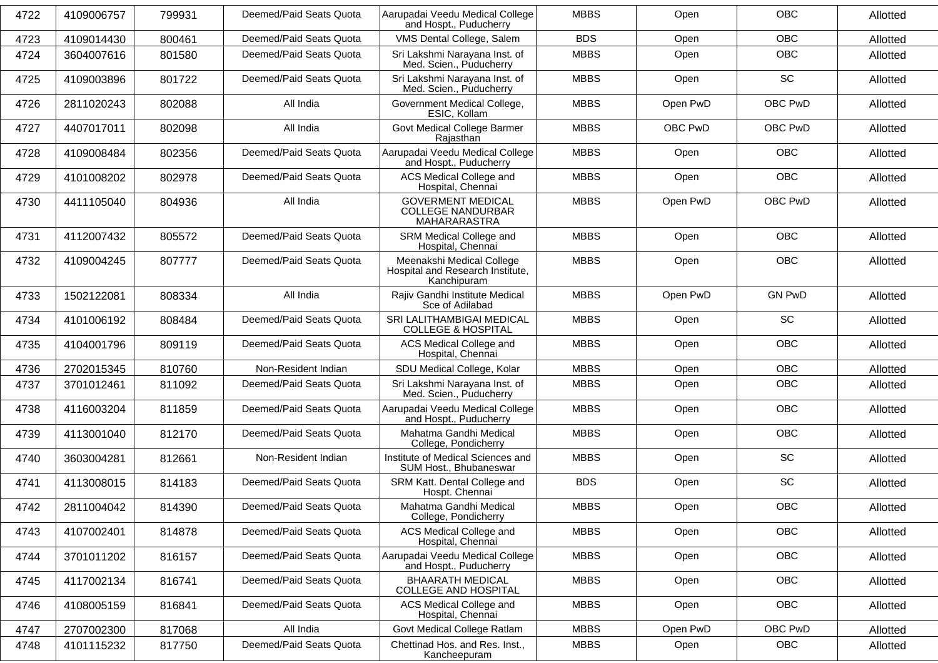| 4722 | 4109006757 | 799931 | Deemed/Paid Seats Quota | Aarupadai Veedu Medical College<br>and Hospt., Puducherry                    | <b>MBBS</b> | Open     | <b>OBC</b>    | Allotted |
|------|------------|--------|-------------------------|------------------------------------------------------------------------------|-------------|----------|---------------|----------|
| 4723 | 4109014430 | 800461 | Deemed/Paid Seats Quota | VMS Dental College, Salem                                                    | <b>BDS</b>  | Open     | <b>OBC</b>    | Allotted |
| 4724 | 3604007616 | 801580 | Deemed/Paid Seats Quota | Sri Lakshmi Narayana Inst. of<br>Med. Scien., Puducherry                     | <b>MBBS</b> | Open     | OBC           | Allotted |
| 4725 | 4109003896 | 801722 | Deemed/Paid Seats Quota | Sri Lakshmi Narayana Inst. of<br>Med. Scien., Puducherry                     | <b>MBBS</b> | Open     | <b>SC</b>     | Allotted |
| 4726 | 2811020243 | 802088 | All India               | Government Medical College,<br>ESIC, Kollam                                  | <b>MBBS</b> | Open PwD | OBC PwD       | Allotted |
| 4727 | 4407017011 | 802098 | All India               | Govt Medical College Barmer<br>Rajasthan                                     | <b>MBBS</b> | OBC PwD  | OBC PwD       | Allotted |
| 4728 | 4109008484 | 802356 | Deemed/Paid Seats Quota | Aarupadai Veedu Medical College<br>and Hospt., Puducherry                    | <b>MBBS</b> | Open     | <b>OBC</b>    | Allotted |
| 4729 | 4101008202 | 802978 | Deemed/Paid Seats Quota | <b>ACS Medical College and</b><br>Hospital, Chennai                          | <b>MBBS</b> | Open     | <b>OBC</b>    | Allotted |
| 4730 | 4411105040 | 804936 | All India               | <b>GOVERMENT MEDICAL</b><br><b>COLLEGE NANDURBAR</b><br>MAHARARASTRA         | <b>MBBS</b> | Open PwD | OBC PwD       | Allotted |
| 4731 | 4112007432 | 805572 | Deemed/Paid Seats Quota | SRM Medical College and<br>Hospital, Chennai                                 | <b>MBBS</b> | Open     | <b>OBC</b>    | Allotted |
| 4732 | 4109004245 | 807777 | Deemed/Paid Seats Quota | Meenakshi Medical College<br>Hospital and Research Institute.<br>Kanchipuram | <b>MBBS</b> | Open     | <b>OBC</b>    | Allotted |
| 4733 | 1502122081 | 808334 | All India               | Rajiv Gandhi Institute Medical<br>Sce of Adilabad                            | <b>MBBS</b> | Open PwD | <b>GN PwD</b> | Allotted |
| 4734 | 4101006192 | 808484 | Deemed/Paid Seats Quota | SRI LALITHAMBIGAI MEDICAL<br><b>COLLEGE &amp; HOSPITAL</b>                   | <b>MBBS</b> | Open     | SC            | Allotted |
| 4735 | 4104001796 | 809119 | Deemed/Paid Seats Quota | ACS Medical College and<br>Hospital, Chennai                                 | <b>MBBS</b> | Open     | OBC           | Allotted |
| 4736 | 2702015345 | 810760 | Non-Resident Indian     | SDU Medical College, Kolar                                                   | <b>MBBS</b> | Open     | OBC           | Allotted |
| 4737 | 3701012461 | 811092 | Deemed/Paid Seats Quota | Sri Lakshmi Narayana Inst. of<br>Med. Scien., Puducherry                     | <b>MBBS</b> | Open     | OBC           | Allotted |
| 4738 | 4116003204 | 811859 | Deemed/Paid Seats Quota | Aarupadai Veedu Medical College<br>and Hospt., Puducherry                    | <b>MBBS</b> | Open     | OBC           | Allotted |
| 4739 | 4113001040 | 812170 | Deemed/Paid Seats Quota | Mahatma Gandhi Medical<br>College, Pondicherry                               | <b>MBBS</b> | Open     | <b>OBC</b>    | Allotted |
| 4740 | 3603004281 | 812661 | Non-Resident Indian     | Institute of Medical Sciences and<br>SUM Host., Bhubaneswar                  | <b>MBBS</b> | Open     | SC            | Allotted |
| 4741 | 4113008015 | 814183 | Deemed/Paid Seats Quota | SRM Katt. Dental College and<br>Hospt. Chennai                               | <b>BDS</b>  | Open     | <b>SC</b>     | Allotted |
| 4742 | 2811004042 | 814390 | Deemed/Paid Seats Quota | Mahatma Gandhi Medical<br>College, Pondicherry                               | <b>MBBS</b> | Open     | OBC           | Allotted |
| 4743 | 4107002401 | 814878 | Deemed/Paid Seats Quota | ACS Medical College and<br>Hospital, Chennai                                 | <b>MBBS</b> | Open     | <b>OBC</b>    | Allotted |
| 4744 | 3701011202 | 816157 | Deemed/Paid Seats Quota | Aarupadai Veedu Medical College<br>and Hospt., Puducherry                    | <b>MBBS</b> | Open     | <b>OBC</b>    | Allotted |
| 4745 | 4117002134 | 816741 | Deemed/Paid Seats Quota | <b>BHAARATH MEDICAL</b><br>COLLEGE AND HOSPITAL                              | <b>MBBS</b> | Open     | <b>OBC</b>    | Allotted |
| 4746 | 4108005159 | 816841 | Deemed/Paid Seats Quota | ACS Medical College and<br>Hospital, Chennai                                 | <b>MBBS</b> | Open     | <b>OBC</b>    | Allotted |
| 4747 | 2707002300 | 817068 | All India               | Govt Medical College Ratlam                                                  | <b>MBBS</b> | Open PwD | OBC PwD       | Allotted |
| 4748 | 4101115232 | 817750 | Deemed/Paid Seats Quota | Chettinad Hos. and Res. Inst.,<br>Kancheepuram                               | <b>MBBS</b> | Open     | OBC           | Allotted |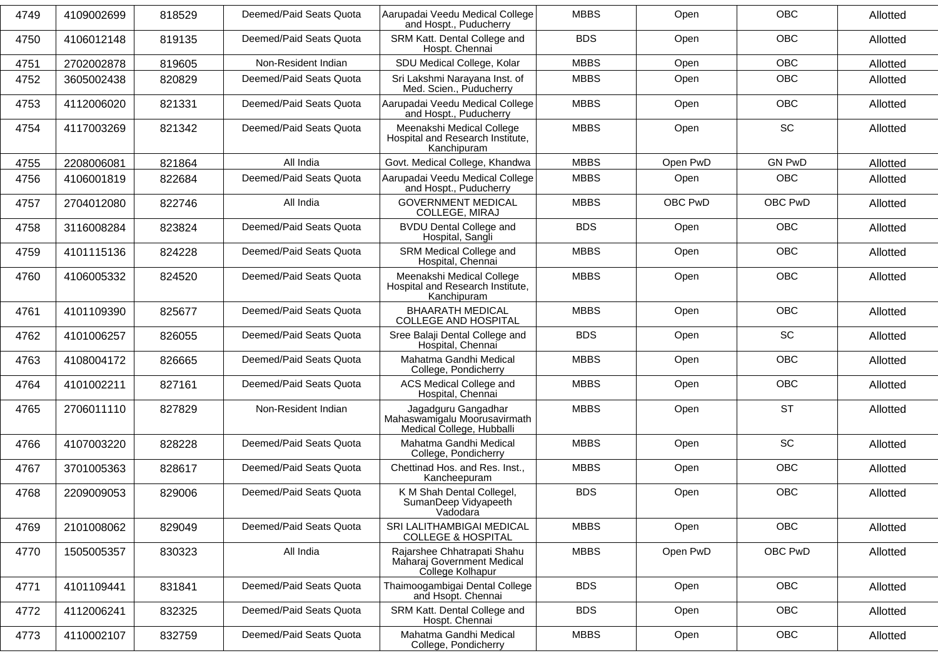| 4749 | 4109002699 | 818529 | Deemed/Paid Seats Quota | Aarupadai Veedu Medical College<br>and Hospt., Puducherry                        | <b>MBBS</b> | Open     | <b>OBC</b>    | Allotted |
|------|------------|--------|-------------------------|----------------------------------------------------------------------------------|-------------|----------|---------------|----------|
| 4750 | 4106012148 | 819135 | Deemed/Paid Seats Quota | SRM Katt. Dental College and<br>Hospt. Chennai                                   | <b>BDS</b>  | Open     | OBC           | Allotted |
| 4751 | 2702002878 | 819605 | Non-Resident Indian     | SDU Medical College, Kolar                                                       | <b>MBBS</b> | Open     | <b>OBC</b>    | Allotted |
| 4752 | 3605002438 | 820829 | Deemed/Paid Seats Quota | Sri Lakshmi Narayana Inst. of<br>Med. Scien., Puducherry                         | <b>MBBS</b> | Open     | OBC           | Allotted |
| 4753 | 4112006020 | 821331 | Deemed/Paid Seats Quota | Aarupadai Veedu Medical College<br>and Hospt., Puducherry                        | <b>MBBS</b> | Open     | <b>OBC</b>    | Allotted |
| 4754 | 4117003269 | 821342 | Deemed/Paid Seats Quota | Meenakshi Medical College<br>Hospital and Research Institute,<br>Kanchipuram     | <b>MBBS</b> | Open     | SC            | Allotted |
| 4755 | 2208006081 | 821864 | All India               | Govt. Medical College, Khandwa                                                   | <b>MBBS</b> | Open PwD | <b>GN PwD</b> | Allotted |
| 4756 | 4106001819 | 822684 | Deemed/Paid Seats Quota | Aarupadai Veedu Medical College<br>and Hospt., Puducherry                        | <b>MBBS</b> | Open     | <b>OBC</b>    | Allotted |
| 4757 | 2704012080 | 822746 | All India               | <b>GOVERNMENT MEDICAL</b><br>COLLEGE, MIRAJ                                      | <b>MBBS</b> | OBC PwD  | OBC PwD       | Allotted |
| 4758 | 3116008284 | 823824 | Deemed/Paid Seats Quota | <b>BVDU Dental College and</b><br>Hospital, Sangli                               | <b>BDS</b>  | Open     | OBC           | Allotted |
| 4759 | 4101115136 | 824228 | Deemed/Paid Seats Quota | SRM Medical College and<br>Hospital, Chennai                                     | <b>MBBS</b> | Open     | <b>OBC</b>    | Allotted |
| 4760 | 4106005332 | 824520 | Deemed/Paid Seats Quota | Meenakshi Medical College<br>Hospital and Research Institute,<br>Kanchipuram     | <b>MBBS</b> | Open     | <b>OBC</b>    | Allotted |
| 4761 | 4101109390 | 825677 | Deemed/Paid Seats Quota | <b>BHAARATH MEDICAL</b><br><b>COLLEGE AND HOSPITAL</b>                           | <b>MBBS</b> | Open     | <b>OBC</b>    | Allotted |
| 4762 | 4101006257 | 826055 | Deemed/Paid Seats Quota | Sree Balaji Dental College and<br>Hospital, Chennai                              | <b>BDS</b>  | Open     | SC            | Allotted |
| 4763 | 4108004172 | 826665 | Deemed/Paid Seats Quota | Mahatma Gandhi Medical<br>College, Pondicherry                                   | <b>MBBS</b> | Open     | <b>OBC</b>    | Allotted |
| 4764 | 4101002211 | 827161 | Deemed/Paid Seats Quota | ACS Medical College and<br>Hospital, Chennai                                     | <b>MBBS</b> | Open     | <b>OBC</b>    | Allotted |
| 4765 | 2706011110 | 827829 | Non-Resident Indian     | Jagadguru Gangadhar<br>Mahaswamigalu Moorusavirmath<br>Medical College, Hubballi | <b>MBBS</b> | Open     | <b>ST</b>     | Allotted |
| 4766 | 4107003220 | 828228 | Deemed/Paid Seats Quota | Mahatma Gandhi Medical<br>College, Pondicherry                                   | <b>MBBS</b> | Open     | SC            | Allotted |
| 4767 | 3701005363 | 828617 | Deemed/Paid Seats Quota | Chettinad Hos. and Res. Inst.,<br>Kancheepuram                                   | <b>MBBS</b> | Open     | OBC           | Allotted |
| 4768 | 2209009053 | 829006 | Deemed/Paid Seats Quota | K M Shah Dental Collegel,<br>SumanDeep Vidyapeeth                                | <b>BDS</b>  | Open     | <b>OBC</b>    | Allotted |
| 4769 | 2101008062 | 829049 | Deemed/Paid Seats Quota | SRI LALITHAMBIGAI MEDICAL<br><b>COLLEGE &amp; HOSPITAL</b>                       | <b>MBBS</b> | Open     | OBC           | Allotted |
| 4770 | 1505005357 | 830323 | All India               | Rajarshee Chhatrapati Shahu<br>Maharaj Government Medical<br>College Kolhapur    | <b>MBBS</b> | Open PwD | OBC PwD       | Allotted |
| 4771 | 4101109441 | 831841 | Deemed/Paid Seats Quota | Thaimoogambigai Dental College<br>and Hsopt. Chennai                             | <b>BDS</b>  | Open     | <b>OBC</b>    | Allotted |
| 4772 | 4112006241 | 832325 | Deemed/Paid Seats Quota | SRM Katt. Dental College and<br>Hospt. Chennai                                   | <b>BDS</b>  | Open     | OBC           | Allotted |
| 4773 | 4110002107 | 832759 | Deemed/Paid Seats Quota | Mahatma Gandhi Medical<br>College, Pondicherry                                   | <b>MBBS</b> | Open     | OBC           | Allotted |
|      |            |        |                         |                                                                                  |             |          |               |          |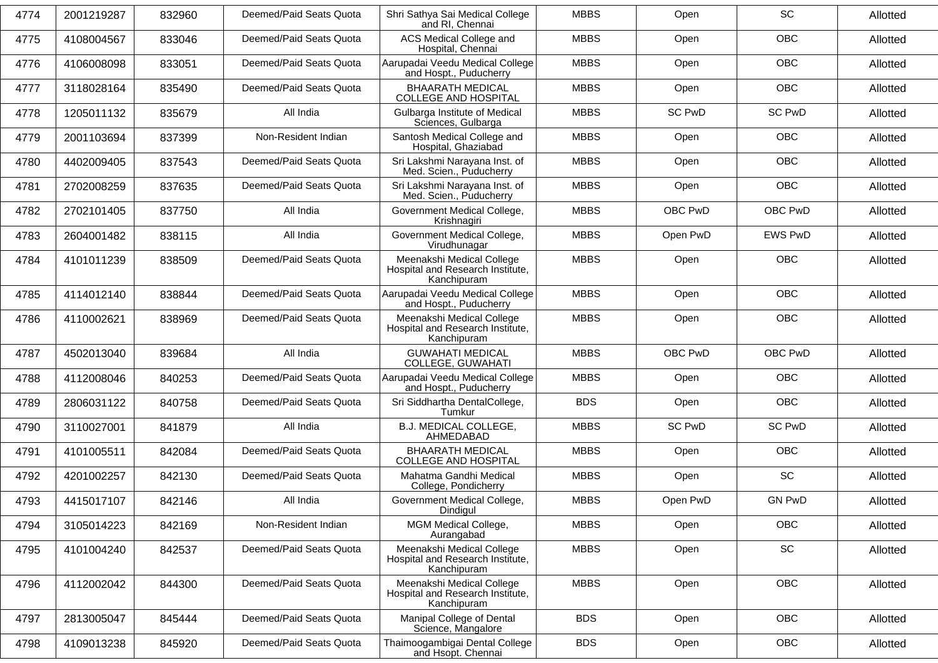| 4774 | 2001219287 | 832960 | Deemed/Paid Seats Quota | Shri Sathya Sai Medical College<br>and RI. Chennai                           | <b>MBBS</b> | Open          | SC             | Allotted |
|------|------------|--------|-------------------------|------------------------------------------------------------------------------|-------------|---------------|----------------|----------|
| 4775 | 4108004567 | 833046 | Deemed/Paid Seats Quota | ACS Medical College and<br>Hospital, Chennai                                 | <b>MBBS</b> | Open          | <b>OBC</b>     | Allotted |
| 4776 | 4106008098 | 833051 | Deemed/Paid Seats Quota | Aarupadai Veedu Medical College<br>and Hospt., Puducherry                    | <b>MBBS</b> | Open          | OBC            | Allotted |
| 4777 | 3118028164 | 835490 | Deemed/Paid Seats Quota | <b>BHAARATH MEDICAL</b><br><b>COLLEGE AND HOSPITAL</b>                       | <b>MBBS</b> | Open          | <b>OBC</b>     | Allotted |
| 4778 | 1205011132 | 835679 | All India               | Gulbarga Institute of Medical<br>Sciences, Gulbarga                          | <b>MBBS</b> | <b>SC PwD</b> | <b>SC PwD</b>  | Allotted |
| 4779 | 2001103694 | 837399 | Non-Resident Indian     | Santosh Medical College and<br>Hospital, Ghaziabad                           | <b>MBBS</b> | Open          | OBC            | Allotted |
| 4780 | 4402009405 | 837543 | Deemed/Paid Seats Quota | Sri Lakshmi Narayana Inst. of<br>Med. Scien., Puducherry                     | <b>MBBS</b> | Open          | <b>OBC</b>     | Allotted |
| 4781 | 2702008259 | 837635 | Deemed/Paid Seats Quota | Sri Lakshmi Narayana Inst. of<br>Med. Scien., Puducherry                     | <b>MBBS</b> | Open          | <b>OBC</b>     | Allotted |
| 4782 | 2702101405 | 837750 | All India               | Government Medical College,<br>Krishnagiri                                   | <b>MBBS</b> | OBC PwD       | OBC PwD        | Allotted |
| 4783 | 2604001482 | 838115 | All India               | Government Medical College,<br>Virudhunagar                                  | <b>MBBS</b> | Open PwD      | <b>EWS PwD</b> | Allotted |
| 4784 | 4101011239 | 838509 | Deemed/Paid Seats Quota | Meenakshi Medical College<br>Hospital and Research Institute,<br>Kanchipuram | <b>MBBS</b> | Open          | <b>OBC</b>     | Allotted |
| 4785 | 4114012140 | 838844 | Deemed/Paid Seats Quota | Aarupadai Veedu Medical College<br>and Hospt., Puducherry                    | <b>MBBS</b> | Open          | <b>OBC</b>     | Allotted |
| 4786 | 4110002621 | 838969 | Deemed/Paid Seats Quota | Meenakshi Medical College<br>Hospital and Research Institute,<br>Kanchipuram | <b>MBBS</b> | Open          | <b>OBC</b>     | Allotted |
| 4787 | 4502013040 | 839684 | All India               | <b>GUWAHATI MEDICAL</b><br>COLLEGE, GUWAHATI                                 | <b>MBBS</b> | OBC PwD       | OBC PwD        | Allotted |
| 4788 | 4112008046 | 840253 | Deemed/Paid Seats Quota | Aarupadai Veedu Medical College<br>and Hospt., Puducherry                    | <b>MBBS</b> | Open          | OBC            | Allotted |
| 4789 | 2806031122 | 840758 | Deemed/Paid Seats Quota | Sri Siddhartha DentalCollege,<br>Tumkur                                      | <b>BDS</b>  | Open          | <b>OBC</b>     | Allotted |
| 4790 | 3110027001 | 841879 | All India               | B.J. MEDICAL COLLEGE,<br>AHMEDABAD                                           | <b>MBBS</b> | <b>SC PwD</b> | <b>SC PwD</b>  | Allotted |
| 4791 | 4101005511 | 842084 | Deemed/Paid Seats Quota | <b>BHAARATH MEDICAL</b><br><b>COLLEGE AND HOSPITAL</b>                       | <b>MBBS</b> | Open          | OBC            | Allotted |
| 4792 | 4201002257 | 842130 | Deemed/Paid Seats Quota | Mahatma Gandhi Medical<br>College, Pondicherry                               | <b>MBBS</b> | Open          | <b>SC</b>      | Allotted |
| 4793 | 4415017107 | 842146 | All India               | Government Medical College,<br>Dindigul                                      | <b>MBBS</b> | Open PwD      | <b>GN PwD</b>  | Allotted |
| 4794 | 3105014223 | 842169 | Non-Resident Indian     | MGM Medical College,<br>Aurangabad                                           | <b>MBBS</b> | Open          | OBC            | Allotted |
| 4795 | 4101004240 | 842537 | Deemed/Paid Seats Quota | Meenakshi Medical College<br>Hospital and Research Institute,<br>Kanchipuram | <b>MBBS</b> | Open          | SC             | Allotted |
| 4796 | 4112002042 | 844300 | Deemed/Paid Seats Quota | Meenakshi Medical College<br>Hospital and Research Institute,<br>Kanchipuram | <b>MBBS</b> | Open          | OBC            | Allotted |
| 4797 | 2813005047 | 845444 | Deemed/Paid Seats Quota | Manipal College of Dental<br>Science, Mangalore                              | <b>BDS</b>  | Open          | OBC            | Allotted |
| 4798 | 4109013238 | 845920 | Deemed/Paid Seats Quota | Thaimoogambigai Dental College<br>and Hsopt. Chennai                         | <b>BDS</b>  | Open          | OBC            | Allotted |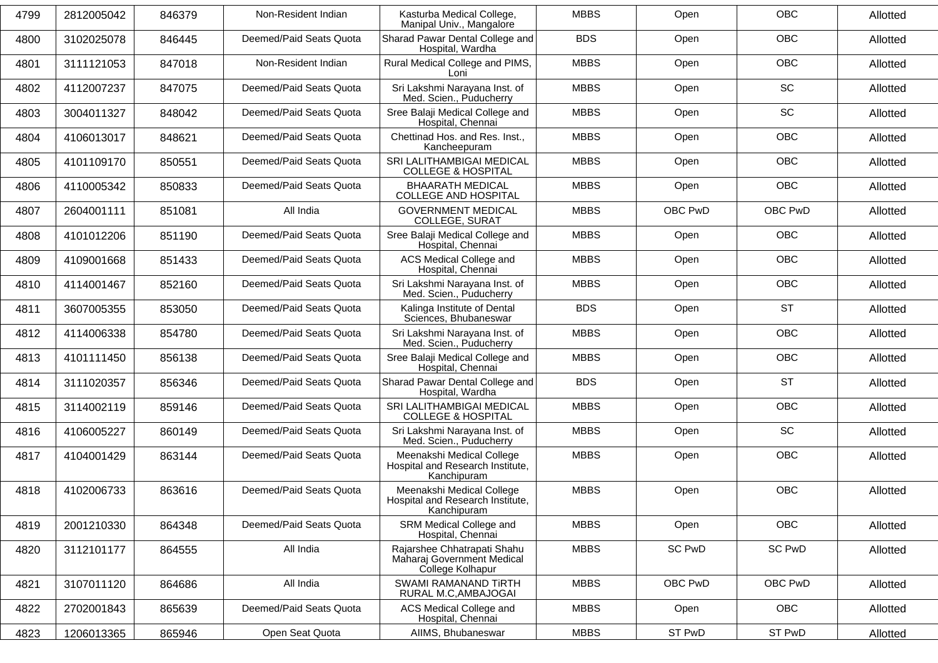| 4799 | 2812005042 | 846379 | Non-Resident Indian     | Kasturba Medical College,<br>Manipal Univ., Mangalore                         | <b>MBBS</b> | Open    | <b>OBC</b>    | Allotted |
|------|------------|--------|-------------------------|-------------------------------------------------------------------------------|-------------|---------|---------------|----------|
| 4800 | 3102025078 | 846445 | Deemed/Paid Seats Quota | Sharad Pawar Dental College and<br>Hospital, Wardha                           | <b>BDS</b>  | Open    | OBC           | Allotted |
| 4801 | 3111121053 | 847018 | Non-Resident Indian     | Rural Medical College and PIMS,<br>Loni                                       | <b>MBBS</b> | Open    | <b>OBC</b>    | Allotted |
| 4802 | 4112007237 | 847075 | Deemed/Paid Seats Quota | Sri Lakshmi Narayana Inst. of<br>Med. Scien., Puducherry                      | <b>MBBS</b> | Open    | <b>SC</b>     | Allotted |
| 4803 | 3004011327 | 848042 | Deemed/Paid Seats Quota | Sree Balaji Medical College and<br>Hospital, Chennai                          | <b>MBBS</b> | Open    | SC            | Allotted |
| 4804 | 4106013017 | 848621 | Deemed/Paid Seats Quota | Chettinad Hos. and Res. Inst.,<br>Kancheepuram                                | <b>MBBS</b> | Open    | <b>OBC</b>    | Allotted |
| 4805 | 4101109170 | 850551 | Deemed/Paid Seats Quota | SRI LALITHAMBIGAI MEDICAL<br><b>COLLEGE &amp; HOSPITAL</b>                    | <b>MBBS</b> | Open    | <b>OBC</b>    | Allotted |
| 4806 | 4110005342 | 850833 | Deemed/Paid Seats Quota | <b>BHAARATH MEDICAL</b><br><b>COLLEGE AND HOSPITAL</b>                        | <b>MBBS</b> | Open    | <b>OBC</b>    | Allotted |
| 4807 | 2604001111 | 851081 | All India               | <b>GOVERNMENT MEDICAL</b><br><b>COLLEGE, SURAT</b>                            | <b>MBBS</b> | OBC PwD | OBC PwD       | Allotted |
| 4808 | 4101012206 | 851190 | Deemed/Paid Seats Quota | Sree Balaji Medical College and<br>Hospital, Chennai                          | <b>MBBS</b> | Open    | <b>OBC</b>    | Allotted |
| 4809 | 4109001668 | 851433 | Deemed/Paid Seats Quota | ACS Medical College and<br>Hospital, Chennai                                  | <b>MBBS</b> | Open    | OBC           | Allotted |
| 4810 | 4114001467 | 852160 | Deemed/Paid Seats Quota | Sri Lakshmi Narayana Inst. of<br>Med. Scien., Puducherry                      | <b>MBBS</b> | Open    | <b>OBC</b>    | Allotted |
| 4811 | 3607005355 | 853050 | Deemed/Paid Seats Quota | Kalinga Institute of Dental<br>Sciences, Bhubaneswar                          | <b>BDS</b>  | Open    | <b>ST</b>     | Allotted |
| 4812 | 4114006338 | 854780 | Deemed/Paid Seats Quota | Sri Lakshmi Narayana Inst. of<br>Med. Scien., Puducherry                      | <b>MBBS</b> | Open    | OBC           | Allotted |
| 4813 | 4101111450 | 856138 | Deemed/Paid Seats Quota | Sree Balaji Medical College and<br>Hospital, Chennai                          | <b>MBBS</b> | Open    | <b>OBC</b>    | Allotted |
| 4814 | 3111020357 | 856346 | Deemed/Paid Seats Quota | Sharad Pawar Dental College and<br>Hospital, Wardha                           | <b>BDS</b>  | Open    | <b>ST</b>     | Allotted |
| 4815 | 3114002119 | 859146 | Deemed/Paid Seats Quota | SRI LALITHAMBIGAI MEDICAL<br><b>COLLEGE &amp; HOSPITAL</b>                    | <b>MBBS</b> | Open    | OBC           | Allotted |
| 4816 | 4106005227 | 860149 | Deemed/Paid Seats Quota | Sri Lakshmi Narayana Inst. of<br>Med. Scien., Puducherry                      | <b>MBBS</b> | Open    | SC            | Allotted |
| 4817 | 4104001429 | 863144 | Deemed/Paid Seats Quota | Meenakshi Medical College<br>Hospital and Research Institute.<br>Kanchipuram  | <b>MBBS</b> | Open    | <b>OBC</b>    | Allotted |
| 4818 | 4102006733 | 863616 | Deemed/Paid Seats Quota | Meenakshi Medical College<br>Hospital and Research Institute,<br>Kanchipuram  | <b>MBBS</b> | Open    | <b>OBC</b>    | Allotted |
| 4819 | 2001210330 | 864348 | Deemed/Paid Seats Quota | SRM Medical College and<br>Hospital, Chennai                                  | <b>MBBS</b> | Open    | <b>OBC</b>    | Allotted |
| 4820 | 3112101177 | 864555 | All India               | Rajarshee Chhatrapati Shahu<br>Maharaj Government Medical<br>College Kolhapur | <b>MBBS</b> | SC PwD  | <b>SC PwD</b> | Allotted |
| 4821 | 3107011120 | 864686 | All India               | SWAMI RAMANAND TIRTH<br>RURAL M.C, AMBAJOGAI                                  | <b>MBBS</b> | OBC PwD | OBC PwD       | Allotted |
| 4822 | 2702001843 | 865639 | Deemed/Paid Seats Quota | ACS Medical College and<br>Hospital, Chennai                                  | <b>MBBS</b> | Open    | <b>OBC</b>    | Allotted |
| 4823 | 1206013365 | 865946 | Open Seat Quota         | AIIMS, Bhubaneswar                                                            | <b>MBBS</b> | ST PwD  | ST PwD        | Allotted |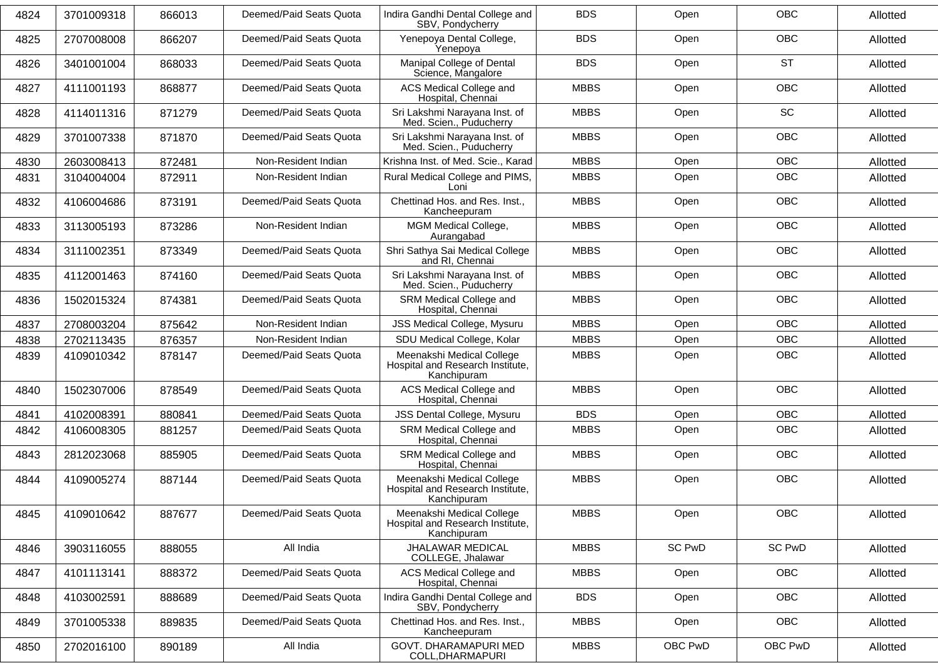| 4824 | 3701009318 | 866013 | Deemed/Paid Seats Quota | Indira Gandhi Dental College and<br>SBV, Pondycherry                         | <b>BDS</b>  | Open    | <b>OBC</b>    | Allotted |
|------|------------|--------|-------------------------|------------------------------------------------------------------------------|-------------|---------|---------------|----------|
| 4825 | 2707008008 | 866207 | Deemed/Paid Seats Quota | Yenepoya Dental College,<br>Yenepoya                                         | <b>BDS</b>  | Open    | <b>OBC</b>    | Allotted |
| 4826 | 3401001004 | 868033 | Deemed/Paid Seats Quota | Manipal College of Dental<br>Science, Mangalore                              | <b>BDS</b>  | Open    | <b>ST</b>     | Allotted |
| 4827 | 4111001193 | 868877 | Deemed/Paid Seats Quota | ACS Medical College and<br>Hospital, Chennai                                 | <b>MBBS</b> | Open    | <b>OBC</b>    | Allotted |
| 4828 | 4114011316 | 871279 | Deemed/Paid Seats Quota | Sri Lakshmi Narayana Inst. of<br>Med. Scien., Puducherry                     | <b>MBBS</b> | Open    | <b>SC</b>     | Allotted |
| 4829 | 3701007338 | 871870 | Deemed/Paid Seats Quota | Sri Lakshmi Narayana Inst. of<br>Med. Scien., Puducherry                     | <b>MBBS</b> | Open    | <b>OBC</b>    | Allotted |
| 4830 | 2603008413 | 872481 | Non-Resident Indian     | Krishna Inst. of Med. Scie., Karad                                           | <b>MBBS</b> | Open    | <b>OBC</b>    | Allotted |
| 4831 | 3104004004 | 872911 | Non-Resident Indian     | Rural Medical College and PIMS,<br>Loni                                      | <b>MBBS</b> | Open    | <b>OBC</b>    | Allotted |
| 4832 | 4106004686 | 873191 | Deemed/Paid Seats Quota | Chettinad Hos. and Res. Inst.,<br>Kancheepuram                               | <b>MBBS</b> | Open    | OBC           | Allotted |
| 4833 | 3113005193 | 873286 | Non-Resident Indian     | MGM Medical College,<br>Aurangabad                                           | <b>MBBS</b> | Open    | <b>OBC</b>    | Allotted |
| 4834 | 3111002351 | 873349 | Deemed/Paid Seats Quota | Shri Sathya Sai Medical College<br>and RI, Chennai                           | <b>MBBS</b> | Open    | OBC           | Allotted |
| 4835 | 4112001463 | 874160 | Deemed/Paid Seats Quota | Sri Lakshmi Narayana Inst. of<br>Med. Scien., Puducherry                     | <b>MBBS</b> | Open    | OBC           | Allotted |
| 4836 | 1502015324 | 874381 | Deemed/Paid Seats Quota | SRM Medical College and<br>Hospital, Chennai                                 | <b>MBBS</b> | Open    | <b>OBC</b>    | Allotted |
| 4837 | 2708003204 | 875642 | Non-Resident Indian     | <b>JSS Medical College, Mysuru</b>                                           | <b>MBBS</b> | Open    | <b>OBC</b>    | Allotted |
| 4838 | 2702113435 | 876357 | Non-Resident Indian     | SDU Medical College, Kolar                                                   | <b>MBBS</b> | Open    | <b>OBC</b>    | Allotted |
| 4839 | 4109010342 | 878147 | Deemed/Paid Seats Quota | Meenakshi Medical College<br>Hospital and Research Institute,<br>Kanchipuram | <b>MBBS</b> | Open    | OBC           | Allotted |
| 4840 | 1502307006 | 878549 | Deemed/Paid Seats Quota | ACS Medical College and<br>Hospital, Chennai                                 | <b>MBBS</b> | Open    | OBC           | Allotted |
| 4841 | 4102008391 | 880841 | Deemed/Paid Seats Quota | JSS Dental College, Mysuru                                                   | <b>BDS</b>  | Open    | <b>OBC</b>    | Allotted |
| 4842 | 4106008305 | 881257 | Deemed/Paid Seats Quota | SRM Medical College and<br>Hospital, Chennai                                 | <b>MBBS</b> | Open    | OBC           | Allotted |
| 4843 | 2812023068 | 885905 | Deemed/Paid Seats Quota | SRM Medical College and<br>Hospital, Chennai                                 | <b>MBBS</b> | Open    | <b>OBC</b>    | Allotted |
| 4844 | 4109005274 | 887144 | Deemed/Paid Seats Quota | Meenakshi Medical College<br>Hospital and Research Institute,<br>Kanchipuram | <b>MBBS</b> | Open    | OBC           | Allotted |
| 4845 | 4109010642 | 887677 | Deemed/Paid Seats Quota | Meenakshi Medical College<br>Hospital and Research Institute,<br>Kanchipuram | <b>MBBS</b> | Open    | OBC           | Allotted |
| 4846 | 3903116055 | 888055 | All India               | <b>JHALAWAR MEDICAL</b><br>COLLEGE, Jhalawar                                 | <b>MBBS</b> | SC PwD  | <b>SC PwD</b> | Allotted |
| 4847 | 4101113141 | 888372 | Deemed/Paid Seats Quota | ACS Medical College and<br>Hospital, Chennai                                 | <b>MBBS</b> | Open    | <b>OBC</b>    | Allotted |
| 4848 | 4103002591 | 888689 | Deemed/Paid Seats Quota | Indira Gandhi Dental College and<br>SBV, Pondycherry                         | <b>BDS</b>  | Open    | <b>OBC</b>    | Allotted |
| 4849 | 3701005338 | 889835 | Deemed/Paid Seats Quota | Chettinad Hos. and Res. Inst.,<br>Kancheepuram                               | <b>MBBS</b> | Open    | <b>OBC</b>    | Allotted |
| 4850 | 2702016100 | 890189 | All India               | GOVT. DHARAMAPURI MED<br>COLL, DHARMAPURI                                    | <b>MBBS</b> | OBC PwD | OBC PwD       | Allotted |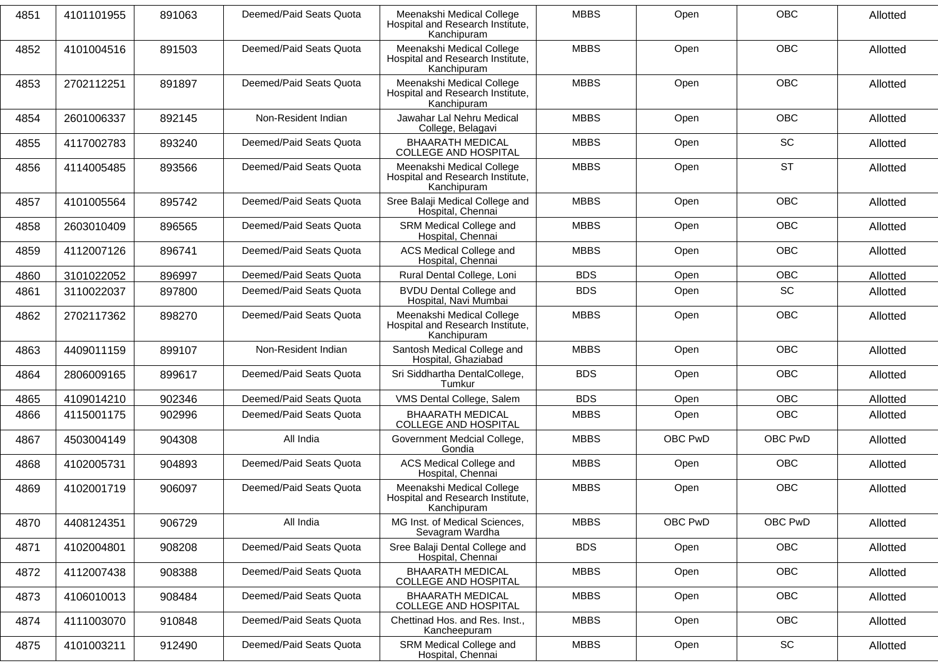| 4851 | 4101101955 | 891063 | Deemed/Paid Seats Quota | Meenakshi Medical College<br>Hospital and Research Institute,<br>Kanchipuram | <b>MBBS</b> | Open    | <b>OBC</b> | Allotted |
|------|------------|--------|-------------------------|------------------------------------------------------------------------------|-------------|---------|------------|----------|
| 4852 | 4101004516 | 891503 | Deemed/Paid Seats Quota | Meenakshi Medical College<br>Hospital and Research Institute,<br>Kanchipuram | <b>MBBS</b> | Open    | <b>OBC</b> | Allotted |
| 4853 | 2702112251 | 891897 | Deemed/Paid Seats Quota | Meenakshi Medical College<br>Hospital and Research Institute,<br>Kanchipuram | <b>MBBS</b> | Open    | OBC        | Allotted |
| 4854 | 2601006337 | 892145 | Non-Resident Indian     | Jawahar Lal Nehru Medical<br>College, Belagavi                               | <b>MBBS</b> | Open    | <b>OBC</b> | Allotted |
| 4855 | 4117002783 | 893240 | Deemed/Paid Seats Quota | <b>BHAARATH MEDICAL</b><br><b>COLLEGE AND HOSPITAL</b>                       | <b>MBBS</b> | Open    | <b>SC</b>  | Allotted |
| 4856 | 4114005485 | 893566 | Deemed/Paid Seats Quota | Meenakshi Medical College<br>Hospital and Research Institute,<br>Kanchipuram | <b>MBBS</b> | Open    | <b>ST</b>  | Allotted |
| 4857 | 4101005564 | 895742 | Deemed/Paid Seats Quota | Sree Balaji Medical College and<br>Hospital, Chennai                         | <b>MBBS</b> | Open    | <b>OBC</b> | Allotted |
| 4858 | 2603010409 | 896565 | Deemed/Paid Seats Quota | SRM Medical College and<br>Hospital, Chennai                                 | <b>MBBS</b> | Open    | <b>OBC</b> | Allotted |
| 4859 | 4112007126 | 896741 | Deemed/Paid Seats Quota | ACS Medical College and<br>Hospital, Chennai                                 | <b>MBBS</b> | Open    | OBC        | Allotted |
| 4860 | 3101022052 | 896997 | Deemed/Paid Seats Quota | Rural Dental College, Loni                                                   | <b>BDS</b>  | Open    | OBC        | Allotted |
| 4861 | 3110022037 | 897800 | Deemed/Paid Seats Quota | <b>BVDU Dental College and</b><br>Hospital, Navi Mumbai                      | <b>BDS</b>  | Open    | SC         | Allotted |
| 4862 | 2702117362 | 898270 | Deemed/Paid Seats Quota | Meenakshi Medical College<br>Hospital and Research Institute,<br>Kanchipuram | <b>MBBS</b> | Open    | <b>OBC</b> | Allotted |
| 4863 | 4409011159 | 899107 | Non-Resident Indian     | Santosh Medical College and<br>Hospital, Ghaziabad                           | <b>MBBS</b> | Open    | <b>OBC</b> | Allotted |
| 4864 | 2806009165 | 899617 | Deemed/Paid Seats Quota | Sri Siddhartha DentalCollege,<br>Tumkur                                      | <b>BDS</b>  | Open    | OBC        | Allotted |
| 4865 | 4109014210 | 902346 | Deemed/Paid Seats Quota | VMS Dental College, Salem                                                    | <b>BDS</b>  | Open    | <b>OBC</b> | Allotted |
| 4866 | 4115001175 | 902996 | Deemed/Paid Seats Quota | <b>BHAARATH MEDICAL</b><br><b>COLLEGE AND HOSPITAL</b>                       | <b>MBBS</b> | Open    | OBC        | Allotted |
| 4867 | 4503004149 | 904308 | All India               | Government Medcial College,<br>Gondia                                        | <b>MBBS</b> | OBC PwD | OBC PwD    | Allotted |
| 4868 | 4102005731 | 904893 | Deemed/Paid Seats Quota | ACS Medical College and<br>Hospital, Chennai                                 | <b>MBBS</b> | Open    | OBC        | Allotted |
| 4869 | 4102001719 | 906097 | Deemed/Paid Seats Quota | Meenakshi Medical College<br>Hospital and Research Institute,<br>Kanchipuram | <b>MBBS</b> | Open    | OBC        | Allotted |
| 4870 | 4408124351 | 906729 | All India               | MG Inst. of Medical Sciences,<br>Sevagram Wardha                             | <b>MBBS</b> | OBC PwD | OBC PwD    | Allotted |
| 4871 | 4102004801 | 908208 | Deemed/Paid Seats Quota | Sree Balaji Dental College and<br>Hospital, Chennai                          | <b>BDS</b>  | Open    | <b>OBC</b> | Allotted |
| 4872 | 4112007438 | 908388 | Deemed/Paid Seats Quota | <b>BHAARATH MEDICAL</b><br><b>COLLEGE AND HOSPITAL</b>                       | <b>MBBS</b> | Open    | <b>OBC</b> | Allotted |
| 4873 | 4106010013 | 908484 | Deemed/Paid Seats Quota | <b>BHAARATH MEDICAL</b><br>COLLEGE AND HOSPITAL                              | <b>MBBS</b> | Open    | OBC        | Allotted |
| 4874 | 4111003070 | 910848 | Deemed/Paid Seats Quota | Chettinad Hos. and Res. Inst.,<br>Kancheepuram                               | <b>MBBS</b> | Open    | <b>OBC</b> | Allotted |
| 4875 | 4101003211 | 912490 | Deemed/Paid Seats Quota | SRM Medical College and<br>Hospital, Chennai                                 | <b>MBBS</b> | Open    | SC         | Allotted |